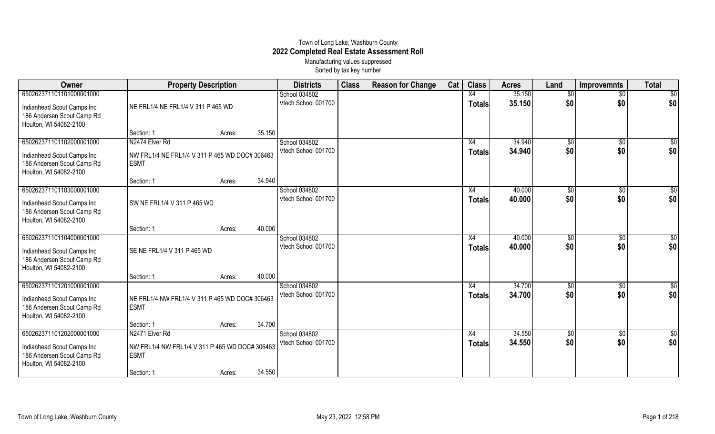## Town of Long Lake, Washburn County **2022 Completed Real Estate Assessment Roll** Manufacturing values suppressed

Sorted by tax key number

| Owner                                                                                                          | <b>Property Description</b>                                                                   |                  | <b>Districts</b>                     | <b>Class</b> | <b>Reason for Change</b> | Cat | <b>Class</b>                     | <b>Acres</b>     | Land                   | <b>Improvemnts</b>     | <b>Total</b>           |
|----------------------------------------------------------------------------------------------------------------|-----------------------------------------------------------------------------------------------|------------------|--------------------------------------|--------------|--------------------------|-----|----------------------------------|------------------|------------------------|------------------------|------------------------|
| 650262371101101000001000<br>Indianhead Scout Camps Inc<br>186 Andersen Scout Camp Rd<br>Houlton, WI 54082-2100 | NE FRL1/4 NE FRL1/4 V 311 P 465 WD                                                            |                  | School 034802<br>Vtech School 001700 |              |                          |     | X4<br><b>Totals</b>              | 35.150<br>35.150 | $\overline{50}$<br>\$0 | $\overline{50}$<br>\$0 | $\overline{50}$<br>\$0 |
|                                                                                                                | Section: 1                                                                                    | 35.150<br>Acres: |                                      |              |                          |     |                                  |                  |                        |                        |                        |
| 650262371101102000001000<br>Indianhead Scout Camps Inc<br>186 Andersen Scout Camp Rd<br>Houlton, WI 54082-2100 | N2474 Elver Rd<br>NW FRL1/4 NE FRL1/4 V 311 P 465 WD DOC# 306463<br><b>ESMT</b>               |                  | School 034802<br>Vtech School 001700 |              |                          |     | X4<br><b>Totals</b>              | 34.940<br>34.940 | $\overline{50}$<br>\$0 | $\overline{50}$<br>\$0 | \$0<br>\$0             |
|                                                                                                                | Section: 1                                                                                    | 34.940<br>Acres: |                                      |              |                          |     |                                  |                  |                        |                        |                        |
| 650262371101103000001000<br>Indianhead Scout Camps Inc<br>186 Andersen Scout Camp Rd<br>Houlton, WI 54082-2100 | SW NE FRL1/4 V 311 P 465 WD                                                                   |                  | School 034802<br>Vtech School 001700 |              |                          |     | $\overline{X4}$<br><b>Totals</b> | 40.000<br>40.000 | $\overline{50}$<br>\$0 | $\sqrt{$0}$<br>\$0     | \$0<br>\$0             |
|                                                                                                                | Section: 1                                                                                    | 40.000<br>Acres: |                                      |              |                          |     |                                  |                  |                        |                        |                        |
| 650262371101104000001000<br>Indianhead Scout Camps Inc<br>186 Andersen Scout Camp Rd<br>Houlton, WI 54082-2100 | SE NE FRL1/4 V 311 P 465 WD                                                                   |                  | School 034802<br>Vtech School 001700 |              |                          |     | X4<br><b>Totals</b>              | 40.000<br>40.000 | $\overline{50}$<br>\$0 | $\sqrt{6}$<br>\$0      | \$0<br>\$0             |
|                                                                                                                | Section: 1                                                                                    | 40.000<br>Acres: |                                      |              |                          |     |                                  |                  |                        |                        |                        |
| 650262371101201000001000<br>Indianhead Scout Camps Inc<br>186 Andersen Scout Camp Rd<br>Houlton, WI 54082-2100 | NE FRL1/4 NW FRL1/4 V 311 P 465 WD DOC# 306463<br><b>ESMT</b>                                 |                  | School 034802<br>Vtech School 001700 |              |                          |     | X4<br><b>Totals</b>              | 34.700<br>34.700 | \$0<br>\$0             | \$0<br>\$0             | $\overline{50}$<br>\$0 |
|                                                                                                                | Section: 1                                                                                    | 34.700<br>Acres: |                                      |              |                          |     |                                  |                  |                        |                        |                        |
| 650262371101202000001000<br>Indianhead Scout Camps Inc<br>186 Andersen Scout Camp Rd<br>Houlton, WI 54082-2100 | N2471 Elver Rd<br>NW FRL1/4 NW FRL1/4 V 311 P 465 WD DOC# 306463<br><b>ESMT</b><br>Section: 1 | 34.550<br>Acres: | School 034802<br>Vtech School 001700 |              |                          |     | X4<br><b>Totals</b>              | 34.550<br>34.550 | $\overline{50}$<br>\$0 | \$0<br>\$0             | $\overline{30}$<br>\$0 |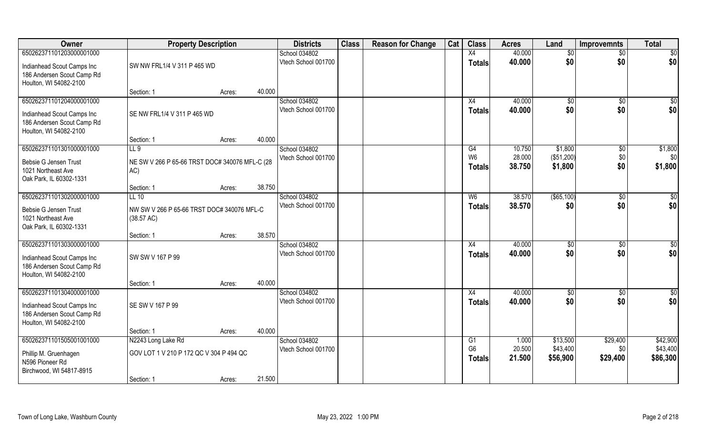| Owner                                                                                                          | <b>Property Description</b>                                                 |                  | <b>Districts</b>                               | <b>Class</b> | <b>Reason for Change</b> | Cat | <b>Class</b>                          | <b>Acres</b>               | Land                             | <b>Improvemnts</b>           | <b>Total</b>                     |
|----------------------------------------------------------------------------------------------------------------|-----------------------------------------------------------------------------|------------------|------------------------------------------------|--------------|--------------------------|-----|---------------------------------------|----------------------------|----------------------------------|------------------------------|----------------------------------|
| 650262371101203000001000                                                                                       |                                                                             |                  | School 034802                                  |              |                          |     | X4                                    | 40.000                     | \$0                              | $\overline{30}$              | $\overline{50}$                  |
| Indianhead Scout Camps Inc<br>186 Andersen Scout Camp Rd<br>Houlton, WI 54082-2100                             | SW NW FRL1/4 V 311 P 465 WD                                                 |                  | Vtech School 001700                            |              |                          |     | <b>Totals</b>                         | 40.000                     | \$0                              | \$0                          | \$0                              |
|                                                                                                                | Section: 1                                                                  | 40.000<br>Acres: |                                                |              |                          |     |                                       |                            |                                  |                              |                                  |
| 650262371101204000001000<br>Indianhead Scout Camps Inc<br>186 Andersen Scout Camp Rd<br>Houlton, WI 54082-2100 | SE NW FRL1/4 V 311 P 465 WD                                                 |                  | School 034802<br>Vtech School 001700           |              |                          |     | X4<br>Totals                          | 40.000<br>40.000           | $\sqrt[6]{}$<br>\$0              | $\overline{50}$<br>\$0       | $\overline{\$0}$<br>\$0          |
|                                                                                                                | Section: 1                                                                  | Acres:           | 40.000                                         |              |                          |     |                                       |                            |                                  |                              |                                  |
| 650262371101301000001000<br>Bebsie G Jensen Trust<br>1021 Northeast Ave<br>Oak Park, IL 60302-1331             | LL9<br>NE SW V 266 P 65-66 TRST DOC# 340076 MFL-C (28<br>AC)                |                  | School 034802<br>Vtech School 001700           |              |                          |     | G4<br>W <sub>6</sub><br><b>Totals</b> | 10.750<br>28.000<br>38.750 | \$1,800<br>(\$51,200)<br>\$1,800 | $\sqrt[6]{30}$<br>\$0<br>\$0 | \$1,800<br>\$0<br>\$1,800        |
|                                                                                                                | Section: 1                                                                  | 38.750<br>Acres: |                                                |              |                          |     |                                       |                            |                                  |                              |                                  |
| 650262371101302000001000<br>Bebsie G Jensen Trust<br>1021 Northeast Ave<br>Oak Park, IL 60302-1331             | $LL$ 10<br>NW SW V 266 P 65-66 TRST DOC# 340076 MFL-C<br>(38.57 AC)         |                  | School 034802<br>Vtech School 001700           |              |                          |     | W <sub>6</sub><br><b>Totals</b>       | 38.570<br>38.570           | (\$65,100)<br>\$0                | \$0<br>\$0                   | \$0<br>\$0                       |
|                                                                                                                | Section: 1                                                                  | Acres:           | 38.570                                         |              |                          |     |                                       |                            |                                  |                              |                                  |
| 650262371101303000001000<br>Indianhead Scout Camps Inc<br>186 Andersen Scout Camp Rd<br>Houlton, WI 54082-2100 | SW SW V 167 P 99                                                            |                  | School 034802<br>Vtech School 001700           |              |                          |     | X4<br><b>Totals</b>                   | 40.000<br>40.000           | $\sqrt[6]{}$<br>\$0              | $\overline{50}$<br>\$0       | \$0<br>\$0                       |
|                                                                                                                | Section: 1                                                                  | 40.000<br>Acres: |                                                |              |                          |     |                                       |                            |                                  |                              |                                  |
| 650262371101304000001000<br>Indianhead Scout Camps Inc<br>186 Andersen Scout Camp Rd<br>Houlton, WI 54082-2100 | SE SW V 167 P 99                                                            |                  | School 034802<br>Vtech School 001700           |              |                          |     | X4<br><b>Totals</b>                   | 40.000<br>40.000           | \$0<br>\$0                       | \$0<br>\$0                   | \$0<br>\$0                       |
|                                                                                                                | Section: 1                                                                  | Acres:           | 40.000                                         |              |                          |     |                                       |                            |                                  |                              |                                  |
| 650262371101505001001000<br>Phillip M. Gruenhagen<br>N596 Pioneer Rd<br>Birchwood, WI 54817-8915               | N2243 Long Lake Rd<br>GOV LOT 1 V 210 P 172 QC V 304 P 494 QC<br>Section: 1 | Acres:           | School 034802<br>Vtech School 001700<br>21.500 |              |                          |     | G1<br>G <sub>6</sub><br><b>Totals</b> | 1.000<br>20.500<br>21.500  | \$13,500<br>\$43,400<br>\$56,900 | \$29,400<br>\$0<br>\$29,400  | \$42,900<br>\$43,400<br>\$86,300 |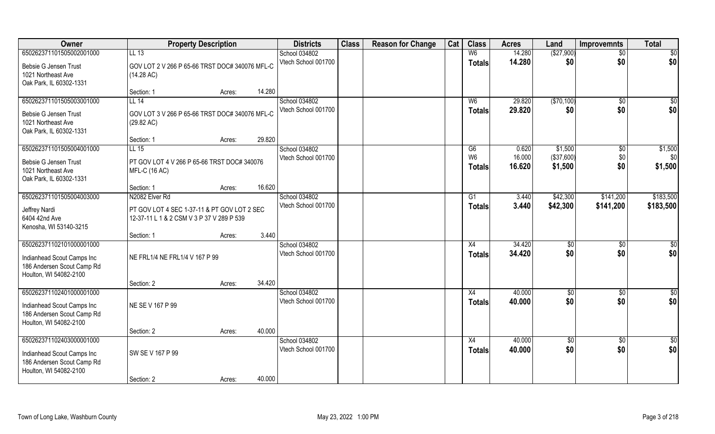| Owner                      |                                                | <b>Property Description</b> |        | <b>Districts</b>                     | <b>Class</b> | <b>Reason for Change</b> | Cat | <b>Class</b>   | <b>Acres</b>     | Land       | <b>Improvemnts</b>     | <b>Total</b>    |
|----------------------------|------------------------------------------------|-----------------------------|--------|--------------------------------------|--------------|--------------------------|-----|----------------|------------------|------------|------------------------|-----------------|
| 650262371101505002001000   | LL 13                                          |                             |        | School 034802                        |              |                          |     | W <sub>6</sub> | 14.280           | (\$27,900) | $\sqrt{$0}$            | $\overline{50}$ |
| Bebsie G Jensen Trust      | GOV LOT 2 V 266 P 65-66 TRST DOC# 340076 MFL-C |                             |        | Vtech School 001700                  |              |                          |     | <b>Totals</b>  | 14.280           | \$0        | \$0                    | \$0             |
| 1021 Northeast Ave         | (14.28 AC)                                     |                             |        |                                      |              |                          |     |                |                  |            |                        |                 |
| Oak Park, IL 60302-1331    |                                                |                             |        |                                      |              |                          |     |                |                  |            |                        |                 |
|                            | Section: 1                                     | Acres:                      | 14.280 |                                      |              |                          |     |                |                  |            |                        |                 |
| 650262371101505003001000   | LL 14                                          |                             |        | School 034802                        |              |                          |     | W <sub>6</sub> | 29.820           | (\$70,100) | \$0                    | $\sqrt{50}$     |
| Bebsie G Jensen Trust      | GOV LOT 3 V 266 P 65-66 TRST DOC# 340076 MFL-C |                             |        | Vtech School 001700                  |              |                          |     | Totals         | 29.820           | \$0        | \$0                    | \$0             |
| 1021 Northeast Ave         | (29.82 AC)                                     |                             |        |                                      |              |                          |     |                |                  |            |                        |                 |
| Oak Park, IL 60302-1331    |                                                |                             |        |                                      |              |                          |     |                |                  |            |                        |                 |
|                            | Section: 1                                     | Acres:                      | 29.820 |                                      |              |                          |     |                |                  |            |                        |                 |
| 650262371101505004001000   | $LL$ 15                                        |                             |        | School 034802                        |              |                          |     | G6             | 0.620            | \$1,500    | $\sqrt[6]{3}$          | \$1,500         |
| Bebsie G Jensen Trust      | PT GOV LOT 4 V 266 P 65-66 TRST DOC# 340076    |                             |        | Vtech School 001700                  |              |                          |     | W <sub>6</sub> | 16.000           | (\$37,600) | \$0                    | \$0             |
| 1021 Northeast Ave         | <b>MFL-C (16 AC)</b>                           |                             |        |                                      |              |                          |     | <b>Totals</b>  | 16.620           | \$1,500    | \$0                    | \$1,500         |
| Oak Park, IL 60302-1331    |                                                |                             |        |                                      |              |                          |     |                |                  |            |                        |                 |
|                            | Section: 1                                     | Acres:                      | 16.620 |                                      |              |                          |     |                |                  |            |                        |                 |
| 650262371101505004003000   | N2082 Elver Rd                                 |                             |        | School 034802                        |              |                          |     | G1             | 3.440            | \$42,300   | \$141,200              | \$183,500       |
| Jeffrey Nardi              | PT GOV LOT 4 SEC 1-37-11 & PT GOV LOT 2 SEC    |                             |        | Vtech School 001700                  |              |                          |     | <b>Totals</b>  | 3.440            | \$42,300   | \$141,200              | \$183,500       |
| 6404 42nd Ave              | 12-37-11 L 1 & 2 CSM V 3 P 37 V 289 P 539      |                             |        |                                      |              |                          |     |                |                  |            |                        |                 |
| Kenosha, WI 53140-3215     |                                                |                             |        |                                      |              |                          |     |                |                  |            |                        |                 |
|                            | Section: 1                                     | Acres:                      | 3.440  |                                      |              |                          |     |                |                  |            |                        |                 |
| 650262371102101000001000   |                                                |                             |        | School 034802                        |              |                          |     | X4             | 34.420           | \$0        | \$0                    | $\overline{50}$ |
| Indianhead Scout Camps Inc | NE FRL1/4 NE FRL1/4 V 167 P 99                 |                             |        | Vtech School 001700                  |              |                          |     | <b>Totals</b>  | 34.420           | \$0        | \$0                    | \$0             |
| 186 Andersen Scout Camp Rd |                                                |                             |        |                                      |              |                          |     |                |                  |            |                        |                 |
| Houlton, WI 54082-2100     |                                                |                             |        |                                      |              |                          |     |                |                  |            |                        |                 |
|                            | Section: 2                                     | Acres:                      | 34.420 |                                      |              |                          |     |                |                  |            |                        |                 |
| 650262371102401000001000   |                                                |                             |        | School 034802                        |              |                          |     | X4             | 40.000           | \$0        | $\overline{60}$        | $\overline{50}$ |
| Indianhead Scout Camps Inc | NE SE V 167 P 99                               |                             |        | Vtech School 001700                  |              |                          |     | <b>Totals</b>  | 40.000           | \$0        | \$0                    | \$0             |
| 186 Andersen Scout Camp Rd |                                                |                             |        |                                      |              |                          |     |                |                  |            |                        |                 |
| Houlton, WI 54082-2100     |                                                |                             |        |                                      |              |                          |     |                |                  |            |                        |                 |
|                            | Section: 2                                     | Acres:                      | 40.000 |                                      |              |                          |     |                |                  |            |                        |                 |
| 650262371102403000001000   |                                                |                             |        | School 034802<br>Vtech School 001700 |              |                          |     | X4             | 40.000<br>40.000 | \$0<br>\$0 | $\overline{50}$<br>\$0 | \$0             |
| Indianhead Scout Camps Inc | SW SE V 167 P 99                               |                             |        |                                      |              |                          |     | Totals         |                  |            |                        | \$0             |
| 186 Andersen Scout Camp Rd |                                                |                             |        |                                      |              |                          |     |                |                  |            |                        |                 |
| Houlton, WI 54082-2100     |                                                |                             |        |                                      |              |                          |     |                |                  |            |                        |                 |
|                            | Section: 2                                     | Acres:                      | 40.000 |                                      |              |                          |     |                |                  |            |                        |                 |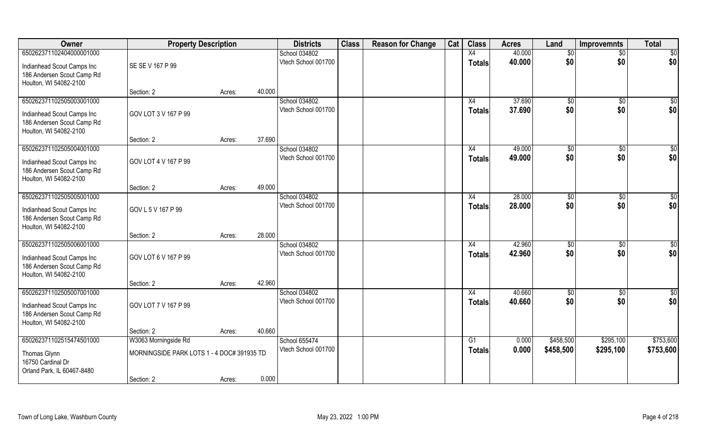| Owner                                                                                                          | <b>Property Description</b>                |        |        | <b>Districts</b>                     | <b>Class</b> | <b>Reason for Change</b> | Cat | <b>Class</b>        | <b>Acres</b>     | Land                 | <b>Improvemnts</b>    | <b>Total</b>           |
|----------------------------------------------------------------------------------------------------------------|--------------------------------------------|--------|--------|--------------------------------------|--------------|--------------------------|-----|---------------------|------------------|----------------------|-----------------------|------------------------|
| 650262371102404000001000                                                                                       |                                            |        |        | School 034802                        |              |                          |     | X4                  | 40.000           | \$0                  | $\overline{50}$       | $\overline{50}$        |
| Indianhead Scout Camps Inc<br>186 Andersen Scout Camp Rd<br>Houlton, WI 54082-2100                             | SE SE V 167 P 99                           |        |        | Vtech School 001700                  |              |                          |     | <b>Totals</b>       | 40.000           | \$0                  | \$0                   | \$0                    |
|                                                                                                                | Section: 2                                 | Acres: | 40.000 |                                      |              |                          |     |                     |                  |                      |                       |                        |
| 650262371102505003001000<br>Indianhead Scout Camps Inc<br>186 Andersen Scout Camp Rd<br>Houlton, WI 54082-2100 | GOV LOT 3 V 167 P 99                       |        |        | School 034802<br>Vtech School 001700 |              |                          |     | X4<br><b>Totals</b> | 37.690<br>37.690 | $\sqrt[6]{}$<br>\$0  | $\sqrt{50}$<br>\$0    | $\sqrt{50}$<br>\$0     |
|                                                                                                                | Section: 2                                 | Acres: | 37.690 |                                      |              |                          |     |                     |                  |                      |                       |                        |
| 650262371102505004001000<br>Indianhead Scout Camps Inc<br>186 Andersen Scout Camp Rd<br>Houlton, WI 54082-2100 | GOV LOT 4 V 167 P 99                       |        |        | School 034802<br>Vtech School 001700 |              |                          |     | X4<br><b>Totals</b> | 49.000<br>49.000 | \$0<br>\$0           | $\sqrt[6]{30}$<br>\$0 | \$0<br>\$0             |
|                                                                                                                | Section: 2                                 | Acres: | 49.000 |                                      |              |                          |     |                     |                  |                      |                       |                        |
| 650262371102505005001000<br>Indianhead Scout Camps Inc<br>186 Andersen Scout Camp Rd<br>Houlton, WI 54082-2100 | GOV L 5 V 167 P 99                         |        |        | School 034802<br>Vtech School 001700 |              |                          |     | X4<br><b>Totals</b> | 28.000<br>28.000 | $\sqrt[6]{3}$<br>\$0 | $\sqrt[6]{30}$<br>\$0 | \$0<br>\$0             |
|                                                                                                                | Section: 2                                 | Acres: | 28.000 |                                      |              |                          |     |                     |                  |                      |                       |                        |
| 650262371102505006001000<br>Indianhead Scout Camps Inc<br>186 Andersen Scout Camp Rd<br>Houlton, WI 54082-2100 | GOV LOT 6 V 167 P 99                       |        |        | School 034802<br>Vtech School 001700 |              |                          |     | X4<br><b>Totals</b> | 42.960<br>42.960 | \$0<br>\$0           | $\sqrt[6]{30}$<br>\$0 | $\overline{50}$<br>\$0 |
|                                                                                                                | Section: 2                                 | Acres: | 42.960 |                                      |              |                          |     |                     |                  |                      |                       |                        |
| 650262371102505007001000<br>Indianhead Scout Camps Inc<br>186 Andersen Scout Camp Rd<br>Houlton, WI 54082-2100 | GOV LOT 7 V 167 P 99                       |        |        | School 034802<br>Vtech School 001700 |              |                          |     | X4<br><b>Totals</b> | 40.660<br>40.660 | \$0<br>\$0           | \$0<br>\$0            | $\frac{6}{3}$<br>\$0   |
|                                                                                                                | Section: 2                                 | Acres: | 40.660 |                                      |              |                          |     |                     |                  |                      |                       |                        |
| 650262371102515474501000                                                                                       | W3063 Morningside Rd                       |        |        | School 655474                        |              |                          |     | $\overline{G1}$     | 0.000            | \$458,500            | \$295,100             | \$753,600              |
| Thomas Glynn<br>16750 Cardinal Dr<br>Orland Park, IL 60467-8480                                                | MORNINGSIDE PARK LOTS 1 - 4 DOC# 391935 TD |        |        | Vtech School 001700                  |              |                          |     | <b>Totals</b>       | 0.000            | \$458,500            | \$295,100             | \$753,600              |
|                                                                                                                | Section: 2                                 | Acres: | 0.000  |                                      |              |                          |     |                     |                  |                      |                       |                        |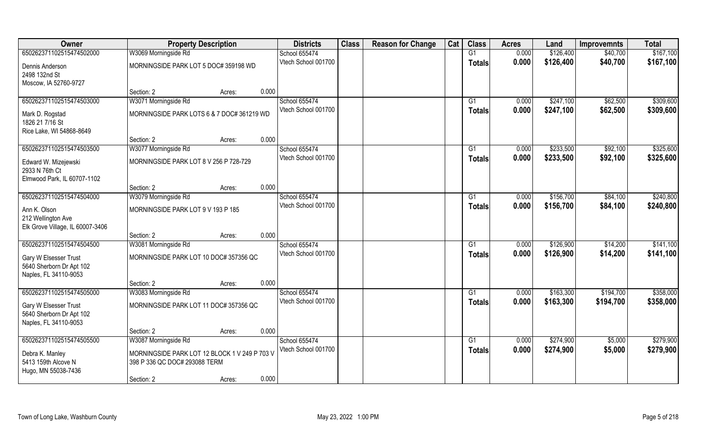| Owner                                                                                                  | <b>Property Description</b>                                                                                                    |       | <b>Districts</b>                     | <b>Class</b> | <b>Reason for Change</b> | Cat | <b>Class</b>        | <b>Acres</b>   | Land                   | <b>Improvemnts</b>     | <b>Total</b>           |
|--------------------------------------------------------------------------------------------------------|--------------------------------------------------------------------------------------------------------------------------------|-------|--------------------------------------|--------------|--------------------------|-----|---------------------|----------------|------------------------|------------------------|------------------------|
| 650262371102515474502000                                                                               | W3069 Morningside Rd                                                                                                           |       | School 655474                        |              |                          |     | G1                  | 0.000          | \$126,400              | \$40,700               | \$167,100              |
| Dennis Anderson<br>2498 132nd St<br>Moscow, IA 52760-9727                                              | MORNINGSIDE PARK LOT 5 DOC# 359198 WD                                                                                          |       | Vtech School 001700                  |              |                          |     | <b>Totals</b>       | 0.000          | \$126,400              | \$40,700               | \$167,100              |
|                                                                                                        | Section: 2<br>Acres:                                                                                                           | 0.000 |                                      |              |                          |     |                     |                |                        |                        |                        |
| 650262371102515474503000<br>Mark D. Rogstad<br>1826 21 7/16 St<br>Rice Lake, WI 54868-8649             | W3071 Morningside Rd<br>MORNINGSIDE PARK LOTS 6 & 7 DOC# 361219 WD                                                             |       | School 655474<br>Vtech School 001700 |              |                          |     | G1<br>Totals        | 0.000<br>0.000 | \$247,100<br>\$247,100 | \$62,500<br>\$62,500   | \$309,600<br>\$309,600 |
|                                                                                                        | Section: 2<br>Acres:                                                                                                           | 0.000 |                                      |              |                          |     |                     |                |                        |                        |                        |
| 650262371102515474503500                                                                               | W3077 Morningside Rd                                                                                                           |       | School 655474                        |              |                          |     | G1                  | 0.000          | \$233,500              | \$92,100               | \$325,600              |
| Edward W. Mizejewski<br>2933 N 76th Ct<br>Elmwood Park, IL 60707-1102                                  | MORNINGSIDE PARK LOT 8 V 256 P 728-729                                                                                         |       | Vtech School 001700                  |              |                          |     | <b>Totals</b>       | 0.000          | \$233,500              | \$92,100               | \$325,600              |
|                                                                                                        | Section: 2<br>Acres:                                                                                                           | 0.000 |                                      |              |                          |     |                     |                |                        |                        |                        |
| 650262371102515474504000                                                                               | W3079 Morningside Rd                                                                                                           |       | School 655474                        |              |                          |     | G1                  | 0.000          | \$156,700              | \$84,100               | \$240,800              |
| Ann K. Olson<br>212 Wellington Ave<br>Elk Grove Village, IL 60007-3406                                 | MORNINGSIDE PARK LOT 9 V 193 P 185                                                                                             |       | Vtech School 001700                  |              |                          |     | <b>Totals</b>       | 0.000          | \$156,700              | \$84,100               | \$240,800              |
|                                                                                                        | Section: 2<br>Acres:                                                                                                           | 0.000 |                                      |              |                          |     |                     |                |                        |                        |                        |
| 650262371102515474504500<br>Gary W Elsesser Trust<br>5640 Sherborn Dr Apt 102<br>Naples, FL 34110-9053 | W3081 Morningside Rd<br>MORNINGSIDE PARK LOT 10 DOC# 357356 QC                                                                 |       | School 655474<br>Vtech School 001700 |              |                          |     | G1<br>Totals        | 0.000<br>0.000 | \$126,900<br>\$126,900 | \$14,200<br>\$14,200   | \$141,100<br>\$141,100 |
|                                                                                                        | Section: 2<br>Acres:                                                                                                           | 0.000 |                                      |              |                          |     |                     |                |                        |                        |                        |
| 650262371102515474505000<br>Gary W Elsesser Trust<br>5640 Sherborn Dr Apt 102<br>Naples, FL 34110-9053 | W3083 Morningside Rd<br>MORNINGSIDE PARK LOT 11 DOC# 357356 QC                                                                 |       | School 655474<br>Vtech School 001700 |              |                          |     | G1<br><b>Totals</b> | 0.000<br>0.000 | \$163,300<br>\$163,300 | \$194,700<br>\$194,700 | \$358,000<br>\$358,000 |
|                                                                                                        | Section: 2<br>Acres:                                                                                                           | 0.000 |                                      |              |                          |     |                     |                |                        |                        |                        |
| 650262371102515474505500<br>Debra K. Manley<br>5413 159th Alcove N<br>Hugo, MN 55038-7436              | W3087 Morningside Rd<br>MORNINGSIDE PARK LOT 12 BLOCK 1 V 249 P 703 V<br>398 P 336 QC DOC# 293088 TERM<br>Section: 2<br>Acres: | 0.000 | School 655474<br>Vtech School 001700 |              |                          |     | G1<br>Totals        | 0.000<br>0.000 | \$274,900<br>\$274,900 | \$5,000<br>\$5,000     | \$279,900<br>\$279,900 |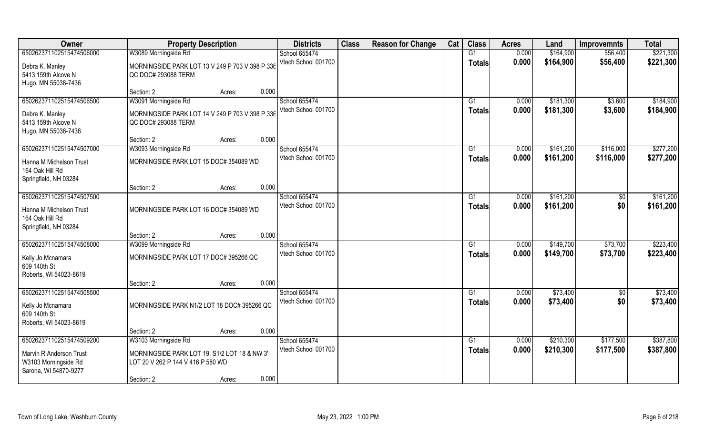| Owner                                                                                                | <b>Property Description</b>                                                                                                                | <b>Districts</b>                     | <b>Class</b> | <b>Reason for Change</b> | Cat | <b>Class</b>        | <b>Acres</b>   | Land                   | <b>Improvemnts</b>     | <b>Total</b>           |
|------------------------------------------------------------------------------------------------------|--------------------------------------------------------------------------------------------------------------------------------------------|--------------------------------------|--------------|--------------------------|-----|---------------------|----------------|------------------------|------------------------|------------------------|
| 650262371102515474506000<br>Debra K. Manley<br>5413 159th Alcove N                                   | W3089 Morningside Rd<br>MORNINGSIDE PARK LOT 13 V 249 P 703 V 398 P 336<br>QC DOC# 293088 TERM                                             | School 655474<br>Vtech School 001700 |              |                          |     | G1<br><b>Totals</b> | 0.000<br>0.000 | \$164,900<br>\$164,900 | \$56,400<br>\$56,400   | \$221,300<br>\$221,300 |
| Hugo, MN 55038-7436                                                                                  | 0.000<br>Section: 2<br>Acres:                                                                                                              |                                      |              |                          |     |                     |                |                        |                        |                        |
| 650262371102515474506500<br>Debra K. Manley<br>5413 159th Alcove N<br>Hugo, MN 55038-7436            | W3091 Morningside Rd<br>MORNINGSIDE PARK LOT 14 V 249 P 703 V 398 P 336<br>QC DOC# 293088 TERM                                             | School 655474<br>Vtech School 001700 |              |                          |     | G1<br>Totals        | 0.000<br>0.000 | \$181,300<br>\$181,300 | \$3,600<br>\$3,600     | \$184,900<br>\$184,900 |
|                                                                                                      | 0.000<br>Section: 2<br>Acres:                                                                                                              |                                      |              |                          |     |                     |                |                        |                        |                        |
| 650262371102515474507000<br>Hanna M Michelson Trust<br>164 Oak Hill Rd<br>Springfield, NH 03284      | W3093 Morningside Rd<br>MORNINGSIDE PARK LOT 15 DOC# 354089 WD                                                                             | School 655474<br>Vtech School 001700 |              |                          |     | G1<br><b>Totals</b> | 0.000<br>0.000 | \$161,200<br>\$161,200 | \$116,000<br>\$116,000 | \$277,200<br>\$277,200 |
|                                                                                                      | 0.000<br>Section: 2<br>Acres:                                                                                                              |                                      |              |                          |     |                     |                |                        |                        |                        |
| 650262371102515474507500<br>Hanna M Michelson Trust<br>164 Oak Hill Rd<br>Springfield, NH 03284      | MORNINGSIDE PARK LOT 16 DOC# 354089 WD                                                                                                     | School 655474<br>Vtech School 001700 |              |                          |     | G1<br><b>Totals</b> | 0.000<br>0.000 | \$161,200<br>\$161,200 | \$0<br>\$0             | \$161,200<br>\$161,200 |
|                                                                                                      | 0.000<br>Section: 2<br>Acres:                                                                                                              |                                      |              |                          |     |                     |                |                        |                        |                        |
| 650262371102515474508000<br>Kelly Jo Mcnamara<br>609 140th St<br>Roberts, WI 54023-8619              | W3099 Morningside Rd<br>MORNINGSIDE PARK LOT 17 DOC# 395266 QC                                                                             | School 655474<br>Vtech School 001700 |              |                          |     | G1<br><b>Totals</b> | 0.000<br>0.000 | \$149,700<br>\$149,700 | \$73,700<br>\$73,700   | \$223,400<br>\$223,400 |
|                                                                                                      | 0.000<br>Section: 2<br>Acres:                                                                                                              |                                      |              |                          |     |                     |                |                        |                        |                        |
| 650262371102515474508500<br>Kelly Jo Mcnamara<br>609 140th St<br>Roberts, WI 54023-8619              | MORNINGSIDE PARK N1/2 LOT 18 DOC# 395266 QC                                                                                                | School 655474<br>Vtech School 001700 |              |                          |     | G1<br><b>Totals</b> | 0.000<br>0.000 | \$73,400<br>\$73,400   | \$0<br>\$0             | \$73,400<br>\$73,400   |
|                                                                                                      | 0.000<br>Section: 2<br>Acres:                                                                                                              |                                      |              |                          |     |                     |                |                        |                        |                        |
| 650262371102515474509200<br>Marvin R Anderson Trust<br>W3103 Morningside Rd<br>Sarona, WI 54870-9277 | W3103 Morningside Rd<br>MORNINGSIDE PARK LOT 19, S1/2 LOT 18 & NW 3'<br>LOT 20 V 262 P 144 V 416 P 580 WD<br>0.000<br>Section: 2<br>Acres: | School 655474<br>Vtech School 001700 |              |                          |     | G1<br><b>Totals</b> | 0.000<br>0.000 | \$210,300<br>\$210,300 | \$177,500<br>\$177,500 | \$387,800<br>\$387,800 |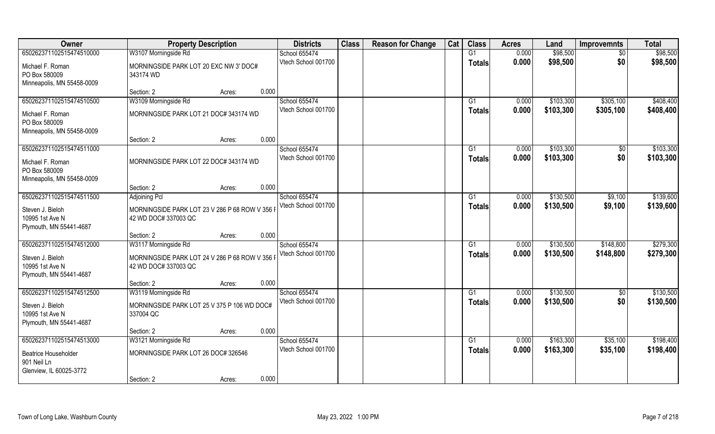| Owner                                                                                      | <b>Property Description</b>                                                                  | <b>Districts</b>                     | <b>Class</b> | <b>Reason for Change</b> | Cat | <b>Class</b>        | <b>Acres</b>   | Land                   | <b>Improvemnts</b>     | <b>Total</b>           |
|--------------------------------------------------------------------------------------------|----------------------------------------------------------------------------------------------|--------------------------------------|--------------|--------------------------|-----|---------------------|----------------|------------------------|------------------------|------------------------|
| 650262371102515474510000                                                                   | W3107 Morningside Rd                                                                         | School 655474                        |              |                          |     | $\overline{G1}$     | 0.000          | \$98,500               | $\overline{50}$        | \$98,500               |
| Michael F. Roman<br>PO Box 580009<br>Minneapolis, MN 55458-0009                            | MORNINGSIDE PARK LOT 20 EXC NW 3' DOC#<br>343174 WD                                          | Vtech School 001700                  |              |                          |     | <b>Totals</b>       | 0.000          | \$98,500               | \$0                    | \$98,500               |
|                                                                                            | 0.000<br>Section: 2<br>Acres:                                                                |                                      |              |                          |     |                     |                |                        |                        |                        |
| 650262371102515474510500                                                                   | W3109 Morningside Rd                                                                         | School 655474                        |              |                          |     | G <sub>1</sub>      | 0.000          | \$103,300              | \$305,100              | \$408,400              |
| Michael F. Roman<br>PO Box 580009<br>Minneapolis, MN 55458-0009                            | MORNINGSIDE PARK LOT 21 DOC# 343174 WD                                                       | Vtech School 001700                  |              |                          |     | Totals              | 0.000          | \$103,300              | \$305,100              | \$408,400              |
|                                                                                            | 0.000<br>Section: 2<br>Acres:                                                                |                                      |              |                          |     |                     |                |                        |                        |                        |
| 650262371102515474511000                                                                   |                                                                                              | School 655474                        |              |                          |     | G1                  | 0.000          | \$103,300              | \$0                    | \$103,300              |
| Michael F. Roman<br>PO Box 580009<br>Minneapolis, MN 55458-0009                            | MORNINGSIDE PARK LOT 22 DOC# 343174 WD                                                       | Vtech School 001700                  |              |                          |     | <b>Totals</b>       | 0.000          | \$103,300              | \$0                    | \$103,300              |
|                                                                                            | 0.000<br>Section: 2<br>Acres:                                                                |                                      |              |                          |     |                     |                |                        |                        |                        |
| 650262371102515474511500                                                                   | <b>Adjoining Pcl</b>                                                                         | School 655474                        |              |                          |     | G1                  | 0.000          | \$130,500              | \$9,100                | \$139,600              |
| Steven J. Bieloh<br>10995 1st Ave N<br>Plymouth, MN 55441-4687                             | MORNINGSIDE PARK LOT 23 V 286 P 68 ROW V 356<br>42 WD DOC# 337003 QC                         | Vtech School 001700                  |              |                          |     | <b>Totals</b>       | 0.000          | \$130,500              | \$9,100                | \$139,600              |
|                                                                                            | 0.000<br>Section: 2<br>Acres:                                                                |                                      |              |                          |     |                     |                |                        |                        |                        |
| 650262371102515474512000<br>Steven J. Bieloh<br>10995 1st Ave N<br>Plymouth, MN 55441-4687 | W3117 Morningside Rd<br>MORNINGSIDE PARK LOT 24 V 286 P 68 ROW V 356<br>42 WD DOC# 337003 QC | School 655474<br>Vtech School 001700 |              |                          |     | G1<br><b>Totals</b> | 0.000<br>0.000 | \$130,500<br>\$130,500 | \$148,800<br>\$148,800 | \$279,300<br>\$279,300 |
|                                                                                            | 0.000<br>Section: 2<br>Acres:                                                                |                                      |              |                          |     |                     |                |                        |                        |                        |
| 650262371102515474512500                                                                   | W3119 Morningside Rd                                                                         | School 655474                        |              |                          |     | G1                  | 0.000          | \$130,500              | \$0                    | \$130,500              |
| Steven J. Bieloh<br>10995 1st Ave N<br>Plymouth, MN 55441-4687                             | MORNINGSIDE PARK LOT 25 V 375 P 106 WD DOC#<br>337004 QC                                     | Vtech School 001700                  |              |                          |     | <b>Totals</b>       | 0.000          | \$130,500              | \$0                    | \$130,500              |
|                                                                                            | 0.000<br>Section: 2<br>Acres:                                                                |                                      |              |                          |     |                     |                |                        |                        |                        |
| 650262371102515474513000                                                                   | W3121 Morningside Rd                                                                         | School 655474                        |              |                          |     | G1                  | 0.000          | \$163,300              | \$35,100               | \$198,400              |
| <b>Beatrice Householder</b><br>901 Neil Ln<br>Glenview, IL 60025-3772                      | MORNINGSIDE PARK LOT 26 DOC# 326546                                                          | Vtech School 001700                  |              |                          |     | Totals              | 0.000          | \$163,300              | \$35,100               | \$198,400              |
|                                                                                            | 0.000<br>Section: 2<br>Acres:                                                                |                                      |              |                          |     |                     |                |                        |                        |                        |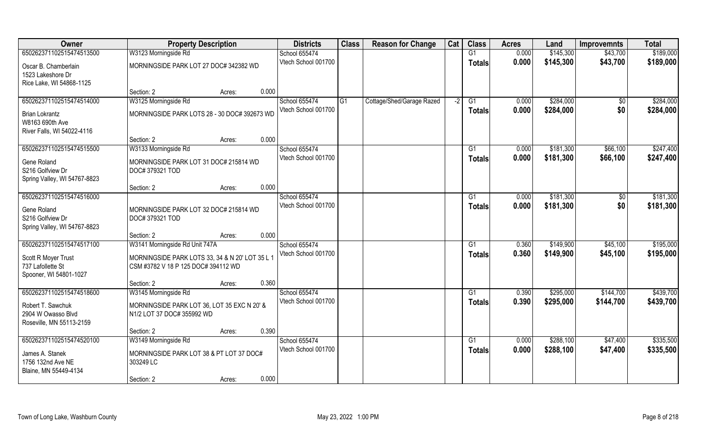| Owner                                    | <b>Property Description</b>                     | <b>Districts</b>    | <b>Class</b>   | <b>Reason for Change</b>  | Cat  | <b>Class</b>    | <b>Acres</b> | Land      | <b>Improvemnts</b> | <b>Total</b> |
|------------------------------------------|-------------------------------------------------|---------------------|----------------|---------------------------|------|-----------------|--------------|-----------|--------------------|--------------|
| 650262371102515474513500                 | W3123 Morningside Rd                            | School 655474       |                |                           |      | G1              | 0.000        | \$145,300 | \$43,700           | \$189,000    |
| Oscar B. Chamberlain                     | MORNINGSIDE PARK LOT 27 DOC# 342382 WD          | Vtech School 001700 |                |                           |      | <b>Totals</b>   | 0.000        | \$145,300 | \$43,700           | \$189,000    |
| 1523 Lakeshore Dr                        |                                                 |                     |                |                           |      |                 |              |           |                    |              |
| Rice Lake, WI 54868-1125                 |                                                 |                     |                |                           |      |                 |              |           |                    |              |
|                                          | 0.000<br>Section: 2<br>Acres:                   |                     |                |                           |      |                 |              |           |                    |              |
| 650262371102515474514000                 | W3125 Morningside Rd                            | School 655474       | G <sub>1</sub> | Cottage/Shed/Garage Razed | $-2$ | $\overline{G1}$ | 0.000        | \$284,000 | \$0                | \$284,000    |
| <b>Brian Lokrantz</b>                    | MORNINGSIDE PARK LOTS 28 - 30 DOC# 392673 WD    | Vtech School 001700 |                |                           |      | <b>Totals</b>   | 0.000        | \$284,000 | \$0                | \$284,000    |
| W8163 690th Ave                          |                                                 |                     |                |                           |      |                 |              |           |                    |              |
| River Falls, WI 54022-4116               |                                                 |                     |                |                           |      |                 |              |           |                    |              |
|                                          | 0.000<br>Section: 2<br>Acres:                   |                     |                |                           |      |                 |              |           |                    |              |
| 650262371102515474515500                 | W3133 Morningside Rd                            | School 655474       |                |                           |      | G1              | 0.000        | \$181,300 | \$66,100           | \$247,400    |
| Gene Roland                              | MORNINGSIDE PARK LOT 31 DOC# 215814 WD          | Vtech School 001700 |                |                           |      | <b>Totals</b>   | 0.000        | \$181,300 | \$66,100           | \$247,400    |
| S216 Golfview Dr                         | DOC#379321 TOD                                  |                     |                |                           |      |                 |              |           |                    |              |
| Spring Valley, WI 54767-8823             |                                                 |                     |                |                           |      |                 |              |           |                    |              |
| 650262371102515474516000                 | 0.000<br>Section: 2<br>Acres:                   | School 655474       |                |                           |      | G1              | 0.000        | \$181,300 |                    | \$181,300    |
|                                          |                                                 | Vtech School 001700 |                |                           |      | <b>Totals</b>   | 0.000        | \$181,300 | $\sqrt{50}$<br>\$0 | \$181,300    |
| Gene Roland                              | MORNINGSIDE PARK LOT 32 DOC# 215814 WD          |                     |                |                           |      |                 |              |           |                    |              |
| S216 Golfview Dr                         | DOC#379321 TOD                                  |                     |                |                           |      |                 |              |           |                    |              |
| Spring Valley, WI 54767-8823             | 0.000<br>Section: 2<br>Acres:                   |                     |                |                           |      |                 |              |           |                    |              |
| 650262371102515474517100                 | W3141 Morningside Rd Unit 747A                  | School 655474       |                |                           |      | G1              | 0.360        | \$149,900 | \$45,100           | \$195,000    |
|                                          |                                                 | Vtech School 001700 |                |                           |      | <b>Totals</b>   | 0.360        | \$149,900 | \$45,100           | \$195,000    |
| Scott R Moyer Trust<br>737 Lafollette St | MORNINGSIDE PARK LOTS 33, 34 & N 20' LOT 35 L 1 |                     |                |                           |      |                 |              |           |                    |              |
| Spooner, WI 54801-1027                   | CSM #3782 V 18 P 125 DOC# 394112 WD             |                     |                |                           |      |                 |              |           |                    |              |
|                                          | 0.360<br>Section: 2<br>Acres:                   |                     |                |                           |      |                 |              |           |                    |              |
| 650262371102515474518600                 | W3145 Morningside Rd                            | School 655474       |                |                           |      | $\overline{G1}$ | 0.390        | \$295,000 | \$144,700          | \$439,700    |
| Robert T. Sawchuk                        | MORNINGSIDE PARK LOT 36, LOT 35 EXC N 20' &     | Vtech School 001700 |                |                           |      | <b>Totals</b>   | 0.390        | \$295,000 | \$144,700          | \$439,700    |
| 2904 W Owasso Blvd                       | N1/2 LOT 37 DOC# 355992 WD                      |                     |                |                           |      |                 |              |           |                    |              |
| Roseville, MN 55113-2159                 |                                                 |                     |                |                           |      |                 |              |           |                    |              |
|                                          | 0.390<br>Section: 2<br>Acres:                   |                     |                |                           |      |                 |              |           |                    |              |
| 650262371102515474520100                 | W3149 Morningside Rd                            | School 655474       |                |                           |      | G1              | 0.000        | \$288,100 | \$47,400           | \$335,500    |
| James A. Stanek                          | MORNINGSIDE PARK LOT 38 & PT LOT 37 DOC#        | Vtech School 001700 |                |                           |      | <b>Totals</b>   | 0.000        | \$288,100 | \$47,400           | \$335,500    |
| 1756 132nd Ave NE                        | 303249 LC                                       |                     |                |                           |      |                 |              |           |                    |              |
| Blaine, MN 55449-4134                    |                                                 |                     |                |                           |      |                 |              |           |                    |              |
|                                          | 0.000<br>Section: 2<br>Acres:                   |                     |                |                           |      |                 |              |           |                    |              |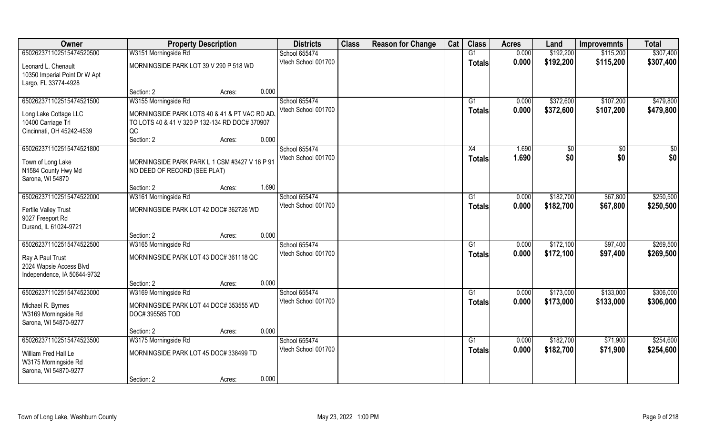| Owner                         | <b>Property Description</b>                    |                 | <b>Districts</b>                     | <b>Class</b> | <b>Reason for Change</b> | Cat | <b>Class</b>  | <b>Acres</b> | Land      | <b>Improvemnts</b> | <b>Total</b> |
|-------------------------------|------------------------------------------------|-----------------|--------------------------------------|--------------|--------------------------|-----|---------------|--------------|-----------|--------------------|--------------|
| 650262371102515474520500      | W3151 Morningside Rd                           |                 | School 655474                        |              |                          |     | G1            | 0.000        | \$192,200 | \$115,200          | \$307,400    |
| Leonard L. Chenault           | MORNINGSIDE PARK LOT 39 V 290 P 518 WD         |                 | Vtech School 001700                  |              |                          |     | <b>Totals</b> | 0.000        | \$192,200 | \$115,200          | \$307,400    |
| 10350 Imperial Point Dr W Apt |                                                |                 |                                      |              |                          |     |               |              |           |                    |              |
| Largo, FL 33774-4928          |                                                |                 |                                      |              |                          |     |               |              |           |                    |              |
|                               | Section: 2                                     | 0.000<br>Acres: |                                      |              |                          |     |               |              |           |                    |              |
| 650262371102515474521500      | W3155 Morningside Rd                           |                 | School 655474                        |              |                          |     | G1            | 0.000        | \$372,600 | \$107,200          | \$479,800    |
| Long Lake Cottage LLC         | MORNINGSIDE PARK LOTS 40 & 41 & PT VAC RD AD   |                 | Vtech School 001700                  |              |                          |     | <b>Totals</b> | 0.000        | \$372,600 | \$107,200          | \$479,800    |
| 10400 Carriage Trl            | TO LOTS 40 & 41 V 320 P 132-134 RD DOC# 370907 |                 |                                      |              |                          |     |               |              |           |                    |              |
| Cincinnati, OH 45242-4539     | QC                                             |                 |                                      |              |                          |     |               |              |           |                    |              |
|                               | Section: 2                                     | 0.000<br>Acres: |                                      |              |                          |     |               |              |           |                    |              |
| 650262371102515474521800      |                                                |                 | School 655474                        |              |                          |     | X4            | 1.690        | \$0       | \$0                | \$0          |
| Town of Long Lake             | MORNINGSIDE PARK PARK L 1 CSM #3427 V 16 P 91  |                 | Vtech School 001700                  |              |                          |     | <b>Totals</b> | 1.690        | \$0       | \$0                | \$0          |
| N1584 County Hwy Md           | NO DEED OF RECORD (SEE PLAT)                   |                 |                                      |              |                          |     |               |              |           |                    |              |
| Sarona, WI 54870              |                                                |                 |                                      |              |                          |     |               |              |           |                    |              |
|                               | Section: 2                                     | 1.690<br>Acres: |                                      |              |                          |     |               |              |           |                    |              |
| 650262371102515474522000      | W3161 Morningside Rd                           |                 | School 655474                        |              |                          |     | G1            | 0.000        | \$182,700 | \$67,800           | \$250,500    |
| Fertile Valley Trust          | MORNINGSIDE PARK LOT 42 DOC# 362726 WD         |                 | Vtech School 001700                  |              |                          |     | <b>Totals</b> | 0.000        | \$182,700 | \$67,800           | \$250,500    |
| 9027 Freeport Rd              |                                                |                 |                                      |              |                          |     |               |              |           |                    |              |
| Durand, IL 61024-9721         |                                                |                 |                                      |              |                          |     |               |              |           |                    |              |
|                               | Section: 2                                     | 0.000<br>Acres: |                                      |              |                          |     |               |              |           |                    |              |
| 650262371102515474522500      | W3165 Morningside Rd                           |                 | School 655474                        |              |                          |     | G1            | 0.000        | \$172,100 | \$97,400           | \$269,500    |
| Ray A Paul Trust              | MORNINGSIDE PARK LOT 43 DOC# 361118 QC         |                 | Vtech School 001700                  |              |                          |     | <b>Totals</b> | 0.000        | \$172,100 | \$97,400           | \$269,500    |
| 2024 Wapsie Access Blvd       |                                                |                 |                                      |              |                          |     |               |              |           |                    |              |
| Independence, IA 50644-9732   |                                                |                 |                                      |              |                          |     |               |              |           |                    |              |
|                               | Section: 2                                     | 0.000<br>Acres: |                                      |              |                          |     |               |              |           |                    |              |
| 650262371102515474523000      | W3169 Morningside Rd                           |                 | School 655474                        |              |                          |     | G1            | 0.000        | \$173,000 | \$133,000          | \$306,000    |
| Michael R. Byrnes             | MORNINGSIDE PARK LOT 44 DOC# 353555 WD         |                 | Vtech School 001700                  |              |                          |     | <b>Totals</b> | 0.000        | \$173,000 | \$133,000          | \$306,000    |
| W3169 Morningside Rd          | DOC# 395585 TOD                                |                 |                                      |              |                          |     |               |              |           |                    |              |
| Sarona, WI 54870-9277         |                                                |                 |                                      |              |                          |     |               |              |           |                    |              |
|                               | Section: 2                                     | 0.000<br>Acres: |                                      |              |                          |     |               |              |           |                    |              |
| 650262371102515474523500      | W3175 Morningside Rd                           |                 | School 655474<br>Vtech School 001700 |              |                          |     | G1            | 0.000        | \$182,700 | \$71,900           | \$254,600    |
| William Fred Hall Le          | MORNINGSIDE PARK LOT 45 DOC# 338499 TD         |                 |                                      |              |                          |     | <b>Totals</b> | 0.000        | \$182,700 | \$71,900           | \$254,600    |
| W3175 Morningside Rd          |                                                |                 |                                      |              |                          |     |               |              |           |                    |              |
| Sarona, WI 54870-9277         |                                                |                 |                                      |              |                          |     |               |              |           |                    |              |
|                               | Section: 2                                     | 0.000<br>Acres: |                                      |              |                          |     |               |              |           |                    |              |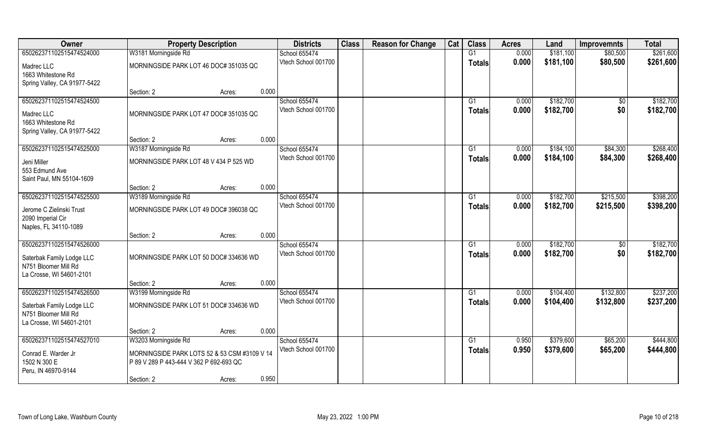| Owner                                                                                                     | <b>Property Description</b>                                                                                                             | <b>Districts</b>                              | <b>Class</b> | <b>Reason for Change</b> | Cat | <b>Class</b>        | <b>Acres</b>   | Land                   | <b>Improvemnts</b>     | <b>Total</b>           |
|-----------------------------------------------------------------------------------------------------------|-----------------------------------------------------------------------------------------------------------------------------------------|-----------------------------------------------|--------------|--------------------------|-----|---------------------|----------------|------------------------|------------------------|------------------------|
| 650262371102515474524000                                                                                  | W3181 Morningside Rd                                                                                                                    | School 655474                                 |              |                          |     | G1                  | 0.000          | \$181,100              | \$80,500               | \$261,600              |
| Madrec LLC<br>1663 Whitestone Rd<br>Spring Valley, CA 91977-5422                                          | MORNINGSIDE PARK LOT 46 DOC# 351035 QC                                                                                                  | Vtech School 001700                           |              |                          |     | <b>Totals</b>       | 0.000          | \$181,100              | \$80,500               | \$261,600              |
|                                                                                                           | Section: 2<br>Acres:                                                                                                                    | 0.000                                         |              |                          |     |                     |                |                        |                        |                        |
| 650262371102515474524500<br>Madrec LLC<br>1663 Whitestone Rd<br>Spring Valley, CA 91977-5422              | MORNINGSIDE PARK LOT 47 DOC# 351035 QC                                                                                                  | School 655474<br>Vtech School 001700          |              |                          |     | G1<br>Totals        | 0.000<br>0.000 | \$182,700<br>\$182,700 | \$0<br>\$0             | \$182,700<br>\$182,700 |
|                                                                                                           | Section: 2<br>Acres:                                                                                                                    | 0.000                                         |              |                          |     |                     |                |                        |                        |                        |
| 650262371102515474525000<br>Jeni Miller<br>553 Edmund Ave<br>Saint Paul, MN 55104-1609                    | W3187 Morningside Rd<br>MORNINGSIDE PARK LOT 48 V 434 P 525 WD                                                                          | School 655474<br>Vtech School 001700          |              |                          |     | G1<br><b>Totals</b> | 0.000<br>0.000 | \$184,100<br>\$184,100 | \$84,300<br>\$84,300   | \$268,400<br>\$268,400 |
|                                                                                                           | Section: 2<br>Acres:                                                                                                                    | 0.000                                         |              |                          |     |                     |                |                        |                        |                        |
| 650262371102515474525500<br>Jerome C Zielinski Trust<br>2090 Imperial Cir                                 | W3189 Morningside Rd<br>MORNINGSIDE PARK LOT 49 DOC# 396038 QC                                                                          | School 655474<br>Vtech School 001700          |              |                          |     | G1<br><b>Totals</b> | 0.000<br>0.000 | \$182,700<br>\$182,700 | \$215,500<br>\$215,500 | \$398,200<br>\$398,200 |
| Naples, FL 34110-1089                                                                                     | Section: 2<br>Acres:                                                                                                                    | 0.000                                         |              |                          |     |                     |                |                        |                        |                        |
| 650262371102515474526000<br>Saterbak Family Lodge LLC<br>N751 Bloomer Mill Rd<br>La Crosse, WI 54601-2101 | MORNINGSIDE PARK LOT 50 DOC# 334636 WD                                                                                                  | School 655474<br>Vtech School 001700          |              |                          |     | G1<br><b>Totals</b> | 0.000<br>0.000 | \$182,700<br>\$182,700 | \$0<br>\$0             | \$182,700<br>\$182,700 |
|                                                                                                           | Section: 2<br>Acres:                                                                                                                    | 0.000                                         |              |                          |     |                     |                |                        |                        |                        |
| 650262371102515474526500<br>Saterbak Family Lodge LLC<br>N751 Bloomer Mill Rd<br>La Crosse, WI 54601-2101 | W3199 Morningside Rd<br>MORNINGSIDE PARK LOT 51 DOC# 334636 WD                                                                          | School 655474<br>Vtech School 001700          |              |                          |     | G1<br><b>Totals</b> | 0.000<br>0.000 | \$104,400<br>\$104,400 | \$132,800<br>\$132,800 | \$237,200<br>\$237,200 |
|                                                                                                           | Section: 2<br>Acres:                                                                                                                    | 0.000                                         |              |                          |     |                     |                |                        |                        |                        |
| 650262371102515474527010<br>Conrad E. Warder Jr<br>1502 N 300 E<br>Peru, IN 46970-9144                    | W3203 Morningside Rd<br>MORNINGSIDE PARK LOTS 52 & 53 CSM #3109 V 14<br>P 89 V 289 P 443-444 V 362 P 692-693 QC<br>Section: 2<br>Acres: | School 655474<br>Vtech School 001700<br>0.950 |              |                          |     | G1<br>Totals        | 0.950<br>0.950 | \$379,600<br>\$379,600 | \$65,200<br>\$65,200   | \$444,800<br>\$444,800 |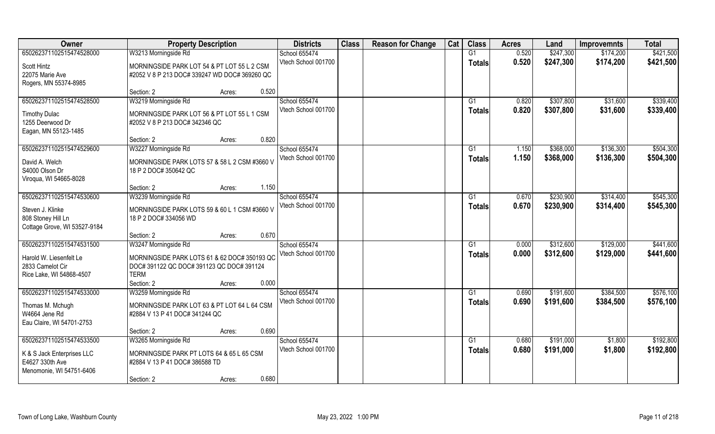| Owner                                                                                                 | <b>Property Description</b>                                                                                                                                    | <b>Districts</b>                     | <b>Class</b> | <b>Reason for Change</b> | Cat | <b>Class</b>  | <b>Acres</b>   | Land                   | <b>Improvemnts</b>     | <b>Total</b>           |
|-------------------------------------------------------------------------------------------------------|----------------------------------------------------------------------------------------------------------------------------------------------------------------|--------------------------------------|--------------|--------------------------|-----|---------------|----------------|------------------------|------------------------|------------------------|
| 650262371102515474528000                                                                              | W3213 Morningside Rd                                                                                                                                           | School 655474                        |              |                          |     | G1            | 0.520          | \$247,300              | \$174,200              | \$421,500              |
| Scott Hintz<br>22075 Marie Ave<br>Rogers, MN 55374-8985                                               | MORNINGSIDE PARK LOT 54 & PT LOT 55 L 2 CSM<br>#2052 V 8 P 213 DOC# 339247 WD DOC# 369260 QC                                                                   | Vtech School 001700                  |              |                          |     | <b>Totals</b> | 0.520          | \$247,300              | \$174,200              | \$421,500              |
|                                                                                                       | 0.520<br>Section: 2<br>Acres:                                                                                                                                  |                                      |              |                          |     |               |                |                        |                        |                        |
| 650262371102515474528500                                                                              | W3219 Morningside Rd                                                                                                                                           | School 655474<br>Vtech School 001700 |              |                          |     | G1<br>Totals  | 0.820<br>0.820 | \$307,800<br>\$307,800 | \$31,600<br>\$31,600   | \$339,400<br>\$339,400 |
| <b>Timothy Dulac</b><br>1255 Deerwood Dr<br>Eagan, MN 55123-1485                                      | MORNINGSIDE PARK LOT 56 & PT LOT 55 L 1 CSM<br>#2052 V 8 P 213 DOC# 342346 QC                                                                                  |                                      |              |                          |     |               |                |                        |                        |                        |
|                                                                                                       | 0.820<br>Section: 2<br>Acres:                                                                                                                                  |                                      |              |                          |     |               |                |                        |                        |                        |
| 650262371102515474529600                                                                              | W3227 Morningside Rd                                                                                                                                           | School 655474                        |              |                          |     | G1            | 1.150          | \$368,000              | \$136,300              | \$504,300              |
| David A. Welch<br>S4000 Olson Dr<br>Viroqua, WI 54665-8028                                            | MORNINGSIDE PARK LOTS 57 & 58 L 2 CSM #3660 V<br>18 P 2 DOC# 350642 QC                                                                                         | Vtech School 001700                  |              |                          |     | <b>Totals</b> | 1.150          | \$368,000              | \$136,300              | \$504,300              |
|                                                                                                       | 1.150<br>Section: 2<br>Acres:                                                                                                                                  |                                      |              |                          |     |               |                |                        |                        |                        |
| 650262371102515474530600                                                                              | W3239 Morningside Rd                                                                                                                                           | School 655474                        |              |                          |     | G1            | 0.670          | \$230,900              | \$314,400              | \$545,300              |
| Steven J. Klinke<br>808 Stoney Hill Ln<br>Cottage Grove, WI 53527-9184                                | MORNINGSIDE PARK LOTS 59 & 60 L 1 CSM #3660 V<br>18 P 2 DOC# 334056 WD                                                                                         | Vtech School 001700                  |              |                          |     | <b>Totals</b> | 0.670          | \$230,900              | \$314,400              | \$545,300              |
|                                                                                                       | 0.670<br>Section: 2<br>Acres:                                                                                                                                  |                                      |              |                          |     |               |                |                        |                        |                        |
| 650262371102515474531500<br>Harold W. Liesenfelt Le<br>2833 Camelot Cir<br>Rice Lake, WI 54868-4507   | W3247 Morningside Rd<br>MORNINGSIDE PARK LOTS 61 & 62 DOC# 350193 QC<br>DOC#391122 QC DOC#391123 QC DOC#391124<br><b>TERM</b><br>0.000<br>Section: 2<br>Acres: | School 655474<br>Vtech School 001700 |              |                          |     | G1<br>Totals  | 0.000<br>0.000 | \$312,600<br>\$312,600 | \$129,000<br>\$129,000 | \$441,600<br>\$441,600 |
| 650262371102515474533000                                                                              | W3259 Morningside Rd                                                                                                                                           | School 655474                        |              |                          |     | G1            | 0.690          | \$191,600              | \$384,500              | \$576,100              |
| Thomas M. Mchugh<br>W4664 Jene Rd<br>Eau Claire, WI 54701-2753                                        | MORNINGSIDE PARK LOT 63 & PT LOT 64 L 64 CSM<br>#2884 V 13 P 41 DOC# 341244 QC                                                                                 | Vtech School 001700                  |              |                          |     | <b>Totals</b> | 0.690          | \$191,600              | \$384,500              | \$576,100              |
|                                                                                                       | 0.690<br>Section: 2<br>Acres:                                                                                                                                  |                                      |              |                          |     |               |                |                        |                        |                        |
| 650262371102515474533500<br>K & S Jack Enterprises LLC<br>E4627 330th Ave<br>Menomonie, WI 54751-6406 | W3265 Morningside Rd<br>MORNINGSIDE PARK PT LOTS 64 & 65 L 65 CSM<br>#2884 V 13 P 41 DOC# 386588 TD                                                            | School 655474<br>Vtech School 001700 |              |                          |     | G1<br>Totals  | 0.680<br>0.680 | \$191,000<br>\$191,000 | \$1,800<br>\$1,800     | \$192,800<br>\$192,800 |
|                                                                                                       | 0.680<br>Section: 2<br>Acres:                                                                                                                                  |                                      |              |                          |     |               |                |                        |                        |                        |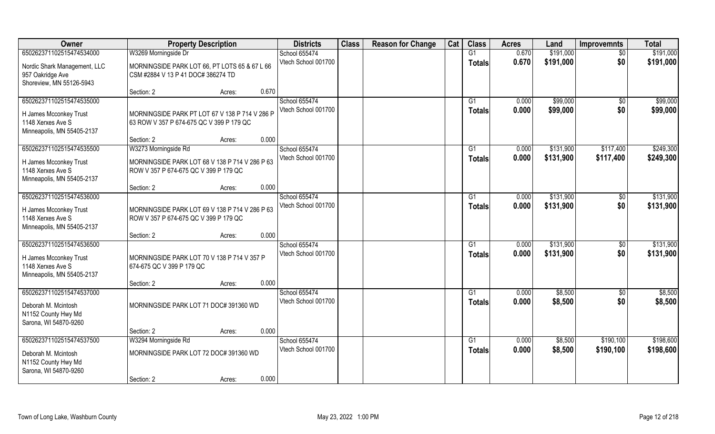| Owner                                                                                                 | <b>Property Description</b>                                                                |                 | <b>Districts</b>                     | <b>Class</b> | <b>Reason for Change</b> | Cat | <b>Class</b>        | <b>Acres</b>   | Land                   | <b>Improvemnts</b>     | <b>Total</b>           |
|-------------------------------------------------------------------------------------------------------|--------------------------------------------------------------------------------------------|-----------------|--------------------------------------|--------------|--------------------------|-----|---------------------|----------------|------------------------|------------------------|------------------------|
| 650262371102515474534000                                                                              | W3269 Morningside Dr                                                                       |                 | School 655474                        |              |                          |     | $\overline{G1}$     | 0.670          | \$191,000              | $\overline{50}$        | \$191,000              |
| Nordic Shark Management, LLC<br>957 Oakridge Ave<br>Shoreview, MN 55126-5943                          | MORNINGSIDE PARK LOT 66, PT LOTS 65 & 67 L 66<br>CSM #2884 V 13 P 41 DOC# 386274 TD        |                 | Vtech School 001700                  |              |                          |     | Totals              | 0.670          | \$191,000              | \$0                    | \$191,000              |
|                                                                                                       | Section: 2                                                                                 | 0.670<br>Acres: |                                      |              |                          |     |                     |                |                        |                        |                        |
| 650262371102515474535000                                                                              |                                                                                            |                 | School 655474<br>Vtech School 001700 |              |                          |     | G1<br><b>Totals</b> | 0.000<br>0.000 | \$99,000<br>\$99,000   | $\overline{50}$<br>\$0 | \$99,000<br>\$99,000   |
| H James Mcconkey Trust<br>1148 Xerxes Ave S<br>Minneapolis, MN 55405-2137                             | MORNINGSIDE PARK PT LOT 67 V 138 P 714 V 286 P<br>63 ROW V 357 P 674-675 QC V 399 P 179 QC |                 |                                      |              |                          |     |                     |                |                        |                        |                        |
|                                                                                                       | Section: 2                                                                                 | 0.000<br>Acres: |                                      |              |                          |     |                     |                |                        |                        |                        |
| 650262371102515474535500                                                                              | W3273 Morningside Rd                                                                       |                 | School 655474                        |              |                          |     | $\overline{G1}$     | 0.000          | \$131,900              | \$117,400              | \$249,300              |
| H James Mcconkey Trust<br>1148 Xerxes Ave S<br>Minneapolis, MN 55405-2137                             | MORNINGSIDE PARK LOT 68 V 138 P 714 V 286 P 63<br>ROW V 357 P 674-675 QC V 399 P 179 QC    |                 | Vtech School 001700                  |              |                          |     | <b>Totals</b>       | 0.000          | \$131,900              | \$117,400              | \$249,300              |
|                                                                                                       | Section: 2                                                                                 | 0.000<br>Acres: |                                      |              |                          |     |                     |                |                        |                        |                        |
| 650262371102515474536000                                                                              |                                                                                            |                 | School 655474                        |              |                          |     | G1                  | 0.000          | \$131,900              | $\frac{1}{20}$         | \$131,900              |
| H James Mcconkey Trust<br>1148 Xerxes Ave S<br>Minneapolis, MN 55405-2137                             | MORNINGSIDE PARK LOT 69 V 138 P 714 V 286 P 63<br>ROW V 357 P 674-675 QC V 399 P 179 QC    |                 | Vtech School 001700                  |              |                          |     | Totals              | 0.000          | \$131,900              | \$0                    | \$131,900              |
|                                                                                                       | Section: 2                                                                                 | 0.000<br>Acres: |                                      |              |                          |     |                     |                |                        |                        |                        |
| 650262371102515474536500<br>H James Mcconkey Trust<br>1148 Xerxes Ave S<br>Minneapolis, MN 55405-2137 | MORNINGSIDE PARK LOT 70 V 138 P 714 V 357 P<br>674-675 QC V 399 P 179 QC                   |                 | School 655474<br>Vtech School 001700 |              |                          |     | G1<br><b>Totals</b> | 0.000<br>0.000 | \$131,900<br>\$131,900 | $\sqrt[6]{30}$<br>\$0  | \$131,900<br>\$131,900 |
|                                                                                                       | Section: 2                                                                                 | 0.000<br>Acres: |                                      |              |                          |     |                     |                |                        |                        |                        |
| 650262371102515474537000<br>Deborah M. Mcintosh<br>N1152 County Hwy Md<br>Sarona, WI 54870-9260       | MORNINGSIDE PARK LOT 71 DOC# 391360 WD                                                     |                 | School 655474<br>Vtech School 001700 |              |                          |     | G1<br><b>Totals</b> | 0.000<br>0.000 | \$8,500<br>\$8,500     | \$0<br>\$0             | \$8,500<br>\$8,500     |
|                                                                                                       | Section: 2                                                                                 | 0.000<br>Acres: |                                      |              |                          |     |                     |                |                        |                        |                        |
| 650262371102515474537500                                                                              | W3294 Morningside Rd                                                                       |                 | School 655474                        |              |                          |     | $\overline{G1}$     | 0.000          | \$8,500                | \$190,100              | \$198,600              |
| Deborah M. Mcintosh<br>N1152 County Hwy Md<br>Sarona, WI 54870-9260                                   | MORNINGSIDE PARK LOT 72 DOC# 391360 WD                                                     |                 | Vtech School 001700                  |              |                          |     | Totals              | 0.000          | \$8,500                | \$190,100              | \$198,600              |
|                                                                                                       | Section: 2                                                                                 | 0.000<br>Acres: |                                      |              |                          |     |                     |                |                        |                        |                        |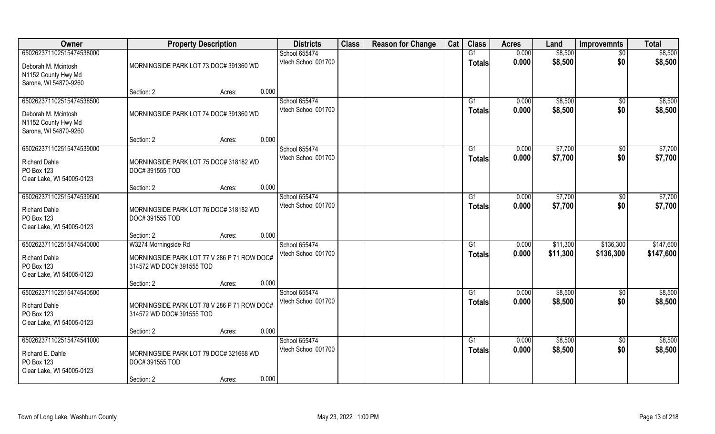| Owner                                                                                           | <b>Property Description</b>                                                                      | <b>Districts</b>                     | <b>Class</b> | <b>Reason for Change</b> | Cat | <b>Class</b>             | <b>Acres</b>   | Land                 | <b>Improvemnts</b>     | <b>Total</b>           |
|-------------------------------------------------------------------------------------------------|--------------------------------------------------------------------------------------------------|--------------------------------------|--------------|--------------------------|-----|--------------------------|----------------|----------------------|------------------------|------------------------|
| 650262371102515474538000                                                                        |                                                                                                  | School 655474                        |              |                          |     | G1                       | 0.000          | \$8,500              | $\overline{50}$        | \$8,500                |
| Deborah M. Mcintosh<br>N1152 County Hwy Md<br>Sarona, WI 54870-9260                             | MORNINGSIDE PARK LOT 73 DOC# 391360 WD                                                           | Vtech School 001700                  |              |                          |     | <b>Totals</b>            | 0.000          | \$8,500              | \$0                    | \$8,500                |
|                                                                                                 | 0.000<br>Section: 2<br>Acres:                                                                    |                                      |              |                          |     |                          |                |                      |                        |                        |
| 650262371102515474538500<br>Deborah M. Mcintosh<br>N1152 County Hwy Md<br>Sarona, WI 54870-9260 | MORNINGSIDE PARK LOT 74 DOC# 391360 WD                                                           | School 655474<br>Vtech School 001700 |              |                          |     | G <sub>1</sub><br>Totals | 0.000<br>0.000 | \$8,500<br>\$8,500   | \$0<br>\$0             | \$8,500<br>\$8,500     |
|                                                                                                 | 0.000<br>Section: 2<br>Acres:                                                                    |                                      |              |                          |     |                          |                |                      |                        |                        |
| 650262371102515474539000                                                                        |                                                                                                  | School 655474                        |              |                          |     | G1                       | 0.000          | \$7,700              | $\sqrt[6]{3}$          | \$7,700                |
| <b>Richard Dahle</b><br>PO Box 123<br>Clear Lake, WI 54005-0123                                 | MORNINGSIDE PARK LOT 75 DOC# 318182 WD<br><b>DOC#391555 TOD</b>                                  | Vtech School 001700                  |              |                          |     | <b>Totals</b>            | 0.000          | \$7,700              | \$0                    | \$7,700                |
|                                                                                                 | 0.000<br>Section: 2<br>Acres:                                                                    |                                      |              |                          |     |                          |                |                      |                        |                        |
| 650262371102515474539500                                                                        |                                                                                                  | School 655474                        |              |                          |     | G <sub>1</sub>           | 0.000          | \$7,700              | \$0                    | \$7,700                |
| <b>Richard Dahle</b><br>PO Box 123<br>Clear Lake, WI 54005-0123                                 | MORNINGSIDE PARK LOT 76 DOC# 318182 WD<br><b>DOC#391555 TOD</b>                                  | Vtech School 001700                  |              |                          |     | <b>Totals</b>            | 0.000          | \$7,700              | \$0                    | \$7,700                |
|                                                                                                 | 0.000<br>Section: 2<br>Acres:                                                                    |                                      |              |                          |     |                          |                |                      |                        |                        |
| 650262371102515474540000<br><b>Richard Dahle</b><br>PO Box 123<br>Clear Lake, WI 54005-0123     | W3274 Morningside Rd<br>MORNINGSIDE PARK LOT 77 V 286 P 71 ROW DOC#<br>314572 WD DOC# 391555 TOD | School 655474<br>Vtech School 001700 |              |                          |     | G1<br><b>Totals</b>      | 0.000<br>0.000 | \$11,300<br>\$11,300 | \$136,300<br>\$136,300 | \$147,600<br>\$147,600 |
|                                                                                                 | 0.000<br>Section: 2<br>Acres:                                                                    |                                      |              |                          |     |                          |                |                      |                        |                        |
| 650262371102515474540500                                                                        |                                                                                                  | School 655474                        |              |                          |     | G <sub>1</sub>           | 0.000          | \$8,500              | \$0                    | \$8,500                |
| <b>Richard Dahle</b><br>PO Box 123<br>Clear Lake, WI 54005-0123                                 | MORNINGSIDE PARK LOT 78 V 286 P 71 ROW DOC#<br>314572 WD DOC# 391555 TOD                         | Vtech School 001700                  |              |                          |     | <b>Totals</b>            | 0.000          | \$8,500              | \$0                    | \$8,500                |
|                                                                                                 | 0.000<br>Section: 2<br>Acres:                                                                    |                                      |              |                          |     |                          |                |                      |                        |                        |
| 650262371102515474541000<br>Richard E. Dahle<br>PO Box 123<br>Clear Lake, WI 54005-0123         | MORNINGSIDE PARK LOT 79 DOC# 321668 WD<br>DOC# 391555 TOD                                        | School 655474<br>Vtech School 001700 |              |                          |     | G1<br><b>Totals</b>      | 0.000<br>0.000 | \$8,500<br>\$8,500   | $\overline{50}$<br>\$0 | \$8,500<br>\$8,500     |
|                                                                                                 | 0.000<br>Section: 2<br>Acres:                                                                    |                                      |              |                          |     |                          |                |                      |                        |                        |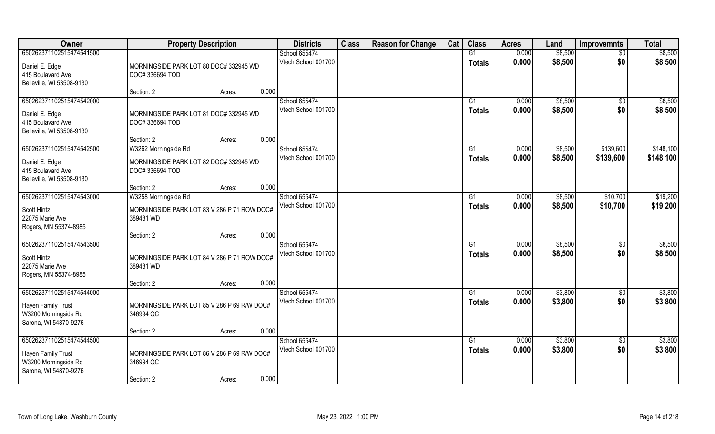| Owner                                                                                           | <b>Property Description</b>                                                               | <b>Districts</b>                     | <b>Class</b> | <b>Reason for Change</b> | Cat | <b>Class</b>                     | <b>Acres</b>   | Land               | <b>Improvemnts</b>     | <b>Total</b>           |
|-------------------------------------------------------------------------------------------------|-------------------------------------------------------------------------------------------|--------------------------------------|--------------|--------------------------|-----|----------------------------------|----------------|--------------------|------------------------|------------------------|
| 650262371102515474541500                                                                        |                                                                                           | School 655474                        |              |                          |     | G1                               | 0.000          | \$8,500            | $\overline{50}$        | \$8,500                |
| Daniel E. Edge<br>415 Boulavard Ave<br>Belleville, WI 53508-9130                                | MORNINGSIDE PARK LOT 80 DOC# 332945 WD<br>DOC#336694 TOD                                  | Vtech School 001700                  |              |                          |     | <b>Totals</b>                    | 0.000          | \$8,500            | \$0                    | \$8,500                |
|                                                                                                 | 0.000<br>Section: 2<br>Acres:                                                             |                                      |              |                          |     |                                  |                |                    |                        |                        |
| 650262371102515474542000<br>Daniel E. Edge<br>415 Boulavard Ave<br>Belleville, WI 53508-9130    | MORNINGSIDE PARK LOT 81 DOC# 332945 WD<br>DOC#336694 TOD                                  | School 655474<br>Vtech School 001700 |              |                          |     | G1<br><b>Totals</b>              | 0.000<br>0.000 | \$8,500<br>\$8,500 | \$0<br>\$0             | \$8,500<br>\$8,500     |
|                                                                                                 | 0.000<br>Section: 2<br>Acres:                                                             |                                      |              |                          |     |                                  |                |                    |                        |                        |
| 650262371102515474542500<br>Daniel E. Edge<br>415 Boulavard Ave<br>Belleville, WI 53508-9130    | W3262 Morningside Rd<br>MORNINGSIDE PARK LOT 82 DOC# 332945 WD<br>DOC#336694 TOD          | School 655474<br>Vtech School 001700 |              |                          |     | G1<br><b>Totals</b>              | 0.000<br>0.000 | \$8,500<br>\$8,500 | \$139,600<br>\$139,600 | \$148,100<br>\$148,100 |
|                                                                                                 | 0.000<br>Section: 2<br>Acres:                                                             |                                      |              |                          |     |                                  |                |                    |                        |                        |
| 650262371102515474543000<br>Scott Hintz<br>22075 Marie Ave<br>Rogers, MN 55374-8985             | W3258 Morningside Rd<br>MORNINGSIDE PARK LOT 83 V 286 P 71 ROW DOC#<br>389481 WD          | School 655474<br>Vtech School 001700 |              |                          |     | G1<br><b>Totals</b>              | 0.000<br>0.000 | \$8,500<br>\$8,500 | \$10,700<br>\$10,700   | \$19,200<br>\$19,200   |
|                                                                                                 | 0.000<br>Section: 2<br>Acres:                                                             |                                      |              |                          |     |                                  |                |                    |                        |                        |
| 650262371102515474543500<br>Scott Hintz<br>22075 Marie Ave<br>Rogers, MN 55374-8985             | MORNINGSIDE PARK LOT 84 V 286 P 71 ROW DOC#<br>389481 WD                                  | School 655474<br>Vtech School 001700 |              |                          |     | G1<br>Totals                     | 0.000<br>0.000 | \$8,500<br>\$8,500 | $\sqrt[6]{30}$<br>\$0  | \$8,500<br>\$8,500     |
|                                                                                                 | 0.000<br>Section: 2<br>Acres:                                                             |                                      |              |                          |     |                                  |                |                    |                        |                        |
| 650262371102515474544000<br>Hayen Family Trust<br>W3200 Morningside Rd<br>Sarona, WI 54870-9276 | MORNINGSIDE PARK LOT 85 V 286 P 69 R/W DOC#<br>346994 QC                                  | School 655474<br>Vtech School 001700 |              |                          |     | $\overline{G1}$<br><b>Totals</b> | 0.000<br>0.000 | \$3,800<br>\$3,800 | $\sqrt{$0}$<br>\$0     | \$3,800<br>\$3,800     |
|                                                                                                 | 0.000<br>Section: 2<br>Acres:                                                             |                                      |              |                          |     |                                  |                |                    |                        |                        |
| 650262371102515474544500<br>Hayen Family Trust<br>W3200 Morningside Rd<br>Sarona, WI 54870-9276 | MORNINGSIDE PARK LOT 86 V 286 P 69 R/W DOC#<br>346994 QC<br>0.000<br>Section: 2<br>Acres: | School 655474<br>Vtech School 001700 |              |                          |     | G1<br><b>Totals</b>              | 0.000<br>0.000 | \$3,800<br>\$3,800 | \$0<br>\$0             | \$3,800<br>\$3,800     |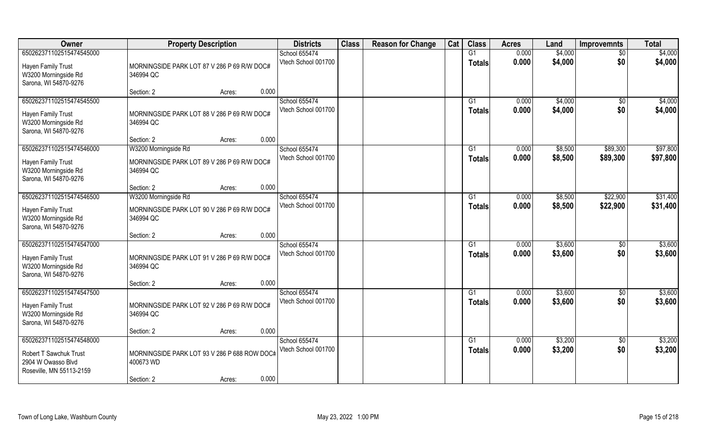| Owner                                                                                                | <b>Property Description</b>                                                                | <b>Districts</b>                     | <b>Class</b> | <b>Reason for Change</b> | Cat | <b>Class</b>                    | <b>Acres</b>   | Land               | <b>Improvemnts</b>     | <b>Total</b>         |
|------------------------------------------------------------------------------------------------------|--------------------------------------------------------------------------------------------|--------------------------------------|--------------|--------------------------|-----|---------------------------------|----------------|--------------------|------------------------|----------------------|
| 650262371102515474545000                                                                             |                                                                                            | School 655474                        |              |                          |     | G1                              | 0.000          | \$4,000            | $\overline{50}$        | \$4,000              |
| Hayen Family Trust<br>W3200 Morningside Rd<br>Sarona, WI 54870-9276                                  | MORNINGSIDE PARK LOT 87 V 286 P 69 R/W DOC#<br>346994 QC                                   | Vtech School 001700                  |              |                          |     | <b>Totals</b>                   | 0.000          | \$4,000            | \$0                    | \$4,000              |
|                                                                                                      | 0.000<br>Section: 2<br>Acres:                                                              |                                      |              |                          |     |                                 |                |                    |                        |                      |
| 650262371102515474545500<br>Hayen Family Trust<br>W3200 Morningside Rd<br>Sarona, WI 54870-9276      | MORNINGSIDE PARK LOT 88 V 286 P 69 R/W DOC#<br>346994 QC                                   | School 655474<br>Vtech School 001700 |              |                          |     | G <sub>1</sub><br>Totals        | 0.000<br>0.000 | \$4,000<br>\$4,000 | \$0<br>\$0             | \$4,000<br>\$4,000   |
|                                                                                                      | 0.000<br>Section: 2<br>Acres:                                                              |                                      |              |                          |     |                                 |                |                    |                        |                      |
| 650262371102515474546000<br>Hayen Family Trust<br>W3200 Morningside Rd<br>Sarona, WI 54870-9276      | W3200 Morningside Rd<br>MORNINGSIDE PARK LOT 89 V 286 P 69 R/W DOC#<br>346994 QC           | School 655474<br>Vtech School 001700 |              |                          |     | G1<br><b>Totals</b>             | 0.000<br>0.000 | \$8,500<br>\$8,500 | \$89,300<br>\$89,300   | \$97,800<br>\$97,800 |
|                                                                                                      | 0.000<br>Section: 2<br>Acres:                                                              |                                      |              |                          |     |                                 |                |                    |                        |                      |
| 650262371102515474546500<br>Hayen Family Trust<br>W3200 Morningside Rd                               | W3200 Morningside Rd<br>MORNINGSIDE PARK LOT 90 V 286 P 69 R/W DOC#<br>346994 QC           | School 655474<br>Vtech School 001700 |              |                          |     | G <sub>1</sub><br><b>Totals</b> | 0.000<br>0.000 | \$8,500<br>\$8,500 | \$22,900<br>\$22,900   | \$31,400<br>\$31,400 |
| Sarona, WI 54870-9276                                                                                | 0.000<br>Section: 2<br>Acres:                                                              |                                      |              |                          |     |                                 |                |                    |                        |                      |
| 650262371102515474547000<br>Hayen Family Trust<br>W3200 Morningside Rd<br>Sarona, WI 54870-9276      | MORNINGSIDE PARK LOT 91 V 286 P 69 R/W DOC#<br>346994 QC                                   | School 655474<br>Vtech School 001700 |              |                          |     | G1<br><b>Totals</b>             | 0.000<br>0.000 | \$3,600<br>\$3,600 | \$0<br>\$0             | \$3,600<br>\$3,600   |
|                                                                                                      | 0.000<br>Section: 2<br>Acres:                                                              |                                      |              |                          |     |                                 |                |                    |                        |                      |
| 650262371102515474547500<br>Hayen Family Trust<br>W3200 Morningside Rd<br>Sarona, WI 54870-9276      | MORNINGSIDE PARK LOT 92 V 286 P 69 R/W DOC#<br>346994 QC                                   | School 655474<br>Vtech School 001700 |              |                          |     | G1<br><b>Totals</b>             | 0.000<br>0.000 | \$3,600<br>\$3,600 | \$0<br>\$0             | \$3,600<br>\$3,600   |
|                                                                                                      | 0.000<br>Section: 2<br>Acres:                                                              |                                      |              |                          |     |                                 |                |                    |                        |                      |
| 650262371102515474548000<br>Robert T Sawchuk Trust<br>2904 W Owasso Blvd<br>Roseville, MN 55113-2159 | MORNINGSIDE PARK LOT 93 V 286 P 688 ROW DOC#<br>400673 WD<br>0.000<br>Section: 2<br>Acres: | School 655474<br>Vtech School 001700 |              |                          |     | G1<br>Totals                    | 0.000<br>0.000 | \$3,200<br>\$3,200 | $\overline{50}$<br>\$0 | \$3,200<br>\$3,200   |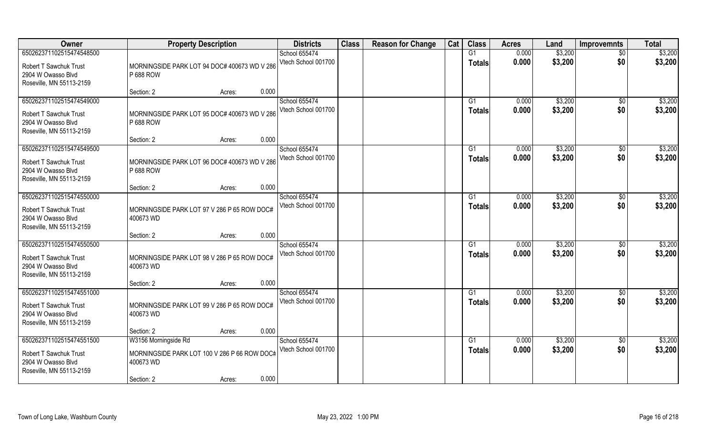| Owner                                                                                                       | <b>Property Description</b>                                                       | <b>Districts</b>                     | <b>Class</b> | <b>Reason for Change</b> | Cat | <b>Class</b>        | <b>Acres</b>   | Land               | <b>Improvemnts</b>    | <b>Total</b>       |
|-------------------------------------------------------------------------------------------------------------|-----------------------------------------------------------------------------------|--------------------------------------|--------------|--------------------------|-----|---------------------|----------------|--------------------|-----------------------|--------------------|
| 650262371102515474548500                                                                                    |                                                                                   | School 655474                        |              |                          |     | $\overline{G1}$     | 0.000          | \$3,200            | $\overline{50}$       | \$3,200            |
| <b>Robert T Sawchuk Trust</b><br>2904 W Owasso Blvd<br>Roseville, MN 55113-2159                             | MORNINGSIDE PARK LOT 94 DOC# 400673 WD V 286<br>P 688 ROW                         | Vtech School 001700                  |              |                          |     | <b>Totals</b>       | 0.000          | \$3,200            | \$0                   | \$3,200            |
|                                                                                                             | 0.000<br>Section: 2<br>Acres:                                                     |                                      |              |                          |     |                     |                |                    |                       |                    |
| 650262371102515474549000<br><b>Robert T Sawchuk Trust</b><br>2904 W Owasso Blvd<br>Roseville, MN 55113-2159 | MORNINGSIDE PARK LOT 95 DOC# 400673 WD V 286<br>P 688 ROW                         | School 655474<br>Vtech School 001700 |              |                          |     | G1<br><b>Totals</b> | 0.000<br>0.000 | \$3,200<br>\$3,200 | \$0<br>\$0            | \$3,200<br>\$3,200 |
|                                                                                                             | 0.000<br>Section: 2<br>Acres:                                                     |                                      |              |                          |     |                     |                |                    |                       |                    |
| 650262371102515474549500                                                                                    |                                                                                   | School 655474<br>Vtech School 001700 |              |                          |     | G1<br><b>Totals</b> | 0.000<br>0.000 | \$3,200<br>\$3,200 | $\sqrt[6]{30}$<br>\$0 | \$3,200<br>\$3,200 |
| <b>Robert T Sawchuk Trust</b><br>2904 W Owasso Blvd<br>Roseville, MN 55113-2159                             | MORNINGSIDE PARK LOT 96 DOC# 400673 WD V 286<br>P 688 ROW                         |                                      |              |                          |     |                     |                |                    |                       |                    |
|                                                                                                             | 0.000<br>Section: 2<br>Acres:                                                     |                                      |              |                          |     |                     |                |                    |                       |                    |
| 650262371102515474550000<br><b>Robert T Sawchuk Trust</b><br>2904 W Owasso Blvd<br>Roseville, MN 55113-2159 | MORNINGSIDE PARK LOT 97 V 286 P 65 ROW DOC#<br>400673 WD                          | School 655474<br>Vtech School 001700 |              |                          |     | G1<br><b>Totals</b> | 0.000<br>0.000 | \$3,200<br>\$3,200 | \$0<br>\$0            | \$3,200<br>\$3,200 |
|                                                                                                             | 0.000<br>Section: 2<br>Acres:                                                     |                                      |              |                          |     |                     |                |                    |                       |                    |
| 650262371102515474550500<br><b>Robert T Sawchuk Trust</b><br>2904 W Owasso Blvd<br>Roseville, MN 55113-2159 | MORNINGSIDE PARK LOT 98 V 286 P 65 ROW DOC#<br>400673 WD                          | School 655474<br>Vtech School 001700 |              |                          |     | G1<br><b>Totals</b> | 0.000<br>0.000 | \$3,200<br>\$3,200 | \$0<br>\$0            | \$3,200<br>\$3,200 |
|                                                                                                             | 0.000<br>Section: 2<br>Acres:                                                     |                                      |              |                          |     |                     |                |                    |                       |                    |
| 650262371102515474551000<br><b>Robert T Sawchuk Trust</b><br>2904 W Owasso Blvd<br>Roseville, MN 55113-2159 | MORNINGSIDE PARK LOT 99 V 286 P 65 ROW DOC#<br>400673 WD                          | School 655474<br>Vtech School 001700 |              |                          |     | G1<br><b>Totals</b> | 0.000<br>0.000 | \$3,200<br>\$3,200 | \$0<br>\$0            | \$3,200<br>\$3,200 |
|                                                                                                             | 0.000<br>Section: 2<br>Acres:                                                     |                                      |              |                          |     |                     |                |                    |                       |                    |
| 650262371102515474551500<br><b>Robert T Sawchuk Trust</b><br>2904 W Owasso Blvd<br>Roseville, MN 55113-2159 | W3156 Morningside Rd<br>MORNINGSIDE PARK LOT 100 V 286 P 66 ROW DOC#<br>400673 WD | School 655474<br>Vtech School 001700 |              |                          |     | G1<br><b>Totals</b> | 0.000<br>0.000 | \$3,200<br>\$3,200 | $\sqrt{6}$<br>\$0     | \$3,200<br>\$3,200 |
|                                                                                                             | 0.000<br>Section: 2<br>Acres:                                                     |                                      |              |                          |     |                     |                |                    |                       |                    |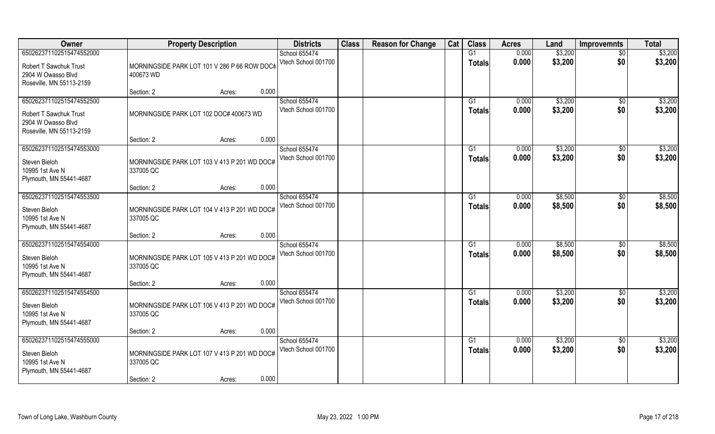| Owner                                                                                                       | <b>Property Description</b>                                                                | <b>Districts</b>                     | <b>Class</b> | <b>Reason for Change</b> | Cat | <b>Class</b>             | <b>Acres</b>   | Land               | <b>Improvemnts</b>     | <b>Total</b>       |
|-------------------------------------------------------------------------------------------------------------|--------------------------------------------------------------------------------------------|--------------------------------------|--------------|--------------------------|-----|--------------------------|----------------|--------------------|------------------------|--------------------|
| 650262371102515474552000                                                                                    |                                                                                            | School 655474                        |              |                          |     | $\overline{G1}$          | 0.000          | \$3,200            | $\overline{50}$        | \$3,200            |
| <b>Robert T Sawchuk Trust</b><br>2904 W Owasso Blvd<br>Roseville, MN 55113-2159                             | MORNINGSIDE PARK LOT 101 V 286 P 66 ROW DOC#<br>400673 WD                                  | Vtech School 001700                  |              |                          |     | <b>Totals</b>            | 0.000          | \$3,200            | \$0                    | \$3,200            |
|                                                                                                             | 0.000<br>Section: 2<br>Acres:                                                              |                                      |              |                          |     |                          |                |                    |                        |                    |
| 650262371102515474552500<br><b>Robert T Sawchuk Trust</b><br>2904 W Owasso Blvd<br>Roseville, MN 55113-2159 | MORNINGSIDE PARK LOT 102 DOC# 400673 WD                                                    | School 655474<br>Vtech School 001700 |              |                          |     | G <sub>1</sub><br>Totals | 0.000<br>0.000 | \$3,200<br>\$3,200 | \$0<br>\$0             | \$3,200<br>\$3,200 |
|                                                                                                             | 0.000<br>Section: 2<br>Acres:                                                              |                                      |              |                          |     |                          |                |                    |                        |                    |
| 650262371102515474553000<br>Steven Bieloh<br>10995 1st Ave N<br>Plymouth, MN 55441-4687                     | MORNINGSIDE PARK LOT 103 V 413 P 201 WD DOC#<br>337005 QC                                  | School 655474<br>Vtech School 001700 |              |                          |     | G1<br><b>Totals</b>      | 0.000<br>0.000 | \$3,200<br>\$3,200 | $\sqrt[6]{3}$<br>\$0   | \$3,200<br>\$3,200 |
|                                                                                                             | 0.000<br>Section: 2<br>Acres:                                                              |                                      |              |                          |     |                          |                |                    |                        |                    |
| 650262371102515474553500<br>Steven Bieloh<br>10995 1st Ave N<br>Plymouth, MN 55441-4687                     | MORNINGSIDE PARK LOT 104 V 413 P 201 WD DOC#<br>337005 QC                                  | School 655474<br>Vtech School 001700 |              |                          |     | G1<br><b>Totals</b>      | 0.000<br>0.000 | \$8,500<br>\$8,500 | $\sqrt[6]{}$<br>\$0    | \$8,500<br>\$8,500 |
|                                                                                                             | 0.000<br>Section: 2<br>Acres:                                                              |                                      |              |                          |     |                          |                |                    |                        |                    |
| 650262371102515474554000<br>Steven Bieloh<br>10995 1st Ave N<br>Plymouth, MN 55441-4687                     | MORNINGSIDE PARK LOT 105 V 413 P 201 WD DOC#<br>337005 QC                                  | School 655474<br>Vtech School 001700 |              |                          |     | G1<br><b>Totals</b>      | 0.000<br>0.000 | \$8,500<br>\$8,500 | $\sqrt[6]{30}$<br>\$0  | \$8,500<br>\$8,500 |
|                                                                                                             | 0.000<br>Section: 2<br>Acres:                                                              |                                      |              |                          |     |                          |                |                    |                        |                    |
| 650262371102515474554500<br>Steven Bieloh<br>10995 1st Ave N<br>Plymouth, MN 55441-4687                     | MORNINGSIDE PARK LOT 106 V 413 P 201 WD DOC#<br>337005 QC                                  | School 655474<br>Vtech School 001700 |              |                          |     | G1<br><b>Totals</b>      | 0.000<br>0.000 | \$3,200<br>\$3,200 | \$0<br>\$0             | \$3,200<br>\$3,200 |
|                                                                                                             | 0.000<br>Section: 2<br>Acres:                                                              |                                      |              |                          |     |                          |                |                    |                        |                    |
| 650262371102515474555000<br>Steven Bieloh<br>10995 1st Ave N<br>Plymouth, MN 55441-4687                     | MORNINGSIDE PARK LOT 107 V 413 P 201 WD DOC#<br>337005 QC<br>0.000<br>Section: 2<br>Acres: | School 655474<br>Vtech School 001700 |              |                          |     | G1<br><b>Totals</b>      | 0.000<br>0.000 | \$3,200<br>\$3,200 | $\overline{50}$<br>\$0 | \$3,200<br>\$3,200 |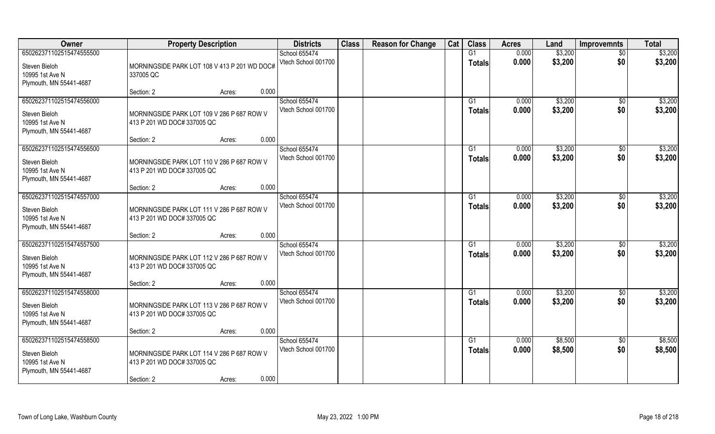| Owner                                                                                   | <b>Property Description</b>                                                                                | <b>Districts</b>                     | <b>Class</b> | <b>Reason for Change</b> | Cat | <b>Class</b>                    | <b>Acres</b>   | Land               | <b>Improvemnts</b>     | <b>Total</b>       |
|-----------------------------------------------------------------------------------------|------------------------------------------------------------------------------------------------------------|--------------------------------------|--------------|--------------------------|-----|---------------------------------|----------------|--------------------|------------------------|--------------------|
| 650262371102515474555500                                                                |                                                                                                            | School 655474                        |              |                          |     | G1                              | 0.000          | \$3,200            | \$0                    | \$3,200            |
| Steven Bieloh<br>10995 1st Ave N<br>Plymouth, MN 55441-4687                             | MORNINGSIDE PARK LOT 108 V 413 P 201 WD DOC#<br>337005 QC                                                  | Vtech School 001700                  |              |                          |     | <b>Totals</b>                   | 0.000          | \$3,200            | \$0                    | \$3,200            |
|                                                                                         | 0.000<br>Section: 2<br>Acres:                                                                              |                                      |              |                          |     |                                 |                |                    |                        |                    |
| 650262371102515474556000<br>Steven Bieloh<br>10995 1st Ave N<br>Plymouth, MN 55441-4687 | MORNINGSIDE PARK LOT 109 V 286 P 687 ROW V<br>413 P 201 WD DOC# 337005 QC                                  | School 655474<br>Vtech School 001700 |              |                          |     | G <sub>1</sub><br>Totals        | 0.000<br>0.000 | \$3,200<br>\$3,200 | \$0<br>\$0             | \$3,200<br>\$3,200 |
|                                                                                         | 0.000<br>Section: 2<br>Acres:                                                                              |                                      |              |                          |     |                                 |                |                    |                        |                    |
| 650262371102515474556500<br>Steven Bieloh<br>10995 1st Ave N<br>Plymouth, MN 55441-4687 | MORNINGSIDE PARK LOT 110 V 286 P 687 ROW V<br>413 P 201 WD DOC# 337005 QC                                  | School 655474<br>Vtech School 001700 |              |                          |     | G <sub>1</sub><br><b>Totals</b> | 0.000<br>0.000 | \$3,200<br>\$3,200 | $\sqrt{6}$<br>\$0      | \$3,200<br>\$3,200 |
|                                                                                         | 0.000<br>Section: 2<br>Acres:                                                                              |                                      |              |                          |     |                                 |                |                    |                        |                    |
| 650262371102515474557000<br>Steven Bieloh<br>10995 1st Ave N<br>Plymouth, MN 55441-4687 | MORNINGSIDE PARK LOT 111 V 286 P 687 ROW V<br>413 P 201 WD DOC# 337005 QC                                  | School 655474<br>Vtech School 001700 |              |                          |     | G <sub>1</sub><br><b>Totals</b> | 0.000<br>0.000 | \$3,200<br>\$3,200 | \$0<br>\$0             | \$3,200<br>\$3,200 |
|                                                                                         | 0.000<br>Section: 2<br>Acres:                                                                              |                                      |              |                          |     |                                 |                |                    |                        |                    |
| 650262371102515474557500<br>Steven Bieloh<br>10995 1st Ave N<br>Plymouth, MN 55441-4687 | MORNINGSIDE PARK LOT 112 V 286 P 687 ROW V<br>413 P 201 WD DOC#337005 QC<br>0.000<br>Section: 2<br>Acres:  | School 655474<br>Vtech School 001700 |              |                          |     | G1<br><b>Totals</b>             | 0.000<br>0.000 | \$3,200<br>\$3,200 | $\sqrt[6]{30}$<br>\$0  | \$3,200<br>\$3,200 |
| 650262371102515474558000                                                                |                                                                                                            | School 655474                        |              |                          |     | G <sub>1</sub>                  | 0.000          | \$3,200            | \$0                    | \$3,200            |
| Steven Bieloh<br>10995 1st Ave N<br>Plymouth, MN 55441-4687                             | MORNINGSIDE PARK LOT 113 V 286 P 687 ROW V<br>413 P 201 WD DOC#337005 QC                                   | Vtech School 001700                  |              |                          |     | <b>Totals</b>                   | 0.000          | \$3,200            | \$0                    | \$3,200            |
|                                                                                         | 0.000<br>Section: 2<br>Acres:                                                                              |                                      |              |                          |     |                                 |                |                    |                        |                    |
| 650262371102515474558500<br>Steven Bieloh<br>10995 1st Ave N<br>Plymouth, MN 55441-4687 | MORNINGSIDE PARK LOT 114 V 286 P 687 ROW V<br>413 P 201 WD DOC# 337005 QC<br>0.000<br>Section: 2<br>Acres: | School 655474<br>Vtech School 001700 |              |                          |     | G1<br><b>Totals</b>             | 0.000<br>0.000 | \$8,500<br>\$8,500 | $\overline{50}$<br>\$0 | \$8,500<br>\$8,500 |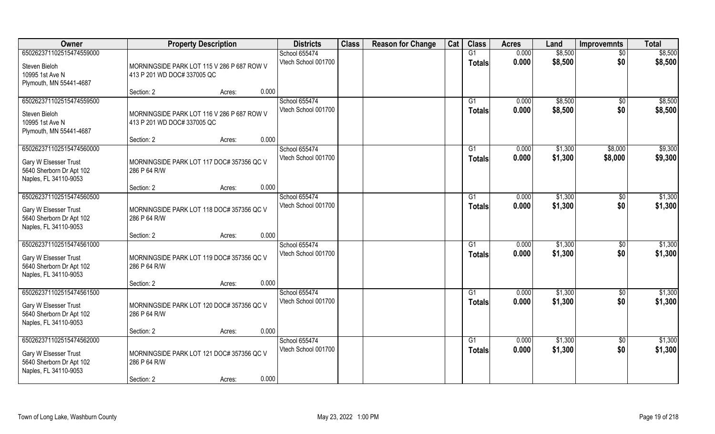| Owner                                                                                                  | <b>Property Description</b>                                                                | <b>Districts</b>                     | <b>Class</b> | <b>Reason for Change</b> | Cat | <b>Class</b>                    | <b>Acres</b>   | Land               | <b>Improvemnts</b>    | <b>Total</b>       |
|--------------------------------------------------------------------------------------------------------|--------------------------------------------------------------------------------------------|--------------------------------------|--------------|--------------------------|-----|---------------------------------|----------------|--------------------|-----------------------|--------------------|
| 650262371102515474559000                                                                               |                                                                                            | School 655474                        |              |                          |     | G1                              | 0.000          | \$8,500            | $\overline{30}$       | \$8,500            |
| Steven Bieloh<br>10995 1st Ave N<br>Plymouth, MN 55441-4687                                            | MORNINGSIDE PARK LOT 115 V 286 P 687 ROW V<br>413 P 201 WD DOC#337005 QC                   | Vtech School 001700                  |              |                          |     | <b>Totals</b>                   | 0.000          | \$8,500            | \$0                   | \$8,500            |
|                                                                                                        | 0.000<br>Section: 2<br>Acres:                                                              |                                      |              |                          |     |                                 |                |                    |                       |                    |
| 650262371102515474559500<br>Steven Bieloh<br>10995 1st Ave N<br>Plymouth, MN 55441-4687                | MORNINGSIDE PARK LOT 116 V 286 P 687 ROW V<br>413 P 201 WD DOC#337005 QC                   | School 655474<br>Vtech School 001700 |              |                          |     | G <sub>1</sub><br><b>Totals</b> | 0.000<br>0.000 | \$8,500<br>\$8,500 | \$0<br>\$0            | \$8,500<br>\$8,500 |
|                                                                                                        | 0.000<br>Section: 2<br>Acres:                                                              |                                      |              |                          |     |                                 |                |                    |                       |                    |
| 650262371102515474560000<br>Gary W Elsesser Trust<br>5640 Sherborn Dr Apt 102<br>Naples, FL 34110-9053 | MORNINGSIDE PARK LOT 117 DOC# 357356 QC V<br>286 P 64 R/W                                  | School 655474<br>Vtech School 001700 |              |                          |     | G1<br><b>Totals</b>             | 0.000<br>0.000 | \$1,300<br>\$1,300 | \$8,000<br>\$8,000    | \$9,300<br>\$9,300 |
|                                                                                                        | 0.000<br>Section: 2<br>Acres:                                                              |                                      |              |                          |     |                                 |                |                    |                       |                    |
| 650262371102515474560500<br>Gary W Elsesser Trust<br>5640 Sherborn Dr Apt 102<br>Naples, FL 34110-9053 | MORNINGSIDE PARK LOT 118 DOC# 357356 QC V<br>286 P 64 R/W                                  | School 655474<br>Vtech School 001700 |              |                          |     | G1<br><b>Totals</b>             | 0.000<br>0.000 | \$1,300<br>\$1,300 | $\sqrt[6]{3}$<br>\$0  | \$1,300<br>\$1,300 |
|                                                                                                        | 0.000<br>Section: 2<br>Acres:                                                              |                                      |              |                          |     |                                 |                |                    |                       |                    |
| 650262371102515474561000<br>Gary W Elsesser Trust<br>5640 Sherborn Dr Apt 102<br>Naples, FL 34110-9053 | MORNINGSIDE PARK LOT 119 DOC# 357356 QC V<br>286 P 64 R/W                                  | School 655474<br>Vtech School 001700 |              |                          |     | G1<br>Totals                    | 0.000<br>0.000 | \$1,300<br>\$1,300 | $\sqrt[6]{30}$<br>\$0 | \$1,300<br>\$1,300 |
| 650262371102515474561500                                                                               | 0.000<br>Section: 2<br>Acres:                                                              |                                      |              |                          |     |                                 |                |                    |                       |                    |
| Gary W Elsesser Trust<br>5640 Sherborn Dr Apt 102<br>Naples, FL 34110-9053                             | MORNINGSIDE PARK LOT 120 DOC# 357356 QC V<br>286 P 64 R/W                                  | School 655474<br>Vtech School 001700 |              |                          |     | G1<br><b>Totals</b>             | 0.000<br>0.000 | \$1,300<br>\$1,300 | \$0<br>\$0            | \$1,300<br>\$1,300 |
|                                                                                                        | 0.000<br>Section: 2<br>Acres:                                                              |                                      |              |                          |     |                                 |                |                    |                       |                    |
| 650262371102515474562000<br>Gary W Elsesser Trust<br>5640 Sherborn Dr Apt 102<br>Naples, FL 34110-9053 | MORNINGSIDE PARK LOT 121 DOC# 357356 QC V<br>286 P 64 R/W<br>0.000<br>Section: 2<br>Acres: | School 655474<br>Vtech School 001700 |              |                          |     | G <sub>1</sub><br><b>Totals</b> | 0.000<br>0.000 | \$1,300<br>\$1,300 | \$0<br>\$0            | \$1,300<br>\$1,300 |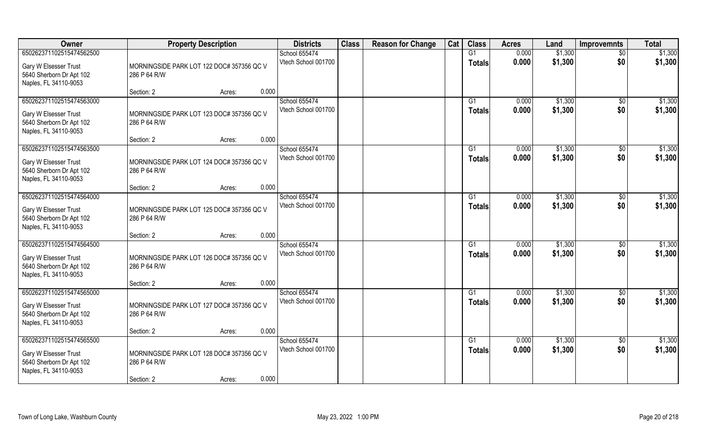| Owner                                                                                                  | <b>Property Description</b>                                                                | <b>Districts</b>                     | <b>Class</b> | <b>Reason for Change</b> | Cat | <b>Class</b>        | <b>Acres</b>   | Land               | <b>Improvemnts</b>     | <b>Total</b>       |
|--------------------------------------------------------------------------------------------------------|--------------------------------------------------------------------------------------------|--------------------------------------|--------------|--------------------------|-----|---------------------|----------------|--------------------|------------------------|--------------------|
| 650262371102515474562500                                                                               |                                                                                            | School 655474                        |              |                          |     | G1                  | 0.000          | \$1,300            | $\overline{50}$        | \$1,300            |
| Gary W Elsesser Trust<br>5640 Sherborn Dr Apt 102<br>Naples, FL 34110-9053                             | MORNINGSIDE PARK LOT 122 DOC# 357356 QC V<br>286 P 64 R/W                                  | Vtech School 001700                  |              |                          |     | <b>Totals</b>       | 0.000          | \$1,300            | \$0                    | \$1,300            |
|                                                                                                        | 0.000<br>Section: 2<br>Acres:                                                              |                                      |              |                          |     |                     |                |                    |                        |                    |
| 650262371102515474563000<br>Gary W Elsesser Trust<br>5640 Sherborn Dr Apt 102<br>Naples, FL 34110-9053 | MORNINGSIDE PARK LOT 123 DOC# 357356 QC V<br>286 P 64 R/W                                  | School 655474<br>Vtech School 001700 |              |                          |     | G1<br><b>Totals</b> | 0.000<br>0.000 | \$1,300<br>\$1,300 | \$0<br>\$0             | \$1,300<br>\$1,300 |
|                                                                                                        | 0.000<br>Section: 2<br>Acres:                                                              |                                      |              |                          |     |                     |                |                    |                        |                    |
| 650262371102515474563500<br>Gary W Elsesser Trust<br>5640 Sherborn Dr Apt 102<br>Naples, FL 34110-9053 | MORNINGSIDE PARK LOT 124 DOC# 357356 QC V<br>286 P 64 R/W                                  | School 655474<br>Vtech School 001700 |              |                          |     | G1<br><b>Totals</b> | 0.000<br>0.000 | \$1,300<br>\$1,300 | $\sqrt[6]{3}$<br>\$0   | \$1,300<br>\$1,300 |
|                                                                                                        | 0.000<br>Section: 2<br>Acres:                                                              |                                      |              |                          |     |                     |                |                    |                        |                    |
| 650262371102515474564000<br>Gary W Elsesser Trust<br>5640 Sherborn Dr Apt 102<br>Naples, FL 34110-9053 | MORNINGSIDE PARK LOT 125 DOC# 357356 QC V<br>286 P 64 R/W                                  | School 655474<br>Vtech School 001700 |              |                          |     | G1<br><b>Totals</b> | 0.000<br>0.000 | \$1,300<br>\$1,300 | \$0<br>\$0             | \$1,300<br>\$1,300 |
|                                                                                                        | 0.000<br>Section: 2<br>Acres:                                                              |                                      |              |                          |     |                     |                |                    |                        |                    |
| 650262371102515474564500<br>Gary W Elsesser Trust<br>5640 Sherborn Dr Apt 102<br>Naples, FL 34110-9053 | MORNINGSIDE PARK LOT 126 DOC# 357356 QC V<br>286 P 64 R/W<br>0.000<br>Section: 2<br>Acres: | School 655474<br>Vtech School 001700 |              |                          |     | G1<br><b>Totals</b> | 0.000<br>0.000 | \$1,300<br>\$1,300 | $\sqrt[6]{30}$<br>\$0  | \$1,300<br>\$1,300 |
| 650262371102515474565000                                                                               |                                                                                            | School 655474                        |              |                          |     | G1                  | 0.000          | \$1,300            | \$0                    | \$1,300            |
| Gary W Elsesser Trust<br>5640 Sherborn Dr Apt 102<br>Naples, FL 34110-9053                             | MORNINGSIDE PARK LOT 127 DOC# 357356 QC V<br>286 P 64 R/W                                  | Vtech School 001700                  |              |                          |     | <b>Totals</b>       | 0.000          | \$1,300            | \$0                    | \$1,300            |
|                                                                                                        | 0.000<br>Section: 2<br>Acres:                                                              |                                      |              |                          |     |                     |                |                    |                        |                    |
| 650262371102515474565500<br>Gary W Elsesser Trust<br>5640 Sherborn Dr Apt 102<br>Naples, FL 34110-9053 | MORNINGSIDE PARK LOT 128 DOC# 357356 QC V<br>286 P 64 R/W<br>0.000<br>Section: 2<br>Acres: | School 655474<br>Vtech School 001700 |              |                          |     | G1<br><b>Totals</b> | 0.000<br>0.000 | \$1,300<br>\$1,300 | $\overline{50}$<br>\$0 | \$1,300<br>\$1,300 |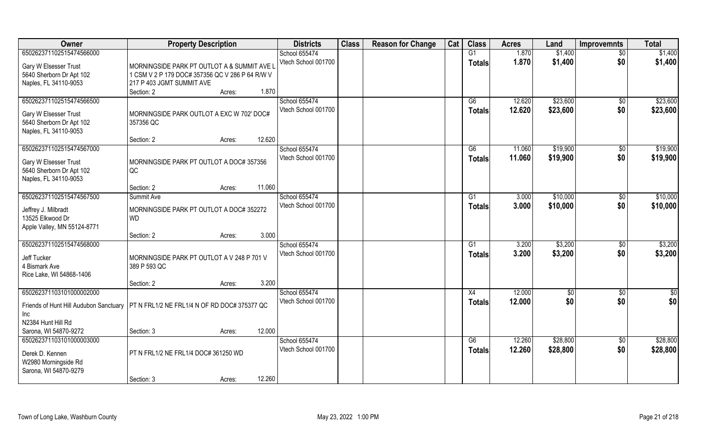| Owner                                  | <b>Property Description</b>                     | <b>Districts</b>    | <b>Class</b> | <b>Reason for Change</b> | Cat | <b>Class</b>    | <b>Acres</b> | Land     | <b>Improvemnts</b> | <b>Total</b>  |
|----------------------------------------|-------------------------------------------------|---------------------|--------------|--------------------------|-----|-----------------|--------------|----------|--------------------|---------------|
| 650262371102515474566000               |                                                 | School 655474       |              |                          |     | $\overline{G1}$ | 1.870        | \$1,400  | $\overline{50}$    | \$1,400       |
| Gary W Elsesser Trust                  | MORNINGSIDE PARK PT OUTLOT A & SUMMIT AVE L     | Vtech School 001700 |              |                          |     | <b>Totals</b>   | 1.870        | \$1,400  | \$0                | \$1,400       |
| 5640 Sherborn Dr Apt 102               | 1 CSM V 2 P 179 DOC# 357356 QC V 286 P 64 R/W V |                     |              |                          |     |                 |              |          |                    |               |
| Naples, FL 34110-9053                  | 217 P 403 JGMT SUMMIT AVE                       |                     |              |                          |     |                 |              |          |                    |               |
|                                        | 1.870<br>Section: 2<br>Acres:                   |                     |              |                          |     |                 |              |          |                    |               |
| 650262371102515474566500               |                                                 | School 655474       |              |                          |     | G6              | 12.620       | \$23,600 | $\overline{50}$    | \$23,600      |
| Gary W Elsesser Trust                  | MORNINGSIDE PARK OUTLOT A EXC W 702' DOC#       | Vtech School 001700 |              |                          |     | <b>Totals</b>   | 12.620       | \$23,600 | \$0                | \$23,600      |
| 5640 Sherborn Dr Apt 102               | 357356 QC                                       |                     |              |                          |     |                 |              |          |                    |               |
| Naples, FL 34110-9053                  |                                                 |                     |              |                          |     |                 |              |          |                    |               |
|                                        | 12.620<br>Section: 2<br>Acres:                  |                     |              |                          |     |                 |              |          |                    |               |
| 650262371102515474567000               |                                                 | School 655474       |              |                          |     | G6              | 11.060       | \$19,900 | \$0                | \$19,900      |
| Gary W Elsesser Trust                  | MORNINGSIDE PARK PT OUTLOT A DOC# 357356        | Vtech School 001700 |              |                          |     | <b>Totals</b>   | 11.060       | \$19,900 | \$0                | \$19,900      |
| 5640 Sherborn Dr Apt 102               | QC                                              |                     |              |                          |     |                 |              |          |                    |               |
| Naples, FL 34110-9053                  |                                                 |                     |              |                          |     |                 |              |          |                    |               |
|                                        | 11.060<br>Section: 2<br>Acres:                  |                     |              |                          |     |                 |              |          |                    |               |
| 650262371102515474567500               | Summit Ave                                      | School 655474       |              |                          |     | G1              | 3.000        | \$10,000 | \$0                | \$10,000      |
| Jeffrey J. Milbradt                    | MORNINGSIDE PARK PT OUTLOT A DOC# 352272        | Vtech School 001700 |              |                          |     | Totals          | 3.000        | \$10,000 | \$0                | \$10,000      |
| 13525 Elkwood Dr                       | <b>WD</b>                                       |                     |              |                          |     |                 |              |          |                    |               |
| Apple Valley, MN 55124-8771            |                                                 |                     |              |                          |     |                 |              |          |                    |               |
|                                        | 3.000<br>Section: 2<br>Acres:                   |                     |              |                          |     |                 |              |          |                    |               |
| 650262371102515474568000               |                                                 | School 655474       |              |                          |     | G1              | 3.200        | \$3,200  | $\sqrt[6]{3}$      | \$3,200       |
| Jeff Tucker                            | MORNINGSIDE PARK PT OUTLOT A V 248 P 701 V      | Vtech School 001700 |              |                          |     | <b>Totals</b>   | 3.200        | \$3,200  | \$0                | \$3,200       |
| 4 Bismark Ave                          | 389 P 593 QC                                    |                     |              |                          |     |                 |              |          |                    |               |
| Rice Lake, WI 54868-1406               |                                                 |                     |              |                          |     |                 |              |          |                    |               |
|                                        | 3.200<br>Section: 2<br>Acres:                   |                     |              |                          |     |                 |              |          |                    |               |
| 650262371103101000002000               |                                                 | School 655474       |              |                          |     | X4              | 12.000       | \$0      | \$0                | $\frac{6}{3}$ |
| Friends of Hunt Hill Audubon Sanctuary | PT N FRL1/2 NE FRL1/4 N OF RD DOC#375377 QC     | Vtech School 001700 |              |                          |     | <b>Totals</b>   | 12.000       | \$0      | \$0                | \$0           |
| Inc                                    |                                                 |                     |              |                          |     |                 |              |          |                    |               |
| N2384 Hunt Hill Rd                     |                                                 |                     |              |                          |     |                 |              |          |                    |               |
| Sarona, WI 54870-9272                  | 12.000<br>Section: 3<br>Acres:                  |                     |              |                          |     |                 |              |          |                    |               |
| 650262371103101000003000               |                                                 | School 655474       |              |                          |     | G6              | 12.260       | \$28,800 | $\overline{50}$    | \$28,800      |
| Derek D. Kennen                        | PT N FRL1/2 NE FRL1/4 DOC# 361250 WD            | Vtech School 001700 |              |                          |     | <b>Totals</b>   | 12.260       | \$28,800 | \$0                | \$28,800      |
| W2980 Morningside Rd                   |                                                 |                     |              |                          |     |                 |              |          |                    |               |
| Sarona, WI 54870-9279                  |                                                 |                     |              |                          |     |                 |              |          |                    |               |
|                                        | 12.260<br>Section: 3<br>Acres:                  |                     |              |                          |     |                 |              |          |                    |               |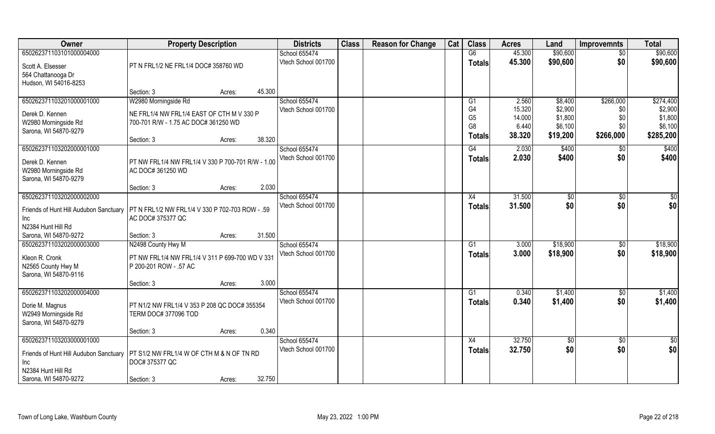| Owner                                  | <b>Property Description</b>                       |                  | <b>Districts</b>    | <b>Class</b> | <b>Reason for Change</b> | Cat | <b>Class</b>                     | <b>Acres</b>    | Land               | <b>Improvemnts</b> | <b>Total</b>       |
|----------------------------------------|---------------------------------------------------|------------------|---------------------|--------------|--------------------------|-----|----------------------------------|-----------------|--------------------|--------------------|--------------------|
| 650262371103101000004000               |                                                   |                  | School 655474       |              |                          |     | G6                               | 45.300          | \$90,600           | $\overline{50}$    | \$90,600           |
| Scott A. Elsesser                      | PT N FRL1/2 NE FRL1/4 DOC# 358760 WD              |                  | Vtech School 001700 |              |                          |     | <b>Totals</b>                    | 45.300          | \$90,600           | \$0                | \$90,600           |
| 564 Chattanooga Dr                     |                                                   |                  |                     |              |                          |     |                                  |                 |                    |                    |                    |
| Hudson, WI 54016-8253                  |                                                   |                  |                     |              |                          |     |                                  |                 |                    |                    |                    |
|                                        | Section: 3                                        | 45.300<br>Acres: |                     |              |                          |     |                                  |                 |                    |                    |                    |
| 650262371103201000001000               | W2980 Morningside Rd                              |                  | School 655474       |              |                          |     | G1                               | 2.560           | \$8,400            | \$266,000          | \$274,400          |
| Derek D. Kennen                        | NE FRL1/4 NW FRL1/4 EAST OF CTH M V 330 P         |                  | Vtech School 001700 |              |                          |     | G4                               | 15.320          | \$2,900            | \$0                | \$2,900            |
| W2980 Morningside Rd                   | 700-701 R/W - 1.75 AC DOC# 361250 WD              |                  |                     |              |                          |     | G <sub>5</sub><br>G <sub>8</sub> | 14.000<br>6.440 | \$1,800<br>\$6,100 | \$0<br>\$0         | \$1,800<br>\$6,100 |
| Sarona, WI 54870-9279                  |                                                   |                  |                     |              |                          |     |                                  | 38.320          | \$19,200           | \$266,000          | \$285,200          |
|                                        | Section: 3                                        | 38.320<br>Acres: |                     |              |                          |     | <b>Totals</b>                    |                 |                    |                    |                    |
| 650262371103202000001000               |                                                   |                  | School 655474       |              |                          |     | G4                               | 2.030           | \$400              | \$0                | \$400              |
| Derek D. Kennen                        | PT NW FRL1/4 NW FRL1/4 V 330 P 700-701 R/W - 1.00 |                  | Vtech School 001700 |              |                          |     | <b>Totals</b>                    | 2.030           | \$400              | \$0                | \$400              |
| W2980 Morningside Rd                   | AC DOC# 361250 WD                                 |                  |                     |              |                          |     |                                  |                 |                    |                    |                    |
| Sarona, WI 54870-9279                  |                                                   |                  |                     |              |                          |     |                                  |                 |                    |                    |                    |
|                                        | Section: 3                                        | 2.030<br>Acres:  |                     |              |                          |     |                                  |                 |                    |                    |                    |
| 650262371103202000002000               |                                                   |                  | School 655474       |              |                          |     | X4                               | 31.500          | $\sqrt[6]{}$       | $\sqrt[6]{30}$     | $\sqrt{6}$         |
| Friends of Hunt Hill Audubon Sanctuary | PT N FRL1/2 NW FRL1/4 V 330 P 702-703 ROW - .59   |                  | Vtech School 001700 |              |                          |     | <b>Totals</b>                    | 31.500          | \$0                | \$0                | \$0                |
| Inc                                    | AC DOC# 375377 QC                                 |                  |                     |              |                          |     |                                  |                 |                    |                    |                    |
| N2384 Hunt Hill Rd                     |                                                   |                  |                     |              |                          |     |                                  |                 |                    |                    |                    |
| Sarona, WI 54870-9272                  | Section: 3                                        | 31.500<br>Acres: |                     |              |                          |     |                                  |                 |                    |                    |                    |
| 650262371103202000003000               | N2498 County Hwy M                                |                  | School 655474       |              |                          |     | G1                               | 3.000           | \$18,900           | $\sqrt[6]{3}$      | \$18,900           |
| Kleon R. Cronk                         | PT NW FRL1/4 NW FRL1/4 V 311 P 699-700 WD V 331   |                  | Vtech School 001700 |              |                          |     | <b>Totals</b>                    | 3.000           | \$18,900           | \$0                | \$18,900           |
| N2565 County Hwy M                     | P 200-201 ROW - .57 AC                            |                  |                     |              |                          |     |                                  |                 |                    |                    |                    |
| Sarona, WI 54870-9116                  |                                                   |                  |                     |              |                          |     |                                  |                 |                    |                    |                    |
|                                        | Section: 3                                        | 3.000<br>Acres:  |                     |              |                          |     |                                  |                 |                    |                    |                    |
| 650262371103202000004000               |                                                   |                  | School 655474       |              |                          |     | G <sub>1</sub>                   | 0.340           | \$1,400            | \$0                | \$1,400            |
| Dorie M. Magnus                        | PT N1/2 NW FRL1/4 V 353 P 208 QC DOC# 355354      |                  | Vtech School 001700 |              |                          |     | <b>Totals</b>                    | 0.340           | \$1,400            | \$0                | \$1,400            |
| W2949 Morningside Rd                   | TERM DOC# 377096 TOD                              |                  |                     |              |                          |     |                                  |                 |                    |                    |                    |
| Sarona, WI 54870-9279                  |                                                   |                  |                     |              |                          |     |                                  |                 |                    |                    |                    |
|                                        | Section: 3                                        | 0.340<br>Acres:  |                     |              |                          |     |                                  |                 |                    |                    |                    |
| 650262371103203000001000               |                                                   |                  | School 655474       |              |                          |     | X4                               | 32.750          | $\sqrt{6}$         | $\overline{50}$    | $\overline{50}$    |
| Friends of Hunt Hill Audubon Sanctuary | PT S1/2 NW FRL1/4 W OF CTH M & N OF TN RD         |                  | Vtech School 001700 |              |                          |     | <b>Totals</b>                    | 32.750          | \$0                | \$0                | \$0                |
| <b>Inc</b>                             | DOC# 375377 QC                                    |                  |                     |              |                          |     |                                  |                 |                    |                    |                    |
| N2384 Hunt Hill Rd                     |                                                   |                  |                     |              |                          |     |                                  |                 |                    |                    |                    |
| Sarona, WI 54870-9272                  | Section: 3                                        | 32.750<br>Acres: |                     |              |                          |     |                                  |                 |                    |                    |                    |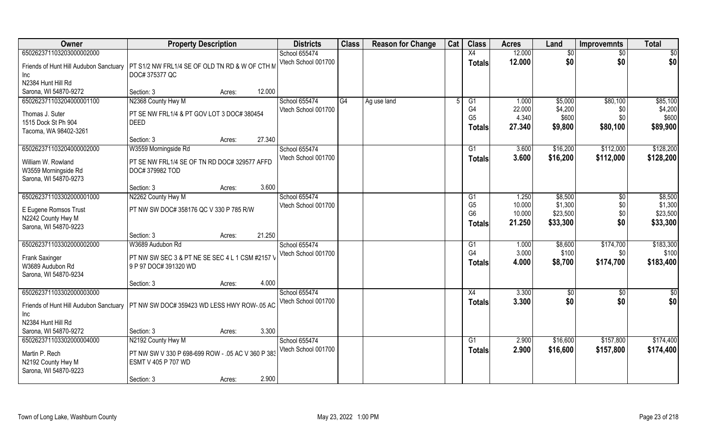| Owner                                                               | <b>Property Description</b>                                      |                  | <b>Districts</b>    | <b>Class</b> | <b>Reason for Change</b> | Cat | <b>Class</b>         | <b>Acres</b>   | Land             | <b>Improvemnts</b> | <b>Total</b>       |
|---------------------------------------------------------------------|------------------------------------------------------------------|------------------|---------------------|--------------|--------------------------|-----|----------------------|----------------|------------------|--------------------|--------------------|
| 650262371103203000002000                                            |                                                                  |                  | School 655474       |              |                          |     | X4                   | 12.000         | \$0              | $\sqrt{6}$         | \$0                |
| Friends of Hunt Hill Audubon Sanctuary<br>Inc                       | PT S1/2 NW FRL1/4 SE OF OLD TN RD & W OF CTH M<br>DOC# 375377 QC |                  | Vtech School 001700 |              |                          |     | <b>Totals</b>        | 12.000         | \$0              | \$0                | \$0                |
| N2384 Hunt Hill Rd                                                  |                                                                  |                  |                     |              |                          |     |                      |                |                  |                    |                    |
| Sarona, WI 54870-9272                                               | Section: 3                                                       | 12.000<br>Acres: |                     |              |                          |     |                      |                |                  |                    |                    |
| 650262371103204000001100                                            | N2368 County Hwy M                                               |                  | School 655474       | G4           | Ag use land              |     | G <sub>1</sub>       | 1.000          | \$5,000          | \$80,100           | \$85,100           |
| Thomas J. Suter                                                     | PT SE NW FRL1/4 & PT GOV LOT 3 DOC# 380454                       |                  | Vtech School 001700 |              |                          |     | G4                   | 22.000         | \$4,200          | \$0                | \$4,200            |
| 1515 Dock St Ph 904                                                 | <b>DEED</b>                                                      |                  |                     |              |                          |     | G <sub>5</sub>       | 4.340          | \$600            | \$0                | \$600              |
| Tacoma, WA 98402-3261                                               |                                                                  |                  |                     |              |                          |     | <b>Totals</b>        | 27.340         | \$9,800          | \$80,100           | \$89,900           |
|                                                                     | Section: 3                                                       | 27.340<br>Acres: |                     |              |                          |     |                      |                |                  |                    |                    |
| 650262371103204000002000                                            | W3559 Morningside Rd                                             |                  | School 655474       |              |                          |     | G1                   | 3.600          | \$16,200         | \$112,000          | \$128,200          |
| William W. Rowland<br>W3559 Morningside Rd<br>Sarona, WI 54870-9273 | PT SE NW FRL1/4 SE OF TN RD DOC# 329577 AFFD<br>DOC#379982 TOD   |                  | Vtech School 001700 |              |                          |     | <b>Totals</b>        | 3.600          | \$16,200         | \$112,000          | \$128,200          |
|                                                                     | Section: 3                                                       | 3.600<br>Acres:  |                     |              |                          |     |                      |                |                  |                    |                    |
| 650262371103302000001000                                            | N2262 County Hwy M                                               |                  | School 655474       |              |                          |     | G1                   | 1.250          | \$8,500          | $\sqrt[6]{3}$      | \$8,500            |
|                                                                     |                                                                  |                  | Vtech School 001700 |              |                          |     | G <sub>5</sub>       | 10.000         | \$1,300          | \$0                | \$1,300            |
| E Eugene Romsos Trust                                               | PT NW SW DOC# 358176 QC V 330 P 785 R/W                          |                  |                     |              |                          |     | G <sub>6</sub>       | 10.000         | \$23,500         | \$0                | \$23,500           |
| N2242 County Hwy M                                                  |                                                                  |                  |                     |              |                          |     | <b>Totals</b>        | 21.250         | \$33,300         | \$0                | \$33,300           |
| Sarona, WI 54870-9223                                               |                                                                  |                  |                     |              |                          |     |                      |                |                  |                    |                    |
|                                                                     | Section: 3                                                       | 21.250<br>Acres: |                     |              |                          |     |                      |                |                  |                    |                    |
| 650262371103302000002000                                            | W3689 Audubon Rd                                                 |                  | School 655474       |              |                          |     | G1<br>G <sub>4</sub> | 1.000<br>3.000 | \$8,600<br>\$100 | \$174,700          | \$183,300<br>\$100 |
| <b>Frank Saxinger</b>                                               | PT NW SW SEC 3 & PT NE SE SEC 4 L 1 CSM #2157 \                  |                  | Vtech School 001700 |              |                          |     |                      | 4.000          |                  | \$0                |                    |
| W3689 Audubon Rd                                                    | 9 P 97 DOC# 391320 WD                                            |                  |                     |              |                          |     | <b>Totals</b>        |                | \$8,700          | \$174,700          | \$183,400          |
| Sarona, WI 54870-9234                                               |                                                                  |                  |                     |              |                          |     |                      |                |                  |                    |                    |
|                                                                     | Section: 3                                                       | 4.000<br>Acres:  |                     |              |                          |     |                      |                |                  |                    |                    |
| 650262371103302000003000                                            |                                                                  |                  | School 655474       |              |                          |     | X4                   | 3.300          | $\sqrt{30}$      | $\sqrt{$0}$        | \$0                |
| Friends of Hunt Hill Audubon Sanctuary                              | PT NW SW DOC# 359423 WD LESS HWY ROW-.05 AC                      |                  | Vtech School 001700 |              |                          |     | <b>Totals</b>        | 3.300          | \$0              | \$0                | \$0                |
| Inc<br>N2384 Hunt Hill Rd                                           |                                                                  |                  |                     |              |                          |     |                      |                |                  |                    |                    |
| Sarona, WI 54870-9272                                               | Section: 3                                                       | 3.300<br>Acres:  |                     |              |                          |     |                      |                |                  |                    |                    |
| 650262371103302000004000                                            | N2192 County Hwy M                                               |                  | School 655474       |              |                          |     | G1                   | 2.900          | \$16,600         | \$157,800          | \$174,400          |
|                                                                     |                                                                  |                  | Vtech School 001700 |              |                          |     |                      | 2.900          | \$16,600         | \$157,800          | \$174,400          |
| Martin P. Rech                                                      | PT NW SW V 330 P 698-699 ROW - .05 AC V 360 P 383                |                  |                     |              |                          |     | Totals               |                |                  |                    |                    |
| N2192 County Hwy M                                                  | ESMT V 405 P 707 WD                                              |                  |                     |              |                          |     |                      |                |                  |                    |                    |
| Sarona, WI 54870-9223                                               |                                                                  |                  |                     |              |                          |     |                      |                |                  |                    |                    |
|                                                                     | Section: 3                                                       | 2.900<br>Acres:  |                     |              |                          |     |                      |                |                  |                    |                    |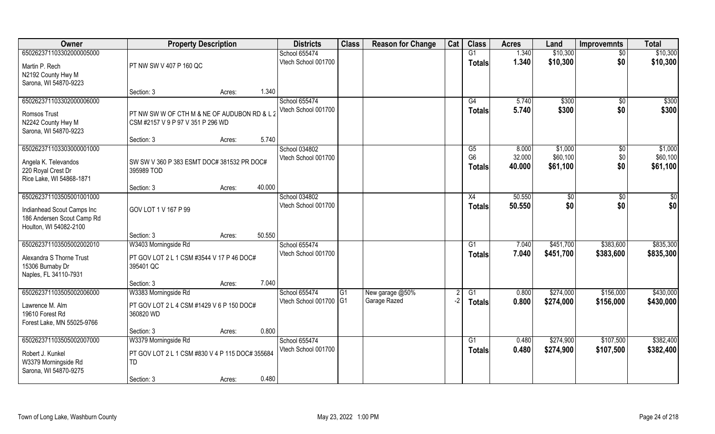| Owner                      | <b>Property Description</b>                     |        |        | <b>Districts</b>       | <b>Class</b>    | <b>Reason for Change</b> | Cat  | <b>Class</b>   | <b>Acres</b> | Land      | <b>Improvemnts</b> | <b>Total</b> |
|----------------------------|-------------------------------------------------|--------|--------|------------------------|-----------------|--------------------------|------|----------------|--------------|-----------|--------------------|--------------|
| 650262371103302000005000   |                                                 |        |        | School 655474          |                 |                          |      | G1             | 1.340        | \$10,300  | $\overline{50}$    | \$10,300     |
| Martin P. Rech             | PT NW SW V 407 P 160 QC                         |        |        | Vtech School 001700    |                 |                          |      | <b>Totals</b>  | 1.340        | \$10,300  | \$0                | \$10,300     |
| N2192 County Hwy M         |                                                 |        |        |                        |                 |                          |      |                |              |           |                    |              |
| Sarona, WI 54870-9223      |                                                 |        |        |                        |                 |                          |      |                |              |           |                    |              |
|                            | Section: 3                                      | Acres: | 1.340  |                        |                 |                          |      |                |              |           |                    |              |
| 650262371103302000006000   |                                                 |        |        | School 655474          |                 |                          |      | G4             | 5.740        | \$300     | \$0                | \$300        |
| Romsos Trust               | PT NW SW W OF CTH M & NE OF AUDUBON RD & L 2    |        |        | Vtech School 001700    |                 |                          |      | Totals         | 5.740        | \$300     | \$0                | \$300        |
| N2242 County Hwy M         | CSM #2157 V 9 P 97 V 351 P 296 WD               |        |        |                        |                 |                          |      |                |              |           |                    |              |
| Sarona, WI 54870-9223      |                                                 |        |        |                        |                 |                          |      |                |              |           |                    |              |
|                            | Section: 3                                      | Acres: | 5.740  |                        |                 |                          |      |                |              |           |                    |              |
| 650262371103303000001000   |                                                 |        |        | School 034802          |                 |                          |      | G5             | 8.000        | \$1,000   | \$0                | \$1,000      |
| Angela K. Televandos       | SW SW V 360 P 383 ESMT DOC# 381532 PR DOC#      |        |        | Vtech School 001700    |                 |                          |      | G <sub>6</sub> | 32.000       | \$60,100  | \$0                | \$60,100     |
| 220 Royal Crest Dr         | 395989 TOD                                      |        |        |                        |                 |                          |      | <b>Totals</b>  | 40.000       | \$61,100  | \$0                | \$61,100     |
| Rice Lake, WI 54868-1871   |                                                 |        |        |                        |                 |                          |      |                |              |           |                    |              |
|                            | Section: 3                                      | Acres: | 40.000 |                        |                 |                          |      |                |              |           |                    |              |
| 650262371103505001001000   |                                                 |        |        | School 034802          |                 |                          |      | X4             | 50.550       | \$0       | \$0                | \$           |
| Indianhead Scout Camps Inc | GOV LOT 1 V 167 P 99                            |        |        | Vtech School 001700    |                 |                          |      | <b>Totals</b>  | 50,550       | \$0       | \$0                | \$0          |
| 186 Andersen Scout Camp Rd |                                                 |        |        |                        |                 |                          |      |                |              |           |                    |              |
| Houlton, WI 54082-2100     |                                                 |        |        |                        |                 |                          |      |                |              |           |                    |              |
|                            | Section: 3                                      | Acres: | 50.550 |                        |                 |                          |      |                |              |           |                    |              |
| 650262371103505002002010   | W3403 Morningside Rd                            |        |        | School 655474          |                 |                          |      | G1             | 7.040        | \$451,700 | \$383,600          | \$835,300    |
| Alexandra S Thorne Trust   | PT GOV LOT 2 L 1 CSM #3544 V 17 P 46 DOC#       |        |        | Vtech School 001700    |                 |                          |      | <b>Totals</b>  | 7.040        | \$451,700 | \$383,600          | \$835,300    |
| 15306 Burnaby Dr           | 395401 QC                                       |        |        |                        |                 |                          |      |                |              |           |                    |              |
| Naples, FL 34110-7931      |                                                 |        |        |                        |                 |                          |      |                |              |           |                    |              |
|                            | Section: 3                                      | Acres: | 7.040  |                        |                 |                          |      |                |              |           |                    |              |
| 650262371103505002006000   | W3383 Morningside Rd                            |        |        | School 655474          | $\overline{G1}$ | New garage @50%          |      | G1             | 0.800        | \$274,000 | \$156,000          | \$430,000    |
| Lawrence M. Alm            | PT GOV LOT 2 L 4 CSM #1429 V 6 P 150 DOC#       |        |        | Vtech School 001700 G1 |                 | Garage Razed             | $-2$ | <b>Totals</b>  | 0.800        | \$274,000 | \$156,000          | \$430,000    |
| 19610 Forest Rd            | 360820 WD                                       |        |        |                        |                 |                          |      |                |              |           |                    |              |
| Forest Lake, MN 55025-9766 |                                                 |        |        |                        |                 |                          |      |                |              |           |                    |              |
|                            | Section: 3                                      | Acres: | 0.800  |                        |                 |                          |      |                |              |           |                    |              |
| 650262371103505002007000   | W3379 Morningside Rd                            |        |        | School 655474          |                 |                          |      | G1             | 0.480        | \$274.900 | \$107,500          | \$382,400    |
| Robert J. Kunkel           | PT GOV LOT 2 L 1 CSM #830 V 4 P 115 DOC# 355684 |        |        | Vtech School 001700    |                 |                          |      | Totals         | 0.480        | \$274,900 | \$107,500          | \$382,400    |
| W3379 Morningside Rd       | TD                                              |        |        |                        |                 |                          |      |                |              |           |                    |              |
| Sarona, WI 54870-9275      |                                                 |        |        |                        |                 |                          |      |                |              |           |                    |              |
|                            | Section: 3                                      | Acres: | 0.480  |                        |                 |                          |      |                |              |           |                    |              |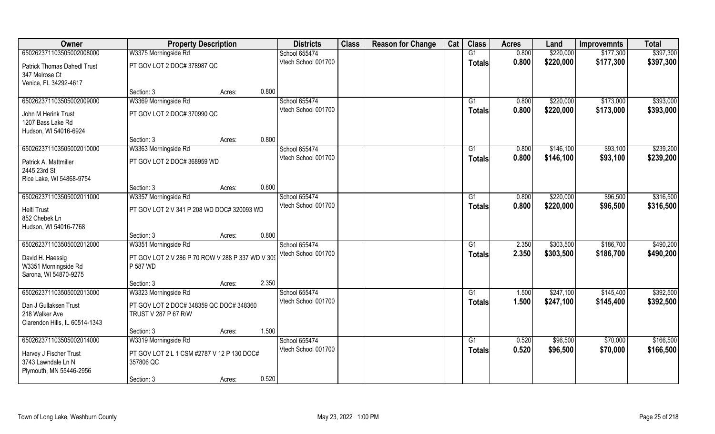| Owner                              | <b>Property Description</b>                      |        |       | <b>Districts</b>    | <b>Class</b> | <b>Reason for Change</b> | Cat | <b>Class</b>  | <b>Acres</b> | Land      | <b>Improvemnts</b> | <b>Total</b> |
|------------------------------------|--------------------------------------------------|--------|-------|---------------------|--------------|--------------------------|-----|---------------|--------------|-----------|--------------------|--------------|
| 650262371103505002008000           | W3375 Morningside Rd                             |        |       | School 655474       |              |                          |     | G1            | 0.800        | \$220,000 | \$177,300          | \$397,300    |
| <b>Patrick Thomas Dahedl Trust</b> | PT GOV LOT 2 DOC# 378987 QC                      |        |       | Vtech School 001700 |              |                          |     | <b>Totals</b> | 0.800        | \$220,000 | \$177,300          | \$397,300    |
| 347 Melrose Ct                     |                                                  |        |       |                     |              |                          |     |               |              |           |                    |              |
| Venice, FL 34292-4617              |                                                  |        |       |                     |              |                          |     |               |              |           |                    |              |
|                                    | Section: 3                                       | Acres: | 0.800 |                     |              |                          |     |               |              |           |                    |              |
| 650262371103505002009000           | W3369 Morningside Rd                             |        |       | School 655474       |              |                          |     | G1            | 0.800        | \$220,000 | \$173,000          | \$393,000    |
| John M Herink Trust                | PT GOV LOT 2 DOC# 370990 QC                      |        |       | Vtech School 001700 |              |                          |     | <b>Totals</b> | 0.800        | \$220,000 | \$173,000          | \$393,000    |
| 1207 Bass Lake Rd                  |                                                  |        |       |                     |              |                          |     |               |              |           |                    |              |
| Hudson, WI 54016-6924              |                                                  |        |       |                     |              |                          |     |               |              |           |                    |              |
|                                    | Section: 3                                       | Acres: | 0.800 |                     |              |                          |     |               |              |           |                    |              |
| 650262371103505002010000           | W3363 Morningside Rd                             |        |       | School 655474       |              |                          |     | G1            | 0.800        | \$146,100 | \$93,100           | \$239,200    |
| Patrick A. Mattmiller              | PT GOV LOT 2 DOC# 368959 WD                      |        |       | Vtech School 001700 |              |                          |     | <b>Totals</b> | 0.800        | \$146,100 | \$93,100           | \$239,200    |
| 2445 23rd St                       |                                                  |        |       |                     |              |                          |     |               |              |           |                    |              |
| Rice Lake, WI 54868-9754           |                                                  |        |       |                     |              |                          |     |               |              |           |                    |              |
|                                    | Section: 3                                       | Acres: | 0.800 |                     |              |                          |     |               |              |           |                    |              |
| 650262371103505002011000           | W3357 Morningside Rd                             |        |       | School 655474       |              |                          |     | G1            | 0.800        | \$220,000 | \$96,500           | \$316,500    |
| Heiti Trust                        | PT GOV LOT 2 V 341 P 208 WD DOC# 320093 WD       |        |       | Vtech School 001700 |              |                          |     | <b>Totals</b> | 0.800        | \$220,000 | \$96,500           | \$316,500    |
| 852 Chebek Ln                      |                                                  |        |       |                     |              |                          |     |               |              |           |                    |              |
| Hudson, WI 54016-7768              |                                                  |        |       |                     |              |                          |     |               |              |           |                    |              |
|                                    | Section: 3                                       | Acres: | 0.800 |                     |              |                          |     |               |              |           |                    |              |
| 650262371103505002012000           | W3351 Morningside Rd                             |        |       | School 655474       |              |                          |     | G1            | 2.350        | \$303,500 | \$186,700          | \$490,200    |
| David H. Haessig                   | PT GOV LOT 2 V 286 P 70 ROW V 288 P 337 WD V 309 |        |       | Vtech School 001700 |              |                          |     | <b>Totals</b> | 2.350        | \$303,500 | \$186,700          | \$490,200    |
| W3351 Morningside Rd               | P 587 WD                                         |        |       |                     |              |                          |     |               |              |           |                    |              |
| Sarona, WI 54870-9275              |                                                  |        |       |                     |              |                          |     |               |              |           |                    |              |
|                                    | Section: 3                                       | Acres: | 2.350 |                     |              |                          |     |               |              |           |                    |              |
| 650262371103505002013000           | W3323 Morningside Rd                             |        |       | School 655474       |              |                          |     | G1            | 1.500        | \$247,100 | \$145,400          | \$392,500    |
| Dan J Gullaksen Trust              | PT GOV LOT 2 DOC# 348359 QC DOC# 348360          |        |       | Vtech School 001700 |              |                          |     | <b>Totals</b> | 1.500        | \$247,100 | \$145,400          | \$392,500    |
| 218 Walker Ave                     | TRUST V 287 P 67 R/W                             |        |       |                     |              |                          |     |               |              |           |                    |              |
| Clarendon Hills, IL 60514-1343     |                                                  |        |       |                     |              |                          |     |               |              |           |                    |              |
|                                    | Section: 3                                       | Acres: | 1.500 |                     |              |                          |     |               |              |           |                    |              |
| 650262371103505002014000           | W3319 Morningside Rd                             |        |       | School 655474       |              |                          |     | G1            | 0.520        | \$96,500  | \$70,000           | \$166,500    |
| Harvey J Fischer Trust             | PT GOV LOT 2 L 1 CSM #2787 V 12 P 130 DOC#       |        |       | Vtech School 001700 |              |                          |     | <b>Totals</b> | 0.520        | \$96,500  | \$70,000           | \$166,500    |
| 3743 Lawndale Ln N                 | 357806 QC                                        |        |       |                     |              |                          |     |               |              |           |                    |              |
| Plymouth, MN 55446-2956            |                                                  |        |       |                     |              |                          |     |               |              |           |                    |              |
|                                    | Section: 3                                       | Acres: | 0.520 |                     |              |                          |     |               |              |           |                    |              |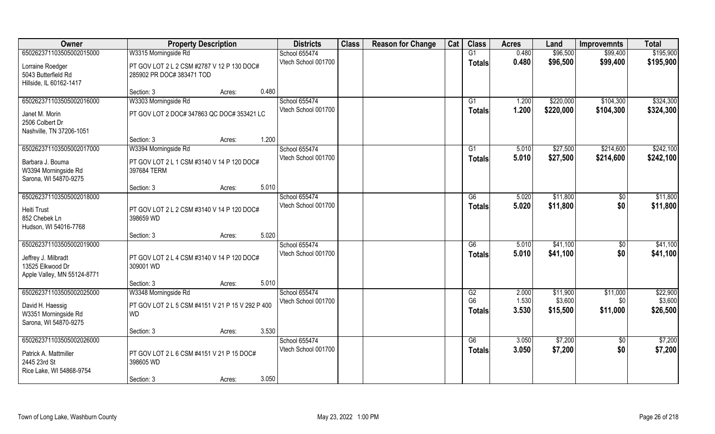| Owner                                                                                              | <b>Property Description</b>                                                           | <b>Districts</b>                     | <b>Class</b> | <b>Reason for Change</b> | Cat | <b>Class</b>                          | <b>Acres</b>            | Land                            | <b>Improvemnts</b>          | <b>Total</b>                    |
|----------------------------------------------------------------------------------------------------|---------------------------------------------------------------------------------------|--------------------------------------|--------------|--------------------------|-----|---------------------------------------|-------------------------|---------------------------------|-----------------------------|---------------------------------|
| 650262371103505002015000                                                                           | W3315 Morningside Rd                                                                  | School 655474                        |              |                          |     | G1                                    | 0.480                   | \$96,500                        | \$99,400                    | \$195,900                       |
| Lorraine Roedger<br>5043 Butterfield Rd<br>Hillside, IL 60162-1417                                 | PT GOV LOT 2 L 2 CSM #2787 V 12 P 130 DOC#<br>285902 PR DOC# 383471 TOD               | Vtech School 001700                  |              |                          |     | <b>Totals</b>                         | 0.480                   | \$96,500                        | \$99,400                    | \$195,900                       |
|                                                                                                    | 0.480<br>Section: 3<br>Acres:                                                         |                                      |              |                          |     |                                       |                         |                                 |                             |                                 |
| 650262371103505002016000<br>Janet M. Morin<br>2506 Colbert Dr<br>Nashville, TN 37206-1051          | W3303 Morningside Rd<br>PT GOV LOT 2 DOC# 347863 QC DOC# 353421 LC                    | School 655474<br>Vtech School 001700 |              |                          |     | G1<br>Totals                          | 1.200<br>1.200          | \$220,000<br>\$220,000          | \$104,300<br>\$104,300      | \$324,300<br>\$324,300          |
|                                                                                                    | 1.200<br>Section: 3<br>Acres:                                                         |                                      |              |                          |     |                                       |                         |                                 |                             |                                 |
| 650262371103505002017000                                                                           | W3394 Morningside Rd                                                                  | School 655474                        |              |                          |     | G1                                    | 5.010                   | \$27,500                        | \$214,600                   | \$242,100                       |
| Barbara J. Bouma<br>W3394 Morningside Rd<br>Sarona, WI 54870-9275                                  | PT GOV LOT 2 L 1 CSM #3140 V 14 P 120 DOC#<br>397684 TERM                             | Vtech School 001700                  |              |                          |     | <b>Totals</b>                         | 5.010                   | \$27,500                        | \$214,600                   | \$242,100                       |
|                                                                                                    | 5.010<br>Section: 3<br>Acres:                                                         |                                      |              |                          |     |                                       |                         |                                 |                             |                                 |
| 650262371103505002018000<br>Heiti Trust<br>852 Chebek Ln<br>Hudson, WI 54016-7768                  | PT GOV LOT 2 L 2 CSM #3140 V 14 P 120 DOC#<br>398659 WD                               | School 655474<br>Vtech School 001700 |              |                          |     | G6<br><b>Totals</b>                   | 5.020<br>5.020          | \$11,800<br>\$11,800            | $\sqrt[6]{3}$<br>\$0        | \$11,800<br>\$11,800            |
|                                                                                                    | 5.020<br>Section: 3<br>Acres:                                                         |                                      |              |                          |     |                                       |                         |                                 |                             |                                 |
| 650262371103505002019000<br>Jeffrey J. Milbradt<br>13525 Elkwood Dr<br>Apple Valley, MN 55124-8771 | PT GOV LOT 2 L 4 CSM #3140 V 14 P 120 DOC#<br>309001 WD                               | School 655474<br>Vtech School 001700 |              |                          |     | $\overline{G6}$<br><b>Totals</b>      | 5.010<br>5.010          | \$41,100<br>\$41,100            | \$0<br>\$0                  | \$41,100<br>\$41,100            |
|                                                                                                    | 5.010<br>Section: 3<br>Acres:                                                         |                                      |              |                          |     |                                       |                         |                                 |                             |                                 |
| 650262371103505002025000<br>David H. Haessig<br>W3351 Morningside Rd<br>Sarona, WI 54870-9275      | W3348 Morningside Rd<br>PT GOV LOT 2 L 5 CSM #4151 V 21 P 15 V 292 P 400<br><b>WD</b> | School 655474<br>Vtech School 001700 |              |                          |     | G2<br>G <sub>6</sub><br><b>Totals</b> | 2.000<br>1.530<br>3.530 | \$11,900<br>\$3,600<br>\$15,500 | \$11,000<br>\$0<br>\$11,000 | \$22,900<br>\$3,600<br>\$26,500 |
|                                                                                                    | 3.530<br>Section: 3<br>Acres:                                                         |                                      |              |                          |     |                                       |                         |                                 |                             |                                 |
| 650262371103505002026000<br>Patrick A. Mattmiller<br>2445 23rd St<br>Rice Lake, WI 54868-9754      | PT GOV LOT 2 L 6 CSM #4151 V 21 P 15 DOC#<br>398605 WD                                | School 655474<br>Vtech School 001700 |              |                          |     | G6<br>Totals                          | 3.050<br>3.050          | \$7,200<br>\$7,200              | $\overline{50}$<br>\$0      | \$7,200<br>\$7,200              |
|                                                                                                    | 3.050<br>Section: 3<br>Acres:                                                         |                                      |              |                          |     |                                       |                         |                                 |                             |                                 |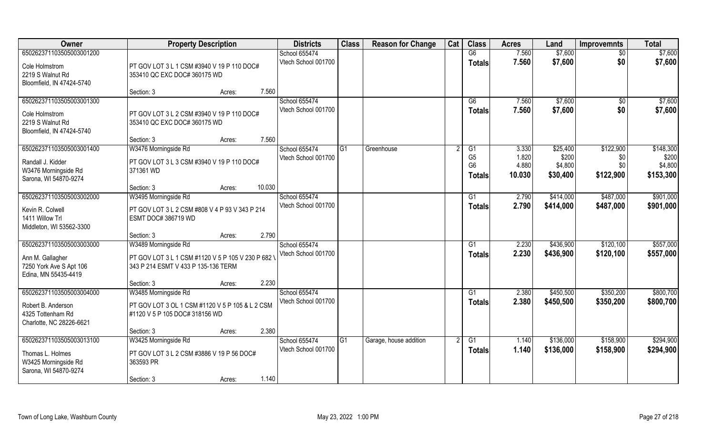| <b>Owner</b>                                                                                    | <b>Property Description</b>                                                                                                                        | <b>Districts</b>                            | <b>Class</b> | <b>Reason for Change</b> | Cat | <b>Class</b>                                            | <b>Acres</b>                      | Land                                     | <b>Improvemnts</b>                   | <b>Total</b>                               |
|-------------------------------------------------------------------------------------------------|----------------------------------------------------------------------------------------------------------------------------------------------------|---------------------------------------------|--------------|--------------------------|-----|---------------------------------------------------------|-----------------------------------|------------------------------------------|--------------------------------------|--------------------------------------------|
| 650262371103505003001200                                                                        |                                                                                                                                                    | School 655474                               |              |                          |     | G6                                                      | 7.560                             | \$7,600                                  | $\overline{50}$                      | \$7,600                                    |
| Cole Holmstrom<br>2219 S Walnut Rd<br>Bloomfield, IN 47424-5740                                 | PT GOV LOT 3 L 1 CSM #3940 V 19 P 110 DOC#<br>353410 QC EXC DOC# 360175 WD                                                                         | Vtech School 001700                         |              |                          |     | <b>Totals</b>                                           | 7.560                             | \$7,600                                  | \$0                                  | \$7,600                                    |
|                                                                                                 | 7.560<br>Section: 3<br>Acres:                                                                                                                      |                                             |              |                          |     |                                                         |                                   |                                          |                                      |                                            |
| 650262371103505003001300<br>Cole Holmstrom<br>2219 S Walnut Rd<br>Bloomfield, IN 47424-5740     | PT GOV LOT 3 L 2 CSM #3940 V 19 P 110 DOC#<br>353410 QC EXC DOC# 360175 WD                                                                         | <b>School 655474</b><br>Vtech School 001700 |              |                          |     | G6<br>Totals                                            | 7.560<br>7.560                    | \$7,600<br>\$7,600                       | \$0<br>\$0                           | \$7,600<br>\$7,600                         |
|                                                                                                 | 7.560<br>Section: 3<br>Acres:                                                                                                                      |                                             |              |                          |     |                                                         |                                   |                                          |                                      |                                            |
| 650262371103505003001400<br>Randall J. Kidder<br>W3476 Morningside Rd<br>Sarona, WI 54870-9274  | W3476 Morningside Rd<br>PT GOV LOT 3 L 3 CSM #3940 V 19 P 110 DOC#<br>371361 WD                                                                    | School 655474<br>Vtech School 001700        | IG1          | Greenhouse               |     | G1<br>G <sub>5</sub><br>G <sub>6</sub><br><b>Totals</b> | 3.330<br>1.820<br>4.880<br>10.030 | \$25,400<br>\$200<br>\$4,800<br>\$30,400 | \$122,900<br>\$0<br>\$0<br>\$122,900 | \$148,300<br>\$200<br>\$4,800<br>\$153,300 |
|                                                                                                 | 10.030<br>Section: 3<br>Acres:                                                                                                                     |                                             |              |                          |     |                                                         |                                   |                                          |                                      |                                            |
| 650262371103505003002000<br>Kevin R. Colwell<br>1411 Willow Trl<br>Middleton, WI 53562-3300     | W3495 Morningside Rd<br>PT GOV LOT 3 L 2 CSM #808 V 4 P 93 V 343 P 214<br>ESMT DOC# 386719 WD                                                      | School 655474<br>Vtech School 001700        |              |                          |     | G <sub>1</sub><br><b>Totals</b>                         | 2.790<br>2.790                    | \$414,000<br>\$414,000                   | \$487,000<br>\$487,000               | \$901,000<br>\$901,000                     |
|                                                                                                 | 2.790<br>Section: 3<br>Acres:                                                                                                                      |                                             |              |                          |     |                                                         |                                   |                                          |                                      |                                            |
| 650262371103505003003000<br>Ann M. Gallagher<br>7250 York Ave S Apt 106<br>Edina, MN 55435-4419 | W3489 Morningside Rd<br>PT GOV LOT 3 L 1 CSM #1120 V 5 P 105 V 230 P 682 '<br>343 P 214 ESMT V 433 P 135-136 TERM<br>2.230<br>Section: 3<br>Acres: | School 655474<br>Vtech School 001700        |              |                          |     | G <sub>1</sub><br><b>Totals</b>                         | 2.230<br>2.230                    | \$436,900<br>\$436,900                   | \$120,100<br>\$120,100               | \$557,000<br>\$557,000                     |
| 650262371103505003004000                                                                        | W3485 Morningside Rd                                                                                                                               | School 655474                               |              |                          |     | G1                                                      | 2.380                             | \$450,500                                | \$350,200                            | \$800,700                                  |
| Robert B. Anderson<br>4325 Tottenham Rd<br>Charlotte, NC 28226-6621                             | PT GOV LOT 3 OL 1 CSM #1120 V 5 P 105 & L 2 CSM<br>#1120 V 5 P 105 DOC# 318156 WD                                                                  | Vtech School 001700                         |              |                          |     | <b>Totals</b>                                           | 2.380                             | \$450,500                                | \$350,200                            | \$800,700                                  |
|                                                                                                 | 2.380<br>Section: 3<br>Acres:                                                                                                                      |                                             |              |                          |     |                                                         |                                   |                                          |                                      |                                            |
| 650262371103505003013100<br>Thomas L. Holmes<br>W3425 Morningside Rd<br>Sarona, WI 54870-9274   | W3425 Morningside Rd<br>PT GOV LOT 3 L 2 CSM #3886 V 19 P 56 DOC#<br>363593 PR<br>1.140<br>Section: 3<br>Acres:                                    | School 655474<br>Vtech School 001700        | G1           | Garage, house addition   |     | G1<br>Totals                                            | 1.140<br>1.140                    | \$136,000<br>\$136,000                   | \$158,900<br>\$158,900               | \$294,900<br>\$294,900                     |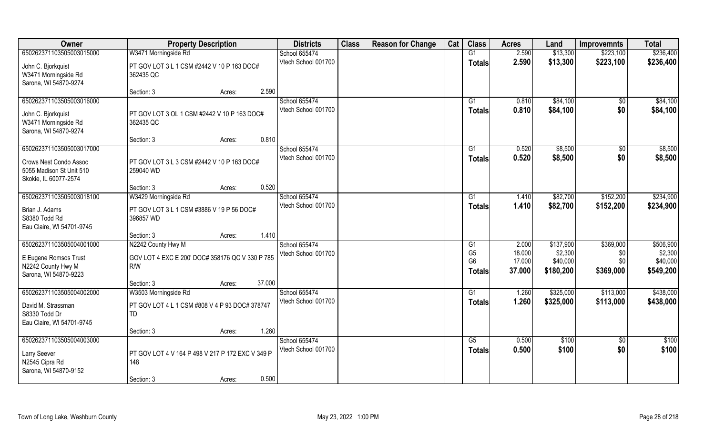| Owner                     | <b>Property Description</b>                      | <b>Districts</b>    | <b>Class</b> | <b>Reason for Change</b> | Cat | <b>Class</b>   | <b>Acres</b> | Land      | <b>Improvemnts</b> | <b>Total</b> |
|---------------------------|--------------------------------------------------|---------------------|--------------|--------------------------|-----|----------------|--------------|-----------|--------------------|--------------|
| 650262371103505003015000  | W3471 Morningside Rd                             | School 655474       |              |                          |     | G1             | 2.590        | \$13,300  | \$223,100          | \$236,400    |
| John C. Bjorkquist        | PT GOV LOT 3 L 1 CSM #2442 V 10 P 163 DOC#       | Vtech School 001700 |              |                          |     | <b>Totals</b>  | 2.590        | \$13,300  | \$223,100          | \$236,400    |
| W3471 Morningside Rd      | 362435 QC                                        |                     |              |                          |     |                |              |           |                    |              |
| Sarona, WI 54870-9274     |                                                  |                     |              |                          |     |                |              |           |                    |              |
|                           | 2.590<br>Section: 3<br>Acres:                    |                     |              |                          |     |                |              |           |                    |              |
| 650262371103505003016000  |                                                  | School 655474       |              |                          |     | G1             | 0.810        | \$84,100  | \$0                | \$84,100     |
| John C. Bjorkquist        | PT GOV LOT 3 OL 1 CSM #2442 V 10 P 163 DOC#      | Vtech School 001700 |              |                          |     | Totals         | 0.810        | \$84,100  | \$0                | \$84,100     |
| W3471 Morningside Rd      | 362435 QC                                        |                     |              |                          |     |                |              |           |                    |              |
| Sarona, WI 54870-9274     |                                                  |                     |              |                          |     |                |              |           |                    |              |
|                           | 0.810<br>Section: 3<br>Acres:                    |                     |              |                          |     |                |              |           |                    |              |
| 650262371103505003017000  |                                                  | School 655474       |              |                          |     | G1             | 0.520        | \$8,500   | \$0                | \$8,500      |
| Crows Nest Condo Assoc    | PT GOV LOT 3 L 3 CSM #2442 V 10 P 163 DOC#       | Vtech School 001700 |              |                          |     | <b>Totals</b>  | 0.520        | \$8,500   | \$0                | \$8,500      |
| 5055 Madison St Unit 510  | 259040 WD                                        |                     |              |                          |     |                |              |           |                    |              |
| Skokie, IL 60077-2574     |                                                  |                     |              |                          |     |                |              |           |                    |              |
|                           | 0.520<br>Section: 3<br>Acres:                    |                     |              |                          |     |                |              |           |                    |              |
| 650262371103505003018100  | W3429 Morningside Rd                             | School 655474       |              |                          |     | G1             | 1.410        | \$82,700  | \$152,200          | \$234,900    |
|                           |                                                  | Vtech School 001700 |              |                          |     | <b>Totals</b>  | 1.410        | \$82,700  | \$152,200          | \$234,900    |
| Brian J. Adams            | PT GOV LOT 3 L 1 CSM #3886 V 19 P 56 DOC#        |                     |              |                          |     |                |              |           |                    |              |
| S8380 Todd Rd             | 396857 WD                                        |                     |              |                          |     |                |              |           |                    |              |
| Eau Claire, WI 54701-9745 | 1.410<br>Section: 3                              |                     |              |                          |     |                |              |           |                    |              |
| 650262371103505004001000  | Acres:<br>N2242 County Hwy M                     | School 655474       |              |                          |     | G1             | 2.000        | \$137,900 | \$369,000          | \$506,900    |
|                           |                                                  | Vtech School 001700 |              |                          |     | G <sub>5</sub> | 18.000       | \$2,300   | \$0                | \$2,300      |
| E Eugene Romsos Trust     | GOV LOT 4 EXC E 200' DOC# 358176 QC V 330 P 785  |                     |              |                          |     | G <sub>6</sub> | 17.000       | \$40,000  |                    | \$40,000     |
| N2242 County Hwy M        | R/W                                              |                     |              |                          |     | <b>Totals</b>  | 37.000       | \$180,200 | \$369,000          | \$549,200    |
| Sarona, WI 54870-9223     |                                                  |                     |              |                          |     |                |              |           |                    |              |
|                           | 37.000<br>Section: 3<br>Acres:                   |                     |              |                          |     |                |              |           |                    |              |
| 650262371103505004002000  | W3503 Morningside Rd                             | School 655474       |              |                          |     | G1             | 1.260        | \$325,000 | \$113,000          | \$438,000    |
| David M. Strassman        | PT GOV LOT 4 L 1 CSM #808 V 4 P 93 DOC# 378747   | Vtech School 001700 |              |                          |     | <b>Totals</b>  | 1.260        | \$325,000 | \$113,000          | \$438,000    |
| S8330 Todd Dr             | TD                                               |                     |              |                          |     |                |              |           |                    |              |
| Eau Claire, WI 54701-9745 |                                                  |                     |              |                          |     |                |              |           |                    |              |
|                           | 1.260<br>Section: 3<br>Acres:                    |                     |              |                          |     |                |              |           |                    |              |
| 650262371103505004003000  |                                                  | School 655474       |              |                          |     | G5             | 0.500        | \$100     | $\overline{30}$    | \$100        |
| Larry Seever              | PT GOV LOT 4 V 164 P 498 V 217 P 172 EXC V 349 P | Vtech School 001700 |              |                          |     | Totals         | 0.500        | \$100     | \$0                | \$100        |
| N2545 Cipra Rd            | 148                                              |                     |              |                          |     |                |              |           |                    |              |
| Sarona, WI 54870-9152     |                                                  |                     |              |                          |     |                |              |           |                    |              |
|                           | 0.500<br>Section: 3<br>Acres:                    |                     |              |                          |     |                |              |           |                    |              |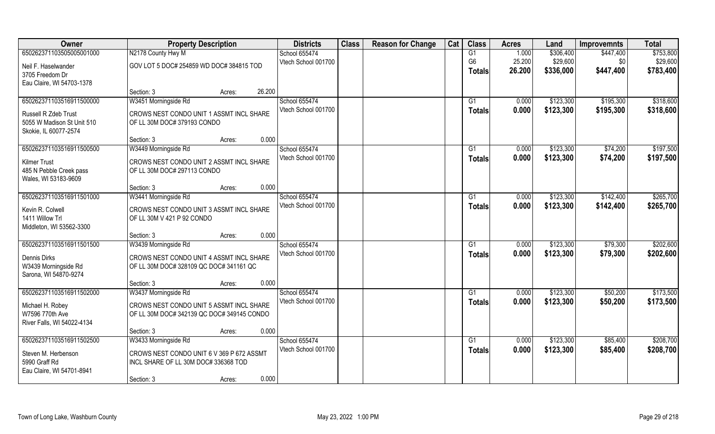| Owner                      | <b>Property Description</b>                | <b>Districts</b>     | <b>Class</b> | <b>Reason for Change</b> | Cat | <b>Class</b>   | <b>Acres</b> | Land      | <b>Improvemnts</b> | <b>Total</b> |
|----------------------------|--------------------------------------------|----------------------|--------------|--------------------------|-----|----------------|--------------|-----------|--------------------|--------------|
| 650262371103505005001000   | N2178 County Hwy M                         | School 655474        |              |                          |     | G1             | 1.000        | \$306,400 | \$447,400          | \$753,800    |
| Neil F. Haselwander        | GOV LOT 5 DOC# 254859 WD DOC# 384815 TOD   | Vtech School 001700  |              |                          |     | G <sub>6</sub> | 25.200       | \$29,600  | \$0                | \$29,600     |
| 3705 Freedom Dr            |                                            |                      |              |                          |     | <b>Totals</b>  | 26.200       | \$336,000 | \$447,400          | \$783,400    |
| Eau Claire, WI 54703-1378  |                                            |                      |              |                          |     |                |              |           |                    |              |
|                            | 26.200<br>Section: 3<br>Acres:             |                      |              |                          |     |                |              |           |                    |              |
| 650262371103516911500000   | W3451 Morningside Rd                       | <b>School 655474</b> |              |                          |     | G1             | 0.000        | \$123,300 | \$195,300          | \$318,600    |
| Russell R Zdeb Trust       | CROWS NEST CONDO UNIT 1 ASSMT INCL SHARE   | Vtech School 001700  |              |                          |     | Totals         | 0.000        | \$123,300 | \$195,300          | \$318,600    |
| 5055 W Madison St Unit 510 | OF LL 30M DOC# 379193 CONDO                |                      |              |                          |     |                |              |           |                    |              |
| Skokie, IL 60077-2574      |                                            |                      |              |                          |     |                |              |           |                    |              |
|                            | 0.000<br>Section: 3<br>Acres:              |                      |              |                          |     |                |              |           |                    |              |
| 650262371103516911500500   | W3449 Morningside Rd                       | School 655474        |              |                          |     | G1             | 0.000        | \$123,300 | \$74,200           | \$197,500    |
| <b>Kilmer Trust</b>        | CROWS NEST CONDO UNIT 2 ASSMT INCL SHARE   | Vtech School 001700  |              |                          |     | <b>Totals</b>  | 0.000        | \$123,300 | \$74,200           | \$197,500    |
| 485 N Pebble Creek pass    | OF LL 30M DOC# 297113 CONDO                |                      |              |                          |     |                |              |           |                    |              |
| Wales, WI 53183-9609       |                                            |                      |              |                          |     |                |              |           |                    |              |
|                            | 0.000<br>Section: 3<br>Acres:              |                      |              |                          |     |                |              |           |                    |              |
| 650262371103516911501000   | W3441 Morningside Rd                       | School 655474        |              |                          |     | G <sub>1</sub> | 0.000        | \$123,300 | \$142,400          | \$265,700    |
| Kevin R. Colwell           | CROWS NEST CONDO UNIT 3 ASSMT INCL SHARE   | Vtech School 001700  |              |                          |     | <b>Totals</b>  | 0.000        | \$123,300 | \$142,400          | \$265,700    |
| 1411 Willow Trl            | OF LL 30M V 421 P 92 CONDO                 |                      |              |                          |     |                |              |           |                    |              |
| Middleton, WI 53562-3300   |                                            |                      |              |                          |     |                |              |           |                    |              |
|                            | 0.000<br>Section: 3<br>Acres:              |                      |              |                          |     |                |              |           |                    |              |
| 650262371103516911501500   | W3439 Morningside Rd                       | School 655474        |              |                          |     | G1             | 0.000        | \$123,300 | \$79,300           | \$202,600    |
| Dennis Dirks               | CROWS NEST CONDO UNIT 4 ASSMT INCL SHARE   | Vtech School 001700  |              |                          |     | <b>Totals</b>  | 0.000        | \$123,300 | \$79,300           | \$202,600    |
| W3439 Morningside Rd       | OF LL 30M DOC# 328109 QC DOC# 341161 QC    |                      |              |                          |     |                |              |           |                    |              |
| Sarona, WI 54870-9274      |                                            |                      |              |                          |     |                |              |           |                    |              |
|                            | 0.000<br>Section: 3<br>Acres:              |                      |              |                          |     |                |              |           |                    |              |
| 650262371103516911502000   | W3437 Morningside Rd                       | School 655474        |              |                          |     | G <sub>1</sub> | 0.000        | \$123,300 | \$50,200           | \$173,500    |
| Michael H. Robey           | CROWS NEST CONDO UNIT 5 ASSMT INCL SHARE   | Vtech School 001700  |              |                          |     | <b>Totals</b>  | 0.000        | \$123,300 | \$50,200           | \$173,500    |
| W7596 770th Ave            | OF LL 30M DOC# 342139 QC DOC# 349145 CONDO |                      |              |                          |     |                |              |           |                    |              |
| River Falls, WI 54022-4134 |                                            |                      |              |                          |     |                |              |           |                    |              |
|                            | 0.000<br>Section: 3<br>Acres:              |                      |              |                          |     |                |              |           |                    |              |
| 650262371103516911502500   | W3433 Morningside Rd                       | School 655474        |              |                          |     | G1             | 0.000        | \$123,300 | \$85,400           | \$208,700    |
| Steven M. Herbenson        | CROWS NEST CONDO UNIT 6 V 369 P 672 ASSMT  | Vtech School 001700  |              |                          |     | <b>Totals</b>  | 0.000        | \$123,300 | \$85,400           | \$208,700    |
| 5990 Graff Rd              | INCL SHARE OF LL 30M DOC# 336368 TOD       |                      |              |                          |     |                |              |           |                    |              |
| Eau Claire, WI 54701-8941  |                                            |                      |              |                          |     |                |              |           |                    |              |
|                            | 0.000<br>Section: 3<br>Acres:              |                      |              |                          |     |                |              |           |                    |              |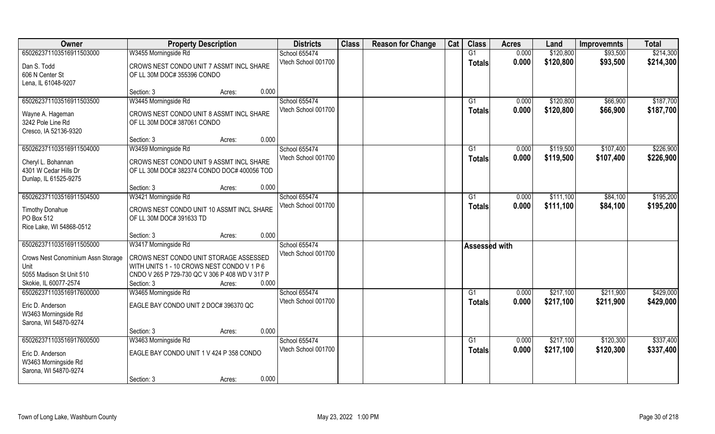| Owner                                                                                                                       | <b>Property Description</b>                                                                                                                                                  |        | <b>Districts</b>                              | <b>Class</b> | <b>Reason for Change</b> | Cat | <b>Class</b>         | <b>Acres</b> | Land      | <b>Improvemnts</b> | <b>Total</b> |
|-----------------------------------------------------------------------------------------------------------------------------|------------------------------------------------------------------------------------------------------------------------------------------------------------------------------|--------|-----------------------------------------------|--------------|--------------------------|-----|----------------------|--------------|-----------|--------------------|--------------|
| 650262371103516911503000                                                                                                    | W3455 Morningside Rd                                                                                                                                                         |        | School 655474                                 |              |                          |     | G1                   | 0.000        | \$120,800 | \$93,500           | \$214,300    |
| Dan S. Todd<br>606 N Center St<br>Lena, IL 61048-9207                                                                       | CROWS NEST CONDO UNIT 7 ASSMT INCL SHARE<br>OF LL 30M DOC# 355396 CONDO                                                                                                      |        | Vtech School 001700                           |              |                          |     | Totals               | 0.000        | \$120,800 | \$93,500           | \$214,300    |
|                                                                                                                             | Section: 3                                                                                                                                                                   | Acres: | 0.000                                         |              |                          |     |                      |              |           |                    |              |
| 650262371103516911503500                                                                                                    | W3445 Morningside Rd                                                                                                                                                         |        | School 655474                                 |              |                          |     | $\overline{G1}$      | 0.000        | \$120,800 | \$66,900           | \$187,700    |
| Wayne A. Hageman<br>3242 Pole Line Rd<br>Cresco, IA 52136-9320                                                              | CROWS NEST CONDO UNIT 8 ASSMT INCL SHARE<br>OF LL 30M DOC# 387061 CONDO                                                                                                      |        | Vtech School 001700                           |              |                          |     | <b>Totals</b>        | 0.000        | \$120,800 | \$66,900           | \$187,700    |
|                                                                                                                             | Section: 3                                                                                                                                                                   | Acres: | 0.000                                         |              |                          |     |                      |              |           |                    |              |
| 650262371103516911504000                                                                                                    | W3459 Morningside Rd                                                                                                                                                         |        | School 655474                                 |              |                          |     | $\overline{G1}$      | 0.000        | \$119,500 | \$107,400          | \$226,900    |
| Cheryl L. Bohannan<br>4301 W Cedar Hills Dr<br>Dunlap, IL 61525-9275                                                        | CROWS NEST CONDO UNIT 9 ASSMT INCL SHARE<br>OF LL 30M DOC# 382374 CONDO DOC# 400056 TOD                                                                                      |        | Vtech School 001700                           |              |                          |     | <b>Totals</b>        | 0.000        | \$119,500 | \$107,400          | \$226,900    |
|                                                                                                                             | Section: 3                                                                                                                                                                   | Acres: | 0.000                                         |              |                          |     |                      |              |           |                    |              |
| 650262371103516911504500                                                                                                    | W3421 Morningside Rd                                                                                                                                                         |        | School 655474                                 |              |                          |     | G1                   | 0.000        | \$111,100 | \$84,100           | \$195,200    |
| <b>Timothy Donahue</b><br>PO Box 512<br>Rice Lake, WI 54868-0512                                                            | CROWS NEST CONDO UNIT 10 ASSMT INCL SHARE<br>OF LL 30M DOC# 391633 TD                                                                                                        |        | Vtech School 001700                           |              |                          |     | <b>Totals</b>        | 0.000        | \$111,100 | \$84,100           | \$195,200    |
|                                                                                                                             | Section: 3                                                                                                                                                                   | Acres: | 0.000                                         |              |                          |     |                      |              |           |                    |              |
| 650262371103516911505000<br>Crows Nest Conominium Assn Storage<br>Unit<br>5055 Madison St Unit 510<br>Skokie, IL 60077-2574 | W3417 Morningside Rd<br>CROWS NEST CONDO UNIT STORAGE ASSESSED<br>WITH UNITS 1 - 10 CROWS NEST CONDO V 1 P 6<br>CNDO V 265 P 729-730 QC V 306 P 408 WD V 317 P<br>Section: 3 | Acres: | School 655474<br>Vtech School 001700<br>0.000 |              |                          |     | <b>Assessed with</b> |              |           |                    |              |
| 650262371103516917600000                                                                                                    | W3465 Morningside Rd                                                                                                                                                         |        | School 655474                                 |              |                          |     | G1                   | 0.000        | \$217,100 | \$211,900          | \$429,000    |
| Eric D. Anderson<br>W3463 Morningside Rd<br>Sarona, WI 54870-9274                                                           | EAGLE BAY CONDO UNIT 2 DOC# 396370 QC                                                                                                                                        |        | Vtech School 001700                           |              |                          |     | Totals               | 0.000        | \$217,100 | \$211,900          | \$429,000    |
|                                                                                                                             | Section: 3                                                                                                                                                                   | Acres: | 0.000                                         |              |                          |     |                      |              |           |                    |              |
| 650262371103516917600500                                                                                                    | W3463 Morningside Rd                                                                                                                                                         |        | School 655474                                 |              |                          |     | $\overline{G1}$      | 0.000        | \$217,100 | \$120,300          | \$337,400    |
| Eric D. Anderson<br>W3463 Morningside Rd<br>Sarona, WI 54870-9274                                                           | EAGLE BAY CONDO UNIT 1 V 424 P 358 CONDO                                                                                                                                     |        | Vtech School 001700                           |              |                          |     | <b>Totals</b>        | 0.000        | \$217,100 | \$120,300          | \$337,400    |
|                                                                                                                             | Section: 3                                                                                                                                                                   | Acres: | 0.000                                         |              |                          |     |                      |              |           |                    |              |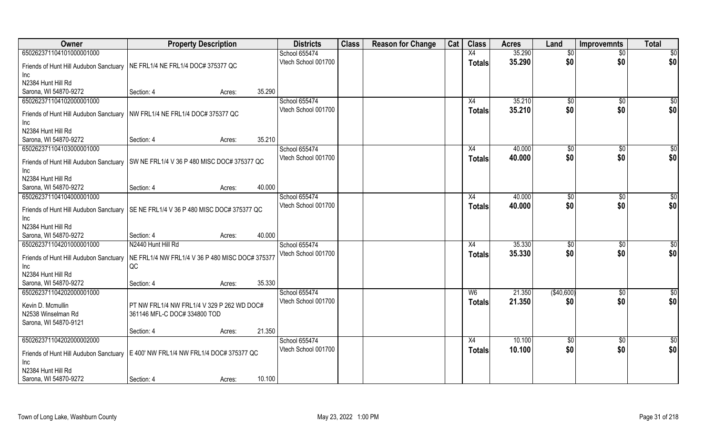| Owner                                                | <b>Property Description</b>                       |        |        | <b>Districts</b>                     | <b>Class</b> | <b>Reason for Change</b> | Cat | <b>Class</b>   | <b>Acres</b> | Land            | <b>Improvemnts</b> | <b>Total</b>    |
|------------------------------------------------------|---------------------------------------------------|--------|--------|--------------------------------------|--------------|--------------------------|-----|----------------|--------------|-----------------|--------------------|-----------------|
| 650262371104101000001000                             |                                                   |        |        | School 655474                        |              |                          |     | X4             | 35.290       | $\overline{50}$ | $\overline{50}$    | $\overline{50}$ |
| Friends of Hunt Hill Audubon Sanctuary               | NE FRL1/4 NE FRL1/4 DOC# 375377 QC                |        |        | Vtech School 001700                  |              |                          |     | <b>Totals</b>  | 35.290       | \$0             | \$0                | \$0             |
| Inc                                                  |                                                   |        |        |                                      |              |                          |     |                |              |                 |                    |                 |
| N2384 Hunt Hill Rd                                   |                                                   |        |        |                                      |              |                          |     |                |              |                 |                    |                 |
| Sarona, WI 54870-9272                                | Section: 4                                        | Acres: | 35.290 |                                      |              |                          |     |                |              |                 |                    |                 |
| 650262371104102000001000                             |                                                   |        |        | School 655474                        |              |                          |     | X4             | 35.210       | $\sqrt[6]{}$    | \$0                | $\overline{50}$ |
| Friends of Hunt Hill Audubon Sanctuary               | NW FRL1/4 NE FRL1/4 DOC# 375377 QC                |        |        | Vtech School 001700                  |              |                          |     | <b>Totals</b>  | 35.210       | \$0             | \$0                | \$0             |
| Inc                                                  |                                                   |        |        |                                      |              |                          |     |                |              |                 |                    |                 |
| N2384 Hunt Hill Rd                                   |                                                   |        |        |                                      |              |                          |     |                |              |                 |                    |                 |
| Sarona, WI 54870-9272                                | Section: 4                                        | Acres: | 35.210 |                                      |              |                          |     |                |              |                 |                    |                 |
| 650262371104103000001000                             |                                                   |        |        | School 655474                        |              |                          |     | X4             | 40.000       | \$0             | \$0                | \$0             |
|                                                      |                                                   |        |        | Vtech School 001700                  |              |                          |     | <b>Totals</b>  | 40.000       | \$0             | \$0                | \$0             |
| Friends of Hunt Hill Audubon Sanctuary<br><b>Inc</b> | SW NE FRL1/4 V 36 P 480 MISC DOC# 375377 QC       |        |        |                                      |              |                          |     |                |              |                 |                    |                 |
| N2384 Hunt Hill Rd                                   |                                                   |        |        |                                      |              |                          |     |                |              |                 |                    |                 |
| Sarona, WI 54870-9272                                | Section: 4                                        | Acres: | 40.000 |                                      |              |                          |     |                |              |                 |                    |                 |
| 650262371104104000001000                             |                                                   |        |        | School 655474                        |              |                          |     | X4             | 40.000       | $\sqrt[6]{3}$   | $\sqrt[6]{}$       | \$              |
|                                                      |                                                   |        |        | Vtech School 001700                  |              |                          |     | <b>Totals</b>  | 40.000       | \$0             | \$0                | \$0             |
| Friends of Hunt Hill Audubon Sanctuary               | SE NE FRL1/4 V 36 P 480 MISC DOC# 375377 QC       |        |        |                                      |              |                          |     |                |              |                 |                    |                 |
| Inc<br>N2384 Hunt Hill Rd                            |                                                   |        |        |                                      |              |                          |     |                |              |                 |                    |                 |
| Sarona, WI 54870-9272                                | Section: 4                                        | Acres: | 40.000 |                                      |              |                          |     |                |              |                 |                    |                 |
| 650262371104201000001000                             | N2440 Hunt Hill Rd                                |        |        | School 655474                        |              |                          |     | X4             | 35.330       | $\sqrt[6]{30}$  | $\sqrt[6]{30}$     | \$0             |
|                                                      |                                                   |        |        | Vtech School 001700                  |              |                          |     | <b>Totals</b>  | 35.330       | \$0             | \$0                | \$0             |
| Friends of Hunt Hill Audubon Sanctuary               | NE FRL1/4 NW FRL1/4 V 36 P 480 MISC DOC# 375377   |        |        |                                      |              |                          |     |                |              |                 |                    |                 |
| Inc                                                  | QC                                                |        |        |                                      |              |                          |     |                |              |                 |                    |                 |
| N2384 Hunt Hill Rd                                   |                                                   |        |        |                                      |              |                          |     |                |              |                 |                    |                 |
| Sarona, WI 54870-9272<br>650262371104202000001000    | Section: 4                                        | Acres: | 35.330 | School 655474                        |              |                          |     |                | 21.350       | (\$40,600)      |                    |                 |
|                                                      |                                                   |        |        | Vtech School 001700                  |              |                          |     | W <sub>6</sub> | 21.350       | \$0             | \$0<br>\$0         | \$0<br>\$0      |
| Kevin D. Mcmullin                                    | PT NW FRL1/4 NW FRL1/4 V 329 P 262 WD DOC#        |        |        |                                      |              |                          |     | <b>Totals</b>  |              |                 |                    |                 |
| N2538 Winselman Rd                                   | 361146 MFL-C DOC# 334800 TOD                      |        |        |                                      |              |                          |     |                |              |                 |                    |                 |
| Sarona, WI 54870-9121                                |                                                   |        |        |                                      |              |                          |     |                |              |                 |                    |                 |
|                                                      | Section: 4                                        | Acres: | 21.350 |                                      |              |                          |     |                |              |                 |                    |                 |
| 650262371104202000002000                             |                                                   |        |        | School 655474<br>Vtech School 001700 |              |                          |     | X4             | 10.100       | \$0             | $\overline{30}$    | \$0             |
| Friends of Hunt Hill Audubon Sanctuary               | $\vert$ E 400' NW FRL1/4 NW FRL1/4 DOC# 375377 QC |        |        |                                      |              |                          |     | Totals         | 10.100       | \$0             | \$0                | \$0             |
| Inc                                                  |                                                   |        |        |                                      |              |                          |     |                |              |                 |                    |                 |
| N2384 Hunt Hill Rd                                   |                                                   |        |        |                                      |              |                          |     |                |              |                 |                    |                 |
| Sarona, WI 54870-9272                                | Section: 4                                        | Acres: | 10.100 |                                      |              |                          |     |                |              |                 |                    |                 |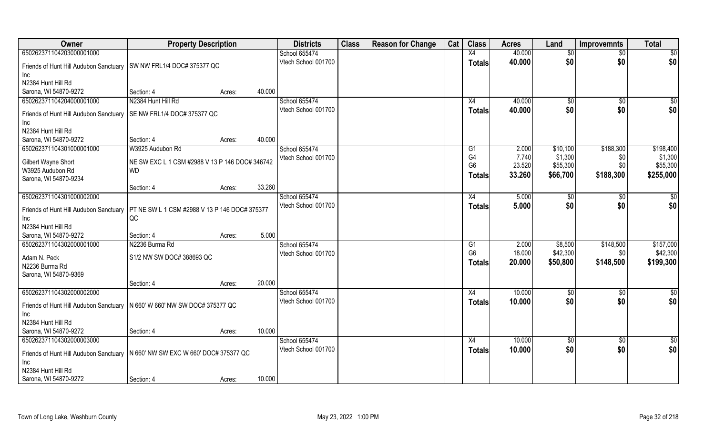| Owner                                       | <b>Property Description</b>                                 |                  | <b>Districts</b>    | <b>Class</b> | <b>Reason for Change</b> | Cat | <b>Class</b>    | <b>Acres</b> | Land        | <b>Improvemnts</b> | <b>Total</b> |
|---------------------------------------------|-------------------------------------------------------------|------------------|---------------------|--------------|--------------------------|-----|-----------------|--------------|-------------|--------------------|--------------|
| 650262371104203000001000                    |                                                             |                  | School 655474       |              |                          |     | X4              | 40.000       | \$0         | \$0                | \$0          |
| Friends of Hunt Hill Audubon Sanctuary      | SW NW FRL1/4 DOC# 375377 QC                                 |                  | Vtech School 001700 |              |                          |     | <b>Totals</b>   | 40.000       | \$0         | \$0                | \$0          |
| Inc.                                        |                                                             |                  |                     |              |                          |     |                 |              |             |                    |              |
| N2384 Hunt Hill Rd                          |                                                             |                  |                     |              |                          |     |                 |              |             |                    |              |
| Sarona, WI 54870-9272                       | Section: 4                                                  | 40.000<br>Acres: |                     |              |                          |     |                 |              |             |                    |              |
| 650262371104204000001000                    | N2384 Hunt Hill Rd                                          |                  | School 655474       |              |                          |     | X4              | 40.000       | $\sqrt{50}$ | $\sqrt{$0}$        | \$0          |
| Friends of Hunt Hill Audubon Sanctuary      | SE NW FRL1/4 DOC# 375377 QC                                 |                  | Vtech School 001700 |              |                          |     | Totals          | 40.000       | \$0         | \$0                | \$0          |
| Inc                                         |                                                             |                  |                     |              |                          |     |                 |              |             |                    |              |
| N2384 Hunt Hill Rd                          |                                                             |                  |                     |              |                          |     |                 |              |             |                    |              |
| Sarona, WI 54870-9272                       | Section: 4                                                  | 40.000<br>Acres: |                     |              |                          |     |                 |              |             |                    |              |
| 650262371104301000001000                    | W3925 Audubon Rd                                            |                  | School 655474       |              |                          |     | G1              | 2.000        | \$10,100    | \$188,300          | \$198,400    |
|                                             |                                                             |                  | Vtech School 001700 |              |                          |     | G4              | 7.740        | \$1,300     | \$0                | \$1,300      |
| Gilbert Wayne Short                         | NE SW EXC L 1 CSM #2988 V 13 P 146 DOC# 346742<br><b>WD</b> |                  |                     |              |                          |     | G <sub>6</sub>  | 23.520       | \$55,300    | \$0                | \$55,300     |
| W3925 Audubon Rd<br>Sarona, WI 54870-9234   |                                                             |                  |                     |              |                          |     | Totals          | 33.260       | \$66,700    | \$188,300          | \$255,000    |
|                                             | Section: 4                                                  | 33.260<br>Acres: |                     |              |                          |     |                 |              |             |                    |              |
| 650262371104301000002000                    |                                                             |                  | School 655474       |              |                          |     | X4              | 5.000        | \$0         | \$0                | \$0          |
|                                             |                                                             |                  | Vtech School 001700 |              |                          |     | Totals          | 5.000        | \$0         | \$0                | \$0          |
| Friends of Hunt Hill Audubon Sanctuary      | PT NE SW L 1 CSM #2988 V 13 P 146 DOC# 375377               |                  |                     |              |                          |     |                 |              |             |                    |              |
| Inc                                         | QC                                                          |                  |                     |              |                          |     |                 |              |             |                    |              |
| N2384 Hunt Hill Rd<br>Sarona, WI 54870-9272 |                                                             | 5.000            |                     |              |                          |     |                 |              |             |                    |              |
| 650262371104302000001000                    | Section: 4<br>N2236 Burma Rd                                | Acres:           | School 655474       |              |                          |     | G1              | 2.000        | \$8,500     | \$148,500          | \$157,000    |
|                                             |                                                             |                  | Vtech School 001700 |              |                          |     | G <sub>6</sub>  | 18.000       | \$42,300    | \$0                | \$42,300     |
| Adam N. Peck                                | S1/2 NW SW DOC# 388693 QC                                   |                  |                     |              |                          |     | Totals          | 20.000       | \$50,800    | \$148,500          | \$199,300    |
| N2236 Burma Rd                              |                                                             |                  |                     |              |                          |     |                 |              |             |                    |              |
| Sarona, WI 54870-9369                       |                                                             |                  |                     |              |                          |     |                 |              |             |                    |              |
|                                             | Section: 4                                                  | 20.000<br>Acres: |                     |              |                          |     |                 |              |             |                    |              |
| 650262371104302000002000                    |                                                             |                  | School 655474       |              |                          |     | $\overline{X4}$ | 10.000       | \$0         | \$0                | \$0          |
| Friends of Hunt Hill Audubon Sanctuary      | N 660' W 660' NW SW DOC# 375377 QC                          |                  | Vtech School 001700 |              |                          |     | <b>Totals</b>   | 10.000       | \$0         | \$0                | \$0          |
| Inc                                         |                                                             |                  |                     |              |                          |     |                 |              |             |                    |              |
| N2384 Hunt Hill Rd                          |                                                             |                  |                     |              |                          |     |                 |              |             |                    |              |
| Sarona, WI 54870-9272                       | Section: 4                                                  | 10.000<br>Acres: |                     |              |                          |     |                 |              |             |                    |              |
| 650262371104302000003000                    |                                                             |                  | School 655474       |              |                          |     | $\overline{X4}$ | 10.000       | \$0         | $\sqrt{$0}$        | \$0          |
| Friends of Hunt Hill Audubon Sanctuary      | N 660' NW SW EXC W 660' DOC# 375377 QC                      |                  | Vtech School 001700 |              |                          |     | <b>Totals</b>   | 10.000       | \$0         | \$0                | \$0          |
| Inc                                         |                                                             |                  |                     |              |                          |     |                 |              |             |                    |              |
| N2384 Hunt Hill Rd                          |                                                             |                  |                     |              |                          |     |                 |              |             |                    |              |
| Sarona, WI 54870-9272                       | Section: 4                                                  | 10.000<br>Acres: |                     |              |                          |     |                 |              |             |                    |              |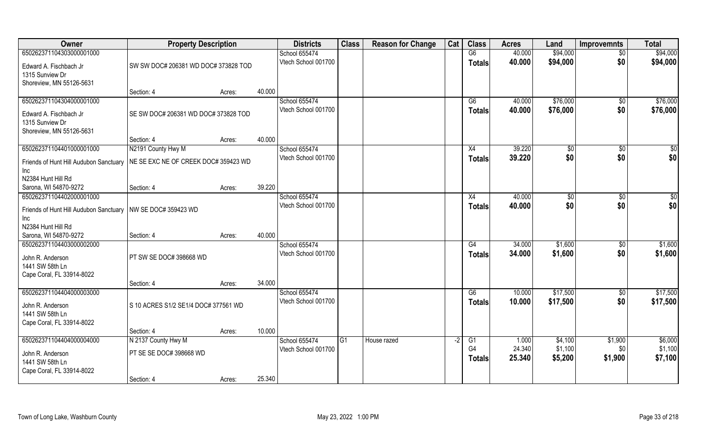| Owner                                     | <b>Property Description</b>          |        |        | <b>Districts</b>    | <b>Class</b> | <b>Reason for Change</b> | Cat  | <b>Class</b>    | <b>Acres</b> | Land           | <b>Improvemnts</b> | <b>Total</b> |
|-------------------------------------------|--------------------------------------|--------|--------|---------------------|--------------|--------------------------|------|-----------------|--------------|----------------|--------------------|--------------|
| 650262371104303000001000                  |                                      |        |        | School 655474       |              |                          |      | G6              | 40.000       | \$94,000       | $\overline{50}$    | \$94,000     |
| Edward A. Fischbach Jr<br>1315 Sunview Dr | SW SW DOC# 206381 WD DOC# 373828 TOD |        |        | Vtech School 001700 |              |                          |      | <b>Totals</b>   | 40.000       | \$94,000       | \$0                | \$94,000     |
| Shoreview, MN 55126-5631                  |                                      |        |        |                     |              |                          |      |                 |              |                |                    |              |
|                                           | Section: 4                           | Acres: | 40.000 |                     |              |                          |      |                 |              |                |                    |              |
| 650262371104304000001000                  |                                      |        |        | School 655474       |              |                          |      | $\overline{G6}$ | 40.000       | \$76,000       | \$0                | \$76,000     |
| Edward A. Fischbach Jr                    | SE SW DOC# 206381 WD DOC# 373828 TOD |        |        | Vtech School 001700 |              |                          |      | <b>Totals</b>   | 40.000       | \$76,000       | \$0                | \$76,000     |
| 1315 Sunview Dr                           |                                      |        |        |                     |              |                          |      |                 |              |                |                    |              |
| Shoreview, MN 55126-5631                  |                                      |        |        |                     |              |                          |      |                 |              |                |                    |              |
|                                           | Section: 4                           | Acres: | 40.000 |                     |              |                          |      |                 |              |                |                    |              |
| 650262371104401000001000                  | N2191 County Hwy M                   |        |        | School 655474       |              |                          |      | X4              | 39.220       | $\sqrt[6]{3}$  | $\sqrt[6]{3}$      | \$0          |
| Friends of Hunt Hill Audubon Sanctuary    | NE SE EXC NE OF CREEK DOC# 359423 WD |        |        | Vtech School 001700 |              |                          |      | <b>Totals</b>   | 39.220       | \$0            | \$0                | \$0          |
| Inc                                       |                                      |        |        |                     |              |                          |      |                 |              |                |                    |              |
| N2384 Hunt Hill Rd                        |                                      |        |        |                     |              |                          |      |                 |              |                |                    |              |
| Sarona, WI 54870-9272                     | Section: 4                           | Acres: | 39.220 |                     |              |                          |      |                 |              |                |                    |              |
| 650262371104402000001000                  |                                      |        |        | School 655474       |              |                          |      | X4              | 40.000       | $\frac{1}{20}$ | $\sqrt[6]{3}$      | \$0          |
| Friends of Hunt Hill Audubon Sanctuary    | NW SE DOC# 359423 WD                 |        |        | Vtech School 001700 |              |                          |      | <b>Totals</b>   | 40.000       | \$0            | \$0                | \$0          |
| Inc                                       |                                      |        |        |                     |              |                          |      |                 |              |                |                    |              |
| N2384 Hunt Hill Rd                        |                                      |        |        |                     |              |                          |      |                 |              |                |                    |              |
| Sarona, WI 54870-9272                     | Section: 4                           | Acres: | 40.000 |                     |              |                          |      |                 |              |                |                    |              |
| 650262371104403000002000                  |                                      |        |        | School 655474       |              |                          |      | G4              | 34.000       | \$1,600        | \$0                | \$1,600      |
|                                           |                                      |        |        | Vtech School 001700 |              |                          |      | <b>Totals</b>   | 34.000       | \$1,600        | \$0                | \$1,600      |
| John R. Anderson<br>1441 SW 58th Ln       | PT SW SE DOC# 398668 WD              |        |        |                     |              |                          |      |                 |              |                |                    |              |
| Cape Coral, FL 33914-8022                 |                                      |        |        |                     |              |                          |      |                 |              |                |                    |              |
|                                           | Section: 4                           | Acres: | 34.000 |                     |              |                          |      |                 |              |                |                    |              |
| 650262371104404000003000                  |                                      |        |        | School 655474       |              |                          |      | G6              | 10.000       | \$17,500       | \$0                | \$17,500     |
|                                           |                                      |        |        | Vtech School 001700 |              |                          |      | <b>Totals</b>   | 10.000       | \$17,500       | \$0                | \$17,500     |
| John R. Anderson                          | S 10 ACRES S1/2 SE1/4 DOC# 377561 WD |        |        |                     |              |                          |      |                 |              |                |                    |              |
| 1441 SW 58th Ln                           |                                      |        |        |                     |              |                          |      |                 |              |                |                    |              |
| Cape Coral, FL 33914-8022                 | Section: 4                           |        | 10.000 |                     |              |                          |      |                 |              |                |                    |              |
| 650262371104404000004000                  | N 2137 County Hwy M                  | Acres: |        | School 655474       | G1           | House razed              | $-2$ | G1              | 1.000        | \$4,100        | \$1,900            | \$6,000      |
|                                           |                                      |        |        | Vtech School 001700 |              |                          |      | G <sub>4</sub>  | 24.340       | \$1,100        | \$0                | \$1,100      |
| John R. Anderson                          | PT SE SE DOC# 398668 WD              |        |        |                     |              |                          |      | <b>Totals</b>   | 25.340       | \$5,200        | \$1,900            | \$7,100      |
| 1441 SW 58th Ln                           |                                      |        |        |                     |              |                          |      |                 |              |                |                    |              |
| Cape Coral, FL 33914-8022                 |                                      |        |        |                     |              |                          |      |                 |              |                |                    |              |
|                                           | Section: 4                           | Acres: | 25.340 |                     |              |                          |      |                 |              |                |                    |              |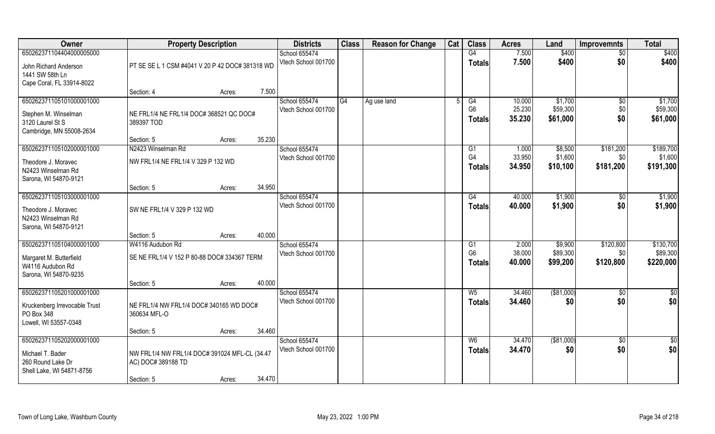| Owner                                                                                            | <b>Property Description</b>                                                       |                  | <b>Districts</b>                     | <b>Class</b> | <b>Reason for Change</b> | Cat | <b>Class</b>                          | <b>Acres</b>               | Land                            | <b>Improvemnts</b>            | <b>Total</b>                       |
|--------------------------------------------------------------------------------------------------|-----------------------------------------------------------------------------------|------------------|--------------------------------------|--------------|--------------------------|-----|---------------------------------------|----------------------------|---------------------------------|-------------------------------|------------------------------------|
| 650262371104404000005000                                                                         |                                                                                   |                  | School 655474                        |              |                          |     | G4                                    | 7.500                      | \$400                           | $\sqrt{6}$                    | \$400                              |
| John Richard Anderson<br>1441 SW 58th Ln<br>Cape Coral, FL 33914-8022                            | PT SE SE L 1 CSM #4041 V 20 P 42 DOC# 381318 WD                                   |                  | Vtech School 001700                  |              |                          |     | <b>Totals</b>                         | 7.500                      | \$400                           | \$0                           | \$400                              |
|                                                                                                  | Section: 4                                                                        | 7.500<br>Acres:  |                                      |              |                          |     |                                       |                            |                                 |                               |                                    |
| 650262371105101000001000<br>Stephen M. Winselman<br>3120 Laurel St S<br>Cambridge, MN 55008-2634 | NE FRL1/4 NE FRL1/4 DOC# 368521 QC DOC#<br>389397 TOD                             |                  | School 655474<br>Vtech School 001700 | G4           | Ag use land              |     | G4<br>G <sub>6</sub><br><b>Totals</b> | 10.000<br>25.230<br>35.230 | \$1,700<br>\$59,300<br>\$61,000 | \$0<br>\$0<br>\$0             | \$1,700<br>\$59,300<br>\$61,000    |
|                                                                                                  | Section: 5                                                                        | 35.230<br>Acres: |                                      |              |                          |     |                                       |                            |                                 |                               |                                    |
| 650262371105102000001000<br>Theodore J. Moravec<br>N2423 Winselman Rd<br>Sarona, WI 54870-9121   | N2423 Winselman Rd<br>NW FRL1/4 NE FRL1/4 V 329 P 132 WD                          |                  | School 655474<br>Vtech School 001700 |              |                          |     | G1<br>G <sub>4</sub><br><b>Totals</b> | 1.000<br>33.950<br>34.950  | \$8,500<br>\$1,600<br>\$10,100  | \$181,200<br>\$0<br>\$181,200 | \$189,700<br>\$1,600<br>\$191,300  |
|                                                                                                  | Section: 5                                                                        | 34.950<br>Acres: |                                      |              |                          |     |                                       |                            |                                 |                               |                                    |
| 650262371105103000001000<br>Theodore J. Moravec<br>N2423 Winselman Rd<br>Sarona, WI 54870-9121   | SW NE FRL1/4 V 329 P 132 WD                                                       |                  | School 655474<br>Vtech School 001700 |              |                          |     | G4<br><b>Totals</b>                   | 40.000<br>40.000           | \$1,900<br>\$1,900              | \$0<br>\$0                    | \$1,900<br>\$1,900                 |
|                                                                                                  | Section: 5                                                                        | 40.000<br>Acres: |                                      |              |                          |     |                                       |                            |                                 |                               |                                    |
| 650262371105104000001000<br>Margaret M. Butterfield<br>W4116 Audubon Rd<br>Sarona, WI 54870-9235 | W4116 Audubon Rd<br>SE NE FRL1/4 V 152 P 80-88 DOC# 334367 TERM                   |                  | School 655474<br>Vtech School 001700 |              |                          |     | G1<br>G <sub>6</sub><br><b>Totals</b> | 2.000<br>38.000<br>40.000  | \$9,900<br>\$89,300<br>\$99,200 | \$120,800<br>\$0<br>\$120,800 | \$130,700<br>\$89,300<br>\$220,000 |
|                                                                                                  | Section: 5                                                                        | 40.000<br>Acres: |                                      |              |                          |     |                                       |                            |                                 |                               |                                    |
| 650262371105201000001000<br>Kruckenberg Irrevocable Trust<br>PO Box 348<br>Lowell, WI 53557-0348 | NE FRL1/4 NW FRL1/4 DOC# 340165 WD DOC#<br>360634 MFL-O                           |                  | School 655474<br>Vtech School 001700 |              |                          |     | $W_5$<br><b>Totals</b>                | 34.460<br>34.460           | ( \$81,000)<br>\$0              | $\overline{60}$<br>\$0        | \$0<br>\$0                         |
|                                                                                                  | Section: 5                                                                        | 34.460<br>Acres: |                                      |              |                          |     |                                       |                            |                                 |                               |                                    |
| 650262371105202000001000<br>Michael T. Bader<br>260 Round Lake Dr<br>Shell Lake, WI 54871-8756   | NW FRL1/4 NW FRL1/4 DOC# 391024 MFL-CL (34.47<br>AC) DOC# 389188 TD<br>Section: 5 | 34.470<br>Acres: | School 655474<br>Vtech School 001700 |              |                          |     | W6<br>Totals                          | 34.470<br>34.470           | ( \$81,000)<br>\$0              | $\overline{50}$<br>\$0        | $\overline{50}$<br>\$0             |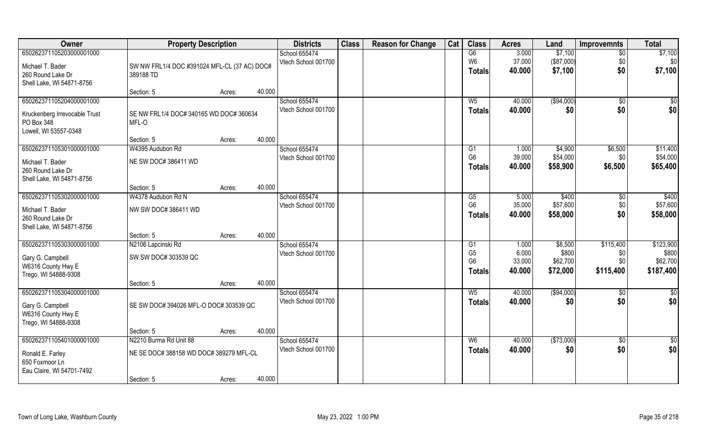| Owner                                                                                            | <b>Property Description</b>                                       |        |        | <b>Districts</b>                     | <b>Class</b> | <b>Reason for Change</b> | Cat | <b>Class</b>                                            | <b>Acres</b>                       | Land                                     | <b>Improvemnts</b>                   | <b>Total</b>                                |
|--------------------------------------------------------------------------------------------------|-------------------------------------------------------------------|--------|--------|--------------------------------------|--------------|--------------------------|-----|---------------------------------------------------------|------------------------------------|------------------------------------------|--------------------------------------|---------------------------------------------|
| 650262371105203000001000<br>Michael T. Bader<br>260 Round Lake Dr                                | SW NW FRL1/4 DOC #391024 MFL-CL (37 AC) DOC#<br>389188 TD         |        |        | School 655474<br>Vtech School 001700 |              |                          |     | G6<br>W <sub>6</sub><br>Totals                          | 3.000<br>37.000<br>40.000          | \$7,100<br>(\$87,000)<br>\$7,100         | $\overline{50}$<br>\$0<br>\$0        | \$7,100<br>\$0<br>\$7,100                   |
| Shell Lake, WI 54871-8756                                                                        | Section: 5                                                        | Acres: | 40.000 |                                      |              |                          |     |                                                         |                                    |                                          |                                      |                                             |
| 650262371105204000001000<br>Kruckenberg Irrevocable Trust<br>PO Box 348<br>Lowell, WI 53557-0348 | SE NW FRL1/4 DOC# 340165 WD DOC# 360634<br>MFL-O                  |        |        | School 655474<br>Vtech School 001700 |              |                          |     | $W_5$<br>Totals                                         | 40.000<br>40.000                   | ( \$94,000)<br>\$0                       | $\sqrt{50}$<br>\$0                   | \$0<br>\$0                                  |
|                                                                                                  | Section: 5                                                        | Acres: | 40.000 |                                      |              |                          |     |                                                         |                                    |                                          |                                      |                                             |
| 650262371105301000001000<br>Michael T. Bader<br>260 Round Lake Dr<br>Shell Lake, WI 54871-8756   | W4395 Audubon Rd<br>NE SW DOC# 386411 WD                          |        |        | School 655474<br>Vtech School 001700 |              |                          |     | G1<br>G <sub>6</sub><br><b>Totals</b>                   | 1.000<br>39.000<br>40.000          | \$4,900<br>\$54,000<br>\$58,900          | \$6,500<br>\$0<br>\$6,500            | \$11,400<br>\$54,000<br>\$65,400            |
|                                                                                                  | Section: 5                                                        | Acres: | 40.000 |                                      |              |                          |     |                                                         |                                    |                                          |                                      |                                             |
| 650262371105302000001000<br>Michael T. Bader<br>260 Round Lake Dr<br>Shell Lake, WI 54871-8756   | W4378 Audubon Rd N<br>NW SW DOC# 386411 WD                        |        |        | School 655474<br>Vtech School 001700 |              |                          |     | G5<br>G <sub>6</sub><br><b>Totals</b>                   | 5.000<br>35.000<br>40.000          | \$400<br>\$57,600<br>\$58,000            | \$0<br>\$0<br>\$0                    | \$400<br>\$57,600<br>\$58,000               |
|                                                                                                  | Section: 5                                                        | Acres: | 40.000 |                                      |              |                          |     |                                                         |                                    |                                          |                                      |                                             |
| 650262371105303000001000<br>Gary G. Campbell<br>W6316 County Hwy E<br>Trego, WI 54888-9308       | N2106 Lapcinski Rd<br>SW SW DOC# 303539 QC                        |        |        | School 655474<br>Vtech School 001700 |              |                          |     | G1<br>G <sub>5</sub><br>G <sub>6</sub><br><b>Totals</b> | 1.000<br>6.000<br>33.000<br>40.000 | \$8,500<br>\$800<br>\$62,700<br>\$72,000 | \$115,400<br>\$0<br>\$0<br>\$115,400 | \$123,900<br>\$800<br>\$62,700<br>\$187,400 |
|                                                                                                  | Section: 5                                                        | Acres: | 40.000 |                                      |              |                          |     |                                                         |                                    |                                          |                                      |                                             |
| 650262371105304000001000<br>Gary G. Campbell<br>W6316 County Hwy E<br>Trego, WI 54888-9308       | SE SW DOC# 394026 MFL-O DOC# 303539 QC                            |        |        | School 655474<br>Vtech School 001700 |              |                          |     | $W_5$<br><b>Totals</b>                                  | 40.000<br>40.000                   | (\$94,000)<br>\$0                        | \$0<br>\$0                           | \$0<br>\$0                                  |
|                                                                                                  | Section: 5                                                        | Acres: | 40.000 |                                      |              |                          |     |                                                         |                                    |                                          |                                      |                                             |
| 650262371105401000001000<br>Ronald E. Farley<br>650 Foxmoor Ln                                   | N2210 Burma Rd Unit 88<br>NE SE DOC# 388158 WD DOC# 389279 MFL-CL |        |        | School 655474<br>Vtech School 001700 |              |                          |     | W <sub>6</sub><br><b>Totals</b>                         | 40.000<br>40.000                   | (\$73,000)<br>\$0                        | $\overline{50}$<br>\$0               | $\overline{50}$<br>\$0                      |
| Eau Claire, WI 54701-7492                                                                        | Section: 5                                                        | Acres: | 40.000 |                                      |              |                          |     |                                                         |                                    |                                          |                                      |                                             |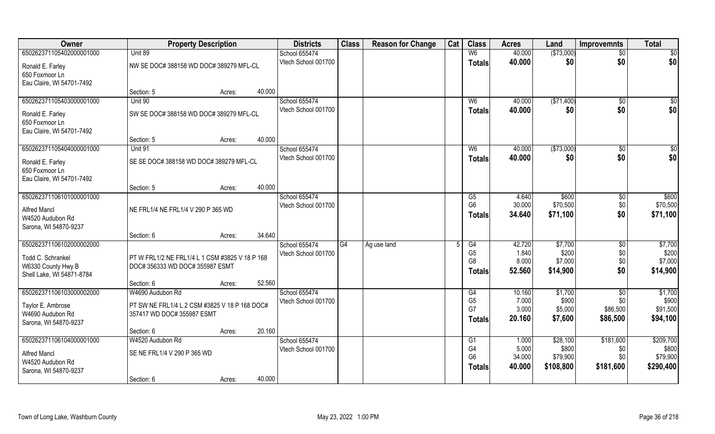| Owner                                     | <b>Property Description</b>                    |        | <b>Districts</b>                     | <b>Class</b> | <b>Reason for Change</b> | Cat | <b>Class</b>         | <b>Acres</b>    | Land              | <b>Improvemnts</b> | <b>Total</b>      |
|-------------------------------------------|------------------------------------------------|--------|--------------------------------------|--------------|--------------------------|-----|----------------------|-----------------|-------------------|--------------------|-------------------|
| 650262371105402000001000                  | Unit 89                                        |        | School 655474                        |              |                          |     | W <sub>6</sub>       | 40.000          | ( \$73,000)       | $\sqrt{6}$         | \$0               |
| Ronald E. Farley                          | NW SE DOC# 388158 WD DOC# 389279 MFL-CL        |        | Vtech School 001700                  |              |                          |     | <b>Totals</b>        | 40.000          | \$0               | \$0                | \$0               |
| 650 Foxmoor Ln                            |                                                |        |                                      |              |                          |     |                      |                 |                   |                    |                   |
| Eau Claire, WI 54701-7492                 |                                                |        |                                      |              |                          |     |                      |                 |                   |                    |                   |
|                                           | Section: 5                                     | Acres: | 40.000                               |              |                          |     |                      |                 |                   |                    |                   |
| 650262371105403000001000                  | Unit 90                                        |        | School 655474                        |              |                          |     | W <sub>6</sub>       | 40.000          | ( \$71,400)       | \$0                | \$0               |
| Ronald E. Farley                          | SW SE DOC# 388158 WD DOC# 389279 MFL-CL        |        | Vtech School 001700                  |              |                          |     | Totals               | 40.000          | \$0               | \$0                | \$0               |
| 650 Foxmoor Ln                            |                                                |        |                                      |              |                          |     |                      |                 |                   |                    |                   |
| Eau Claire, WI 54701-7492                 |                                                |        |                                      |              |                          |     |                      |                 |                   |                    |                   |
|                                           | Section: 5                                     | Acres: | 40.000                               |              |                          |     |                      |                 |                   |                    |                   |
| 650262371105404000001000                  | Unit 91                                        |        | School 655474                        |              |                          |     | W <sub>6</sub>       | 40.000          | ( \$73,000)       | \$0                | $\sqrt{50}$       |
| Ronald E. Farley                          | SE SE DOC# 388158 WD DOC# 389279 MFL-CL        |        | Vtech School 001700                  |              |                          |     | <b>Totals</b>        | 40.000          | \$0               | \$0                | \$0               |
| 650 Foxmoor Ln                            |                                                |        |                                      |              |                          |     |                      |                 |                   |                    |                   |
| Eau Claire, WI 54701-7492                 |                                                |        |                                      |              |                          |     |                      |                 |                   |                    |                   |
|                                           | Section: 5                                     | Acres: | 40.000                               |              |                          |     |                      |                 |                   |                    |                   |
| 650262371106101000001000                  |                                                |        | School 655474<br>Vtech School 001700 |              |                          |     | G5<br>G <sub>6</sub> | 4.640<br>30.000 | \$600<br>\$70,500 | \$0<br>\$0         | \$600<br>\$70,500 |
| <b>Alfred Mancl</b>                       | NE FRL1/4 NE FRL1/4 V 290 P 365 WD             |        |                                      |              |                          |     | <b>Totals</b>        | 34.640          | \$71,100          | \$0                | \$71,100          |
| W4520 Audubon Rd                          |                                                |        |                                      |              |                          |     |                      |                 |                   |                    |                   |
| Sarona, WI 54870-9237                     |                                                |        |                                      |              |                          |     |                      |                 |                   |                    |                   |
|                                           | Section: 6                                     | Acres: | 34.640                               |              |                          |     |                      |                 |                   |                    |                   |
| 650262371106102000002000                  |                                                |        | School 655474<br>Vtech School 001700 | G4           | Ag use land              |     | G4<br>G <sub>5</sub> | 42.720<br>1.840 | \$7,700<br>\$200  | \$0<br>\$0         | \$7,700<br>\$200  |
| Todd C. Schrankel                         | PT W FRL1/2 NE FRL1/4 L 1 CSM #3825 V 18 P 168 |        |                                      |              |                          |     | G <sub>8</sub>       | 8.000           | \$7,000           | \$0                | \$7,000           |
| W6330 County Hwy B                        | DOC# 356333 WD DOC# 355987 ESMT                |        |                                      |              |                          |     | <b>Totals</b>        | 52.560          | \$14,900          | \$0                | \$14,900          |
| Shell Lake, WI 54871-8784                 |                                                |        |                                      |              |                          |     |                      |                 |                   |                    |                   |
| 650262371106103000002000                  | Section: 6<br>W4690 Audubon Rd                 | Acres: | 52.560<br>School 655474              |              |                          |     | G4                   | 10.160          | \$1,700           | $\overline{50}$    | \$1,700           |
|                                           |                                                |        | Vtech School 001700                  |              |                          |     | G <sub>5</sub>       | 7.000           | \$900             | \$0                | \$900             |
| Taylor E. Ambrose                         | PT SW NE FRL1/4 L 2 CSM #3825 V 18 P 168 DOC#  |        |                                      |              |                          |     | G7                   | 3.000           | \$5,000           | \$86,500           | \$91,500          |
| W4690 Audubon Rd                          | 357417 WD DOC# 355987 ESMT                     |        |                                      |              |                          |     | <b>Totals</b>        | 20.160          | \$7,600           | \$86,500           | \$94,100          |
| Sarona, WI 54870-9237                     | Section: 6                                     | Acres: | 20.160                               |              |                          |     |                      |                 |                   |                    |                   |
| 650262371106104000001000                  | W4520 Audubon Rd                               |        | School 655474                        |              |                          |     | G1                   | 1.000           | \$28,100          | \$181,600          | \$209,700         |
|                                           |                                                |        | Vtech School 001700                  |              |                          |     | G4                   | 5.000           | \$800             | \$0                | \$800             |
| <b>Alfred Mancl</b>                       | SE NE FRL1/4 V 290 P 365 WD                    |        |                                      |              |                          |     | G <sub>6</sub>       | 34.000          | \$79,900          | \$0                | \$79,900          |
| W4520 Audubon Rd<br>Sarona, WI 54870-9237 |                                                |        |                                      |              |                          |     | <b>Totals</b>        | 40.000          | \$108,800         | \$181,600          | \$290,400         |
|                                           | Section: 6                                     | Acres: | 40.000                               |              |                          |     |                      |                 |                   |                    |                   |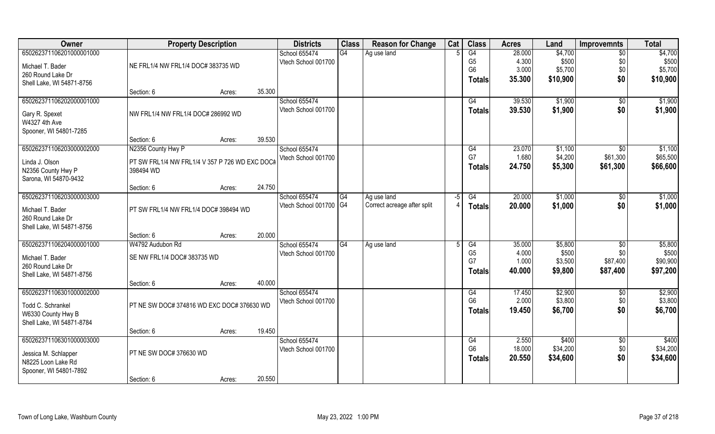| Owner                     | <b>Property Description</b>                    |        |        | <b>Districts</b>       | <b>Class</b> | <b>Reason for Change</b>    | Cat | <b>Class</b>   | <b>Acres</b> | Land     | <b>Improvemnts</b> | <b>Total</b> |
|---------------------------|------------------------------------------------|--------|--------|------------------------|--------------|-----------------------------|-----|----------------|--------------|----------|--------------------|--------------|
| 650262371106201000001000  |                                                |        |        | School 655474          | G4           | Ag use land                 |     | G4             | 28.000       | \$4,700  | $\sqrt{6}$         | \$4,700      |
| Michael T. Bader          | NE FRL1/4 NW FRL1/4 DOC# 383735 WD             |        |        | Vtech School 001700    |              |                             |     | G <sub>5</sub> | 4.300        | \$500    | \$0                | \$500        |
| 260 Round Lake Dr         |                                                |        |        |                        |              |                             |     | G <sub>6</sub> | 3.000        | \$5,700  | \$0                | \$5,700      |
| Shell Lake, WI 54871-8756 |                                                |        |        |                        |              |                             |     | <b>Totals</b>  | 35.300       | \$10,900 | \$0                | \$10,900     |
|                           | Section: 6                                     | Acres: | 35.300 |                        |              |                             |     |                |              |          |                    |              |
| 650262371106202000001000  |                                                |        |        | School 655474          |              |                             |     | G4             | 39.530       | \$1,900  | \$0                | \$1,900      |
| Gary R. Spexet            | NW FRL1/4 NW FRL1/4 DOC# 286992 WD             |        |        | Vtech School 001700    |              |                             |     | Totals         | 39.530       | \$1,900  | \$0                | \$1,900      |
| W4327 4th Ave             |                                                |        |        |                        |              |                             |     |                |              |          |                    |              |
| Spooner, WI 54801-7285    |                                                |        |        |                        |              |                             |     |                |              |          |                    |              |
|                           | Section: 6                                     | Acres: | 39.530 |                        |              |                             |     |                |              |          |                    |              |
| 650262371106203000002000  | N2356 County Hwy P                             |        |        | School 655474          |              |                             |     | G4             | 23.070       | \$1,100  | $\overline{50}$    | \$1,100      |
| Linda J. Olson            | PT SW FRL1/4 NW FRL1/4 V 357 P 726 WD EXC DOC# |        |        | Vtech School 001700    |              |                             |     | G7             | 1.680        | \$4,200  | \$61,300           | \$65,500     |
| N2356 County Hwy P        | 398494 WD                                      |        |        |                        |              |                             |     | <b>Totals</b>  | 24.750       | \$5,300  | \$61,300           | \$66,600     |
| Sarona, WI 54870-9432     |                                                |        |        |                        |              |                             |     |                |              |          |                    |              |
|                           | Section: 6                                     | Acres: | 24.750 |                        |              |                             |     |                |              |          |                    |              |
| 650262371106203000003000  |                                                |        |        | School 655474          | G4           | Ag use land                 | -5  | G4             | 20.000       | \$1,000  | \$0                | \$1,000      |
| Michael T. Bader          | PT SW FRL1/4 NW FRL1/4 DOC# 398494 WD          |        |        | Vtech School 001700 G4 |              | Correct acreage after split |     | <b>Totals</b>  | 20.000       | \$1,000  | \$0                | \$1,000      |
| 260 Round Lake Dr         |                                                |        |        |                        |              |                             |     |                |              |          |                    |              |
| Shell Lake, WI 54871-8756 |                                                |        |        |                        |              |                             |     |                |              |          |                    |              |
|                           | Section: 6                                     | Acres: | 20.000 |                        |              |                             |     |                |              |          |                    |              |
| 650262371106204000001000  | W4792 Audubon Rd                               |        |        | School 655474          | G4           | Ag use land                 |     | G4             | 35.000       | \$5,800  | $\overline{60}$    | \$5,800      |
| Michael T. Bader          | SE NW FRL1/4 DOC# 383735 WD                    |        |        | Vtech School 001700    |              |                             |     | G <sub>5</sub> | 4.000        | \$500    | \$0                | \$500        |
| 260 Round Lake Dr         |                                                |        |        |                        |              |                             |     | G7             | 1.000        | \$3,500  | \$87,400           | \$90,900     |
| Shell Lake, WI 54871-8756 |                                                |        |        |                        |              |                             |     | Totals         | 40.000       | \$9,800  | \$87,400           | \$97,200     |
|                           | Section: 6                                     | Acres: | 40.000 |                        |              |                             |     |                |              |          |                    |              |
| 650262371106301000002000  |                                                |        |        | School 655474          |              |                             |     | G4             | 17.450       | \$2,900  | $\overline{50}$    | \$2,900      |
| Todd C. Schrankel         | PT NE SW DOC# 374816 WD EXC DOC# 376630 WD     |        |        | Vtech School 001700    |              |                             |     | G <sub>6</sub> | 2.000        | \$3,800  | \$0                | \$3,800      |
| W6330 County Hwy B        |                                                |        |        |                        |              |                             |     | <b>Totals</b>  | 19.450       | \$6,700  | \$0                | \$6,700      |
| Shell Lake, WI 54871-8784 |                                                |        |        |                        |              |                             |     |                |              |          |                    |              |
|                           | Section: 6                                     | Acres: | 19.450 |                        |              |                             |     |                |              |          |                    |              |
| 650262371106301000003000  |                                                |        |        | School 655474          |              |                             |     | G4             | 2.550        | \$400    | $\overline{50}$    | \$400        |
| Jessica M. Schlapper      | PT NE SW DOC# 376630 WD                        |        |        | Vtech School 001700    |              |                             |     | G <sub>6</sub> | 18.000       | \$34,200 | \$0                | \$34,200     |
| N8225 Loon Lake Rd        |                                                |        |        |                        |              |                             |     | Totals         | 20.550       | \$34,600 | \$0                | \$34,600     |
| Spooner, WI 54801-7892    |                                                |        |        |                        |              |                             |     |                |              |          |                    |              |
|                           | Section: 6                                     | Acres: | 20.550 |                        |              |                             |     |                |              |          |                    |              |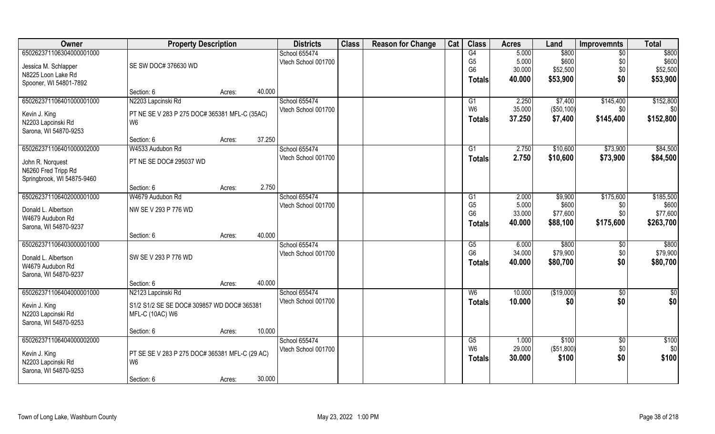| Owner                                   | <b>Property Description</b>                   |                                                | <b>Districts</b> | <b>Class</b>                         | <b>Reason for Change</b> | Cat | <b>Class</b> | <b>Acres</b>         | Land            | <b>Improvemnts</b> | <b>Total</b>   |           |
|-----------------------------------------|-----------------------------------------------|------------------------------------------------|------------------|--------------------------------------|--------------------------|-----|--------------|----------------------|-----------------|--------------------|----------------|-----------|
| 650262371106304000001000                |                                               |                                                |                  | School 655474                        |                          |     |              | G4                   | 5.000           | \$800              | \$0            | \$800     |
| Jessica M. Schlapper                    | SE SW DOC# 376630 WD                          |                                                |                  | Vtech School 001700                  |                          |     |              | G <sub>5</sub>       | 5.000           | \$600              | \$0            | \$600     |
| N8225 Loon Lake Rd                      |                                               |                                                |                  |                                      |                          |     |              | G <sub>6</sub>       | 30.000          | \$52,500           | \$0            | \$52,500  |
| Spooner, WI 54801-7892                  |                                               |                                                |                  |                                      |                          |     |              | <b>Totals</b>        | 40.000          | \$53,900           | \$0            | \$53,900  |
|                                         | Section: 6                                    | Acres:                                         | 40.000           |                                      |                          |     |              |                      |                 |                    |                |           |
| 650262371106401000001000                | N2203 Lapcinski Rd                            |                                                |                  | School 655474                        |                          |     |              | G1                   | 2.250           | \$7,400            | \$145,400      | \$152,800 |
| Kevin J. King                           | PT NE SE V 283 P 275 DOC# 365381 MFL-C (35AC) |                                                |                  | Vtech School 001700                  |                          |     |              | W <sub>6</sub>       | 35.000          | (\$50,100)         | \$0            | \$0       |
| N2203 Lapcinski Rd                      | W6                                            |                                                |                  |                                      |                          |     |              | <b>Totals</b>        | 37.250          | \$7,400            | \$145,400      | \$152,800 |
| Sarona, WI 54870-9253                   |                                               |                                                |                  |                                      |                          |     |              |                      |                 |                    |                |           |
|                                         | Section: 6                                    | Acres:                                         | 37.250           |                                      |                          |     |              |                      |                 |                    |                |           |
| 650262371106401000002000                | W4533 Audubon Rd                              |                                                |                  | School 655474                        |                          |     |              | G1                   | 2.750           | \$10,600           | \$73,900       | \$84,500  |
| John R. Norquest                        | PT NE SE DOC# 295037 WD                       |                                                |                  | Vtech School 001700                  |                          |     |              | <b>Totals</b>        | 2.750           | \$10,600           | \$73,900       | \$84,500  |
| N6260 Fred Tripp Rd                     |                                               |                                                |                  |                                      |                          |     |              |                      |                 |                    |                |           |
| Springbrook, WI 54875-9460              |                                               |                                                |                  |                                      |                          |     |              |                      |                 |                    |                |           |
|                                         | Section: 6                                    | Acres:                                         | 2.750            |                                      |                          |     |              |                      |                 |                    |                |           |
| 650262371106402000001000                | W4679 Audubon Rd                              |                                                |                  | School 655474                        |                          |     |              | G1                   | 2.000           | \$9,900            | \$175,600      | \$185,500 |
| Donald L. Albertson                     | NW SE V 293 P 776 WD                          |                                                |                  | Vtech School 001700                  |                          |     |              | G <sub>5</sub>       | 5.000           | \$600              | \$0            | \$600     |
| W4679 Audubon Rd                        |                                               |                                                |                  |                                      |                          |     |              | G <sub>6</sub>       | 33.000          | \$77,600           | \$0            | \$77,600  |
| Sarona, WI 54870-9237                   |                                               |                                                |                  |                                      |                          |     |              | <b>Totals</b>        | 40.000          | \$88,100           | \$175,600      | \$263,700 |
|                                         | Section: 6                                    | Acres:                                         | 40.000           |                                      |                          |     |              |                      |                 |                    |                |           |
| 650262371106403000001000                |                                               |                                                |                  | School 655474                        |                          |     |              | G5                   | 6.000           | \$800              | $\sqrt[6]{30}$ | \$800     |
|                                         |                                               |                                                |                  | Vtech School 001700                  |                          |     |              | G <sub>6</sub>       | 34.000          | \$79,900           | \$0            | \$79,900  |
| Donald L. Albertson<br>W4679 Audubon Rd | SW SE V 293 P 776 WD                          |                                                |                  |                                      |                          |     |              | <b>Totals</b>        | 40.000          | \$80,700           | \$0            | \$80,700  |
| Sarona, WI 54870-9237                   |                                               |                                                |                  |                                      |                          |     |              |                      |                 |                    |                |           |
|                                         | Section: 6                                    | Acres:                                         | 40.000           |                                      |                          |     |              |                      |                 |                    |                |           |
| 650262371106404000001000                | N2123 Lapcinski Rd                            |                                                |                  | School 655474                        |                          |     |              | W <sub>6</sub>       | 10.000          | (\$19,000)         | $\sqrt{6}$     | \$0       |
|                                         |                                               |                                                |                  | Vtech School 001700                  |                          |     |              | <b>Totals</b>        | 10.000          | \$0                | \$0            | \$0       |
| Kevin J. King                           | S1/2 S1/2 SE SE DOC# 309857 WD DOC# 365381    |                                                |                  |                                      |                          |     |              |                      |                 |                    |                |           |
| N2203 Lapcinski Rd                      | <b>MFL-C (10AC) W6</b>                        |                                                |                  |                                      |                          |     |              |                      |                 |                    |                |           |
| Sarona, WI 54870-9253                   |                                               |                                                |                  |                                      |                          |     |              |                      |                 |                    |                |           |
|                                         | Section: 6                                    | Acres:                                         | 10.000           |                                      |                          |     |              |                      |                 |                    |                |           |
| 650262371106404000002000                |                                               |                                                |                  | School 655474<br>Vtech School 001700 |                          |     |              | G5<br>W <sub>6</sub> | 1.000<br>29.000 | \$100              | \$0            | \$100     |
| Kevin J. King                           |                                               | PT SE SE V 283 P 275 DOC# 365381 MFL-C (29 AC) |                  |                                      |                          |     |              |                      |                 | (\$51,800)         | \$0\$          | \$0       |
| N2203 Lapcinski Rd                      | W6                                            |                                                |                  |                                      |                          |     |              | <b>Totals</b>        | 30.000          | \$100              | \$0            | \$100     |
| Sarona, WI 54870-9253                   |                                               |                                                |                  |                                      |                          |     |              |                      |                 |                    |                |           |
|                                         | Section: 6                                    | Acres:                                         | 30.000           |                                      |                          |     |              |                      |                 |                    |                |           |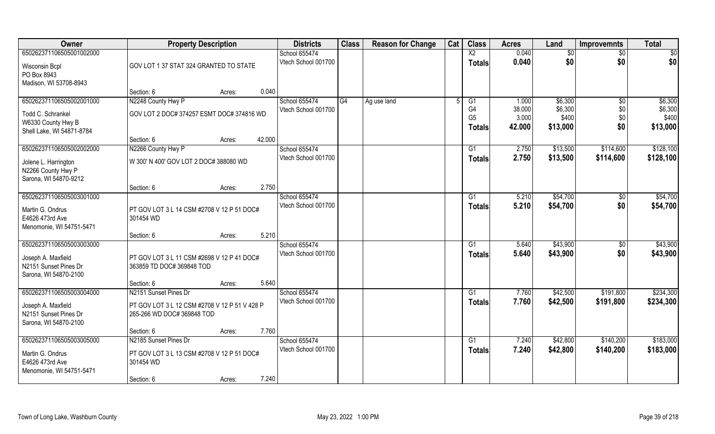| Owner                                                                                            | <b>Property Description</b>                                                                          | <b>Districts</b>                              | <b>Class</b> | <b>Reason for Change</b> | Cat | <b>Class</b>                           | <b>Acres</b>             | Land                        | <b>Improvemnts</b>     | <b>Total</b>                |
|--------------------------------------------------------------------------------------------------|------------------------------------------------------------------------------------------------------|-----------------------------------------------|--------------|--------------------------|-----|----------------------------------------|--------------------------|-----------------------------|------------------------|-----------------------------|
| 650262371106505001002000<br>Wisconsin Bcpl<br>PO Box 8943                                        | GOV LOT 1 37 STAT 324 GRANTED TO STATE                                                               | School 655474<br>Vtech School 001700          |              |                          |     | $\overline{X2}$<br><b>Totals</b>       | 0.040<br>0.040           | \$0<br>\$0                  | $\sqrt{6}$<br>\$0      | \$0<br>\$0                  |
| Madison, WI 53708-8943                                                                           | Section: 6<br>Acres:                                                                                 | 0.040                                         |              |                          |     |                                        |                          |                             |                        |                             |
| 650262371106505002001000<br>Todd C. Schrankel                                                    | N2248 County Hwy P<br>GOV LOT 2 DOC# 374257 ESMT DOC# 374816 WD                                      | School 655474<br>Vtech School 001700          | G4           | Ag use land              |     | G <sub>1</sub><br>G4<br>G <sub>5</sub> | 1.000<br>38.000<br>3.000 | \$6,300<br>\$6,300<br>\$400 | \$0<br>\$0<br>\$0      | \$6,300<br>\$6,300<br>\$400 |
| W6330 County Hwy B<br>Shell Lake, WI 54871-8784                                                  | Section: 6<br>Acres:                                                                                 | 42.000                                        |              |                          |     | Totals                                 | 42.000                   | \$13,000                    | \$0                    | \$13,000                    |
| 650262371106505002002000<br>Jolene L. Harrington<br>N2266 County Hwy P<br>Sarona, WI 54870-9212  | N2266 County Hwy P<br>W 300' N 400' GOV LOT 2 DOC# 388080 WD                                         | School 655474<br>Vtech School 001700          |              |                          |     | G1<br><b>Totals</b>                    | 2.750<br>2.750           | \$13,500<br>\$13,500        | \$114,600<br>\$114,600 | \$128,100<br>\$128,100      |
|                                                                                                  | Section: 6<br>Acres:                                                                                 | 2.750                                         |              |                          |     |                                        |                          |                             |                        |                             |
| 650262371106505003001000<br>Martin G. Ondrus<br>E4626 473rd Ave<br>Menomonie, WI 54751-5471      | PT GOV LOT 3 L 14 CSM #2708 V 12 P 51 DOC#<br>301454 WD                                              | School 655474<br>Vtech School 001700          |              |                          |     | G1<br><b>Totals</b>                    | 5.210<br>5.210           | \$54,700<br>\$54,700        | $\sqrt[6]{3}$<br>\$0   | \$54,700<br>\$54,700        |
|                                                                                                  | Section: 6<br>Acres:                                                                                 | 5.210                                         |              |                          |     |                                        |                          |                             |                        |                             |
| 650262371106505003003000<br>Joseph A. Maxfield<br>N2151 Sunset Pines Dr<br>Sarona, WI 54870-2100 | PT GOV LOT 3 L 11 CSM #2698 V 12 P 41 DOC#<br>363859 TD DOC# 369848 TOD                              | School 655474<br>Vtech School 001700          |              |                          |     | G1<br><b>Totals</b>                    | 5.640<br>5.640           | \$43,900<br>\$43,900        | \$0<br>\$0             | \$43,900<br>\$43,900        |
|                                                                                                  | Section: 6<br>Acres:                                                                                 | 5.640                                         |              |                          |     |                                        |                          |                             |                        |                             |
| 650262371106505003004000<br>Joseph A. Maxfield<br>N2151 Sunset Pines Dr<br>Sarona, WI 54870-2100 | N2151 Sunset Pines Dr<br>PT GOV LOT 3 L 12 CSM #2708 V 12 P 51 V 428 P<br>265-266 WD DOC# 369848 TOD | School 655474<br>Vtech School 001700          |              |                          |     | G1<br><b>Totals</b>                    | 7.760<br>7.760           | \$42,500<br>\$42,500        | \$191,800<br>\$191,800 | \$234,300<br>\$234,300      |
|                                                                                                  | Section: 6<br>Acres:                                                                                 | 7.760                                         |              |                          |     |                                        |                          |                             |                        |                             |
| 650262371106505003005000<br>Martin G. Ondrus<br>E4626 473rd Ave<br>Menomonie, WI 54751-5471      | N2185 Sunset Pines Dr<br>PT GOV LOT 3 L 13 CSM #2708 V 12 P 51 DOC#<br>301454 WD<br>Section: 6       | School 655474<br>Vtech School 001700<br>7.240 |              |                          |     | G1<br>Totals                           | 7.240<br>7.240           | \$42,800<br>\$42,800        | \$140,200<br>\$140,200 | \$183,000<br>\$183,000      |
|                                                                                                  | Acres:                                                                                               |                                               |              |                          |     |                                        |                          |                             |                        |                             |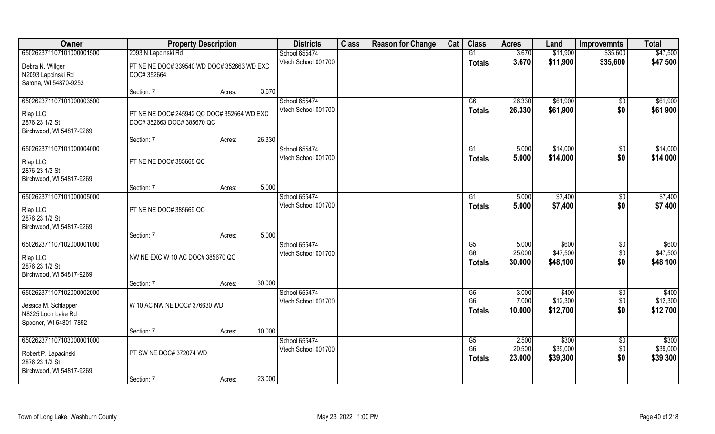| Owner                                                                                            | <b>Property Description</b>                                              |                  | <b>Districts</b>                     | <b>Class</b> | <b>Reason for Change</b> | Cat | <b>Class</b>                                              | <b>Acres</b>              | Land                          | <b>Improvemnts</b>            | <b>Total</b>                  |
|--------------------------------------------------------------------------------------------------|--------------------------------------------------------------------------|------------------|--------------------------------------|--------------|--------------------------|-----|-----------------------------------------------------------|---------------------------|-------------------------------|-------------------------------|-------------------------------|
| 650262371107101000001500                                                                         | 2093 N Lapcinski Rd                                                      |                  | School 655474                        |              |                          |     | G1                                                        | 3.670                     | \$11,900                      | \$35,600                      | \$47,500                      |
| Debra N. Willger<br>N2093 Lapcinski Rd<br>Sarona, WI 54870-9253                                  | PT NE NE DOC# 339540 WD DOC# 352663 WD EXC<br>DOC# 352664                |                  | Vtech School 001700                  |              |                          |     | <b>Totals</b>                                             | 3.670                     | \$11,900                      | \$35,600                      | \$47,500                      |
|                                                                                                  | Section: 7                                                               | 3.670<br>Acres:  |                                      |              |                          |     |                                                           |                           |                               |                               |                               |
| 650262371107101000003500<br>Rlap LLC<br>2876 23 1/2 St<br>Birchwood, WI 54817-9269               | PT NE NE DOC# 245942 QC DOC# 352664 WD EXC<br>DOC# 352663 DOC# 385670 QC |                  | School 655474<br>Vtech School 001700 |              |                          |     | G6<br>Totals                                              | 26.330<br>26.330          | \$61,900<br>\$61,900          | \$0<br>\$0                    | \$61,900<br>\$61,900          |
|                                                                                                  | Section: 7                                                               | 26.330<br>Acres: |                                      |              |                          |     |                                                           |                           |                               |                               |                               |
| 650262371107101000004000<br>Rlap LLC<br>2876 23 1/2 St<br>Birchwood, WI 54817-9269               | PT NE NE DOC# 385668 QC                                                  |                  | School 655474<br>Vtech School 001700 |              |                          |     | G1<br><b>Totals</b>                                       | 5.000<br>5.000            | \$14,000<br>\$14,000          | \$0<br>\$0                    | \$14,000<br>\$14,000          |
|                                                                                                  | Section: 7                                                               | 5.000<br>Acres:  |                                      |              |                          |     |                                                           |                           |                               |                               |                               |
| 650262371107101000005000<br>Rlap LLC<br>2876 23 1/2 St<br>Birchwood, WI 54817-9269               | PT NE NE DOC# 385669 QC                                                  |                  | School 655474<br>Vtech School 001700 |              |                          |     | G1<br><b>Totals</b>                                       | 5.000<br>5.000            | \$7,400<br>\$7,400            | $\sqrt[6]{3}$<br>\$0          | \$7,400<br>\$7,400            |
|                                                                                                  | Section: 7                                                               | 5.000<br>Acres:  |                                      |              |                          |     |                                                           |                           |                               |                               |                               |
| 650262371107102000001000<br>Rlap LLC<br>2876 23 1/2 St<br>Birchwood, WI 54817-9269               | NW NE EXC W 10 AC DOC# 385670 QC                                         |                  | School 655474<br>Vtech School 001700 |              |                          |     | $\overline{\text{G5}}$<br>G <sub>6</sub><br><b>Totals</b> | 5.000<br>25.000<br>30.000 | \$600<br>\$47,500<br>\$48,100 | \$0<br>\$0<br>\$0             | \$600<br>\$47,500<br>\$48,100 |
|                                                                                                  | Section: 7                                                               | 30.000<br>Acres: |                                      |              |                          |     |                                                           |                           |                               |                               |                               |
| 650262371107102000002000<br>Jessica M. Schlapper<br>N8225 Loon Lake Rd<br>Spooner, WI 54801-7892 | W 10 AC NW NE DOC# 376630 WD                                             |                  | School 655474<br>Vtech School 001700 |              |                          |     | G5<br>G <sub>6</sub><br><b>Totals</b>                     | 3.000<br>7.000<br>10.000  | \$400<br>\$12,300<br>\$12,700 | $\sqrt{$0}$<br>\$0<br>\$0     | \$400<br>\$12,300<br>\$12,700 |
|                                                                                                  | Section: 7                                                               | 10.000<br>Acres: |                                      |              |                          |     |                                                           |                           |                               |                               |                               |
| 650262371107103000001000<br>Robert P. Lapacinski<br>2876 23 1/2 St<br>Birchwood, WI 54817-9269   | PT SW NE DOC# 372074 WD                                                  |                  | School 655474<br>Vtech School 001700 |              |                          |     | G5<br>G <sub>6</sub><br><b>Totals</b>                     | 2.500<br>20.500<br>23.000 | \$300<br>\$39,000<br>\$39,300 | $\overline{50}$<br>\$0<br>\$0 | \$300<br>\$39,000<br>\$39,300 |
|                                                                                                  | Section: 7                                                               | 23.000<br>Acres: |                                      |              |                          |     |                                                           |                           |                               |                               |                               |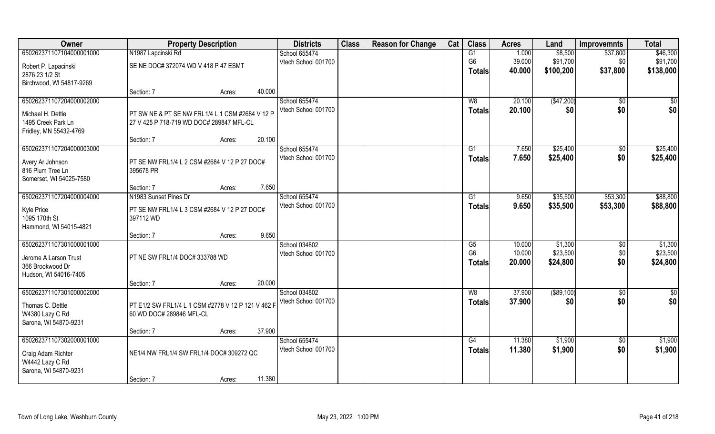| Owner                    | <b>Property Description</b>                        | <b>Districts</b> | <b>Class</b>        | <b>Reason for Change</b> | Cat | <b>Class</b> | <b>Acres</b>   | Land   | <b>Improvemnts</b> | <b>Total</b>    |           |
|--------------------------|----------------------------------------------------|------------------|---------------------|--------------------------|-----|--------------|----------------|--------|--------------------|-----------------|-----------|
| 650262371107104000001000 | N1987 Lapcinski Rd                                 |                  | School 655474       |                          |     |              | G1             | 1.000  | \$8,500            | \$37,800        | \$46,300  |
| Robert P. Lapacinski     | SE NE DOC# 372074 WD V 418 P 47 ESMT               |                  | Vtech School 001700 |                          |     |              | G <sub>6</sub> | 39.000 | \$91,700           | \$0             | \$91,700  |
| 2876 23 1/2 St           |                                                    |                  |                     |                          |     |              | <b>Totals</b>  | 40.000 | \$100,200          | \$37,800        | \$138,000 |
| Birchwood, WI 54817-9269 |                                                    |                  |                     |                          |     |              |                |        |                    |                 |           |
|                          | Section: 7<br>Acres:                               | 40.000           |                     |                          |     |              |                |        |                    |                 |           |
| 650262371107204000002000 |                                                    |                  | School 655474       |                          |     |              | W8             | 20.100 | (\$47,200)         | \$0             | \$0       |
| Michael H. Dettle        | PT SW NE & PT SE NW FRL1/4 L 1 CSM #2684 V 12 P    |                  | Vtech School 001700 |                          |     |              | Totals         | 20.100 | \$0                | \$0             | \$0       |
| 1495 Creek Park Ln       | 27 V 425 P 718-719 WD DOC# 289847 MFL-CL           |                  |                     |                          |     |              |                |        |                    |                 |           |
| Fridley, MN 55432-4769   |                                                    |                  |                     |                          |     |              |                |        |                    |                 |           |
|                          | Section: 7<br>Acres:                               | 20.100           |                     |                          |     |              |                |        |                    |                 |           |
| 650262371107204000003000 |                                                    |                  | School 655474       |                          |     |              | G1             | 7.650  | \$25,400           | $\sqrt[6]{3}$   | \$25,400  |
| Avery Ar Johnson         | PT SE NW FRL1/4 L 2 CSM #2684 V 12 P 27 DOC#       |                  | Vtech School 001700 |                          |     |              | <b>Totals</b>  | 7.650  | \$25,400           | \$0             | \$25,400  |
| 816 Plum Tree Ln         | 395678 PR                                          |                  |                     |                          |     |              |                |        |                    |                 |           |
| Somerset, WI 54025-7580  |                                                    |                  |                     |                          |     |              |                |        |                    |                 |           |
|                          | Section: 7<br>Acres:                               | 7.650            |                     |                          |     |              |                |        |                    |                 |           |
| 650262371107204000004000 | N1983 Sunset Pines Dr                              |                  | School 655474       |                          |     |              | G <sub>1</sub> | 9.650  | \$35,500           | \$53,300        | \$88,800  |
| Kyle Price               | PT SE NW FRL1/4 L 3 CSM #2684 V 12 P 27 DOC#       |                  | Vtech School 001700 |                          |     |              | <b>Totals</b>  | 9.650  | \$35,500           | \$53,300        | \$88,800  |
| 1095 170th St            | 397112 WD                                          |                  |                     |                          |     |              |                |        |                    |                 |           |
| Hammond, WI 54015-4821   |                                                    |                  |                     |                          |     |              |                |        |                    |                 |           |
|                          | Section: 7<br>Acres:                               | 9.650            |                     |                          |     |              |                |        |                    |                 |           |
| 650262371107301000001000 |                                                    |                  | School 034802       |                          |     |              | G5             | 10.000 | \$1,300            | $\sqrt[6]{30}$  | \$1,300   |
| Jerome A Larson Trust    | PT NE SW FRL1/4 DOC# 333788 WD                     |                  | Vtech School 001700 |                          |     |              | G <sub>6</sub> | 10.000 | \$23,500           | \$0             | \$23,500  |
| 366 Brookwood Dr         |                                                    |                  |                     |                          |     |              | <b>Totals</b>  | 20.000 | \$24,800           | \$0             | \$24,800  |
| Hudson, WI 54016-7405    |                                                    |                  |                     |                          |     |              |                |        |                    |                 |           |
|                          | Section: 7<br>Acres:                               | 20.000           |                     |                          |     |              |                |        |                    |                 |           |
| 650262371107301000002000 |                                                    |                  | School 034802       |                          |     |              | W8             | 37.900 | ( \$89, 100)       | $\overline{50}$ | \$0       |
| Thomas C. Dettle         | PT E1/2 SW FRL1/4 L 1 CSM #2778 V 12 P 121 V 462 F |                  | Vtech School 001700 |                          |     |              | <b>Totals</b>  | 37.900 | \$0                | \$0             | \$0       |
| W4380 Lazy C Rd          | 60 WD DOC# 289846 MFL-CL                           |                  |                     |                          |     |              |                |        |                    |                 |           |
| Sarona, WI 54870-9231    |                                                    |                  |                     |                          |     |              |                |        |                    |                 |           |
|                          | Section: 7<br>Acres:                               | 37.900           |                     |                          |     |              |                |        |                    |                 |           |
| 650262371107302000001000 |                                                    |                  | School 655474       |                          |     |              | G4             | 11.380 | \$1,900            | $\overline{50}$ | \$1,900   |
| Craig Adam Richter       | NE1/4 NW FRL1/4 SW FRL1/4 DOC# 309272 QC           |                  | Vtech School 001700 |                          |     |              | Totals         | 11.380 | \$1,900            | \$0             | \$1,900   |
| W4442 Lazy C Rd          |                                                    |                  |                     |                          |     |              |                |        |                    |                 |           |
| Sarona, WI 54870-9231    |                                                    |                  |                     |                          |     |              |                |        |                    |                 |           |
|                          | Section: 7<br>Acres:                               | 11.380           |                     |                          |     |              |                |        |                    |                 |           |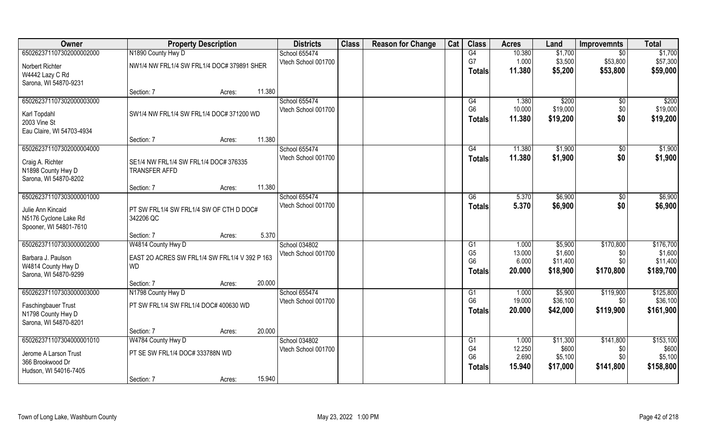| Owner                                       | <b>Property Description</b>                          |        |        | <b>Districts</b>                     | <b>Class</b> | <b>Reason for Change</b> | Cat | <b>Class</b>         | <b>Acres</b>    | Land                 | <b>Improvemnts</b> | <b>Total</b>          |
|---------------------------------------------|------------------------------------------------------|--------|--------|--------------------------------------|--------------|--------------------------|-----|----------------------|-----------------|----------------------|--------------------|-----------------------|
| 650262371107302000002000                    | N1890 County Hwy D                                   |        |        | School 655474                        |              |                          |     | G4                   | 10.380          | \$1,700              | $\overline{50}$    | \$1,700               |
| Norbert Richter                             | NW1/4 NW FRL1/4 SW FRL1/4 DOC# 379891 SHER           |        |        | Vtech School 001700                  |              |                          |     | G7                   | 1.000           | \$3,500              | \$53,800           | \$57,300              |
| W4442 Lazy C Rd                             |                                                      |        |        |                                      |              |                          |     | <b>Totals</b>        | 11.380          | \$5,200              | \$53,800           | \$59,000              |
| Sarona, WI 54870-9231                       |                                                      |        |        |                                      |              |                          |     |                      |                 |                      |                    |                       |
|                                             | Section: 7                                           | Acres: | 11.380 |                                      |              |                          |     |                      |                 |                      |                    |                       |
| 650262371107302000003000                    |                                                      |        |        | School 655474<br>Vtech School 001700 |              |                          |     | G4<br>G <sub>6</sub> | 1.380<br>10.000 | \$200<br>\$19,000    | $\sqrt{$0}$<br>\$0 | \$200<br>\$19,000     |
| Karl Topdahl                                | SW1/4 NW FRL1/4 SW FRL1/4 DOC# 371200 WD             |        |        |                                      |              |                          |     | <b>Totals</b>        | 11.380          | \$19,200             | \$0                | \$19,200              |
| 2003 Vine St                                |                                                      |        |        |                                      |              |                          |     |                      |                 |                      |                    |                       |
| Eau Claire, WI 54703-4934                   | Section: 7                                           |        | 11.380 |                                      |              |                          |     |                      |                 |                      |                    |                       |
| 650262371107302000004000                    |                                                      | Acres: |        | School 655474                        |              |                          |     | G4                   | 11.380          | \$1,900              | $\sqrt{50}$        | \$1,900               |
|                                             |                                                      |        |        | Vtech School 001700                  |              |                          |     | <b>Totals</b>        | 11.380          | \$1,900              | \$0                | \$1,900               |
| Craig A. Richter                            | SE1/4 NW FRL1/4 SW FRL1/4 DOC# 376335                |        |        |                                      |              |                          |     |                      |                 |                      |                    |                       |
| N1898 County Hwy D<br>Sarona, WI 54870-8202 | <b>TRANSFER AFFD</b>                                 |        |        |                                      |              |                          |     |                      |                 |                      |                    |                       |
|                                             | Section: 7                                           | Acres: | 11.380 |                                      |              |                          |     |                      |                 |                      |                    |                       |
| 650262371107303000001000                    |                                                      |        |        | School 655474                        |              |                          |     | G6                   | 5.370           | \$6,900              | \$0                | \$6,900               |
| Julie Ann Kincaid                           |                                                      |        |        | Vtech School 001700                  |              |                          |     | Totals               | 5.370           | \$6,900              | \$0                | \$6,900               |
| N5176 Cyclone Lake Rd                       | PT SW FRL1/4 SW FRL1/4 SW OF CTH D DOC#<br>342206 QC |        |        |                                      |              |                          |     |                      |                 |                      |                    |                       |
| Spooner, WI 54801-7610                      |                                                      |        |        |                                      |              |                          |     |                      |                 |                      |                    |                       |
|                                             | Section: 7                                           | Acres: | 5.370  |                                      |              |                          |     |                      |                 |                      |                    |                       |
| 650262371107303000002000                    | W4814 County Hwy D                                   |        |        | School 034802                        |              |                          |     | G1                   | 1.000           | \$5,900              | \$170,800          | \$176,700             |
| Barbara J. Paulson                          | EAST 2O ACRES SW FRL1/4 SW FRL1/4 V 392 P 163        |        |        | Vtech School 001700                  |              |                          |     | G <sub>5</sub>       | 13.000          | \$1,600              | \$0                | \$1,600               |
| W4814 County Hwy D                          | <b>WD</b>                                            |        |        |                                      |              |                          |     | G <sub>6</sub>       | 6.000<br>20.000 | \$11,400             | \$0<br>\$170,800   | \$11,400              |
| Sarona, WI 54870-9299                       |                                                      |        |        |                                      |              |                          |     | <b>Totals</b>        |                 | \$18,900             |                    | \$189,700             |
|                                             | Section: 7                                           | Acres: | 20.000 |                                      |              |                          |     |                      |                 |                      |                    |                       |
| 650262371107303000003000                    | N1798 County Hwy D                                   |        |        | School 655474                        |              |                          |     | G1                   | 1.000<br>19.000 | \$5,900              | \$119,900          | \$125,800             |
| Faschingbauer Trust                         | PT SW FRL1/4 SW FRL1/4 DOC# 400630 WD                |        |        | Vtech School 001700                  |              |                          |     | G <sub>6</sub>       | 20.000          | \$36,100<br>\$42,000 | \$0<br>\$119,900   | \$36,100<br>\$161,900 |
| N1798 County Hwy D                          |                                                      |        |        |                                      |              |                          |     | <b>Totals</b>        |                 |                      |                    |                       |
| Sarona, WI 54870-8201                       |                                                      |        |        |                                      |              |                          |     |                      |                 |                      |                    |                       |
|                                             | Section: 7                                           | Acres: | 20.000 |                                      |              |                          |     |                      |                 |                      |                    |                       |
| 650262371107304000001010                    | W4784 County Hwy D                                   |        |        | School 034802<br>Vtech School 001700 |              |                          |     | G1<br>G4             | 1.000<br>12.250 | \$11,300<br>\$600    | \$141,800<br>\$0   | \$153,100<br>\$600    |
| Jerome A Larson Trust                       | PT SE SW FRL1/4 DOC# 333788N WD                      |        |        |                                      |              |                          |     | G <sub>6</sub>       | 2.690           | \$5,100              | \$0                | \$5,100               |
| 366 Brookwood Dr                            |                                                      |        |        |                                      |              |                          |     | Totals               | 15.940          | \$17,000             | \$141,800          | \$158,800             |
| Hudson, WI 54016-7405                       | Section: 7                                           | Acres: | 15.940 |                                      |              |                          |     |                      |                 |                      |                    |                       |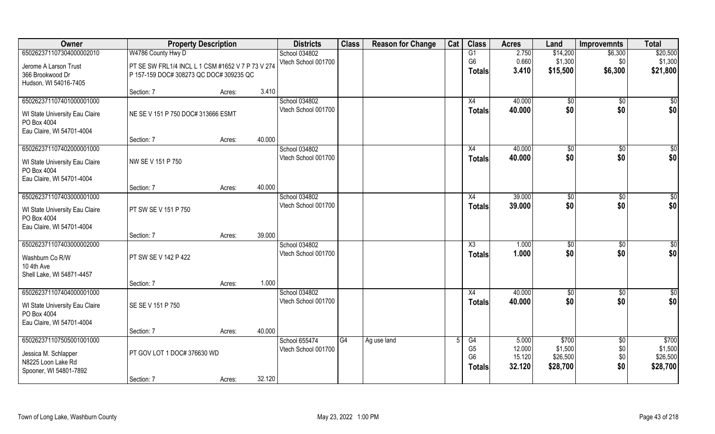| Owner                                      | <b>Property Description</b>                       |                  | <b>Districts</b>                     | <b>Class</b> | <b>Reason for Change</b> | Cat | <b>Class</b>   | <b>Acres</b> | Land       | <b>Improvemnts</b> | <b>Total</b>    |
|--------------------------------------------|---------------------------------------------------|------------------|--------------------------------------|--------------|--------------------------|-----|----------------|--------------|------------|--------------------|-----------------|
| 650262371107304000002010                   | W4786 County Hwy D                                |                  | School 034802                        |              |                          |     | G1             | 2.750        | \$14,200   | \$6,300            | \$20,500        |
| Jerome A Larson Trust                      | PT SE SW FRL1/4 INCL L 1 CSM #1652 V 7 P 73 V 274 |                  | Vtech School 001700                  |              |                          |     | G <sub>6</sub> | 0.660        | \$1,300    | \$0                | \$1,300         |
| 366 Brookwood Dr                           | P 157-159 DOC# 308273 QC DOC# 309235 QC           |                  |                                      |              |                          |     | <b>Totals</b>  | 3.410        | \$15,500   | \$6,300            | \$21,800        |
| Hudson, WI 54016-7405                      |                                                   |                  |                                      |              |                          |     |                |              |            |                    |                 |
| 650262371107401000001000                   | Section: 7                                        | 3.410<br>Acres:  | School 034802                        |              |                          |     | X4             | 40.000       |            |                    |                 |
|                                            |                                                   |                  | Vtech School 001700                  |              |                          |     | Totals         | 40.000       | \$0<br>\$0 | \$0<br>\$0         | \$0<br>\$0      |
| WI State University Eau Claire             | NE SE V 151 P 750 DOC# 313666 ESMT                |                  |                                      |              |                          |     |                |              |            |                    |                 |
| PO Box 4004<br>Eau Claire, WI 54701-4004   |                                                   |                  |                                      |              |                          |     |                |              |            |                    |                 |
|                                            | Section: 7                                        | 40.000<br>Acres: |                                      |              |                          |     |                |              |            |                    |                 |
| 650262371107402000001000                   |                                                   |                  | School 034802                        |              |                          |     | X4             | 40.000       | \$0        | \$0                | \$0             |
| WI State University Eau Claire             | NW SE V 151 P 750                                 |                  | Vtech School 001700                  |              |                          |     | <b>Totals</b>  | 40.000       | \$0        | \$0                | \$0             |
| PO Box 4004                                |                                                   |                  |                                      |              |                          |     |                |              |            |                    |                 |
| Eau Claire, WI 54701-4004                  |                                                   |                  |                                      |              |                          |     |                |              |            |                    |                 |
|                                            | Section: 7                                        | 40.000<br>Acres: |                                      |              |                          |     |                |              |            |                    |                 |
| 650262371107403000001000                   |                                                   |                  | School 034802<br>Vtech School 001700 |              |                          |     | X4             | 39.000       | \$0<br>\$0 | \$0<br>\$0         | \$              |
| WI State University Eau Claire             | PT SW SE V 151 P 750                              |                  |                                      |              |                          |     | <b>Totals</b>  | 39.000       |            |                    | \$0             |
| PO Box 4004                                |                                                   |                  |                                      |              |                          |     |                |              |            |                    |                 |
| Eau Claire, WI 54701-4004                  | Section: 7                                        | 39.000<br>Acres: |                                      |              |                          |     |                |              |            |                    |                 |
| 650262371107403000002000                   |                                                   |                  | School 034802                        |              |                          |     | X3             | 1.000        | \$0        | \$0                | $\overline{50}$ |
| Washburn Co R/W                            | PT SW SE V 142 P 422                              |                  | Vtech School 001700                  |              |                          |     | <b>Totals</b>  | 1.000        | \$0        | \$0                | \$0             |
| 10 4th Ave                                 |                                                   |                  |                                      |              |                          |     |                |              |            |                    |                 |
| Shell Lake, WI 54871-4457                  |                                                   |                  |                                      |              |                          |     |                |              |            |                    |                 |
|                                            | Section: 7                                        | 1.000<br>Acres:  |                                      |              |                          |     |                |              |            |                    |                 |
| 650262371107404000001000                   |                                                   |                  | School 034802                        |              |                          |     | X4             | 40.000       | \$0        | \$0                | $\frac{6}{3}$   |
| WI State University Eau Claire             | SE SE V 151 P 750                                 |                  | Vtech School 001700                  |              |                          |     | <b>Totals</b>  | 40.000       | \$0        | \$0                | \$0             |
| PO Box 4004                                |                                                   |                  |                                      |              |                          |     |                |              |            |                    |                 |
| Eau Claire, WI 54701-4004                  | Section: 7                                        | 40.000           |                                      |              |                          |     |                |              |            |                    |                 |
| 650262371107505001001000                   |                                                   | Acres:           | School 655474                        | G4           | Ag use land              |     | G4             | 5.000        | \$700      | $\overline{30}$    | \$700           |
|                                            |                                                   |                  | Vtech School 001700                  |              |                          |     | G <sub>5</sub> | 12.000       | \$1,500    | \$0                | \$1,500         |
| Jessica M. Schlapper<br>N8225 Loon Lake Rd | PT GOV LOT 1 DOC# 376630 WD                       |                  |                                      |              |                          |     | G <sub>6</sub> | 15.120       | \$26,500   | \$0                | \$26,500        |
| Spooner, WI 54801-7892                     |                                                   |                  |                                      |              |                          |     | <b>Totals</b>  | 32.120       | \$28,700   | \$0                | \$28,700        |
|                                            | Section: 7                                        | 32.120<br>Acres: |                                      |              |                          |     |                |              |            |                    |                 |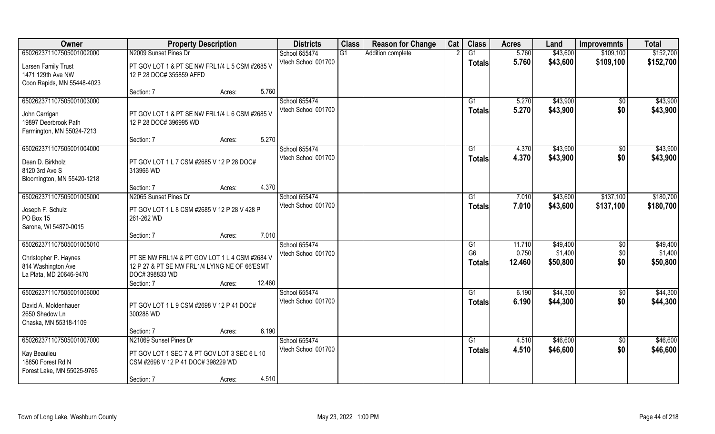| Owner                                                                                              | <b>Property Description</b>                                                                                                                         | <b>Districts</b>                     | <b>Class</b> | <b>Reason for Change</b> | Cat | <b>Class</b>                          | <b>Acres</b>              | Land                            | <b>Improvemnts</b>     | <b>Total</b>                    |
|----------------------------------------------------------------------------------------------------|-----------------------------------------------------------------------------------------------------------------------------------------------------|--------------------------------------|--------------|--------------------------|-----|---------------------------------------|---------------------------|---------------------------------|------------------------|---------------------------------|
| 650262371107505001002000                                                                           | N2009 Sunset Pines Dr                                                                                                                               | School 655474                        | G1           | Addition complete        |     | $\overline{G1}$                       | 5.760                     | \$43,600                        | \$109,100              | \$152,700                       |
| Larsen Family Trust<br>1471 129th Ave NW<br>Coon Rapids, MN 55448-4023                             | PT GOV LOT 1 & PT SE NW FRL1/4 L 5 CSM #2685 V<br>12 P 28 DOC# 355859 AFFD                                                                          | Vtech School 001700                  |              |                          |     | <b>Totals</b>                         | 5.760                     | \$43,600                        | \$109,100              | \$152,700                       |
|                                                                                                    | 5.760<br>Section: 7<br>Acres:                                                                                                                       |                                      |              |                          |     |                                       |                           |                                 |                        |                                 |
| 650262371107505001003000<br>John Carrigan<br>19897 Deerbrook Path<br>Farmington, MN 55024-7213     | PT GOV LOT 1 & PT SE NW FRL1/4 L 6 CSM #2685 V<br>12 P 28 DOC# 396995 WD                                                                            | School 655474<br>Vtech School 001700 |              |                          |     | G1<br>Totals                          | 5.270<br>5.270            | \$43,900<br>\$43,900            | \$0<br>\$0             | \$43,900<br>\$43,900            |
|                                                                                                    | 5.270<br>Section: 7<br>Acres:                                                                                                                       |                                      |              |                          |     |                                       |                           |                                 |                        |                                 |
| 650262371107505001004000<br>Dean D. Birkholz<br>8120 3rd Ave S<br>Bloomington, MN 55420-1218       | PT GOV LOT 1 L 7 CSM #2685 V 12 P 28 DOC#<br>313966 WD                                                                                              | School 655474<br>Vtech School 001700 |              |                          |     | G1<br><b>Totals</b>                   | 4.370<br>4.370            | \$43,900<br>\$43,900            | \$0<br>\$0             | \$43,900<br>\$43,900            |
|                                                                                                    | 4.370<br>Section: 7<br>Acres:                                                                                                                       |                                      |              |                          |     |                                       |                           |                                 |                        |                                 |
| 650262371107505001005000<br>Joseph F. Schulz<br>PO Box 15<br>Sarona, WI 54870-0015                 | N2065 Sunset Pines Dr<br>PT GOV LOT 1 L 8 CSM #2685 V 12 P 28 V 428 P<br>261-262 WD                                                                 | School 655474<br>Vtech School 001700 |              |                          |     | G1<br><b>Totals</b>                   | 7.010<br>7.010            | \$43,600<br>\$43,600            | \$137,100<br>\$137,100 | \$180,700<br>\$180,700          |
|                                                                                                    | 7.010<br>Section: 7<br>Acres:                                                                                                                       |                                      |              |                          |     |                                       |                           |                                 |                        |                                 |
| 650262371107505001005010<br>Christopher P. Haynes<br>814 Washington Ave<br>La Plata, MD 20646-9470 | PT SE NW FRL1/4 & PT GOV LOT 1 L 4 CSM #2684 V<br>12 P 27 & PT SE NW FRL1/4 LYING NE OF 66'ESMT<br>DOC# 398833 WD<br>12.460<br>Section: 7<br>Acres: | School 655474<br>Vtech School 001700 |              |                          |     | G1<br>G <sub>6</sub><br><b>Totals</b> | 11.710<br>0.750<br>12.460 | \$49,400<br>\$1,400<br>\$50,800 | \$0<br>\$0<br>\$0      | \$49,400<br>\$1,400<br>\$50,800 |
| 650262371107505001006000<br>David A. Moldenhauer<br>2650 Shadow Ln<br>Chaska, MN 55318-1109        | PT GOV LOT 1 L 9 CSM #2698 V 12 P 41 DOC#<br>300288 WD                                                                                              | School 655474<br>Vtech School 001700 |              |                          |     | G1<br><b>Totals</b>                   | 6.190<br>6.190            | \$44,300<br>\$44,300            | $\overline{60}$<br>\$0 | \$44,300<br>\$44,300            |
|                                                                                                    | 6.190<br>Section: 7<br>Acres:                                                                                                                       |                                      |              |                          |     |                                       |                           |                                 |                        |                                 |
| 650262371107505001007000<br>Kay Beaulieu<br>18850 Forest Rd N<br>Forest Lake, MN 55025-9765        | N21069 Sunset Pines Dr<br>PT GOV LOT 1 SEC 7 & PT GOV LOT 3 SEC 6 L 10<br>CSM #2698 V 12 P 41 DOC# 398229 WD<br>4.510<br>Section: 7<br>Acres:       | School 655474<br>Vtech School 001700 |              |                          |     | G1<br><b>Totals</b>                   | 4.510<br>4.510            | \$46,600<br>\$46,600            | $\overline{50}$<br>\$0 | \$46,600<br>\$46,600            |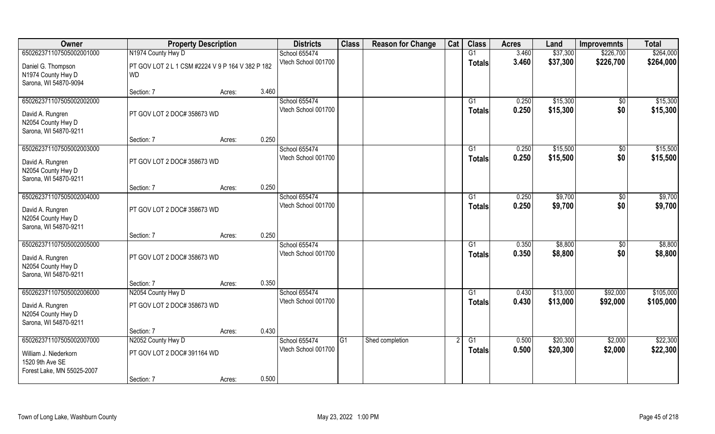| Owner                                                                                              | <b>Property Description</b>                                   |                 | <b>Districts</b>                     | <b>Class</b> | <b>Reason for Change</b> | Cat | <b>Class</b>              | <b>Acres</b>   | Land                 | <b>Improvemnts</b>     | <b>Total</b>           |
|----------------------------------------------------------------------------------------------------|---------------------------------------------------------------|-----------------|--------------------------------------|--------------|--------------------------|-----|---------------------------|----------------|----------------------|------------------------|------------------------|
| 650262371107505002001000                                                                           | N1974 County Hwy D                                            |                 | School 655474                        |              |                          |     | G1                        | 3.460          | \$37,300             | \$226,700              | \$264,000              |
| Daniel G. Thompson<br>N1974 County Hwy D<br>Sarona, WI 54870-9094                                  | PT GOV LOT 2 L 1 CSM #2224 V 9 P 164 V 382 P 182<br><b>WD</b> |                 | Vtech School 001700                  |              |                          |     | <b>Totals</b>             | 3.460          | \$37,300             | \$226,700              | \$264,000              |
|                                                                                                    | Section: 7                                                    | 3.460<br>Acres: |                                      |              |                          |     |                           |                |                      |                        |                        |
| 650262371107505002002000<br>David A. Rungren<br>N2054 County Hwy D<br>Sarona, WI 54870-9211        | PT GOV LOT 2 DOC# 358673 WD                                   |                 | School 655474<br>Vtech School 001700 |              |                          |     | G1<br>Totals              | 0.250<br>0.250 | \$15,300<br>\$15,300 | $\sqrt{$0}$<br>\$0     | \$15,300<br>\$15,300   |
|                                                                                                    | Section: 7                                                    | 0.250<br>Acres: |                                      |              |                          |     |                           |                |                      |                        |                        |
| 650262371107505002003000<br>David A. Rungren<br>N2054 County Hwy D<br>Sarona, WI 54870-9211        | PT GOV LOT 2 DOC# 358673 WD                                   |                 | School 655474<br>Vtech School 001700 |              |                          |     | G1<br><b>Totals</b>       | 0.250<br>0.250 | \$15,500<br>\$15,500 | $\overline{50}$<br>\$0 | \$15,500<br>\$15,500   |
|                                                                                                    | Section: 7                                                    | 0.250<br>Acres: |                                      |              |                          |     |                           |                |                      |                        |                        |
| 650262371107505002004000<br>David A. Rungren<br>N2054 County Hwy D<br>Sarona, WI 54870-9211        | PT GOV LOT 2 DOC# 358673 WD                                   |                 | School 655474<br>Vtech School 001700 |              |                          |     | G1<br><b>Totals</b>       | 0.250<br>0.250 | \$9,700<br>\$9,700   | $\sqrt[6]{3}$<br>\$0   | \$9,700<br>\$9,700     |
|                                                                                                    | Section: 7                                                    | 0.250<br>Acres: |                                      |              |                          |     |                           |                |                      |                        |                        |
| 650262371107505002005000<br>David A. Rungren<br>N2054 County Hwy D<br>Sarona, WI 54870-9211        | PT GOV LOT 2 DOC# 358673 WD                                   |                 | School 655474<br>Vtech School 001700 |              |                          |     | G1<br><b>Totals</b>       | 0.350<br>0.350 | \$8,800<br>\$8,800   | $\overline{50}$<br>\$0 | \$8,800<br>\$8,800     |
|                                                                                                    | Section: 7                                                    | 0.350<br>Acres: |                                      |              |                          |     |                           |                |                      |                        |                        |
| 650262371107505002006000<br>David A. Rungren<br>N2054 County Hwy D<br>Sarona, WI 54870-9211        | N2054 County Hwy D<br>PT GOV LOT 2 DOC# 358673 WD             |                 | School 655474<br>Vtech School 001700 |              |                          |     | G1<br><b>Totals</b>       | 0.430<br>0.430 | \$13,000<br>\$13,000 | \$92,000<br>\$92,000   | \$105,000<br>\$105,000 |
|                                                                                                    | Section: 7                                                    | 0.430<br>Acres: |                                      |              |                          |     |                           |                |                      |                        |                        |
| 650262371107505002007000<br>William J. Niederkorn<br>1520 9th Ave SE<br>Forest Lake, MN 55025-2007 | N2052 County Hwy D<br>PT GOV LOT 2 DOC# 391164 WD             |                 | School 655474<br>Vtech School 001700 | G1           | Shed completion          |     | $\overline{G1}$<br>Totals | 0.500<br>0.500 | \$20,300<br>\$20,300 | \$2,000<br>\$2,000     | \$22,300<br>\$22,300   |
|                                                                                                    | Section: 7                                                    | 0.500<br>Acres: |                                      |              |                          |     |                           |                |                      |                        |                        |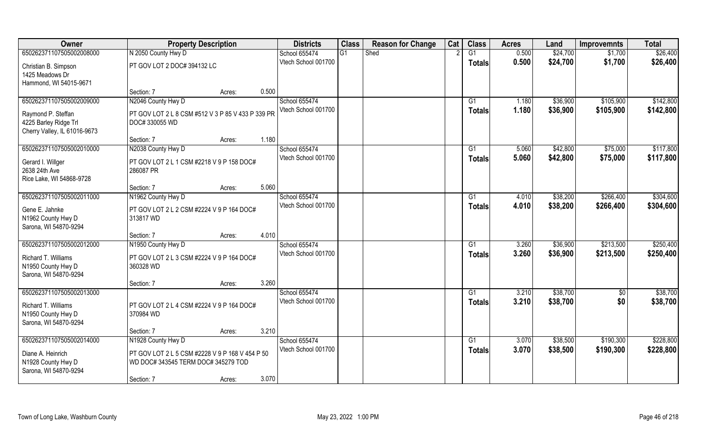| Owner                                   | <b>Property Description</b>                       |        |       | <b>Districts</b>    | <b>Class</b>    | <b>Reason for Change</b> | Cat | <b>Class</b>  | <b>Acres</b> | Land     | <b>Improvemnts</b> | <b>Total</b> |
|-----------------------------------------|---------------------------------------------------|--------|-------|---------------------|-----------------|--------------------------|-----|---------------|--------------|----------|--------------------|--------------|
| 650262371107505002008000                | N 2050 County Hwy D                               |        |       | School 655474       | $\overline{G1}$ | Shed                     |     | G1            | 0.500        | \$24,700 | \$1,700            | \$26,400     |
| Christian B. Simpson<br>1425 Meadows Dr | PT GOV LOT 2 DOC# 394132 LC                       |        |       | Vtech School 001700 |                 |                          |     | <b>Totals</b> | 0.500        | \$24,700 | \$1,700            | \$26,400     |
| Hammond, WI 54015-9671                  |                                                   |        |       |                     |                 |                          |     |               |              |          |                    |              |
|                                         | Section: 7                                        | Acres: | 0.500 |                     |                 |                          |     |               |              |          |                    |              |
| 650262371107505002009000                | N2046 County Hwy D                                |        |       | School 655474       |                 |                          |     | G1            | 1.180        | \$36,900 | \$105,900          | \$142,800    |
| Raymond P. Steffan                      | PT GOV LOT 2 L 8 CSM #512 V 3 P 85 V 433 P 339 PR |        |       | Vtech School 001700 |                 |                          |     | <b>Totals</b> | 1.180        | \$36,900 | \$105,900          | \$142,800    |
| 4225 Barley Ridge Trl                   | DOC# 330055 WD                                    |        |       |                     |                 |                          |     |               |              |          |                    |              |
| Cherry Valley, IL 61016-9673            |                                                   |        |       |                     |                 |                          |     |               |              |          |                    |              |
|                                         | Section: 7                                        | Acres: | 1.180 |                     |                 |                          |     |               |              |          |                    |              |
| 650262371107505002010000                | N2038 County Hwy D                                |        |       | School 655474       |                 |                          |     | G1            | 5.060        | \$42,800 | \$75,000           | \$117,800    |
| Gerard I. Willger                       | PT GOV LOT 2 L 1 CSM #2218 V 9 P 158 DOC#         |        |       | Vtech School 001700 |                 |                          |     | <b>Totals</b> | 5.060        | \$42,800 | \$75,000           | \$117,800    |
| 2638 24th Ave                           | 286087 PR                                         |        |       |                     |                 |                          |     |               |              |          |                    |              |
| Rice Lake, WI 54868-9728                |                                                   |        |       |                     |                 |                          |     |               |              |          |                    |              |
|                                         | Section: 7                                        | Acres: | 5.060 |                     |                 |                          |     |               |              |          |                    |              |
| 650262371107505002011000                | N1962 County Hwy D                                |        |       | School 655474       |                 |                          |     | G1            | 4.010        | \$38,200 | \$266,400          | \$304,600    |
| Gene E. Jahnke                          | PT GOV LOT 2 L 2 CSM #2224 V 9 P 164 DOC#         |        |       | Vtech School 001700 |                 |                          |     | <b>Totals</b> | 4.010        | \$38,200 | \$266,400          | \$304,600    |
| N1962 County Hwy D                      | 313817 WD                                         |        |       |                     |                 |                          |     |               |              |          |                    |              |
| Sarona, WI 54870-9294                   |                                                   |        |       |                     |                 |                          |     |               |              |          |                    |              |
|                                         | Section: 7                                        | Acres: | 4.010 |                     |                 |                          |     |               |              |          |                    |              |
| 650262371107505002012000                | N1950 County Hwy D                                |        |       | School 655474       |                 |                          |     | G1            | 3.260        | \$36,900 | \$213,500          | \$250,400    |
| Richard T. Williams                     | PT GOV LOT 2 L 3 CSM #2224 V 9 P 164 DOC#         |        |       | Vtech School 001700 |                 |                          |     | <b>Totals</b> | 3.260        | \$36,900 | \$213,500          | \$250,400    |
| N1950 County Hwy D                      | 360328 WD                                         |        |       |                     |                 |                          |     |               |              |          |                    |              |
| Sarona, WI 54870-9294                   |                                                   |        |       |                     |                 |                          |     |               |              |          |                    |              |
|                                         | Section: 7                                        | Acres: | 3.260 |                     |                 |                          |     |               |              |          |                    |              |
| 650262371107505002013000                |                                                   |        |       | School 655474       |                 |                          |     | G1            | 3.210        | \$38,700 | $\sqrt{6}$         | \$38,700     |
| Richard T. Williams                     | PT GOV LOT 2 L 4 CSM #2224 V 9 P 164 DOC#         |        |       | Vtech School 001700 |                 |                          |     | <b>Totals</b> | 3.210        | \$38,700 | \$0                | \$38,700     |
| N1950 County Hwy D                      | 370984 WD                                         |        |       |                     |                 |                          |     |               |              |          |                    |              |
| Sarona, WI 54870-9294                   |                                                   |        |       |                     |                 |                          |     |               |              |          |                    |              |
|                                         | Section: 7                                        | Acres: | 3.210 |                     |                 |                          |     |               |              |          |                    |              |
| 650262371107505002014000                | N1928 County Hwy D                                |        |       | School 655474       |                 |                          |     | G1            | 3.070        | \$38,500 | \$190,300          | \$228,800    |
| Diane A. Heinrich                       | PT GOV LOT 2 L 5 CSM #2228 V 9 P 168 V 454 P 50   |        |       | Vtech School 001700 |                 |                          |     | <b>Totals</b> | 3.070        | \$38,500 | \$190,300          | \$228,800    |
| N1928 County Hwy D                      | WD DOC# 343545 TERM DOC# 345279 TOD               |        |       |                     |                 |                          |     |               |              |          |                    |              |
| Sarona, WI 54870-9294                   |                                                   |        |       |                     |                 |                          |     |               |              |          |                    |              |
|                                         | Section: 7                                        | Acres: | 3.070 |                     |                 |                          |     |               |              |          |                    |              |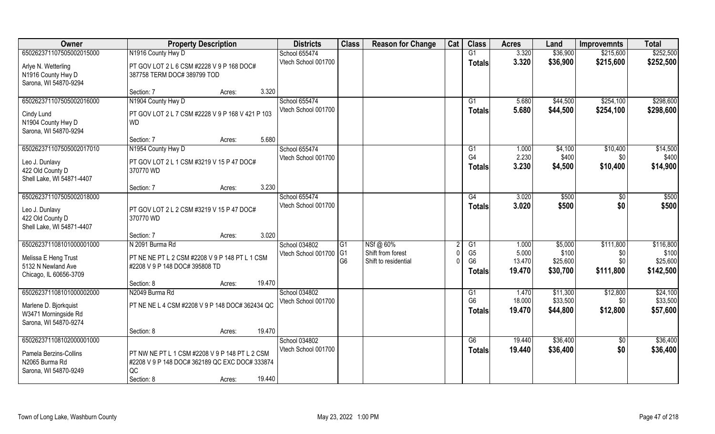| Owner                                         | <b>Property Description</b>                                                      |        | <b>Districts</b>    | <b>Class</b>   | <b>Reason for Change</b> | Cat | <b>Class</b>   | <b>Acres</b> | Land     | <b>Improvemnts</b> | <b>Total</b> |
|-----------------------------------------------|----------------------------------------------------------------------------------|--------|---------------------|----------------|--------------------------|-----|----------------|--------------|----------|--------------------|--------------|
| 650262371107505002015000                      | N1916 County Hwy D                                                               |        | School 655474       |                |                          |     | G1             | 3.320        | \$36,900 | \$215,600          | \$252,500    |
| Arlye N. Wetterling                           | PT GOV LOT 2 L 6 CSM #2228 V 9 P 168 DOC#                                        |        | Vtech School 001700 |                |                          |     | <b>Totals</b>  | 3.320        | \$36,900 | \$215,600          | \$252,500    |
| N1916 County Hwy D                            | 387758 TERM DOC# 389799 TOD                                                      |        |                     |                |                          |     |                |              |          |                    |              |
| Sarona, WI 54870-9294                         |                                                                                  |        |                     |                |                          |     |                |              |          |                    |              |
|                                               | Section: 7<br>Acres:                                                             | 3.320  |                     |                |                          |     |                |              |          |                    |              |
| 650262371107505002016000                      | N1904 County Hwy D                                                               |        | School 655474       |                |                          |     | G1             | 5.680        | \$44,500 | \$254,100          | \$298,600    |
| Cindy Lund                                    | PT GOV LOT 2 L 7 CSM #2228 V 9 P 168 V 421 P 103                                 |        | Vtech School 001700 |                |                          |     | Totals         | 5.680        | \$44,500 | \$254,100          | \$298,600    |
| N1904 County Hwy D                            | <b>WD</b>                                                                        |        |                     |                |                          |     |                |              |          |                    |              |
| Sarona, WI 54870-9294                         |                                                                                  |        |                     |                |                          |     |                |              |          |                    |              |
|                                               | Section: 7<br>Acres:                                                             | 5.680  |                     |                |                          |     |                |              |          |                    |              |
| 650262371107505002017010                      | N1954 County Hwy D                                                               |        | School 655474       |                |                          |     | G1             | 1.000        | \$4,100  | \$10,400           | \$14,500     |
| Leo J. Dunlavy                                | PT GOV LOT 2 L 1 CSM #3219 V 15 P 47 DOC#                                        |        | Vtech School 001700 |                |                          |     | G4             | 2.230        | \$400    | \$0\$              | \$400        |
| 422 Old County D                              | 370770 WD                                                                        |        |                     |                |                          |     | <b>Totals</b>  | 3.230        | \$4,500  | \$10,400           | \$14,900     |
| Shell Lake, WI 54871-4407                     |                                                                                  |        |                     |                |                          |     |                |              |          |                    |              |
|                                               | Section: 7<br>Acres:                                                             | 3.230  |                     |                |                          |     |                |              |          |                    |              |
| 650262371107505002018000                      |                                                                                  |        | School 655474       |                |                          |     | G4             | 3.020        | \$500    | \$0                | \$500        |
|                                               | PT GOV LOT 2 L 2 CSM #3219 V 15 P 47 DOC#                                        |        | Vtech School 001700 |                |                          |     | <b>Totals</b>  | 3.020        | \$500    | \$0                | \$500        |
| Leo J. Dunlavy<br>422 Old County D            | 370770 WD                                                                        |        |                     |                |                          |     |                |              |          |                    |              |
| Shell Lake, WI 54871-4407                     |                                                                                  |        |                     |                |                          |     |                |              |          |                    |              |
|                                               | Section: 7<br>Acres:                                                             | 3.020  |                     |                |                          |     |                |              |          |                    |              |
| 650262371108101000001000                      | N 2091 Burma Rd                                                                  |        | School 034802       | G1             | NSf @ 60%                |     | G1             | 1.000        | \$5,000  | \$111,800          | \$116,800    |
|                                               |                                                                                  |        | Vtech School 001700 | G1             | Shift from forest        |     | G <sub>5</sub> | 5.000        | \$100    | \$0                | \$100        |
| Melissa E Heng Trust<br>5132 N Newland Ave    | PT NE NE PT L 2 CSM #2208 V 9 P 148 PT L 1 CSM<br>#2208 V 9 P 148 DOC# 395808 TD |        |                     | G <sub>6</sub> | Shift to residential     |     | G <sub>6</sub> | 13.470       | \$25,600 | \$0\$              | \$25,600     |
| Chicago, IL 60656-3709                        |                                                                                  |        |                     |                |                          |     | Totals         | 19.470       | \$30,700 | \$111,800          | \$142,500    |
|                                               | Section: 8<br>Acres:                                                             | 19.470 |                     |                |                          |     |                |              |          |                    |              |
| 650262371108101000002000                      | N2049 Burma Rd                                                                   |        | School 034802       |                |                          |     | G1             | 1.470        | \$11,300 | \$12,800           | \$24,100     |
|                                               |                                                                                  |        | Vtech School 001700 |                |                          |     | G <sub>6</sub> | 18.000       | \$33,500 | \$0                | \$33,500     |
| Marlene D. Bjorkquist                         | PT NE NE L 4 CSM #2208 V 9 P 148 DOC# 362434 QC                                  |        |                     |                |                          |     | <b>Totals</b>  | 19.470       | \$44,800 | \$12,800           | \$57,600     |
| W3471 Morningside Rd<br>Sarona, WI 54870-9274 |                                                                                  |        |                     |                |                          |     |                |              |          |                    |              |
|                                               | Section: 8<br>Acres:                                                             | 19.470 |                     |                |                          |     |                |              |          |                    |              |
| 650262371108102000001000                      |                                                                                  |        | School 034802       |                |                          |     | G6             | 19.440       | \$36,400 | $\overline{50}$    | \$36,400     |
|                                               |                                                                                  |        | Vtech School 001700 |                |                          |     | Totals         | 19.440       | \$36,400 | \$0                | \$36,400     |
| Pamela Berzins-Collins                        | PT NW NE PT L 1 CSM #2208 V 9 P 148 PT L 2 CSM                                   |        |                     |                |                          |     |                |              |          |                    |              |
| N2065 Burma Rd<br>Sarona, WI 54870-9249       | #2208 V 9 P 148 DOC# 362189 QC EXC DOC# 333874<br>QC                             |        |                     |                |                          |     |                |              |          |                    |              |
|                                               | Section: 8<br>Acres:                                                             | 19.440 |                     |                |                          |     |                |              |          |                    |              |
|                                               |                                                                                  |        |                     |                |                          |     |                |              |          |                    |              |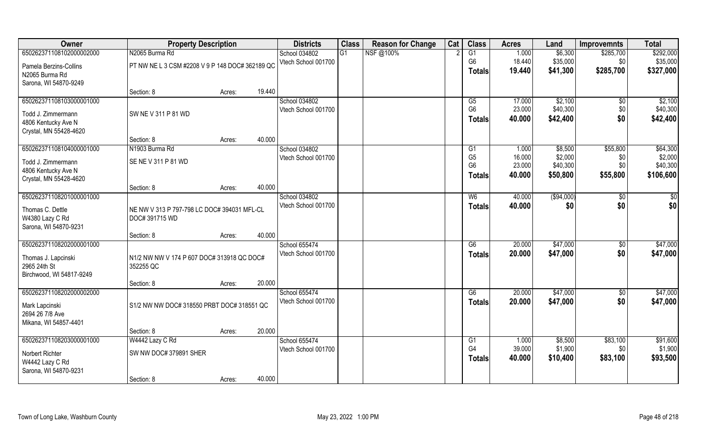| Owner                                    | <b>Property Description</b>                     |        |        | <b>Districts</b>                     | <b>Class</b> | <b>Reason for Change</b> | Cat | <b>Class</b>         | <b>Acres</b>     | Land               | <b>Improvemnts</b> | <b>Total</b>        |
|------------------------------------------|-------------------------------------------------|--------|--------|--------------------------------------|--------------|--------------------------|-----|----------------------|------------------|--------------------|--------------------|---------------------|
| 650262371108102000002000                 | N2065 Burma Rd                                  |        |        | School 034802                        | G1           | NSF@100%                 |     | G1                   | 1.000            | \$6,300            | \$285,700          | \$292,000           |
| Pamela Berzins-Collins                   | PT NW NE L 3 CSM #2208 V 9 P 148 DOC# 362189 QC |        |        | Vtech School 001700                  |              |                          |     | G <sub>6</sub>       | 18.440           | \$35,000           | \$0                | \$35,000            |
| N2065 Burma Rd                           |                                                 |        |        |                                      |              |                          |     | Totals               | 19.440           | \$41,300           | \$285,700          | \$327,000           |
| Sarona, WI 54870-9249                    |                                                 |        |        |                                      |              |                          |     |                      |                  |                    |                    |                     |
|                                          | Section: 8                                      | Acres: | 19.440 |                                      |              |                          |     |                      |                  |                    |                    |                     |
| 650262371108103000001000                 |                                                 |        |        | School 034802                        |              |                          |     | G5                   | 17.000           | \$2,100            | $\sqrt{$0}$        | \$2,100             |
| Todd J. Zimmermann                       | SW NE V 311 P 81 WD                             |        |        | Vtech School 001700                  |              |                          |     | G <sub>6</sub>       | 23.000           | \$40,300           | \$0                | \$40,300            |
| 4806 Kentucky Ave N                      |                                                 |        |        |                                      |              |                          |     | <b>Totals</b>        | 40.000           | \$42,400           | \$0                | \$42,400            |
| Crystal, MN 55428-4620                   |                                                 |        |        |                                      |              |                          |     |                      |                  |                    |                    |                     |
|                                          | Section: 8                                      | Acres: | 40.000 |                                      |              |                          |     |                      |                  |                    |                    |                     |
| 650262371108104000001000                 | N1903 Burma Rd                                  |        |        | School 034802                        |              |                          |     | G1<br>G <sub>5</sub> | 1.000            | \$8,500<br>\$2,000 | \$55,800           | \$64,300            |
| Todd J. Zimmermann                       | SE NE V 311 P 81 WD                             |        |        | Vtech School 001700                  |              |                          |     | G <sub>6</sub>       | 16.000<br>23.000 | \$40,300           | \$0<br>\$0         | \$2,000<br>\$40,300 |
| 4806 Kentucky Ave N                      |                                                 |        |        |                                      |              |                          |     | <b>Totals</b>        | 40,000           | \$50,800           | \$55,800           | \$106,600           |
| Crystal, MN 55428-4620                   |                                                 |        |        |                                      |              |                          |     |                      |                  |                    |                    |                     |
|                                          | Section: 8                                      | Acres: | 40.000 |                                      |              |                          |     |                      |                  |                    |                    |                     |
| 650262371108201000001000                 |                                                 |        |        | School 034802<br>Vtech School 001700 |              |                          |     | W <sub>6</sub>       | 40.000           | (\$94,000)         | $\sqrt[6]{3}$      | \$0                 |
| Thomas C. Dettle                         | NE NW V 313 P 797-798 LC DOC# 394031 MFL-CL     |        |        |                                      |              |                          |     | <b>Totals</b>        | 40.000           | \$0                | \$0                | \$0                 |
| W4380 Lazy C Rd                          | DOC# 391715 WD                                  |        |        |                                      |              |                          |     |                      |                  |                    |                    |                     |
| Sarona, WI 54870-9231                    |                                                 |        |        |                                      |              |                          |     |                      |                  |                    |                    |                     |
| 650262371108202000001000                 | Section: 8                                      | Acres: | 40.000 | School 655474                        |              |                          |     | $\overline{G6}$      | 20.000           | \$47,000           | $\overline{50}$    | \$47,000            |
|                                          |                                                 |        |        | Vtech School 001700                  |              |                          |     | <b>Totals</b>        | 20.000           | \$47,000           | \$0                | \$47,000            |
| Thomas J. Lapcinski                      | N1/2 NW NW V 174 P 607 DOC# 313918 QC DOC#      |        |        |                                      |              |                          |     |                      |                  |                    |                    |                     |
| 2965 24th St                             | 352255 QC                                       |        |        |                                      |              |                          |     |                      |                  |                    |                    |                     |
| Birchwood, WI 54817-9249                 | Section: 8                                      |        | 20.000 |                                      |              |                          |     |                      |                  |                    |                    |                     |
| 650262371108202000002000                 |                                                 | Acres: |        | School 655474                        |              |                          |     | G6                   | 20.000           | \$47,000           | $\sqrt{$0}$        | \$47,000            |
|                                          |                                                 |        |        | Vtech School 001700                  |              |                          |     | <b>Totals</b>        | 20.000           | \$47,000           | \$0                | \$47,000            |
| Mark Lapcinski                           | S1/2 NW NW DOC# 318550 PRBT DOC# 318551 QC      |        |        |                                      |              |                          |     |                      |                  |                    |                    |                     |
| 2694 26 7/8 Ave                          |                                                 |        |        |                                      |              |                          |     |                      |                  |                    |                    |                     |
| Mikana, WI 54857-4401                    | Section: 8                                      | Acres: | 20.000 |                                      |              |                          |     |                      |                  |                    |                    |                     |
| 650262371108203000001000                 | W4442 Lazy C Rd                                 |        |        | School 655474                        |              |                          |     | G1                   | 1.000            | \$8,500            | \$83,100           | \$91,600            |
|                                          |                                                 |        |        | Vtech School 001700                  |              |                          |     | G4                   | 39.000           | \$1,900            | \$0                | \$1,900             |
| Norbert Richter                          | SW NW DOC# 379891 SHER                          |        |        |                                      |              |                          |     | <b>Totals</b>        | 40.000           | \$10,400           | \$83,100           | \$93,500            |
| W4442 Lazy C Rd<br>Sarona, WI 54870-9231 |                                                 |        |        |                                      |              |                          |     |                      |                  |                    |                    |                     |
|                                          | Section: 8                                      | Acres: | 40.000 |                                      |              |                          |     |                      |                  |                    |                    |                     |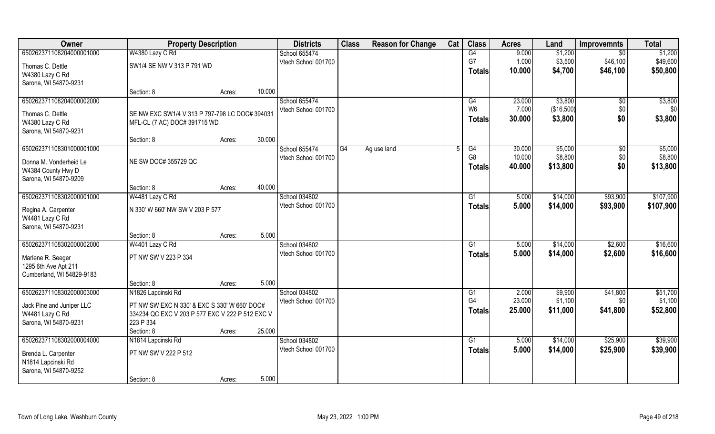| Owner                     | <b>Property Description</b>                     |        |        | <b>Districts</b>    | <b>Class</b> | <b>Reason for Change</b> | Cat | <b>Class</b>    | <b>Acres</b> | Land       | <b>Improvemnts</b> | <b>Total</b> |
|---------------------------|-------------------------------------------------|--------|--------|---------------------|--------------|--------------------------|-----|-----------------|--------------|------------|--------------------|--------------|
| 650262371108204000001000  | W4380 Lazy C Rd                                 |        |        | School 655474       |              |                          |     | $\overline{G4}$ | 9.000        | \$1,200    | \$0                | \$1,200      |
| Thomas C. Dettle          | SW1/4 SE NW V 313 P 791 WD                      |        |        | Vtech School 001700 |              |                          |     | G7              | 1.000        | \$3,500    | \$46,100           | \$49,600     |
| W4380 Lazy C Rd           |                                                 |        |        |                     |              |                          |     | <b>Totals</b>   | 10.000       | \$4,700    | \$46,100           | \$50,800     |
| Sarona, WI 54870-9231     |                                                 |        |        |                     |              |                          |     |                 |              |            |                    |              |
|                           | Section: 8                                      | Acres: | 10.000 |                     |              |                          |     |                 |              |            |                    |              |
| 650262371108204000002000  |                                                 |        |        | School 655474       |              |                          |     | G4              | 23.000       | \$3,800    | \$0                | \$3,800      |
| Thomas C. Dettle          | SE NW EXC SW1/4 V 313 P 797-798 LC DOC# 394031  |        |        | Vtech School 001700 |              |                          |     | W <sub>6</sub>  | 7.000        | (\$16,500) | \$0                | \$0          |
| W4380 Lazy C Rd           | MFL-CL (7 AC) DOC# 391715 WD                    |        |        |                     |              |                          |     | <b>Totals</b>   | 30.000       | \$3,800    | \$0                | \$3,800      |
| Sarona, WI 54870-9231     |                                                 |        |        |                     |              |                          |     |                 |              |            |                    |              |
|                           | Section: 8                                      | Acres: | 30.000 |                     |              |                          |     |                 |              |            |                    |              |
| 650262371108301000001000  |                                                 |        |        | School 655474       | IG4          | Ag use land              |     | G4              | 30.000       | \$5,000    | \$0                | \$5,000      |
| Donna M. Vonderheid Le    | NE SW DOC# 355729 QC                            |        |        | Vtech School 001700 |              |                          |     | G <sub>8</sub>  | 10.000       | \$8,800    | \$0                | \$8,800      |
| W4384 County Hwy D        |                                                 |        |        |                     |              |                          |     | <b>Totals</b>   | 40.000       | \$13,800   | \$0                | \$13,800     |
| Sarona, WI 54870-9209     |                                                 |        |        |                     |              |                          |     |                 |              |            |                    |              |
|                           | Section: 8                                      | Acres: | 40.000 |                     |              |                          |     |                 |              |            |                    |              |
| 650262371108302000001000  | W4481 Lazy C Rd                                 |        |        | School 034802       |              |                          |     | G1              | 5.000        | \$14,000   | \$93,900           | \$107,900    |
| Regina A. Carpenter       | N 330' W 660' NW SW V 203 P 577                 |        |        | Vtech School 001700 |              |                          |     | <b>Totals</b>   | 5.000        | \$14,000   | \$93,900           | \$107,900    |
| W4481 Lazy C Rd           |                                                 |        |        |                     |              |                          |     |                 |              |            |                    |              |
| Sarona, WI 54870-9231     |                                                 |        |        |                     |              |                          |     |                 |              |            |                    |              |
|                           | Section: 8                                      | Acres: | 5.000  |                     |              |                          |     |                 |              |            |                    |              |
| 650262371108302000002000  | W4401 Lazy C Rd                                 |        |        | School 034802       |              |                          |     | G1              | 5.000        | \$14,000   | \$2,600            | \$16,600     |
| Marlene R. Seeger         | PT NW SW V 223 P 334                            |        |        | Vtech School 001700 |              |                          |     | <b>Totals</b>   | 5.000        | \$14,000   | \$2,600            | \$16,600     |
| 1295 6th Ave Apt 211      |                                                 |        |        |                     |              |                          |     |                 |              |            |                    |              |
| Cumberland, WI 54829-9183 |                                                 |        |        |                     |              |                          |     |                 |              |            |                    |              |
|                           | Section: 8                                      | Acres: | 5.000  |                     |              |                          |     |                 |              |            |                    |              |
| 650262371108302000003000  | N1826 Lapcinski Rd                              |        |        | School 034802       |              |                          |     | G1              | 2.000        | \$9,900    | \$41,800           | \$51,700     |
| Jack Pine and Juniper LLC | PT NW SW EXC N 330' & EXC S 330' W 660' DOC#    |        |        | Vtech School 001700 |              |                          |     | G4              | 23.000       | \$1,100    | \$0                | \$1,100      |
| W4481 Lazy C Rd           | 334234 QC EXC V 203 P 577 EXC V 222 P 512 EXC V |        |        |                     |              |                          |     | <b>Totals</b>   | 25.000       | \$11,000   | \$41,800           | \$52,800     |
| Sarona, WI 54870-9231     | 223 P 334                                       |        |        |                     |              |                          |     |                 |              |            |                    |              |
|                           | Section: 8                                      | Acres: | 25.000 |                     |              |                          |     |                 |              |            |                    |              |
| 650262371108302000004000  | N1814 Lapcinski Rd                              |        |        | School 034802       |              |                          |     | G1              | 5.000        | \$14,000   | \$25,900           | \$39,900     |
| Brenda L. Carpenter       | PT NW SW V 222 P 512                            |        |        | Vtech School 001700 |              |                          |     | <b>Totals</b>   | 5.000        | \$14,000   | \$25,900           | \$39,900     |
| N1814 Lapcinski Rd        |                                                 |        |        |                     |              |                          |     |                 |              |            |                    |              |
| Sarona, WI 54870-9252     |                                                 |        |        |                     |              |                          |     |                 |              |            |                    |              |
|                           | Section: 8                                      | Acres: | 5.000  |                     |              |                          |     |                 |              |            |                    |              |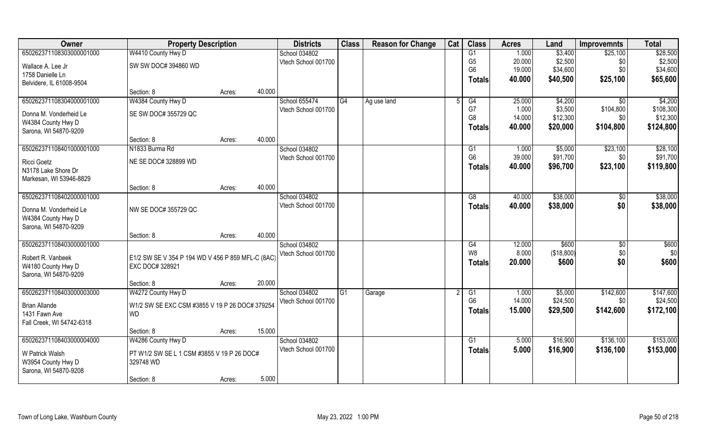| Owner                     | <b>Property Description</b>                       |        |        | <b>Districts</b>    | <b>Class</b> | <b>Reason for Change</b> | Cat | <b>Class</b>   | <b>Acres</b> | Land       | <b>Improvemnts</b> | <b>Total</b> |
|---------------------------|---------------------------------------------------|--------|--------|---------------------|--------------|--------------------------|-----|----------------|--------------|------------|--------------------|--------------|
| 650262371108303000001000  | W4410 County Hwy D                                |        |        | School 034802       |              |                          |     | G1             | 1.000        | \$3,400    | \$25,100           | \$28,500     |
| Wallace A. Lee Jr         | SW SW DOC# 394860 WD                              |        |        | Vtech School 001700 |              |                          |     | G <sub>5</sub> | 20.000       | \$2,500    | \$0                | \$2,500      |
| 1758 Danielle Ln          |                                                   |        |        |                     |              |                          |     | G <sub>6</sub> | 19.000       | \$34,600   | \$0                | \$34,600     |
| Belvidere, IL 61008-9504  |                                                   |        |        |                     |              |                          |     | <b>Totals</b>  | 40.000       | \$40,500   | \$25,100           | \$65,600     |
|                           | Section: 8                                        | Acres: | 40.000 |                     |              |                          |     |                |              |            |                    |              |
| 650262371108304000001000  | W4384 County Hwy D                                |        |        | School 655474       | G4           | Ag use land              |     | G <sub>4</sub> | 25.000       | \$4,200    | \$0                | \$4,200      |
| Donna M. Vonderheid Le    | SE SW DOC# 355729 QC                              |        |        | Vtech School 001700 |              |                          |     | G7             | 1.000        | \$3,500    | \$104,800          | \$108,300    |
| W4384 County Hwy D        |                                                   |        |        |                     |              |                          |     | G <sub>8</sub> | 14.000       | \$12,300   | \$0                | \$12,300     |
| Sarona, WI 54870-9209     |                                                   |        |        |                     |              |                          |     | <b>Totals</b>  | 40.000       | \$20,000   | \$104,800          | \$124,800    |
|                           | Section: 8                                        | Acres: | 40.000 |                     |              |                          |     |                |              |            |                    |              |
| 650262371108401000001000  | N1833 Burma Rd                                    |        |        | School 034802       |              |                          |     | G1             | 1.000        | \$5,000    | \$23,100           | \$28,100     |
| Ricci Goetz               | NE SE DOC# 328899 WD                              |        |        | Vtech School 001700 |              |                          |     | G <sub>6</sub> | 39.000       | \$91,700   | \$0                | \$91,700     |
| N3178 Lake Shore Dr       |                                                   |        |        |                     |              |                          |     | <b>Totals</b>  | 40.000       | \$96,700   | \$23,100           | \$119,800    |
| Markesan, WI 53946-8829   |                                                   |        |        |                     |              |                          |     |                |              |            |                    |              |
|                           | Section: 8                                        | Acres: | 40.000 |                     |              |                          |     |                |              |            |                    |              |
| 650262371108402000001000  |                                                   |        |        | School 034802       |              |                          |     | G8             | 40.000       | \$38,000   | \$0                | \$38,000     |
| Donna M. Vonderheid Le    | NW SE DOC# 355729 QC                              |        |        | Vtech School 001700 |              |                          |     | <b>Totals</b>  | 40.000       | \$38,000   | \$0                | \$38,000     |
| W4384 County Hwy D        |                                                   |        |        |                     |              |                          |     |                |              |            |                    |              |
| Sarona, WI 54870-9209     |                                                   |        |        |                     |              |                          |     |                |              |            |                    |              |
|                           | Section: 8                                        | Acres: | 40.000 |                     |              |                          |     |                |              |            |                    |              |
| 650262371108403000001000  |                                                   |        |        | School 034802       |              |                          |     | G4             | 12.000       | \$600      | \$0                | \$600        |
| Robert R. Vanbeek         | E1/2 SW SE V 354 P 194 WD V 456 P 859 MFL-C (8AC) |        |        | Vtech School 001700 |              |                          |     | W <sub>8</sub> | 8.000        | (\$18,800) | \$0                | \$0          |
| W4180 County Hwy D        | EXC DOC# 328921                                   |        |        |                     |              |                          |     | <b>Totals</b>  | 20.000       | \$600      | \$0                | \$600        |
| Sarona, WI 54870-9209     |                                                   |        |        |                     |              |                          |     |                |              |            |                    |              |
|                           | Section: 8                                        | Acres: | 20.000 |                     |              |                          |     |                |              |            |                    |              |
| 650262371108403000003000  | W4272 County Hwy D                                |        |        | School 034802       | G1           | Garage                   |     | G1             | 1.000        | \$5,000    | \$142,600          | \$147,600    |
| <b>Brian Allande</b>      | W1/2 SW SE EXC CSM #3855 V 19 P 26 DOC# 379254    |        |        | Vtech School 001700 |              |                          |     | G <sub>6</sub> | 14.000       | \$24,500   | \$0                | \$24,500     |
| 1431 Fawn Ave             | <b>WD</b>                                         |        |        |                     |              |                          |     | <b>Totals</b>  | 15.000       | \$29,500   | \$142,600          | \$172,100    |
| Fall Creek, WI 54742-6318 |                                                   |        |        |                     |              |                          |     |                |              |            |                    |              |
|                           | Section: 8                                        | Acres: | 15.000 |                     |              |                          |     |                |              |            |                    |              |
| 650262371108403000004000  | W4286 County Hwy D                                |        |        | School 034802       |              |                          |     | G1             | 5.000        | \$16,900   | \$136,100          | \$153,000    |
| W Patrick Walsh           | PT W1/2 SW SE L 1 CSM #3855 V 19 P 26 DOC#        |        |        | Vtech School 001700 |              |                          |     | <b>Totals</b>  | 5.000        | \$16,900   | \$136,100          | \$153,000    |
| W3954 County Hwy D        | 329748 WD                                         |        |        |                     |              |                          |     |                |              |            |                    |              |
| Sarona, WI 54870-9208     |                                                   |        |        |                     |              |                          |     |                |              |            |                    |              |
|                           | Section: 8                                        | Acres: | 5.000  |                     |              |                          |     |                |              |            |                    |              |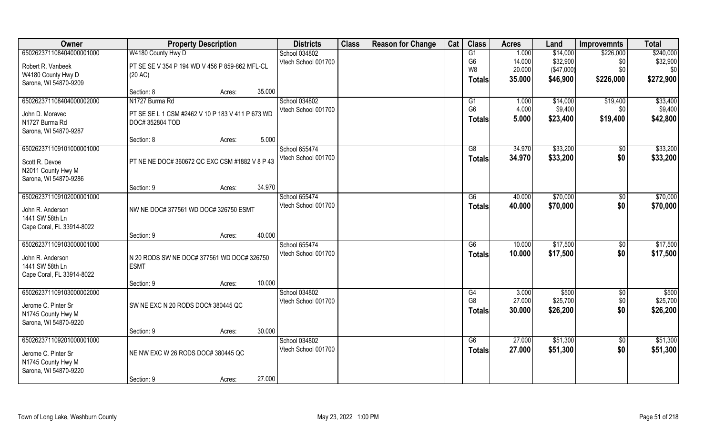| Owner                     | <b>Property Description</b>                      |        |        | <b>Districts</b>    | <b>Class</b> | <b>Reason for Change</b> | Cat | <b>Class</b>    | <b>Acres</b> | Land       | <b>Improvemnts</b> | <b>Total</b> |
|---------------------------|--------------------------------------------------|--------|--------|---------------------|--------------|--------------------------|-----|-----------------|--------------|------------|--------------------|--------------|
| 650262371108404000001000  | W4180 County Hwy D                               |        |        | School 034802       |              |                          |     | G1              | 1.000        | \$14,000   | \$226,000          | \$240,000    |
| Robert R. Vanbeek         | PT SE SE V 354 P 194 WD V 456 P 859-862 MFL-CL   |        |        | Vtech School 001700 |              |                          |     | G <sub>6</sub>  | 14.000       | \$32,900   | \$0                | \$32,900     |
| W4180 County Hwy D        | (20 AC)                                          |        |        |                     |              |                          |     | W8              | 20.000       | (\$47,000) | \$0                | \$0          |
| Sarona, WI 54870-9209     |                                                  |        |        |                     |              |                          |     | <b>Totals</b>   | 35.000       | \$46,900   | \$226,000          | \$272,900    |
|                           | Section: 8                                       | Acres: | 35.000 |                     |              |                          |     |                 |              |            |                    |              |
| 650262371108404000002000  | N1727 Burma Rd                                   |        |        | School 034802       |              |                          |     | G1              | 1.000        | \$14,000   | \$19,400           | \$33,400     |
| John D. Moravec           | PT SE SE L 1 CSM #2462 V 10 P 183 V 411 P 673 WD |        |        | Vtech School 001700 |              |                          |     | G <sub>6</sub>  | 4.000        | \$9,400    | \$0                | \$9,400      |
| N1727 Burma Rd            | DOC#352804 TOD                                   |        |        |                     |              |                          |     | <b>Totals</b>   | 5.000        | \$23,400   | \$19,400           | \$42,800     |
| Sarona, WI 54870-9287     |                                                  |        |        |                     |              |                          |     |                 |              |            |                    |              |
|                           | Section: 8                                       | Acres: | 5.000  |                     |              |                          |     |                 |              |            |                    |              |
| 650262371109101000001000  |                                                  |        |        | School 655474       |              |                          |     | G8              | 34.970       | \$33,200   | $\sqrt[6]{}$       | \$33,200     |
| Scott R. Devoe            | PT NE NE DOC# 360672 QC EXC CSM #1882 V 8 P 43   |        |        | Vtech School 001700 |              |                          |     | <b>Totals</b>   | 34.970       | \$33,200   | \$0                | \$33,200     |
| N2011 County Hwy M        |                                                  |        |        |                     |              |                          |     |                 |              |            |                    |              |
| Sarona, WI 54870-9286     |                                                  |        |        |                     |              |                          |     |                 |              |            |                    |              |
|                           | Section: 9                                       | Acres: | 34.970 |                     |              |                          |     |                 |              |            |                    |              |
| 650262371109102000001000  |                                                  |        |        | School 655474       |              |                          |     | G6              | 40.000       | \$70,000   | \$0                | \$70,000     |
| John R. Anderson          | NW NE DOC# 377561 WD DOC# 326750 ESMT            |        |        | Vtech School 001700 |              |                          |     | <b>Totals</b>   | 40.000       | \$70,000   | \$0                | \$70,000     |
| 1441 SW 58th Ln           |                                                  |        |        |                     |              |                          |     |                 |              |            |                    |              |
| Cape Coral, FL 33914-8022 |                                                  |        |        |                     |              |                          |     |                 |              |            |                    |              |
|                           | Section: 9                                       | Acres: | 40.000 |                     |              |                          |     |                 |              |            |                    |              |
| 650262371109103000001000  |                                                  |        |        | School 655474       |              |                          |     | $\overline{G6}$ | 10.000       | \$17,500   | \$0                | \$17,500     |
| John R. Anderson          | N 20 RODS SW NE DOC# 377561 WD DOC# 326750       |        |        | Vtech School 001700 |              |                          |     | <b>Totals</b>   | 10.000       | \$17,500   | \$0                | \$17,500     |
| 1441 SW 58th Ln           | <b>ESMT</b>                                      |        |        |                     |              |                          |     |                 |              |            |                    |              |
| Cape Coral, FL 33914-8022 |                                                  |        |        |                     |              |                          |     |                 |              |            |                    |              |
|                           | Section: 9                                       | Acres: | 10.000 |                     |              |                          |     |                 |              |            |                    |              |
| 650262371109103000002000  |                                                  |        |        | School 034802       |              |                          |     | G4              | 3.000        | \$500      | \$0                | \$500        |
| Jerome C. Pinter Sr       | SW NE EXC N 20 RODS DOC# 380445 QC               |        |        | Vtech School 001700 |              |                          |     | G <sub>8</sub>  | 27.000       | \$25,700   | \$0                | \$25,700     |
| N1745 County Hwy M        |                                                  |        |        |                     |              |                          |     | <b>Totals</b>   | 30.000       | \$26,200   | \$0                | \$26,200     |
| Sarona, WI 54870-9220     |                                                  |        |        |                     |              |                          |     |                 |              |            |                    |              |
|                           | Section: 9                                       | Acres: | 30.000 |                     |              |                          |     |                 |              |            |                    |              |
| 650262371109201000001000  |                                                  |        |        | School 034802       |              |                          |     | G6              | 27.000       | \$51,300   | $\overline{50}$    | \$51,300     |
| Jerome C. Pinter Sr       | NE NW EXC W 26 RODS DOC# 380445 QC               |        |        | Vtech School 001700 |              |                          |     | <b>Totals</b>   | 27.000       | \$51,300   | \$0                | \$51,300     |
| N1745 County Hwy M        |                                                  |        |        |                     |              |                          |     |                 |              |            |                    |              |
| Sarona, WI 54870-9220     |                                                  |        |        |                     |              |                          |     |                 |              |            |                    |              |
|                           | Section: 9                                       | Acres: | 27.000 |                     |              |                          |     |                 |              |            |                    |              |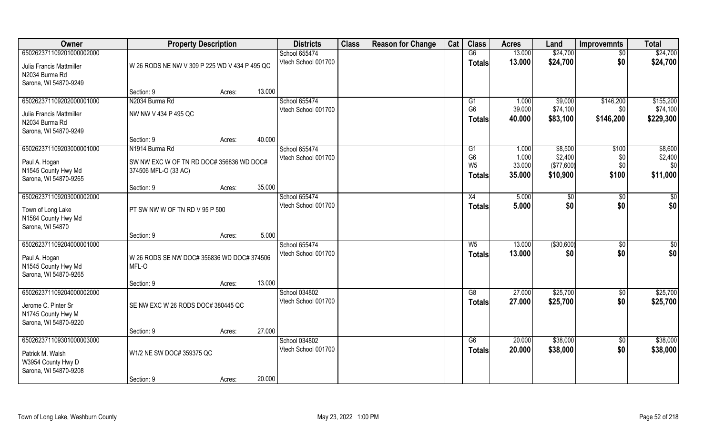| Owner                    | <b>Property Description</b>                   |                  | <b>Districts</b>    | <b>Class</b> | <b>Reason for Change</b> | Cat | <b>Class</b>                     | <b>Acres</b>    | Land                  | <b>Improvemnts</b> | <b>Total</b>   |
|--------------------------|-----------------------------------------------|------------------|---------------------|--------------|--------------------------|-----|----------------------------------|-----------------|-----------------------|--------------------|----------------|
| 650262371109201000002000 |                                               |                  | School 655474       |              |                          |     | G6                               | 13.000          | \$24,700              | $\overline{50}$    | \$24,700       |
| Julia Francis Mattmiller | W 26 RODS NE NW V 309 P 225 WD V 434 P 495 QC |                  | Vtech School 001700 |              |                          |     | <b>Totals</b>                    | 13.000          | \$24,700              | \$0                | \$24,700       |
| N2034 Burma Rd           |                                               |                  |                     |              |                          |     |                                  |                 |                       |                    |                |
| Sarona, WI 54870-9249    |                                               |                  |                     |              |                          |     |                                  |                 |                       |                    |                |
|                          | Section: 9                                    | 13.000<br>Acres: |                     |              |                          |     |                                  |                 |                       |                    |                |
| 650262371109202000001000 | N2034 Burma Rd                                |                  | School 655474       |              |                          |     | G1                               | 1.000           | \$9,000               | \$146,200          | \$155,200      |
| Julia Francis Mattmiller | NW NW V 434 P 495 QC                          |                  | Vtech School 001700 |              |                          |     | G <sub>6</sub>                   | 39.000          | \$74,100              | \$0                | \$74,100       |
| N2034 Burma Rd           |                                               |                  |                     |              |                          |     | <b>Totals</b>                    | 40.000          | \$83,100              | \$146,200          | \$229,300      |
| Sarona, WI 54870-9249    |                                               |                  |                     |              |                          |     |                                  |                 |                       |                    |                |
|                          | Section: 9                                    | Acres:           | 40.000              |              |                          |     |                                  |                 |                       |                    |                |
| 650262371109203000001000 | N1914 Burma Rd                                |                  | School 655474       |              |                          |     | G1                               | 1.000           | \$8,500               | \$100              | \$8,600        |
| Paul A. Hogan            | SW NW EXC W OF TN RD DOC# 356836 WD DOC#      |                  | Vtech School 001700 |              |                          |     | G <sub>6</sub><br>W <sub>5</sub> | 1.000<br>33.000 | \$2,400<br>(\$77,600) | \$0<br>\$0         | \$2,400<br>\$0 |
| N1545 County Hwy Md      | 374506 MFL-O (33 AC)                          |                  |                     |              |                          |     |                                  | 35.000          | \$10,900              | \$100              |                |
| Sarona, WI 54870-9265    |                                               |                  |                     |              |                          |     | <b>Totals</b>                    |                 |                       |                    | \$11,000       |
|                          | Section: 9                                    | 35.000<br>Acres: |                     |              |                          |     |                                  |                 |                       |                    |                |
| 650262371109203000002000 |                                               |                  | School 655474       |              |                          |     | X4                               | 5.000           | $\sqrt[6]{3}$         | $\sqrt[6]{3}$      | \$0            |
| Town of Long Lake        | PT SW NW W OF TN RD V 95 P 500                |                  | Vtech School 001700 |              |                          |     | Totals                           | 5.000           | \$0                   | \$0                | \$0            |
| N1584 County Hwy Md      |                                               |                  |                     |              |                          |     |                                  |                 |                       |                    |                |
| Sarona, WI 54870         |                                               |                  |                     |              |                          |     |                                  |                 |                       |                    |                |
|                          | Section: 9                                    | Acres:           | 5.000               |              |                          |     |                                  |                 |                       |                    |                |
| 650262371109204000001000 |                                               |                  | School 655474       |              |                          |     | W <sub>5</sub>                   | 13.000          | ( \$30,600)           | $\sqrt[6]{3}$      | \$             |
| Paul A. Hogan            | W 26 RODS SE NW DOC# 356836 WD DOC# 374506    |                  | Vtech School 001700 |              |                          |     | <b>Totals</b>                    | 13.000          | \$0                   | \$0                | \$0            |
| N1545 County Hwy Md      | MFL-O                                         |                  |                     |              |                          |     |                                  |                 |                       |                    |                |
| Sarona, WI 54870-9265    |                                               |                  |                     |              |                          |     |                                  |                 |                       |                    |                |
|                          | Section: 9                                    | 13.000<br>Acres: |                     |              |                          |     |                                  |                 |                       |                    |                |
| 650262371109204000002000 |                                               |                  | School 034802       |              |                          |     | G8                               | 27.000          | \$25,700              | \$0                | \$25,700       |
| Jerome C. Pinter Sr      | SE NW EXC W 26 RODS DOC# 380445 QC            |                  | Vtech School 001700 |              |                          |     | <b>Totals</b>                    | 27,000          | \$25,700              | \$0                | \$25,700       |
| N1745 County Hwy M       |                                               |                  |                     |              |                          |     |                                  |                 |                       |                    |                |
| Sarona, WI 54870-9220    |                                               |                  |                     |              |                          |     |                                  |                 |                       |                    |                |
|                          | Section: 9                                    | Acres:           | 27.000              |              |                          |     |                                  |                 |                       |                    |                |
| 650262371109301000003000 |                                               |                  | School 034802       |              |                          |     | G6                               | 20.000          | \$38,000              | $\sqrt{$0}$        | \$38,000       |
| Patrick M. Walsh         | W1/2 NE SW DOC# 359375 QC                     |                  | Vtech School 001700 |              |                          |     | <b>Totals</b>                    | 20.000          | \$38,000              | \$0                | \$38,000       |
| W3954 County Hwy D       |                                               |                  |                     |              |                          |     |                                  |                 |                       |                    |                |
| Sarona, WI 54870-9208    |                                               |                  |                     |              |                          |     |                                  |                 |                       |                    |                |
|                          | Section: 9                                    | Acres:           | 20.000              |              |                          |     |                                  |                 |                       |                    |                |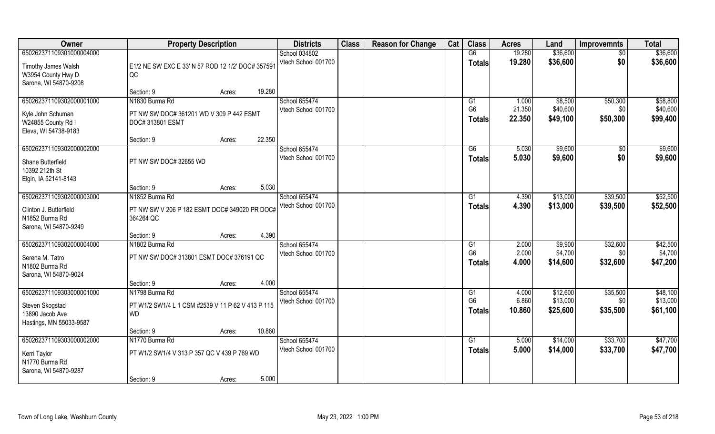| Owner                    | <b>Property Description</b>                       |                  | <b>Districts</b>    | <b>Class</b> | <b>Reason for Change</b> | Cat | <b>Class</b>    | <b>Acres</b> | Land     | <b>Improvemnts</b> | <b>Total</b> |
|--------------------------|---------------------------------------------------|------------------|---------------------|--------------|--------------------------|-----|-----------------|--------------|----------|--------------------|--------------|
| 650262371109301000004000 |                                                   |                  | School 034802       |              |                          |     | G6              | 19.280       | \$36,600 | $\overline{50}$    | \$36,600     |
| Timothy James Walsh      | E1/2 NE SW EXC E 33' N 57 ROD 12 1/2' DOC# 357591 |                  | Vtech School 001700 |              |                          |     | <b>Totals</b>   | 19.280       | \$36,600 | \$0                | \$36,600     |
| W3954 County Hwy D       | QC                                                |                  |                     |              |                          |     |                 |              |          |                    |              |
| Sarona, WI 54870-9208    |                                                   |                  |                     |              |                          |     |                 |              |          |                    |              |
|                          | Section: 9                                        | 19.280<br>Acres: |                     |              |                          |     |                 |              |          |                    |              |
| 650262371109302000001000 | N1830 Burma Rd                                    |                  | School 655474       |              |                          |     | G1              | 1.000        | \$8,500  | \$50,300           | \$58,800     |
| Kyle John Schuman        | PT NW SW DOC# 361201 WD V 309 P 442 ESMT          |                  | Vtech School 001700 |              |                          |     | G <sub>6</sub>  | 21.350       | \$40,600 | \$0                | \$40,600     |
| W24855 County Rd I       | DOC# 313801 ESMT                                  |                  |                     |              |                          |     | Totals          | 22.350       | \$49,100 | \$50,300           | \$99,400     |
| Eleva, WI 54738-9183     |                                                   |                  |                     |              |                          |     |                 |              |          |                    |              |
|                          | Section: 9                                        | 22.350<br>Acres: |                     |              |                          |     |                 |              |          |                    |              |
| 650262371109302000002000 |                                                   |                  | School 655474       |              |                          |     | G6              | 5.030        | \$9,600  | \$0                | \$9,600      |
| Shane Butterfield        | PT NW SW DOC# 32655 WD                            |                  | Vtech School 001700 |              |                          |     | <b>Totals</b>   | 5.030        | \$9,600  | \$0                | \$9,600      |
| 10392 212th St           |                                                   |                  |                     |              |                          |     |                 |              |          |                    |              |
| Elgin, IA 52141-8143     |                                                   |                  |                     |              |                          |     |                 |              |          |                    |              |
|                          | Section: 9                                        | 5.030<br>Acres:  |                     |              |                          |     |                 |              |          |                    |              |
| 650262371109302000003000 | N1852 Burma Rd                                    |                  | School 655474       |              |                          |     | G <sub>1</sub>  | 4.390        | \$13,000 | \$39,500           | \$52,500     |
| Clinton J. Butterfield   | PT NW SW V 206 P 182 ESMT DOC# 349020 PR DOC#     |                  | Vtech School 001700 |              |                          |     | <b>Totals</b>   | 4.390        | \$13,000 | \$39,500           | \$52,500     |
| N1852 Burma Rd           | 364264 QC                                         |                  |                     |              |                          |     |                 |              |          |                    |              |
| Sarona, WI 54870-9249    |                                                   |                  |                     |              |                          |     |                 |              |          |                    |              |
|                          | Section: 9                                        | 4.390<br>Acres:  |                     |              |                          |     |                 |              |          |                    |              |
| 650262371109302000004000 | N1802 Burma Rd                                    |                  | School 655474       |              |                          |     | G1              | 2.000        | \$9,900  | \$32,600           | \$42,500     |
| Serena M. Tatro          | PT NW SW DOC# 313801 ESMT DOC# 376191 QC          |                  | Vtech School 001700 |              |                          |     | G <sub>6</sub>  | 2.000        | \$4,700  | \$0                | \$4,700      |
| N1802 Burma Rd           |                                                   |                  |                     |              |                          |     | Totals          | 4.000        | \$14,600 | \$32,600           | \$47,200     |
| Sarona, WI 54870-9024    |                                                   |                  |                     |              |                          |     |                 |              |          |                    |              |
|                          | Section: 9                                        | 4.000<br>Acres:  |                     |              |                          |     |                 |              |          |                    |              |
| 650262371109303000001000 | N1798 Burma Rd                                    |                  | School 655474       |              |                          |     | G1              | 4.000        | \$12,600 | \$35,500           | \$48,100     |
| Steven Skogstad          | PT W1/2 SW1/4 L 1 CSM #2539 V 11 P 62 V 413 P 115 |                  | Vtech School 001700 |              |                          |     | G <sub>6</sub>  | 6.860        | \$13,000 | \$0                | \$13,000     |
| 13890 Jacob Ave          | <b>WD</b>                                         |                  |                     |              |                          |     | <b>Totals</b>   | 10.860       | \$25,600 | \$35,500           | \$61,100     |
| Hastings, MN 55033-9587  |                                                   |                  |                     |              |                          |     |                 |              |          |                    |              |
|                          | Section: 9                                        | 10.860<br>Acres: |                     |              |                          |     |                 |              |          |                    |              |
| 650262371109303000002000 | N1770 Burma Rd                                    |                  | School 655474       |              |                          |     | $\overline{G1}$ | 5.000        | \$14,000 | \$33,700           | \$47,700     |
| Kerri Taylor             | PT W1/2 SW1/4 V 313 P 357 QC V 439 P 769 WD       |                  | Vtech School 001700 |              |                          |     | <b>Totals</b>   | 5.000        | \$14,000 | \$33,700           | \$47,700     |
| N1770 Burma Rd           |                                                   |                  |                     |              |                          |     |                 |              |          |                    |              |
| Sarona, WI 54870-9287    |                                                   |                  |                     |              |                          |     |                 |              |          |                    |              |
|                          | Section: 9                                        | 5.000<br>Acres:  |                     |              |                          |     |                 |              |          |                    |              |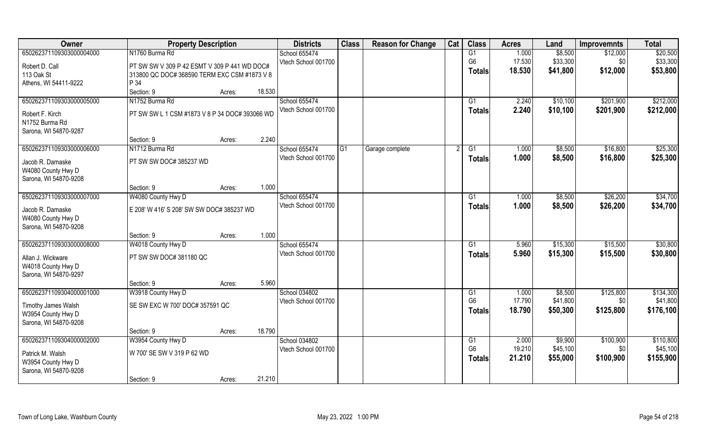| Owner                    | <b>Property Description</b>                    |        |        | <b>Districts</b>    | <b>Class</b>   | <b>Reason for Change</b> | Cat | <b>Class</b>         | <b>Acres</b>    | Land     | <b>Improvemnts</b> | <b>Total</b>          |
|--------------------------|------------------------------------------------|--------|--------|---------------------|----------------|--------------------------|-----|----------------------|-----------------|----------|--------------------|-----------------------|
| 650262371109303000004000 | N1760 Burma Rd                                 |        |        | School 655474       |                |                          |     | $\overline{G1}$      | 1.000           | \$8,500  | \$12,000           | \$20,500              |
| Robert D. Call           | PT SW SW V 309 P 42 ESMT V 309 P 441 WD DOC#   |        |        | Vtech School 001700 |                |                          |     | G <sub>6</sub>       | 17.530          | \$33,300 | \$0                | \$33,300              |
| 113 Oak St               | 313800 QC DOC# 368590 TERM EXC CSM #1873 V 8   |        |        |                     |                |                          |     | <b>Totals</b>        | 18.530          | \$41,800 | \$12,000           | \$53,800              |
| Athens, WI 54411-9222    | P 34                                           |        |        |                     |                |                          |     |                      |                 |          |                    |                       |
|                          | Section: 9                                     | Acres: | 18.530 |                     |                |                          |     |                      |                 |          |                    |                       |
| 650262371109303000005000 | N1752 Burma Rd                                 |        |        | School 655474       |                |                          |     | G1                   | 2.240           | \$10,100 | \$201,900          | \$212,000             |
|                          |                                                |        |        | Vtech School 001700 |                |                          |     | <b>Totals</b>        | 2.240           | \$10,100 | \$201,900          | \$212,000             |
| Robert F. Kirch          | PT SW SW L 1 CSM #1873 V 8 P 34 DOC# 393066 WD |        |        |                     |                |                          |     |                      |                 |          |                    |                       |
| N1752 Burma Rd           |                                                |        |        |                     |                |                          |     |                      |                 |          |                    |                       |
| Sarona, WI 54870-9287    | Section: 9                                     |        | 2.240  |                     |                |                          |     |                      |                 |          |                    |                       |
| 650262371109303000006000 | N1712 Burma Rd                                 | Acres: |        | School 655474       | G <sub>1</sub> |                          |     | G1                   | 1.000           | \$8,500  | \$16,800           | \$25,300              |
|                          |                                                |        |        | Vtech School 001700 |                | Garage complete          |     |                      |                 |          |                    |                       |
| Jacob R. Damaske         | PT SW SW DOC# 385237 WD                        |        |        |                     |                |                          |     | <b>Totals</b>        | 1.000           | \$8,500  | \$16,800           | \$25,300              |
| W4080 County Hwy D       |                                                |        |        |                     |                |                          |     |                      |                 |          |                    |                       |
| Sarona, WI 54870-9208    |                                                |        |        |                     |                |                          |     |                      |                 |          |                    |                       |
|                          | Section: 9                                     | Acres: | 1.000  |                     |                |                          |     |                      |                 |          |                    |                       |
| 650262371109303000007000 | W4080 County Hwy D                             |        |        | School 655474       |                |                          |     | G1                   | 1.000           | \$8,500  | \$26,200           | \$34,700              |
| Jacob R. Damaske         | E 208' W 416' S 208' SW SW DOC# 385237 WD      |        |        | Vtech School 001700 |                |                          |     | <b>Totals</b>        | 1.000           | \$8,500  | \$26,200           | \$34,700              |
| W4080 County Hwy D       |                                                |        |        |                     |                |                          |     |                      |                 |          |                    |                       |
| Sarona, WI 54870-9208    |                                                |        |        |                     |                |                          |     |                      |                 |          |                    |                       |
|                          | Section: 9                                     | Acres: | 1.000  |                     |                |                          |     |                      |                 |          |                    |                       |
| 650262371109303000008000 | W4018 County Hwy D                             |        |        | School 655474       |                |                          |     | G1                   | 5.960           | \$15,300 | \$15,500           | \$30,800              |
| Allan J. Wickware        | PT SW SW DOC# 381180 QC                        |        |        | Vtech School 001700 |                |                          |     | <b>Totals</b>        | 5.960           | \$15,300 | \$15,500           | \$30,800              |
| W4018 County Hwy D       |                                                |        |        |                     |                |                          |     |                      |                 |          |                    |                       |
| Sarona, WI 54870-9297    |                                                |        |        |                     |                |                          |     |                      |                 |          |                    |                       |
|                          | Section: 9                                     | Acres: | 5.960  |                     |                |                          |     |                      |                 |          |                    |                       |
| 650262371109304000001000 | W3918 County Hwy D                             |        |        | School 034802       |                |                          |     | G1                   | 1.000           | \$8,500  | \$125,800          | \$134,300             |
|                          |                                                |        |        | Vtech School 001700 |                |                          |     | G <sub>6</sub>       | 17.790          | \$41,800 | \$0                | \$41,800              |
| Timothy James Walsh      | SE SW EXC W 700' DOC# 357591 QC                |        |        |                     |                |                          |     | <b>Totals</b>        | 18.790          | \$50,300 | \$125,800          | \$176,100             |
| W3954 County Hwy D       |                                                |        |        |                     |                |                          |     |                      |                 |          |                    |                       |
| Sarona, WI 54870-9208    |                                                |        |        |                     |                |                          |     |                      |                 |          |                    |                       |
|                          | Section: 9                                     | Acres: | 18.790 |                     |                |                          |     |                      |                 |          |                    |                       |
| 650262371109304000002000 | W3954 County Hwy D                             |        |        | School 034802       |                |                          |     | G1<br>G <sub>6</sub> | 2.000<br>19.210 | \$9,900  | \$100,900          | \$110,800<br>\$45,100 |
| Patrick M. Walsh         | W 700' SE SW V 319 P 62 WD                     |        |        | Vtech School 001700 |                |                          |     |                      |                 | \$45,100 | \$0                |                       |
| W3954 County Hwy D       |                                                |        |        |                     |                |                          |     | <b>Totals</b>        | 21.210          | \$55,000 | \$100,900          | \$155,900             |
| Sarona, WI 54870-9208    |                                                |        |        |                     |                |                          |     |                      |                 |          |                    |                       |
|                          | Section: 9                                     | Acres: | 21.210 |                     |                |                          |     |                      |                 |          |                    |                       |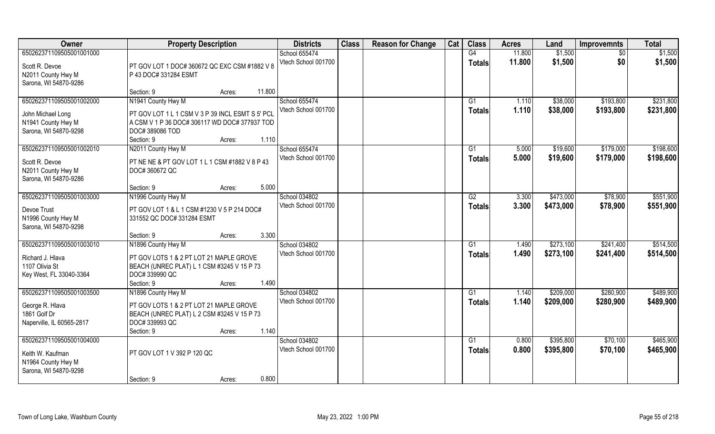| Owner                                     | <b>Property Description</b>                                                           | <b>Districts</b>    | <b>Class</b> | <b>Reason for Change</b> | Cat | <b>Class</b>    | <b>Acres</b> | Land      | <b>Improvemnts</b> | <b>Total</b> |
|-------------------------------------------|---------------------------------------------------------------------------------------|---------------------|--------------|--------------------------|-----|-----------------|--------------|-----------|--------------------|--------------|
| 650262371109505001001000                  |                                                                                       | School 655474       |              |                          |     | G4              | 11.800       | \$1,500   | $\sqrt{6}$         | \$1,500      |
| Scott R. Devoe                            | PT GOV LOT 1 DOC# 360672 QC EXC CSM #1882 V 8                                         | Vtech School 001700 |              |                          |     | <b>Totals</b>   | 11.800       | \$1,500   | \$0                | \$1,500      |
| N2011 County Hwy M                        | P 43 DOC# 331284 ESMT                                                                 |                     |              |                          |     |                 |              |           |                    |              |
| Sarona, WI 54870-9286                     |                                                                                       |                     |              |                          |     |                 |              |           |                    |              |
|                                           | Section: 9<br>11.800<br>Acres:                                                        |                     |              |                          |     |                 |              |           |                    |              |
| 650262371109505001002000                  | N1941 County Hwy M                                                                    | School 655474       |              |                          |     | G1              | 1.110        | \$38,000  | \$193,800          | \$231,800    |
| John Michael Long                         | PT GOV LOT 1 L 1 CSM V 3 P 39 INCL ESMT S 5' PCL                                      | Vtech School 001700 |              |                          |     | Totals          | 1.110        | \$38,000  | \$193,800          | \$231,800    |
| N1941 County Hwy M                        | A CSM V 1 P 36 DOC# 306117 WD DOC# 377937 TOD                                         |                     |              |                          |     |                 |              |           |                    |              |
| Sarona, WI 54870-9298                     | DOC#389086 TOD                                                                        |                     |              |                          |     |                 |              |           |                    |              |
|                                           | 1.110<br>Section: 9<br>Acres:                                                         |                     |              |                          |     |                 |              |           |                    |              |
| 650262371109505001002010                  | N2011 County Hwy M                                                                    | School 655474       |              |                          |     | G1              | 5.000        | \$19,600  | \$179,000          | \$198,600    |
| Scott R. Devoe                            | PT NE NE & PT GOV LOT 1 L 1 CSM #1882 V 8 P 43                                        | Vtech School 001700 |              |                          |     | <b>Totals</b>   | 5.000        | \$19,600  | \$179,000          | \$198,600    |
| N2011 County Hwy M                        | DOC#360672 QC                                                                         |                     |              |                          |     |                 |              |           |                    |              |
| Sarona, WI 54870-9286                     |                                                                                       |                     |              |                          |     |                 |              |           |                    |              |
|                                           | 5.000<br>Section: 9<br>Acres:                                                         |                     |              |                          |     |                 |              |           |                    |              |
| 650262371109505001003000                  | N1996 County Hwy M                                                                    | School 034802       |              |                          |     | G2              | 3.300        | \$473,000 | \$78,900           | \$551,900    |
| Devoe Trust                               | PT GOV LOT 1 & L 1 CSM #1230 V 5 P 214 DOC#                                           | Vtech School 001700 |              |                          |     | <b>Totals</b>   | 3.300        | \$473,000 | \$78,900           | \$551,900    |
| N1996 County Hwy M                        | 331552 QC DOC# 331284 ESMT                                                            |                     |              |                          |     |                 |              |           |                    |              |
| Sarona, WI 54870-9298                     |                                                                                       |                     |              |                          |     |                 |              |           |                    |              |
|                                           | 3.300<br>Section: 9<br>Acres:                                                         |                     |              |                          |     |                 |              |           |                    |              |
| 650262371109505001003010                  | N1896 County Hwy M                                                                    | School 034802       |              |                          |     | G1              | 1.490        | \$273,100 | \$241,400          | \$514,500    |
|                                           |                                                                                       | Vtech School 001700 |              |                          |     | <b>Totals</b>   | 1.490        | \$273,100 | \$241,400          | \$514,500    |
| Richard J. Hlava<br>1107 Olivia St        | PT GOV LOTS 1 & 2 PT LOT 21 MAPLE GROVE<br>BEACH (UNREC PLAT) L 1 CSM #3245 V 15 P 73 |                     |              |                          |     |                 |              |           |                    |              |
| Key West, FL 33040-3364                   | DOC# 339990 QC                                                                        |                     |              |                          |     |                 |              |           |                    |              |
|                                           | 1.490<br>Section: 9<br>Acres:                                                         |                     |              |                          |     |                 |              |           |                    |              |
| 650262371109505001003500                  | N1896 County Hwy M                                                                    | School 034802       |              |                          |     | G1              | 1.140        | \$209,000 | \$280,900          | \$489,900    |
|                                           |                                                                                       | Vtech School 001700 |              |                          |     | <b>Totals</b>   | 1.140        | \$209,000 | \$280,900          | \$489,900    |
| George R. Hlava                           | PT GOV LOTS 1 & 2 PT LOT 21 MAPLE GROVE                                               |                     |              |                          |     |                 |              |           |                    |              |
| 1861 Golf Dr<br>Naperville, IL 60565-2817 | BEACH (UNREC PLAT) L 2 CSM #3245 V 15 P 73<br>DOC# 339993 QC                          |                     |              |                          |     |                 |              |           |                    |              |
|                                           | 1.140<br>Section: 9<br>Acres:                                                         |                     |              |                          |     |                 |              |           |                    |              |
| 650262371109505001004000                  |                                                                                       | School 034802       |              |                          |     | $\overline{G1}$ | 0.800        | \$395,800 | \$70,100           | \$465,900    |
|                                           |                                                                                       | Vtech School 001700 |              |                          |     | <b>Totals</b>   | 0.800        | \$395,800 | \$70,100           | \$465,900    |
| Keith W. Kaufman                          | PT GOV LOT 1 V 392 P 120 QC                                                           |                     |              |                          |     |                 |              |           |                    |              |
| N1964 County Hwy M                        |                                                                                       |                     |              |                          |     |                 |              |           |                    |              |
| Sarona, WI 54870-9298                     | 0.800                                                                                 |                     |              |                          |     |                 |              |           |                    |              |
|                                           | Section: 9<br>Acres:                                                                  |                     |              |                          |     |                 |              |           |                    |              |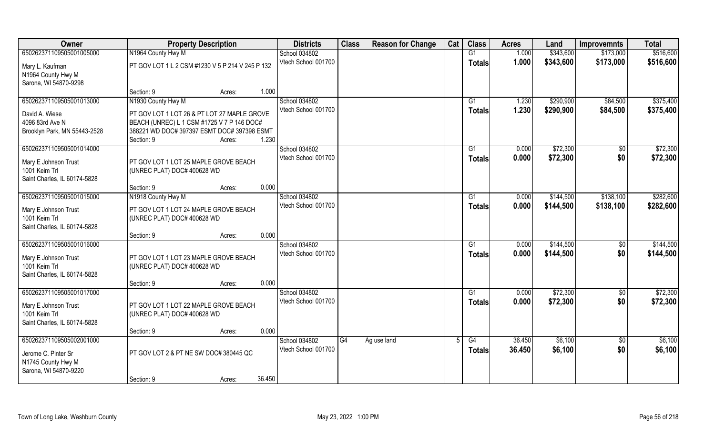| Owner                        | <b>Property Description</b>                      |        |        | <b>Districts</b>    | <b>Class</b> | <b>Reason for Change</b> | Cat | <b>Class</b>  | <b>Acres</b> | Land      | <b>Improvemnts</b> | <b>Total</b> |
|------------------------------|--------------------------------------------------|--------|--------|---------------------|--------------|--------------------------|-----|---------------|--------------|-----------|--------------------|--------------|
| 650262371109505001005000     | N1964 County Hwy M                               |        |        | School 034802       |              |                          |     | G1            | 1.000        | \$343,600 | \$173,000          | \$516,600    |
| Mary L. Kaufman              | PT GOV LOT 1 L 2 CSM #1230 V 5 P 214 V 245 P 132 |        |        | Vtech School 001700 |              |                          |     | <b>Totals</b> | 1.000        | \$343,600 | \$173,000          | \$516,600    |
| N1964 County Hwy M           |                                                  |        |        |                     |              |                          |     |               |              |           |                    |              |
| Sarona, WI 54870-9298        |                                                  |        |        |                     |              |                          |     |               |              |           |                    |              |
|                              | Section: 9                                       | Acres: | 1.000  |                     |              |                          |     |               |              |           |                    |              |
| 650262371109505001013000     | N1930 County Hwy M                               |        |        | School 034802       |              |                          |     | G1            | 1.230        | \$290,900 | \$84,500           | \$375,400    |
| David A. Wiese               | PT GOV LOT 1 LOT 26 & PT LOT 27 MAPLE GROVE      |        |        | Vtech School 001700 |              |                          |     | <b>Totals</b> | 1.230        | \$290,900 | \$84,500           | \$375,400    |
| 4096 83rd Ave N              | BEACH (UNREC) L 1 CSM #1725 V 7 P 146 DOC#       |        |        |                     |              |                          |     |               |              |           |                    |              |
| Brooklyn Park, MN 55443-2528 | 388221 WD DOC# 397397 ESMT DOC# 397398 ESMT      |        |        |                     |              |                          |     |               |              |           |                    |              |
|                              | Section: 9                                       | Acres: | 1.230  |                     |              |                          |     |               |              |           |                    |              |
| 650262371109505001014000     |                                                  |        |        | School 034802       |              |                          |     | G1            | 0.000        | \$72,300  | $\sqrt[6]{}$       | \$72,300     |
| Mary E Johnson Trust         | PT GOV LOT 1 LOT 25 MAPLE GROVE BEACH            |        |        | Vtech School 001700 |              |                          |     | <b>Totals</b> | 0.000        | \$72,300  | \$0                | \$72,300     |
| 1001 Keim Trl                | (UNREC PLAT) DOC# 400628 WD                      |        |        |                     |              |                          |     |               |              |           |                    |              |
| Saint Charles, IL 60174-5828 |                                                  |        |        |                     |              |                          |     |               |              |           |                    |              |
|                              | Section: 9                                       | Acres: | 0.000  |                     |              |                          |     |               |              |           |                    |              |
| 650262371109505001015000     | N1918 County Hwy M                               |        |        | School 034802       |              |                          |     | G1            | 0.000        | \$144,500 | \$138,100          | \$282,600    |
| Mary E Johnson Trust         | PT GOV LOT 1 LOT 24 MAPLE GROVE BEACH            |        |        | Vtech School 001700 |              |                          |     | <b>Totals</b> | 0.000        | \$144,500 | \$138,100          | \$282,600    |
| 1001 Keim Trl                | (UNREC PLAT) DOC# 400628 WD                      |        |        |                     |              |                          |     |               |              |           |                    |              |
| Saint Charles, IL 60174-5828 |                                                  |        |        |                     |              |                          |     |               |              |           |                    |              |
|                              | Section: 9                                       | Acres: | 0.000  |                     |              |                          |     |               |              |           |                    |              |
| 650262371109505001016000     |                                                  |        |        | School 034802       |              |                          |     | G1            | 0.000        | \$144,500 | \$0                | \$144,500    |
| Mary E Johnson Trust         | PT GOV LOT 1 LOT 23 MAPLE GROVE BEACH            |        |        | Vtech School 001700 |              |                          |     | <b>Totals</b> | 0.000        | \$144,500 | \$0                | \$144,500    |
| 1001 Keim Trl                | (UNREC PLAT) DOC# 400628 WD                      |        |        |                     |              |                          |     |               |              |           |                    |              |
| Saint Charles, IL 60174-5828 |                                                  |        |        |                     |              |                          |     |               |              |           |                    |              |
|                              | Section: 9                                       | Acres: | 0.000  |                     |              |                          |     |               |              |           |                    |              |
| 650262371109505001017000     |                                                  |        |        | School 034802       |              |                          |     | G1            | 0.000        | \$72,300  | \$0                | \$72,300     |
| Mary E Johnson Trust         | PT GOV LOT 1 LOT 22 MAPLE GROVE BEACH            |        |        | Vtech School 001700 |              |                          |     | <b>Totals</b> | 0.000        | \$72,300  | \$0                | \$72,300     |
| 1001 Keim Trl                | (UNREC PLAT) DOC# 400628 WD                      |        |        |                     |              |                          |     |               |              |           |                    |              |
| Saint Charles, IL 60174-5828 |                                                  |        |        |                     |              |                          |     |               |              |           |                    |              |
|                              | Section: 9                                       | Acres: | 0.000  |                     |              |                          |     |               |              |           |                    |              |
| 650262371109505002001000     |                                                  |        |        | School 034802       | G4           | Ag use land              |     | G4            | 36.450       | \$6,100   | $\overline{50}$    | \$6,100      |
| Jerome C. Pinter Sr          | PT GOV LOT 2 & PT NE SW DOC# 380445 QC           |        |        | Vtech School 001700 |              |                          |     | <b>Totals</b> | 36.450       | \$6,100   | \$0                | \$6,100      |
| N1745 County Hwy M           |                                                  |        |        |                     |              |                          |     |               |              |           |                    |              |
| Sarona, WI 54870-9220        |                                                  |        |        |                     |              |                          |     |               |              |           |                    |              |
|                              | Section: 9                                       | Acres: | 36.450 |                     |              |                          |     |               |              |           |                    |              |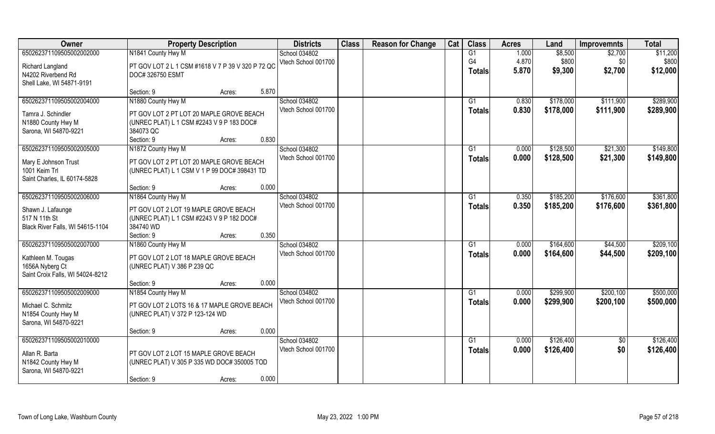| Owner                                    | <b>Property Description</b>                       |                 | <b>Districts</b>    | <b>Class</b> | <b>Reason for Change</b> | Cat | <b>Class</b>    | <b>Acres</b> | Land      | <b>Improvemnts</b> | <b>Total</b> |
|------------------------------------------|---------------------------------------------------|-----------------|---------------------|--------------|--------------------------|-----|-----------------|--------------|-----------|--------------------|--------------|
| 650262371109505002002000                 | N1841 County Hwy M                                |                 | School 034802       |              |                          |     | G1              | 1.000        | \$8,500   | \$2,700            | \$11,200     |
| Richard Langland                         | PT GOV LOT 2 L 1 CSM #1618 V 7 P 39 V 320 P 72 QC |                 | Vtech School 001700 |              |                          |     | G4              | 4.870        | \$800     | \$0                | \$800        |
| N4202 Riverbend Rd                       | DOC# 326750 ESMT                                  |                 |                     |              |                          |     | <b>Totals</b>   | 5.870        | \$9,300   | \$2,700            | \$12,000     |
| Shell Lake, WI 54871-9191                |                                                   |                 |                     |              |                          |     |                 |              |           |                    |              |
|                                          | Section: 9                                        | 5.870<br>Acres: |                     |              |                          |     |                 |              |           |                    |              |
| 650262371109505002004000                 | N1880 County Hwy M                                |                 | School 034802       |              |                          |     | G1              | 0.830        | \$178,000 | \$111,900          | \$289,900    |
|                                          | PT GOV LOT 2 PT LOT 20 MAPLE GROVE BEACH          |                 | Vtech School 001700 |              |                          |     | <b>Totals</b>   | 0.830        | \$178,000 | \$111,900          | \$289,900    |
| Tamra J. Schindler<br>N1880 County Hwy M | (UNREC PLAT) L 1 CSM #2243 V 9 P 183 DOC#         |                 |                     |              |                          |     |                 |              |           |                    |              |
| Sarona, WI 54870-9221                    | 384073 QC                                         |                 |                     |              |                          |     |                 |              |           |                    |              |
|                                          | Section: 9                                        | 0.830<br>Acres: |                     |              |                          |     |                 |              |           |                    |              |
| 650262371109505002005000                 | N1872 County Hwy M                                |                 | School 034802       |              |                          |     | G1              | 0.000        | \$128,500 | \$21,300           | \$149,800    |
|                                          |                                                   |                 | Vtech School 001700 |              |                          |     | <b>Totals</b>   | 0.000        | \$128,500 | \$21,300           | \$149,800    |
| Mary E Johnson Trust                     | PT GOV LOT 2 PT LOT 20 MAPLE GROVE BEACH          |                 |                     |              |                          |     |                 |              |           |                    |              |
| 1001 Keim Trl                            | (UNREC PLAT) L 1 CSM V 1 P 99 DOC# 398431 TD      |                 |                     |              |                          |     |                 |              |           |                    |              |
| Saint Charles, IL 60174-5828             |                                                   |                 |                     |              |                          |     |                 |              |           |                    |              |
|                                          | Section: 9                                        | 0.000<br>Acres: |                     |              |                          |     |                 |              |           |                    |              |
| 650262371109505002006000                 | N1864 County Hwy M                                |                 | School 034802       |              |                          |     | G1              | 0.350        | \$185,200 | \$176,600          | \$361,800    |
| Shawn J. Lafaunge                        | PT GOV LOT 2 LOT 19 MAPLE GROVE BEACH             |                 | Vtech School 001700 |              |                          |     | <b>Totals</b>   | 0.350        | \$185,200 | \$176,600          | \$361,800    |
| 517 N 11th St                            | (UNREC PLAT) L 1 CSM #2243 V 9 P 182 DOC#         |                 |                     |              |                          |     |                 |              |           |                    |              |
| Black River Falls, WI 54615-1104         | 384740 WD                                         |                 |                     |              |                          |     |                 |              |           |                    |              |
|                                          | Section: 9                                        | 0.350<br>Acres: |                     |              |                          |     |                 |              |           |                    |              |
| 650262371109505002007000                 | N1860 County Hwy M                                |                 | School 034802       |              |                          |     | G1              | 0.000        | \$164,600 | \$44,500           | \$209,100    |
| Kathleen M. Tougas                       | PT GOV LOT 2 LOT 18 MAPLE GROVE BEACH             |                 | Vtech School 001700 |              |                          |     | <b>Totals</b>   | 0.000        | \$164,600 | \$44,500           | \$209,100    |
| 1656A Nyberg Ct                          | (UNREC PLAT) V 386 P 239 QC                       |                 |                     |              |                          |     |                 |              |           |                    |              |
| Saint Croix Falls, WI 54024-8212         |                                                   |                 |                     |              |                          |     |                 |              |           |                    |              |
|                                          | Section: 9                                        | 0.000<br>Acres: |                     |              |                          |     |                 |              |           |                    |              |
| 650262371109505002009000                 | N1854 County Hwy M                                |                 | School 034802       |              |                          |     | $\overline{G1}$ | 0.000        | \$299,900 | \$200,100          | \$500,000    |
| Michael C. Schmitz                       | PT GOV LOT 2 LOTS 16 & 17 MAPLE GROVE BEACH       |                 | Vtech School 001700 |              |                          |     | <b>Totals</b>   | 0.000        | \$299,900 | \$200,100          | \$500,000    |
| N1854 County Hwy M                       | (UNREC PLAT) V 372 P 123-124 WD                   |                 |                     |              |                          |     |                 |              |           |                    |              |
| Sarona, WI 54870-9221                    |                                                   |                 |                     |              |                          |     |                 |              |           |                    |              |
|                                          | Section: 9                                        | 0.000<br>Acres: |                     |              |                          |     |                 |              |           |                    |              |
| 650262371109505002010000                 |                                                   |                 | School 034802       |              |                          |     | G1              | 0.000        | \$126,400 | $\overline{50}$    | \$126,400    |
|                                          |                                                   |                 | Vtech School 001700 |              |                          |     | <b>Totals</b>   | 0.000        | \$126,400 | \$0                | \$126,400    |
| Allan R. Barta                           | PT GOV LOT 2 LOT 15 MAPLE GROVE BEACH             |                 |                     |              |                          |     |                 |              |           |                    |              |
| N1842 County Hwy M                       | (UNREC PLAT) V 305 P 335 WD DOC# 350005 TOD       |                 |                     |              |                          |     |                 |              |           |                    |              |
| Sarona, WI 54870-9221                    |                                                   | 0.000           |                     |              |                          |     |                 |              |           |                    |              |
|                                          | Section: 9                                        | Acres:          |                     |              |                          |     |                 |              |           |                    |              |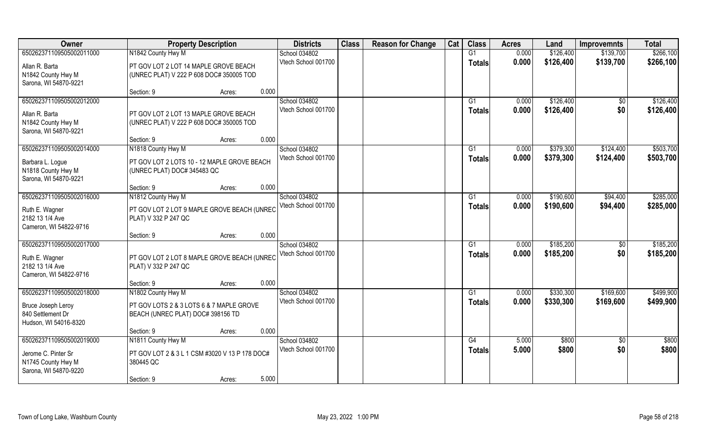| Owner                    | <b>Property Description</b>                         | <b>Districts</b>                     | <b>Class</b> | <b>Reason for Change</b> | Cat | <b>Class</b>    | <b>Acres</b> | Land      | <b>Improvemnts</b> | <b>Total</b> |
|--------------------------|-----------------------------------------------------|--------------------------------------|--------------|--------------------------|-----|-----------------|--------------|-----------|--------------------|--------------|
| 650262371109505002011000 | N1842 County Hwy M                                  | School 034802                        |              |                          |     | G1              | 0.000        | \$126,400 | \$139,700          | \$266,100    |
| Allan R. Barta           | PT GOV LOT 2 LOT 14 MAPLE GROVE BEACH               | Vtech School 001700                  |              |                          |     | <b>Totals</b>   | 0.000        | \$126,400 | \$139,700          | \$266,100    |
| N1842 County Hwy M       | (UNREC PLAT) V 222 P 608 DOC# 350005 TOD            |                                      |              |                          |     |                 |              |           |                    |              |
| Sarona, WI 54870-9221    |                                                     |                                      |              |                          |     |                 |              |           |                    |              |
|                          | 0.000<br>Section: 9<br>Acres:                       |                                      |              |                          |     |                 |              |           |                    |              |
| 650262371109505002012000 |                                                     | School 034802                        |              |                          |     | G <sub>1</sub>  | 0.000        | \$126,400 | \$0                | \$126,400    |
| Allan R. Barta           | PT GOV LOT 2 LOT 13 MAPLE GROVE BEACH               | Vtech School 001700                  |              |                          |     | <b>Totals</b>   | 0.000        | \$126,400 | \$0                | \$126,400    |
| N1842 County Hwy M       | (UNREC PLAT) V 222 P 608 DOC# 350005 TOD            |                                      |              |                          |     |                 |              |           |                    |              |
| Sarona, WI 54870-9221    |                                                     |                                      |              |                          |     |                 |              |           |                    |              |
|                          | 0.000<br>Section: 9<br>Acres:                       |                                      |              |                          |     |                 |              |           |                    |              |
| 650262371109505002014000 | N1818 County Hwy M                                  | School 034802                        |              |                          |     | G1              | 0.000        | \$379,300 | \$124,400          | \$503,700    |
| Barbara L. Logue         | PT GOV LOT 2 LOTS 10 - 12 MAPLE GROVE BEACH         | Vtech School 001700                  |              |                          |     | <b>Totals</b>   | 0.000        | \$379,300 | \$124,400          | \$503,700    |
| N1818 County Hwy M       | (UNREC PLAT) DOC# 345483 QC                         |                                      |              |                          |     |                 |              |           |                    |              |
| Sarona, WI 54870-9221    |                                                     |                                      |              |                          |     |                 |              |           |                    |              |
|                          | 0.000<br>Section: 9<br>Acres:                       |                                      |              |                          |     |                 |              |           |                    |              |
| 650262371109505002016000 | N1812 County Hwy M                                  | School 034802<br>Vtech School 001700 |              |                          |     | G1              | 0.000        | \$190,600 | \$94,400           | \$285,000    |
| Ruth E. Wagner           | PT GOV LOT 2 LOT 9 MAPLE GROVE BEACH (UNREC         |                                      |              |                          |     | <b>Totals</b>   | 0.000        | \$190,600 | \$94,400           | \$285,000    |
| 2182 13 1/4 Ave          | PLAT) V 332 P 247 QC                                |                                      |              |                          |     |                 |              |           |                    |              |
| Cameron, WI 54822-9716   |                                                     |                                      |              |                          |     |                 |              |           |                    |              |
| 650262371109505002017000 | 0.000<br>Section: 9<br>Acres:                       |                                      |              |                          |     | G1              | 0.000        | \$185,200 |                    | \$185,200    |
|                          |                                                     | School 034802<br>Vtech School 001700 |              |                          |     |                 | 0.000        | \$185,200 | \$0<br>\$0         | \$185,200    |
| Ruth E. Wagner           | PT GOV LOT 2 LOT 8 MAPLE GROVE BEACH (UNREC         |                                      |              |                          |     | <b>Totals</b>   |              |           |                    |              |
| 2182 13 1/4 Ave          | PLAT) V 332 P 247 QC                                |                                      |              |                          |     |                 |              |           |                    |              |
| Cameron, WI 54822-9716   |                                                     |                                      |              |                          |     |                 |              |           |                    |              |
| 650262371109505002018000 | 0.000<br>Section: 9<br>Acres:<br>N1802 County Hwy M | School 034802                        |              |                          |     | $\overline{G1}$ | 0.000        | \$330,300 | \$169,600          | \$499,900    |
|                          |                                                     | Vtech School 001700                  |              |                          |     | <b>Totals</b>   | 0.000        | \$330,300 | \$169,600          | \$499,900    |
| Bruce Joseph Leroy       | PT GOV LOTS 2 & 3 LOTS 6 & 7 MAPLE GROVE            |                                      |              |                          |     |                 |              |           |                    |              |
| 840 Settlement Dr        | BEACH (UNREC PLAT) DOC# 398156 TD                   |                                      |              |                          |     |                 |              |           |                    |              |
| Hudson, WI 54016-8320    | 0.000                                               |                                      |              |                          |     |                 |              |           |                    |              |
| 650262371109505002019000 | Section: 9<br>Acres:<br>N1811 County Hwy M          | School 034802                        |              |                          |     | G4              | 5.000        | \$800     | $\overline{60}$    | \$800        |
|                          |                                                     | Vtech School 001700                  |              |                          |     | <b>Totals</b>   | 5.000        | \$800     | \$0                | \$800        |
| Jerome C. Pinter Sr      | PT GOV LOT 2 & 3 L 1 CSM #3020 V 13 P 178 DOC#      |                                      |              |                          |     |                 |              |           |                    |              |
| N1745 County Hwy M       | 380445 QC                                           |                                      |              |                          |     |                 |              |           |                    |              |
| Sarona, WI 54870-9220    | 5.000<br>Section: 9<br>Acres:                       |                                      |              |                          |     |                 |              |           |                    |              |
|                          |                                                     |                                      |              |                          |     |                 |              |           |                    |              |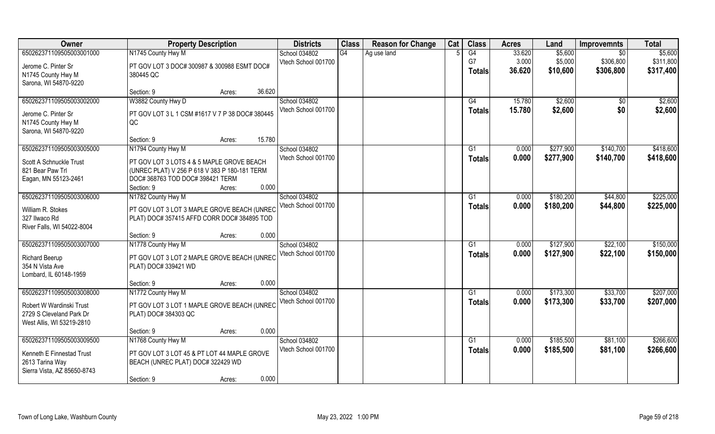| Owner                                                 | <b>Property Description</b>                                         |                  | <b>Districts</b>    | <b>Class</b> | <b>Reason for Change</b> | Cat | <b>Class</b>  | <b>Acres</b> | Land      | <b>Improvemnts</b> | <b>Total</b> |
|-------------------------------------------------------|---------------------------------------------------------------------|------------------|---------------------|--------------|--------------------------|-----|---------------|--------------|-----------|--------------------|--------------|
| 650262371109505003001000                              | N1745 County Hwy M                                                  |                  | School 034802       | G4           | Ag use land              |     | G4            | 33.620       | \$5,600   | \$0                | \$5,600      |
| Jerome C. Pinter Sr                                   | PT GOV LOT 3 DOC# 300987 & 300988 ESMT DOC#                         |                  | Vtech School 001700 |              |                          |     | G7            | 3.000        | \$5,000   | \$306,800          | \$311,800    |
| N1745 County Hwy M                                    | 380445 QC                                                           |                  |                     |              |                          |     | Totals        | 36.620       | \$10,600  | \$306,800          | \$317,400    |
| Sarona, WI 54870-9220                                 |                                                                     |                  |                     |              |                          |     |               |              |           |                    |              |
|                                                       | Section: 9                                                          | 36.620<br>Acres: |                     |              |                          |     |               |              |           |                    |              |
| 650262371109505003002000                              | W3882 County Hwy D                                                  |                  | School 034802       |              |                          |     | G4            | 15.780       | \$2,600   | \$0                | \$2,600      |
| Jerome C. Pinter Sr                                   | PT GOV LOT 3 L 1 CSM #1617 V 7 P 38 DOC# 380445                     |                  | Vtech School 001700 |              |                          |     | <b>Totals</b> | 15.780       | \$2,600   | \$0                | \$2,600      |
| N1745 County Hwy M                                    | QC                                                                  |                  |                     |              |                          |     |               |              |           |                    |              |
| Sarona, WI 54870-9220                                 |                                                                     |                  |                     |              |                          |     |               |              |           |                    |              |
|                                                       | Section: 9                                                          | 15.780<br>Acres: |                     |              |                          |     |               |              |           |                    |              |
| 650262371109505003005000                              | N1794 County Hwy M                                                  |                  | School 034802       |              |                          |     | G1            | 0.000        | \$277,900 | \$140,700          | \$418,600    |
| Scott A Schnuckle Trust                               | PT GOV LOT 3 LOTS 4 & 5 MAPLE GROVE BEACH                           |                  | Vtech School 001700 |              |                          |     | <b>Totals</b> | 0.000        | \$277,900 | \$140,700          | \$418,600    |
| 821 Bear Paw Trl                                      | (UNREC PLAT) V 256 P 618 V 383 P 180-181 TERM                       |                  |                     |              |                          |     |               |              |           |                    |              |
| Eagan, MN 55123-2461                                  | DOC# 368763 TOD DOC# 398421 TERM                                    |                  |                     |              |                          |     |               |              |           |                    |              |
|                                                       | Section: 9                                                          | 0.000<br>Acres:  |                     |              |                          |     |               |              |           |                    |              |
| 650262371109505003006000                              | N1782 County Hwy M                                                  |                  | School 034802       |              |                          |     | G1            | 0.000        | \$180,200 | \$44,800           | \$225,000    |
| William R. Stokes                                     | PT GOV LOT 3 LOT 3 MAPLE GROVE BEACH (UNREC                         |                  | Vtech School 001700 |              |                          |     | <b>Totals</b> | 0.000        | \$180,200 | \$44,800           | \$225,000    |
| 327 Ilwaco Rd                                         | PLAT) DOC#357415 AFFD CORR DOC#384895 TOD                           |                  |                     |              |                          |     |               |              |           |                    |              |
| River Falls, WI 54022-8004                            |                                                                     |                  |                     |              |                          |     |               |              |           |                    |              |
|                                                       | Section: 9                                                          | 0.000<br>Acres:  |                     |              |                          |     |               |              |           |                    |              |
| 650262371109505003007000                              | N1778 County Hwy M                                                  |                  | School 034802       |              |                          |     | G1            | 0.000        | \$127,900 | \$22,100           | \$150,000    |
|                                                       |                                                                     |                  | Vtech School 001700 |              |                          |     | <b>Totals</b> | 0.000        | \$127,900 | \$22,100           | \$150,000    |
| Richard Beerup<br>354 N Vista Ave                     | PT GOV LOT 3 LOT 2 MAPLE GROVE BEACH (UNREC<br>PLAT) DOC# 339421 WD |                  |                     |              |                          |     |               |              |           |                    |              |
| Lombard, IL 60148-1959                                |                                                                     |                  |                     |              |                          |     |               |              |           |                    |              |
|                                                       | Section: 9                                                          | 0.000<br>Acres:  |                     |              |                          |     |               |              |           |                    |              |
| 650262371109505003008000                              | N1772 County Hwy M                                                  |                  | School 034802       |              |                          |     | G1            | 0.000        | \$173,300 | \$33,700           | \$207,000    |
|                                                       |                                                                     |                  | Vtech School 001700 |              |                          |     | <b>Totals</b> | 0.000        | \$173,300 | \$33,700           | \$207,000    |
| Robert W Wardinski Trust                              | PT GOV LOT 3 LOT 1 MAPLE GROVE BEACH (UNREC                         |                  |                     |              |                          |     |               |              |           |                    |              |
| 2729 S Cleveland Park Dr<br>West Allis, WI 53219-2810 | PLAT) DOC# 384303 QC                                                |                  |                     |              |                          |     |               |              |           |                    |              |
|                                                       | Section: 9                                                          | 0.000<br>Acres:  |                     |              |                          |     |               |              |           |                    |              |
| 650262371109505003009500                              | N1768 County Hwy M                                                  |                  | School 034802       |              |                          |     | G1            | 0.000        | \$185,500 | \$81,100           | \$266,600    |
|                                                       |                                                                     |                  | Vtech School 001700 |              |                          |     | Totals        | 0.000        | \$185,500 | \$81,100           | \$266,600    |
| Kenneth E Finnestad Trust                             | PT GOV LOT 3 LOT 45 & PT LOT 44 MAPLE GROVE                         |                  |                     |              |                          |     |               |              |           |                    |              |
| 2613 Tarina Way<br>Sierra Vista, AZ 85650-8743        | BEACH (UNREC PLAT) DOC# 322429 WD                                   |                  |                     |              |                          |     |               |              |           |                    |              |
|                                                       | Section: 9                                                          | 0.000<br>Acres:  |                     |              |                          |     |               |              |           |                    |              |
|                                                       |                                                                     |                  |                     |              |                          |     |               |              |           |                    |              |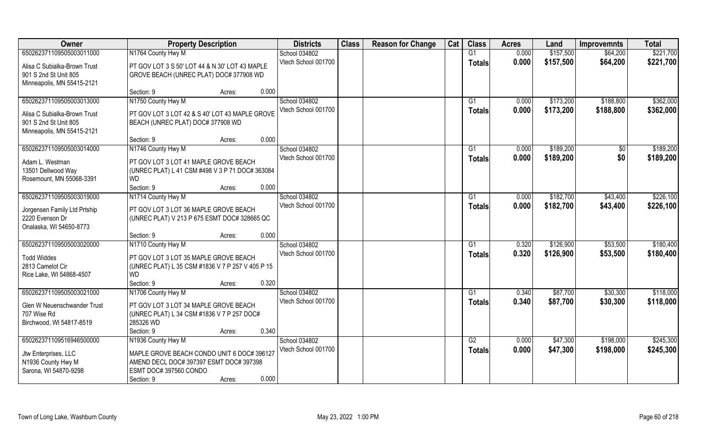| Owner                                           | <b>Property Description</b>                                                           | <b>Districts</b>    | <b>Class</b> | <b>Reason for Change</b> | Cat | <b>Class</b>  | <b>Acres</b> | Land      | <b>Improvemnts</b> | <b>Total</b> |
|-------------------------------------------------|---------------------------------------------------------------------------------------|---------------------|--------------|--------------------------|-----|---------------|--------------|-----------|--------------------|--------------|
| 650262371109505003011000                        | N1764 County Hwy M                                                                    | School 034802       |              |                          |     | G1            | 0.000        | \$157,500 | \$64,200           | \$221,700    |
| Alisa C Subialka-Brown Trust                    | PT GOV LOT 3 S 50' LOT 44 & N 30' LOT 43 MAPLE                                        | Vtech School 001700 |              |                          |     | <b>Totals</b> | 0.000        | \$157,500 | \$64,200           | \$221,700    |
| 901 S 2nd St Unit 805                           | GROVE BEACH (UNREC PLAT) DOC# 377908 WD                                               |                     |              |                          |     |               |              |           |                    |              |
| Minneapolis, MN 55415-2121                      |                                                                                       |                     |              |                          |     |               |              |           |                    |              |
|                                                 | 0.000<br>Section: 9<br>Acres:                                                         |                     |              |                          |     |               |              |           |                    |              |
| 650262371109505003013000                        | N1750 County Hwy M                                                                    | School 034802       |              |                          |     | G1            | 0.000        | \$173,200 | \$188,800          | \$362,000    |
| Alisa C Subialka-Brown Trust                    | PT GOV LOT 3 LOT 42 & S 40' LOT 43 MAPLE GROVE                                        | Vtech School 001700 |              |                          |     | Totals        | 0.000        | \$173,200 | \$188,800          | \$362,000    |
| 901 S 2nd St Unit 805                           | BEACH (UNREC PLAT) DOC# 377908 WD                                                     |                     |              |                          |     |               |              |           |                    |              |
| Minneapolis, MN 55415-2121                      |                                                                                       |                     |              |                          |     |               |              |           |                    |              |
|                                                 | 0.000<br>Section: 9<br>Acres:                                                         |                     |              |                          |     |               |              |           |                    |              |
| 650262371109505003014000                        | N1746 County Hwy M                                                                    | School 034802       |              |                          |     | G1            | 0.000        | \$189,200 | $\frac{1}{2}$      | \$189,200    |
| Adam L. Westman                                 | PT GOV LOT 3 LOT 41 MAPLE GROVE BEACH                                                 | Vtech School 001700 |              |                          |     | <b>Totals</b> | 0.000        | \$189,200 | \$0                | \$189,200    |
| 13501 Dellwood Way                              | (UNREC PLAT) L 41 CSM #498 V 3 P 71 DOC# 363084                                       |                     |              |                          |     |               |              |           |                    |              |
| Rosemount, MN 55068-3391                        | <b>WD</b>                                                                             |                     |              |                          |     |               |              |           |                    |              |
|                                                 | 0.000<br>Section: 9<br>Acres:                                                         |                     |              |                          |     |               |              |           |                    |              |
| 650262371109505003019000                        | N1714 County Hwy M                                                                    | School 034802       |              |                          |     | G1            | 0.000        | \$182,700 | \$43,400           | \$226,100    |
|                                                 |                                                                                       | Vtech School 001700 |              |                          |     | <b>Totals</b> | 0.000        | \$182,700 | \$43,400           | \$226,100    |
| Jorgensen Family Ltd Prtship<br>2220 Evenson Dr | PT GOV LOT 3 LOT 36 MAPLE GROVE BEACH<br>(UNREC PLAT) V 213 P 675 ESMT DOC# 328665 QC |                     |              |                          |     |               |              |           |                    |              |
| Onalaska, WI 54650-8773                         |                                                                                       |                     |              |                          |     |               |              |           |                    |              |
|                                                 | 0.000<br>Section: 9<br>Acres:                                                         |                     |              |                          |     |               |              |           |                    |              |
| 650262371109505003020000                        | N1710 County Hwy M                                                                    | School 034802       |              |                          |     | G1            | 0.320        | \$126,900 | \$53,500           | \$180,400    |
|                                                 |                                                                                       | Vtech School 001700 |              |                          |     | <b>Totals</b> | 0.320        | \$126,900 | \$53,500           | \$180,400    |
| <b>Todd Widdes</b><br>2813 Camelot Cir          | PT GOV LOT 3 LOT 35 MAPLE GROVE BEACH                                                 |                     |              |                          |     |               |              |           |                    |              |
| Rice Lake, WI 54868-4507                        | (UNREC PLAT) L 35 CSM #1836 V 7 P 257 V 405 P 15<br>WD.                               |                     |              |                          |     |               |              |           |                    |              |
|                                                 | 0.320<br>Section: 9<br>Acres:                                                         |                     |              |                          |     |               |              |           |                    |              |
| 650262371109505003021000                        | N1706 County Hwy M                                                                    | School 034802       |              |                          |     | G1            | 0.340        | \$87,700  | \$30,300           | \$118,000    |
|                                                 |                                                                                       | Vtech School 001700 |              |                          |     | <b>Totals</b> | 0.340        | \$87,700  | \$30,300           | \$118,000    |
| Glen W Neuenschwander Trust                     | PT GOV LOT 3 LOT 34 MAPLE GROVE BEACH                                                 |                     |              |                          |     |               |              |           |                    |              |
| 707 Wise Rd<br>Birchwood, WI 54817-8519         | (UNREC PLAT) L 34 CSM #1836 V 7 P 257 DOC#<br>285326 WD                               |                     |              |                          |     |               |              |           |                    |              |
|                                                 | 0.340<br>Section: 9<br>Acres:                                                         |                     |              |                          |     |               |              |           |                    |              |
| 650262371109516946500000                        | N1936 County Hwy M                                                                    | School 034802       |              |                          |     | G2            | 0.000        | \$47,300  | \$198,000          | \$245,300    |
|                                                 |                                                                                       | Vtech School 001700 |              |                          |     | <b>Totals</b> | 0.000        | \$47,300  | \$198,000          | \$245,300    |
| Jtw Enterprises, LLC                            | MAPLE GROVE BEACH CONDO UNIT 6 DOC# 396127                                            |                     |              |                          |     |               |              |           |                    |              |
| N1936 County Hwy M                              | AMEND DECL DOC# 397397 ESMT DOC# 397398                                               |                     |              |                          |     |               |              |           |                    |              |
| Sarona, WI 54870-9298                           | ESMT DOC# 397560 CONDO<br>0.000                                                       |                     |              |                          |     |               |              |           |                    |              |
|                                                 | Section: 9<br>Acres:                                                                  |                     |              |                          |     |               |              |           |                    |              |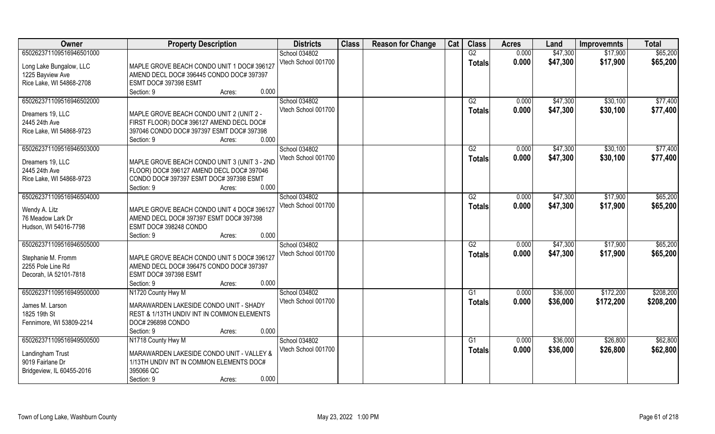| Owner                                | <b>Property Description</b>                                                          | <b>Districts</b>    | <b>Class</b> | <b>Reason for Change</b> | Cat | <b>Class</b>    | <b>Acres</b> | Land     | <b>Improvemnts</b> | <b>Total</b> |
|--------------------------------------|--------------------------------------------------------------------------------------|---------------------|--------------|--------------------------|-----|-----------------|--------------|----------|--------------------|--------------|
| 650262371109516946501000             |                                                                                      | School 034802       |              |                          |     | G2              | 0.000        | \$47,300 | \$17,900           | \$65,200     |
| Long Lake Bungalow, LLC              | MAPLE GROVE BEACH CONDO UNIT 1 DOC# 396127                                           | Vtech School 001700 |              |                          |     | Totals          | 0.000        | \$47,300 | \$17,900           | \$65,200     |
| 1225 Bayview Ave                     | AMEND DECL DOC# 396445 CONDO DOC# 397397                                             |                     |              |                          |     |                 |              |          |                    |              |
| Rice Lake, WI 54868-2708             | ESMT DOC# 397398 ESMT                                                                |                     |              |                          |     |                 |              |          |                    |              |
|                                      | 0.000<br>Section: 9<br>Acres:                                                        |                     |              |                          |     |                 |              |          |                    |              |
| 650262371109516946502000             |                                                                                      | School 034802       |              |                          |     | G2              | 0.000        | \$47,300 | \$30,100           | \$77,400     |
| Dreamers 19, LLC                     | MAPLE GROVE BEACH CONDO UNIT 2 (UNIT 2 -                                             | Vtech School 001700 |              |                          |     | <b>Totals</b>   | 0.000        | \$47,300 | \$30,100           | \$77,400     |
| 2445 24th Ave                        | FIRST FLOOR) DOC# 396127 AMEND DECL DOC#                                             |                     |              |                          |     |                 |              |          |                    |              |
| Rice Lake, WI 54868-9723             | 397046 CONDO DOC# 397397 ESMT DOC# 397398                                            |                     |              |                          |     |                 |              |          |                    |              |
|                                      | 0.000<br>Section: 9<br>Acres:                                                        |                     |              |                          |     |                 |              |          |                    |              |
| 650262371109516946503000             |                                                                                      | School 034802       |              |                          |     | G2              | 0.000        | \$47,300 | \$30,100           | \$77,400     |
|                                      |                                                                                      | Vtech School 001700 |              |                          |     | <b>Totals</b>   | 0.000        | \$47,300 | \$30,100           | \$77,400     |
| Dreamers 19, LLC                     | MAPLE GROVE BEACH CONDO UNIT 3 (UNIT 3 - 2ND                                         |                     |              |                          |     |                 |              |          |                    |              |
| 2445 24th Ave                        | FLOOR) DOC# 396127 AMEND DECL DOC# 397046<br>CONDO DOC# 397397 ESMT DOC# 397398 ESMT |                     |              |                          |     |                 |              |          |                    |              |
| Rice Lake, WI 54868-9723             | 0.000<br>Section: 9<br>Acres:                                                        |                     |              |                          |     |                 |              |          |                    |              |
| 650262371109516946504000             |                                                                                      | School 034802       |              |                          |     | G2              | 0.000        | \$47,300 | \$17,900           | \$65,200     |
|                                      |                                                                                      | Vtech School 001700 |              |                          |     |                 | 0.000        | \$47,300 | \$17,900           | \$65,200     |
| Wendy A. Litz                        | MAPLE GROVE BEACH CONDO UNIT 4 DOC# 396127                                           |                     |              |                          |     | <b>Totals</b>   |              |          |                    |              |
| 76 Meadow Lark Dr                    | AMEND DECL DOC# 397397 ESMT DOC# 397398                                              |                     |              |                          |     |                 |              |          |                    |              |
| Hudson, WI 54016-7798                | ESMT DOC# 398248 CONDO                                                               |                     |              |                          |     |                 |              |          |                    |              |
|                                      | 0.000<br>Section: 9<br>Acres:                                                        |                     |              |                          |     |                 |              |          |                    |              |
| 650262371109516946505000             |                                                                                      | School 034802       |              |                          |     | $\overline{G2}$ | 0.000        | \$47,300 | \$17,900           | \$65,200     |
| Stephanie M. Fromm                   | MAPLE GROVE BEACH CONDO UNIT 5 DOC# 396127                                           | Vtech School 001700 |              |                          |     | <b>Totals</b>   | 0.000        | \$47,300 | \$17,900           | \$65,200     |
| 2255 Pole Line Rd                    | AMEND DECL DOC# 396475 CONDO DOC# 397397                                             |                     |              |                          |     |                 |              |          |                    |              |
| Decorah, IA 52101-7818               | ESMT DOC# 397398 ESMT                                                                |                     |              |                          |     |                 |              |          |                    |              |
|                                      | 0.000<br>Section: 9<br>Acres:                                                        |                     |              |                          |     |                 |              |          |                    |              |
| 650262371109516949500000             | N1720 County Hwy M                                                                   | School 034802       |              |                          |     | G1              | 0.000        | \$36,000 | \$172,200          | \$208,200    |
| James M. Larson                      | MARAWARDEN LAKESIDE CONDO UNIT - SHADY                                               | Vtech School 001700 |              |                          |     | <b>Totals</b>   | 0.000        | \$36,000 | \$172,200          | \$208,200    |
| 1825 19th St                         | REST & 1/13TH UNDIV INT IN COMMON ELEMENTS                                           |                     |              |                          |     |                 |              |          |                    |              |
| Fennimore, WI 53809-2214             | DOC# 296898 CONDO                                                                    |                     |              |                          |     |                 |              |          |                    |              |
|                                      | 0.000<br>Section: 9<br>Acres:                                                        |                     |              |                          |     |                 |              |          |                    |              |
| 650262371109516949500500             | N1718 County Hwy M                                                                   | School 034802       |              |                          |     | G1              | 0.000        | \$36,000 | \$26,800           | \$62,800     |
|                                      |                                                                                      | Vtech School 001700 |              |                          |     | <b>Totals</b>   | 0.000        | \$36,000 | \$26,800           | \$62,800     |
| Landingham Trust<br>9019 Fairlane Dr | MARAWARDEN LAKESIDE CONDO UNIT - VALLEY &                                            |                     |              |                          |     |                 |              |          |                    |              |
| Bridgeview, IL 60455-2016            | 1/13TH UNDIV INT IN COMMON ELEMENTS DOC#<br>395066 QC                                |                     |              |                          |     |                 |              |          |                    |              |
|                                      | 0.000<br>Section: 9<br>Acres:                                                        |                     |              |                          |     |                 |              |          |                    |              |
|                                      |                                                                                      |                     |              |                          |     |                 |              |          |                    |              |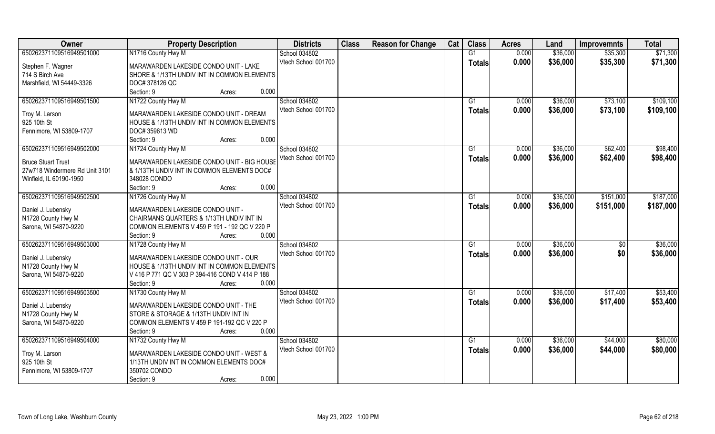| Owner                          | <b>Property Description</b>                         | <b>Districts</b>    | <b>Class</b> | <b>Reason for Change</b> | Cat | <b>Class</b>    | <b>Acres</b> | Land     | <b>Improvemnts</b> | <b>Total</b> |
|--------------------------------|-----------------------------------------------------|---------------------|--------------|--------------------------|-----|-----------------|--------------|----------|--------------------|--------------|
| 650262371109516949501000       | N1716 County Hwy M                                  | School 034802       |              |                          |     | G1              | 0.000        | \$36,000 | \$35,300           | \$71,300     |
| Stephen F. Wagner              | MARAWARDEN LAKESIDE CONDO UNIT - LAKE               | Vtech School 001700 |              |                          |     | <b>Totals</b>   | 0.000        | \$36,000 | \$35,300           | \$71,300     |
| 714 S Birch Ave                | SHORE & 1/13TH UNDIV INT IN COMMON ELEMENTS         |                     |              |                          |     |                 |              |          |                    |              |
| Marshfield, WI 54449-3326      | DOC# 378126 QC                                      |                     |              |                          |     |                 |              |          |                    |              |
|                                | Section: 9<br>0.000<br>Acres:                       |                     |              |                          |     |                 |              |          |                    |              |
| 650262371109516949501500       | N1722 County Hwy M                                  | School 034802       |              |                          |     | G <sub>1</sub>  | 0.000        | \$36,000 | \$73,100           | \$109,100    |
|                                |                                                     | Vtech School 001700 |              |                          |     | <b>Totals</b>   | 0.000        | \$36,000 | \$73,100           | \$109,100    |
| Troy M. Larson                 | MARAWARDEN LAKESIDE CONDO UNIT - DREAM              |                     |              |                          |     |                 |              |          |                    |              |
| 925 10th St                    | HOUSE & 1/13TH UNDIV INT IN COMMON ELEMENTS         |                     |              |                          |     |                 |              |          |                    |              |
| Fennimore, WI 53809-1707       | DOC# 359613 WD                                      |                     |              |                          |     |                 |              |          |                    |              |
|                                | 0.000<br>Section: 9<br>Acres:                       |                     |              |                          |     |                 |              |          |                    |              |
| 650262371109516949502000       | N1724 County Hwy M                                  | School 034802       |              |                          |     | G1              | 0.000        | \$36,000 | \$62,400           | \$98,400     |
| <b>Bruce Stuart Trust</b>      | MARAWARDEN LAKESIDE CONDO UNIT - BIG HOUSE          | Vtech School 001700 |              |                          |     | <b>Totals</b>   | 0.000        | \$36,000 | \$62,400           | \$98,400     |
| 27w718 Windermere Rd Unit 3101 | & 1/13TH UNDIV INT IN COMMON ELEMENTS DOC#          |                     |              |                          |     |                 |              |          |                    |              |
| Winfield, IL 60190-1950        | 348028 CONDO                                        |                     |              |                          |     |                 |              |          |                    |              |
|                                | 0.000<br>Section: 9<br>Acres:                       |                     |              |                          |     |                 |              |          |                    |              |
| 650262371109516949502500       | N1726 County Hwy M                                  | School 034802       |              |                          |     | G1              | 0.000        | \$36,000 | \$151,000          | \$187,000    |
|                                |                                                     | Vtech School 001700 |              |                          |     | <b>Totals</b>   | 0.000        | \$36,000 | \$151,000          | \$187,000    |
| Daniel J. Lubensky             | MARAWARDEN LAKESIDE CONDO UNIT -                    |                     |              |                          |     |                 |              |          |                    |              |
| N1728 County Hwy M             | CHAIRMANS QUARTERS & 1/13TH UNDIV INT IN            |                     |              |                          |     |                 |              |          |                    |              |
| Sarona, WI 54870-9220          | COMMON ELEMENTS V 459 P 191 - 192 QC V 220 P        |                     |              |                          |     |                 |              |          |                    |              |
|                                | 0.000<br>Section: 9<br>Acres:                       |                     |              |                          |     |                 |              |          |                    |              |
| 650262371109516949503000       | N1728 County Hwy M                                  | School 034802       |              |                          |     | G1              | 0.000        | \$36,000 | \$0                | \$36,000     |
| Daniel J. Lubensky             | MARAWARDEN LAKESIDE CONDO UNIT - OUR                | Vtech School 001700 |              |                          |     | <b>Totals</b>   | 0.000        | \$36,000 | \$0                | \$36,000     |
| N1728 County Hwy M             | HOUSE & 1/13TH UNDIV INT IN COMMON ELEMENTS         |                     |              |                          |     |                 |              |          |                    |              |
| Sarona, WI 54870-9220          | V 416 P 771 QC V 303 P 394-416 COND V 414 P 188     |                     |              |                          |     |                 |              |          |                    |              |
|                                | Section: 9<br>0.000<br>Acres:                       |                     |              |                          |     |                 |              |          |                    |              |
| 650262371109516949503500       | N1730 County Hwy M                                  | School 034802       |              |                          |     | $\overline{G1}$ | 0.000        | \$36,000 | \$17,400           | \$53,400     |
|                                |                                                     | Vtech School 001700 |              |                          |     | <b>Totals</b>   | 0.000        | \$36,000 | \$17,400           | \$53,400     |
| Daniel J. Lubensky             | MARAWARDEN LAKESIDE CONDO UNIT - THE                |                     |              |                          |     |                 |              |          |                    |              |
| N1728 County Hwy M             | STORE & STORAGE & 1/13TH UNDIV INT IN               |                     |              |                          |     |                 |              |          |                    |              |
| Sarona, WI 54870-9220          | COMMON ELEMENTS V 459 P 191-192 QC V 220 P<br>0.000 |                     |              |                          |     |                 |              |          |                    |              |
| 650262371109516949504000       | Section: 9<br>Acres:                                |                     |              |                          |     |                 |              |          |                    |              |
|                                | N1732 County Hwy M                                  | School 034802       |              |                          |     | G1              | 0.000        | \$36,000 | \$44,000           | \$80,000     |
| Troy M. Larson                 | MARAWARDEN LAKESIDE CONDO UNIT - WEST &             | Vtech School 001700 |              |                          |     | <b>Totals</b>   | 0.000        | \$36,000 | \$44,000           | \$80,000     |
| 925 10th St                    | 1/13TH UNDIV INT IN COMMON ELEMENTS DOC#            |                     |              |                          |     |                 |              |          |                    |              |
| Fennimore, WI 53809-1707       | 350702 CONDO                                        |                     |              |                          |     |                 |              |          |                    |              |
|                                | 0.000<br>Section: 9<br>Acres:                       |                     |              |                          |     |                 |              |          |                    |              |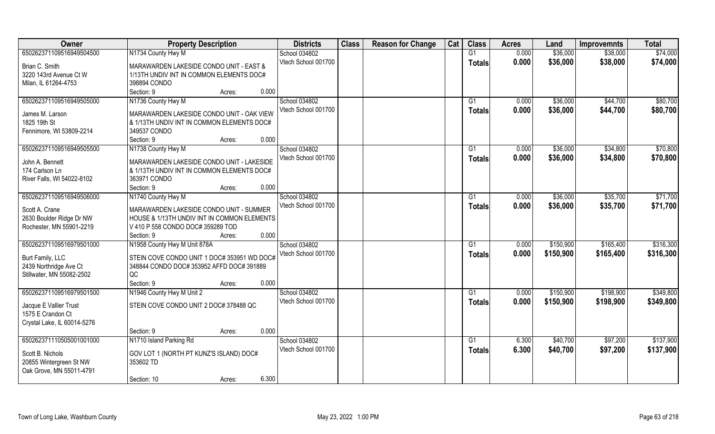| Owner                                               | <b>Property Description</b>                                                             | <b>Districts</b>    | <b>Class</b> | <b>Reason for Change</b> | Cat | <b>Class</b>  | <b>Acres</b> | Land      | <b>Improvemnts</b> | <b>Total</b> |
|-----------------------------------------------------|-----------------------------------------------------------------------------------------|---------------------|--------------|--------------------------|-----|---------------|--------------|-----------|--------------------|--------------|
| 650262371109516949504500                            | N1734 County Hwy M                                                                      | School 034802       |              |                          |     | G1            | 0.000        | \$36,000  | \$38,000           | \$74,000     |
| Brian C. Smith                                      | MARAWARDEN LAKESIDE CONDO UNIT - EAST &                                                 | Vtech School 001700 |              |                          |     | <b>Totals</b> | 0.000        | \$36,000  | \$38,000           | \$74,000     |
| 3220 143rd Avenue Ct W                              | 1/13TH UNDIV INT IN COMMON ELEMENTS DOC#                                                |                     |              |                          |     |               |              |           |                    |              |
| Milan, IL 61264-4753                                | 398894 CONDO                                                                            |                     |              |                          |     |               |              |           |                    |              |
|                                                     | 0.000<br>Section: 9<br>Acres:                                                           |                     |              |                          |     |               |              |           |                    |              |
| 650262371109516949505000                            | N1736 County Hwy M                                                                      | School 034802       |              |                          |     | G1            | 0.000        | \$36,000  | \$44,700           | \$80,700     |
| James M. Larson                                     |                                                                                         | Vtech School 001700 |              |                          |     | <b>Totals</b> | 0.000        | \$36,000  | \$44,700           | \$80,700     |
| 1825 19th St                                        | MARAWARDEN LAKESIDE CONDO UNIT - OAK VIEW<br>& 1/13TH UNDIV INT IN COMMON ELEMENTS DOC# |                     |              |                          |     |               |              |           |                    |              |
| Fennimore, WI 53809-2214                            | 349537 CONDO                                                                            |                     |              |                          |     |               |              |           |                    |              |
|                                                     | 0.000<br>Section: 9<br>Acres:                                                           |                     |              |                          |     |               |              |           |                    |              |
| 650262371109516949505500                            | N1738 County Hwy M                                                                      | School 034802       |              |                          |     | G1            | 0.000        | \$36,000  | \$34,800           | \$70,800     |
|                                                     |                                                                                         | Vtech School 001700 |              |                          |     | <b>Totals</b> | 0.000        | \$36,000  | \$34,800           | \$70,800     |
| John A. Bennett                                     | MARAWARDEN LAKESIDE CONDO UNIT - LAKESIDE                                               |                     |              |                          |     |               |              |           |                    |              |
| 174 Carlson Ln                                      | & 1/13TH UNDIV INT IN COMMON ELEMENTS DOC#                                              |                     |              |                          |     |               |              |           |                    |              |
| River Falls, WI 54022-8102                          | 363971 CONDO                                                                            |                     |              |                          |     |               |              |           |                    |              |
|                                                     | 0.000<br>Section: 9<br>Acres:                                                           |                     |              |                          |     |               |              |           |                    |              |
| 650262371109516949506000                            | N1740 County Hwy M                                                                      | School 034802       |              |                          |     | G1            | 0.000        | \$36,000  | \$35,700           | \$71,700     |
| Scott A. Crane                                      | MARAWARDEN LAKESIDE CONDO UNIT - SUMMER                                                 | Vtech School 001700 |              |                          |     | <b>Totals</b> | 0.000        | \$36,000  | \$35,700           | \$71,700     |
| 2630 Boulder Ridge Dr NW                            | HOUSE & 1/13TH UNDIV INT IN COMMON ELEMENTS                                             |                     |              |                          |     |               |              |           |                    |              |
| Rochester, MN 55901-2219                            | V 410 P 558 CONDO DOC# 359289 TOD                                                       |                     |              |                          |     |               |              |           |                    |              |
|                                                     | 0.000<br>Section: 9<br>Acres:                                                           |                     |              |                          |     |               |              |           |                    |              |
| 650262371109516979501000                            | N1958 County Hwy M Unit 878A                                                            | School 034802       |              |                          |     | G1            | 0.000        | \$150,900 | \$165,400          | \$316,300    |
|                                                     |                                                                                         | Vtech School 001700 |              |                          |     | <b>Totals</b> | 0.000        | \$150,900 | \$165,400          | \$316,300    |
| Burt Family, LLC                                    | STEIN COVE CONDO UNIT 1 DOC# 353951 WD DOC#                                             |                     |              |                          |     |               |              |           |                    |              |
| 2439 Northridge Ave Ct                              | 348844 CONDO DOC# 353952 AFFD DOC# 391889                                               |                     |              |                          |     |               |              |           |                    |              |
| Stillwater, MN 55082-2502                           | QC                                                                                      |                     |              |                          |     |               |              |           |                    |              |
|                                                     | 0.000<br>Section: 9<br>Acres:                                                           |                     |              |                          |     |               |              |           |                    |              |
| 650262371109516979501500                            | N1946 County Hwy M Unit 2                                                               | School 034802       |              |                          |     | G1            | 0.000        | \$150,900 | \$198,900          | \$349,800    |
| Jacque E Vallier Trust                              | STEIN COVE CONDO UNIT 2 DOC# 378488 QC                                                  | Vtech School 001700 |              |                          |     | <b>Totals</b> | 0.000        | \$150,900 | \$198,900          | \$349,800    |
| 1575 E Crandon Ct                                   |                                                                                         |                     |              |                          |     |               |              |           |                    |              |
| Crystal Lake, IL 60014-5276                         |                                                                                         |                     |              |                          |     |               |              |           |                    |              |
|                                                     | 0.000<br>Section: 9<br>Acres:                                                           |                     |              |                          |     |               |              |           |                    |              |
| 650262371110505001001000                            | N1710 Island Parking Rd                                                                 | School 034802       |              |                          |     | G1            | 6.300        | \$40,700  | \$97,200           | \$137,900    |
|                                                     |                                                                                         | Vtech School 001700 |              |                          |     | <b>Totals</b> | 6.300        | \$40,700  | \$97,200           | \$137,900    |
| Scott B. Nichols                                    | GOV LOT 1 (NORTH PT KUNZ'S ISLAND) DOC#                                                 |                     |              |                          |     |               |              |           |                    |              |
| 20855 Wintergreen St NW<br>Oak Grove, MN 55011-4791 | 353602 TD                                                                               |                     |              |                          |     |               |              |           |                    |              |
|                                                     | 6.300<br>Section: 10<br>Acres:                                                          |                     |              |                          |     |               |              |           |                    |              |
|                                                     |                                                                                         |                     |              |                          |     |               |              |           |                    |              |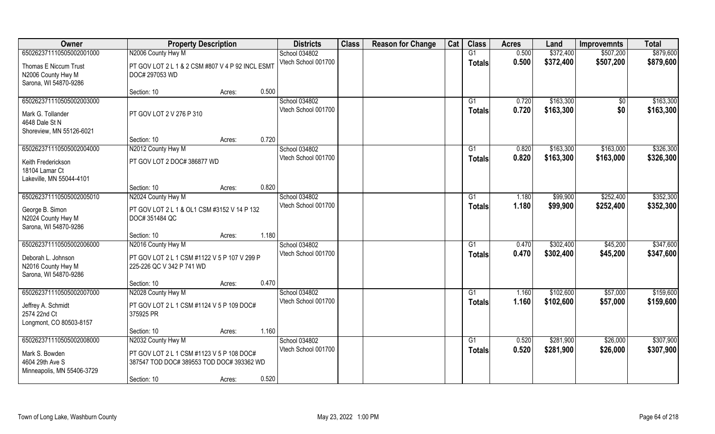| Owner                                                                                         | <b>Property Description</b>                                                                                                           |       | <b>Districts</b>                     | <b>Class</b> | <b>Reason for Change</b> | Cat | <b>Class</b>                    | <b>Acres</b>   | Land                   | <b>Improvemnts</b>     | <b>Total</b>           |
|-----------------------------------------------------------------------------------------------|---------------------------------------------------------------------------------------------------------------------------------------|-------|--------------------------------------|--------------|--------------------------|-----|---------------------------------|----------------|------------------------|------------------------|------------------------|
| 650262371110505002001000                                                                      | N2006 County Hwy M                                                                                                                    |       | School 034802                        |              |                          |     | G1                              | 0.500          | \$372,400              | \$507,200              | \$879,600              |
| Thomas E Niccum Trust<br>N2006 County Hwy M<br>Sarona, WI 54870-9286                          | PT GOV LOT 2 L 1 & 2 CSM #807 V 4 P 92 INCL ESMT<br>DOC# 297053 WD                                                                    |       | Vtech School 001700                  |              |                          |     | <b>Totals</b>                   | 0.500          | \$372,400              | \$507,200              | \$879,600              |
|                                                                                               | Section: 10<br>Acres:                                                                                                                 | 0.500 |                                      |              |                          |     |                                 |                |                        |                        |                        |
| 650262371110505002003000<br>Mark G. Tollander<br>4648 Dale St N<br>Shoreview, MN 55126-6021   | PT GOV LOT 2 V 276 P 310                                                                                                              |       | School 034802<br>Vtech School 001700 |              |                          |     | G <sub>1</sub><br><b>Totals</b> | 0.720<br>0.720 | \$163,300<br>\$163,300 | \$0<br>\$0             | \$163,300<br>\$163,300 |
|                                                                                               | Section: 10<br>Acres:                                                                                                                 | 0.720 |                                      |              |                          |     |                                 |                |                        |                        |                        |
| 650262371110505002004000<br>Keith Frederickson<br>18104 Lamar Ct<br>Lakeville, MN 55044-4101  | N2012 County Hwy M<br>PT GOV LOT 2 DOC# 386877 WD                                                                                     |       | School 034802<br>Vtech School 001700 |              |                          |     | G1<br><b>Totals</b>             | 0.820<br>0.820 | \$163,300<br>\$163,300 | \$163,000<br>\$163,000 | \$326,300<br>\$326,300 |
|                                                                                               | Section: 10<br>Acres:                                                                                                                 | 0.820 |                                      |              |                          |     |                                 |                |                        |                        |                        |
| 650262371110505002005010<br>George B. Simon<br>N2024 County Hwy M<br>Sarona, WI 54870-9286    | N2024 County Hwy M<br>PT GOV LOT 2 L 1 & OL1 CSM #3152 V 14 P 132<br>DOC# 351484 QC                                                   |       | School 034802<br>Vtech School 001700 |              |                          |     | G <sub>1</sub><br><b>Totals</b> | 1.180<br>1.180 | \$99,900<br>\$99,900   | \$252,400<br>\$252,400 | \$352,300<br>\$352,300 |
|                                                                                               | Section: 10<br>Acres:                                                                                                                 | 1.180 |                                      |              |                          |     |                                 |                |                        |                        |                        |
| 650262371110505002006000<br>Deborah L. Johnson<br>N2016 County Hwy M<br>Sarona, WI 54870-9286 | N2016 County Hwy M<br>PT GOV LOT 2 L 1 CSM #1122 V 5 P 107 V 299 P<br>225-226 QC V 342 P 741 WD                                       |       | School 034802<br>Vtech School 001700 |              |                          |     | G1<br><b>Totals</b>             | 0.470<br>0.470 | \$302,400<br>\$302,400 | \$45,200<br>\$45,200   | \$347,600<br>\$347,600 |
|                                                                                               | Section: 10<br>Acres:                                                                                                                 | 0.470 |                                      |              |                          |     |                                 |                |                        |                        |                        |
| 650262371110505002007000<br>Jeffrey A. Schmidt<br>2574 22nd Ct<br>Longmont, CO 80503-8157     | N2028 County Hwy M<br>PT GOV LOT 2 L 1 CSM #1124 V 5 P 109 DOC#<br>375925 PR                                                          |       | School 034802<br>Vtech School 001700 |              |                          |     | G1<br><b>Totals</b>             | 1.160<br>1.160 | \$102,600<br>\$102,600 | \$57,000<br>\$57,000   | \$159,600<br>\$159,600 |
|                                                                                               | Section: 10<br>Acres:                                                                                                                 | 1.160 |                                      |              |                          |     |                                 |                |                        |                        |                        |
| 650262371110505002008000<br>Mark S. Bowden<br>4604 29th Ave S<br>Minneapolis, MN 55406-3729   | N2032 County Hwy M<br>PT GOV LOT 2 L 1 CSM #1123 V 5 P 108 DOC#<br>387547 TOD DOC# 389553 TOD DOC# 393362 WD<br>Section: 10<br>Acres: | 0.520 | School 034802<br>Vtech School 001700 |              |                          |     | G1<br>Totals                    | 0.520<br>0.520 | \$281.900<br>\$281,900 | \$26,000<br>\$26,000   | \$307,900<br>\$307,900 |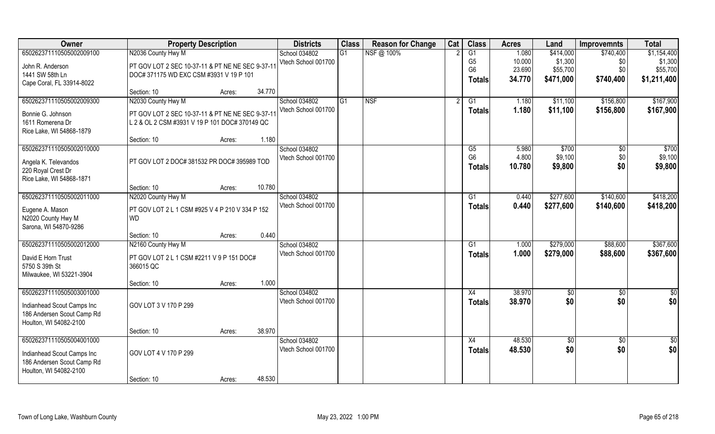| Owner                                | <b>Property Description</b>                            |        |        | <b>Districts</b>    | <b>Class</b> | <b>Reason for Change</b> | Cat | <b>Class</b>    | <b>Acres</b> | Land            | <b>Improvemnts</b> | <b>Total</b>  |
|--------------------------------------|--------------------------------------------------------|--------|--------|---------------------|--------------|--------------------------|-----|-----------------|--------------|-----------------|--------------------|---------------|
| 650262371110505002009100             | N2036 County Hwy M                                     |        |        | School 034802       | G1           | NSF@ 100%                |     | $\overline{G1}$ | 1.080        | \$414,000       | \$740,400          | \$1,154,400   |
| John R. Anderson                     | PT GOV LOT 2 SEC 10-37-11 & PT NE NE SEC 9-37-11       |        |        | Vtech School 001700 |              |                          |     | G <sub>5</sub>  | 10.000       | \$1,300         | \$0                | \$1,300       |
| 1441 SW 58th Ln                      | DOC# 371175 WD EXC CSM #3931 V 19 P 101                |        |        |                     |              |                          |     | G <sub>6</sub>  | 23.690       | \$55,700        | \$0                | \$55,700      |
| Cape Coral, FL 33914-8022            |                                                        |        |        |                     |              |                          |     | <b>Totals</b>   | 34.770       | \$471,000       | \$740,400          | \$1,211,400   |
|                                      | Section: 10                                            | Acres: | 34.770 |                     |              |                          |     |                 |              |                 |                    |               |
| 650262371110505002009300             | N2030 County Hwy M                                     |        |        | School 034802       | G1           | <b>NSF</b>               |     | G1              | 1.180        | \$11,100        | \$156,800          | \$167,900     |
| Bonnie G. Johnson                    | PT GOV LOT 2 SEC 10-37-11 & PT NE NE SEC 9-37-11       |        |        | Vtech School 001700 |              |                          |     | Totals          | 1.180        | \$11,100        | \$156,800          | \$167,900     |
| 1611 Romerena Dr                     | L 2 & OL 2 CSM #3931 V 19 P 101 DOC# 370149 QC         |        |        |                     |              |                          |     |                 |              |                 |                    |               |
| Rice Lake, WI 54868-1879             |                                                        |        |        |                     |              |                          |     |                 |              |                 |                    |               |
|                                      | Section: 10                                            | Acres: | 1.180  |                     |              |                          |     |                 |              |                 |                    |               |
| 650262371110505002010000             |                                                        |        |        | School 034802       |              |                          |     | G5              | 5.980        | \$700           | \$0                | \$700         |
| Angela K. Televandos                 | PT GOV LOT 2 DOC# 381532 PR DOC# 395989 TOD            |        |        | Vtech School 001700 |              |                          |     | G <sub>6</sub>  | 4.800        | \$9,100         | \$0                | \$9,100       |
| 220 Royal Crest Dr                   |                                                        |        |        |                     |              |                          |     | <b>Totals</b>   | 10.780       | \$9,800         | \$0                | \$9,800       |
| Rice Lake, WI 54868-1871             |                                                        |        |        |                     |              |                          |     |                 |              |                 |                    |               |
|                                      | Section: 10                                            | Acres: | 10.780 |                     |              |                          |     |                 |              |                 |                    |               |
| 650262371110505002011000             | N2020 County Hwy M                                     |        |        | School 034802       |              |                          |     | G1              | 0.440        | \$277,600       | \$140,600          | \$418,200     |
| Eugene A. Mason                      | PT GOV LOT 2 L 1 CSM #925 V 4 P 210 V 334 P 152        |        |        | Vtech School 001700 |              |                          |     | <b>Totals</b>   | 0.440        | \$277,600       | \$140,600          | \$418,200     |
| N2020 County Hwy M                   | <b>WD</b>                                              |        |        |                     |              |                          |     |                 |              |                 |                    |               |
| Sarona, WI 54870-9286                |                                                        |        |        |                     |              |                          |     |                 |              |                 |                    |               |
|                                      | Section: 10                                            | Acres: | 0.440  |                     |              |                          |     |                 |              |                 |                    |               |
| 650262371110505002012000             | N2160 County Hwy M                                     |        |        | School 034802       |              |                          |     | G1              | 1.000        | \$279,000       | \$88,600           | \$367,600     |
|                                      |                                                        |        |        | Vtech School 001700 |              |                          |     | <b>Totals</b>   | 1.000        | \$279,000       | \$88,600           | \$367,600     |
| David E Horn Trust<br>5750 S 39th St | PT GOV LOT 2 L 1 CSM #2211 V 9 P 151 DOC#<br>366015 QC |        |        |                     |              |                          |     |                 |              |                 |                    |               |
| Milwaukee, WI 53221-3904             |                                                        |        |        |                     |              |                          |     |                 |              |                 |                    |               |
|                                      | Section: 10                                            | Acres: | 1.000  |                     |              |                          |     |                 |              |                 |                    |               |
| 650262371110505003001000             |                                                        |        |        | School 034802       |              |                          |     | X4              | 38.970       | $\frac{6}{5}$   | $\overline{50}$    | $\frac{1}{2}$ |
|                                      |                                                        |        |        | Vtech School 001700 |              |                          |     | <b>Totals</b>   | 38.970       | \$0             | \$0                | \$0           |
| Indianhead Scout Camps Inc           | GOV LOT 3 V 170 P 299                                  |        |        |                     |              |                          |     |                 |              |                 |                    |               |
| 186 Andersen Scout Camp Rd           |                                                        |        |        |                     |              |                          |     |                 |              |                 |                    |               |
| Houlton, WI 54082-2100               | Section: 10                                            | Acres: | 38.970 |                     |              |                          |     |                 |              |                 |                    |               |
| 650262371110505004001000             |                                                        |        |        | School 034802       |              |                          |     | X4              | 48.530       | $\overline{50}$ | $\overline{60}$    | \$0           |
|                                      |                                                        |        |        | Vtech School 001700 |              |                          |     | <b>Totals</b>   | 48.530       | \$0             | \$0                | \$0           |
| Indianhead Scout Camps Inc           | GOV LOT 4 V 170 P 299                                  |        |        |                     |              |                          |     |                 |              |                 |                    |               |
| 186 Andersen Scout Camp Rd           |                                                        |        |        |                     |              |                          |     |                 |              |                 |                    |               |
| Houlton, WI 54082-2100               | Section: 10                                            |        | 48.530 |                     |              |                          |     |                 |              |                 |                    |               |
|                                      |                                                        | Acres: |        |                     |              |                          |     |                 |              |                 |                    |               |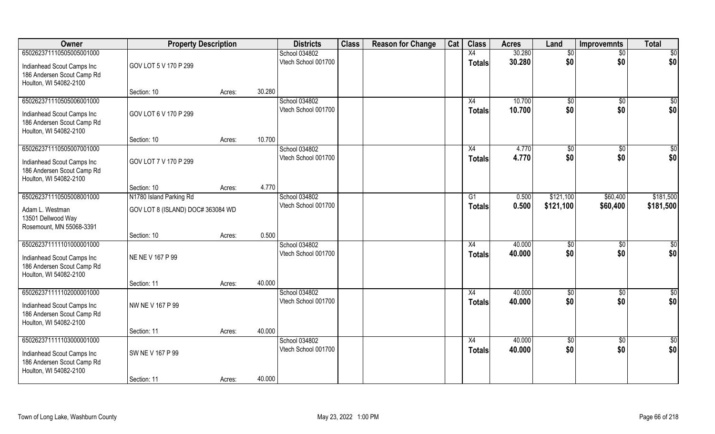| Owner                                                                                                          | <b>Property Description</b>      |        |        | <b>Districts</b>                     | <b>Class</b> | <b>Reason for Change</b> | Cat | <b>Class</b>        | <b>Acres</b>     | Land                | <b>Improvemnts</b>     | <b>Total</b>            |
|----------------------------------------------------------------------------------------------------------------|----------------------------------|--------|--------|--------------------------------------|--------------|--------------------------|-----|---------------------|------------------|---------------------|------------------------|-------------------------|
| 650262371110505005001000                                                                                       |                                  |        |        | School 034802                        |              |                          |     | X4                  | 30.280           | $\overline{50}$     | $\overline{50}$        | $\overline{50}$         |
| Indianhead Scout Camps Inc<br>186 Andersen Scout Camp Rd<br>Houlton, WI 54082-2100                             | GOV LOT 5 V 170 P 299            |        |        | Vtech School 001700                  |              |                          |     | <b>Totals</b>       | 30.280           | \$0                 | \$0                    | \$0                     |
|                                                                                                                | Section: 10                      | Acres: | 30.280 |                                      |              |                          |     |                     |                  |                     |                        |                         |
| 650262371110505006001000<br>Indianhead Scout Camps Inc<br>186 Andersen Scout Camp Rd<br>Houlton, WI 54082-2100 | GOV LOT 6 V 170 P 299            |        |        | School 034802<br>Vtech School 001700 |              |                          |     | X4<br><b>Totals</b> | 10.700<br>10.700 | $\sqrt[6]{}$<br>\$0 | $\overline{50}$<br>\$0 | $\overline{\$0}$<br>\$0 |
|                                                                                                                | Section: 10                      | Acres: | 10.700 |                                      |              |                          |     |                     |                  |                     |                        |                         |
| 650262371110505007001000<br>Indianhead Scout Camps Inc<br>186 Andersen Scout Camp Rd<br>Houlton, WI 54082-2100 | GOV LOT 7 V 170 P 299            |        |        | School 034802<br>Vtech School 001700 |              |                          |     | X4<br><b>Totals</b> | 4.770<br>4.770   | \$0<br>\$0          | \$0<br>\$0             | \$0<br>\$0              |
|                                                                                                                | Section: 10                      | Acres: | 4.770  |                                      |              |                          |     |                     |                  |                     |                        |                         |
| 650262371110505008001000                                                                                       | N1780 Island Parking Rd          |        |        | School 034802                        |              |                          |     | G1                  | 0.500            | \$121,100           | \$60,400               | \$181,500               |
| Adam L. Westman<br>13501 Dellwood Way<br>Rosemount, MN 55068-3391                                              | GOV LOT 8 (ISLAND) DOC#363084 WD |        |        | Vtech School 001700                  |              |                          |     | <b>Totals</b>       | 0.500            | \$121,100           | \$60,400               | \$181,500               |
|                                                                                                                | Section: 10                      | Acres: | 0.500  |                                      |              |                          |     |                     |                  |                     |                        |                         |
| 650262371111101000001000<br>Indianhead Scout Camps Inc<br>186 Andersen Scout Camp Rd<br>Houlton, WI 54082-2100 | NE NE V 167 P 99                 |        |        | School 034802<br>Vtech School 001700 |              |                          |     | X4<br><b>Totals</b> | 40.000<br>40.000 | $\sqrt[6]{}$<br>\$0 | $\overline{50}$<br>\$0 | \$0<br>\$0              |
|                                                                                                                | Section: 11                      | Acres: | 40.000 |                                      |              |                          |     |                     |                  |                     |                        |                         |
| 650262371111102000001000<br>Indianhead Scout Camps Inc<br>186 Andersen Scout Camp Rd<br>Houlton, WI 54082-2100 | NW NE V 167 P 99                 |        |        | School 034802<br>Vtech School 001700 |              |                          |     | X4<br><b>Totals</b> | 40.000<br>40.000 | \$0<br>\$0          | \$0<br>\$0             | \$0<br>\$0              |
|                                                                                                                | Section: 11                      | Acres: | 40.000 |                                      |              |                          |     |                     |                  |                     |                        |                         |
| 650262371111103000001000<br>Indianhead Scout Camps Inc<br>186 Andersen Scout Camp Rd<br>Houlton, WI 54082-2100 | SW NE V 167 P 99<br>Section: 11  | Acres: | 40.000 | School 034802<br>Vtech School 001700 |              |                          |     | X4<br>Totals        | 40.000<br>40.000 | \$0<br>\$0          | $\overline{50}$<br>\$0 | \$0<br>\$0              |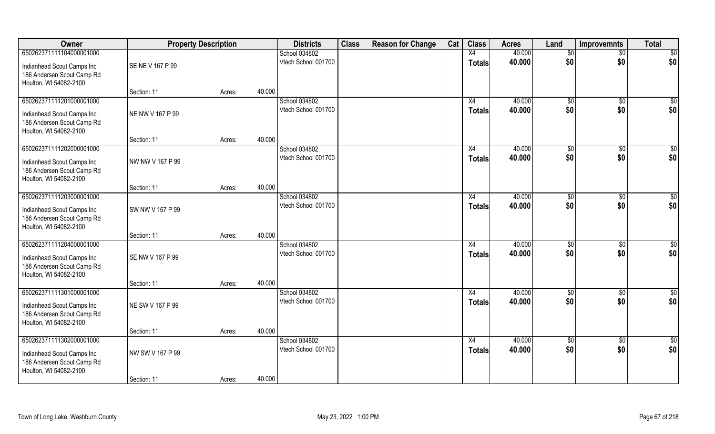| Owner                                                                                                          | <b>Property Description</b>     |        |        | <b>Districts</b>                     | <b>Class</b> | <b>Reason for Change</b> | Cat | <b>Class</b>        | <b>Acres</b>     | Land                 | <b>Improvemnts</b>     | <b>Total</b>           |
|----------------------------------------------------------------------------------------------------------------|---------------------------------|--------|--------|--------------------------------------|--------------|--------------------------|-----|---------------------|------------------|----------------------|------------------------|------------------------|
| 650262371111104000001000                                                                                       |                                 |        |        | School 034802                        |              |                          |     | X4                  | 40.000           | $\overline{50}$      | $\overline{50}$        | \$0                    |
| Indianhead Scout Camps Inc<br>186 Andersen Scout Camp Rd<br>Houlton, WI 54082-2100                             | SE NE V 167 P 99                |        |        | Vtech School 001700                  |              |                          |     | Totals              | 40.000           | \$0                  | \$0                    | \$0                    |
|                                                                                                                | Section: 11                     | Acres: | 40.000 |                                      |              |                          |     |                     |                  |                      |                        |                        |
| 650262371111201000001000<br>Indianhead Scout Camps Inc<br>186 Andersen Scout Camp Rd<br>Houlton, WI 54082-2100 | NE NW V 167 P 99                |        |        | School 034802<br>Vtech School 001700 |              |                          |     | X4<br>Totals        | 40.000<br>40.000 | $\frac{1}{6}$<br>\$0 | $\overline{50}$<br>\$0 | $\overline{50}$<br>\$0 |
|                                                                                                                | Section: 11                     | Acres: | 40.000 |                                      |              |                          |     |                     |                  |                      |                        |                        |
| 650262371111202000001000<br>Indianhead Scout Camps Inc<br>186 Andersen Scout Camp Rd<br>Houlton, WI 54082-2100 | NW NW V 167 P 99                |        |        | School 034802<br>Vtech School 001700 |              |                          |     | X4<br><b>Totals</b> | 40.000<br>40.000 | \$0<br>\$0           | \$0<br>\$0             | \$0<br>\$0             |
|                                                                                                                | Section: 11                     | Acres: | 40.000 |                                      |              |                          |     |                     |                  |                      |                        |                        |
| 650262371111203000001000<br>Indianhead Scout Camps Inc<br>186 Andersen Scout Camp Rd<br>Houlton, WI 54082-2100 | SW NW V 167 P 99                |        |        | School 034802<br>Vtech School 001700 |              |                          |     | X4<br><b>Totals</b> | 40.000<br>40.000 | \$0<br>\$0           | $\sqrt[6]{3}$<br>\$0   | \$0<br>\$0             |
|                                                                                                                | Section: 11                     | Acres: | 40.000 |                                      |              |                          |     |                     |                  |                      |                        |                        |
| 650262371111204000001000<br>Indianhead Scout Camps Inc<br>186 Andersen Scout Camp Rd<br>Houlton, WI 54082-2100 | SE NW V 167 P 99                |        |        | School 034802<br>Vtech School 001700 |              |                          |     | X4<br><b>Totals</b> | 40.000<br>40.000 | \$0<br>\$0           | $\sqrt[6]{30}$<br>\$0  | \$0<br>\$0             |
|                                                                                                                | Section: 11                     | Acres: | 40.000 |                                      |              |                          |     |                     |                  |                      |                        |                        |
| 650262371111301000001000<br>Indianhead Scout Camps Inc<br>186 Andersen Scout Camp Rd<br>Houlton, WI 54082-2100 | NE SW V 167 P 99                |        |        | School 034802<br>Vtech School 001700 |              |                          |     | X4<br>Totals        | 40.000<br>40.000 | \$0<br>\$0           | \$0<br>\$0             | $\overline{50}$<br>\$0 |
|                                                                                                                | Section: 11                     | Acres: | 40.000 |                                      |              |                          |     |                     |                  |                      |                        |                        |
| 650262371111302000001000<br>Indianhead Scout Camps Inc<br>186 Andersen Scout Camp Rd<br>Houlton, WI 54082-2100 | NW SW V 167 P 99<br>Section: 11 | Acres: | 40.000 | School 034802<br>Vtech School 001700 |              |                          |     | X4<br>Totals        | 40.000<br>40.000 | \$0<br>\$0           | $\overline{50}$<br>\$0 | \$0<br>\$0             |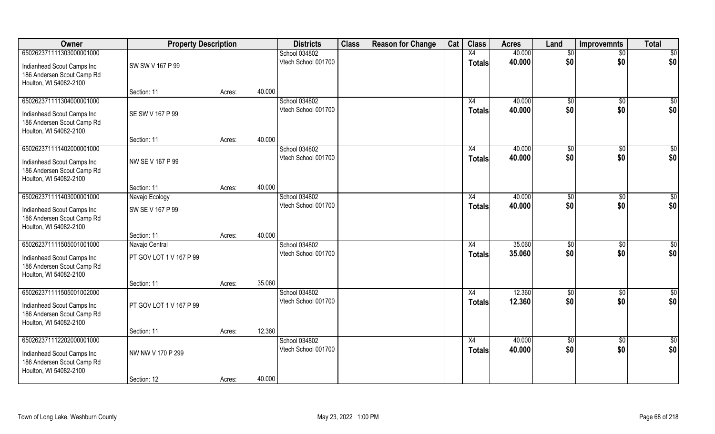| Owner                                                                                                          | <b>Property Description</b>               |        |        | <b>Districts</b>                     | <b>Class</b> | <b>Reason for Change</b> | Cat | <b>Class</b>        | <b>Acres</b>     | Land                   | <b>Improvemnts</b>   | <b>Total</b>           |
|----------------------------------------------------------------------------------------------------------------|-------------------------------------------|--------|--------|--------------------------------------|--------------|--------------------------|-----|---------------------|------------------|------------------------|----------------------|------------------------|
| 650262371111303000001000                                                                                       |                                           |        |        | School 034802                        |              |                          |     | X4                  | 40.000           | \$0                    | $\overline{50}$      | $\overline{50}$        |
| Indianhead Scout Camps Inc<br>186 Andersen Scout Camp Rd<br>Houlton, WI 54082-2100                             | SW SW V 167 P 99                          |        |        | Vtech School 001700                  |              |                          |     | Totals              | 40.000           | \$0                    | \$0                  | \$0                    |
|                                                                                                                | Section: 11                               | Acres: | 40.000 |                                      |              |                          |     |                     |                  |                        |                      |                        |
| 650262371111304000001000<br>Indianhead Scout Camps Inc<br>186 Andersen Scout Camp Rd<br>Houlton, WI 54082-2100 | SE SW V 167 P 99                          |        |        | School 034802<br>Vtech School 001700 |              |                          |     | X4<br><b>Totals</b> | 40.000<br>40.000 | $\sqrt[6]{}$<br>\$0    | $\sqrt{50}$<br>\$0   | $\sqrt{50}$<br>\$0     |
|                                                                                                                | Section: 11                               | Acres: | 40.000 |                                      |              |                          |     |                     |                  |                        |                      |                        |
| 650262371111402000001000<br>Indianhead Scout Camps Inc<br>186 Andersen Scout Camp Rd<br>Houlton, WI 54082-2100 | NW SE V 167 P 99                          |        |        | School 034802<br>Vtech School 001700 |              |                          |     | X4<br>Totals        | 40.000<br>40.000 | \$0<br>\$0             | \$0<br>\$0           | \$0<br>\$0             |
|                                                                                                                | Section: 11                               | Acres: | 40.000 |                                      |              |                          |     |                     |                  |                        |                      |                        |
| 650262371111403000001000<br>Indianhead Scout Camps Inc<br>186 Andersen Scout Camp Rd<br>Houlton, WI 54082-2100 | Navajo Ecology<br>SW SE V 167 P 99        |        |        | School 034802<br>Vtech School 001700 |              |                          |     | X4<br><b>Totals</b> | 40.000<br>40.000 | $\sqrt[6]{3}$<br>\$0   | $\sqrt[6]{3}$<br>\$0 | \$0<br>\$0             |
|                                                                                                                | Section: 11                               | Acres: | 40.000 |                                      |              |                          |     |                     |                  |                        |                      |                        |
| 650262371111505001001000<br>Indianhead Scout Camps Inc<br>186 Andersen Scout Camp Rd<br>Houlton, WI 54082-2100 | Navajo Central<br>PT GOV LOT 1 V 167 P 99 |        |        | School 034802<br>Vtech School 001700 |              |                          |     | X4<br><b>Totals</b> | 35.060<br>35.060 | \$0<br>\$0             | \$0<br>\$0           | $\overline{50}$<br>\$0 |
|                                                                                                                | Section: 11                               | Acres: | 35.060 |                                      |              |                          |     |                     |                  |                        |                      |                        |
| 650262371111505001002000<br>Indianhead Scout Camps Inc<br>186 Andersen Scout Camp Rd<br>Houlton, WI 54082-2100 | PT GOV LOT 1 V 167 P 99                   |        |        | School 034802<br>Vtech School 001700 |              |                          |     | X4<br><b>Totals</b> | 12.360<br>12.360 | \$0<br>\$0             | \$0<br>\$0           | \$0<br>\$0             |
|                                                                                                                | Section: 11                               | Acres: | 12.360 |                                      |              |                          |     |                     |                  |                        |                      |                        |
| 650262371112202000001000<br>Indianhead Scout Camps Inc<br>186 Andersen Scout Camp Rd<br>Houlton, WI 54082-2100 | NW NW V 170 P 299<br>Section: 12          | Acres: | 40.000 | School 034802<br>Vtech School 001700 |              |                          |     | X4<br><b>Totals</b> | 40.000<br>40.000 | $\overline{50}$<br>\$0 | $\sqrt{6}$<br>\$0    | $\overline{50}$<br>\$0 |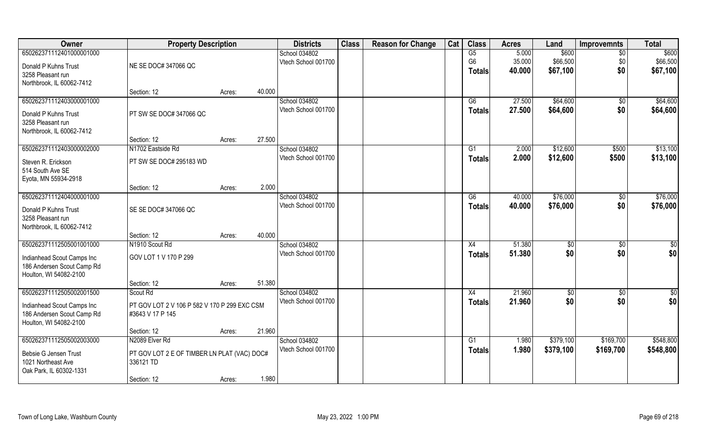| Owner                      | <b>Property Description</b>                  |        |        | <b>Districts</b>    | <b>Class</b> | <b>Reason for Change</b> | Cat | <b>Class</b>   | <b>Acres</b> | Land      | <b>Improvemnts</b> | <b>Total</b>    |
|----------------------------|----------------------------------------------|--------|--------|---------------------|--------------|--------------------------|-----|----------------|--------------|-----------|--------------------|-----------------|
| 650262371112401000001000   |                                              |        |        | School 034802       |              |                          |     | G5             | 5.000        | \$600     | $\overline{50}$    | \$600           |
| Donald P Kuhns Trust       | NE SE DOC# 347066 QC                         |        |        | Vtech School 001700 |              |                          |     | G <sub>6</sub> | 35.000       | \$66,500  | \$0                | \$66,500        |
| 3258 Pleasant run          |                                              |        |        |                     |              |                          |     | <b>Totals</b>  | 40.000       | \$67,100  | \$0                | \$67,100        |
| Northbrook, IL 60062-7412  |                                              |        |        |                     |              |                          |     |                |              |           |                    |                 |
|                            | Section: 12                                  | Acres: | 40.000 |                     |              |                          |     |                |              |           |                    |                 |
| 650262371112403000001000   |                                              |        |        | School 034802       |              |                          |     | G6             | 27.500       | \$64,600  | \$0                | \$64,600        |
| Donald P Kuhns Trust       | PT SW SE DOC# 347066 QC                      |        |        | Vtech School 001700 |              |                          |     | <b>Totals</b>  | 27.500       | \$64,600  | \$0                | \$64,600        |
| 3258 Pleasant run          |                                              |        |        |                     |              |                          |     |                |              |           |                    |                 |
| Northbrook, IL 60062-7412  |                                              |        |        |                     |              |                          |     |                |              |           |                    |                 |
|                            | Section: 12                                  | Acres: | 27.500 |                     |              |                          |     |                |              |           |                    |                 |
| 650262371112403000002000   | N1702 Eastside Rd                            |        |        | School 034802       |              |                          |     | G1             | 2.000        | \$12,600  | \$500              | \$13,100        |
| Steven R. Erickson         | PT SW SE DOC# 295183 WD                      |        |        | Vtech School 001700 |              |                          |     | <b>Totals</b>  | 2.000        | \$12,600  | \$500              | \$13,100        |
| 514 South Ave SE           |                                              |        |        |                     |              |                          |     |                |              |           |                    |                 |
| Eyota, MN 55934-2918       |                                              |        |        |                     |              |                          |     |                |              |           |                    |                 |
|                            | Section: 12                                  | Acres: | 2.000  |                     |              |                          |     |                |              |           |                    |                 |
| 650262371112404000001000   |                                              |        |        | School 034802       |              |                          |     | G6             | 40.000       | \$76,000  | \$0                | \$76,000        |
| Donald P Kuhns Trust       | SE SE DOC# 347066 QC                         |        |        | Vtech School 001700 |              |                          |     | <b>Totals</b>  | 40.000       | \$76,000  | \$0                | \$76,000        |
| 3258 Pleasant run          |                                              |        |        |                     |              |                          |     |                |              |           |                    |                 |
| Northbrook, IL 60062-7412  |                                              |        |        |                     |              |                          |     |                |              |           |                    |                 |
|                            | Section: 12                                  | Acres: | 40.000 |                     |              |                          |     |                |              |           |                    |                 |
| 650262371112505001001000   | N1910 Scout Rd                               |        |        | School 034802       |              |                          |     | X4             | 51.380       | \$0       | $\overline{50}$    | $\overline{50}$ |
| Indianhead Scout Camps Inc | GOV LOT 1 V 170 P 299                        |        |        | Vtech School 001700 |              |                          |     | <b>Totals</b>  | 51.380       | \$0       | \$0                | \$0             |
| 186 Andersen Scout Camp Rd |                                              |        |        |                     |              |                          |     |                |              |           |                    |                 |
| Houlton, WI 54082-2100     |                                              |        |        |                     |              |                          |     |                |              |           |                    |                 |
|                            | Section: 12                                  | Acres: | 51.380 |                     |              |                          |     |                |              |           |                    |                 |
| 650262371112505002001500   | Scout Rd                                     |        |        | School 034802       |              |                          |     | X4             | 21.960       | \$0       | \$0                | \$0             |
| Indianhead Scout Camps Inc | PT GOV LOT 2 V 106 P 582 V 170 P 299 EXC CSM |        |        | Vtech School 001700 |              |                          |     | <b>Totals</b>  | 21.960       | \$0       | \$0                | \$0             |
| 186 Andersen Scout Camp Rd | #3643 V 17 P 145                             |        |        |                     |              |                          |     |                |              |           |                    |                 |
| Houlton, WI 54082-2100     |                                              |        |        |                     |              |                          |     |                |              |           |                    |                 |
|                            | Section: 12                                  | Acres: | 21.960 |                     |              |                          |     |                |              |           |                    |                 |
| 650262371112505002003000   | N2089 Elver Rd                               |        |        | School 034802       |              |                          |     | G1             | 1.980        | \$379,100 | \$169,700          | \$548,800       |
| Bebsie G Jensen Trust      | PT GOV LOT 2 E OF TIMBER LN PLAT (VAC) DOC#  |        |        | Vtech School 001700 |              |                          |     | <b>Totals</b>  | 1.980        | \$379,100 | \$169,700          | \$548,800       |
| 1021 Northeast Ave         | 336121 TD                                    |        |        |                     |              |                          |     |                |              |           |                    |                 |
| Oak Park, IL 60302-1331    |                                              |        |        |                     |              |                          |     |                |              |           |                    |                 |
|                            | Section: 12                                  | Acres: | 1.980  |                     |              |                          |     |                |              |           |                    |                 |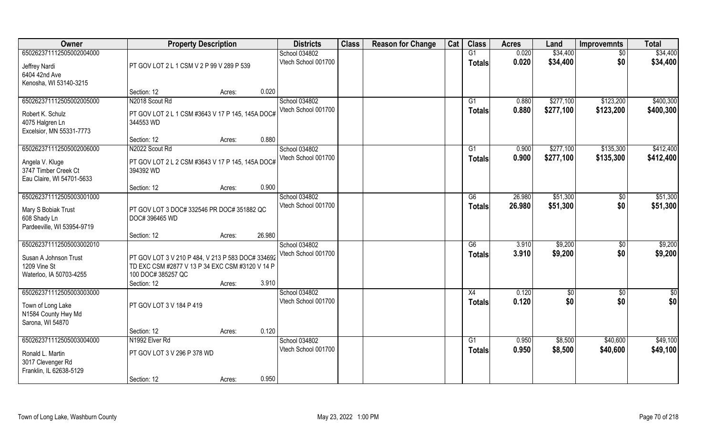| Owner                                                                | <b>Property Description</b>                                                                          | <b>Districts</b> | <b>Class</b>                         | <b>Reason for Change</b> | Cat | <b>Class</b> | <b>Acres</b>                     | Land           | <b>Improvemnts</b>   | <b>Total</b>      |                      |
|----------------------------------------------------------------------|------------------------------------------------------------------------------------------------------|------------------|--------------------------------------|--------------------------|-----|--------------|----------------------------------|----------------|----------------------|-------------------|----------------------|
| 650262371112505002004000                                             | PT GOV LOT 2 L 1 CSM V 2 P 99 V 289 P 539                                                            |                  | School 034802<br>Vtech School 001700 |                          |     |              | G1<br><b>Totals</b>              | 0.020<br>0.020 | \$34,400<br>\$34,400 | $\sqrt{6}$<br>\$0 | \$34,400<br>\$34,400 |
| Jeffrey Nardi<br>6404 42nd Ave<br>Kenosha, WI 53140-3215             |                                                                                                      |                  |                                      |                          |     |              |                                  |                |                      |                   |                      |
|                                                                      | Section: 12                                                                                          | 0.020<br>Acres:  |                                      |                          |     |              |                                  |                |                      |                   |                      |
| 650262371112505002005000                                             | N2018 Scout Rd                                                                                       |                  | School 034802                        |                          |     |              | G1                               | 0.880          | \$277,100            | \$123,200         | \$400,300            |
| Robert K. Schulz<br>4075 Halgren Ln<br>Excelsior, MN 55331-7773      | PT GOV LOT 2 L 1 CSM #3643 V 17 P 145, 145A DOC#<br>344553 WD                                        |                  | Vtech School 001700                  |                          |     |              | <b>Totals</b>                    | 0.880          | \$277,100            | \$123,200         | \$400,300            |
|                                                                      | Section: 12                                                                                          | 0.880<br>Acres:  |                                      |                          |     |              |                                  |                |                      |                   |                      |
| 650262371112505002006000                                             | N2022 Scout Rd                                                                                       |                  | School 034802                        |                          |     |              | G1                               | 0.900          | \$277,100            | \$135,300         | \$412,400            |
| Angela V. Kluge<br>3747 Timber Creek Ct<br>Eau Claire, WI 54701-5633 | PT GOV LOT 2 L 2 CSM #3643 V 17 P 145, 145A DOC#<br>394392 WD                                        |                  | Vtech School 001700                  |                          |     |              | <b>Totals</b>                    | 0.900          | \$277,100            | \$135,300         | \$412,400            |
|                                                                      | Section: 12                                                                                          | 0.900<br>Acres:  |                                      |                          |     |              |                                  |                |                      |                   |                      |
| 650262371112505003001000                                             |                                                                                                      |                  | School 034802                        |                          |     |              | G6                               | 26.980         | \$51,300             | $\sqrt[6]{3}$     | \$51,300             |
| Mary S Bobiak Trust<br>608 Shady Ln<br>Pardeeville, WI 53954-9719    | PT GOV LOT 3 DOC# 332546 PR DOC# 351882 QC<br>DOC# 396465 WD                                         |                  | Vtech School 001700                  |                          |     |              | <b>Totals</b>                    | 26.980         | \$51,300             | \$0               | \$51,300             |
|                                                                      | Section: 12                                                                                          | 26.980<br>Acres: |                                      |                          |     |              |                                  |                |                      |                   |                      |
| 650262371112505003002010<br>Susan A Johnson Trust<br>1209 Vine St    | PT GOV LOT 3 V 210 P 484, V 213 P 583 DOC# 334692<br>TD EXC CSM #2877 V 13 P 34 EXC CSM #3120 V 14 P |                  | School 034802<br>Vtech School 001700 |                          |     |              | $\overline{G6}$<br><b>Totals</b> | 3.910<br>3.910 | \$9,200<br>\$9,200   | \$0<br>\$0        | \$9,200<br>\$9,200   |
| Waterloo, IA 50703-4255                                              | 100 DOC# 385257 QC<br>Section: 12                                                                    | 3.910<br>Acres:  |                                      |                          |     |              |                                  |                |                      |                   |                      |
| 650262371112505003003000                                             |                                                                                                      |                  | School 034802                        |                          |     |              | X4                               | 0.120          | \$0                  | $\sqrt{$0}$       | \$0                  |
| Town of Long Lake<br>N1584 County Hwy Md<br>Sarona, WI 54870         | PT GOV LOT 3 V 184 P 419                                                                             |                  | Vtech School 001700                  |                          |     |              | <b>Totals</b>                    | 0.120          | \$0                  | \$0               | \$0                  |
|                                                                      | Section: 12                                                                                          | 0.120<br>Acres:  |                                      |                          |     |              |                                  |                |                      |                   |                      |
| 650262371112505003004000                                             | N1992 Elver Rd                                                                                       |                  | School 034802                        |                          |     |              | $\overline{G1}$                  | 0.950          | \$8,500              | \$40,600          | \$49,100             |
| Ronald L. Martin<br>3017 Clevenger Rd<br>Franklin, IL 62638-5129     | PT GOV LOT 3 V 296 P 378 WD                                                                          |                  | Vtech School 001700                  |                          |     |              | Totals                           | 0.950          | \$8,500              | \$40,600          | \$49,100             |
|                                                                      | Section: 12                                                                                          | 0.950<br>Acres:  |                                      |                          |     |              |                                  |                |                      |                   |                      |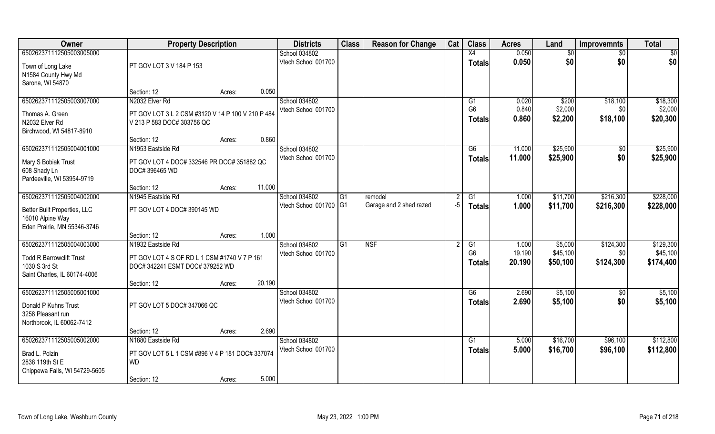| Owner                           | <b>Property Description</b>                       |                  | <b>Districts</b>                     | <b>Class</b> | <b>Reason for Change</b> | Cat | <b>Class</b>         | <b>Acres</b>    | Land                | <b>Improvemnts</b> | <b>Total</b>          |
|---------------------------------|---------------------------------------------------|------------------|--------------------------------------|--------------|--------------------------|-----|----------------------|-----------------|---------------------|--------------------|-----------------------|
| 650262371112505003005000        |                                                   |                  | School 034802                        |              |                          |     | X4                   | 0.050           | \$0                 | \$0                | \$0                   |
| Town of Long Lake               | PT GOV LOT 3 V 184 P 153                          |                  | Vtech School 001700                  |              |                          |     | <b>Totals</b>        | 0.050           | \$0                 | \$0                | \$0                   |
| N1584 County Hwy Md             |                                                   |                  |                                      |              |                          |     |                      |                 |                     |                    |                       |
| Sarona, WI 54870                |                                                   |                  |                                      |              |                          |     |                      |                 |                     |                    |                       |
|                                 | Section: 12                                       | 0.050<br>Acres:  |                                      |              |                          |     |                      |                 |                     |                    |                       |
| 650262371112505003007000        | N2032 Elver Rd                                    |                  | School 034802                        |              |                          |     | G1                   | 0.020           | \$200               | \$18,100           | \$18,300              |
| Thomas A. Green                 | PT GOV LOT 3 L 2 CSM #3120 V 14 P 100 V 210 P 484 |                  | Vtech School 001700                  |              |                          |     | G <sub>6</sub>       | 0.840           | \$2,000             | \$0                | \$2,000               |
| N2032 Elver Rd                  | V 213 P 583 DOC# 303756 QC                        |                  |                                      |              |                          |     | <b>Totals</b>        | 0.860           | \$2,200             | \$18,100           | \$20,300              |
| Birchwood, WI 54817-8910        |                                                   |                  |                                      |              |                          |     |                      |                 |                     |                    |                       |
|                                 | Section: 12                                       | 0.860<br>Acres:  |                                      |              |                          |     |                      |                 |                     |                    |                       |
| 650262371112505004001000        | N1953 Eastside Rd                                 |                  | School 034802                        |              |                          |     | G6                   | 11.000          | \$25,900            | \$0                | \$25,900              |
| Mary S Bobiak Trust             | PT GOV LOT 4 DOC# 332546 PR DOC# 351882 QC        |                  | Vtech School 001700                  |              |                          |     | <b>Totals</b>        | 11.000          | \$25,900            | \$0                | \$25,900              |
| 608 Shady Ln                    | DOC# 396465 WD                                    |                  |                                      |              |                          |     |                      |                 |                     |                    |                       |
| Pardeeville, WI 53954-9719      |                                                   |                  |                                      |              |                          |     |                      |                 |                     |                    |                       |
|                                 | Section: 12                                       | 11.000<br>Acres: |                                      |              |                          |     |                      |                 |                     |                    |                       |
| 650262371112505004002000        | N1945 Eastside Rd                                 |                  | School 034802                        | G1           | remodel                  |     | G1                   | 1.000           | \$11,700            | \$216,300          | \$228,000             |
| Better Built Properties, LLC    | PT GOV LOT 4 DOC# 390145 WD                       |                  | Vtech School 001700 G1               |              | Garage and 2 shed razed  | -5  | <b>Totals</b>        | 1.000           | \$11,700            | \$216,300          | \$228,000             |
| 16010 Alpine Way                |                                                   |                  |                                      |              |                          |     |                      |                 |                     |                    |                       |
| Eden Prairie, MN 55346-3746     |                                                   |                  |                                      |              |                          |     |                      |                 |                     |                    |                       |
|                                 | Section: 12                                       | 1.000<br>Acres:  |                                      |              |                          |     |                      |                 |                     |                    |                       |
| 650262371112505004003000        | N1932 Eastside Rd                                 |                  | School 034802                        | G1           | <b>NSF</b>               |     | G1<br>G <sub>6</sub> | 1.000<br>19.190 | \$5,000<br>\$45,100 | \$124,300          | \$129,300<br>\$45,100 |
| <b>Todd R Barrowclift Trust</b> | PT GOV LOT 4 S OF RD L 1 CSM #1740 V 7 P 161      |                  | Vtech School 001700                  |              |                          |     |                      | 20.190          | \$50,100            | \$0<br>\$124,300   | \$174,400             |
| 1030 S 3rd St                   | DOC# 342241 ESMT DOC# 379252 WD                   |                  |                                      |              |                          |     | <b>Totals</b>        |                 |                     |                    |                       |
| Saint Charles, IL 60174-4006    |                                                   |                  |                                      |              |                          |     |                      |                 |                     |                    |                       |
|                                 | Section: 12                                       | 20.190<br>Acres: |                                      |              |                          |     |                      |                 |                     |                    |                       |
| 650262371112505005001000        |                                                   |                  | School 034802                        |              |                          |     | G6                   | 2.690           | \$5,100             | $\sqrt{6}$         | \$5,100               |
| Donald P Kuhns Trust            | PT GOV LOT 5 DOC# 347066 QC                       |                  | Vtech School 001700                  |              |                          |     | <b>Totals</b>        | 2.690           | \$5,100             | \$0                | \$5,100               |
| 3258 Pleasant run               |                                                   |                  |                                      |              |                          |     |                      |                 |                     |                    |                       |
| Northbrook, IL 60062-7412       |                                                   |                  |                                      |              |                          |     |                      |                 |                     |                    |                       |
|                                 | Section: 12                                       | 2.690<br>Acres:  |                                      |              |                          |     |                      |                 |                     |                    |                       |
| 650262371112505005002000        | N1880 Eastside Rd                                 |                  | School 034802<br>Vtech School 001700 |              |                          |     | G1                   | 5.000           | \$16,700            | \$96,100           | \$112,800             |
| Brad L. Polzin                  | PT GOV LOT 5 L 1 CSM #896 V 4 P 181 DOC# 337074   |                  |                                      |              |                          |     | <b>Totals</b>        | 5.000           | \$16,700            | \$96,100           | \$112,800             |
| 2838 119th St E                 | <b>WD</b>                                         |                  |                                      |              |                          |     |                      |                 |                     |                    |                       |
| Chippewa Falls, WI 54729-5605   |                                                   |                  |                                      |              |                          |     |                      |                 |                     |                    |                       |
|                                 | Section: 12                                       | 5.000<br>Acres:  |                                      |              |                          |     |                      |                 |                     |                    |                       |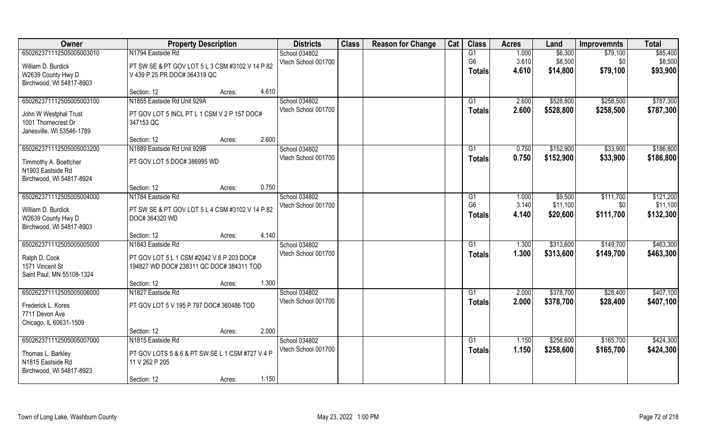| Owner                     | <b>Property Description</b>                     |       | <b>Districts</b>    | <b>Class</b> | <b>Reason for Change</b> | Cat | <b>Class</b>   | <b>Acres</b> | Land      | <b>Improvemnts</b> | <b>Total</b> |
|---------------------------|-------------------------------------------------|-------|---------------------|--------------|--------------------------|-----|----------------|--------------|-----------|--------------------|--------------|
| 650262371112505005003010  | N1794 Eastside Rd                               |       | School 034802       |              |                          |     | G1             | 1.000        | \$6,300   | \$79,100           | \$85,400     |
| William D. Burdick        | PT SW SE & PT GOV LOT 5 L 3 CSM #3102 V 14 P 82 |       | Vtech School 001700 |              |                          |     | G <sub>6</sub> | 3.610        | \$8,500   | \$0                | \$8,500      |
| W2639 County Hwy D        | V 439 P 25 PR DOC# 364319 QC                    |       |                     |              |                          |     | <b>Totals</b>  | 4.610        | \$14,800  | \$79,100           | \$93,900     |
| Birchwood, WI 54817-8903  |                                                 |       |                     |              |                          |     |                |              |           |                    |              |
|                           | Section: 12<br>Acres:                           | 4.610 |                     |              |                          |     |                |              |           |                    |              |
| 650262371112505005003100  | N1855 Eastside Rd Unit 929A                     |       | School 034802       |              |                          |     | G1             | 2.600        | \$528,800 | \$258,500          | \$787,300    |
| John W Westphal Trust     | PT GOV LOT 5 INCL PT L 1 CSM V 2 P 157 DOC#     |       | Vtech School 001700 |              |                          |     | Totals         | 2.600        | \$528,800 | \$258,500          | \$787,300    |
| 1001 Thornecrest Dr       | 347153 QC                                       |       |                     |              |                          |     |                |              |           |                    |              |
| Janesville, WI 53546-1789 |                                                 |       |                     |              |                          |     |                |              |           |                    |              |
|                           | Section: 12<br>Acres:                           | 2.600 |                     |              |                          |     |                |              |           |                    |              |
| 650262371112505005003200  | N1889 Eastside Rd Unit 929B                     |       | School 034802       |              |                          |     | G1             | 0.750        | \$152,900 | \$33,900           | \$186,800    |
| Timmothy A. Boettcher     | PT GOV LOT 5 DOC# 386995 WD                     |       | Vtech School 001700 |              |                          |     | <b>Totals</b>  | 0.750        | \$152,900 | \$33,900           | \$186,800    |
| N1903 Eastside Rd         |                                                 |       |                     |              |                          |     |                |              |           |                    |              |
| Birchwood, WI 54817-8924  |                                                 |       |                     |              |                          |     |                |              |           |                    |              |
|                           | Section: 12<br>Acres:                           | 0.750 |                     |              |                          |     |                |              |           |                    |              |
| 650262371112505005004000  | N1784 Eastside Rd                               |       | School 034802       |              |                          |     | G1             | 1.000        | \$9,500   | \$111,700          | \$121,200    |
| William D. Burdick        | PT SW SE & PT GOV LOT 5 L 4 CSM #3102 V 14 P 82 |       | Vtech School 001700 |              |                          |     | G <sub>6</sub> | 3.140        | \$11,100  | \$0                | \$11,100     |
| W2639 County Hwy D        | DOC# 364320 WD                                  |       |                     |              |                          |     | <b>Totals</b>  | 4.140        | \$20,600  | \$111,700          | \$132,300    |
| Birchwood, WI 54817-8903  |                                                 |       |                     |              |                          |     |                |              |           |                    |              |
|                           | Section: 12<br>Acres:                           | 4.140 |                     |              |                          |     |                |              |           |                    |              |
| 650262371112505005005000  | N1843 Eastside Rd                               |       | School 034802       |              |                          |     | G1             | 1.300        | \$313,600 | \$149,700          | \$463,300    |
| Ralph D. Cook             | PT GOV LOT 5 L 1 CSM #2042 V 8 P 203 DOC#       |       | Vtech School 001700 |              |                          |     | <b>Totals</b>  | 1.300        | \$313,600 | \$149,700          | \$463,300    |
| 1571 Vincent St           | 194827 WD DOC# 238311 QC DOC# 384311 TOD        |       |                     |              |                          |     |                |              |           |                    |              |
| Saint Paul, MN 55108-1324 |                                                 |       |                     |              |                          |     |                |              |           |                    |              |
|                           | Section: 12<br>Acres:                           | 1.300 |                     |              |                          |     |                |              |           |                    |              |
| 650262371112505005006000  | N1827 Eastside Rd                               |       | School 034802       |              |                          |     | G1             | 2.000        | \$378,700 | \$28,400           | \$407,100    |
| Frederick L. Kores        | PT GOV LOT 5 V 195 P 797 DOC# 360486 TOD        |       | Vtech School 001700 |              |                          |     | <b>Totals</b>  | 2.000        | \$378,700 | \$28,400           | \$407,100    |
| 7711 Devon Ave            |                                                 |       |                     |              |                          |     |                |              |           |                    |              |
| Chicago, IL 60631-1509    |                                                 |       |                     |              |                          |     |                |              |           |                    |              |
|                           | Section: 12<br>Acres:                           | 2.000 |                     |              |                          |     |                |              |           |                    |              |
| 650262371112505005007000  | N1815 Eastside Rd                               |       | School 034802       |              |                          |     | G1             | 1.150        | \$258,600 | \$165,700          | \$424,300    |
| Thomas L. Barkley         | PT GOV LOTS 5 & 6 & PT SW SE L 1 CSM #727 V 4 P |       | Vtech School 001700 |              |                          |     | Totals         | 1.150        | \$258,600 | \$165,700          | \$424,300    |
| N1815 Eastside Rd         | 11 V 262 P 205                                  |       |                     |              |                          |     |                |              |           |                    |              |
| Birchwood, WI 54817-8923  |                                                 |       |                     |              |                          |     |                |              |           |                    |              |
|                           | Section: 12<br>Acres:                           | 1.150 |                     |              |                          |     |                |              |           |                    |              |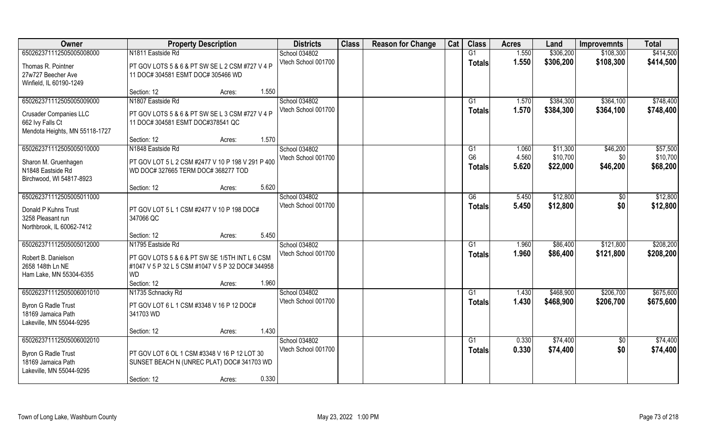| Owner                          | <b>Property Description</b>                       |       | <b>Districts</b>    | <b>Class</b> | <b>Reason for Change</b> | Cat | <b>Class</b>   | <b>Acres</b> | Land      | <b>Improvemnts</b> | <b>Total</b> |
|--------------------------------|---------------------------------------------------|-------|---------------------|--------------|--------------------------|-----|----------------|--------------|-----------|--------------------|--------------|
| 650262371112505005008000       | N1811 Eastside Rd                                 |       | School 034802       |              |                          |     | G1             | 1.550        | \$306,200 | \$108,300          | \$414,500    |
| Thomas R. Pointner             | PT GOV LOTS 5 & 6 & PT SW SE L 2 CSM #727 V 4 P   |       | Vtech School 001700 |              |                          |     | <b>Totals</b>  | 1.550        | \$306,200 | \$108,300          | \$414,500    |
| 27w727 Beecher Ave             | 11 DOC# 304581 ESMT DOC# 305466 WD                |       |                     |              |                          |     |                |              |           |                    |              |
| Winfield, IL 60190-1249        |                                                   |       |                     |              |                          |     |                |              |           |                    |              |
|                                | Section: 12<br>Acres:                             | 1.550 |                     |              |                          |     |                |              |           |                    |              |
| 650262371112505005009000       | N1807 Eastside Rd                                 |       | School 034802       |              |                          |     | G1             | 1.570        | \$384,300 | \$364,100          | \$748,400    |
| <b>Crusader Companies LLC</b>  | PT GOV LOTS 5 & 6 & PT SW SE L 3 CSM #727 V 4 P   |       | Vtech School 001700 |              |                          |     | <b>Totals</b>  | 1.570        | \$384,300 | \$364,100          | \$748,400    |
| 662 Ivy Falls Ct               | 11 DOC# 304581 ESMT DOC#378541 QC                 |       |                     |              |                          |     |                |              |           |                    |              |
| Mendota Heights, MN 55118-1727 |                                                   |       |                     |              |                          |     |                |              |           |                    |              |
|                                | Section: 12<br>Acres:                             | 1.570 |                     |              |                          |     |                |              |           |                    |              |
| 650262371112505005010000       | N1848 Eastside Rd                                 |       | School 034802       |              |                          |     | G1             | 1.060        | \$11,300  | \$46,200           | \$57,500     |
| Sharon M. Gruenhagen           | PT GOV LOT 5 L 2 CSM #2477 V 10 P 198 V 291 P 400 |       | Vtech School 001700 |              |                          |     | G <sub>6</sub> | 4.560        | \$10,700  | \$0                | \$10,700     |
| N1848 Eastside Rd              | WD DOC# 327665 TERM DOC# 368277 TOD               |       |                     |              |                          |     | <b>Totals</b>  | 5.620        | \$22,000  | \$46,200           | \$68,200     |
| Birchwood, WI 54817-8923       |                                                   |       |                     |              |                          |     |                |              |           |                    |              |
|                                | Section: 12<br>Acres:                             | 5.620 |                     |              |                          |     |                |              |           |                    |              |
| 650262371112505005011000       |                                                   |       | School 034802       |              |                          |     | G6             | 5.450        | \$12,800  | \$0                | \$12,800     |
| Donald P Kuhns Trust           | PT GOV LOT 5 L 1 CSM #2477 V 10 P 198 DOC#        |       | Vtech School 001700 |              |                          |     | <b>Totals</b>  | 5.450        | \$12,800  | \$0                | \$12,800     |
| 3258 Pleasant run              | 347066 QC                                         |       |                     |              |                          |     |                |              |           |                    |              |
| Northbrook, IL 60062-7412      |                                                   |       |                     |              |                          |     |                |              |           |                    |              |
|                                | Section: 12<br>Acres:                             | 5.450 |                     |              |                          |     |                |              |           |                    |              |
| 650262371112505005012000       | N1795 Eastside Rd                                 |       | School 034802       |              |                          |     | G1             | 1.960        | \$86,400  | \$121,800          | \$208,200    |
| Robert B. Danielson            | PT GOV LOTS 5 & 6 & PT SW SE 1/5TH INT L 6 CSM    |       | Vtech School 001700 |              |                          |     | <b>Totals</b>  | 1.960        | \$86,400  | \$121,800          | \$208,200    |
| 2658 148th Ln NE               | #1047 V 5 P 32 L 5 CSM #1047 V 5 P 32 DOC# 344958 |       |                     |              |                          |     |                |              |           |                    |              |
| Ham Lake, MN 55304-6355        | <b>WD</b>                                         |       |                     |              |                          |     |                |              |           |                    |              |
|                                | Section: 12<br>Acres:                             | 1.960 |                     |              |                          |     |                |              |           |                    |              |
| 650262371112505006001010       | N1735 Schnacky Rd                                 |       | School 034802       |              |                          |     | G1             | 1.430        | \$468,900 | \$206,700          | \$675,600    |
| <b>Byron G Radle Trust</b>     | PT GOV LOT 6 L 1 CSM #3348 V 16 P 12 DOC#         |       | Vtech School 001700 |              |                          |     | <b>Totals</b>  | 1.430        | \$468,900 | \$206,700          | \$675,600    |
| 18169 Jamaica Path             | 341703 WD                                         |       |                     |              |                          |     |                |              |           |                    |              |
| Lakeville, MN 55044-9295       |                                                   |       |                     |              |                          |     |                |              |           |                    |              |
|                                | Section: 12<br>Acres:                             | 1.430 |                     |              |                          |     |                |              |           |                    |              |
| 650262371112505006002010       |                                                   |       | School 034802       |              |                          |     | G1             | 0.330        | \$74,400  | $\overline{50}$    | \$74,400     |
| <b>Byron G Radle Trust</b>     | PT GOV LOT 6 OL 1 CSM #3348 V 16 P 12 LOT 30      |       | Vtech School 001700 |              |                          |     | <b>Totals</b>  | 0.330        | \$74,400  | \$0                | \$74,400     |
| 18169 Jamaica Path             | SUNSET BEACH N (UNREC PLAT) DOC# 341703 WD        |       |                     |              |                          |     |                |              |           |                    |              |
| Lakeville, MN 55044-9295       |                                                   |       |                     |              |                          |     |                |              |           |                    |              |
|                                | Section: 12<br>Acres:                             | 0.330 |                     |              |                          |     |                |              |           |                    |              |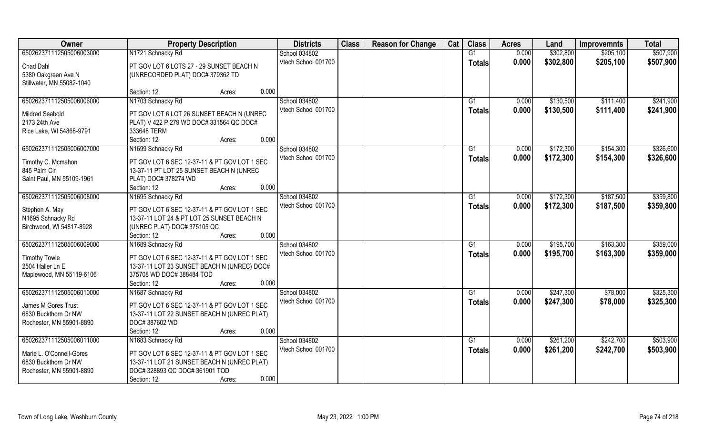| Owner                     | <b>Property Description</b>                  | <b>Districts</b>    | <b>Class</b> | <b>Reason for Change</b> | Cat | <b>Class</b>  | <b>Acres</b> | Land      | <b>Improvemnts</b> | <b>Total</b> |
|---------------------------|----------------------------------------------|---------------------|--------------|--------------------------|-----|---------------|--------------|-----------|--------------------|--------------|
| 650262371112505006003000  | N1721 Schnacky Rd                            | School 034802       |              |                          |     | G1            | 0.000        | \$302,800 | \$205,100          | \$507,900    |
| Chad Dahl                 | PT GOV LOT 6 LOTS 27 - 29 SUNSET BEACH N     | Vtech School 001700 |              |                          |     | Totals        | 0.000        | \$302,800 | \$205,100          | \$507,900    |
| 5380 Oakgreen Ave N       | (UNRECORDED PLAT) DOC# 379362 TD             |                     |              |                          |     |               |              |           |                    |              |
| Stillwater, MN 55082-1040 |                                              |                     |              |                          |     |               |              |           |                    |              |
|                           | 0.000<br>Section: 12<br>Acres:               |                     |              |                          |     |               |              |           |                    |              |
| 650262371112505006006000  | N1703 Schnacky Rd                            | School 034802       |              |                          |     | G1            | 0.000        | \$130,500 | \$111,400          | \$241,900    |
| <b>Mildred Seabold</b>    | PT GOV LOT 6 LOT 26 SUNSET BEACH N (UNREC    | Vtech School 001700 |              |                          |     | Totals        | 0.000        | \$130,500 | \$111,400          | \$241,900    |
| 2173 24th Ave             | PLAT) V 422 P 279 WD DOC# 331564 QC DOC#     |                     |              |                          |     |               |              |           |                    |              |
| Rice Lake, WI 54868-9791  | 333648 TERM                                  |                     |              |                          |     |               |              |           |                    |              |
|                           | 0.000<br>Section: 12<br>Acres:               |                     |              |                          |     |               |              |           |                    |              |
| 650262371112505006007000  | N1699 Schnacky Rd                            | School 034802       |              |                          |     | G1            | 0.000        | \$172,300 | \$154,300          | \$326,600    |
|                           |                                              | Vtech School 001700 |              |                          |     | <b>Totals</b> | 0.000        | \$172,300 | \$154,300          | \$326,600    |
| Timothy C. Mcmahon        | PT GOV LOT 6 SEC 12-37-11 & PT GOV LOT 1 SEC |                     |              |                          |     |               |              |           |                    |              |
| 845 Palm Cir              | 13-37-11 PT LOT 25 SUNSET BEACH N (UNREC     |                     |              |                          |     |               |              |           |                    |              |
| Saint Paul, MN 55109-1961 | PLAT) DOC# 378274 WD                         |                     |              |                          |     |               |              |           |                    |              |
|                           | 0.000<br>Section: 12<br>Acres:               |                     |              |                          |     |               |              |           |                    |              |
| 650262371112505006008000  | N1695 Schnacky Rd                            | School 034802       |              |                          |     | G1            | 0.000        | \$172,300 | \$187,500          | \$359,800    |
| Stephen A. May            | PT GOV LOT 6 SEC 12-37-11 & PT GOV LOT 1 SEC | Vtech School 001700 |              |                          |     | <b>Totals</b> | 0.000        | \$172,300 | \$187,500          | \$359,800    |
| N1695 Schnacky Rd         | 13-37-11 LOT 24 & PT LOT 25 SUNSET BEACH N   |                     |              |                          |     |               |              |           |                    |              |
| Birchwood, WI 54817-8928  | (UNREC PLAT) DOC# 375105 QC                  |                     |              |                          |     |               |              |           |                    |              |
|                           | 0.000<br>Section: 12<br>Acres:               |                     |              |                          |     |               |              |           |                    |              |
| 650262371112505006009000  | N1689 Schnacky Rd                            | School 034802       |              |                          |     | G1            | 0.000        | \$195,700 | \$163,300          | \$359,000    |
|                           |                                              | Vtech School 001700 |              |                          |     | <b>Totals</b> | 0.000        | \$195,700 | \$163,300          | \$359,000    |
| <b>Timothy Towle</b>      | PT GOV LOT 6 SEC 12-37-11 & PT GOV LOT 1 SEC |                     |              |                          |     |               |              |           |                    |              |
| 2504 Haller Ln E          | 13-37-11 LOT 23 SUNSET BEACH N (UNREC) DOC#  |                     |              |                          |     |               |              |           |                    |              |
| Maplewood, MN 55119-6106  | 375708 WD DOC# 388484 TOD                    |                     |              |                          |     |               |              |           |                    |              |
|                           | 0.000<br>Section: 12<br>Acres:               |                     |              |                          |     |               |              |           |                    |              |
| 650262371112505006010000  | N1687 Schnacky Rd                            | School 034802       |              |                          |     | G1            | 0.000        | \$247,300 | \$78,000           | \$325,300    |
| James M Gores Trust       | PT GOV LOT 6 SEC 12-37-11 & PT GOV LOT 1 SEC | Vtech School 001700 |              |                          |     | <b>Totals</b> | 0.000        | \$247,300 | \$78,000           | \$325,300    |
| 6830 Buckthorn Dr NW      | 13-37-11 LOT 22 SUNSET BEACH N (UNREC PLAT)  |                     |              |                          |     |               |              |           |                    |              |
| Rochester, MN 55901-8890  | DOC# 387602 WD                               |                     |              |                          |     |               |              |           |                    |              |
|                           | 0.000<br>Section: 12<br>Acres:               |                     |              |                          |     |               |              |           |                    |              |
| 650262371112505006011000  | N1683 Schnacky Rd                            | School 034802       |              |                          |     | G1            | 0.000        | \$261,200 | \$242,700          | \$503,900    |
| Marie L. O'Connell-Gores  | PT GOV LOT 6 SEC 12-37-11 & PT GOV LOT 1 SEC | Vtech School 001700 |              |                          |     | Totals        | 0.000        | \$261,200 | \$242,700          | \$503,900    |
| 6830 Buckthorn Dr NW      | 13-37-11 LOT 21 SUNSET BEACH N (UNREC PLAT)  |                     |              |                          |     |               |              |           |                    |              |
| Rochester, MN 55901-8890  | DOC# 328893 QC DOC# 361901 TOD               |                     |              |                          |     |               |              |           |                    |              |
|                           | 0.000<br>Section: 12                         |                     |              |                          |     |               |              |           |                    |              |
|                           | Acres:                                       |                     |              |                          |     |               |              |           |                    |              |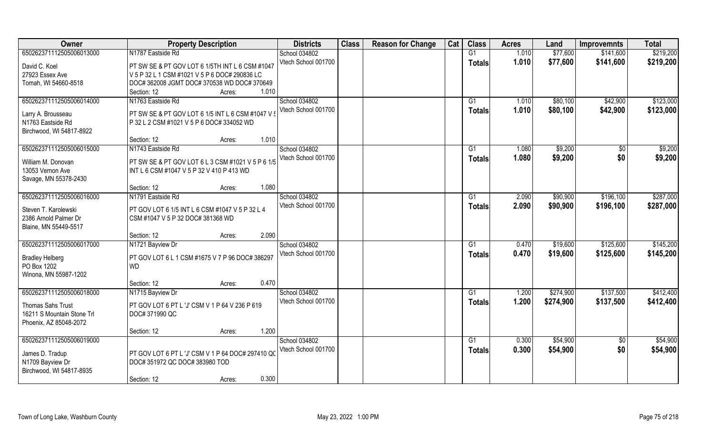| Owner                                         | <b>Property Description</b>                       | <b>Districts</b>    | <b>Class</b> | <b>Reason for Change</b> | Cat | <b>Class</b>   | <b>Acres</b> | Land      | <b>Improvemnts</b> | <b>Total</b> |
|-----------------------------------------------|---------------------------------------------------|---------------------|--------------|--------------------------|-----|----------------|--------------|-----------|--------------------|--------------|
| 650262371112505006013000                      | N1787 Eastside Rd                                 | School 034802       |              |                          |     | G1             | 1.010        | \$77,600  | \$141,600          | \$219,200    |
| David C. Koel                                 | PT SW SE & PT GOV LOT 6 1/5TH INT L 6 CSM #1047   | Vtech School 001700 |              |                          |     | <b>Totals</b>  | 1.010        | \$77,600  | \$141,600          | \$219,200    |
| 27923 Essex Ave                               | V 5 P 32 L 1 CSM #1021 V 5 P 6 DOC# 290836 LC     |                     |              |                          |     |                |              |           |                    |              |
| Tomah, WI 54660-8518                          | DOC# 362008 JGMT DOC# 370538 WD DOC# 370649       |                     |              |                          |     |                |              |           |                    |              |
|                                               | Section: 12<br>1.010<br>Acres:                    |                     |              |                          |     |                |              |           |                    |              |
| 650262371112505006014000                      | N1763 Eastside Rd                                 | School 034802       |              |                          |     | G <sub>1</sub> | 1.010        | \$80,100  | \$42,900           | \$123,000    |
|                                               |                                                   | Vtech School 001700 |              |                          |     | <b>Totals</b>  | 1.010        | \$80,100  | \$42,900           | \$123,000    |
| Larry A. Brousseau                            | PT SW SE & PT GOV LOT 6 1/5 INT L 6 CSM #1047 V ! |                     |              |                          |     |                |              |           |                    |              |
| N1763 Eastside Rd                             | P 32 L 2 CSM #1021 V 5 P 6 DOC# 334052 WD         |                     |              |                          |     |                |              |           |                    |              |
| Birchwood, WI 54817-8922                      |                                                   |                     |              |                          |     |                |              |           |                    |              |
|                                               | 1.010<br>Section: 12<br>Acres:                    |                     |              |                          |     |                |              |           |                    |              |
| 650262371112505006015000                      | N1743 Eastside Rd                                 | School 034802       |              |                          |     | G1             | 1.080        | \$9,200   | $\sqrt{6}$         | \$9,200      |
| William M. Donovan                            | PT SW SE & PT GOV LOT 6 L 3 CSM #1021 V 5 P 6 1/5 | Vtech School 001700 |              |                          |     | <b>Totals</b>  | 1.080        | \$9,200   | \$0                | \$9,200      |
| 13053 Vernon Ave                              | INT L 6 CSM #1047 V 5 P 32 V 410 P 413 WD         |                     |              |                          |     |                |              |           |                    |              |
| Savage, MN 55378-2430                         |                                                   |                     |              |                          |     |                |              |           |                    |              |
|                                               | 1.080<br>Section: 12<br>Acres:                    |                     |              |                          |     |                |              |           |                    |              |
| 650262371112505006016000                      | N1791 Eastside Rd                                 | School 034802       |              |                          |     | G <sub>1</sub> | 2.090        | \$90,900  | \$196,100          | \$287,000    |
|                                               |                                                   | Vtech School 001700 |              |                          |     | <b>Totals</b>  | 2.090        | \$90,900  | \$196,100          | \$287,000    |
| Steven T. Karolewski<br>2386 Arnold Palmer Dr | PT GOV LOT 6 1/5 INT L 6 CSM #1047 V 5 P 32 L 4   |                     |              |                          |     |                |              |           |                    |              |
|                                               | CSM #1047 V 5 P 32 DOC# 381368 WD                 |                     |              |                          |     |                |              |           |                    |              |
| Blaine, MN 55449-5517                         | 2.090<br>Section: 12                              |                     |              |                          |     |                |              |           |                    |              |
| 650262371112505006017000                      | Acres:<br>N1721 Bayview Dr                        | School 034802       |              |                          |     | G1             | 0.470        | \$19,600  | \$125,600          | \$145,200    |
|                                               |                                                   | Vtech School 001700 |              |                          |     |                | 0.470        |           |                    |              |
| <b>Bradley Helberg</b>                        | PT GOV LOT 6 L 1 CSM #1675 V 7 P 96 DOC# 386297   |                     |              |                          |     | <b>Totals</b>  |              | \$19,600  | \$125,600          | \$145,200    |
| PO Box 1202                                   | <b>WD</b>                                         |                     |              |                          |     |                |              |           |                    |              |
| Winona, MN 55987-1202                         |                                                   |                     |              |                          |     |                |              |           |                    |              |
|                                               | 0.470<br>Section: 12<br>Acres:                    |                     |              |                          |     |                |              |           |                    |              |
| 650262371112505006018000                      | N1715 Bayview Dr                                  | School 034802       |              |                          |     | G1             | 1.200        | \$274,900 | \$137,500          | \$412,400    |
| Thomas Sahs Trust                             | PT GOV LOT 6 PT L 'J' CSM V 1 P 64 V 236 P 619    | Vtech School 001700 |              |                          |     | <b>Totals</b>  | 1.200        | \$274,900 | \$137,500          | \$412,400    |
| 16211 S Mountain Stone Trl                    | DOC# 371990 QC                                    |                     |              |                          |     |                |              |           |                    |              |
| Phoenix, AZ 85048-2072                        |                                                   |                     |              |                          |     |                |              |           |                    |              |
|                                               | 1.200<br>Section: 12<br>Acres:                    |                     |              |                          |     |                |              |           |                    |              |
| 650262371112505006019000                      |                                                   | School 034802       |              |                          |     | G1             | 0.300        | \$54,900  | $\overline{50}$    | \$54,900     |
|                                               |                                                   | Vtech School 001700 |              |                          |     | <b>Totals</b>  | 0.300        | \$54,900  | \$0                | \$54,900     |
| James D. Tradup                               | PT GOV LOT 6 PT L 'J' CSM V 1 P 64 DOC# 297410 QC |                     |              |                          |     |                |              |           |                    |              |
| N1709 Bayview Dr                              | DOC# 351972 QC DOC# 383980 TOD                    |                     |              |                          |     |                |              |           |                    |              |
| Birchwood, WI 54817-8935                      |                                                   |                     |              |                          |     |                |              |           |                    |              |
|                                               | 0.300<br>Section: 12<br>Acres:                    |                     |              |                          |     |                |              |           |                    |              |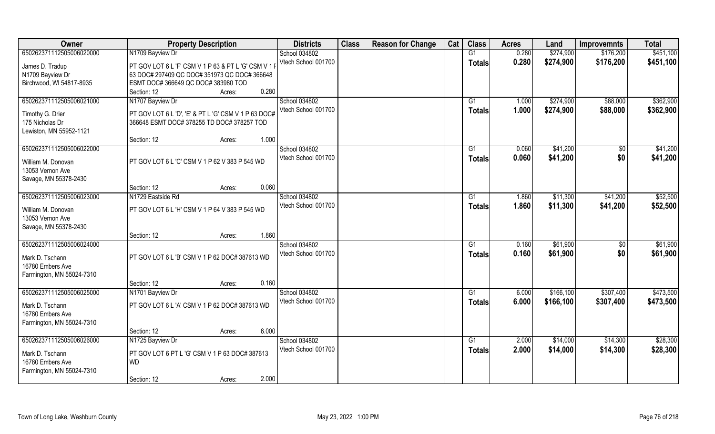| Owner                     | <b>Property Description</b>                          | <b>Districts</b>                     | <b>Class</b> | <b>Reason for Change</b> | Cat | <b>Class</b>    | <b>Acres</b> | Land       | <b>Improvemnts</b> | <b>Total</b> |
|---------------------------|------------------------------------------------------|--------------------------------------|--------------|--------------------------|-----|-----------------|--------------|------------|--------------------|--------------|
| 650262371112505006020000  | N1709 Bayview Dr                                     | School 034802                        |              |                          |     | G1              | 0.280        | \$274,900  | \$176,200          | \$451,100    |
| James D. Tradup           | PT GOV LOT 6 L 'F' CSM V 1 P 63 & PT L 'G' CSM V 1 I | Vtech School 001700                  |              |                          |     | <b>Totals</b>   | 0.280        | \$274,900  | \$176,200          | \$451,100    |
| N1709 Bayview Dr          | 63 DOC# 297409 QC DOC# 351973 QC DOC# 366648         |                                      |              |                          |     |                 |              |            |                    |              |
| Birchwood, WI 54817-8935  | ESMT DOC# 366649 QC DOC# 383980 TOD                  |                                      |              |                          |     |                 |              |            |                    |              |
|                           | 0.280<br>Section: 12<br>Acres:                       |                                      |              |                          |     |                 |              |            |                    |              |
| 650262371112505006021000  | N1707 Bayview Dr                                     | School 034802                        |              |                          |     | G <sub>1</sub>  | 1.000        | \$274,900  | \$88,000           | \$362,900    |
|                           |                                                      | Vtech School 001700                  |              |                          |     | <b>Totals</b>   | 1.000        | \$274,900  | \$88,000           | \$362,900    |
| Timothy G. Drier          | PT GOV LOT 6 L 'D', 'E' & PT L 'G' CSM V 1 P 63 DOC# |                                      |              |                          |     |                 |              |            |                    |              |
| 175 Nicholas Dr           | 366648 ESMT DOC# 378255 TD DOC# 378257 TOD           |                                      |              |                          |     |                 |              |            |                    |              |
| Lewiston, MN 55952-1121   |                                                      |                                      |              |                          |     |                 |              |            |                    |              |
|                           | 1.000<br>Section: 12<br>Acres:                       |                                      |              |                          |     |                 |              |            |                    |              |
| 650262371112505006022000  |                                                      | School 034802                        |              |                          |     | G1              | 0.060        | \$41,200   | \$0                | \$41,200     |
| William M. Donovan        | PT GOV LOT 6 L 'C' CSM V 1 P 62 V 383 P 545 WD       | Vtech School 001700                  |              |                          |     | <b>Totals</b>   | 0.060        | \$41,200   | \$0                | \$41,200     |
| 13053 Vernon Ave          |                                                      |                                      |              |                          |     |                 |              |            |                    |              |
| Savage, MN 55378-2430     |                                                      |                                      |              |                          |     |                 |              |            |                    |              |
|                           | 0.060<br>Section: 12<br>Acres:                       |                                      |              |                          |     |                 |              |            |                    |              |
| 650262371112505006023000  | N1729 Eastside Rd                                    | School 034802                        |              |                          |     | G1              | 1.860        | \$11,300   | \$41,200           | \$52,500     |
|                           |                                                      | Vtech School 001700                  |              |                          |     | <b>Totals</b>   | 1.860        | \$11,300   | \$41,200           | \$52,500     |
| William M. Donovan        | PT GOV LOT 6 L 'H' CSM V 1 P 64 V 383 P 545 WD       |                                      |              |                          |     |                 |              |            |                    |              |
| 13053 Vernon Ave          |                                                      |                                      |              |                          |     |                 |              |            |                    |              |
| Savage, MN 55378-2430     |                                                      |                                      |              |                          |     |                 |              |            |                    |              |
|                           | 1.860<br>Section: 12<br>Acres:                       |                                      |              |                          |     |                 |              |            |                    |              |
| 650262371112505006024000  |                                                      | School 034802                        |              |                          |     | G1              | 0.160        | \$61,900   | \$0                | \$61,900     |
| Mark D. Tschann           | PT GOV LOT 6 L 'B' CSM V 1 P 62 DOC# 387613 WD       | Vtech School 001700                  |              |                          |     | <b>Totals</b>   | 0.160        | \$61,900   | \$0                | \$61,900     |
| 16780 Embers Ave          |                                                      |                                      |              |                          |     |                 |              |            |                    |              |
| Farmington, MN 55024-7310 |                                                      |                                      |              |                          |     |                 |              |            |                    |              |
|                           | 0.160<br>Section: 12<br>Acres:                       |                                      |              |                          |     |                 |              |            |                    |              |
| 650262371112505006025000  | N1701 Bayview Dr                                     | School 034802                        |              |                          |     | $\overline{G1}$ | 6.000        | \$166, 100 | \$307,400          | \$473,500    |
|                           | PT GOV LOT 6 L 'A' CSM V 1 P 62 DOC# 387613 WD       | Vtech School 001700                  |              |                          |     | <b>Totals</b>   | 6.000        | \$166,100  | \$307,400          | \$473,500    |
| Mark D. Tschann           |                                                      |                                      |              |                          |     |                 |              |            |                    |              |
| 16780 Embers Ave          |                                                      |                                      |              |                          |     |                 |              |            |                    |              |
| Farmington, MN 55024-7310 | 6.000                                                |                                      |              |                          |     |                 |              |            |                    |              |
| 650262371112505006026000  | Section: 12<br>Acres:                                |                                      |              |                          |     | G1              | 2.000        |            |                    | \$28,300     |
|                           | N1725 Bayview Dr                                     | School 034802<br>Vtech School 001700 |              |                          |     |                 |              | \$14,000   | \$14,300           |              |
| Mark D. Tschann           | PT GOV LOT 6 PT L 'G' CSM V 1 P 63 DOC# 387613       |                                      |              |                          |     | <b>Totals</b>   | 2.000        | \$14,000   | \$14,300           | \$28,300     |
| 16780 Embers Ave          | <b>WD</b>                                            |                                      |              |                          |     |                 |              |            |                    |              |
| Farmington, MN 55024-7310 |                                                      |                                      |              |                          |     |                 |              |            |                    |              |
|                           | 2.000<br>Section: 12<br>Acres:                       |                                      |              |                          |     |                 |              |            |                    |              |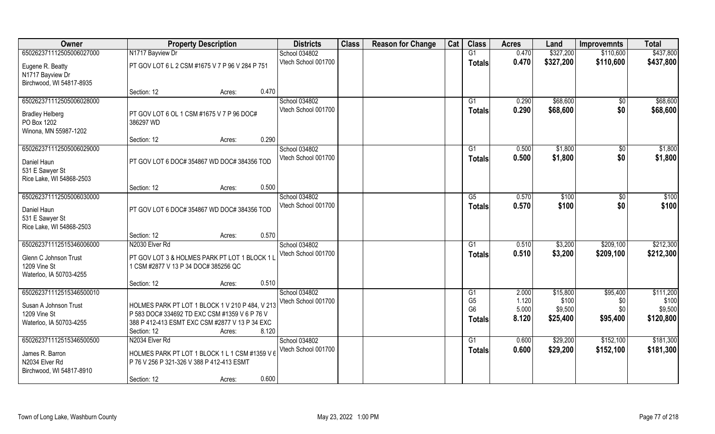| Owner                                                                                        | <b>Property Description</b>                                                                                                                                                          | <b>Districts</b>                     | <b>Class</b> | <b>Reason for Change</b> | Cat | <b>Class</b>                               | <b>Acres</b>            | Land                         | <b>Improvemnts</b>     | <b>Total</b>                  |
|----------------------------------------------------------------------------------------------|--------------------------------------------------------------------------------------------------------------------------------------------------------------------------------------|--------------------------------------|--------------|--------------------------|-----|--------------------------------------------|-------------------------|------------------------------|------------------------|-------------------------------|
| 650262371112505006027000                                                                     | N1717 Bayview Dr                                                                                                                                                                     | School 034802                        |              |                          |     | G1                                         | 0.470                   | \$327,200                    | \$110,600              | \$437,800                     |
| Eugene R. Beatty<br>N1717 Bayview Dr<br>Birchwood, WI 54817-8935                             | PT GOV LOT 6 L 2 CSM #1675 V 7 P 96 V 284 P 751                                                                                                                                      | Vtech School 001700                  |              |                          |     | <b>Totals</b>                              | 0.470                   | \$327,200                    | \$110,600              | \$437,800                     |
|                                                                                              | 0.470<br>Section: 12<br>Acres:                                                                                                                                                       |                                      |              |                          |     |                                            |                         |                              |                        |                               |
| 650262371112505006028000<br><b>Bradley Helberg</b><br>PO Box 1202                            | PT GOV LOT 6 OL 1 CSM #1675 V 7 P 96 DOC#<br>386297 WD                                                                                                                               | School 034802<br>Vtech School 001700 |              |                          |     | G <sub>1</sub><br>Totals                   | 0.290<br>0.290          | \$68,600<br>\$68,600         | \$0<br>\$0             | \$68,600<br>\$68,600          |
| Winona, MN 55987-1202                                                                        | 0.290<br>Section: 12<br>Acres:                                                                                                                                                       |                                      |              |                          |     |                                            |                         |                              |                        |                               |
| 650262371112505006029000                                                                     |                                                                                                                                                                                      | School 034802                        |              |                          |     | G1                                         | 0.500                   | \$1,800                      | $\sqrt{6}$             | \$1,800                       |
| Daniel Haun<br>531 E Sawyer St<br>Rice Lake, WI 54868-2503                                   | PT GOV LOT 6 DOC# 354867 WD DOC# 384356 TOD                                                                                                                                          | Vtech School 001700                  |              |                          |     | <b>Totals</b>                              | 0.500                   | \$1,800                      | \$0                    | \$1,800                       |
|                                                                                              | 0.500<br>Section: 12<br>Acres:                                                                                                                                                       |                                      |              |                          |     |                                            |                         |                              |                        |                               |
| 650262371112505006030000<br>Daniel Haun<br>531 E Sawyer St<br>Rice Lake, WI 54868-2503       | PT GOV LOT 6 DOC# 354867 WD DOC# 384356 TOD                                                                                                                                          | School 034802<br>Vtech School 001700 |              |                          |     | G5<br><b>Totals</b>                        | 0.570<br>0.570          | \$100<br>\$100               | \$0<br>\$0             | \$100<br>\$100                |
|                                                                                              | 0.570<br>Section: 12<br>Acres:                                                                                                                                                       |                                      |              |                          |     |                                            |                         |                              |                        |                               |
| 650262371112515346006000<br>Glenn C Johnson Trust<br>1209 Vine St<br>Waterloo, IA 50703-4255 | N2030 Elver Rd<br>PT GOV LOT 3 & HOLMES PARK PT LOT 1 BLOCK 1 I<br>1 CSM #2877 V 13 P 34 DOC# 385256 QC                                                                              | School 034802<br>Vtech School 001700 |              |                          |     | G1<br><b>Totals</b>                        | 0.510<br>0.510          | \$3,200<br>\$3,200           | \$209,100<br>\$209,100 | \$212,300<br>\$212,300        |
| 650262371112515346500010                                                                     | 0.510<br>Section: 12<br>Acres:                                                                                                                                                       | School 034802                        |              |                          |     | G1                                         | 2.000                   | \$15,800                     | \$95,400               | \$111,200                     |
| Susan A Johnson Trust<br>1209 Vine St<br>Waterloo, IA 50703-4255                             | HOLMES PARK PT LOT 1 BLOCK 1 V 210 P 484, V 213<br>P 583 DOC# 334692 TD EXC CSM #1359 V 6 P 76 V<br>388 P 412-413 ESMT EXC CSM #2877 V 13 P 34 EXC<br>8.120<br>Section: 12<br>Acres: | Vtech School 001700                  |              |                          |     | G <sub>5</sub><br>G <sub>6</sub><br>Totals | 1.120<br>5.000<br>8.120 | \$100<br>\$9,500<br>\$25,400 | \$0<br>\$0<br>\$95,400 | \$100<br>\$9,500<br>\$120,800 |
| 650262371112515346500500<br>James R. Barron<br>N2034 Elver Rd<br>Birchwood, WI 54817-8910    | N2034 Elver Rd<br>HOLMES PARK PT LOT 1 BLOCK 1 L 1 CSM #1359 V 6<br>P 76 V 256 P 321-326 V 388 P 412-413 ESMT<br>0.600<br>Section: 12<br>Acres:                                      | School 034802<br>Vtech School 001700 |              |                          |     | G1<br><b>Totals</b>                        | 0.600<br>0.600          | \$29,200<br>\$29,200         | \$152,100<br>\$152,100 | \$181,300<br>\$181,300        |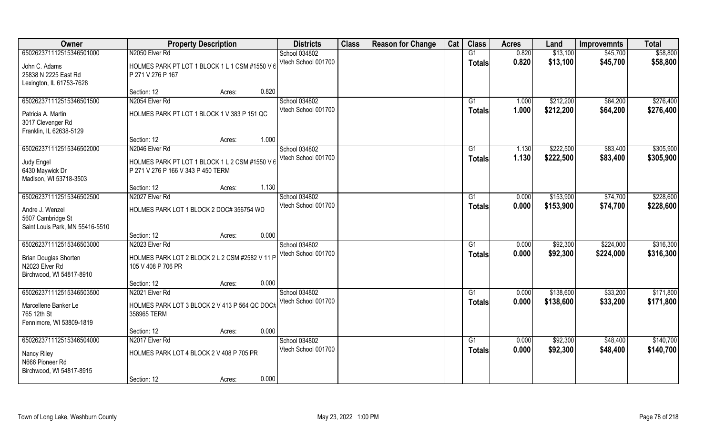| Owner                                     | <b>Property Description</b>                    |                 | <b>Districts</b>                     | <b>Class</b> | <b>Reason for Change</b> | Cat | <b>Class</b>    | <b>Acres</b>   | Land      | <b>Improvemnts</b> | <b>Total</b> |
|-------------------------------------------|------------------------------------------------|-----------------|--------------------------------------|--------------|--------------------------|-----|-----------------|----------------|-----------|--------------------|--------------|
| 650262371112515346501000                  | N2050 Elver Rd                                 |                 | School 034802                        |              |                          |     | G1              | 0.820          | \$13,100  | \$45,700           | \$58,800     |
| John C. Adams                             | HOLMES PARK PT LOT 1 BLOCK 1 L 1 CSM #1550 V 6 |                 | Vtech School 001700                  |              |                          |     | <b>Totals</b>   | 0.820          | \$13,100  | \$45,700           | \$58,800     |
| 25838 N 2225 East Rd                      | P 271 V 276 P 167                              |                 |                                      |              |                          |     |                 |                |           |                    |              |
| Lexington, IL 61753-7628                  |                                                |                 |                                      |              |                          |     |                 |                |           |                    |              |
|                                           | Section: 12                                    | 0.820<br>Acres: |                                      |              |                          |     |                 |                |           |                    |              |
| 650262371112515346501500                  | N2054 Elver Rd                                 |                 | School 034802<br>Vtech School 001700 |              |                          |     | G1              | 1.000<br>1.000 | \$212,200 | \$64,200           | \$276,400    |
| Patricia A. Martin                        | HOLMES PARK PT LOT 1 BLOCK 1 V 383 P 151 QC    |                 |                                      |              |                          |     | <b>Totals</b>   |                | \$212,200 | \$64,200           | \$276,400    |
| 3017 Clevenger Rd                         |                                                |                 |                                      |              |                          |     |                 |                |           |                    |              |
| Franklin, IL 62638-5129                   | Section: 12                                    | 1.000           |                                      |              |                          |     |                 |                |           |                    |              |
| 650262371112515346502000                  | N2046 Elver Rd                                 | Acres:          | School 034802                        |              |                          |     | G1              | 1.130          | \$222,500 | \$83,400           | \$305,900    |
|                                           |                                                |                 | Vtech School 001700                  |              |                          |     | <b>Totals</b>   | 1.130          | \$222,500 | \$83,400           | \$305,900    |
| Judy Engel                                | HOLMES PARK PT LOT 1 BLOCK 1 L 2 CSM #1550 V 6 |                 |                                      |              |                          |     |                 |                |           |                    |              |
| 6430 Maywick Dr<br>Madison, WI 53718-3503 | P 271 V 276 P 166 V 343 P 450 TERM             |                 |                                      |              |                          |     |                 |                |           |                    |              |
|                                           | Section: 12                                    | 1.130<br>Acres: |                                      |              |                          |     |                 |                |           |                    |              |
| 650262371112515346502500                  | N2027 Elver Rd                                 |                 | School 034802                        |              |                          |     | G1              | 0.000          | \$153,900 | \$74,700           | \$228,600    |
|                                           |                                                |                 | Vtech School 001700                  |              |                          |     | <b>Totals</b>   | 0.000          | \$153,900 | \$74,700           | \$228,600    |
| Andre J. Wenzel<br>5607 Cambridge St      | HOLMES PARK LOT 1 BLOCK 2 DOC# 356754 WD       |                 |                                      |              |                          |     |                 |                |           |                    |              |
| Saint Louis Park, MN 55416-5510           |                                                |                 |                                      |              |                          |     |                 |                |           |                    |              |
|                                           | Section: 12                                    | 0.000<br>Acres: |                                      |              |                          |     |                 |                |           |                    |              |
| 650262371112515346503000                  | N2023 Elver Rd                                 |                 | School 034802                        |              |                          |     | G1              | 0.000          | \$92,300  | \$224,000          | \$316,300    |
| <b>Brian Douglas Shorten</b>              | HOLMES PARK LOT 2 BLOCK 2 L 2 CSM #2582 V 11 P |                 | Vtech School 001700                  |              |                          |     | <b>Totals</b>   | 0.000          | \$92,300  | \$224,000          | \$316,300    |
| N2023 Elver Rd                            | 105 V 408 P 706 PR                             |                 |                                      |              |                          |     |                 |                |           |                    |              |
| Birchwood, WI 54817-8910                  |                                                |                 |                                      |              |                          |     |                 |                |           |                    |              |
|                                           | Section: 12                                    | 0.000<br>Acres: |                                      |              |                          |     |                 |                |           |                    |              |
| 650262371112515346503500                  | N2021 Elver Rd                                 |                 | School 034802                        |              |                          |     | G1              | 0.000          | \$138,600 | \$33,200           | \$171,800    |
| Marcellene Banker Le                      | HOLMES PARK LOT 3 BLOCK 2 V 413 P 564 QC DOC#  |                 | Vtech School 001700                  |              |                          |     | <b>Totals</b>   | 0.000          | \$138,600 | \$33,200           | \$171,800    |
| 765 12th St                               | 358965 TERM                                    |                 |                                      |              |                          |     |                 |                |           |                    |              |
| Fennimore, WI 53809-1819                  |                                                |                 |                                      |              |                          |     |                 |                |           |                    |              |
|                                           | Section: 12                                    | 0.000<br>Acres: |                                      |              |                          |     |                 |                |           |                    |              |
| 650262371112515346504000                  | N2017 Elver Rd                                 |                 | School 034802                        |              |                          |     | $\overline{G1}$ | 0.000          | \$92,300  | \$48,400           | \$140,700    |
| Nancy Riley                               | HOLMES PARK LOT 4 BLOCK 2 V 408 P 705 PR       |                 | Vtech School 001700                  |              |                          |     | <b>Totals</b>   | 0.000          | \$92,300  | \$48,400           | \$140,700    |
| N666 Pioneer Rd                           |                                                |                 |                                      |              |                          |     |                 |                |           |                    |              |
| Birchwood, WI 54817-8915                  |                                                |                 |                                      |              |                          |     |                 |                |           |                    |              |
|                                           | Section: 12                                    | 0.000<br>Acres: |                                      |              |                          |     |                 |                |           |                    |              |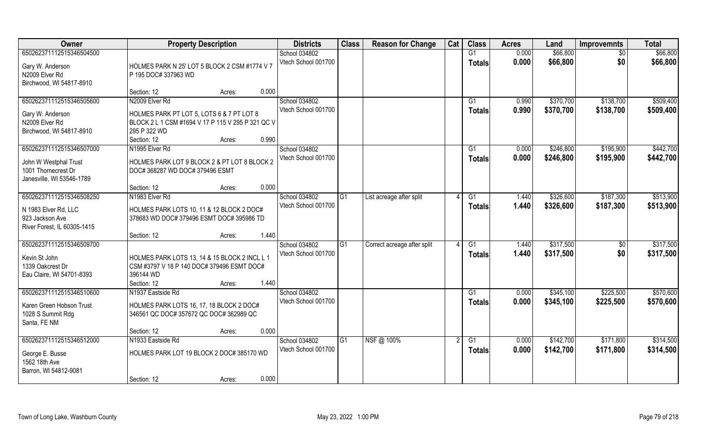| \$66,800<br>\$66,800<br>650262371112515346504500<br>0.000<br>School 034802<br>G1<br>$\overline{50}$<br>Vtech School 001700<br>0.000<br>\$66,800<br>\$0<br>\$66,800<br><b>Totals</b><br>Gary W. Anderson<br>HOLMES PARK N 25' LOT 5 BLOCK 2 CSM #1774 V 7<br>P 195 DOC# 337963 WD<br>N2009 Elver Rd<br>Birchwood, WI 54817-8910<br>0.000<br>Section: 12<br>Acres:<br>School 034802<br>650262371112515346505600<br>N2009 Elver Rd<br>\$370,700<br>\$138,700<br>G1<br>0.990<br>Vtech School 001700<br>0.990<br>\$370,700<br>\$138,700<br>\$509,400<br>Totals<br>Gary W. Anderson<br>HOLMES PARK PT LOT 5, LOTS 6 & 7 PT LOT 8<br>N2009 Elver Rd<br>BLOCK 2 L 1 CSM #1694 V 17 P 115 V 295 P 321 QC V<br>Birchwood, WI 54817-8910<br>295 P 322 WD<br>0.990<br>Section: 12<br>Acres:<br>650262371112515346507000<br>School 034802<br>\$246,800<br>N1995 Elver Rd<br>G1<br>0.000<br>\$195,900<br>Vtech School 001700<br>0.000<br>\$195,900<br>\$442,700<br>\$246,800<br><b>Totals</b><br>HOLMES PARK LOT 9 BLOCK 2 & PT LOT 8 BLOCK 2<br>John W Westphal Trust<br>1001 Thornecrest Dr<br>DOC# 368287 WD DOC# 379496 ESMT<br>Janesville, WI 53546-1789<br>0.000<br>Section: 12<br>Acres:<br>650262371112515346508250<br>N1983 Elver Rd<br>School 034802<br>\$326,600<br>\$187,300<br>G1<br>1.440<br>List acreage after split<br>G <sub>1</sub><br>Vtech School 001700<br>1.440<br>\$326,600<br>\$187,300<br>\$513,900<br><b>Totals</b><br>HOLMES PARK LOTS 10, 11 & 12 BLOCK 2 DOC#<br>N 1983 Elver Rd, LLC<br>923 Jackson Ave<br>378683 WD DOC# 379496 ESMT DOC# 395986 TD<br>River Forest, IL 60305-1415<br>1.440<br>Section: 12<br>Acres:<br>\$317,500<br>\$317,500<br>650262371112515346509700<br>School 034802<br>1.440<br>G1<br>Correct acreage after split<br>G1<br>$\sqrt[6]{30}$<br>\$0<br>Vtech School 001700<br>1.440<br>\$317,500<br>\$317,500<br><b>Totals</b><br>Kevin St John<br>HOLMES PARK LOTS 13, 14 & 15 BLOCK 2 INCL L 1 |
|----------------------------------------------------------------------------------------------------------------------------------------------------------------------------------------------------------------------------------------------------------------------------------------------------------------------------------------------------------------------------------------------------------------------------------------------------------------------------------------------------------------------------------------------------------------------------------------------------------------------------------------------------------------------------------------------------------------------------------------------------------------------------------------------------------------------------------------------------------------------------------------------------------------------------------------------------------------------------------------------------------------------------------------------------------------------------------------------------------------------------------------------------------------------------------------------------------------------------------------------------------------------------------------------------------------------------------------------------------------------------------------------------------------------------------------------------------------------------------------------------------------------------------------------------------------------------------------------------------------------------------------------------------------------------------------------------------------------------------------------------------------------------------------------------------------------------------------------------------------------------------------------------------------------------------------|
| \$509,400<br>\$442,700<br>\$513,900                                                                                                                                                                                                                                                                                                                                                                                                                                                                                                                                                                                                                                                                                                                                                                                                                                                                                                                                                                                                                                                                                                                                                                                                                                                                                                                                                                                                                                                                                                                                                                                                                                                                                                                                                                                                                                                                                                    |
|                                                                                                                                                                                                                                                                                                                                                                                                                                                                                                                                                                                                                                                                                                                                                                                                                                                                                                                                                                                                                                                                                                                                                                                                                                                                                                                                                                                                                                                                                                                                                                                                                                                                                                                                                                                                                                                                                                                                        |
|                                                                                                                                                                                                                                                                                                                                                                                                                                                                                                                                                                                                                                                                                                                                                                                                                                                                                                                                                                                                                                                                                                                                                                                                                                                                                                                                                                                                                                                                                                                                                                                                                                                                                                                                                                                                                                                                                                                                        |
|                                                                                                                                                                                                                                                                                                                                                                                                                                                                                                                                                                                                                                                                                                                                                                                                                                                                                                                                                                                                                                                                                                                                                                                                                                                                                                                                                                                                                                                                                                                                                                                                                                                                                                                                                                                                                                                                                                                                        |
|                                                                                                                                                                                                                                                                                                                                                                                                                                                                                                                                                                                                                                                                                                                                                                                                                                                                                                                                                                                                                                                                                                                                                                                                                                                                                                                                                                                                                                                                                                                                                                                                                                                                                                                                                                                                                                                                                                                                        |
|                                                                                                                                                                                                                                                                                                                                                                                                                                                                                                                                                                                                                                                                                                                                                                                                                                                                                                                                                                                                                                                                                                                                                                                                                                                                                                                                                                                                                                                                                                                                                                                                                                                                                                                                                                                                                                                                                                                                        |
|                                                                                                                                                                                                                                                                                                                                                                                                                                                                                                                                                                                                                                                                                                                                                                                                                                                                                                                                                                                                                                                                                                                                                                                                                                                                                                                                                                                                                                                                                                                                                                                                                                                                                                                                                                                                                                                                                                                                        |
|                                                                                                                                                                                                                                                                                                                                                                                                                                                                                                                                                                                                                                                                                                                                                                                                                                                                                                                                                                                                                                                                                                                                                                                                                                                                                                                                                                                                                                                                                                                                                                                                                                                                                                                                                                                                                                                                                                                                        |
|                                                                                                                                                                                                                                                                                                                                                                                                                                                                                                                                                                                                                                                                                                                                                                                                                                                                                                                                                                                                                                                                                                                                                                                                                                                                                                                                                                                                                                                                                                                                                                                                                                                                                                                                                                                                                                                                                                                                        |
|                                                                                                                                                                                                                                                                                                                                                                                                                                                                                                                                                                                                                                                                                                                                                                                                                                                                                                                                                                                                                                                                                                                                                                                                                                                                                                                                                                                                                                                                                                                                                                                                                                                                                                                                                                                                                                                                                                                                        |
|                                                                                                                                                                                                                                                                                                                                                                                                                                                                                                                                                                                                                                                                                                                                                                                                                                                                                                                                                                                                                                                                                                                                                                                                                                                                                                                                                                                                                                                                                                                                                                                                                                                                                                                                                                                                                                                                                                                                        |
|                                                                                                                                                                                                                                                                                                                                                                                                                                                                                                                                                                                                                                                                                                                                                                                                                                                                                                                                                                                                                                                                                                                                                                                                                                                                                                                                                                                                                                                                                                                                                                                                                                                                                                                                                                                                                                                                                                                                        |
|                                                                                                                                                                                                                                                                                                                                                                                                                                                                                                                                                                                                                                                                                                                                                                                                                                                                                                                                                                                                                                                                                                                                                                                                                                                                                                                                                                                                                                                                                                                                                                                                                                                                                                                                                                                                                                                                                                                                        |
|                                                                                                                                                                                                                                                                                                                                                                                                                                                                                                                                                                                                                                                                                                                                                                                                                                                                                                                                                                                                                                                                                                                                                                                                                                                                                                                                                                                                                                                                                                                                                                                                                                                                                                                                                                                                                                                                                                                                        |
|                                                                                                                                                                                                                                                                                                                                                                                                                                                                                                                                                                                                                                                                                                                                                                                                                                                                                                                                                                                                                                                                                                                                                                                                                                                                                                                                                                                                                                                                                                                                                                                                                                                                                                                                                                                                                                                                                                                                        |
|                                                                                                                                                                                                                                                                                                                                                                                                                                                                                                                                                                                                                                                                                                                                                                                                                                                                                                                                                                                                                                                                                                                                                                                                                                                                                                                                                                                                                                                                                                                                                                                                                                                                                                                                                                                                                                                                                                                                        |
|                                                                                                                                                                                                                                                                                                                                                                                                                                                                                                                                                                                                                                                                                                                                                                                                                                                                                                                                                                                                                                                                                                                                                                                                                                                                                                                                                                                                                                                                                                                                                                                                                                                                                                                                                                                                                                                                                                                                        |
|                                                                                                                                                                                                                                                                                                                                                                                                                                                                                                                                                                                                                                                                                                                                                                                                                                                                                                                                                                                                                                                                                                                                                                                                                                                                                                                                                                                                                                                                                                                                                                                                                                                                                                                                                                                                                                                                                                                                        |
|                                                                                                                                                                                                                                                                                                                                                                                                                                                                                                                                                                                                                                                                                                                                                                                                                                                                                                                                                                                                                                                                                                                                                                                                                                                                                                                                                                                                                                                                                                                                                                                                                                                                                                                                                                                                                                                                                                                                        |
|                                                                                                                                                                                                                                                                                                                                                                                                                                                                                                                                                                                                                                                                                                                                                                                                                                                                                                                                                                                                                                                                                                                                                                                                                                                                                                                                                                                                                                                                                                                                                                                                                                                                                                                                                                                                                                                                                                                                        |
|                                                                                                                                                                                                                                                                                                                                                                                                                                                                                                                                                                                                                                                                                                                                                                                                                                                                                                                                                                                                                                                                                                                                                                                                                                                                                                                                                                                                                                                                                                                                                                                                                                                                                                                                                                                                                                                                                                                                        |
|                                                                                                                                                                                                                                                                                                                                                                                                                                                                                                                                                                                                                                                                                                                                                                                                                                                                                                                                                                                                                                                                                                                                                                                                                                                                                                                                                                                                                                                                                                                                                                                                                                                                                                                                                                                                                                                                                                                                        |
| 1339 Oakcrest Dr<br>CSM #3797 V 18 P 140 DOC# 379496 ESMT DOC#                                                                                                                                                                                                                                                                                                                                                                                                                                                                                                                                                                                                                                                                                                                                                                                                                                                                                                                                                                                                                                                                                                                                                                                                                                                                                                                                                                                                                                                                                                                                                                                                                                                                                                                                                                                                                                                                         |
| 396144 WD<br>Eau Claire, WI 54701-8393                                                                                                                                                                                                                                                                                                                                                                                                                                                                                                                                                                                                                                                                                                                                                                                                                                                                                                                                                                                                                                                                                                                                                                                                                                                                                                                                                                                                                                                                                                                                                                                                                                                                                                                                                                                                                                                                                                 |
| 1.440<br>Section: 12<br>Acres:                                                                                                                                                                                                                                                                                                                                                                                                                                                                                                                                                                                                                                                                                                                                                                                                                                                                                                                                                                                                                                                                                                                                                                                                                                                                                                                                                                                                                                                                                                                                                                                                                                                                                                                                                                                                                                                                                                         |
| School 034802<br>\$345,100<br>\$570,600<br>650262371112515346510600<br>0.000<br>\$225,500<br>N1937 Eastside Rd<br>G1                                                                                                                                                                                                                                                                                                                                                                                                                                                                                                                                                                                                                                                                                                                                                                                                                                                                                                                                                                                                                                                                                                                                                                                                                                                                                                                                                                                                                                                                                                                                                                                                                                                                                                                                                                                                                   |
| Vtech School 001700<br>0.000<br>\$345,100<br>\$225,500<br>\$570,600<br><b>Totals</b>                                                                                                                                                                                                                                                                                                                                                                                                                                                                                                                                                                                                                                                                                                                                                                                                                                                                                                                                                                                                                                                                                                                                                                                                                                                                                                                                                                                                                                                                                                                                                                                                                                                                                                                                                                                                                                                   |
| Karen Green Hobson Trust<br>HOLMES PARK LOTS 16, 17, 18 BLOCK 2 DOC#                                                                                                                                                                                                                                                                                                                                                                                                                                                                                                                                                                                                                                                                                                                                                                                                                                                                                                                                                                                                                                                                                                                                                                                                                                                                                                                                                                                                                                                                                                                                                                                                                                                                                                                                                                                                                                                                   |
| 1028 S Summit Rdg<br>346561 QC DOC# 357672 QC DOC# 362989 QC<br>Santa, FE NM                                                                                                                                                                                                                                                                                                                                                                                                                                                                                                                                                                                                                                                                                                                                                                                                                                                                                                                                                                                                                                                                                                                                                                                                                                                                                                                                                                                                                                                                                                                                                                                                                                                                                                                                                                                                                                                           |
| 0.000<br>Section: 12<br>Acres:                                                                                                                                                                                                                                                                                                                                                                                                                                                                                                                                                                                                                                                                                                                                                                                                                                                                                                                                                                                                                                                                                                                                                                                                                                                                                                                                                                                                                                                                                                                                                                                                                                                                                                                                                                                                                                                                                                         |
| NSF@ 100%<br>\$314,500<br>650262371112515346512000<br>N1933 Eastside Rd<br>School 034802<br>G1<br>G1<br>\$142,700<br>\$171,800<br>0.000                                                                                                                                                                                                                                                                                                                                                                                                                                                                                                                                                                                                                                                                                                                                                                                                                                                                                                                                                                                                                                                                                                                                                                                                                                                                                                                                                                                                                                                                                                                                                                                                                                                                                                                                                                                                |
| Vtech School 001700<br>\$142,700<br>\$171,800<br>\$314,500<br>0.000<br><b>Totals</b>                                                                                                                                                                                                                                                                                                                                                                                                                                                                                                                                                                                                                                                                                                                                                                                                                                                                                                                                                                                                                                                                                                                                                                                                                                                                                                                                                                                                                                                                                                                                                                                                                                                                                                                                                                                                                                                   |
| HOLMES PARK LOT 19 BLOCK 2 DOC# 385170 WD<br>George E. Busse                                                                                                                                                                                                                                                                                                                                                                                                                                                                                                                                                                                                                                                                                                                                                                                                                                                                                                                                                                                                                                                                                                                                                                                                                                                                                                                                                                                                                                                                                                                                                                                                                                                                                                                                                                                                                                                                           |
| 1562 18th Ave                                                                                                                                                                                                                                                                                                                                                                                                                                                                                                                                                                                                                                                                                                                                                                                                                                                                                                                                                                                                                                                                                                                                                                                                                                                                                                                                                                                                                                                                                                                                                                                                                                                                                                                                                                                                                                                                                                                          |
| Barron, WI 54812-9081<br>0.000<br>Section: 12<br>Acres:                                                                                                                                                                                                                                                                                                                                                                                                                                                                                                                                                                                                                                                                                                                                                                                                                                                                                                                                                                                                                                                                                                                                                                                                                                                                                                                                                                                                                                                                                                                                                                                                                                                                                                                                                                                                                                                                                |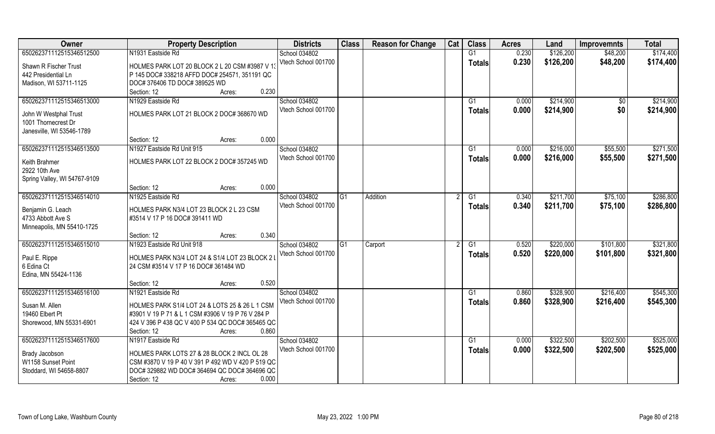| Owner                        | <b>Property Description</b>                         | <b>Districts</b>    | <b>Class</b>    | <b>Reason for Change</b> | Cat | <b>Class</b>  | <b>Acres</b> | Land      | <b>Improvemnts</b> | <b>Total</b> |
|------------------------------|-----------------------------------------------------|---------------------|-----------------|--------------------------|-----|---------------|--------------|-----------|--------------------|--------------|
| 650262371112515346512500     | N1931 Eastside Rd                                   | School 034802       |                 |                          |     | G1            | 0.230        | \$126,200 | \$48,200           | \$174,400    |
| Shawn R Fischer Trust        | HOLMES PARK LOT 20 BLOCK 2 L 20 CSM #3987 V 13      | Vtech School 001700 |                 |                          |     | <b>Totals</b> | 0.230        | \$126,200 | \$48,200           | \$174,400    |
| 442 Presidential Ln          | P 145 DOC# 338218 AFFD DOC# 254571, 351191 QC       |                     |                 |                          |     |               |              |           |                    |              |
| Madison, WI 53711-1125       | DOC# 376406 TD DOC# 389525 WD                       |                     |                 |                          |     |               |              |           |                    |              |
|                              | 0.230<br>Section: 12<br>Acres:                      |                     |                 |                          |     |               |              |           |                    |              |
| 650262371112515346513000     | N1929 Eastside Rd                                   | School 034802       |                 |                          |     | G1            | 0.000        | \$214,900 | \$0                | \$214,900    |
|                              |                                                     | Vtech School 001700 |                 |                          |     | Totals        | 0.000        | \$214,900 | \$0                | \$214,900    |
| John W Westphal Trust        | HOLMES PARK LOT 21 BLOCK 2 DOC# 368670 WD           |                     |                 |                          |     |               |              |           |                    |              |
| 1001 Thornecrest Dr          |                                                     |                     |                 |                          |     |               |              |           |                    |              |
| Janesville, WI 53546-1789    |                                                     |                     |                 |                          |     |               |              |           |                    |              |
|                              | 0.000<br>Section: 12<br>Acres:                      |                     |                 |                          |     |               |              |           |                    |              |
| 650262371112515346513500     | N1927 Eastside Rd Unit 915                          | School 034802       |                 |                          |     | G1            | 0.000        | \$216,000 | \$55,500           | \$271,500    |
| Keith Brahmer                | HOLMES PARK LOT 22 BLOCK 2 DOC# 357245 WD           | Vtech School 001700 |                 |                          |     | <b>Totals</b> | 0.000        | \$216,000 | \$55,500           | \$271,500    |
| 2922 10th Ave                |                                                     |                     |                 |                          |     |               |              |           |                    |              |
| Spring Valley, WI 54767-9109 |                                                     |                     |                 |                          |     |               |              |           |                    |              |
|                              | 0.000<br>Section: 12<br>Acres:                      |                     |                 |                          |     |               |              |           |                    |              |
| 650262371112515346514010     | N1925 Eastside Rd                                   | School 034802       | $\overline{G1}$ | Addition                 |     | G1            | 0.340        | \$211,700 | \$75,100           | \$286,800    |
|                              |                                                     | Vtech School 001700 |                 |                          |     | <b>Totals</b> | 0.340        | \$211,700 | \$75,100           | \$286,800    |
| Benjamin G. Leach            | HOLMES PARK N3/4 LOT 23 BLOCK 2 L 23 CSM            |                     |                 |                          |     |               |              |           |                    |              |
| 4733 Abbott Ave S            | #3514 V 17 P 16 DOC# 391411 WD                      |                     |                 |                          |     |               |              |           |                    |              |
| Minneapolis, MN 55410-1725   | 0.340                                               |                     |                 |                          |     |               |              |           |                    |              |
| 650262371112515346515010     | Section: 12<br>Acres:<br>N1923 Eastside Rd Unit 918 |                     | G1              |                          |     | G1            | 0.520        | \$220,000 | \$101,800          | \$321,800    |
|                              |                                                     | School 034802       |                 | Carport                  |     |               |              |           |                    |              |
| Paul E. Rippe                | HOLMES PARK N3/4 LOT 24 & S1/4 LOT 23 BLOCK 2       | Vtech School 001700 |                 |                          |     | <b>Totals</b> | 0.520        | \$220,000 | \$101,800          | \$321,800    |
| 6 Edina Ct                   | 24 CSM #3514 V 17 P 16 DOC# 361484 WD               |                     |                 |                          |     |               |              |           |                    |              |
| Edina, MN 55424-1136         |                                                     |                     |                 |                          |     |               |              |           |                    |              |
|                              | 0.520<br>Section: 12<br>Acres:                      |                     |                 |                          |     |               |              |           |                    |              |
| 650262371112515346516100     | N1921 Eastside Rd                                   | School 034802       |                 |                          |     | G1            | 0.860        | \$328,900 | \$216,400          | \$545,300    |
| Susan M. Allen               | HOLMES PARK S1/4 LOT 24 & LOTS 25 & 26 L 1 CSM      | Vtech School 001700 |                 |                          |     | <b>Totals</b> | 0.860        | \$328,900 | \$216,400          | \$545,300    |
| 19460 Elbert Pt              | #3901 V 19 P 71 & L 1 CSM #3906 V 19 P 76 V 284 P   |                     |                 |                          |     |               |              |           |                    |              |
| Shorewood, MN 55331-6901     | 424 V 396 P 438 QC V 400 P 534 QC DOC# 365465 QC    |                     |                 |                          |     |               |              |           |                    |              |
|                              | 0.860<br>Section: 12<br>Acres:                      |                     |                 |                          |     |               |              |           |                    |              |
| 650262371112515346517600     | N1917 Eastside Rd                                   | School 034802       |                 |                          |     | G1            | 0.000        | \$322,500 | \$202,500          | \$525,000    |
|                              |                                                     | Vtech School 001700 |                 |                          |     | Totals        | 0.000        | \$322,500 | \$202,500          | \$525,000    |
| Brady Jacobson               | HOLMES PARK LOTS 27 & 28 BLOCK 2 INCL OL 28         |                     |                 |                          |     |               |              |           |                    |              |
| W1158 Sunset Point           | CSM #3870 V 19 P 40 V 391 P 492 WD V 420 P 519 QC   |                     |                 |                          |     |               |              |           |                    |              |
| Stoddard, WI 54658-8807      | DOC# 329882 WD DOC# 364694 QC DOC# 364696 QC        |                     |                 |                          |     |               |              |           |                    |              |
|                              | 0.000<br>Section: 12<br>Acres:                      |                     |                 |                          |     |               |              |           |                    |              |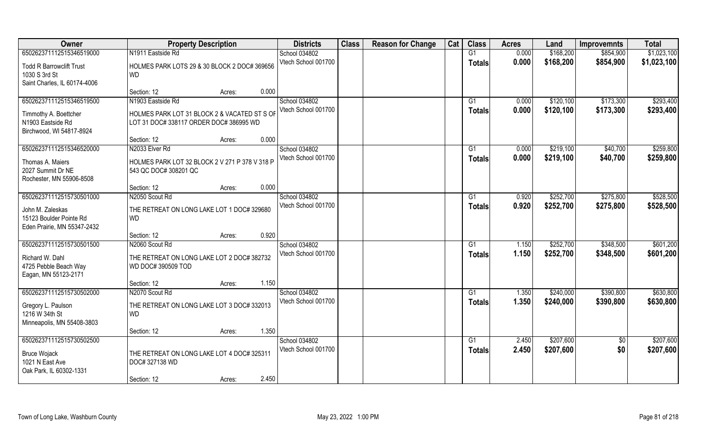| Owner                                                                                         | <b>Property Description</b>                                                             | <b>Districts</b>                     | <b>Class</b> | <b>Reason for Change</b> | Cat | <b>Class</b>                    | <b>Acres</b>   | Land                   | <b>Improvemnts</b>     | <b>Total</b>           |
|-----------------------------------------------------------------------------------------------|-----------------------------------------------------------------------------------------|--------------------------------------|--------------|--------------------------|-----|---------------------------------|----------------|------------------------|------------------------|------------------------|
| 650262371112515346519000                                                                      | N1911 Eastside Rd                                                                       | School 034802                        |              |                          |     | G1                              | 0.000          | \$168,200              | \$854,900              | \$1,023,100            |
| <b>Todd R Barrowclift Trust</b><br>1030 S 3rd St<br>Saint Charles, IL 60174-4006              | HOLMES PARK LOTS 29 & 30 BLOCK 2 DOC# 369656<br><b>WD</b>                               | Vtech School 001700                  |              |                          |     | <b>Totals</b>                   | 0.000          | \$168,200              | \$854,900              | \$1,023,100            |
|                                                                                               | 0.000<br>Section: 12<br>Acres:                                                          |                                      |              |                          |     |                                 |                |                        |                        |                        |
| 650262371112515346519500                                                                      | N1903 Eastside Rd                                                                       | School 034802<br>Vtech School 001700 |              |                          |     | G <sub>1</sub><br><b>Totals</b> | 0.000<br>0.000 | \$120,100<br>\$120,100 | \$173,300<br>\$173,300 | \$293,400<br>\$293,400 |
| Timmothy A. Boettcher<br>N1903 Eastside Rd<br>Birchwood, WI 54817-8924                        | HOLMES PARK LOT 31 BLOCK 2 & VACATED ST S OF<br>LOT 31 DOC# 338117 ORDER DOC# 386995 WD |                                      |              |                          |     |                                 |                |                        |                        |                        |
|                                                                                               | 0.000<br>Section: 12<br>Acres:                                                          |                                      |              |                          |     |                                 |                |                        |                        |                        |
| 650262371112515346520000                                                                      | N2033 Elver Rd                                                                          | School 034802                        |              |                          |     | G1                              | 0.000          | \$219,100              | \$40,700               | \$259,800              |
| Thomas A. Maiers<br>2027 Summit Dr NE<br>Rochester, MN 55906-8508                             | HOLMES PARK LOT 32 BLOCK 2 V 271 P 378 V 318 P<br>543 QC DOC# 308201 QC                 | Vtech School 001700                  |              |                          |     | <b>Totals</b>                   | 0.000          | \$219,100              | \$40,700               | \$259,800              |
|                                                                                               | 0.000<br>Section: 12<br>Acres:                                                          |                                      |              |                          |     |                                 |                |                        |                        |                        |
| 650262371112515730501000                                                                      | N2050 Scout Rd                                                                          | School 034802                        |              |                          |     | G1                              | 0.920          | \$252,700              | \$275,800              | \$528,500              |
| John M. Zaleskas<br>15123 Boulder Pointe Rd<br>Eden Prairie, MN 55347-2432                    | THE RETREAT ON LONG LAKE LOT 1 DOC# 329680<br><b>WD</b>                                 | Vtech School 001700                  |              |                          |     | <b>Totals</b>                   | 0.920          | \$252,700              | \$275,800              | \$528,500              |
|                                                                                               | 0.920<br>Section: 12<br>Acres:                                                          |                                      |              |                          |     |                                 |                |                        |                        |                        |
| 650262371112515730501500                                                                      | N2060 Scout Rd                                                                          | School 034802                        |              |                          |     | G1                              | 1.150          | \$252,700              | \$348,500              | \$601,200              |
| Richard W. Dahl<br>4725 Pebble Beach Way<br>Eagan, MN 55123-2171                              | THE RETREAT ON LONG LAKE LOT 2 DOC# 382732<br>WD DOC# 390509 TOD                        | Vtech School 001700                  |              |                          |     | <b>Totals</b>                   | 1.150          | \$252,700              | \$348,500              | \$601,200              |
|                                                                                               | 1.150<br>Section: 12<br>Acres:                                                          |                                      |              |                          |     |                                 |                |                        |                        |                        |
| 650262371112515730502000                                                                      | N2070 Scout Rd                                                                          | School 034802                        |              |                          |     | $\overline{G1}$                 | 1.350          | \$240,000              | \$390,800              | \$630,800              |
| Gregory L. Paulson<br>1216 W 34th St<br>Minneapolis, MN 55408-3803                            | THE RETREAT ON LONG LAKE LOT 3 DOC# 332013<br><b>WD</b>                                 | Vtech School 001700                  |              |                          |     | <b>Totals</b>                   | 1.350          | \$240,000              | \$390,800              | \$630,800              |
|                                                                                               | 1.350<br>Section: 12<br>Acres:                                                          |                                      |              |                          |     |                                 |                |                        |                        |                        |
| 650262371112515730502500<br><b>Bruce Wojack</b><br>1021 N East Ave<br>Oak Park, IL 60302-1331 | THE RETREAT ON LONG LAKE LOT 4 DOC# 325311<br>DOC# 327138 WD                            | School 034802<br>Vtech School 001700 |              |                          |     | G1<br><b>Totals</b>             | 2.450<br>2.450 | \$207,600<br>\$207,600 | $\overline{50}$<br>\$0 | \$207,600<br>\$207,600 |
|                                                                                               | Section: 12<br>Acres:                                                                   | 2.450                                |              |                          |     |                                 |                |                        |                        |                        |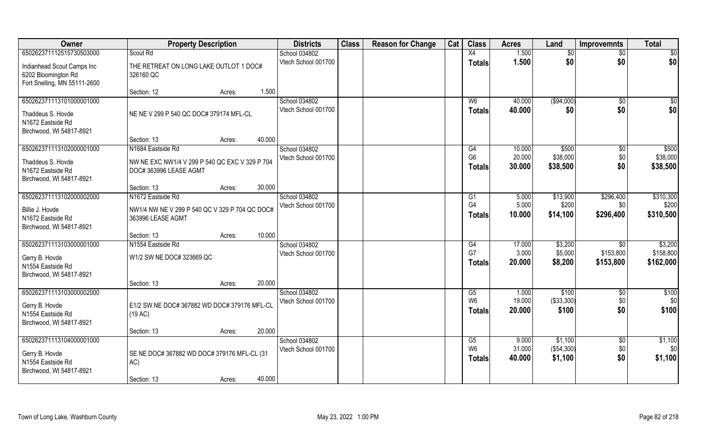| Owner                        | <b>Property Description</b>                    |                  | <b>Districts</b>    | <b>Class</b> | <b>Reason for Change</b> | Cat | <b>Class</b>         | <b>Acres</b>    | Land                | <b>Improvemnts</b> | <b>Total</b>    |
|------------------------------|------------------------------------------------|------------------|---------------------|--------------|--------------------------|-----|----------------------|-----------------|---------------------|--------------------|-----------------|
| 650262371112515730503000     | Scout Rd                                       |                  | School 034802       |              |                          |     | X4                   | 1.500           | \$0                 | $\overline{50}$    | $\overline{50}$ |
| Indianhead Scout Camps Inc   | THE RETREAT ON LONG LAKE OUTLOT 1 DOC#         |                  | Vtech School 001700 |              |                          |     | <b>Totals</b>        | 1.500           | \$0                 | \$0                | \$0             |
| 6202 Bloomington Rd          | 326160 QC                                      |                  |                     |              |                          |     |                      |                 |                     |                    |                 |
| Fort Snelling, MN 55111-2600 |                                                |                  |                     |              |                          |     |                      |                 |                     |                    |                 |
|                              | Section: 12                                    | 1.500<br>Acres:  |                     |              |                          |     |                      |                 |                     |                    |                 |
| 650262371113101000001000     |                                                |                  | School 034802       |              |                          |     | W6                   | 40.000          | (\$94,000)          | \$0                | \$0             |
| Thaddeus S. Hovde            | NE NE V 299 P 540 QC DOC# 379174 MFL-CL        |                  | Vtech School 001700 |              |                          |     | <b>Totals</b>        | 40.000          | \$0                 | \$0                | \$0             |
| N1672 Eastside Rd            |                                                |                  |                     |              |                          |     |                      |                 |                     |                    |                 |
| Birchwood, WI 54817-8921     |                                                |                  |                     |              |                          |     |                      |                 |                     |                    |                 |
|                              | Section: 13                                    | 40.000<br>Acres: |                     |              |                          |     |                      |                 |                     |                    |                 |
| 650262371113102000001000     | N1684 Eastside Rd                              |                  | School 034802       |              |                          |     | G4                   | 10.000          | \$500               | $\sqrt[6]{30}$     | \$500           |
| Thaddeus S. Hovde            | NW NE EXC NW1/4 V 299 P 540 QC EXC V 329 P 704 |                  | Vtech School 001700 |              |                          |     | G <sub>6</sub>       | 20.000          | \$38,000            | \$0                | \$38,000        |
| N1672 Eastside Rd            | DOC#363996 LEASE AGMT                          |                  |                     |              |                          |     | Totals               | 30.000          | \$38,500            | \$0                | \$38,500        |
| Birchwood, WI 54817-8921     |                                                |                  |                     |              |                          |     |                      |                 |                     |                    |                 |
|                              | Section: 13                                    | 30.000<br>Acres: |                     |              |                          |     |                      |                 |                     |                    |                 |
| 650262371113102000002000     | N1672 Eastside Rd                              |                  | School 034802       |              |                          |     | G1                   | 5.000           | \$13,900            | \$296,400          | \$310,300       |
| Billie J. Hovde              | NW1/4 NW NE V 299 P 540 QC V 329 P 704 QC DOC# |                  | Vtech School 001700 |              |                          |     | G4                   | 5.000           | \$200               | \$0                | \$200           |
| N1672 Eastside Rd            | 363996 LEASE AGMT                              |                  |                     |              |                          |     | <b>Totals</b>        | 10.000          | \$14,100            | \$296,400          | \$310,500       |
| Birchwood, WI 54817-8921     |                                                |                  |                     |              |                          |     |                      |                 |                     |                    |                 |
|                              | Section: 13                                    | 10.000<br>Acres: |                     |              |                          |     |                      |                 |                     |                    |                 |
| 650262371113103000001000     | N1554 Eastside Rd                              |                  | School 034802       |              |                          |     | G4                   | 17.000          | \$3,200             | \$0                | \$3,200         |
| Gerry B. Hovde               | W1/2 SW NE DOC# 323669 QC                      |                  | Vtech School 001700 |              |                          |     | G7                   | 3.000           | \$5,000             | \$153,800          | \$158,800       |
| N1554 Eastside Rd            |                                                |                  |                     |              |                          |     | Totals               | 20.000          | \$8,200             | \$153,800          | \$162,000       |
| Birchwood, WI 54817-8921     |                                                |                  |                     |              |                          |     |                      |                 |                     |                    |                 |
|                              | Section: 13                                    | 20.000<br>Acres: |                     |              |                          |     |                      |                 |                     |                    |                 |
| 650262371113103000002000     |                                                |                  | School 034802       |              |                          |     | G5<br>W <sub>6</sub> | 1.000<br>19.000 | \$100               | $\sqrt{$0}$        | $\sqrt{$100}$   |
| Gerry B. Hovde               | E1/2 SW NE DOC# 367882 WD DOC# 379176 MFL-CL   |                  | Vtech School 001700 |              |                          |     |                      | 20.000          | (\$33,300)<br>\$100 | \$0<br>\$0         | \$0<br>\$100    |
| N1554 Eastside Rd            | (19 AC)                                        |                  |                     |              |                          |     | Totals               |                 |                     |                    |                 |
| Birchwood, WI 54817-8921     |                                                |                  |                     |              |                          |     |                      |                 |                     |                    |                 |
|                              | Section: 13                                    | 20.000<br>Acres: |                     |              |                          |     |                      |                 |                     |                    |                 |
| 650262371113104000001000     |                                                |                  | School 034802       |              |                          |     | G5<br>W <sub>6</sub> | 9.000<br>31.000 | \$1,100             | \$0                | \$1,100         |
| Gerry B. Hovde               | SE NE DOC# 367882 WD DOC# 379176 MFL-CL (31    |                  | Vtech School 001700 |              |                          |     |                      |                 | (\$54,300)          | \$0                | \$0             |
| N1554 Eastside Rd            | AC)                                            |                  |                     |              |                          |     | <b>Totals</b>        | 40.000          | \$1,100             | \$0                | \$1,100         |
| Birchwood, WI 54817-8921     |                                                |                  |                     |              |                          |     |                      |                 |                     |                    |                 |
|                              | Section: 13                                    | 40.000<br>Acres: |                     |              |                          |     |                      |                 |                     |                    |                 |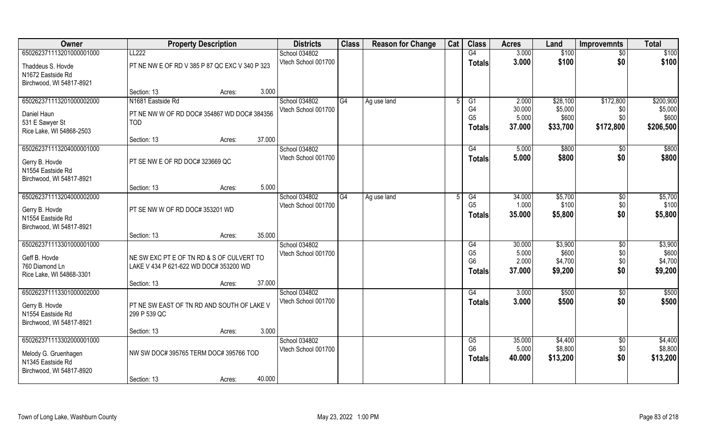| Owner                                         | <b>Property Description</b>                                                         |        |        | <b>Districts</b>                     | <b>Class</b> | <b>Reason for Change</b> | Cat | <b>Class</b>         | <b>Acres</b>    | Land             | <b>Improvemnts</b> | <b>Total</b>     |
|-----------------------------------------------|-------------------------------------------------------------------------------------|--------|--------|--------------------------------------|--------------|--------------------------|-----|----------------------|-----------------|------------------|--------------------|------------------|
| 650262371113201000001000                      | LL222                                                                               |        |        | School 034802                        |              |                          |     | G4                   | 3.000           | \$100            | $\sqrt{6}$         | \$100            |
| Thaddeus S. Hovde                             | PT NE NW E OF RD V 385 P 87 QC EXC V 340 P 323                                      |        |        | Vtech School 001700                  |              |                          |     | <b>Totals</b>        | 3.000           | \$100            | \$0                | \$100            |
| N1672 Eastside Rd                             |                                                                                     |        |        |                                      |              |                          |     |                      |                 |                  |                    |                  |
| Birchwood, WI 54817-8921                      |                                                                                     |        |        |                                      |              |                          |     |                      |                 |                  |                    |                  |
|                                               | Section: 13                                                                         | Acres: | 3.000  |                                      |              |                          |     |                      |                 |                  |                    |                  |
| 650262371113201000002000                      | N1681 Eastside Rd                                                                   |        |        | School 034802                        | G4           | Ag use land              |     | G1                   | 2.000           | \$28,100         | \$172,800          | \$200,900        |
| Daniel Haun                                   | PT NE NW W OF RD DOC# 354867 WD DOC# 384356                                         |        |        | Vtech School 001700                  |              |                          |     | G4<br>G <sub>5</sub> | 30.000<br>5.000 | \$5,000<br>\$600 | \$0<br>\$0         | \$5,000<br>\$600 |
| 531 E Sawyer St                               | <b>TOD</b>                                                                          |        |        |                                      |              |                          |     | <b>Totals</b>        | 37.000          | \$33,700         | \$172,800          | \$206,500        |
| Rice Lake, WI 54868-2503                      |                                                                                     |        |        |                                      |              |                          |     |                      |                 |                  |                    |                  |
|                                               | Section: 13                                                                         | Acres: | 37.000 |                                      |              |                          |     |                      |                 |                  |                    |                  |
| 650262371113204000001000                      |                                                                                     |        |        | School 034802<br>Vtech School 001700 |              |                          |     | G4                   | 5.000           | \$800<br>\$800   | $\sqrt{50}$<br>\$0 | \$800            |
| Gerry B. Hovde                                | PT SE NW E OF RD DOC# 323669 QC                                                     |        |        |                                      |              |                          |     | <b>Totals</b>        | 5.000           |                  |                    | \$800            |
| N1554 Eastside Rd                             |                                                                                     |        |        |                                      |              |                          |     |                      |                 |                  |                    |                  |
| Birchwood, WI 54817-8921                      |                                                                                     |        | 5.000  |                                      |              |                          |     |                      |                 |                  |                    |                  |
| 650262371113204000002000                      | Section: 13                                                                         | Acres: |        | School 034802                        | G4           | Ag use land              |     | G4                   | 34.000          | \$5,700          | \$0                | \$5,700          |
|                                               |                                                                                     |        |        | Vtech School 001700                  |              |                          |     | G <sub>5</sub>       | 1.000           | \$100            | \$0                | \$100            |
| Gerry B. Hovde                                | PT SE NW W OF RD DOC# 353201 WD                                                     |        |        |                                      |              |                          |     | <b>Totals</b>        | 35.000          | \$5,800          | \$0                | \$5,800          |
| N1554 Eastside Rd<br>Birchwood, WI 54817-8921 |                                                                                     |        |        |                                      |              |                          |     |                      |                 |                  |                    |                  |
|                                               | Section: 13                                                                         | Acres: | 35.000 |                                      |              |                          |     |                      |                 |                  |                    |                  |
| 650262371113301000001000                      |                                                                                     |        |        | School 034802                        |              |                          |     | G4                   | 30.000          | \$3,900          | $\sqrt[6]{30}$     | \$3,900          |
|                                               |                                                                                     |        |        | Vtech School 001700                  |              |                          |     | G <sub>5</sub>       | 5.000           | \$600            | \$0                | \$600            |
| Geff B. Hovde<br>760 Diamond Ln               | NE SW EXC PT E OF TN RD & S OF CULVERT TO<br>LAKE V 434 P 621-622 WD DOC# 353200 WD |        |        |                                      |              |                          |     | G <sub>6</sub>       | 2.000           | \$4,700          | \$0                | \$4,700          |
| Rice Lake, WI 54868-3301                      |                                                                                     |        |        |                                      |              |                          |     | <b>Totals</b>        | 37.000          | \$9,200          | \$0                | \$9,200          |
|                                               | Section: 13                                                                         | Acres: | 37.000 |                                      |              |                          |     |                      |                 |                  |                    |                  |
| 650262371113301000002000                      |                                                                                     |        |        | School 034802                        |              |                          |     | G4                   | 3.000           | \$500            | \$0                | \$500            |
| Gerry B. Hovde                                | PT NE SW EAST OF TN RD AND SOUTH OF LAKE V                                          |        |        | Vtech School 001700                  |              |                          |     | <b>Totals</b>        | 3.000           | \$500            | \$0                | \$500            |
| N1554 Eastside Rd                             | 299 P 539 QC                                                                        |        |        |                                      |              |                          |     |                      |                 |                  |                    |                  |
| Birchwood, WI 54817-8921                      |                                                                                     |        |        |                                      |              |                          |     |                      |                 |                  |                    |                  |
|                                               | Section: 13                                                                         | Acres: | 3.000  |                                      |              |                          |     |                      |                 |                  |                    |                  |
| 650262371113302000001000                      |                                                                                     |        |        | School 034802                        |              |                          |     | G5                   | 35.000          | \$4,400          | $\sqrt{$0}$        | \$4,400          |
| Melody G. Gruenhagen                          | NW SW DOC# 395765 TERM DOC# 395766 TOD                                              |        |        | Vtech School 001700                  |              |                          |     | G <sub>6</sub>       | 5.000           | \$8,800          | \$0                | \$8,800          |
| N1345 Eastside Rd                             |                                                                                     |        |        |                                      |              |                          |     | Totals               | 40.000          | \$13,200         | \$0                | \$13,200         |
| Birchwood, WI 54817-8920                      |                                                                                     |        |        |                                      |              |                          |     |                      |                 |                  |                    |                  |
|                                               | Section: 13                                                                         | Acres: | 40.000 |                                      |              |                          |     |                      |                 |                  |                    |                  |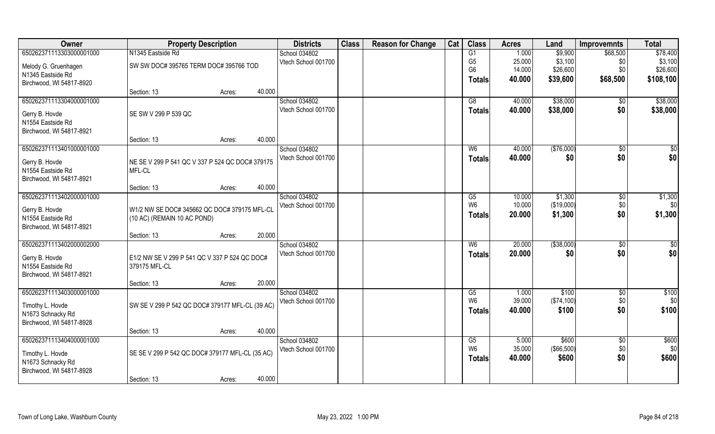| Owner                    | <b>Property Description</b>                     |        |        | <b>Districts</b>    | <b>Class</b> | <b>Reason for Change</b> | Cat | <b>Class</b>   | <b>Acres</b> | Land        | <b>Improvemnts</b> | <b>Total</b>    |
|--------------------------|-------------------------------------------------|--------|--------|---------------------|--------------|--------------------------|-----|----------------|--------------|-------------|--------------------|-----------------|
| 650262371113303000001000 | N1345 Eastside Rd                               |        |        | School 034802       |              |                          |     | G1             | 1.000        | \$9,900     | \$68,500           | \$78,400        |
| Melody G. Gruenhagen     | SW SW DOC# 395765 TERM DOC# 395766 TOD          |        |        | Vtech School 001700 |              |                          |     | G <sub>5</sub> | 25.000       | \$3,100     | \$0                | \$3,100         |
| N1345 Eastside Rd        |                                                 |        |        |                     |              |                          |     | G <sub>6</sub> | 14.000       | \$26,600    | \$0                | \$26,600        |
| Birchwood, WI 54817-8920 |                                                 |        |        |                     |              |                          |     | <b>Totals</b>  | 40.000       | \$39,600    | \$68,500           | \$108,100       |
|                          | Section: 13                                     | Acres: | 40.000 |                     |              |                          |     |                |              |             |                    |                 |
| 650262371113304000001000 |                                                 |        |        | School 034802       |              |                          |     | G8             | 40.000       | \$38,000    | \$0                | \$38,000        |
| Gerry B. Hovde           | SE SW V 299 P 539 QC                            |        |        | Vtech School 001700 |              |                          |     | <b>Totals</b>  | 40.000       | \$38,000    | \$0                | \$38,000        |
| N1554 Eastside Rd        |                                                 |        |        |                     |              |                          |     |                |              |             |                    |                 |
| Birchwood, WI 54817-8921 |                                                 |        |        |                     |              |                          |     |                |              |             |                    |                 |
|                          | Section: 13                                     | Acres: | 40.000 |                     |              |                          |     |                |              |             |                    |                 |
| 650262371113401000001000 |                                                 |        |        | School 034802       |              |                          |     | W <sub>6</sub> | 40.000       | (\$76,000)  | $\overline{50}$    | \$0             |
| Gerry B. Hovde           | NE SE V 299 P 541 QC V 337 P 524 QC DOC# 379175 |        |        | Vtech School 001700 |              |                          |     | <b>Totals</b>  | 40.000       | \$0         | \$0                | \$0             |
| N1554 Eastside Rd        | MFL-CL                                          |        |        |                     |              |                          |     |                |              |             |                    |                 |
| Birchwood, WI 54817-8921 |                                                 |        |        |                     |              |                          |     |                |              |             |                    |                 |
|                          | Section: 13                                     | Acres: | 40.000 |                     |              |                          |     |                |              |             |                    |                 |
| 650262371113402000001000 |                                                 |        |        | School 034802       |              |                          |     | G5             | 10.000       | \$1,300     | \$0                | \$1,300         |
| Gerry B. Hovde           | W1/2 NW SE DOC# 345662 QC DOC# 379175 MFL-CL    |        |        | Vtech School 001700 |              |                          |     | W <sub>6</sub> | 10.000       | (\$19,000)  | \$0                | \$0             |
| N1554 Eastside Rd        | (10 AC) (REMAIN 10 AC POND)                     |        |        |                     |              |                          |     | <b>Totals</b>  | 20.000       | \$1,300     | \$0                | \$1,300         |
| Birchwood, WI 54817-8921 |                                                 |        |        |                     |              |                          |     |                |              |             |                    |                 |
|                          | Section: 13                                     | Acres: | 20.000 |                     |              |                          |     |                |              |             |                    |                 |
| 650262371113402000002000 |                                                 |        |        | School 034802       |              |                          |     | W <sub>6</sub> | 20.000       | ( \$38,000) | \$0                | $\overline{50}$ |
| Gerry B. Hovde           | E1/2 NW SE V 299 P 541 QC V 337 P 524 QC DOC#   |        |        | Vtech School 001700 |              |                          |     | <b>Totals</b>  | 20.000       | \$0         | \$0                | \$0             |
| N1554 Eastside Rd        | 379175 MFL-CL                                   |        |        |                     |              |                          |     |                |              |             |                    |                 |
| Birchwood, WI 54817-8921 |                                                 |        |        |                     |              |                          |     |                |              |             |                    |                 |
|                          | Section: 13                                     | Acres: | 20.000 |                     |              |                          |     |                |              |             |                    |                 |
| 650262371113403000001000 |                                                 |        |        | School 034802       |              |                          |     | G5             | 1.000        | \$100       | $\overline{50}$    | \$100           |
| Timothy L. Hovde         | SW SE V 299 P 542 QC DOC# 379177 MFL-CL (39 AC) |        |        | Vtech School 001700 |              |                          |     | W <sub>6</sub> | 39.000       | (\$74,100)  | \$0                | \$0             |
| N1673 Schnacky Rd        |                                                 |        |        |                     |              |                          |     | <b>Totals</b>  | 40.000       | \$100       | \$0                | \$100           |
| Birchwood, WI 54817-8928 |                                                 |        |        |                     |              |                          |     |                |              |             |                    |                 |
|                          | Section: 13                                     | Acres: | 40.000 |                     |              |                          |     |                |              |             |                    |                 |
| 650262371113404000001000 |                                                 |        |        | School 034802       |              |                          |     | G5             | 5.000        | \$600       | $\overline{30}$    | \$600           |
| Timothy L. Hovde         | SE SE V 299 P 542 QC DOC# 379177 MFL-CL (35 AC) |        |        | Vtech School 001700 |              |                          |     | W <sub>6</sub> | 35.000       | (\$66,500)  | \$0                | \$0             |
| N1673 Schnacky Rd        |                                                 |        |        |                     |              |                          |     | <b>Totals</b>  | 40.000       | \$600       | \$0                | \$600           |
| Birchwood, WI 54817-8928 |                                                 |        |        |                     |              |                          |     |                |              |             |                    |                 |
|                          | Section: 13                                     | Acres: | 40.000 |                     |              |                          |     |                |              |             |                    |                 |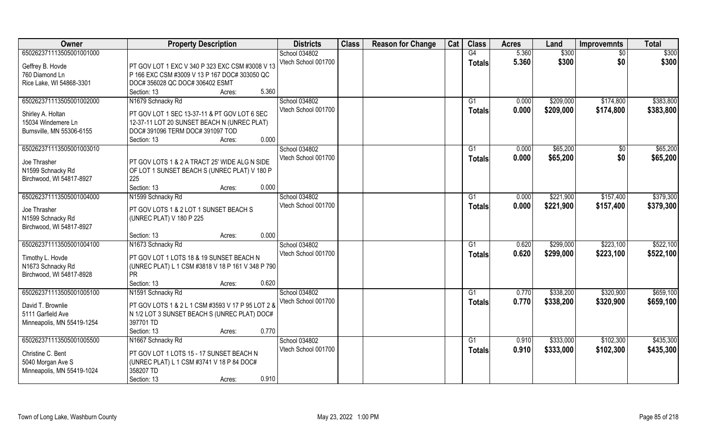| Owner                      | <b>Property Description</b>                       | <b>Districts</b>    | <b>Class</b> | <b>Reason for Change</b> | Cat | <b>Class</b>   | <b>Acres</b> | Land      | <b>Improvemnts</b> | <b>Total</b> |
|----------------------------|---------------------------------------------------|---------------------|--------------|--------------------------|-----|----------------|--------------|-----------|--------------------|--------------|
| 650262371113505001001000   |                                                   | School 034802       |              |                          |     | G4             | 5.360        | \$300     | $\overline{50}$    | \$300        |
| Geffrey B. Hovde           | PT GOV LOT 1 EXC V 340 P 323 EXC CSM #3008 V 13   | Vtech School 001700 |              |                          |     | <b>Totals</b>  | 5.360        | \$300     | \$0                | \$300        |
| 760 Diamond Ln             | P 166 EXC CSM #3009 V 13 P 167 DOC# 303050 QC     |                     |              |                          |     |                |              |           |                    |              |
| Rice Lake, WI 54868-3301   | DOC# 356028 QC DOC# 306402 ESMT                   |                     |              |                          |     |                |              |           |                    |              |
|                            | 5.360<br>Section: 13<br>Acres:                    |                     |              |                          |     |                |              |           |                    |              |
| 650262371113505001002000   | N1679 Schnacky Rd                                 | School 034802       |              |                          |     | G <sub>1</sub> | 0.000        | \$209,000 | \$174,800          | \$383,800    |
|                            |                                                   | Vtech School 001700 |              |                          |     | <b>Totals</b>  | 0.000        | \$209,000 | \$174,800          | \$383,800    |
| Shirley A. Holtan          | PT GOV LOT 1 SEC 13-37-11 & PT GOV LOT 6 SEC      |                     |              |                          |     |                |              |           |                    |              |
| 15034 Windemere Ln         | 12-37-11 LOT 20 SUNSET BEACH N (UNREC PLAT)       |                     |              |                          |     |                |              |           |                    |              |
| Burnsville, MN 55306-6155  | DOC# 391096 TERM DOC# 391097 TOD                  |                     |              |                          |     |                |              |           |                    |              |
|                            | 0.000<br>Section: 13<br>Acres:                    |                     |              |                          |     |                |              |           |                    |              |
| 650262371113505001003010   |                                                   | School 034802       |              |                          |     | G1             | 0.000        | \$65,200  | \$0                | \$65,200     |
| Joe Thrasher               | PT GOV LOTS 1 & 2 A TRACT 25' WIDE ALG N SIDE     | Vtech School 001700 |              |                          |     | <b>Totals</b>  | 0.000        | \$65,200  | \$0                | \$65,200     |
| N1599 Schnacky Rd          | OF LOT 1 SUNSET BEACH S (UNREC PLAT) V 180 P      |                     |              |                          |     |                |              |           |                    |              |
| Birchwood, WI 54817-8927   | 225                                               |                     |              |                          |     |                |              |           |                    |              |
|                            | 0.000<br>Section: 13<br>Acres:                    |                     |              |                          |     |                |              |           |                    |              |
| 650262371113505001004000   | N1599 Schnacky Rd                                 | School 034802       |              |                          |     | G <sub>1</sub> | 0.000        | \$221,900 | \$157,400          | \$379,300    |
|                            |                                                   | Vtech School 001700 |              |                          |     | <b>Totals</b>  | 0.000        | \$221,900 | \$157,400          | \$379,300    |
| Joe Thrasher               | PT GOV LOTS 1 & 2 LOT 1 SUNSET BEACH S            |                     |              |                          |     |                |              |           |                    |              |
| N1599 Schnacky Rd          | (UNREC PLAT) V 180 P 225                          |                     |              |                          |     |                |              |           |                    |              |
| Birchwood, WI 54817-8927   |                                                   |                     |              |                          |     |                |              |           |                    |              |
|                            | 0.000<br>Section: 13<br>Acres:                    |                     |              |                          |     |                |              |           |                    |              |
| 650262371113505001004100   | N1673 Schnacky Rd                                 | School 034802       |              |                          |     | G1             | 0.620        | \$299,000 | \$223,100          | \$522,100    |
| Timothy L. Hovde           | PT GOV LOT 1 LOTS 18 & 19 SUNSET BEACH N          | Vtech School 001700 |              |                          |     | <b>Totals</b>  | 0.620        | \$299,000 | \$223,100          | \$522,100    |
| N1673 Schnacky Rd          | (UNREC PLAT) L 1 CSM #3818 V 18 P 161 V 348 P 790 |                     |              |                          |     |                |              |           |                    |              |
| Birchwood, WI 54817-8928   | PR.                                               |                     |              |                          |     |                |              |           |                    |              |
|                            | Section: 13<br>0.620<br>Acres:                    |                     |              |                          |     |                |              |           |                    |              |
| 650262371113505001005100   | N1591 Schnacky Rd                                 | School 034802       |              |                          |     | G1             | 0.770        | \$338,200 | \$320,900          | \$659,100    |
|                            |                                                   | Vtech School 001700 |              |                          |     | <b>Totals</b>  | 0.770        | \$338,200 | \$320,900          | \$659,100    |
| David T. Brownlie          | PT GOV LOTS 1 & 2 L 1 CSM #3593 V 17 P 95 LOT 2 & |                     |              |                          |     |                |              |           |                    |              |
| 5111 Garfield Ave          | N 1/2 LOT 3 SUNSET BEACH S (UNREC PLAT) DOC#      |                     |              |                          |     |                |              |           |                    |              |
| Minneapolis, MN 55419-1254 | 397701 TD                                         |                     |              |                          |     |                |              |           |                    |              |
|                            | 0.770<br>Section: 13<br>Acres:                    |                     |              |                          |     |                |              |           |                    |              |
| 650262371113505001005500   | N1667 Schnacky Rd                                 | School 034802       |              |                          |     | G1             | 0.910        | \$333,000 | \$102,300          | \$435,300    |
| Christine C. Bent          | PT GOV LOT 1 LOTS 15 - 17 SUNSET BEACH N          | Vtech School 001700 |              |                          |     | Totals         | 0.910        | \$333,000 | \$102,300          | \$435,300    |
| 5040 Morgan Ave S          | (UNREC PLAT) L 1 CSM #3741 V 18 P 84 DOC#         |                     |              |                          |     |                |              |           |                    |              |
| Minneapolis, MN 55419-1024 | 358207 TD                                         |                     |              |                          |     |                |              |           |                    |              |
|                            | 0.910<br>Section: 13<br>Acres:                    |                     |              |                          |     |                |              |           |                    |              |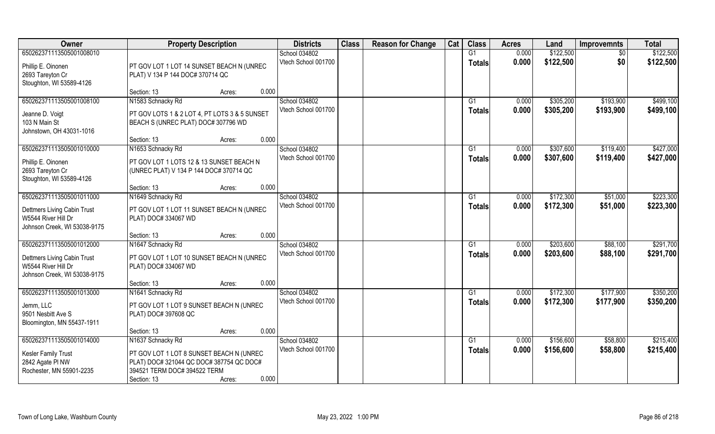| Owner                        | <b>Property Description</b>                   | <b>Districts</b>    | <b>Class</b> | <b>Reason for Change</b> | Cat | <b>Class</b>    | <b>Acres</b> | Land      | <b>Improvemnts</b> | <b>Total</b> |
|------------------------------|-----------------------------------------------|---------------------|--------------|--------------------------|-----|-----------------|--------------|-----------|--------------------|--------------|
| 650262371113505001008010     |                                               | School 034802       |              |                          |     | $\overline{G1}$ | 0.000        | \$122,500 | $\overline{50}$    | \$122,500    |
| Phillip E. Oinonen           | PT GOV LOT 1 LOT 14 SUNSET BEACH N (UNREC     | Vtech School 001700 |              |                          |     | <b>Totals</b>   | 0.000        | \$122,500 | \$0                | \$122,500    |
| 2693 Tareyton Cr             | PLAT) V 134 P 144 DOC# 370714 QC              |                     |              |                          |     |                 |              |           |                    |              |
| Stoughton, WI 53589-4126     |                                               |                     |              |                          |     |                 |              |           |                    |              |
|                              | 0.000<br>Section: 13<br>Acres:                |                     |              |                          |     |                 |              |           |                    |              |
| 650262371113505001008100     | N1583 Schnacky Rd                             | School 034802       |              |                          |     | G1              | 0.000        | \$305,200 | \$193,900          | \$499,100    |
| Jeanne D. Voigt              | PT GOV LOTS 1 & 2 LOT 4, PT LOTS 3 & 5 SUNSET | Vtech School 001700 |              |                          |     | <b>Totals</b>   | 0.000        | \$305,200 | \$193,900          | \$499,100    |
| 103 N Main St                | BEACH S (UNREC PLAT) DOC# 307796 WD           |                     |              |                          |     |                 |              |           |                    |              |
| Johnstown, OH 43031-1016     |                                               |                     |              |                          |     |                 |              |           |                    |              |
|                              | 0.000<br>Section: 13<br>Acres:                |                     |              |                          |     |                 |              |           |                    |              |
| 650262371113505001010000     | N1653 Schnacky Rd                             | School 034802       |              |                          |     | G1              | 0.000        | \$307,600 | \$119,400          | \$427,000    |
| Phillip E. Oinonen           | PT GOV LOT 1 LOTS 12 & 13 SUNSET BEACH N      | Vtech School 001700 |              |                          |     | <b>Totals</b>   | 0.000        | \$307,600 | \$119,400          | \$427,000    |
| 2693 Tareyton Cr             | (UNREC PLAT) V 134 P 144 DOC# 370714 QC       |                     |              |                          |     |                 |              |           |                    |              |
| Stoughton, WI 53589-4126     |                                               |                     |              |                          |     |                 |              |           |                    |              |
|                              | 0.000<br>Section: 13<br>Acres:                |                     |              |                          |     |                 |              |           |                    |              |
| 650262371113505001011000     | N1649 Schnacky Rd                             | School 034802       |              |                          |     | G <sub>1</sub>  | 0.000        | \$172,300 | \$51,000           | \$223,300    |
| Dettmers Living Cabin Trust  | PT GOV LOT 1 LOT 11 SUNSET BEACH N (UNREC     | Vtech School 001700 |              |                          |     | <b>Totals</b>   | 0.000        | \$172,300 | \$51,000           | \$223,300    |
| W5544 River Hill Dr          | PLAT) DOC# 334067 WD                          |                     |              |                          |     |                 |              |           |                    |              |
| Johnson Creek, WI 53038-9175 |                                               |                     |              |                          |     |                 |              |           |                    |              |
|                              | 0.000<br>Section: 13<br>Acres:                |                     |              |                          |     |                 |              |           |                    |              |
| 650262371113505001012000     | N1647 Schnacky Rd                             | School 034802       |              |                          |     | G1              | 0.000        | \$203,600 | \$88,100           | \$291,700    |
| Dettmers Living Cabin Trust  | PT GOV LOT 1 LOT 10 SUNSET BEACH N (UNREC     | Vtech School 001700 |              |                          |     | <b>Totals</b>   | 0.000        | \$203,600 | \$88,100           | \$291,700    |
| W5544 River Hill Dr          | PLAT) DOC# 334067 WD                          |                     |              |                          |     |                 |              |           |                    |              |
| Johnson Creek, WI 53038-9175 |                                               |                     |              |                          |     |                 |              |           |                    |              |
|                              | 0.000<br>Section: 13<br>Acres:                |                     |              |                          |     |                 |              |           |                    |              |
| 650262371113505001013000     | N1641 Schnacky Rd                             | School 034802       |              |                          |     | G1              | 0.000        | \$172,300 | \$177,900          | \$350,200    |
| Jemm, LLC                    | PT GOV LOT 1 LOT 9 SUNSET BEACH N (UNREC      | Vtech School 001700 |              |                          |     | <b>Totals</b>   | 0.000        | \$172,300 | \$177,900          | \$350,200    |
| 9501 Nesbitt Ave S           | PLAT) DOC# 397608 QC                          |                     |              |                          |     |                 |              |           |                    |              |
| Bloomington, MN 55437-1911   |                                               |                     |              |                          |     |                 |              |           |                    |              |
|                              | 0.000<br>Section: 13<br>Acres:                |                     |              |                          |     |                 |              |           |                    |              |
| 650262371113505001014000     | N1637 Schnacky Rd                             | School 034802       |              |                          |     | G1              | 0.000        | \$156,600 | \$58,800           | \$215,400    |
| Kesler Family Trust          | PT GOV LOT 1 LOT 8 SUNSET BEACH N (UNREC      | Vtech School 001700 |              |                          |     | <b>Totals</b>   | 0.000        | \$156,600 | \$58,800           | \$215,400    |
| 2842 Agate PI NW             | PLAT) DOC# 321044 QC DOC# 387754 QC DOC#      |                     |              |                          |     |                 |              |           |                    |              |
| Rochester, MN 55901-2235     | 394521 TERM DOC# 394522 TERM                  |                     |              |                          |     |                 |              |           |                    |              |
|                              | 0.000<br>Section: 13<br>Acres:                |                     |              |                          |     |                 |              |           |                    |              |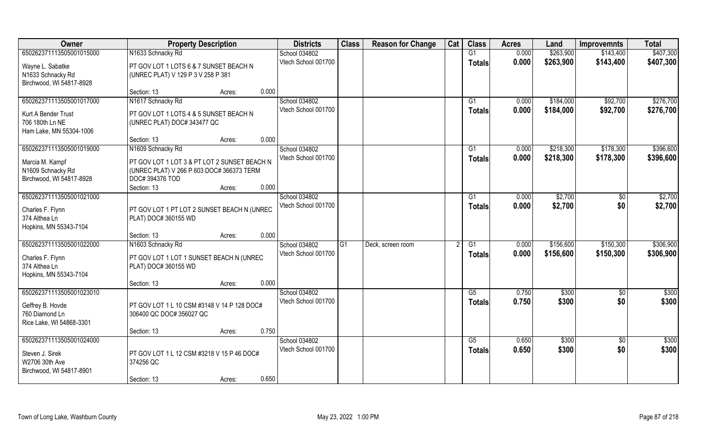| Owner                    | <b>Property Description</b>                  |                 | <b>Districts</b>    | <b>Class</b> | <b>Reason for Change</b> | Cat | <b>Class</b>  | <b>Acres</b> | Land      | <b>Improvemnts</b> | <b>Total</b> |
|--------------------------|----------------------------------------------|-----------------|---------------------|--------------|--------------------------|-----|---------------|--------------|-----------|--------------------|--------------|
| 650262371113505001015000 | N1633 Schnacky Rd                            |                 | School 034802       |              |                          |     | G1            | 0.000        | \$263,900 | \$143,400          | \$407,300    |
| Wayne L. Sabatke         | PT GOV LOT 1 LOTS 6 & 7 SUNSET BEACH N       |                 | Vtech School 001700 |              |                          |     | <b>Totals</b> | 0.000        | \$263,900 | \$143,400          | \$407,300    |
| N1633 Schnacky Rd        | (UNREC PLAT) V 129 P 3 V 258 P 381           |                 |                     |              |                          |     |               |              |           |                    |              |
| Birchwood, WI 54817-8928 |                                              |                 |                     |              |                          |     |               |              |           |                    |              |
|                          | Section: 13                                  | 0.000<br>Acres: |                     |              |                          |     |               |              |           |                    |              |
| 650262371113505001017000 | N1617 Schnacky Rd                            |                 | School 034802       |              |                          |     | G1            | 0.000        | \$184,000 | \$92,700           | \$276,700    |
| Kurt A Bender Trust      | PT GOV LOT 1 LOTS 4 & 5 SUNSET BEACH N       |                 | Vtech School 001700 |              |                          |     | <b>Totals</b> | 0.000        | \$184,000 | \$92,700           | \$276,700    |
| 706 180th Ln NE          | (UNREC PLAT) DOC# 343477 QC                  |                 |                     |              |                          |     |               |              |           |                    |              |
| Ham Lake, MN 55304-1006  |                                              |                 |                     |              |                          |     |               |              |           |                    |              |
|                          | Section: 13                                  | 0.000<br>Acres: |                     |              |                          |     |               |              |           |                    |              |
| 650262371113505001019000 | N1609 Schnacky Rd                            |                 | School 034802       |              |                          |     | G1            | 0.000        | \$218,300 | \$178,300          | \$396,600    |
| Marcia M. Kampf          | PT GOV LOT 1 LOT 3 & PT LOT 2 SUNSET BEACH N |                 | Vtech School 001700 |              |                          |     | <b>Totals</b> | 0.000        | \$218,300 | \$178,300          | \$396,600    |
| N1609 Schnacky Rd        | (UNREC PLAT) V 266 P 603 DOC# 366373 TERM    |                 |                     |              |                          |     |               |              |           |                    |              |
| Birchwood, WI 54817-8928 | DOC# 394376 TOD                              |                 |                     |              |                          |     |               |              |           |                    |              |
|                          | Section: 13                                  | 0.000<br>Acres: |                     |              |                          |     |               |              |           |                    |              |
| 650262371113505001021000 |                                              |                 | School 034802       |              |                          |     | G1            | 0.000        | \$2,700   | \$0                | \$2,700      |
| Charles F. Flynn         | PT GOV LOT 1 PT LOT 2 SUNSET BEACH N (UNREC  |                 | Vtech School 001700 |              |                          |     | <b>Totals</b> | 0.000        | \$2,700   | \$0                | \$2,700      |
| 374 Althea Ln            | PLAT) DOC# 360155 WD                         |                 |                     |              |                          |     |               |              |           |                    |              |
| Hopkins, MN 55343-7104   |                                              |                 |                     |              |                          |     |               |              |           |                    |              |
|                          | Section: 13                                  | 0.000<br>Acres: |                     |              |                          |     |               |              |           |                    |              |
| 650262371113505001022000 | N1603 Schnacky Rd                            |                 | School 034802       | G1           | Deck, screen room        |     | G1            | 0.000        | \$156,600 | \$150,300          | \$306,900    |
| Charles F. Flynn         | PT GOV LOT 1 LOT 1 SUNSET BEACH N (UNREC     |                 | Vtech School 001700 |              |                          |     | <b>Totals</b> | 0.000        | \$156,600 | \$150,300          | \$306,900    |
| 374 Althea Ln            | PLAT) DOC# 360155 WD                         |                 |                     |              |                          |     |               |              |           |                    |              |
| Hopkins, MN 55343-7104   |                                              |                 |                     |              |                          |     |               |              |           |                    |              |
|                          | Section: 13                                  | 0.000<br>Acres: |                     |              |                          |     |               |              |           |                    |              |
| 650262371113505001023010 |                                              |                 | School 034802       |              |                          |     | G5            | 0.750        | \$300     | $\sqrt{6}$         | \$300        |
| Geffrey B. Hovde         | PT GOV LOT 1 L 10 CSM #3148 V 14 P 128 DOC#  |                 | Vtech School 001700 |              |                          |     | <b>Totals</b> | 0.750        | \$300     | \$0                | \$300        |
| 760 Diamond Ln           | 306400 QC DOC# 356027 QC                     |                 |                     |              |                          |     |               |              |           |                    |              |
| Rice Lake, WI 54868-3301 |                                              |                 |                     |              |                          |     |               |              |           |                    |              |
|                          | Section: 13                                  | 0.750<br>Acres: |                     |              |                          |     |               |              |           |                    |              |
| 650262371113505001024000 |                                              |                 | School 034802       |              |                          |     | G5            | 0.650        | \$300     | $\overline{60}$    | \$300        |
| Steven J. Sirek          | PT GOV LOT 1 L 12 CSM #3218 V 15 P 46 DOC#   |                 | Vtech School 001700 |              |                          |     | <b>Totals</b> | 0.650        | \$300     | \$0                | \$300        |
| W2706 30th Ave           | 374256 QC                                    |                 |                     |              |                          |     |               |              |           |                    |              |
| Birchwood, WI 54817-8901 |                                              |                 |                     |              |                          |     |               |              |           |                    |              |
|                          | Section: 13                                  | 0.650<br>Acres: |                     |              |                          |     |               |              |           |                    |              |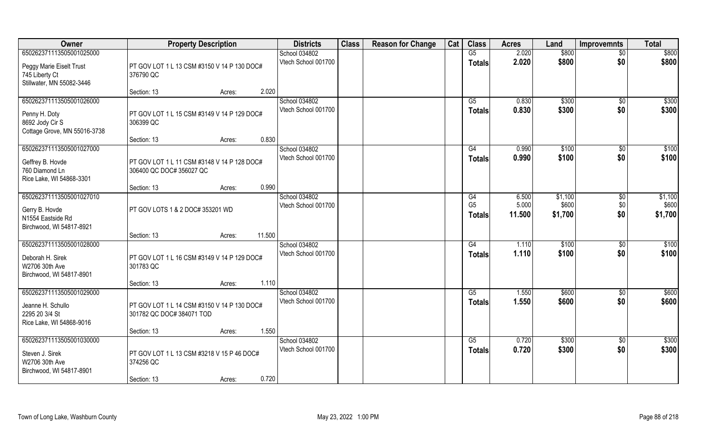| 650262371113505001025000                                                                     |                                                                          |        | School 034802                                 |  |                                       |                          |                             |                        |                             |
|----------------------------------------------------------------------------------------------|--------------------------------------------------------------------------|--------|-----------------------------------------------|--|---------------------------------------|--------------------------|-----------------------------|------------------------|-----------------------------|
|                                                                                              |                                                                          |        |                                               |  | G5                                    | 2.020                    | \$800                       | $\overline{50}$        | \$800                       |
| Peggy Marie Eiselt Trust<br>745 Liberty Ct<br>Stillwater, MN 55082-3446                      | PT GOV LOT 1 L 13 CSM #3150 V 14 P 130 DOC#<br>376790 QC                 |        | Vtech School 001700                           |  | <b>Totals</b>                         | 2.020                    | \$800                       | \$0                    | \$800                       |
|                                                                                              | Section: 13                                                              | Acres: | 2.020                                         |  |                                       |                          |                             |                        |                             |
| 650262371113505001026000<br>Penny H. Doty<br>8692 Jody Cir S<br>Cottage Grove, MN 55016-3738 | PT GOV LOT 1 L 15 CSM #3149 V 14 P 129 DOC#<br>306399 QC                 |        | School 034802<br>Vtech School 001700          |  | $\overline{G5}$<br><b>Totals</b>      | 0.830<br>0.830           | \$300<br>\$300              | \$0<br>\$0             | \$300<br>\$300              |
|                                                                                              | Section: 13                                                              | Acres: | 0.830                                         |  |                                       |                          |                             |                        |                             |
| 650262371113505001027000<br>Geffrey B. Hovde<br>760 Diamond Ln<br>Rice Lake, WI 54868-3301   | PT GOV LOT 1 L 11 CSM #3148 V 14 P 128 DOC#<br>306400 QC DOC# 356027 QC  |        | School 034802<br>Vtech School 001700          |  | G4<br>Totals                          | 0.990<br>0.990           | \$100<br>\$100              | \$0<br>\$0             | \$100<br>\$100              |
|                                                                                              | Section: 13                                                              | Acres: | 0.990                                         |  |                                       |                          |                             |                        |                             |
| 650262371113505001027010<br>Gerry B. Hovde<br>N1554 Eastside Rd<br>Birchwood, WI 54817-8921  | PT GOV LOTS 1 & 2 DOC# 353201 WD                                         |        | School 034802<br>Vtech School 001700          |  | G4<br>G <sub>5</sub><br><b>Totals</b> | 6.500<br>5.000<br>11.500 | \$1,100<br>\$600<br>\$1,700 | \$0<br>\$0<br>\$0      | \$1,100<br>\$600<br>\$1,700 |
|                                                                                              | Section: 13                                                              | Acres: | 11.500                                        |  |                                       |                          |                             |                        |                             |
| 650262371113505001028000<br>Deborah H. Sirek<br>W2706 30th Ave<br>Birchwood, WI 54817-8901   | PT GOV LOT 1 L 16 CSM #3149 V 14 P 129 DOC#<br>301783 QC                 |        | School 034802<br>Vtech School 001700          |  | $\overline{G4}$<br><b>Totals</b>      | 1.110<br>1.110           | \$100<br>\$100              | \$0<br>\$0             | \$100<br>\$100              |
|                                                                                              | Section: 13                                                              | Acres: | 1.110                                         |  |                                       |                          |                             |                        |                             |
| 650262371113505001029000<br>Jeanne H. Schullo<br>2295 20 3/4 St<br>Rice Lake, WI 54868-9016  | PT GOV LOT 1 L 14 CSM #3150 V 14 P 130 DOC#<br>301782 QC DOC# 384071 TOD |        | School 034802<br>Vtech School 001700          |  | G5<br><b>Totals</b>                   | 1.550<br>1.550           | \$600<br>\$600              | \$0<br>\$0             | \$600<br>\$600              |
|                                                                                              | Section: 13                                                              | Acres: | 1.550                                         |  |                                       |                          |                             |                        |                             |
| 650262371113505001030000<br>Steven J. Sirek<br>W2706 30th Ave<br>Birchwood, WI 54817-8901    | PT GOV LOT 1 L 13 CSM #3218 V 15 P 46 DOC#<br>374256 QC<br>Section: 13   | Acres: | School 034802<br>Vtech School 001700<br>0.720 |  | G5<br><b>Totals</b>                   | 0.720<br>0.720           | \$300<br>\$300              | $\overline{50}$<br>\$0 | \$300<br>\$300              |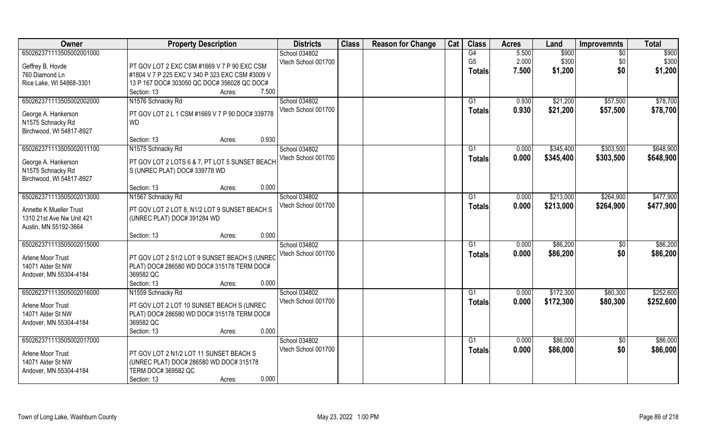| Owner                     | <b>Property Description</b>                     | <b>Districts</b>    | <b>Class</b> | <b>Reason for Change</b> | Cat | <b>Class</b>   | <b>Acres</b> | Land      | <b>Improvemnts</b> | <b>Total</b> |
|---------------------------|-------------------------------------------------|---------------------|--------------|--------------------------|-----|----------------|--------------|-----------|--------------------|--------------|
| 650262371113505002001000  |                                                 | School 034802       |              |                          |     | G4             | 5.500        | \$900     | $\overline{50}$    | \$900        |
| Geffrey B. Hovde          | PT GOV LOT 2 EXC CSM #1669 V 7 P 90 EXC CSM     | Vtech School 001700 |              |                          |     | G <sub>5</sub> | 2.000        | \$300     | \$0                | \$300        |
| 760 Diamond Ln            | #1804 V 7 P 225 EXC V 340 P 323 EXC CSM #3009 V |                     |              |                          |     | <b>Totals</b>  | 7.500        | \$1,200   | \$0                | \$1,200      |
| Rice Lake, WI 54868-3301  | 13 P 167 DOC# 303050 QC DOC# 356028 QC DOC#     |                     |              |                          |     |                |              |           |                    |              |
|                           | Section: 13<br>7.500<br>Acres:                  |                     |              |                          |     |                |              |           |                    |              |
| 650262371113505002002000  | N1576 Schnacky Rd                               | School 034802       |              |                          |     | G1             | 0.930        | \$21,200  | \$57,500           | \$78,700     |
|                           |                                                 | Vtech School 001700 |              |                          |     | <b>Totals</b>  | 0.930        | \$21,200  | \$57,500           | \$78,700     |
| George A. Hankerson       | PT GOV LOT 2 L 1 CSM #1669 V 7 P 90 DOC# 339778 |                     |              |                          |     |                |              |           |                    |              |
| N1575 Schnacky Rd         | <b>WD</b>                                       |                     |              |                          |     |                |              |           |                    |              |
| Birchwood, WI 54817-8927  |                                                 |                     |              |                          |     |                |              |           |                    |              |
|                           | 0.930<br>Section: 13<br>Acres:                  |                     |              |                          |     |                |              |           |                    |              |
| 650262371113505002011100  | N1575 Schnacky Rd                               | School 034802       |              |                          |     | G1             | 0.000        | \$345,400 | \$303,500          | \$648,900    |
| George A. Hankerson       | PT GOV LOT 2 LOTS 6 & 7, PT LOT 5 SUNSET BEACH  | Vtech School 001700 |              |                          |     | <b>Totals</b>  | 0.000        | \$345,400 | \$303,500          | \$648,900    |
| N1575 Schnacky Rd         | S (UNREC PLAT) DOC# 339778 WD                   |                     |              |                          |     |                |              |           |                    |              |
| Birchwood, WI 54817-8927  |                                                 |                     |              |                          |     |                |              |           |                    |              |
|                           | 0.000<br>Section: 13<br>Acres:                  |                     |              |                          |     |                |              |           |                    |              |
| 650262371113505002013000  | N1567 Schnacky Rd                               | School 034802       |              |                          |     | G1             | 0.000        | \$213,000 | \$264,900          | \$477,900    |
|                           |                                                 | Vtech School 001700 |              |                          |     | <b>Totals</b>  | 0.000        | \$213,000 | \$264,900          | \$477,900    |
| Annette K Mueller Trust   | PT GOV LOT 2 LOT 8, N1/2 LOT 9 SUNSET BEACH S   |                     |              |                          |     |                |              |           |                    |              |
| 1310 21st Ave Nw Unit 421 | (UNREC PLAT) DOC# 391284 WD                     |                     |              |                          |     |                |              |           |                    |              |
| Austin, MN 55192-3664     |                                                 |                     |              |                          |     |                |              |           |                    |              |
|                           | 0.000<br>Section: 13<br>Acres:                  |                     |              |                          |     |                |              |           |                    |              |
| 650262371113505002015000  |                                                 | School 034802       |              |                          |     | G1             | 0.000        | \$86,200  | $\overline{50}$    | \$86,200     |
| Arlene Moor Trust         | PT GOV LOT 2 S1/2 LOT 9 SUNSET BEACH S (UNREC   | Vtech School 001700 |              |                          |     | Totals         | 0.000        | \$86,200  | \$0                | \$86,200     |
| 14071 Alder St NW         | PLAT) DOC# 286580 WD DOC# 315178 TERM DOC#      |                     |              |                          |     |                |              |           |                    |              |
| Andover, MN 55304-4184    | 369582 QC                                       |                     |              |                          |     |                |              |           |                    |              |
|                           | 0.000<br>Section: 13<br>Acres:                  |                     |              |                          |     |                |              |           |                    |              |
| 650262371113505002016000  | N1559 Schnacky Rd                               | School 034802       |              |                          |     | G1             | 0.000        | \$172,300 | \$80,300           | \$252,600    |
|                           |                                                 | Vtech School 001700 |              |                          |     | <b>Totals</b>  | 0.000        | \$172,300 | \$80,300           | \$252,600    |
| Arlene Moor Trust         | PT GOV LOT 2 LOT 10 SUNSET BEACH S (UNREC       |                     |              |                          |     |                |              |           |                    |              |
| 14071 Alder St NW         | PLAT) DOC# 286580 WD DOC# 315178 TERM DOC#      |                     |              |                          |     |                |              |           |                    |              |
| Andover, MN 55304-4184    | 369582 QC                                       |                     |              |                          |     |                |              |           |                    |              |
|                           | 0.000<br>Section: 13<br>Acres:                  |                     |              |                          |     |                |              |           |                    |              |
| 650262371113505002017000  |                                                 | School 034802       |              |                          |     | G1             | 0.000        | \$86,000  | \$0                | \$86,000     |
| Arlene Moor Trust         | PT GOV LOT 2 N1/2 LOT 11 SUNSET BEACH S         | Vtech School 001700 |              |                          |     | <b>Totals</b>  | 0.000        | \$86,000  | \$0                | \$86,000     |
| 14071 Alder St NW         | (UNREC PLAT) DOC# 286580 WD DOC# 315178         |                     |              |                          |     |                |              |           |                    |              |
| Andover, MN 55304-4184    | <b>TERM DOC# 369582 QC</b>                      |                     |              |                          |     |                |              |           |                    |              |
|                           | 0.000<br>Section: 13<br>Acres:                  |                     |              |                          |     |                |              |           |                    |              |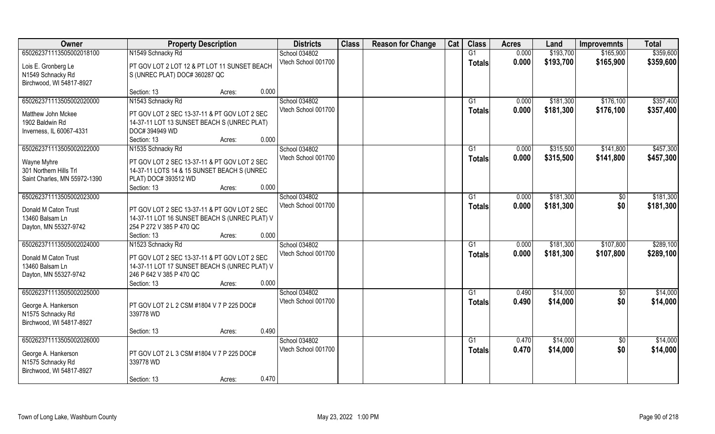| Owner                                 | <b>Property Description</b>                                                                 | <b>Districts</b>    | <b>Class</b> | <b>Reason for Change</b> | Cat | <b>Class</b>    | <b>Acres</b> | Land      | <b>Improvemnts</b> | <b>Total</b> |
|---------------------------------------|---------------------------------------------------------------------------------------------|---------------------|--------------|--------------------------|-----|-----------------|--------------|-----------|--------------------|--------------|
| 650262371113505002018100              | N1549 Schnacky Rd                                                                           | School 034802       |              |                          |     | G1              | 0.000        | \$193,700 | \$165,900          | \$359,600    |
| Lois E. Gronberg Le                   | PT GOV LOT 2 LOT 12 & PT LOT 11 SUNSET BEACH                                                | Vtech School 001700 |              |                          |     | <b>Totals</b>   | 0.000        | \$193,700 | \$165,900          | \$359,600    |
| N1549 Schnacky Rd                     | S (UNREC PLAT) DOC# 360287 QC                                                               |                     |              |                          |     |                 |              |           |                    |              |
| Birchwood, WI 54817-8927              |                                                                                             |                     |              |                          |     |                 |              |           |                    |              |
|                                       | 0.000<br>Section: 13<br>Acres:                                                              |                     |              |                          |     |                 |              |           |                    |              |
| 650262371113505002020000              | N1543 Schnacky Rd                                                                           | School 034802       |              |                          |     | G <sub>1</sub>  | 0.000        | \$181,300 | \$176,100          | \$357,400    |
| Matthew John Mckee                    | PT GOV LOT 2 SEC 13-37-11 & PT GOV LOT 2 SEC                                                | Vtech School 001700 |              |                          |     | <b>Totals</b>   | 0.000        | \$181,300 | \$176,100          | \$357,400    |
| 1902 Baldwin Rd                       | 14-37-11 LOT 13 SUNSET BEACH S (UNREC PLAT)                                                 |                     |              |                          |     |                 |              |           |                    |              |
| Inverness, IL 60067-4331              | DOC# 394949 WD                                                                              |                     |              |                          |     |                 |              |           |                    |              |
|                                       | 0.000<br>Section: 13<br>Acres:                                                              |                     |              |                          |     |                 |              |           |                    |              |
| 650262371113505002022000              | N1535 Schnacky Rd                                                                           | School 034802       |              |                          |     | G1              | 0.000        | \$315,500 | \$141,800          | \$457,300    |
|                                       |                                                                                             | Vtech School 001700 |              |                          |     | <b>Totals</b>   | 0.000        | \$315,500 | \$141,800          | \$457,300    |
| Wayne Myhre<br>301 Northern Hills Trl | PT GOV LOT 2 SEC 13-37-11 & PT GOV LOT 2 SEC<br>14-37-11 LOTS 14 & 15 SUNSET BEACH S (UNREC |                     |              |                          |     |                 |              |           |                    |              |
| Saint Charles, MN 55972-1390          | PLAT) DOC# 393512 WD                                                                        |                     |              |                          |     |                 |              |           |                    |              |
|                                       | 0.000<br>Section: 13<br>Acres:                                                              |                     |              |                          |     |                 |              |           |                    |              |
| 650262371113505002023000              |                                                                                             | School 034802       |              |                          |     | G1              | 0.000        | \$181,300 | $\frac{6}{3}$      | \$181,300    |
|                                       |                                                                                             | Vtech School 001700 |              |                          |     | <b>Totals</b>   | 0.000        | \$181,300 | \$0                | \$181,300    |
| Donald M Caton Trust                  | PT GOV LOT 2 SEC 13-37-11 & PT GOV LOT 2 SEC                                                |                     |              |                          |     |                 |              |           |                    |              |
| 13460 Balsam Ln                       | 14-37-11 LOT 16 SUNSET BEACH S (UNREC PLAT) V<br>254 P 272 V 385 P 470 QC                   |                     |              |                          |     |                 |              |           |                    |              |
| Dayton, MN 55327-9742                 | 0.000<br>Section: 13<br>Acres:                                                              |                     |              |                          |     |                 |              |           |                    |              |
| 650262371113505002024000              | N1523 Schnacky Rd                                                                           | School 034802       |              |                          |     | G1              | 0.000        | \$181,300 | \$107,800          | \$289,100    |
|                                       |                                                                                             | Vtech School 001700 |              |                          |     | <b>Totals</b>   | 0.000        | \$181,300 | \$107,800          | \$289,100    |
| Donald M Caton Trust                  | PT GOV LOT 2 SEC 13-37-11 & PT GOV LOT 2 SEC                                                |                     |              |                          |     |                 |              |           |                    |              |
| 13460 Balsam Ln                       | 14-37-11 LOT 17 SUNSET BEACH S (UNREC PLAT) V                                               |                     |              |                          |     |                 |              |           |                    |              |
| Dayton, MN 55327-9742                 | 246 P 642 V 385 P 470 QC                                                                    |                     |              |                          |     |                 |              |           |                    |              |
|                                       | 0.000<br>Section: 13<br>Acres:                                                              |                     |              |                          |     |                 |              |           |                    |              |
| 650262371113505002025000              |                                                                                             | School 034802       |              |                          |     | $\overline{G1}$ | 0.490        | \$14,000  | $\sqrt{$0}$        | \$14,000     |
| George A. Hankerson                   | PT GOV LOT 2 L 2 CSM #1804 V 7 P 225 DOC#                                                   | Vtech School 001700 |              |                          |     | <b>Totals</b>   | 0.490        | \$14,000  | \$0                | \$14,000     |
| N1575 Schnacky Rd                     | 339778 WD                                                                                   |                     |              |                          |     |                 |              |           |                    |              |
| Birchwood, WI 54817-8927              |                                                                                             |                     |              |                          |     |                 |              |           |                    |              |
|                                       | 0.490<br>Section: 13<br>Acres:                                                              |                     |              |                          |     |                 |              |           |                    |              |
| 650262371113505002026000              |                                                                                             | School 034802       |              |                          |     | G1              | 0.470        | \$14,000  | $\overline{50}$    | \$14,000     |
| George A. Hankerson                   | PT GOV LOT 2 L 3 CSM #1804 V 7 P 225 DOC#                                                   | Vtech School 001700 |              |                          |     | <b>Totals</b>   | 0.470        | \$14,000  | \$0                | \$14,000     |
| N1575 Schnacky Rd                     | 339778 WD                                                                                   |                     |              |                          |     |                 |              |           |                    |              |
| Birchwood, WI 54817-8927              |                                                                                             |                     |              |                          |     |                 |              |           |                    |              |
|                                       | 0.470<br>Section: 13<br>Acres:                                                              |                     |              |                          |     |                 |              |           |                    |              |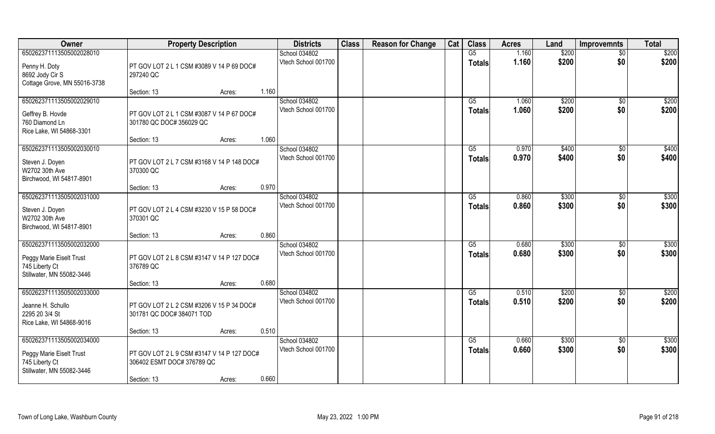| Owner                                                                                               | <b>Property Description</b>                                                                                | <b>Districts</b>                     | <b>Class</b> | <b>Reason for Change</b> | Cat | <b>Class</b>              | <b>Acres</b>   | Land           | <b>Improvemnts</b>     | <b>Total</b>   |
|-----------------------------------------------------------------------------------------------------|------------------------------------------------------------------------------------------------------------|--------------------------------------|--------------|--------------------------|-----|---------------------------|----------------|----------------|------------------------|----------------|
| 650262371113505002028010                                                                            |                                                                                                            | School 034802                        |              |                          |     | G5                        | 1.160          | \$200          | $\overline{50}$        | \$200          |
| Penny H. Doty<br>8692 Jody Cir S<br>Cottage Grove, MN 55016-3738                                    | PT GOV LOT 2 L 1 CSM #3089 V 14 P 69 DOC#<br>297240 QC                                                     | Vtech School 001700                  |              |                          |     | <b>Totals</b>             | 1.160          | \$200          | \$0                    | \$200          |
|                                                                                                     | 1.160<br>Section: 13<br>Acres:                                                                             |                                      |              |                          |     |                           |                |                |                        |                |
| 650262371113505002029010<br>Geffrey B. Hovde<br>760 Diamond Ln<br>Rice Lake, WI 54868-3301          | PT GOV LOT 2 L 1 CSM #3087 V 14 P 67 DOC#<br>301780 QC DOC# 356029 QC                                      | School 034802<br>Vtech School 001700 |              |                          |     | $\overline{G5}$<br>Totals | 1.060<br>1.060 | \$200<br>\$200 | \$0<br>\$0             | \$200<br>\$200 |
|                                                                                                     | 1.060<br>Section: 13<br>Acres:                                                                             |                                      |              |                          |     |                           |                |                |                        |                |
| 650262371113505002030010<br>Steven J. Doyen<br>W2702 30th Ave<br>Birchwood, WI 54817-8901           | PT GOV LOT 2 L 7 CSM #3168 V 14 P 148 DOC#<br>370300 QC                                                    | School 034802<br>Vtech School 001700 |              |                          |     | G5<br><b>Totals</b>       | 0.970<br>0.970 | \$400<br>\$400 | $\sqrt{6}$<br>\$0      | \$400<br>\$400 |
|                                                                                                     | 0.970<br>Section: 13<br>Acres:                                                                             |                                      |              |                          |     |                           |                |                |                        |                |
| 650262371113505002031000<br>Steven J. Doyen<br>W2702 30th Ave<br>Birchwood, WI 54817-8901           | PT GOV LOT 2 L 4 CSM #3230 V 15 P 58 DOC#<br>370301 QC                                                     | School 034802<br>Vtech School 001700 |              |                          |     | G5<br><b>Totals</b>       | 0.860<br>0.860 | \$300<br>\$300 | \$0<br>\$0             | \$300<br>\$300 |
|                                                                                                     | 0.860<br>Section: 13<br>Acres:                                                                             |                                      |              |                          |     |                           |                |                |                        |                |
| 650262371113505002032000<br>Peggy Marie Eiselt Trust<br>745 Liberty Ct<br>Stillwater, MN 55082-3446 | PT GOV LOT 2 L 8 CSM #3147 V 14 P 127 DOC#<br>376789 QC                                                    | School 034802<br>Vtech School 001700 |              |                          |     | G5<br><b>Totals</b>       | 0.680<br>0.680 | \$300<br>\$300 | $\sqrt[6]{30}$<br>\$0  | \$300<br>\$300 |
| 650262371113505002033000                                                                            | 0.680<br>Section: 13<br>Acres:                                                                             | School 034802                        |              |                          |     | G5                        | 0.510          | \$200          | $\sqrt{$0}$            | \$200          |
| Jeanne H. Schullo<br>2295 20 3/4 St<br>Rice Lake, WI 54868-9016                                     | PT GOV LOT 2 L 2 CSM #3206 V 15 P 34 DOC#<br>301781 QC DOC# 384071 TOD                                     | Vtech School 001700                  |              |                          |     | <b>Totals</b>             | 0.510          | \$200          | \$0                    | \$200          |
|                                                                                                     | 0.510<br>Section: 13<br>Acres:                                                                             |                                      |              |                          |     |                           |                |                |                        |                |
| 650262371113505002034000<br>Peggy Marie Eiselt Trust<br>745 Liberty Ct<br>Stillwater, MN 55082-3446 | PT GOV LOT 2 L 9 CSM #3147 V 14 P 127 DOC#<br>306402 ESMT DOC# 376789 QC<br>0.660<br>Section: 13<br>Acres: | School 034802<br>Vtech School 001700 |              |                          |     | G5<br><b>Totals</b>       | 0.660<br>0.660 | \$300<br>\$300 | $\overline{50}$<br>\$0 | \$300<br>\$300 |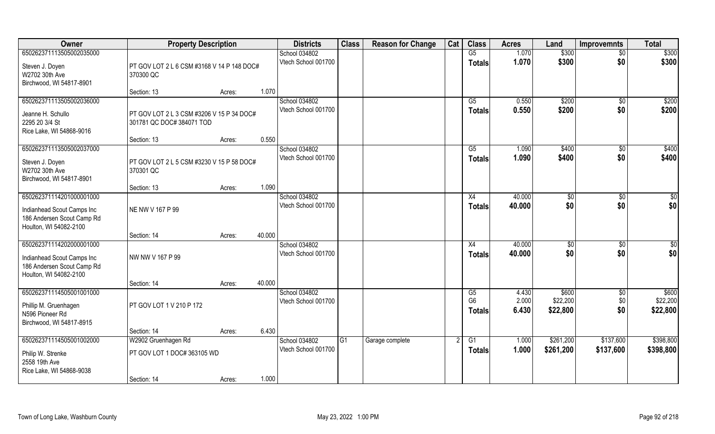| Owner                                                                                                          | <b>Property Description</b>                                            |                  | <b>Districts</b>                     | <b>Class</b> | <b>Reason for Change</b> | Cat | <b>Class</b>                          | <b>Acres</b>            | Land                          | <b>Improvemnts</b>     | <b>Total</b>                  |
|----------------------------------------------------------------------------------------------------------------|------------------------------------------------------------------------|------------------|--------------------------------------|--------------|--------------------------|-----|---------------------------------------|-------------------------|-------------------------------|------------------------|-------------------------------|
| 650262371113505002035000                                                                                       |                                                                        |                  | School 034802                        |              |                          |     | G5                                    | 1.070                   | \$300                         | $\overline{50}$        | \$300                         |
| Steven J. Doyen<br>W2702 30th Ave<br>Birchwood, WI 54817-8901                                                  | PT GOV LOT 2 L 6 CSM #3168 V 14 P 148 DOC#<br>370300 QC                |                  | Vtech School 001700                  |              |                          |     | <b>Totals</b>                         | 1.070                   | \$300                         | \$0                    | \$300                         |
|                                                                                                                | Section: 13                                                            | 1.070<br>Acres:  |                                      |              |                          |     |                                       |                         |                               |                        |                               |
| 650262371113505002036000<br>Jeanne H. Schullo<br>2295 20 3/4 St                                                | PT GOV LOT 2 L 3 CSM #3206 V 15 P 34 DOC#<br>301781 QC DOC# 384071 TOD |                  | School 034802<br>Vtech School 001700 |              |                          |     | G5<br><b>Totals</b>                   | 0.550<br>0.550          | \$200<br>\$200                | $\overline{50}$<br>\$0 | \$200<br>\$200                |
| Rice Lake, WI 54868-9016                                                                                       | Section: 13                                                            | 0.550<br>Acres:  |                                      |              |                          |     |                                       |                         |                               |                        |                               |
| 650262371113505002037000                                                                                       |                                                                        |                  | School 034802                        |              |                          |     | G5                                    | 1.090                   | \$400                         | $\sqrt[6]{30}$         | \$400                         |
| Steven J. Doyen<br>W2702 30th Ave<br>Birchwood, WI 54817-8901                                                  | PT GOV LOT 2 L 5 CSM #3230 V 15 P 58 DOC#<br>370301 QC                 |                  | Vtech School 001700                  |              |                          |     | <b>Totals</b>                         | 1.090                   | \$400                         | \$0                    | \$400                         |
|                                                                                                                | Section: 13                                                            | 1.090<br>Acres:  |                                      |              |                          |     |                                       |                         |                               |                        |                               |
| 650262371114201000001000<br>Indianhead Scout Camps Inc<br>186 Andersen Scout Camp Rd<br>Houlton, WI 54082-2100 | NE NW V 167 P 99                                                       |                  | School 034802<br>Vtech School 001700 |              |                          |     | X4<br><b>Totals</b>                   | 40.000<br>40.000        | $\frac{1}{20}$<br>\$0         | $\sqrt[6]{3}$<br>\$0   | \$0<br>\$0                    |
|                                                                                                                | Section: 14                                                            | 40.000<br>Acres: |                                      |              |                          |     |                                       |                         |                               |                        |                               |
| 650262371114202000001000<br>Indianhead Scout Camps Inc<br>186 Andersen Scout Camp Rd<br>Houlton, WI 54082-2100 | NW NW V 167 P 99                                                       |                  | School 034802<br>Vtech School 001700 |              |                          |     | X4<br><b>Totals</b>                   | 40.000<br>40.000        | \$0<br>\$0                    | $\sqrt[6]{30}$<br>\$0  | \$0<br>\$0                    |
|                                                                                                                | Section: 14                                                            | 40.000<br>Acres: |                                      |              |                          |     |                                       |                         |                               |                        |                               |
| 650262371114505001001000<br>Phillip M. Gruenhagen<br>N596 Pioneer Rd<br>Birchwood, WI 54817-8915               | PT GOV LOT 1 V 210 P 172                                               |                  | School 034802<br>Vtech School 001700 |              |                          |     | G5<br>G <sub>6</sub><br><b>Totals</b> | 4.430<br>2.000<br>6.430 | \$600<br>\$22,200<br>\$22,800 | \$0<br>\$0<br>\$0      | \$600<br>\$22,200<br>\$22,800 |
|                                                                                                                | Section: 14                                                            | 6.430<br>Acres:  |                                      |              |                          |     |                                       |                         |                               |                        |                               |
| 650262371114505001002000                                                                                       | W2902 Gruenhagen Rd                                                    |                  | School 034802                        | G1           | Garage complete          |     | G1                                    | 1.000                   | \$261,200                     | \$137,600              | \$398,800                     |
| Philip W. Strenke<br>2558 19th Ave<br>Rice Lake, WI 54868-9038                                                 | PT GOV LOT 1 DOC# 363105 WD                                            |                  | Vtech School 001700                  |              |                          |     | <b>Totals</b>                         | 1.000                   | \$261,200                     | \$137,600              | \$398,800                     |
|                                                                                                                | Section: 14                                                            | 1.000<br>Acres:  |                                      |              |                          |     |                                       |                         |                               |                        |                               |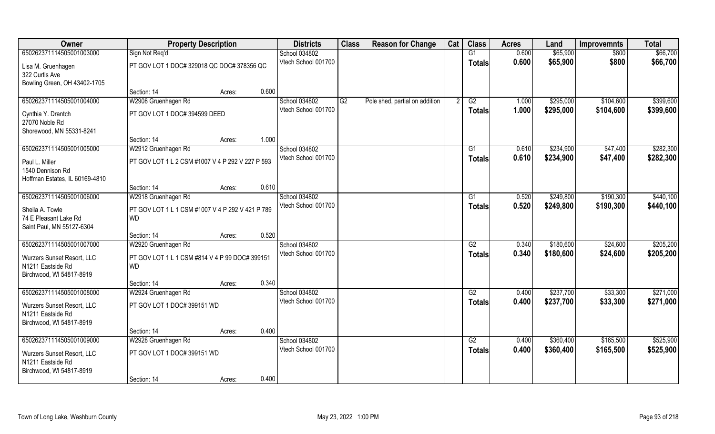| Owner                                                                       | <b>Property Description</b>                                   |        |       | <b>Districts</b>    | <b>Class</b> | <b>Reason for Change</b>       | Cat | <b>Class</b>    | <b>Acres</b> | Land      | <b>Improvemnts</b> | <b>Total</b> |
|-----------------------------------------------------------------------------|---------------------------------------------------------------|--------|-------|---------------------|--------------|--------------------------------|-----|-----------------|--------------|-----------|--------------------|--------------|
| 650262371114505001003000                                                    | Sign Not Req'd                                                |        |       | School 034802       |              |                                |     | G1              | 0.600        | \$65,900  | \$800              | \$66,700     |
| Lisa M. Gruenhagen<br>322 Curtis Ave<br>Bowling Green, OH 43402-1705        | PT GOV LOT 1 DOC# 329018 QC DOC# 378356 QC                    |        |       | Vtech School 001700 |              |                                |     | <b>Totals</b>   | 0.600        | \$65,900  | \$800              | \$66,700     |
|                                                                             | Section: 14                                                   | Acres: | 0.600 |                     |              |                                |     |                 |              |           |                    |              |
| 650262371114505001004000                                                    | W2908 Gruenhagen Rd                                           |        |       | School 034802       | G2           | Pole shed, partial on addition | 2   | G2              | 1.000        | \$295,000 | \$104,600          | \$399,600    |
| Cynthia Y. Drantch<br>27070 Noble Rd<br>Shorewood, MN 55331-8241            | PT GOV LOT 1 DOC# 394599 DEED                                 |        |       | Vtech School 001700 |              |                                |     | <b>Totals</b>   | 1.000        | \$295,000 | \$104,600          | \$399,600    |
|                                                                             | Section: 14                                                   | Acres: | 1.000 |                     |              |                                |     |                 |              |           |                    |              |
| 650262371114505001005000                                                    | W2912 Gruenhagen Rd                                           |        |       | School 034802       |              |                                |     | G1              | 0.610        | \$234,900 | \$47,400           | \$282,300    |
| Paul L. Miller<br>1540 Dennison Rd<br>Hoffman Estates, IL 60169-4810        | PT GOV LOT 1 L 2 CSM #1007 V 4 P 292 V 227 P 593              |        |       | Vtech School 001700 |              |                                |     | <b>Totals</b>   | 0.610        | \$234,900 | \$47,400           | \$282,300    |
|                                                                             | Section: 14                                                   | Acres: | 0.610 |                     |              |                                |     |                 |              |           |                    |              |
| 650262371114505001006000                                                    | W2918 Gruenhagen Rd                                           |        |       | School 034802       |              |                                |     | G1              | 0.520        | \$249,800 | \$190,300          | \$440,100    |
| Sheila A. Towle<br>74 E Pleasant Lake Rd<br>Saint Paul, MN 55127-6304       | PT GOV LOT 1 L 1 CSM #1007 V 4 P 292 V 421 P 789<br><b>WD</b> |        |       | Vtech School 001700 |              |                                |     | <b>Totals</b>   | 0.520        | \$249,800 | \$190,300          | \$440,100    |
|                                                                             | Section: 14                                                   | Acres: | 0.520 |                     |              |                                |     |                 |              |           |                    |              |
| 650262371114505001007000                                                    | W2920 Gruenhagen Rd                                           |        |       | School 034802       |              |                                |     | $\overline{G2}$ | 0.340        | \$180,600 | \$24,600           | \$205,200    |
| Wurzers Sunset Resort, LLC<br>N1211 Eastside Rd<br>Birchwood, WI 54817-8919 | PT GOV LOT 1 L 1 CSM #814 V 4 P 99 DOC# 399151<br><b>WD</b>   |        |       | Vtech School 001700 |              |                                |     | <b>Totals</b>   | 0.340        | \$180,600 | \$24,600           | \$205,200    |
|                                                                             | Section: 14                                                   | Acres: | 0.340 |                     |              |                                |     |                 |              |           |                    |              |
| 650262371114505001008000                                                    | W2924 Gruenhagen Rd                                           |        |       | School 034802       |              |                                |     | G2              | 0.400        | \$237,700 | \$33,300           | \$271,000    |
| Wurzers Sunset Resort, LLC<br>N1211 Eastside Rd<br>Birchwood, WI 54817-8919 | PT GOV LOT 1 DOC# 399151 WD                                   |        |       | Vtech School 001700 |              |                                |     | <b>Totals</b>   | 0.400        | \$237,700 | \$33,300           | \$271,000    |
|                                                                             | Section: 14                                                   | Acres: | 0.400 |                     |              |                                |     |                 |              |           |                    |              |
| 650262371114505001009000                                                    | W2928 Gruenhagen Rd                                           |        |       | School 034802       |              |                                |     | G2              | 0.400        | \$360,400 | \$165,500          | \$525,900    |
| Wurzers Sunset Resort, LLC<br>N1211 Eastside Rd<br>Birchwood, WI 54817-8919 | PT GOV LOT 1 DOC# 399151 WD                                   |        |       | Vtech School 001700 |              |                                |     | <b>Totals</b>   | 0.400        | \$360,400 | \$165,500          | \$525,900    |
|                                                                             | Section: 14                                                   | Acres: | 0.400 |                     |              |                                |     |                 |              |           |                    |              |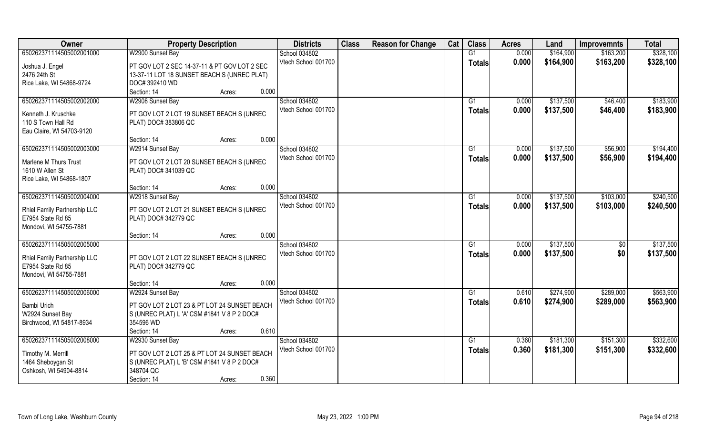| Owner                        | <b>Property Description</b>                  | <b>Districts</b>    | <b>Class</b> | <b>Reason for Change</b> | Cat | <b>Class</b>  | <b>Acres</b> | Land      | <b>Improvemnts</b> | <b>Total</b> |
|------------------------------|----------------------------------------------|---------------------|--------------|--------------------------|-----|---------------|--------------|-----------|--------------------|--------------|
| 650262371114505002001000     | W2900 Sunset Bay                             | School 034802       |              |                          |     | G1            | 0.000        | \$164,900 | \$163,200          | \$328,100    |
| Joshua J. Engel              | PT GOV LOT 2 SEC 14-37-11 & PT GOV LOT 2 SEC | Vtech School 001700 |              |                          |     | <b>Totals</b> | 0.000        | \$164,900 | \$163,200          | \$328,100    |
| 2476 24th St                 | 13-37-11 LOT 18 SUNSET BEACH S (UNREC PLAT)  |                     |              |                          |     |               |              |           |                    |              |
| Rice Lake, WI 54868-9724     | DOC# 392410 WD                               |                     |              |                          |     |               |              |           |                    |              |
|                              | Section: 14<br>0.000<br>Acres:               |                     |              |                          |     |               |              |           |                    |              |
| 650262371114505002002000     | W2908 Sunset Bay                             | School 034802       |              |                          |     | G1            | 0.000        | \$137,500 | \$46,400           | \$183,900    |
|                              |                                              | Vtech School 001700 |              |                          |     | Totals        | 0.000        | \$137,500 | \$46,400           | \$183,900    |
| Kenneth J. Kruschke          | PT GOV LOT 2 LOT 19 SUNSET BEACH S (UNREC    |                     |              |                          |     |               |              |           |                    |              |
| 110 S Town Hall Rd           | PLAT) DOC# 383806 QC                         |                     |              |                          |     |               |              |           |                    |              |
| Eau Claire, WI 54703-9120    |                                              |                     |              |                          |     |               |              |           |                    |              |
|                              | 0.000<br>Section: 14<br>Acres:               |                     |              |                          |     |               |              |           |                    |              |
| 650262371114505002003000     | W2914 Sunset Bay                             | School 034802       |              |                          |     | G1            | 0.000        | \$137,500 | \$56,900           | \$194,400    |
| Marlene M Thurs Trust        | PT GOV LOT 2 LOT 20 SUNSET BEACH S (UNREC    | Vtech School 001700 |              |                          |     | <b>Totals</b> | 0.000        | \$137,500 | \$56,900           | \$194,400    |
| 1610 W Allen St              | PLAT) DOC# 341039 QC                         |                     |              |                          |     |               |              |           |                    |              |
| Rice Lake, WI 54868-1807     |                                              |                     |              |                          |     |               |              |           |                    |              |
|                              | 0.000<br>Section: 14<br>Acres:               |                     |              |                          |     |               |              |           |                    |              |
| 650262371114505002004000     | W2918 Sunset Bay                             | School 034802       |              |                          |     | G1            | 0.000        | \$137,500 | \$103,000          | \$240,500    |
|                              |                                              | Vtech School 001700 |              |                          |     | <b>Totals</b> | 0.000        | \$137,500 | \$103,000          | \$240,500    |
| Rhiel Family Partnership LLC | PT GOV LOT 2 LOT 21 SUNSET BEACH S (UNREC    |                     |              |                          |     |               |              |           |                    |              |
| E7954 State Rd 85            | PLAT) DOC# 342779 QC                         |                     |              |                          |     |               |              |           |                    |              |
| Mondovi, WI 54755-7881       | 0.000                                        |                     |              |                          |     |               |              |           |                    |              |
|                              | Section: 14<br>Acres:                        |                     |              |                          |     |               |              |           |                    |              |
| 650262371114505002005000     |                                              | School 034802       |              |                          |     | G1            | 0.000        | \$137,500 | $\overline{50}$    | \$137,500    |
| Rhiel Family Partnership LLC | PT GOV LOT 2 LOT 22 SUNSET BEACH S (UNREC    | Vtech School 001700 |              |                          |     | <b>Totals</b> | 0.000        | \$137,500 | \$0                | \$137,500    |
| E7954 State Rd 85            | PLAT) DOC# 342779 QC                         |                     |              |                          |     |               |              |           |                    |              |
| Mondovi, WI 54755-7881       |                                              |                     |              |                          |     |               |              |           |                    |              |
|                              | 0.000<br>Section: 14<br>Acres:               |                     |              |                          |     |               |              |           |                    |              |
| 650262371114505002006000     | W2924 Sunset Bay                             | School 034802       |              |                          |     | G1            | 0.610        | \$274,900 | \$289,000          | \$563,900    |
| Bambi Urich                  | PT GOV LOT 2 LOT 23 & PT LOT 24 SUNSET BEACH | Vtech School 001700 |              |                          |     | <b>Totals</b> | 0.610        | \$274,900 | \$289,000          | \$563,900    |
| W2924 Sunset Bay             | S (UNREC PLAT) L 'A' CSM #1841 V 8 P 2 DOC#  |                     |              |                          |     |               |              |           |                    |              |
| Birchwood, WI 54817-8934     | 354596 WD                                    |                     |              |                          |     |               |              |           |                    |              |
|                              | 0.610<br>Section: 14<br>Acres:               |                     |              |                          |     |               |              |           |                    |              |
| 650262371114505002008000     | W2930 Sunset Bay                             | School 034802       |              |                          |     | G1            | 0.360        | \$181,300 | \$151,300          | \$332,600    |
|                              |                                              | Vtech School 001700 |              |                          |     | Totals        | 0.360        | \$181,300 | \$151,300          | \$332,600    |
| Timothy M. Merrill           | PT GOV LOT 2 LOT 25 & PT LOT 24 SUNSET BEACH |                     |              |                          |     |               |              |           |                    |              |
| 1464 Sheboygan St            | S (UNREC PLAT) L 'B' CSM #1841 V 8 P 2 DOC#  |                     |              |                          |     |               |              |           |                    |              |
| Oshkosh, WI 54904-8814       | 348704 QC                                    |                     |              |                          |     |               |              |           |                    |              |
|                              | 0.360<br>Section: 14<br>Acres:               |                     |              |                          |     |               |              |           |                    |              |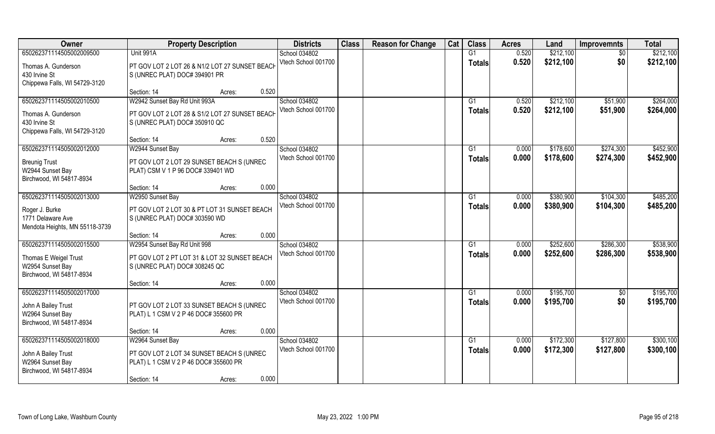| Unit 991A<br>\$212,100<br>650262371114505002009500<br>0.520<br>School 034802<br>G1<br>$\overline{50}$<br>Vtech School 001700<br>0.520<br>\$0<br>\$212,100<br><b>Totals</b><br>Thomas A. Gunderson<br>PT GOV LOT 2 LOT 26 & N1/2 LOT 27 SUNSET BEACH | \$212,100<br>\$212,100 |
|-----------------------------------------------------------------------------------------------------------------------------------------------------------------------------------------------------------------------------------------------------|------------------------|
|                                                                                                                                                                                                                                                     |                        |
|                                                                                                                                                                                                                                                     |                        |
| 430 Irvine St<br>S (UNREC PLAT) DOC# 394901 PR                                                                                                                                                                                                      |                        |
| Chippewa Falls, WI 54729-3120                                                                                                                                                                                                                       |                        |
| 0.520<br>Section: 14<br>Acres:                                                                                                                                                                                                                      |                        |
| W2942 Sunset Bay Rd Unit 993A<br>\$212,100<br>650262371114505002010500<br>School 034802<br>0.520<br>\$51,900<br>G1                                                                                                                                  | \$264,000              |
| Vtech School 001700<br>0.520<br>\$212,100<br>\$51,900<br><b>Totals</b><br>PT GOV LOT 2 LOT 28 & S1/2 LOT 27 SUNSET BEACH<br>Thomas A. Gunderson                                                                                                     | \$264,000              |
| 430 Irvine St<br>S (UNREC PLAT) DOC# 350910 QC                                                                                                                                                                                                      |                        |
| Chippewa Falls, WI 54729-3120                                                                                                                                                                                                                       |                        |
| 0.520<br>Section: 14<br>Acres:                                                                                                                                                                                                                      |                        |
| 650262371114505002012000<br>School 034802<br>\$178,600<br>\$274,300<br>W2944 Sunset Bay<br>G1<br>0.000                                                                                                                                              | \$452,900              |
| Vtech School 001700<br>0.000<br>\$178,600<br>\$274,300<br><b>Totals</b><br>PT GOV LOT 2 LOT 29 SUNSET BEACH S (UNREC<br><b>Breunig Trust</b>                                                                                                        | \$452,900              |
| W2944 Sunset Bay<br>PLAT) CSM V 1 P 96 DOC# 339401 WD                                                                                                                                                                                               |                        |
| Birchwood, WI 54817-8934                                                                                                                                                                                                                            |                        |
| 0.000<br>Section: 14<br>Acres:                                                                                                                                                                                                                      |                        |
| 650262371114505002013000<br>School 034802<br>\$380,900<br>\$104,300<br>W2950 Sunset Bay<br>0.000<br>G1                                                                                                                                              | \$485,200              |
| Vtech School 001700<br>0.000<br>\$380,900<br>\$104,300<br><b>Totals</b><br>PT GOV LOT 2 LOT 30 & PT LOT 31 SUNSET BEACH<br>Roger J. Burke                                                                                                           | \$485,200              |
| 1771 Delaware Ave<br>S (UNREC PLAT) DOC# 303590 WD                                                                                                                                                                                                  |                        |
| Mendota Heights, MN 55118-3739                                                                                                                                                                                                                      |                        |
| 0.000<br>Section: 14<br>Acres:                                                                                                                                                                                                                      |                        |
| \$252,600<br>650262371114505002015500<br>W2954 Sunset Bay Rd Unit 998<br>School 034802<br>0.000<br>\$286,300<br>G1                                                                                                                                  | \$538,900              |
| Vtech School 001700<br>0.000<br>\$252,600<br>\$286,300<br><b>Totals</b><br>PT GOV LOT 2 PT LOT 31 & LOT 32 SUNSET BEACH                                                                                                                             | \$538,900              |
| Thomas E Weigel Trust<br>W2954 Sunset Bay<br>S (UNREC PLAT) DOC# 308245 QC                                                                                                                                                                          |                        |
| Birchwood, WI 54817-8934                                                                                                                                                                                                                            |                        |
| 0.000<br>Section: 14<br>Acres:                                                                                                                                                                                                                      |                        |
| 650262371114505002017000<br>School 034802<br>0.000<br>\$195,700<br>G1<br>\$0                                                                                                                                                                        | \$195,700              |
| \$0<br>Vtech School 001700<br>0.000<br>\$195,700<br><b>Totals</b>                                                                                                                                                                                   | \$195,700              |
| John A Bailey Trust<br>PT GOV LOT 2 LOT 33 SUNSET BEACH S (UNREC<br>PLAT) L 1 CSM V 2 P 46 DOC# 355600 PR                                                                                                                                           |                        |
| W2964 Sunset Bay<br>Birchwood, WI 54817-8934                                                                                                                                                                                                        |                        |
| 0.000<br>Section: 14<br>Acres:                                                                                                                                                                                                                      |                        |
| 650262371114505002018000<br>\$172,300<br>W2964 Sunset Bay<br>School 034802<br>$\overline{G1}$<br>0.000<br>\$127,800                                                                                                                                 | \$300,100              |
| Vtech School 001700<br>\$172,300<br>\$127,800<br>0.000<br><b>Totals</b>                                                                                                                                                                             | \$300,100              |
| John A Bailey Trust<br>PT GOV LOT 2 LOT 34 SUNSET BEACH S (UNREC                                                                                                                                                                                    |                        |
| W2964 Sunset Bay<br>PLAT) L 1 CSM V 2 P 46 DOC# 355600 PR                                                                                                                                                                                           |                        |
| Birchwood, WI 54817-8934<br>0.000<br>Section: 14<br>Acres:                                                                                                                                                                                          |                        |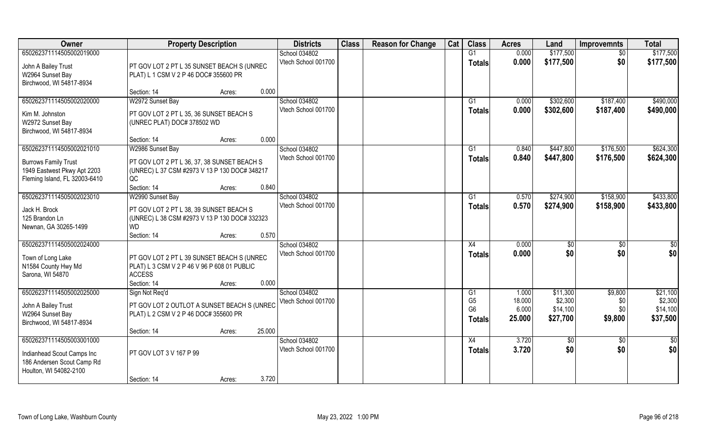| Owner                         | <b>Property Description</b>                   |        | <b>Districts</b>    | <b>Class</b> | <b>Reason for Change</b> | Cat | <b>Class</b>   | <b>Acres</b> | Land         | <b>Improvemnts</b> | <b>Total</b>    |
|-------------------------------|-----------------------------------------------|--------|---------------------|--------------|--------------------------|-----|----------------|--------------|--------------|--------------------|-----------------|
| 650262371114505002019000      |                                               |        | School 034802       |              |                          |     | G1             | 0.000        | \$177,500    | $\overline{30}$    | \$177,500       |
| John A Bailey Trust           | PT GOV LOT 2 PT L 35 SUNSET BEACH S (UNREC    |        | Vtech School 001700 |              |                          |     | <b>Totals</b>  | 0.000        | \$177,500    | \$0                | \$177,500       |
| W2964 Sunset Bay              | PLAT) L 1 CSM V 2 P 46 DOC# 355600 PR         |        |                     |              |                          |     |                |              |              |                    |                 |
| Birchwood, WI 54817-8934      |                                               |        |                     |              |                          |     |                |              |              |                    |                 |
|                               | Section: 14<br>Acres:                         | 0.000  |                     |              |                          |     |                |              |              |                    |                 |
| 650262371114505002020000      | W2972 Sunset Bay                              |        | School 034802       |              |                          |     | G1             | 0.000        | \$302,600    | \$187,400          | \$490,000       |
| Kim M. Johnston               | PT GOV LOT 2 PT L 35, 36 SUNSET BEACH S       |        | Vtech School 001700 |              |                          |     | <b>Totals</b>  | 0.000        | \$302,600    | \$187,400          | \$490,000       |
| W2972 Sunset Bay              | (UNREC PLAT) DOC# 378502 WD                   |        |                     |              |                          |     |                |              |              |                    |                 |
| Birchwood, WI 54817-8934      |                                               |        |                     |              |                          |     |                |              |              |                    |                 |
|                               | Section: 14<br>Acres:                         | 0.000  |                     |              |                          |     |                |              |              |                    |                 |
| 650262371114505002021010      | W2986 Sunset Bay                              |        | School 034802       |              |                          |     | G1             | 0.840        | \$447,800    | \$176,500          | \$624,300       |
| <b>Burrows Family Trust</b>   | PT GOV LOT 2 PT L 36, 37, 38 SUNSET BEACH S   |        | Vtech School 001700 |              |                          |     | <b>Totals</b>  | 0.840        | \$447,800    | \$176,500          | \$624,300       |
| 1949 Eastwest Pkwy Apt 2203   | (UNREC) L 37 CSM #2973 V 13 P 130 DOC# 348217 |        |                     |              |                          |     |                |              |              |                    |                 |
| Fleming Island, FL 32003-6410 | QC                                            |        |                     |              |                          |     |                |              |              |                    |                 |
|                               | Section: 14<br>Acres:                         | 0.840  |                     |              |                          |     |                |              |              |                    |                 |
| 650262371114505002023010      | W2990 Sunset Bay                              |        | School 034802       |              |                          |     | G1             | 0.570        | \$274,900    | \$158,900          | \$433,800       |
| Jack H. Brock                 | PT GOV LOT 2 PT L 38, 39 SUNSET BEACH S       |        | Vtech School 001700 |              |                          |     | <b>Totals</b>  | 0.570        | \$274,900    | \$158,900          | \$433,800       |
| 125 Brandon Ln                | (UNREC) L 38 CSM #2973 V 13 P 130 DOC# 332323 |        |                     |              |                          |     |                |              |              |                    |                 |
| Newnan, GA 30265-1499         | <b>WD</b>                                     |        |                     |              |                          |     |                |              |              |                    |                 |
|                               | Section: 14<br>Acres:                         | 0.570  |                     |              |                          |     |                |              |              |                    |                 |
| 650262371114505002024000      |                                               |        | School 034802       |              |                          |     | X4             | 0.000        | $\sqrt[6]{}$ | $\overline{50}$    | \$0             |
| Town of Long Lake             | PT GOV LOT 2 PT L 39 SUNSET BEACH S (UNREC    |        | Vtech School 001700 |              |                          |     | <b>Totals</b>  | 0.000        | \$0          | \$0                | \$0             |
| N1584 County Hwy Md           | PLAT) L 3 CSM V 2 P 46 V 96 P 608 01 PUBLIC   |        |                     |              |                          |     |                |              |              |                    |                 |
| Sarona, WI 54870              | <b>ACCESS</b>                                 |        |                     |              |                          |     |                |              |              |                    |                 |
|                               | Section: 14<br>Acres:                         | 0.000  |                     |              |                          |     |                |              |              |                    |                 |
| 650262371114505002025000      | Sign Not Req'd                                |        | School 034802       |              |                          |     | G1             | 1.000        | \$11,300     | \$9,800            | \$21,100        |
| John A Bailey Trust           | PT GOV LOT 2 OUTLOT A SUNSET BEACH S (UNREC   |        | Vtech School 001700 |              |                          |     | G <sub>5</sub> | 18.000       | \$2,300      | \$0                | \$2,300         |
| W2964 Sunset Bay              | PLAT) L 2 CSM V 2 P 46 DOC# 355600 PR         |        |                     |              |                          |     | G <sub>6</sub> | 6.000        | \$14,100     | \$0                | \$14,100        |
| Birchwood, WI 54817-8934      |                                               |        |                     |              |                          |     | Totals         | 25.000       | \$27,700     | \$9,800            | \$37,500        |
|                               | Section: 14<br>Acres:                         | 25.000 |                     |              |                          |     |                |              |              |                    |                 |
| 650262371114505003001000      |                                               |        | School 034802       |              |                          |     | X4             | 3.720        | \$0          | $\overline{30}$    | $\overline{30}$ |
| Indianhead Scout Camps Inc    | PT GOV LOT 3 V 167 P 99                       |        | Vtech School 001700 |              |                          |     | <b>Totals</b>  | 3.720        | \$0          | \$0                | \$0             |
| 186 Andersen Scout Camp Rd    |                                               |        |                     |              |                          |     |                |              |              |                    |                 |
| Houlton, WI 54082-2100        |                                               |        |                     |              |                          |     |                |              |              |                    |                 |
|                               | Section: 14<br>Acres:                         | 3.720  |                     |              |                          |     |                |              |              |                    |                 |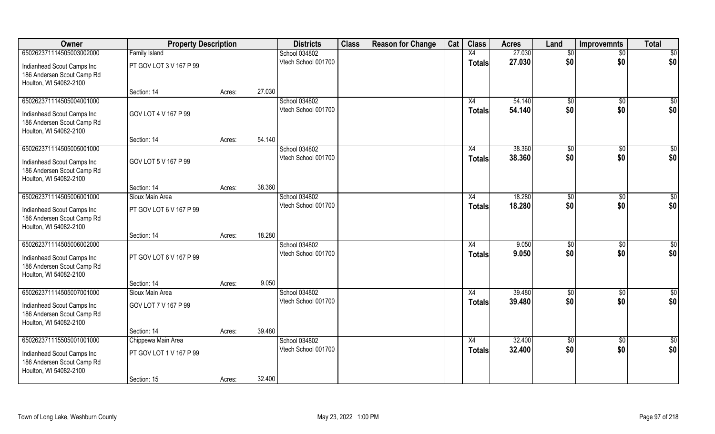| Owner                                                                                                          | <b>Property Description</b>                   |        |        | <b>Districts</b>                     | <b>Class</b> | <b>Reason for Change</b> | Cat | <b>Class</b>                     | <b>Acres</b>     | Land               | <b>Improvemnts</b>     | <b>Total</b>            |
|----------------------------------------------------------------------------------------------------------------|-----------------------------------------------|--------|--------|--------------------------------------|--------------|--------------------------|-----|----------------------------------|------------------|--------------------|------------------------|-------------------------|
| 650262371114505003002000                                                                                       | <b>Family Island</b>                          |        |        | School 034802                        |              |                          |     | X4                               | 27.030           | \$0                | $\sqrt{$0}$            | $\overline{50}$         |
| Indianhead Scout Camps Inc<br>186 Andersen Scout Camp Rd<br>Houlton, WI 54082-2100                             | PT GOV LOT 3 V 167 P 99                       |        |        | Vtech School 001700                  |              |                          |     | <b>Totals</b>                    | 27.030           | \$0                | \$0                    | \$0                     |
|                                                                                                                | Section: 14                                   | Acres: | 27.030 |                                      |              |                          |     |                                  |                  |                    |                        |                         |
| 650262371114505004001000<br>Indianhead Scout Camps Inc<br>186 Andersen Scout Camp Rd<br>Houlton, WI 54082-2100 | GOV LOT 4 V 167 P 99                          |        |        | School 034802<br>Vtech School 001700 |              |                          |     | X4<br>Totals                     | 54.140<br>54.140 | \$0<br>\$0         | \$0<br>\$0             | $\overline{\$0}$<br>\$0 |
|                                                                                                                | Section: 14                                   | Acres: | 54.140 |                                      |              |                          |     |                                  |                  |                    |                        |                         |
| 650262371114505005001000<br>Indianhead Scout Camps Inc<br>186 Andersen Scout Camp Rd<br>Houlton, WI 54082-2100 | GOV LOT 5 V 167 P 99                          |        |        | School 034802<br>Vtech School 001700 |              |                          |     | X4<br><b>Totals</b>              | 38,360<br>38.360 | \$0<br>\$0         | $\overline{50}$<br>\$0 | $\sqrt{50}$<br>\$0      |
|                                                                                                                | Section: 14                                   | Acres: | 38.360 |                                      |              |                          |     |                                  |                  |                    |                        |                         |
| 650262371114505006001000<br>Indianhead Scout Camps Inc<br>186 Andersen Scout Camp Rd<br>Houlton, WI 54082-2100 | Sioux Main Area<br>PT GOV LOT 6 V 167 P 99    |        |        | School 034802<br>Vtech School 001700 |              |                          |     | X4<br><b>Totals</b>              | 18.280<br>18.280 | $ $ \$0<br>\$0     | \$0<br>\$0             | $\sqrt{50}$<br>\$0      |
|                                                                                                                | Section: 14                                   | Acres: | 18.280 |                                      |              |                          |     |                                  |                  |                    |                        |                         |
| 650262371114505006002000<br>Indianhead Scout Camps Inc<br>186 Andersen Scout Camp Rd<br>Houlton, WI 54082-2100 | PT GOV LOT 6 V 167 P 99                       |        |        | School 034802<br>Vtech School 001700 |              |                          |     | X4<br><b>Totals</b>              | 9.050<br>9.050   | \$0<br>\$0         | $\overline{50}$<br>\$0 | $\overline{50}$<br>\$0  |
|                                                                                                                | Section: 14                                   | Acres: | 9.050  |                                      |              |                          |     |                                  |                  |                    |                        |                         |
| 650262371114505007001000<br>Indianhead Scout Camps Inc<br>186 Andersen Scout Camp Rd<br>Houlton, WI 54082-2100 | Sioux Main Area<br>GOV LOT 7 V 167 P 99       |        |        | School 034802<br>Vtech School 001700 |              |                          |     | $\overline{X4}$<br><b>Totals</b> | 39.480<br>39.480 | $\sqrt{50}$<br>\$0 | $\overline{50}$<br>\$0 | $\overline{50}$<br>\$0  |
|                                                                                                                | Section: 14                                   | Acres: | 39.480 |                                      |              |                          |     |                                  |                  |                    |                        |                         |
| 650262371115505001001000<br>Indianhead Scout Camps Inc<br>186 Andersen Scout Camp Rd                           | Chippewa Main Area<br>PT GOV LOT 1 V 167 P 99 |        |        | School 034802<br>Vtech School 001700 |              |                          |     | X4<br>Totals                     | 32.400<br>32.400 | \$0<br>\$0         | $\overline{50}$<br>\$0 | \$0<br>\$0              |
| Houlton, WI 54082-2100                                                                                         | Section: 15                                   | Acres: | 32.400 |                                      |              |                          |     |                                  |                  |                    |                        |                         |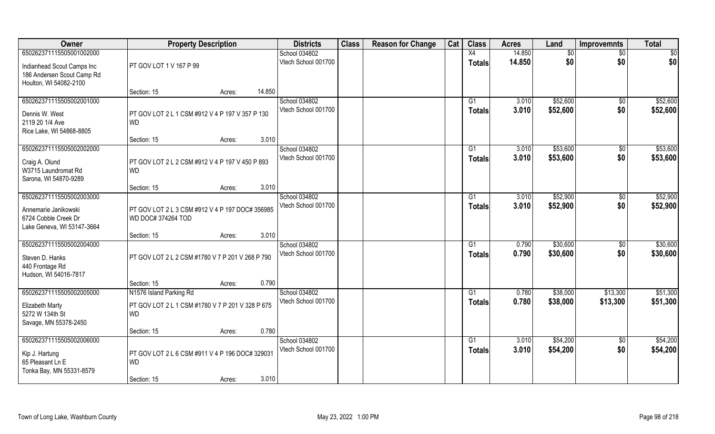| Owner                                        | <b>Property Description</b>                                           |        |        | <b>Districts</b>    | <b>Class</b> | <b>Reason for Change</b> | Cat | <b>Class</b>    | <b>Acres</b> | Land        | <b>Improvemnts</b> | <b>Total</b> |
|----------------------------------------------|-----------------------------------------------------------------------|--------|--------|---------------------|--------------|--------------------------|-----|-----------------|--------------|-------------|--------------------|--------------|
| 650262371115505001002000                     |                                                                       |        |        | School 034802       |              |                          |     | X4              | 14.850       | $\sqrt{$0}$ | $\sqrt{$0}$        | $\sqrt{50}$  |
| Indianhead Scout Camps Inc                   | PT GOV LOT 1 V 167 P 99                                               |        |        | Vtech School 001700 |              |                          |     | Totals          | 14.850       | \$0         | \$0                | \$0          |
| 186 Andersen Scout Camp Rd                   |                                                                       |        |        |                     |              |                          |     |                 |              |             |                    |              |
| Houlton, WI 54082-2100                       |                                                                       |        |        |                     |              |                          |     |                 |              |             |                    |              |
|                                              | Section: 15                                                           | Acres: | 14.850 |                     |              |                          |     |                 |              |             |                    |              |
| 650262371115505002001000                     |                                                                       |        |        | School 034802       |              |                          |     | G1              | 3.010        | \$52,600    | $\sqrt{$0}$        | \$52,600     |
| Dennis W. West                               | PT GOV LOT 2 L 1 CSM #912 V 4 P 197 V 357 P 130                       |        |        | Vtech School 001700 |              |                          |     | Totals          | 3.010        | \$52,600    | \$0                | \$52,600     |
| 2119 20 1/4 Ave                              | <b>WD</b>                                                             |        |        |                     |              |                          |     |                 |              |             |                    |              |
| Rice Lake, WI 54868-8805                     |                                                                       |        |        |                     |              |                          |     |                 |              |             |                    |              |
| 650262371115505002002000                     | Section: 15                                                           | Acres: | 3.010  | School 034802       |              |                          |     | G1              | 3.010        | \$53,600    |                    | \$53,600     |
|                                              |                                                                       |        |        | Vtech School 001700 |              |                          |     | <b>Totals</b>   | 3.010        | \$53,600    | \$0<br>\$0         | \$53,600     |
| Craig A. Olund                               | PT GOV LOT 2 L 2 CSM #912 V 4 P 197 V 450 P 893                       |        |        |                     |              |                          |     |                 |              |             |                    |              |
| W3715 Laundromat Rd                          | <b>WD</b>                                                             |        |        |                     |              |                          |     |                 |              |             |                    |              |
| Sarona, WI 54870-9289                        | Section: 15                                                           | Acres: | 3.010  |                     |              |                          |     |                 |              |             |                    |              |
| 650262371115505002003000                     |                                                                       |        |        | School 034802       |              |                          |     | G1              | 3.010        | \$52,900    | $\sqrt[6]{3}$      | \$52,900     |
|                                              |                                                                       |        |        | Vtech School 001700 |              |                          |     | <b>Totals</b>   | 3.010        | \$52,900    | \$0                | \$52,900     |
| Annemarie Janikowski<br>6724 Cobble Creek Dr | PT GOV LOT 2 L 3 CSM #912 V 4 P 197 DOC# 356985<br>WD DOC# 374264 TOD |        |        |                     |              |                          |     |                 |              |             |                    |              |
| Lake Geneva, WI 53147-3664                   |                                                                       |        |        |                     |              |                          |     |                 |              |             |                    |              |
|                                              | Section: 15                                                           | Acres: | 3.010  |                     |              |                          |     |                 |              |             |                    |              |
| 650262371115505002004000                     |                                                                       |        |        | School 034802       |              |                          |     | G1              | 0.790        | \$30,600    | $\sqrt[6]{30}$     | \$30,600     |
| Steven D. Hanks                              | PT GOV LOT 2 L 2 CSM #1780 V 7 P 201 V 268 P 790                      |        |        | Vtech School 001700 |              |                          |     | <b>Totals</b>   | 0.790        | \$30,600    | \$0                | \$30,600     |
| 440 Frontage Rd                              |                                                                       |        |        |                     |              |                          |     |                 |              |             |                    |              |
| Hudson, WI 54016-7817                        |                                                                       |        |        |                     |              |                          |     |                 |              |             |                    |              |
|                                              | Section: 15                                                           | Acres: | 0.790  |                     |              |                          |     |                 |              |             |                    |              |
| 650262371115505002005000                     | N1576 Island Parking Rd                                               |        |        | School 034802       |              |                          |     | G1              | 0.780        | \$38,000    | \$13,300           | \$51,300     |
| <b>Elizabeth Marty</b>                       | PT GOV LOT 2 L 1 CSM #1780 V 7 P 201 V 328 P 675                      |        |        | Vtech School 001700 |              |                          |     | <b>Totals</b>   | 0.780        | \$38,000    | \$13,300           | \$51,300     |
| 5272 W 134th St                              | <b>WD</b>                                                             |        |        |                     |              |                          |     |                 |              |             |                    |              |
| Savage, MN 55378-2450                        |                                                                       |        |        |                     |              |                          |     |                 |              |             |                    |              |
|                                              | Section: 15                                                           | Acres: | 0.780  |                     |              |                          |     |                 |              |             |                    |              |
| 650262371115505002006000                     |                                                                       |        |        | School 034802       |              |                          |     | $\overline{G1}$ | 3.010        | \$54,200    | $\overline{50}$    | \$54,200     |
| Kip J. Hartung                               | PT GOV LOT 2 L 6 CSM #911 V 4 P 196 DOC# 329031                       |        |        | Vtech School 001700 |              |                          |     | Totals          | 3.010        | \$54,200    | \$0                | \$54,200     |
| 65 Pleasant Ln E                             | <b>WD</b>                                                             |        |        |                     |              |                          |     |                 |              |             |                    |              |
| Tonka Bay, MN 55331-8579                     |                                                                       |        |        |                     |              |                          |     |                 |              |             |                    |              |
|                                              | Section: 15                                                           | Acres: | 3.010  |                     |              |                          |     |                 |              |             |                    |              |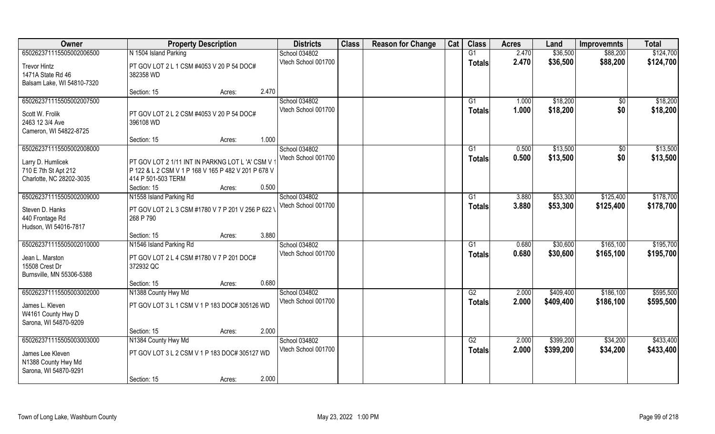| Owner                                    | <b>Property Description</b>                            | <b>Districts</b>    | <b>Class</b> | <b>Reason for Change</b> | Cat | <b>Class</b>  | <b>Acres</b> | Land      | <b>Improvemnts</b> | <b>Total</b> |
|------------------------------------------|--------------------------------------------------------|---------------------|--------------|--------------------------|-----|---------------|--------------|-----------|--------------------|--------------|
| 650262371115505002006500                 | N 1504 Island Parking                                  | School 034802       |              |                          |     | G1            | 2.470        | \$36,500  | \$88,200           | \$124,700    |
| <b>Trevor Hintz</b><br>1471A State Rd 46 | PT GOV LOT 2 L 1 CSM #4053 V 20 P 54 DOC#<br>382358 WD | Vtech School 001700 |              |                          |     | <b>Totals</b> | 2.470        | \$36,500  | \$88,200           | \$124,700    |
| Balsam Lake, WI 54810-7320               | 2.470                                                  |                     |              |                          |     |               |              |           |                    |              |
| 650262371115505002007500                 | Section: 15<br>Acres:                                  | School 034802       |              |                          |     | G1            | 1.000        | \$18,200  | $\overline{50}$    | \$18,200     |
|                                          |                                                        | Vtech School 001700 |              |                          |     | <b>Totals</b> | 1.000        | \$18,200  | \$0                | \$18,200     |
| Scott W. Frolik                          | PT GOV LOT 2 L 2 CSM #4053 V 20 P 54 DOC#              |                     |              |                          |     |               |              |           |                    |              |
| 2463 12 3/4 Ave                          | 396108 WD                                              |                     |              |                          |     |               |              |           |                    |              |
| Cameron, WI 54822-8725                   |                                                        |                     |              |                          |     |               |              |           |                    |              |
|                                          | 1.000<br>Section: 15<br>Acres:                         |                     |              |                          |     |               |              |           |                    |              |
| 650262371115505002008000                 |                                                        | School 034802       |              |                          |     | G1            | 0.500        | \$13,500  | $\sqrt[6]{}$       | \$13,500     |
| Larry D. Humlicek                        | PT GOV LOT 2 1/11 INT IN PARKNG LOT L 'A' CSM V        | Vtech School 001700 |              |                          |     | <b>Totals</b> | 0.500        | \$13,500  | \$0                | \$13,500     |
| 710 E 7th St Apt 212                     | P 122 & L 2 CSM V 1 P 168 V 165 P 482 V 201 P 678 V    |                     |              |                          |     |               |              |           |                    |              |
| Charlotte, NC 28202-3035                 | 414 P 501-503 TERM                                     |                     |              |                          |     |               |              |           |                    |              |
|                                          | 0.500<br>Section: 15<br>Acres:                         |                     |              |                          |     |               |              |           |                    |              |
| 650262371115505002009000                 | N1558 Island Parking Rd                                | School 034802       |              |                          |     | G1            | 3.880        | \$53,300  | \$125,400          | \$178,700    |
| Steven D. Hanks                          | PT GOV LOT 2 L 3 CSM #1780 V 7 P 201 V 256 P 622 V     | Vtech School 001700 |              |                          |     | <b>Totals</b> | 3.880        | \$53,300  | \$125,400          | \$178,700    |
| 440 Frontage Rd                          | 268 P 790                                              |                     |              |                          |     |               |              |           |                    |              |
| Hudson, WI 54016-7817                    |                                                        |                     |              |                          |     |               |              |           |                    |              |
|                                          | 3.880<br>Section: 15<br>Acres:                         |                     |              |                          |     |               |              |           |                    |              |
| 650262371115505002010000                 | N1546 Island Parking Rd                                | School 034802       |              |                          |     | G1            | 0.680        | \$30,600  | \$165,100          | \$195,700    |
| Jean L. Marston                          | PT GOV LOT 2 L 4 CSM #1780 V 7 P 201 DOC#              | Vtech School 001700 |              |                          |     | <b>Totals</b> | 0.680        | \$30,600  | \$165,100          | \$195,700    |
| 15508 Crest Dr                           | 372932 QC                                              |                     |              |                          |     |               |              |           |                    |              |
| Burnsville, MN 55306-5388                |                                                        |                     |              |                          |     |               |              |           |                    |              |
|                                          | 0.680<br>Section: 15<br>Acres:                         |                     |              |                          |     |               |              |           |                    |              |
| 650262371115505003002000                 | N1388 County Hwy Md                                    | School 034802       |              |                          |     | G2            | 2.000        | \$409,400 | \$186,100          | \$595,500    |
|                                          | PT GOV LOT 3 L 1 CSM V 1 P 183 DOC# 305126 WD          | Vtech School 001700 |              |                          |     | <b>Totals</b> | 2.000        | \$409,400 | \$186,100          | \$595,500    |
| James L. Kleven<br>W4161 County Hwy D    |                                                        |                     |              |                          |     |               |              |           |                    |              |
| Sarona, WI 54870-9209                    |                                                        |                     |              |                          |     |               |              |           |                    |              |
|                                          | 2.000<br>Section: 15<br>Acres:                         |                     |              |                          |     |               |              |           |                    |              |
| 650262371115505003003000                 | N1384 County Hwy Md                                    | School 034802       |              |                          |     | G2            | 2.000        | \$399,200 | \$34,200           | \$433,400    |
|                                          |                                                        | Vtech School 001700 |              |                          |     | <b>Totals</b> | 2.000        | \$399,200 | \$34,200           | \$433,400    |
| James Lee Kleven                         | PT GOV LOT 3 L 2 CSM V 1 P 183 DOC# 305127 WD          |                     |              |                          |     |               |              |           |                    |              |
| N1388 County Hwy Md                      |                                                        |                     |              |                          |     |               |              |           |                    |              |
| Sarona, WI 54870-9291                    |                                                        |                     |              |                          |     |               |              |           |                    |              |
|                                          | 2.000<br>Section: 15<br>Acres:                         |                     |              |                          |     |               |              |           |                    |              |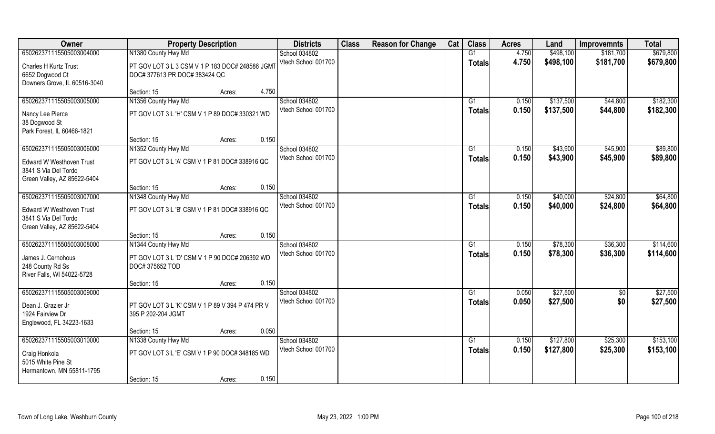| Owner                                                                                  | <b>Property Description</b>                                                      |       | <b>Districts</b>    | <b>Class</b> | <b>Reason for Change</b> | Cat | <b>Class</b>    | <b>Acres</b> | Land      | <b>Improvemnts</b> | <b>Total</b> |
|----------------------------------------------------------------------------------------|----------------------------------------------------------------------------------|-------|---------------------|--------------|--------------------------|-----|-----------------|--------------|-----------|--------------------|--------------|
| 650262371115505003004000                                                               | N1380 County Hwy Md                                                              |       | School 034802       |              |                          |     | G1              | 4.750        | \$498,100 | \$181,700          | \$679,800    |
| Charles H Kurtz Trust<br>6652 Dogwood Ct                                               | PT GOV LOT 3 L 3 CSM V 1 P 183 DOC# 248586 JGMT<br>DOC# 377613 PR DOC# 383424 QC |       | Vtech School 001700 |              |                          |     | <b>Totals</b>   | 4.750        | \$498,100 | \$181,700          | \$679,800    |
| Downers Grove, IL 60516-3040                                                           |                                                                                  |       |                     |              |                          |     |                 |              |           |                    |              |
|                                                                                        | Section: 15<br>Acres:                                                            | 4.750 |                     |              |                          |     |                 |              |           |                    |              |
| 650262371115505003005000                                                               | N1356 County Hwy Md                                                              |       | School 034802       |              |                          |     | G1              | 0.150        | \$137,500 | \$44,800           | \$182,300    |
| Nancy Lee Pierce<br>38 Dogwood St                                                      | PT GOV LOT 3 L 'H' CSM V 1 P 89 DOC# 330321 WD                                   |       | Vtech School 001700 |              |                          |     | <b>Totals</b>   | 0.150        | \$137,500 | \$44,800           | \$182,300    |
| Park Forest, IL 60466-1821                                                             |                                                                                  |       |                     |              |                          |     |                 |              |           |                    |              |
|                                                                                        | Section: 15<br>Acres:                                                            | 0.150 |                     |              |                          |     |                 |              |           |                    |              |
| 650262371115505003006000                                                               | N1352 County Hwy Md                                                              |       | School 034802       |              |                          |     | G1              | 0.150        | \$43,900  | \$45,900           | \$89,800     |
| <b>Edward W Westhoven Trust</b><br>3841 S Via Del Tordo                                | PT GOV LOT 3 L 'A' CSM V 1 P 81 DOC# 338916 QC                                   |       | Vtech School 001700 |              |                          |     | <b>Totals</b>   | 0.150        | \$43,900  | \$45,900           | \$89,800     |
| Green Valley, AZ 85622-5404                                                            |                                                                                  |       |                     |              |                          |     |                 |              |           |                    |              |
|                                                                                        | Section: 15<br>Acres:                                                            | 0.150 |                     |              |                          |     |                 |              |           |                    |              |
| 650262371115505003007000                                                               | N1348 County Hwy Md                                                              |       | School 034802       |              |                          |     | G1              | 0.150        | \$40,000  | \$24,800           | \$64,800     |
| <b>Edward W Westhoven Trust</b><br>3841 S Via Del Tordo<br>Green Valley, AZ 85622-5404 | PT GOV LOT 3 L 'B' CSM V 1 P 81 DOC# 338916 QC                                   |       | Vtech School 001700 |              |                          |     | <b>Totals</b>   | 0.150        | \$40,000  | \$24,800           | \$64,800     |
|                                                                                        | Section: 15<br>Acres:                                                            | 0.150 |                     |              |                          |     |                 |              |           |                    |              |
| 650262371115505003008000                                                               | N1344 County Hwy Md                                                              |       | School 034802       |              |                          |     | G1              | 0.150        | \$78,300  | \$36,300           | \$114,600    |
|                                                                                        |                                                                                  |       | Vtech School 001700 |              |                          |     | <b>Totals</b>   | 0.150        | \$78,300  | \$36,300           | \$114,600    |
| James J. Cernohous<br>248 County Rd Ss                                                 | PT GOV LOT 3 L 'D' CSM V 1 P 90 DOC# 206392 WD<br>DOC# 375652 TOD                |       |                     |              |                          |     |                 |              |           |                    |              |
| River Falls, WI 54022-5728                                                             |                                                                                  |       |                     |              |                          |     |                 |              |           |                    |              |
|                                                                                        | Section: 15<br>Acres:                                                            | 0.150 |                     |              |                          |     |                 |              |           |                    |              |
| 650262371115505003009000                                                               |                                                                                  |       | School 034802       |              |                          |     | G1              | 0.050        | \$27,500  | \$0                | \$27,500     |
| Dean J. Grazier Jr<br>1924 Fairview Dr                                                 | PT GOV LOT 3 L 'K' CSM V 1 P 89 V 394 P 474 PR V<br>395 P 202-204 JGMT           |       | Vtech School 001700 |              |                          |     | <b>Totals</b>   | 0.050        | \$27,500  | \$0                | \$27,500     |
| Englewood, FL 34223-1633                                                               | Section: 15<br>Acres:                                                            | 0.050 |                     |              |                          |     |                 |              |           |                    |              |
| 650262371115505003010000                                                               | N1338 County Hwy Md                                                              |       | School 034802       |              |                          |     | $\overline{G1}$ | 0.150        | \$127,800 | \$25,300           | \$153,100    |
| Craig Honkola<br>5015 White Pine St<br>Hermantown, MN 55811-1795                       | PT GOV LOT 3 L 'E' CSM V 1 P 90 DOC# 348185 WD                                   |       | Vtech School 001700 |              |                          |     | <b>Totals</b>   | 0.150        | \$127,800 | \$25,300           | \$153,100    |
|                                                                                        | Section: 15<br>Acres:                                                            | 0.150 |                     |              |                          |     |                 |              |           |                    |              |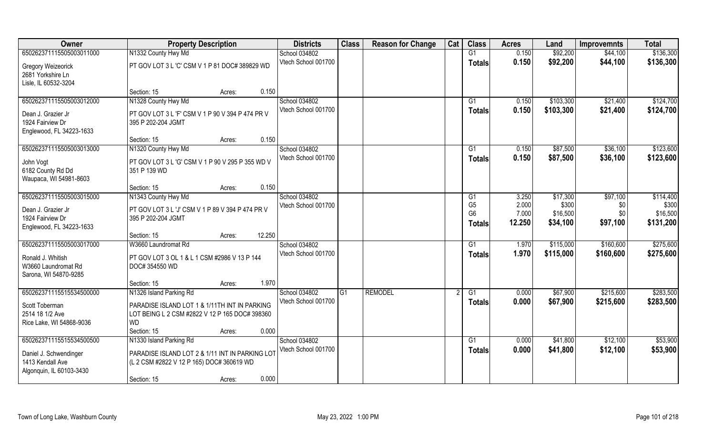| 650262371115505003011000<br>N1332 County Hwy Md<br>School 034802<br>G1<br>0.150<br>\$92,200<br>\$44,100<br>Vtech School 001700<br>\$92,200<br>0.150<br>\$44,100<br>Totals<br>PT GOV LOT 3 L 'C' CSM V 1 P 81 DOC# 389829 WD<br>Gregory Weizeorick | \$136,300<br>\$136,300 |
|---------------------------------------------------------------------------------------------------------------------------------------------------------------------------------------------------------------------------------------------------|------------------------|
|                                                                                                                                                                                                                                                   |                        |
|                                                                                                                                                                                                                                                   |                        |
| 2681 Yorkshire Ln                                                                                                                                                                                                                                 |                        |
| Lisle, IL 60532-3204                                                                                                                                                                                                                              |                        |
| 0.150<br>Section: 15<br>Acres:                                                                                                                                                                                                                    |                        |
| N1328 County Hwy Md<br>School 034802<br>650262371115505003012000<br>0.150<br>\$103,300<br>\$21,400<br>G1                                                                                                                                          | \$124,700              |
| Vtech School 001700<br>0.150<br>\$103,300<br>\$21,400<br>Totals<br>Dean J. Grazier Jr<br>PT GOV LOT 3 L 'F' CSM V 1 P 90 V 394 P 474 PR V                                                                                                         | \$124,700              |
| 1924 Fairview Dr<br>395 P 202-204 JGMT                                                                                                                                                                                                            |                        |
| Englewood, FL 34223-1633                                                                                                                                                                                                                          |                        |
| 0.150<br>Section: 15<br>Acres:                                                                                                                                                                                                                    |                        |
| School 034802<br>\$87,500<br>\$36,100<br>650262371115505003013000<br>N1320 County Hwy Md<br>G1<br>0.150                                                                                                                                           | \$123,600              |
| Vtech School 001700<br>0.150<br>\$87,500<br>\$36,100<br><b>Totals</b><br>PT GOV LOT 3 L 'G' CSM V 1 P 90 V 295 P 355 WD V<br>John Vogt                                                                                                            | \$123,600              |
| 6182 County Rd Dd<br>351 P 139 WD                                                                                                                                                                                                                 |                        |
| Waupaca, WI 54981-8603                                                                                                                                                                                                                            |                        |
| 0.150<br>Section: 15<br>Acres:                                                                                                                                                                                                                    |                        |
| 650262371115505003015000<br>N1343 County Hwy Md<br>School 034802<br>\$17,300<br>\$97,100<br>3.250<br>G <sub>1</sub><br>G <sub>5</sub><br>2.000<br>\$300<br>Vtech School 001700                                                                    | \$114,400<br>\$300     |
| \$0<br>Dean J. Grazier Jr<br>PT GOV LOT 3 L 'J' CSM V 1 P 89 V 394 P 474 PR V<br>G <sub>6</sub><br>7.000<br>\$16,500<br>\$0\$                                                                                                                     | \$16,500               |
| 1924 Fairview Dr<br>395 P 202-204 JGMT<br>12.250<br>\$34,100<br>\$97,100<br><b>Totals</b>                                                                                                                                                         | \$131,200              |
| Englewood, FL 34223-1633                                                                                                                                                                                                                          |                        |
| 12.250<br>Section: 15<br>Acres:                                                                                                                                                                                                                   |                        |
| \$160,600<br>650262371115505003017000<br>W3660 Laundromat Rd<br>1.970<br>\$115,000<br>School 034802<br>G1<br>Vtech School 001700                                                                                                                  | \$275,600              |
| 1.970<br>\$115,000<br>\$160,600<br><b>Totals</b><br>Ronald J. Whitish<br>PT GOV LOT 3 OL 1 & L 1 CSM #2986 V 13 P 144                                                                                                                             | \$275,600              |
| W3660 Laundromat Rd<br>DOC# 354550 WD                                                                                                                                                                                                             |                        |
| Sarona, WI 54870-9285                                                                                                                                                                                                                             |                        |
| 1.970<br>Section: 15<br>Acres:<br><b>REMODEL</b><br>\$67,900<br>\$215,600<br>650262371115515534500000<br>N1326 Island Parking Rd<br>School 034802<br>G1<br>G1<br>0.000                                                                            | \$283,500              |
| Vtech School 001700<br>0.000<br>\$67,900<br>\$215,600<br><b>Totals</b>                                                                                                                                                                            | \$283,500              |
| PARADISE ISLAND LOT 1 & 1/11TH INT IN PARKING<br>Scott Toberman                                                                                                                                                                                   |                        |
| 2514 18 1/2 Ave<br>LOT BEING L 2 CSM #2822 V 12 P 165 DOC# 398360                                                                                                                                                                                 |                        |
| <b>WD</b><br>Rice Lake, WI 54868-9036<br>0.000                                                                                                                                                                                                    |                        |
| Section: 15<br>Acres:<br>650262371115515534500500<br>N1330 Island Parking Rd<br>\$41,800<br>\$12,100<br>School 034802<br>G1<br>0.000                                                                                                              | \$53,900               |
| Vtech School 001700<br>0.000<br>\$41,800<br>\$12,100<br>Totals                                                                                                                                                                                    | \$53,900               |
| PARADISE ISLAND LOT 2 & 1/11 INT IN PARKING LOT<br>Daniel J. Schwendinger                                                                                                                                                                         |                        |
| 1413 Kendall Ave<br>(L 2 CSM #2822 V 12 P 165) DOC# 360619 WD                                                                                                                                                                                     |                        |
| Algonquin, IL 60103-3430<br>0.000<br>Section: 15<br>Acres:                                                                                                                                                                                        |                        |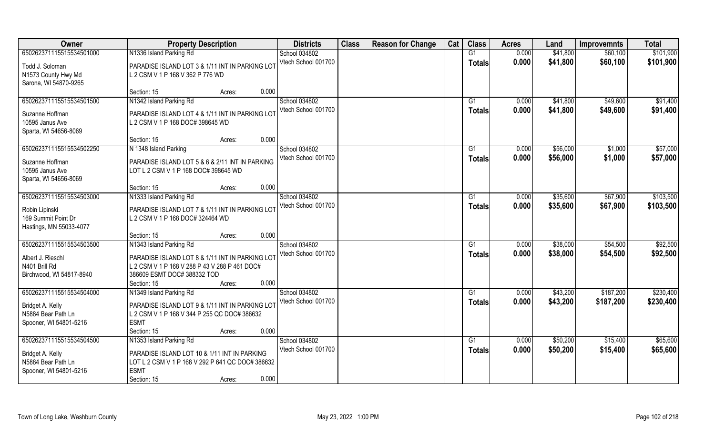| Owner                    | <b>Property Description</b>                      | <b>Districts</b>    | <b>Class</b> | <b>Reason for Change</b> | Cat | <b>Class</b>    | <b>Acres</b> | Land     | <b>Improvemnts</b> | <b>Total</b> |
|--------------------------|--------------------------------------------------|---------------------|--------------|--------------------------|-----|-----------------|--------------|----------|--------------------|--------------|
| 650262371115515534501000 | N1336 Island Parking Rd                          | School 034802       |              |                          |     | G1              | 0.000        | \$41,800 | \$60,100           | \$101,900    |
| Todd J. Soloman          | PARADISE ISLAND LOT 3 & 1/11 INT IN PARKING LOT  | Vtech School 001700 |              |                          |     | <b>Totals</b>   | 0.000        | \$41,800 | \$60,100           | \$101,900    |
| N1573 County Hwy Md      | L 2 CSM V 1 P 168 V 362 P 776 WD                 |                     |              |                          |     |                 |              |          |                    |              |
| Sarona, WI 54870-9265    |                                                  |                     |              |                          |     |                 |              |          |                    |              |
|                          | 0.000<br>Section: 15<br>Acres:                   |                     |              |                          |     |                 |              |          |                    |              |
| 650262371115515534501500 | N1342 Island Parking Rd                          | School 034802       |              |                          |     | G <sub>1</sub>  | 0.000        | \$41,800 | \$49,600           | \$91,400     |
| Suzanne Hoffman          | PARADISE ISLAND LOT 4 & 1/11 INT IN PARKING LOT  | Vtech School 001700 |              |                          |     | <b>Totals</b>   | 0.000        | \$41,800 | \$49,600           | \$91,400     |
| 10595 Janus Ave          | L 2 CSM V 1 P 168 DOC# 398645 WD                 |                     |              |                          |     |                 |              |          |                    |              |
| Sparta, WI 54656-8069    |                                                  |                     |              |                          |     |                 |              |          |                    |              |
|                          | 0.000<br>Section: 15<br>Acres:                   |                     |              |                          |     |                 |              |          |                    |              |
| 650262371115515534502250 | N 1348 Island Parking                            | School 034802       |              |                          |     | G1              | 0.000        | \$56,000 | \$1,000            | \$57,000     |
| Suzanne Hoffman          | PARADISE ISLAND LOT 5 & 6 & 2/11 INT IN PARKING  | Vtech School 001700 |              |                          |     | <b>Totals</b>   | 0.000        | \$56,000 | \$1,000            | \$57,000     |
| 10595 Janus Ave          | LOT L 2 CSM V 1 P 168 DOC# 398645 WD             |                     |              |                          |     |                 |              |          |                    |              |
| Sparta, WI 54656-8069    |                                                  |                     |              |                          |     |                 |              |          |                    |              |
|                          | 0.000<br>Section: 15<br>Acres:                   |                     |              |                          |     |                 |              |          |                    |              |
| 650262371115515534503000 | N1333 Island Parking Rd                          | School 034802       |              |                          |     | G1              | 0.000        | \$35,600 | \$67,900           | \$103,500    |
| Robin Lipinski           | PARADISE ISLAND LOT 7 & 1/11 INT IN PARKING LOT  | Vtech School 001700 |              |                          |     | <b>Totals</b>   | 0.000        | \$35,600 | \$67,900           | \$103,500    |
| 169 Summit Point Dr      | L 2 CSM V 1 P 168 DOC# 324464 WD                 |                     |              |                          |     |                 |              |          |                    |              |
| Hastings, MN 55033-4077  |                                                  |                     |              |                          |     |                 |              |          |                    |              |
|                          | 0.000<br>Section: 15<br>Acres:                   |                     |              |                          |     |                 |              |          |                    |              |
| 650262371115515534503500 | N1343 Island Parking Rd                          | School 034802       |              |                          |     | G1              | 0.000        | \$38,000 | \$54,500           | \$92,500     |
| Albert J. Rieschl        | PARADISE ISLAND LOT 8 & 1/11 INT IN PARKING LOT  | Vtech School 001700 |              |                          |     | <b>Totals</b>   | 0.000        | \$38,000 | \$54,500           | \$92,500     |
| N401 Brill Rd            | L 2 CSM V 1 P 168 V 288 P 43 V 288 P 461 DOC#    |                     |              |                          |     |                 |              |          |                    |              |
| Birchwood, WI 54817-8940 | 386609 ESMT DOC# 388332 TOD                      |                     |              |                          |     |                 |              |          |                    |              |
|                          | Section: 15<br>0.000<br>Acres:                   |                     |              |                          |     |                 |              |          |                    |              |
| 650262371115515534504000 | N1349 Island Parking Rd                          | School 034802       |              |                          |     | $\overline{G1}$ | 0.000        | \$43,200 | \$187,200          | \$230,400    |
| Bridget A. Kelly         | PARADISE ISLAND LOT 9 & 1/11 INT IN PARKING LOT  | Vtech School 001700 |              |                          |     | <b>Totals</b>   | 0.000        | \$43,200 | \$187,200          | \$230,400    |
| N5884 Bear Path Ln       | L 2 CSM V 1 P 168 V 344 P 255 QC DOC# 386632     |                     |              |                          |     |                 |              |          |                    |              |
| Spooner, WI 54801-5216   | <b>ESMT</b>                                      |                     |              |                          |     |                 |              |          |                    |              |
|                          | 0.000<br>Section: 15<br>Acres:                   |                     |              |                          |     |                 |              |          |                    |              |
| 650262371115515534504500 | N1353 Island Parking Rd                          | School 034802       |              |                          |     | G1              | 0.000        | \$50,200 | \$15,400           | \$65,600     |
| Bridget A. Kelly         | PARADISE ISLAND LOT 10 & 1/11 INT IN PARKING     | Vtech School 001700 |              |                          |     | <b>Totals</b>   | 0.000        | \$50,200 | \$15,400           | \$65,600     |
| N5884 Bear Path Ln       | LOT L 2 CSM V 1 P 168 V 292 P 641 QC DOC# 386632 |                     |              |                          |     |                 |              |          |                    |              |
| Spooner, WI 54801-5216   | <b>ESMT</b>                                      |                     |              |                          |     |                 |              |          |                    |              |
|                          | 0.000<br>Section: 15<br>Acres:                   |                     |              |                          |     |                 |              |          |                    |              |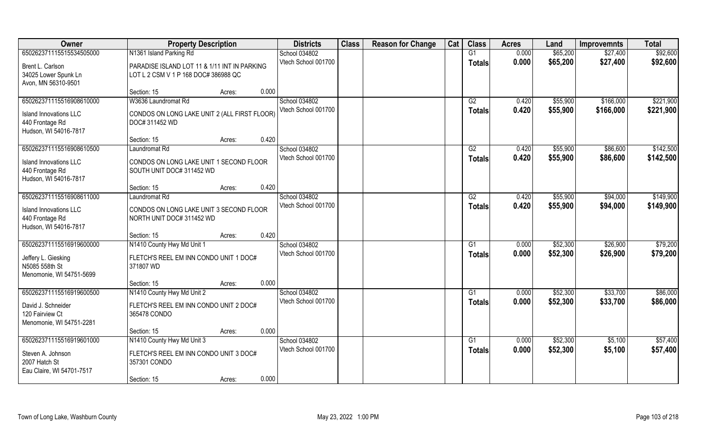| Owner                         | <b>Property Description</b>                  | <b>Districts</b>    | <b>Class</b> | <b>Reason for Change</b> | Cat | <b>Class</b>  | <b>Acres</b> | Land     | <b>Improvemnts</b> | <b>Total</b> |
|-------------------------------|----------------------------------------------|---------------------|--------------|--------------------------|-----|---------------|--------------|----------|--------------------|--------------|
| 650262371115515534505000      | N1361 Island Parking Rd                      | School 034802       |              |                          |     | G1            | 0.000        | \$65,200 | \$27,400           | \$92,600     |
| Brent L. Carlson              | PARADISE ISLAND LOT 11 & 1/11 INT IN PARKING | Vtech School 001700 |              |                          |     | <b>Totals</b> | 0.000        | \$65,200 | \$27,400           | \$92,600     |
| 34025 Lower Spunk Ln          | LOT L 2 CSM V 1 P 168 DOC# 386988 QC         |                     |              |                          |     |               |              |          |                    |              |
| Avon, MN 56310-9501           |                                              |                     |              |                          |     |               |              |          |                    |              |
|                               | Section: 15<br>Acres:                        | 0.000               |              |                          |     |               |              |          |                    |              |
| 650262371115516908610000      | W3636 Laundromat Rd                          | School 034802       |              |                          |     | G2            | 0.420        | \$55,900 | \$166,000          | \$221,900    |
| <b>Island Innovations LLC</b> | CONDOS ON LONG LAKE UNIT 2 (ALL FIRST FLOOR) | Vtech School 001700 |              |                          |     | Totals        | 0.420        | \$55,900 | \$166,000          | \$221,900    |
| 440 Frontage Rd               | DOC# 311452 WD                               |                     |              |                          |     |               |              |          |                    |              |
| Hudson, WI 54016-7817         |                                              |                     |              |                          |     |               |              |          |                    |              |
|                               | Section: 15<br>Acres:                        | 0.420               |              |                          |     |               |              |          |                    |              |
| 650262371115516908610500      | Laundromat Rd                                | School 034802       |              |                          |     | G2            | 0.420        | \$55,900 | \$86,600           | \$142,500    |
| Island Innovations LLC        | CONDOS ON LONG LAKE UNIT 1 SECOND FLOOR      | Vtech School 001700 |              |                          |     | <b>Totals</b> | 0.420        | \$55,900 | \$86,600           | \$142,500    |
| 440 Frontage Rd               | SOUTH UNIT DOC# 311452 WD                    |                     |              |                          |     |               |              |          |                    |              |
| Hudson, WI 54016-7817         |                                              |                     |              |                          |     |               |              |          |                    |              |
|                               | Section: 15<br>Acres:                        | 0.420               |              |                          |     |               |              |          |                    |              |
| 650262371115516908611000      | Laundromat Rd                                | School 034802       |              |                          |     | G2            | 0.420        | \$55,900 | \$94,000           | \$149,900    |
| Island Innovations LLC        | CONDOS ON LONG LAKE UNIT 3 SECOND FLOOR      | Vtech School 001700 |              |                          |     | <b>Totals</b> | 0.420        | \$55,900 | \$94,000           | \$149,900    |
| 440 Frontage Rd               | NORTH UNIT DOC# 311452 WD                    |                     |              |                          |     |               |              |          |                    |              |
| Hudson, WI 54016-7817         |                                              |                     |              |                          |     |               |              |          |                    |              |
|                               | Section: 15<br>Acres:                        | 0.420               |              |                          |     |               |              |          |                    |              |
| 650262371115516919600000      | N1410 County Hwy Md Unit 1                   | School 034802       |              |                          |     | G1            | 0.000        | \$52,300 | \$26,900           | \$79,200     |
| Jeffery L. Giesking           | FLETCH'S REEL EM INN CONDO UNIT 1 DOC#       | Vtech School 001700 |              |                          |     | <b>Totals</b> | 0.000        | \$52,300 | \$26,900           | \$79,200     |
| N5085 558th St                | 371807 WD                                    |                     |              |                          |     |               |              |          |                    |              |
| Menomonie, WI 54751-5699      |                                              |                     |              |                          |     |               |              |          |                    |              |
|                               | Section: 15<br>Acres:                        | 0.000               |              |                          |     |               |              |          |                    |              |
| 650262371115516919600500      | N1410 County Hwy Md Unit 2                   | School 034802       |              |                          |     | G1            | 0.000        | \$52,300 | \$33,700           | \$86,000     |
| David J. Schneider            | FLETCH'S REEL EM INN CONDO UNIT 2 DOC#       | Vtech School 001700 |              |                          |     | <b>Totals</b> | 0.000        | \$52,300 | \$33,700           | \$86,000     |
| 120 Fairview Ct               | 365478 CONDO                                 |                     |              |                          |     |               |              |          |                    |              |
| Menomonie, WI 54751-2281      |                                              |                     |              |                          |     |               |              |          |                    |              |
|                               | Section: 15<br>Acres:                        | 0.000               |              |                          |     |               |              |          |                    |              |
| 650262371115516919601000      | N1410 County Hwy Md Unit 3                   | School 034802       |              |                          |     | G1            | 0.000        | \$52,300 | \$5,100            | \$57,400     |
| Steven A. Johnson             | FLETCH'S REEL EM INN CONDO UNIT 3 DOC#       | Vtech School 001700 |              |                          |     | Totals        | 0.000        | \$52,300 | \$5,100            | \$57,400     |
| 2007 Hatch St                 | 357301 CONDO                                 |                     |              |                          |     |               |              |          |                    |              |
| Eau Claire, WI 54701-7517     |                                              |                     |              |                          |     |               |              |          |                    |              |
|                               | Section: 15<br>Acres:                        | 0.000               |              |                          |     |               |              |          |                    |              |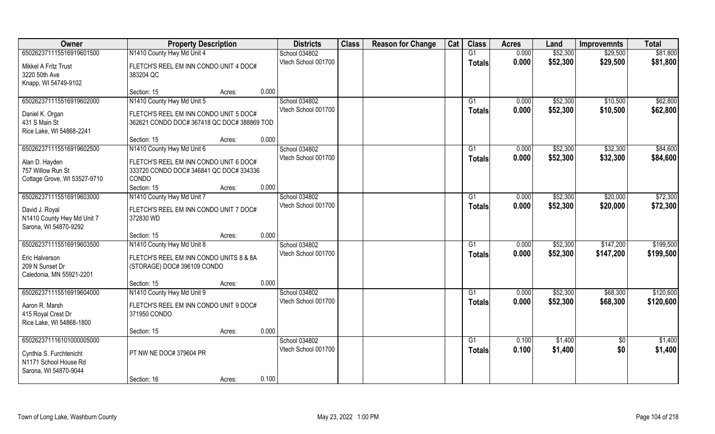| Owner                                            | <b>Property Description</b>               | <b>Districts</b>    | <b>Class</b> | <b>Reason for Change</b> | Cat | <b>Class</b>    | <b>Acres</b> | Land     | <b>Improvemnts</b> | <b>Total</b> |
|--------------------------------------------------|-------------------------------------------|---------------------|--------------|--------------------------|-----|-----------------|--------------|----------|--------------------|--------------|
| 650262371115516919601500                         | N1410 County Hwy Md Unit 4                | School 034802       |              |                          |     | G1              | 0.000        | \$52,300 | \$29,500           | \$81,800     |
| Mikkel A Fritz Trust                             | FLETCH'S REEL EM INN CONDO UNIT 4 DOC#    | Vtech School 001700 |              |                          |     | <b>Totals</b>   | 0.000        | \$52,300 | \$29,500           | \$81,800     |
| 3220 50th Ave                                    | 383204 QC                                 |                     |              |                          |     |                 |              |          |                    |              |
| Knapp, WI 54749-9102                             |                                           |                     |              |                          |     |                 |              |          |                    |              |
|                                                  | 0.000<br>Section: 15<br>Acres:            |                     |              |                          |     |                 |              |          |                    |              |
| 650262371115516919602000                         | N1410 County Hwy Md Unit 5                | School 034802       |              |                          |     | G <sub>1</sub>  | 0.000        | \$52,300 | \$10,500           | \$62,800     |
| Daniel K. Organ                                  | FLETCH'S REEL EM INN CONDO UNIT 5 DOC#    | Vtech School 001700 |              |                          |     | <b>Totals</b>   | 0.000        | \$52,300 | \$10,500           | \$62,800     |
| 431 S Main St                                    | 362621 CONDO DOC#367418 QC DOC#388869 TOD |                     |              |                          |     |                 |              |          |                    |              |
| Rice Lake, WI 54868-2241                         |                                           |                     |              |                          |     |                 |              |          |                    |              |
|                                                  | 0.000<br>Section: 15<br>Acres:            |                     |              |                          |     |                 |              |          |                    |              |
| 650262371115516919602500                         | N1410 County Hwy Md Unit 6                | School 034802       |              |                          |     | G1              | 0.000        | \$52,300 | \$32,300           | \$84,600     |
| Alan D. Hayden                                   | FLETCH'S REEL EM INN CONDO UNIT 6 DOC#    | Vtech School 001700 |              |                          |     | <b>Totals</b>   | 0.000        | \$52,300 | \$32,300           | \$84,600     |
| 757 Willow Run St                                | 333720 CONDO DOC# 346841 QC DOC# 334336   |                     |              |                          |     |                 |              |          |                    |              |
| Cottage Grove, WI 53527-9710                     | CONDO                                     |                     |              |                          |     |                 |              |          |                    |              |
|                                                  | 0.000<br>Section: 15<br>Acres:            |                     |              |                          |     |                 |              |          |                    |              |
| 650262371115516919603000                         | N1410 County Hwy Md Unit 7                | School 034802       |              |                          |     | G1              | 0.000        | \$52,300 | \$20,000           | \$72,300     |
| David J. Royal                                   | FLETCH'S REEL EM INN CONDO UNIT 7 DOC#    | Vtech School 001700 |              |                          |     | <b>Totals</b>   | 0.000        | \$52,300 | \$20,000           | \$72,300     |
| N1410 County Hwy Md Unit 7                       | 372830 WD                                 |                     |              |                          |     |                 |              |          |                    |              |
| Sarona, WI 54870-9292                            |                                           |                     |              |                          |     |                 |              |          |                    |              |
|                                                  | 0.000<br>Section: 15<br>Acres:            |                     |              |                          |     |                 |              |          |                    |              |
| 650262371115516919603500                         | N1410 County Hwy Md Unit 8                | School 034802       |              |                          |     | G1              | 0.000        | \$52,300 | \$147,200          | \$199,500    |
| Eric Halverson                                   | FLETCH'S REEL EM INN CONDO UNITS 8 & 8A   | Vtech School 001700 |              |                          |     | <b>Totals</b>   | 0.000        | \$52,300 | \$147,200          | \$199,500    |
| 209 N Sunset Dr                                  | (STORAGE) DOC#396109 CONDO                |                     |              |                          |     |                 |              |          |                    |              |
| Caledonia, MN 55921-2201                         |                                           |                     |              |                          |     |                 |              |          |                    |              |
|                                                  | 0.000<br>Section: 15<br>Acres:            |                     |              |                          |     |                 |              |          |                    |              |
| 650262371115516919604000                         | N1410 County Hwy Md Unit 9                | School 034802       |              |                          |     | $\overline{G1}$ | 0.000        | \$52,300 | \$68,300           | \$120,600    |
| Aaron R. Marsh                                   | FLETCH'S REEL EM INN CONDO UNIT 9 DOC#    | Vtech School 001700 |              |                          |     | <b>Totals</b>   | 0.000        | \$52,300 | \$68,300           | \$120,600    |
| 415 Royal Crest Dr                               | 371950 CONDO                              |                     |              |                          |     |                 |              |          |                    |              |
| Rice Lake, WI 54868-1800                         |                                           |                     |              |                          |     |                 |              |          |                    |              |
|                                                  | 0.000<br>Section: 15<br>Acres:            |                     |              |                          |     |                 |              |          |                    |              |
| 650262371116101000005000                         |                                           | School 034802       |              |                          |     | G1              | 0.100        | \$1,400  | $\overline{60}$    | \$1,400      |
|                                                  | PT NW NE DOC# 379604 PR                   | Vtech School 001700 |              |                          |     | <b>Totals</b>   | 0.100        | \$1,400  | \$0                | \$1,400      |
| Cynthia S. Furchtenicht<br>N1171 School House Rd |                                           |                     |              |                          |     |                 |              |          |                    |              |
| Sarona, WI 54870-9044                            |                                           |                     |              |                          |     |                 |              |          |                    |              |
|                                                  | 0.100<br>Section: 16<br>Acres:            |                     |              |                          |     |                 |              |          |                    |              |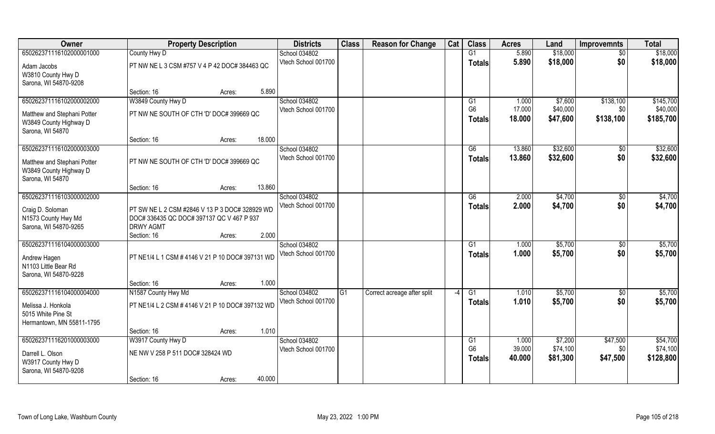| Owner                                           | <b>Property Description</b>                      |                  | <b>Districts</b>                     | <b>Class</b> | <b>Reason for Change</b>    | Cat  | <b>Class</b>    | <b>Acres</b> | Land     | <b>Improvemnts</b> | <b>Total</b> |
|-------------------------------------------------|--------------------------------------------------|------------------|--------------------------------------|--------------|-----------------------------|------|-----------------|--------------|----------|--------------------|--------------|
| 650262371116102000001000                        | County Hwy D                                     |                  | School 034802                        |              |                             |      | G1              | 5.890        | \$18,000 | $\sqrt{$0}$        | \$18,000     |
| Adam Jacobs                                     | PT NW NE L 3 CSM #757 V 4 P 42 DOC# 384463 QC    |                  | Vtech School 001700                  |              |                             |      | <b>Totals</b>   | 5.890        | \$18,000 | \$0                | \$18,000     |
| W3810 County Hwy D                              |                                                  |                  |                                      |              |                             |      |                 |              |          |                    |              |
| Sarona, WI 54870-9208                           |                                                  |                  |                                      |              |                             |      |                 |              |          |                    |              |
|                                                 | Section: 16                                      | 5.890<br>Acres:  |                                      |              |                             |      |                 |              |          |                    |              |
| 650262371116102000002000                        | W3849 County Hwy D                               |                  | School 034802                        |              |                             |      | G1              | 1.000        | \$7,600  | \$138,100          | \$145,700    |
| Matthew and Stephani Potter                     | PT NW NE SOUTH OF CTH 'D' DOC# 399669 QC         |                  | Vtech School 001700                  |              |                             |      | G <sub>6</sub>  | 17.000       | \$40,000 | \$0                | \$40,000     |
| W3849 County Highway D                          |                                                  |                  |                                      |              |                             |      | <b>Totals</b>   | 18.000       | \$47,600 | \$138,100          | \$185,700    |
| Sarona, WI 54870                                |                                                  |                  |                                      |              |                             |      |                 |              |          |                    |              |
|                                                 | Section: 16                                      | 18.000<br>Acres: |                                      |              |                             |      |                 |              |          |                    |              |
| 650262371116102000003000                        |                                                  |                  | School 034802                        |              |                             |      | G6              | 13.860       | \$32,600 | $\sqrt[6]{3}$      | \$32,600     |
| Matthew and Stephani Potter                     | PT NW NE SOUTH OF CTH 'D' DOC# 399669 QC         |                  | Vtech School 001700                  |              |                             |      | <b>Totals</b>   | 13.860       | \$32,600 | \$0                | \$32,600     |
| W3849 County Highway D                          |                                                  |                  |                                      |              |                             |      |                 |              |          |                    |              |
| Sarona, WI 54870                                |                                                  |                  |                                      |              |                             |      |                 |              |          |                    |              |
|                                                 | Section: 16                                      | 13.860<br>Acres: |                                      |              |                             |      |                 |              |          |                    |              |
| 650262371116103000002000                        |                                                  |                  | School 034802<br>Vtech School 001700 |              |                             |      | G6              | 2.000        | \$4,700  | \$0                | \$4,700      |
| Craig D. Soloman                                | PT SW NE L 2 CSM #2846 V 13 P 3 DOC# 328929 WD   |                  |                                      |              |                             |      | <b>Totals</b>   | 2.000        | \$4,700  | \$0                | \$4,700      |
| N1573 County Hwy Md                             | DOC# 336435 QC DOC# 397137 QC V 467 P 937        |                  |                                      |              |                             |      |                 |              |          |                    |              |
| Sarona, WI 54870-9265                           | <b>DRWY AGMT</b>                                 |                  |                                      |              |                             |      |                 |              |          |                    |              |
| 650262371116104000003000                        | Section: 16                                      | 2.000<br>Acres:  | School 034802                        |              |                             |      | $\overline{G1}$ | 1.000        | \$5,700  |                    | \$5,700      |
|                                                 |                                                  |                  | Vtech School 001700                  |              |                             |      | <b>Totals</b>   | 1.000        | \$5,700  | \$0<br>\$0         | \$5,700      |
| Andrew Hagen                                    | PT NE1/4 L 1 CSM # 4146 V 21 P 10 DOC# 397131 WD |                  |                                      |              |                             |      |                 |              |          |                    |              |
| N1103 Little Bear Rd                            |                                                  |                  |                                      |              |                             |      |                 |              |          |                    |              |
| Sarona, WI 54870-9228                           | Section: 16                                      | 1.000<br>Acres:  |                                      |              |                             |      |                 |              |          |                    |              |
| 650262371116104000004000                        | N1587 County Hwy Md                              |                  | School 034802                        | G1           | Correct acreage after split | $-4$ | G1              | 1.010        | \$5,700  | $\sqrt{$0}$        | \$5,700      |
|                                                 |                                                  |                  | Vtech School 001700                  |              |                             |      | <b>Totals</b>   | 1.010        | \$5,700  | \$0                | \$5,700      |
| Melissa J. Honkola                              | PT NE1/4 L 2 CSM # 4146 V 21 P 10 DOC# 397132 WD |                  |                                      |              |                             |      |                 |              |          |                    |              |
| 5015 White Pine St<br>Hermantown, MN 55811-1795 |                                                  |                  |                                      |              |                             |      |                 |              |          |                    |              |
|                                                 | Section: 16                                      | 1.010<br>Acres:  |                                      |              |                             |      |                 |              |          |                    |              |
| 650262371116201000003000                        | W3917 County Hwy D                               |                  | School 034802                        |              |                             |      | G1              | 1.000        | \$7,200  | \$47,500           | \$54,700     |
|                                                 |                                                  |                  | Vtech School 001700                  |              |                             |      | G <sub>6</sub>  | 39.000       | \$74,100 | \$0                | \$74,100     |
| Darrell L. Olson<br>W3917 County Hwy D          | NE NW V 258 P 511 DOC# 328424 WD                 |                  |                                      |              |                             |      | <b>Totals</b>   | 40.000       | \$81,300 | \$47,500           | \$128,800    |
| Sarona, WI 54870-9208                           |                                                  |                  |                                      |              |                             |      |                 |              |          |                    |              |
|                                                 | Section: 16                                      | 40.000<br>Acres: |                                      |              |                             |      |                 |              |          |                    |              |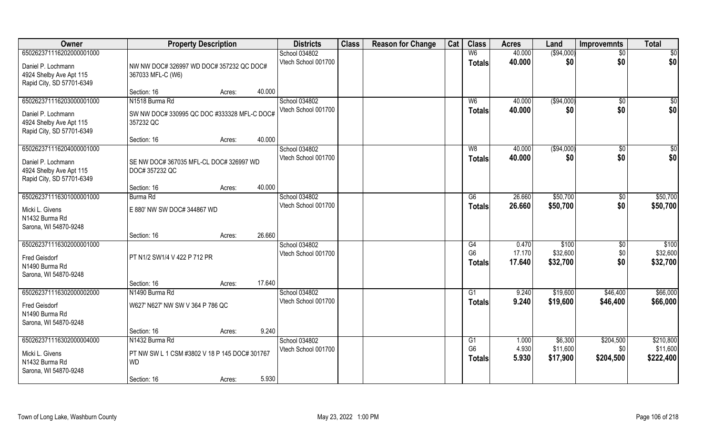| Owner                     | <b>Property Description</b>                   |                  | <b>Districts</b>    | <b>Class</b> | <b>Reason for Change</b> | Cat | <b>Class</b>   | <b>Acres</b> | Land        | <b>Improvemnts</b> | <b>Total</b>     |
|---------------------------|-----------------------------------------------|------------------|---------------------|--------------|--------------------------|-----|----------------|--------------|-------------|--------------------|------------------|
| 650262371116202000001000  |                                               |                  | School 034802       |              |                          |     | W <sub>6</sub> | 40.000       | ( \$94,000) | $\overline{30}$    | $\overline{50}$  |
| Daniel P. Lochmann        | NW NW DOC# 326997 WD DOC# 357232 QC DOC#      |                  | Vtech School 001700 |              |                          |     | <b>Totals</b>  | 40.000       | \$0         | \$0                | \$0              |
| 4924 Shelby Ave Apt 115   | 367033 MFL-C (W6)                             |                  |                     |              |                          |     |                |              |             |                    |                  |
| Rapid City, SD 57701-6349 |                                               |                  |                     |              |                          |     |                |              |             |                    |                  |
|                           | Section: 16                                   | 40.000<br>Acres: |                     |              |                          |     |                |              |             |                    |                  |
| 650262371116203000001000  | N1518 Burma Rd                                |                  | School 034802       |              |                          |     | W <sub>6</sub> | 40.000       | ( \$94,000) | $\overline{50}$    | $\overline{\$0}$ |
| Daniel P. Lochmann        | SW NW DOC# 330995 QC DOC #333328 MFL-C DOC#   |                  | Vtech School 001700 |              |                          |     | <b>Totals</b>  | 40.000       | \$0         | \$0                | \$0              |
| 4924 Shelby Ave Apt 115   | 357232 QC                                     |                  |                     |              |                          |     |                |              |             |                    |                  |
| Rapid City, SD 57701-6349 |                                               |                  |                     |              |                          |     |                |              |             |                    |                  |
|                           | Section: 16                                   | 40.000<br>Acres: |                     |              |                          |     |                |              |             |                    |                  |
| 650262371116204000001000  |                                               |                  | School 034802       |              |                          |     | W8             | 40.000       | ( \$94,000) | $\sqrt[6]{30}$     | \$0              |
| Daniel P. Lochmann        | SE NW DOC# 367035 MFL-CL DOC# 326997 WD       |                  | Vtech School 001700 |              |                          |     | <b>Totals</b>  | 40.000       | \$0         | \$0                | \$0              |
| 4924 Shelby Ave Apt 115   | DOC# 357232 QC                                |                  |                     |              |                          |     |                |              |             |                    |                  |
| Rapid City, SD 57701-6349 |                                               |                  |                     |              |                          |     |                |              |             |                    |                  |
|                           | Section: 16                                   | 40.000<br>Acres: |                     |              |                          |     |                |              |             |                    |                  |
| 650262371116301000001000  | Burma Rd                                      |                  | School 034802       |              |                          |     | G6             | 26.660       | \$50,700    | $\sqrt[6]{3}$      | \$50,700         |
| Micki L. Givens           | E 880' NW SW DOC# 344867 WD                   |                  | Vtech School 001700 |              |                          |     | <b>Totals</b>  | 26.660       | \$50,700    | \$0                | \$50,700         |
| N1432 Burma Rd            |                                               |                  |                     |              |                          |     |                |              |             |                    |                  |
| Sarona, WI 54870-9248     |                                               |                  |                     |              |                          |     |                |              |             |                    |                  |
|                           | Section: 16                                   | 26.660<br>Acres: |                     |              |                          |     |                |              |             |                    |                  |
| 650262371116302000001000  |                                               |                  | School 034802       |              |                          |     | G4             | 0.470        | \$100       | \$0                | \$100            |
| Fred Geisdorf             | PT N1/2 SW1/4 V 422 P 712 PR                  |                  | Vtech School 001700 |              |                          |     | G <sub>6</sub> | 17.170       | \$32,600    | \$0                | \$32,600         |
| N1490 Burma Rd            |                                               |                  |                     |              |                          |     | Totals         | 17.640       | \$32,700    | \$0                | \$32,700         |
| Sarona, WI 54870-9248     |                                               |                  |                     |              |                          |     |                |              |             |                    |                  |
|                           | Section: 16                                   | 17.640<br>Acres: |                     |              |                          |     |                |              |             |                    |                  |
| 650262371116302000002000  | N1490 Burma Rd                                |                  | School 034802       |              |                          |     | G1             | 9.240        | \$19,600    | \$46,400           | \$66,000         |
| Fred Geisdorf             | W627' N627' NW SW V 364 P 786 QC              |                  | Vtech School 001700 |              |                          |     | <b>Totals</b>  | 9.240        | \$19,600    | \$46,400           | \$66,000         |
| N1490 Burma Rd            |                                               |                  |                     |              |                          |     |                |              |             |                    |                  |
| Sarona, WI 54870-9248     |                                               |                  |                     |              |                          |     |                |              |             |                    |                  |
|                           | Section: 16                                   | 9.240<br>Acres:  |                     |              |                          |     |                |              |             |                    |                  |
| 650262371116302000004000  | N1432 Burma Rd                                |                  | School 034802       |              |                          |     | G1             | 1.000        | \$6,300     | \$204,500          | \$210,800        |
| Micki L. Givens           | PT NW SW L 1 CSM #3802 V 18 P 145 DOC# 301767 |                  | Vtech School 001700 |              |                          |     | G <sub>6</sub> | 4.930        | \$11,600    | \$0                | \$11,600         |
| N1432 Burma Rd            | <b>WD</b>                                     |                  |                     |              |                          |     | <b>Totals</b>  | 5.930        | \$17,900    | \$204,500          | \$222,400        |
| Sarona, WI 54870-9248     |                                               |                  |                     |              |                          |     |                |              |             |                    |                  |
|                           | Section: 16                                   | 5.930<br>Acres:  |                     |              |                          |     |                |              |             |                    |                  |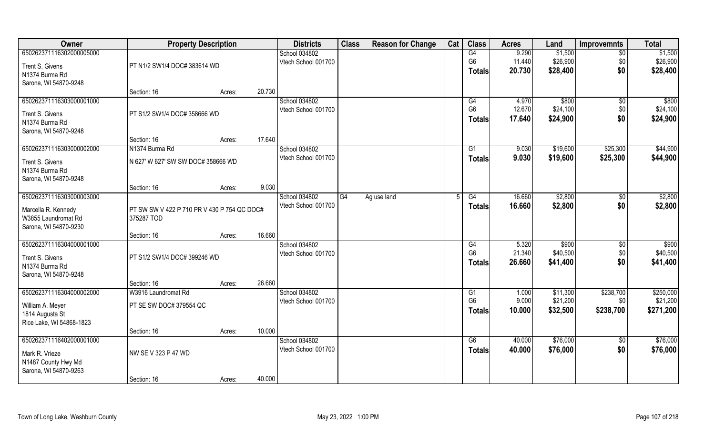| Owner                    | <b>Property Description</b>                 |        |        | <b>Districts</b>    | <b>Class</b> | <b>Reason for Change</b> | Cat | <b>Class</b>   | <b>Acres</b> | Land     | <b>Improvemnts</b> | <b>Total</b>      |
|--------------------------|---------------------------------------------|--------|--------|---------------------|--------------|--------------------------|-----|----------------|--------------|----------|--------------------|-------------------|
| 650262371116302000005000 |                                             |        |        | School 034802       |              |                          |     | G4             | 9.290        | \$1,500  | $\sqrt{6}$         | \$1,500           |
| Trent S. Givens          | PT N1/2 SW1/4 DOC# 383614 WD                |        |        | Vtech School 001700 |              |                          |     | G <sub>6</sub> | 11.440       | \$26,900 | \$0                | \$26,900          |
| N1374 Burma Rd           |                                             |        |        |                     |              |                          |     | Totals         | 20.730       | \$28,400 | \$0                | \$28,400          |
| Sarona, WI 54870-9248    |                                             |        |        |                     |              |                          |     |                |              |          |                    |                   |
|                          | Section: 16                                 | Acres: | 20.730 |                     |              |                          |     |                |              |          |                    |                   |
| 650262371116303000001000 |                                             |        |        | School 034802       |              |                          |     | G4             | 4.970        | \$800    | \$0                | \$800             |
| Trent S. Givens          | PT S1/2 SW1/4 DOC# 358666 WD                |        |        | Vtech School 001700 |              |                          |     | G <sub>6</sub> | 12.670       | \$24,100 | \$0                | \$24,100          |
| N1374 Burma Rd           |                                             |        |        |                     |              |                          |     | <b>Totals</b>  | 17.640       | \$24,900 | \$0                | \$24,900          |
| Sarona, WI 54870-9248    |                                             |        |        |                     |              |                          |     |                |              |          |                    |                   |
|                          | Section: 16                                 | Acres: | 17.640 |                     |              |                          |     |                |              |          |                    |                   |
| 650262371116303000002000 | N1374 Burma Rd                              |        |        | School 034802       |              |                          |     | G1             | 9.030        | \$19,600 | \$25,300           | \$44,900          |
| Trent S. Givens          | N 627' W 627' SW SW DOC# 358666 WD          |        |        | Vtech School 001700 |              |                          |     | <b>Totals</b>  | 9.030        | \$19,600 | \$25,300           | \$44,900          |
| N1374 Burma Rd           |                                             |        |        |                     |              |                          |     |                |              |          |                    |                   |
| Sarona, WI 54870-9248    |                                             |        |        |                     |              |                          |     |                |              |          |                    |                   |
|                          | Section: 16                                 | Acres: | 9.030  |                     |              |                          |     |                |              |          |                    |                   |
| 650262371116303000003000 |                                             |        |        | School 034802       | G4           | Ag use land              |     | G4             | 16.660       | \$2,800  | $\sqrt[6]{3}$      | \$2,800           |
| Marcella R. Kennedy      | PT SW SW V 422 P 710 PR V 430 P 754 QC DOC# |        |        | Vtech School 001700 |              |                          |     | <b>Totals</b>  | 16.660       | \$2,800  | \$0                | \$2,800           |
| W3855 Laundromat Rd      | 375287 TOD                                  |        |        |                     |              |                          |     |                |              |          |                    |                   |
| Sarona, WI 54870-9230    |                                             |        |        |                     |              |                          |     |                |              |          |                    |                   |
|                          | Section: 16                                 | Acres: | 16.660 |                     |              |                          |     |                |              |          |                    |                   |
| 650262371116304000001000 |                                             |        |        | School 034802       |              |                          |     | G4             | 5.320        | \$900    | \$0                | $\overline{$900}$ |
| Trent S. Givens          | PT S1/2 SW1/4 DOC# 399246 WD                |        |        | Vtech School 001700 |              |                          |     | G <sub>6</sub> | 21.340       | \$40,500 | \$0                | \$40,500          |
| N1374 Burma Rd           |                                             |        |        |                     |              |                          |     | <b>Totals</b>  | 26.660       | \$41,400 | \$0                | \$41,400          |
| Sarona, WI 54870-9248    |                                             |        |        |                     |              |                          |     |                |              |          |                    |                   |
|                          | Section: 16                                 | Acres: | 26.660 |                     |              |                          |     |                |              |          |                    |                   |
| 650262371116304000002000 | W3916 Laundromat Rd                         |        |        | School 034802       |              |                          |     | G1             | 1.000        | \$11,300 | \$238,700          | \$250,000         |
| William A. Meyer         | PT SE SW DOC# 379554 QC                     |        |        | Vtech School 001700 |              |                          |     | G <sub>6</sub> | 9.000        | \$21,200 | \$0                | \$21,200          |
| 1814 Augusta St          |                                             |        |        |                     |              |                          |     | Totals         | 10.000       | \$32,500 | \$238,700          | \$271,200         |
| Rice Lake, WI 54868-1823 |                                             |        |        |                     |              |                          |     |                |              |          |                    |                   |
|                          | Section: 16                                 | Acres: | 10.000 |                     |              |                          |     |                |              |          |                    |                   |
| 650262371116402000001000 |                                             |        |        | School 034802       |              |                          |     | G6             | 40.000       | \$76,000 | $\overline{50}$    | \$76,000          |
| Mark R. Vrieze           | NW SE V 323 P 47 WD                         |        |        | Vtech School 001700 |              |                          |     | Totals         | 40.000       | \$76,000 | \$0                | \$76,000          |
| N1487 County Hwy Md      |                                             |        |        |                     |              |                          |     |                |              |          |                    |                   |
| Sarona, WI 54870-9263    |                                             |        |        |                     |              |                          |     |                |              |          |                    |                   |
|                          | Section: 16                                 | Acres: | 40.000 |                     |              |                          |     |                |              |          |                    |                   |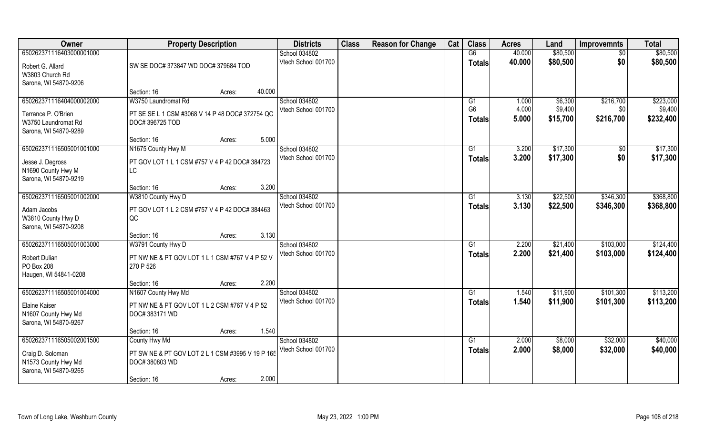| Owner                    | <b>Property Description</b>                      |                  | <b>Districts</b>     | <b>Class</b> | <b>Reason for Change</b> | Cat | <b>Class</b>   | <b>Acres</b> | Land     | <b>Improvemnts</b> | <b>Total</b> |
|--------------------------|--------------------------------------------------|------------------|----------------------|--------------|--------------------------|-----|----------------|--------------|----------|--------------------|--------------|
| 650262371116403000001000 |                                                  |                  | School 034802        |              |                          |     | G6             | 40.000       | \$80,500 | $\sqrt{6}$         | \$80,500     |
| Robert G. Allard         | SW SE DOC# 373847 WD DOC# 379684 TOD             |                  | Vtech School 001700  |              |                          |     | Totals         | 40.000       | \$80,500 | \$0                | \$80,500     |
| W3803 Church Rd          |                                                  |                  |                      |              |                          |     |                |              |          |                    |              |
| Sarona, WI 54870-9206    |                                                  |                  |                      |              |                          |     |                |              |          |                    |              |
|                          | Section: 16                                      | 40.000<br>Acres: |                      |              |                          |     |                |              |          |                    |              |
| 650262371116404000002000 | W3750 Laundromat Rd                              |                  | <b>School 034802</b> |              |                          |     | G1             | 1.000        | \$6,300  | \$216,700          | \$223,000    |
| Terrance P. O'Brien      | PT SE SE L 1 CSM #3068 V 14 P 48 DOC# 372754 QC  |                  | Vtech School 001700  |              |                          |     | G <sub>6</sub> | 4.000        | \$9,400  | \$0                | \$9,400      |
| W3750 Laundromat Rd      | DOC#396725 TOD                                   |                  |                      |              |                          |     | <b>Totals</b>  | 5.000        | \$15,700 | \$216,700          | \$232,400    |
| Sarona, WI 54870-9289    |                                                  |                  |                      |              |                          |     |                |              |          |                    |              |
|                          | Section: 16                                      | 5.000<br>Acres:  |                      |              |                          |     |                |              |          |                    |              |
| 650262371116505001001000 | N1675 County Hwy M                               |                  | School 034802        |              |                          |     | G1             | 3.200        | \$17,300 | $\sqrt[6]{30}$     | \$17,300     |
| Jesse J. Degross         | PT GOV LOT 1 L 1 CSM #757 V 4 P 42 DOC# 384723   |                  | Vtech School 001700  |              |                          |     | <b>Totals</b>  | 3.200        | \$17,300 | \$0                | \$17,300     |
| N1690 County Hwy M       | LC                                               |                  |                      |              |                          |     |                |              |          |                    |              |
| Sarona, WI 54870-9219    |                                                  |                  |                      |              |                          |     |                |              |          |                    |              |
|                          | Section: 16                                      | 3.200<br>Acres:  |                      |              |                          |     |                |              |          |                    |              |
| 650262371116505001002000 | W3810 County Hwy D                               |                  | School 034802        |              |                          |     | G1             | 3.130        | \$22,500 | \$346,300          | \$368,800    |
| Adam Jacobs              | PT GOV LOT 1 L 2 CSM #757 V 4 P 42 DOC# 384463   |                  | Vtech School 001700  |              |                          |     | <b>Totals</b>  | 3.130        | \$22,500 | \$346,300          | \$368,800    |
| W3810 County Hwy D       | QC                                               |                  |                      |              |                          |     |                |              |          |                    |              |
| Sarona, WI 54870-9208    |                                                  |                  |                      |              |                          |     |                |              |          |                    |              |
|                          | Section: 16                                      | 3.130<br>Acres:  |                      |              |                          |     |                |              |          |                    |              |
| 650262371116505001003000 | W3791 County Hwy D                               |                  | School 034802        |              |                          |     | G1             | 2.200        | \$21,400 | \$103,000          | \$124,400    |
| Robert Dulian            | PT NW NE & PT GOV LOT 1 L 1 CSM #767 V 4 P 52 V  |                  | Vtech School 001700  |              |                          |     | Totals         | 2.200        | \$21,400 | \$103,000          | \$124,400    |
| PO Box 208               | 270 P 526                                        |                  |                      |              |                          |     |                |              |          |                    |              |
| Haugen, WI 54841-0208    |                                                  |                  |                      |              |                          |     |                |              |          |                    |              |
|                          | Section: 16                                      | 2.200<br>Acres:  |                      |              |                          |     |                |              |          |                    |              |
| 650262371116505001004000 | N1607 County Hwy Md                              |                  | School 034802        |              |                          |     | G1             | 1.540        | \$11,900 | \$101,300          | \$113,200    |
| Elaine Kaiser            | PT NW NE & PT GOV LOT 1 L 2 CSM #767 V 4 P 52    |                  | Vtech School 001700  |              |                          |     | <b>Totals</b>  | 1.540        | \$11,900 | \$101,300          | \$113,200    |
| N1607 County Hwy Md      | DOC#383171 WD                                    |                  |                      |              |                          |     |                |              |          |                    |              |
| Sarona, WI 54870-9267    |                                                  |                  |                      |              |                          |     |                |              |          |                    |              |
|                          | Section: 16                                      | 1.540<br>Acres:  |                      |              |                          |     |                |              |          |                    |              |
| 650262371116505002001500 | County Hwy Md                                    |                  | School 034802        |              |                          |     | G1             | 2.000        | \$8,000  | \$32,000           | \$40,000     |
| Craig D. Soloman         | PT SW NE & PT GOV LOT 2 L 1 CSM #3995 V 19 P 165 |                  | Vtech School 001700  |              |                          |     | Totals         | 2.000        | \$8,000  | \$32,000           | \$40,000     |
| N1573 County Hwy Md      | DOC# 380803 WD                                   |                  |                      |              |                          |     |                |              |          |                    |              |
| Sarona, WI 54870-9265    |                                                  |                  |                      |              |                          |     |                |              |          |                    |              |
|                          | Section: 16                                      | 2.000<br>Acres:  |                      |              |                          |     |                |              |          |                    |              |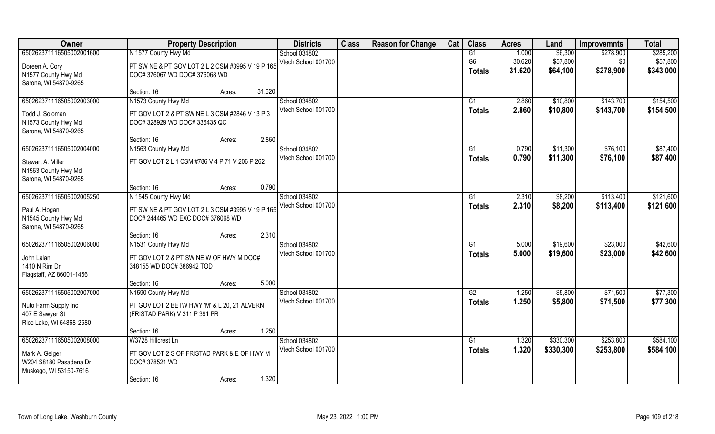| Owner                    | <b>Property Description</b>                      | <b>Districts</b>    | <b>Class</b> | <b>Reason for Change</b> | Cat | <b>Class</b>    | <b>Acres</b> | Land      | <b>Improvemnts</b> | <b>Total</b> |
|--------------------------|--------------------------------------------------|---------------------|--------------|--------------------------|-----|-----------------|--------------|-----------|--------------------|--------------|
| 650262371116505002001600 | N 1577 County Hwy Md                             | School 034802       |              |                          |     | G1              | 1.000        | \$6,300   | \$278,900          | \$285,200    |
| Doreen A. Cory           | PT SW NE & PT GOV LOT 2 L 2 CSM #3995 V 19 P 165 | Vtech School 001700 |              |                          |     | G <sub>6</sub>  | 30.620       | \$57,800  | \$0                | \$57,800     |
| N1577 County Hwy Md      | DOC# 376067 WD DOC# 376068 WD                    |                     |              |                          |     | <b>Totals</b>   | 31.620       | \$64,100  | \$278,900          | \$343,000    |
| Sarona, WI 54870-9265    |                                                  |                     |              |                          |     |                 |              |           |                    |              |
|                          | 31.620<br>Section: 16<br>Acres:                  |                     |              |                          |     |                 |              |           |                    |              |
| 650262371116505002003000 | N1573 County Hwy Md                              | School 034802       |              |                          |     | G1              | 2.860        | \$10,800  | \$143,700          | \$154,500    |
| Todd J. Soloman          | PT GOV LOT 2 & PT SW NE L 3 CSM #2846 V 13 P 3   | Vtech School 001700 |              |                          |     | Totals          | 2.860        | \$10,800  | \$143,700          | \$154,500    |
| N1573 County Hwy Md      | DOC# 328929 WD DOC# 336435 QC                    |                     |              |                          |     |                 |              |           |                    |              |
| Sarona, WI 54870-9265    |                                                  |                     |              |                          |     |                 |              |           |                    |              |
|                          | 2.860<br>Section: 16<br>Acres:                   |                     |              |                          |     |                 |              |           |                    |              |
| 650262371116505002004000 | N1563 County Hwy Md                              | School 034802       |              |                          |     | G1              | 0.790        | \$11,300  | \$76,100           | \$87,400     |
| Stewart A. Miller        | PT GOV LOT 2 L 1 CSM #786 V 4 P 71 V 206 P 262   | Vtech School 001700 |              |                          |     | <b>Totals</b>   | 0.790        | \$11,300  | \$76,100           | \$87,400     |
| N1563 County Hwy Md      |                                                  |                     |              |                          |     |                 |              |           |                    |              |
| Sarona, WI 54870-9265    |                                                  |                     |              |                          |     |                 |              |           |                    |              |
|                          | 0.790<br>Section: 16<br>Acres:                   |                     |              |                          |     |                 |              |           |                    |              |
| 650262371116505002005250 | N 1545 County Hwy Md                             | School 034802       |              |                          |     | G1              | 2.310        | \$8,200   | \$113,400          | \$121,600    |
| Paul A. Hogan            | PT SW NE & PT GOV LOT 2 L 3 CSM #3995 V 19 P 165 | Vtech School 001700 |              |                          |     | <b>Totals</b>   | 2.310        | \$8,200   | \$113,400          | \$121,600    |
| N1545 County Hwy Md      | DOC# 244465 WD EXC DOC# 376068 WD                |                     |              |                          |     |                 |              |           |                    |              |
| Sarona, WI 54870-9265    |                                                  |                     |              |                          |     |                 |              |           |                    |              |
|                          | 2.310<br>Section: 16<br>Acres:                   |                     |              |                          |     |                 |              |           |                    |              |
| 650262371116505002006000 | N1531 County Hwy Md                              | School 034802       |              |                          |     | G1              | 5.000        | \$19,600  | \$23,000           | \$42,600     |
| John Lalan               | PT GOV LOT 2 & PT SW NE W OF HWY M DOC#          | Vtech School 001700 |              |                          |     | Totals          | 5.000        | \$19,600  | \$23,000           | \$42,600     |
| 1410 N Rim Dr            | 348155 WD DOC# 386942 TOD                        |                     |              |                          |     |                 |              |           |                    |              |
| Flagstaff, AZ 86001-1456 |                                                  |                     |              |                          |     |                 |              |           |                    |              |
|                          | 5.000<br>Section: 16<br>Acres:                   |                     |              |                          |     |                 |              |           |                    |              |
| 650262371116505002007000 | N1590 County Hwy Md                              | School 034802       |              |                          |     | $\overline{G2}$ | 1.250        | \$5,800   | \$71,500           | \$77,300     |
| Nuto Farm Supply Inc     | PT GOV LOT 2 BETW HWY 'M' & L 20, 21 ALVERN      | Vtech School 001700 |              |                          |     | <b>Totals</b>   | 1.250        | \$5,800   | \$71,500           | \$77,300     |
| 407 E Sawyer St          | (FRISTAD PARK) V 311 P 391 PR                    |                     |              |                          |     |                 |              |           |                    |              |
| Rice Lake, WI 54868-2580 |                                                  |                     |              |                          |     |                 |              |           |                    |              |
|                          | 1.250<br>Section: 16<br>Acres:                   |                     |              |                          |     |                 |              |           |                    |              |
| 650262371116505002008000 | W3728 Hillcrest Ln                               | School 034802       |              |                          |     | G1              | 1.320        | \$330,300 | \$253,800          | \$584,100    |
| Mark A. Geiger           | PT GOV LOT 2 S OF FRISTAD PARK & E OF HWY M      | Vtech School 001700 |              |                          |     | <b>Totals</b>   | 1.320        | \$330,300 | \$253,800          | \$584,100    |
| W204 S8180 Pasadena Dr   | DOC# 378521 WD                                   |                     |              |                          |     |                 |              |           |                    |              |
| Muskego, WI 53150-7616   |                                                  |                     |              |                          |     |                 |              |           |                    |              |
|                          | 1.320<br>Section: 16<br>Acres:                   |                     |              |                          |     |                 |              |           |                    |              |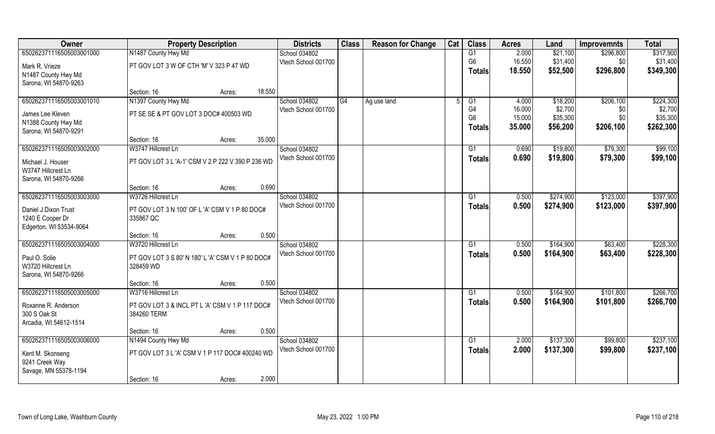| Owner                    | <b>Property Description</b>                       |        |        | <b>Districts</b>    | <b>Class</b> | <b>Reason for Change</b> | Cat | <b>Class</b>    | <b>Acres</b> | Land      | <b>Improvemnts</b> | <b>Total</b> |
|--------------------------|---------------------------------------------------|--------|--------|---------------------|--------------|--------------------------|-----|-----------------|--------------|-----------|--------------------|--------------|
| 650262371116505003001000 | N1487 County Hwy Md                               |        |        | School 034802       |              |                          |     | G1              | 2.000        | \$21,100  | \$296,800          | \$317,900    |
| Mark R. Vrieze           | PT GOV LOT 3 W OF CTH 'M' V 323 P 47 WD           |        |        | Vtech School 001700 |              |                          |     | G <sub>6</sub>  | 16.550       | \$31,400  | \$0                | \$31,400     |
| N1487 County Hwy Md      |                                                   |        |        |                     |              |                          |     | Totals          | 18.550       | \$52,500  | \$296,800          | \$349,300    |
| Sarona, WI 54870-9263    |                                                   |        |        |                     |              |                          |     |                 |              |           |                    |              |
|                          | Section: 16                                       | Acres: | 18.550 |                     |              |                          |     |                 |              |           |                    |              |
| 650262371116505003001010 | N1397 County Hwy Md                               |        |        | School 034802       | G4           | Ag use land              |     | G1              | 4.000        | \$18,200  | \$206,100          | \$224,300    |
| James Lee Kleven         | PT SE SE & PT GOV LOT 3 DOC# 400503 WD            |        |        | Vtech School 001700 |              |                          |     | G4              | 16.000       | \$2,700   | \$0                | \$2,700      |
| N1388 County Hwy Md      |                                                   |        |        |                     |              |                          |     | G <sub>6</sub>  | 15.000       | \$35,300  | \$0                | \$35,300     |
| Sarona, WI 54870-9291    |                                                   |        |        |                     |              |                          |     | <b>Totals</b>   | 35.000       | \$56,200  | \$206,100          | \$262,300    |
|                          | Section: 16                                       | Acres: | 35.000 |                     |              |                          |     |                 |              |           |                    |              |
| 650262371116505003002000 | W3747 Hillcrest Ln                                |        |        | School 034802       |              |                          |     | G1              | 0.690        | \$19,800  | \$79,300           | \$99,100     |
| Michael J. Houser        | PT GOV LOT 3 L 'A-1' CSM V 2 P 222 V 390 P 236 WD |        |        | Vtech School 001700 |              |                          |     | <b>Totals</b>   | 0.690        | \$19,800  | \$79,300           | \$99,100     |
| W3747 Hillcrest Ln       |                                                   |        |        |                     |              |                          |     |                 |              |           |                    |              |
| Sarona, WI 54870-9266    |                                                   |        |        |                     |              |                          |     |                 |              |           |                    |              |
|                          | Section: 16                                       | Acres: | 0.690  |                     |              |                          |     |                 |              |           |                    |              |
| 650262371116505003003000 | W3726 Hillcrest Ln                                |        |        | School 034802       |              |                          |     | G1              | 0.500        | \$274,900 | \$123,000          | \$397,900    |
| Daniel J Dixon Trust     | PT GOV LOT 3 N 100' OF L 'A' CSM V 1 P 80 DOC#    |        |        | Vtech School 001700 |              |                          |     | <b>Totals</b>   | 0.500        | \$274,900 | \$123,000          | \$397,900    |
| 1240 E Cooper Dr         | 335867 QC                                         |        |        |                     |              |                          |     |                 |              |           |                    |              |
| Edgerton, WI 53534-9064  |                                                   |        |        |                     |              |                          |     |                 |              |           |                    |              |
|                          | Section: 16                                       | Acres: | 0.500  |                     |              |                          |     |                 |              |           |                    |              |
| 650262371116505003004000 | W3720 Hillcrest Ln                                |        |        | School 034802       |              |                          |     | G1              | 0.500        | \$164,900 | \$63,400           | \$228,300    |
| Paul O. Solie            | PT GOV LOT 3 S 80' N 180' L 'A' CSM V 1 P 80 DOC# |        |        | Vtech School 001700 |              |                          |     | <b>Totals</b>   | 0.500        | \$164,900 | \$63,400           | \$228,300    |
| W3720 Hillcrest Ln       | 328459 WD                                         |        |        |                     |              |                          |     |                 |              |           |                    |              |
| Sarona, WI 54870-9266    |                                                   |        |        |                     |              |                          |     |                 |              |           |                    |              |
|                          | Section: 16                                       | Acres: | 0.500  |                     |              |                          |     |                 |              |           |                    |              |
| 650262371116505003005000 | W3716 Hillcrest Ln                                |        |        | School 034802       |              |                          |     | G1              | 0.500        | \$164,900 | \$101,800          | \$266,700    |
| Roxanne R. Anderson      | PT GOV LOT 3 & INCL PT L 'A' CSM V 1 P 117 DOC#   |        |        | Vtech School 001700 |              |                          |     | <b>Totals</b>   | 0.500        | \$164,900 | \$101,800          | \$266,700    |
| 300 S Oak St             | 384260 TERM                                       |        |        |                     |              |                          |     |                 |              |           |                    |              |
| Arcadia, WI 54612-1514   |                                                   |        |        |                     |              |                          |     |                 |              |           |                    |              |
|                          | Section: 16                                       | Acres: | 0.500  |                     |              |                          |     |                 |              |           |                    |              |
| 650262371116505003006000 | N1494 County Hwy Md                               |        |        | School 034802       |              |                          |     | $\overline{G1}$ | 2.000        | \$137,300 | \$99,800           | \$237,100    |
| Kent M. Skonseng         | PT GOV LOT 3 L 'A' CSM V 1 P 117 DOC# 400240 WD   |        |        | Vtech School 001700 |              |                          |     | <b>Totals</b>   | 2.000        | \$137,300 | \$99,800           | \$237,100    |
| 9241 Creek Way           |                                                   |        |        |                     |              |                          |     |                 |              |           |                    |              |
| Savage, MN 55378-1194    |                                                   |        |        |                     |              |                          |     |                 |              |           |                    |              |
|                          | Section: 16                                       | Acres: | 2.000  |                     |              |                          |     |                 |              |           |                    |              |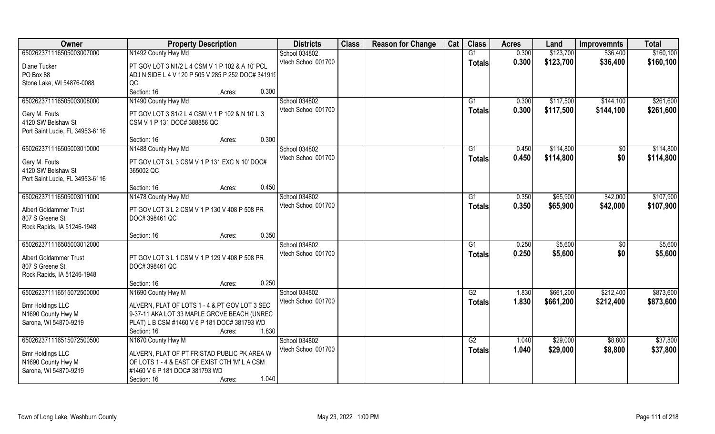| Owner                                         | <b>Property Description</b>                        | <b>Districts</b>    | <b>Class</b> | <b>Reason for Change</b> | Cat | <b>Class</b>    | <b>Acres</b> | Land      | <b>Improvemnts</b> | <b>Total</b> |
|-----------------------------------------------|----------------------------------------------------|---------------------|--------------|--------------------------|-----|-----------------|--------------|-----------|--------------------|--------------|
| 650262371116505003007000                      | N1492 County Hwy Md                                | School 034802       |              |                          |     | G1              | 0.300        | \$123,700 | \$36,400           | \$160,100    |
| Diane Tucker                                  | PT GOV LOT 3 N1/2 L 4 CSM V 1 P 102 & A 10' PCL    | Vtech School 001700 |              |                          |     | <b>Totals</b>   | 0.300        | \$123,700 | \$36,400           | \$160,100    |
| PO Box 88                                     | ADJ N SIDE L 4 V 120 P 505 V 285 P 252 DOC# 341919 |                     |              |                          |     |                 |              |           |                    |              |
| Stone Lake, WI 54876-0088                     | QC                                                 |                     |              |                          |     |                 |              |           |                    |              |
|                                               | 0.300<br>Section: 16<br>Acres:                     |                     |              |                          |     |                 |              |           |                    |              |
| 650262371116505003008000                      | N1490 County Hwy Md                                | School 034802       |              |                          |     | G1              | 0.300        | \$117,500 | \$144,100          | \$261,600    |
|                                               |                                                    | Vtech School 001700 |              |                          |     | <b>Totals</b>   | 0.300        | \$117,500 | \$144,100          | \$261,600    |
| Gary M. Fouts                                 | PT GOV LOT 3 S1/2 L 4 CSM V 1 P 102 & N 10'L 3     |                     |              |                          |     |                 |              |           |                    |              |
| 4120 SW Belshaw St                            | CSM V 1 P 131 DOC# 388856 QC                       |                     |              |                          |     |                 |              |           |                    |              |
| Port Saint Lucie, FL 34953-6116               |                                                    |                     |              |                          |     |                 |              |           |                    |              |
|                                               | 0.300<br>Section: 16<br>Acres:                     |                     |              |                          |     |                 |              |           |                    |              |
| 650262371116505003010000                      | N1488 County Hwy Md                                | School 034802       |              |                          |     | G1              | 0.450        | \$114,800 | \$0                | \$114,800    |
| Gary M. Fouts                                 | PT GOV LOT 3 L 3 CSM V 1 P 131 EXC N 10' DOC#      | Vtech School 001700 |              |                          |     | <b>Totals</b>   | 0.450        | \$114,800 | \$0                | \$114,800    |
| 4120 SW Belshaw St                            | 365002 QC                                          |                     |              |                          |     |                 |              |           |                    |              |
| Port Saint Lucie, FL 34953-6116               |                                                    |                     |              |                          |     |                 |              |           |                    |              |
|                                               | 0.450<br>Section: 16<br>Acres:                     |                     |              |                          |     |                 |              |           |                    |              |
| 650262371116505003011000                      | N1478 County Hwy Md                                | School 034802       |              |                          |     | G1              | 0.350        | \$65,900  | \$42,000           | \$107,900    |
|                                               |                                                    | Vtech School 001700 |              |                          |     | <b>Totals</b>   | 0.350        | \$65,900  | \$42,000           | \$107,900    |
| <b>Albert Goldammer Trust</b>                 | PT GOV LOT 3 L 2 CSM V 1 P 130 V 408 P 508 PR      |                     |              |                          |     |                 |              |           |                    |              |
| 807 S Greene St                               | DOC# 398461 QC                                     |                     |              |                          |     |                 |              |           |                    |              |
| Rock Rapids, IA 51246-1948                    |                                                    |                     |              |                          |     |                 |              |           |                    |              |
|                                               | 0.350<br>Section: 16<br>Acres:                     |                     |              |                          |     |                 |              |           |                    |              |
| 650262371116505003012000                      |                                                    | School 034802       |              |                          |     | G1              | 0.250        | \$5,600   | $\sqrt[6]{}$       | \$5,600      |
| <b>Albert Goldammer Trust</b>                 | PT GOV LOT 3 L 1 CSM V 1 P 129 V 408 P 508 PR      | Vtech School 001700 |              |                          |     | <b>Totals</b>   | 0.250        | \$5,600   | \$0                | \$5,600      |
| 807 S Greene St                               | DOC# 398461 QC                                     |                     |              |                          |     |                 |              |           |                    |              |
| Rock Rapids, IA 51246-1948                    |                                                    |                     |              |                          |     |                 |              |           |                    |              |
|                                               | 0.250<br>Section: 16<br>Acres:                     |                     |              |                          |     |                 |              |           |                    |              |
| 650262371116515072500000                      | N1690 County Hwy M                                 | School 034802       |              |                          |     | $\overline{G2}$ | 1.830        | \$661,200 | \$212,400          | \$873,600    |
|                                               | ALVERN, PLAT OF LOTS 1 - 4 & PT GOV LOT 3 SEC      | Vtech School 001700 |              |                          |     | <b>Totals</b>   | 1.830        | \$661,200 | \$212,400          | \$873,600    |
| <b>Bmr Holdings LLC</b><br>N1690 County Hwy M | 9-37-11 AKA LOT 33 MAPLE GROVE BEACH (UNREC        |                     |              |                          |     |                 |              |           |                    |              |
| Sarona, WI 54870-9219                         | PLAT) L B CSM #1460 V 6 P 181 DOC# 381793 WD       |                     |              |                          |     |                 |              |           |                    |              |
|                                               | 1.830<br>Section: 16<br>Acres:                     |                     |              |                          |     |                 |              |           |                    |              |
| 650262371116515072500500                      | N1670 County Hwy M                                 | School 034802       |              |                          |     | G2              | 1.040        | \$29,000  | \$8,800            | \$37,800     |
|                                               |                                                    | Vtech School 001700 |              |                          |     |                 | 1.040        |           |                    | \$37,800     |
| <b>Bmr Holdings LLC</b>                       | ALVERN, PLAT OF PT FRISTAD PUBLIC PK AREA W        |                     |              |                          |     | <b>Totals</b>   |              | \$29,000  | \$8,800            |              |
| N1690 County Hwy M                            | OF LOTS 1 - 4 & EAST OF EXIST CTH 'M' L A CSM      |                     |              |                          |     |                 |              |           |                    |              |
| Sarona, WI 54870-9219                         | #1460 V 6 P 181 DOC# 381793 WD                     |                     |              |                          |     |                 |              |           |                    |              |
|                                               | 1.040<br>Section: 16<br>Acres:                     |                     |              |                          |     |                 |              |           |                    |              |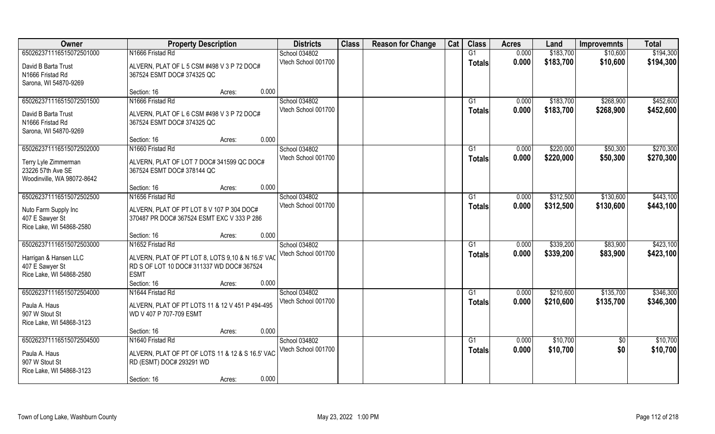| Owner                                       | <b>Property Description</b>                                             | <b>Districts</b>    | <b>Class</b> | <b>Reason for Change</b> | Cat | <b>Class</b>    | <b>Acres</b>   | Land      | <b>Improvemnts</b>     | <b>Total</b> |
|---------------------------------------------|-------------------------------------------------------------------------|---------------------|--------------|--------------------------|-----|-----------------|----------------|-----------|------------------------|--------------|
| 650262371116515072501000                    | N1666 Fristad Rd                                                        | School 034802       |              |                          |     | G1              | 0.000          | \$183,700 | \$10,600               | \$194,300    |
| David B Barta Trust                         | ALVERN, PLAT OF L 5 CSM #498 V 3 P 72 DOC#                              | Vtech School 001700 |              |                          |     | <b>Totals</b>   | 0.000          | \$183,700 | \$10,600               | \$194,300    |
| N1666 Fristad Rd                            | 367524 ESMT DOC# 374325 QC                                              |                     |              |                          |     |                 |                |           |                        |              |
| Sarona, WI 54870-9269                       |                                                                         |                     |              |                          |     |                 |                |           |                        |              |
|                                             | 0.000<br>Section: 16<br>Acres:                                          |                     |              |                          |     |                 |                |           |                        |              |
| 650262371116515072501500                    | N1666 Fristad Rd                                                        | School 034802       |              |                          |     | G <sub>1</sub>  | 0.000          | \$183,700 | \$268,900              | \$452,600    |
| David B Barta Trust                         | ALVERN, PLAT OF L 6 CSM #498 V 3 P 72 DOC#                              | Vtech School 001700 |              |                          |     | <b>Totals</b>   | 0.000          | \$183,700 | \$268,900              | \$452,600    |
| N1666 Fristad Rd                            | 367524 ESMT DOC# 374325 QC                                              |                     |              |                          |     |                 |                |           |                        |              |
| Sarona, WI 54870-9269                       |                                                                         |                     |              |                          |     |                 |                |           |                        |              |
|                                             | 0.000<br>Section: 16<br>Acres:                                          |                     |              |                          |     |                 |                |           |                        |              |
| 650262371116515072502000                    | N1660 Fristad Rd                                                        | School 034802       |              |                          |     | G1              | 0.000          | \$220,000 | \$50,300               | \$270,300    |
|                                             |                                                                         | Vtech School 001700 |              |                          |     | <b>Totals</b>   | 0.000          | \$220,000 | \$50,300               | \$270,300    |
| Terry Lyle Zimmerman<br>23226 57th Ave SE   | ALVERN, PLAT OF LOT 7 DOC# 341599 QC DOC#<br>367524 ESMT DOC# 378144 QC |                     |              |                          |     |                 |                |           |                        |              |
| Woodinville, WA 98072-8642                  |                                                                         |                     |              |                          |     |                 |                |           |                        |              |
|                                             | 0.000<br>Section: 16<br>Acres:                                          |                     |              |                          |     |                 |                |           |                        |              |
| 650262371116515072502500                    | N1656 Fristad Rd                                                        | School 034802       |              |                          |     | G1              | 0.000          | \$312,500 | \$130,600              | \$443,100    |
|                                             |                                                                         | Vtech School 001700 |              |                          |     | <b>Totals</b>   | 0.000          | \$312,500 | \$130,600              | \$443,100    |
| Nuto Farm Supply Inc                        | ALVERN, PLAT OF PT LOT 8 V 107 P 304 DOC#                               |                     |              |                          |     |                 |                |           |                        |              |
| 407 E Sawyer St<br>Rice Lake, WI 54868-2580 | 370487 PR DOC# 367524 ESMT EXC V 333 P 286                              |                     |              |                          |     |                 |                |           |                        |              |
|                                             | 0.000<br>Section: 16<br>Acres:                                          |                     |              |                          |     |                 |                |           |                        |              |
| 650262371116515072503000                    | N1652 Fristad Rd                                                        | School 034802       |              |                          |     | G1              | 0.000          | \$339,200 | \$83,900               | \$423,100    |
|                                             |                                                                         | Vtech School 001700 |              |                          |     | <b>Totals</b>   | 0.000          | \$339,200 | \$83,900               | \$423,100    |
| Harrigan & Hansen LLC                       | ALVERN, PLAT OF PT LOT 8, LOTS 9,10 & N 16.5' VAC                       |                     |              |                          |     |                 |                |           |                        |              |
| 407 E Sawyer St                             | RD S OF LOT 10 DOC# 311337 WD DOC# 367524                               |                     |              |                          |     |                 |                |           |                        |              |
| Rice Lake, WI 54868-2580                    | <b>ESMT</b>                                                             |                     |              |                          |     |                 |                |           |                        |              |
| 650262371116515072504000                    | 0.000<br>Section: 16<br>Acres:                                          | School 034802       |              |                          |     | $\overline{G1}$ |                | \$210,600 |                        | \$346,300    |
|                                             | N1644 Fristad Rd                                                        | Vtech School 001700 |              |                          |     |                 | 0.000<br>0.000 | \$210,600 | \$135,700<br>\$135,700 | \$346,300    |
| Paula A. Haus                               | ALVERN, PLAT OF PT LOTS 11 & 12 V 451 P 494-495                         |                     |              |                          |     | <b>Totals</b>   |                |           |                        |              |
| 907 W Stout St                              | WD V 407 P 707-709 ESMT                                                 |                     |              |                          |     |                 |                |           |                        |              |
| Rice Lake, WI 54868-3123                    |                                                                         |                     |              |                          |     |                 |                |           |                        |              |
|                                             | 0.000<br>Section: 16<br>Acres:                                          |                     |              |                          |     |                 |                |           |                        |              |
| 650262371116515072504500                    | N1640 Fristad Rd                                                        | School 034802       |              |                          |     | G1              | 0.000          | \$10,700  | $\overline{50}$        | \$10,700     |
| Paula A. Haus                               | ALVERN, PLAT OF PT OF LOTS 11 & 12 & S 16.5' VAC                        | Vtech School 001700 |              |                          |     | <b>Totals</b>   | 0.000          | \$10,700  | \$0                    | \$10,700     |
| 907 W Stout St                              | RD (ESMT) DOC# 293291 WD                                                |                     |              |                          |     |                 |                |           |                        |              |
| Rice Lake, WI 54868-3123                    |                                                                         |                     |              |                          |     |                 |                |           |                        |              |
|                                             | 0.000<br>Section: 16<br>Acres:                                          |                     |              |                          |     |                 |                |           |                        |              |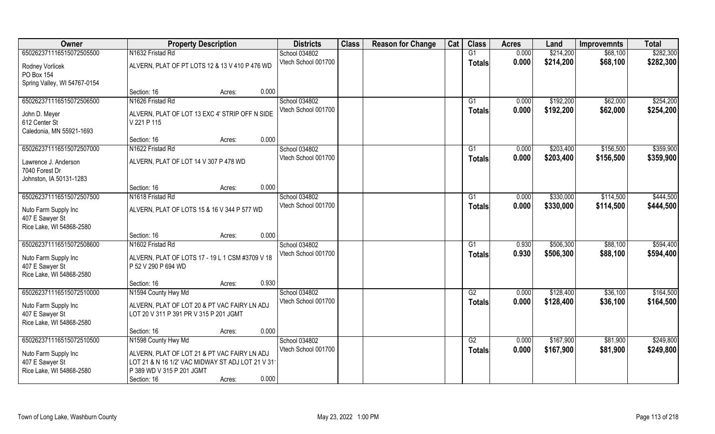| Owner                                       | <b>Property Description</b>                                                            |        |       | <b>Districts</b>    | <b>Class</b> | <b>Reason for Change</b> | Cat | <b>Class</b>  | <b>Acres</b> | Land      | <b>Improvemnts</b>     | <b>Total</b> |
|---------------------------------------------|----------------------------------------------------------------------------------------|--------|-------|---------------------|--------------|--------------------------|-----|---------------|--------------|-----------|------------------------|--------------|
| 650262371116515072505500                    | N1632 Fristad Rd                                                                       |        |       | School 034802       |              |                          |     | G1            | 0.000        | \$214,200 | \$68,100               | \$282,300    |
| Rodney Vorlicek                             | ALVERN, PLAT OF PT LOTS 12 & 13 V 410 P 476 WD                                         |        |       | Vtech School 001700 |              |                          |     | <b>Totals</b> | 0.000        | \$214,200 | \$68,100               | \$282,300    |
| PO Box 154                                  |                                                                                        |        |       |                     |              |                          |     |               |              |           |                        |              |
| Spring Valley, WI 54767-0154                |                                                                                        |        |       |                     |              |                          |     |               |              |           |                        |              |
|                                             | Section: 16                                                                            | Acres: | 0.000 |                     |              |                          |     |               |              |           |                        |              |
| 650262371116515072506500                    | N1626 Fristad Rd                                                                       |        |       | School 034802       |              |                          |     | G1            | 0.000        | \$192,200 | \$62,000               | \$254,200    |
| John D. Meyer                               | ALVERN, PLAT OF LOT 13 EXC 4' STRIP OFF N SIDE                                         |        |       | Vtech School 001700 |              |                          |     | Totals        | 0.000        | \$192,200 | \$62,000               | \$254,200    |
| 612 Center St                               | V 221 P 115                                                                            |        |       |                     |              |                          |     |               |              |           |                        |              |
| Caledonia, MN 55921-1693                    |                                                                                        |        |       |                     |              |                          |     |               |              |           |                        |              |
|                                             | Section: 16                                                                            | Acres: | 0.000 |                     |              |                          |     |               |              |           |                        |              |
| 650262371116515072507000                    | N1622 Fristad Rd                                                                       |        |       | School 034802       |              |                          |     | G1            | 0.000        | \$203,400 | \$156,500              | \$359,900    |
| Lawrence J. Anderson                        | ALVERN, PLAT OF LOT 14 V 307 P 478 WD                                                  |        |       | Vtech School 001700 |              |                          |     | <b>Totals</b> | 0.000        | \$203,400 | \$156,500              | \$359,900    |
| 7040 Forest Dr                              |                                                                                        |        |       |                     |              |                          |     |               |              |           |                        |              |
| Johnston, IA 50131-1283                     |                                                                                        |        |       |                     |              |                          |     |               |              |           |                        |              |
| 650262371116515072507500                    | Section: 16<br>N1618 Fristad Rd                                                        | Acres: | 0.000 | School 034802       |              |                          |     |               | 0.000        | \$330,000 |                        | \$444,500    |
|                                             |                                                                                        |        |       | Vtech School 001700 |              |                          |     | G1            | 0.000        | \$330,000 | \$114,500<br>\$114,500 | \$444,500    |
| Nuto Farm Supply Inc                        | ALVERN, PLAT OF LOTS 15 & 16 V 344 P 577 WD                                            |        |       |                     |              |                          |     | <b>Totals</b> |              |           |                        |              |
| 407 E Sawyer St                             |                                                                                        |        |       |                     |              |                          |     |               |              |           |                        |              |
| Rice Lake, WI 54868-2580                    | Section: 16                                                                            |        | 0.000 |                     |              |                          |     |               |              |           |                        |              |
| 650262371116515072508600                    | N1602 Fristad Rd                                                                       | Acres: |       | School 034802       |              |                          |     | G1            | 0.930        | \$506,300 | \$88,100               | \$594,400    |
|                                             |                                                                                        |        |       | Vtech School 001700 |              |                          |     | Totals        | 0.930        | \$506,300 | \$88,100               | \$594,400    |
| Nuto Farm Supply Inc                        | ALVERN, PLAT OF LOTS 17 - 19 L 1 CSM #3709 V 18                                        |        |       |                     |              |                          |     |               |              |           |                        |              |
| 407 E Sawyer St<br>Rice Lake, WI 54868-2580 | P 52 V 290 P 694 WD                                                                    |        |       |                     |              |                          |     |               |              |           |                        |              |
|                                             | Section: 16                                                                            | Acres: | 0.930 |                     |              |                          |     |               |              |           |                        |              |
| 650262371116515072510000                    | N1594 County Hwy Md                                                                    |        |       | School 034802       |              |                          |     | G2            | 0.000        | \$128,400 | \$36,100               | \$164,500    |
|                                             |                                                                                        |        |       | Vtech School 001700 |              |                          |     | <b>Totals</b> | 0.000        | \$128,400 | \$36,100               | \$164,500    |
| Nuto Farm Supply Inc<br>407 E Sawyer St     | ALVERN, PLAT OF LOT 20 & PT VAC FAIRY LN ADJ<br>LOT 20 V 311 P 391 PR V 315 P 201 JGMT |        |       |                     |              |                          |     |               |              |           |                        |              |
| Rice Lake, WI 54868-2580                    |                                                                                        |        |       |                     |              |                          |     |               |              |           |                        |              |
|                                             | Section: 16                                                                            | Acres: | 0.000 |                     |              |                          |     |               |              |           |                        |              |
| 650262371116515072510500                    | N1598 County Hwy Md                                                                    |        |       | School 034802       |              |                          |     | G2            | 0.000        | \$167,900 | \$81,900               | \$249,800    |
|                                             | ALVERN, PLAT OF LOT 21 & PT VAC FAIRY LN ADJ                                           |        |       | Vtech School 001700 |              |                          |     | Totals        | 0.000        | \$167,900 | \$81,900               | \$249,800    |
| Nuto Farm Supply Inc<br>407 E Sawyer St     | LOT 21 & N 16 1/2' VAC MIDWAY ST ADJ LOT 21 V 311                                      |        |       |                     |              |                          |     |               |              |           |                        |              |
| Rice Lake, WI 54868-2580                    | P 389 WD V 315 P 201 JGMT                                                              |        |       |                     |              |                          |     |               |              |           |                        |              |
|                                             | Section: 16                                                                            | Acres: | 0.000 |                     |              |                          |     |               |              |           |                        |              |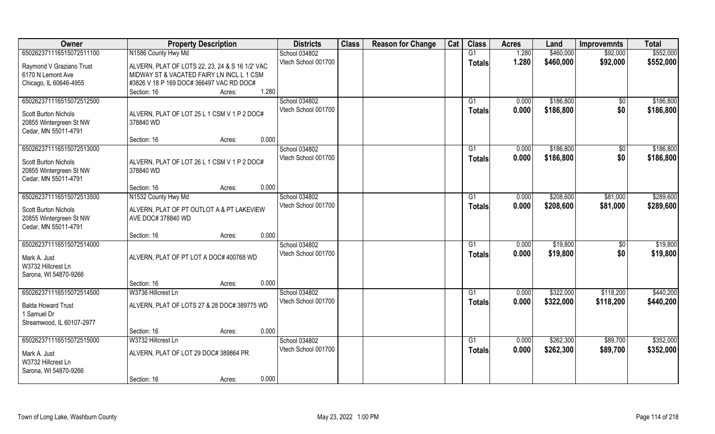| Owner                                  | <b>Property Description</b>                     | <b>Districts</b>    | <b>Class</b> | <b>Reason for Change</b> | Cat | <b>Class</b>   | <b>Acres</b> | Land      | <b>Improvemnts</b> | <b>Total</b> |
|----------------------------------------|-------------------------------------------------|---------------------|--------------|--------------------------|-----|----------------|--------------|-----------|--------------------|--------------|
| 650262371116515072511100               | N1586 County Hwy Md                             | School 034802       |              |                          |     | G1             | 1.280        | \$460,000 | \$92,000           | \$552,000    |
| Raymond V Graziano Trust               | ALVERN, PLAT OF LOTS 22, 23, 24 & S 16 1/2' VAC | Vtech School 001700 |              |                          |     | <b>Totals</b>  | 1.280        | \$460,000 | \$92,000           | \$552,000    |
| 6170 N Lemont Ave                      | MIDWAY ST & VACATED FAIRY LN INCL L 1 CSM       |                     |              |                          |     |                |              |           |                    |              |
| Chicago, IL 60646-4955                 | #3826 V 18 P 169 DOC# 366497 VAC RD DOC#        |                     |              |                          |     |                |              |           |                    |              |
|                                        | 1.280<br>Section: 16<br>Acres:                  |                     |              |                          |     |                |              |           |                    |              |
| 650262371116515072512500               |                                                 | School 034802       |              |                          |     | G <sub>1</sub> | 0.000        | \$186,800 | $\overline{50}$    | \$186,800    |
| <b>Scott Burton Nichols</b>            | ALVERN, PLAT OF LOT 25 L 1 CSM V 1 P 2 DOC#     | Vtech School 001700 |              |                          |     | Totals         | 0.000        | \$186,800 | \$0                | \$186,800    |
| 20855 Wintergreen St NW                | 378840 WD                                       |                     |              |                          |     |                |              |           |                    |              |
| Cedar, MN 55011-4791                   |                                                 |                     |              |                          |     |                |              |           |                    |              |
|                                        | 0.000<br>Section: 16<br>Acres:                  |                     |              |                          |     |                |              |           |                    |              |
| 650262371116515072513000               |                                                 | School 034802       |              |                          |     | G1             | 0.000        | \$186,800 | $\frac{1}{2}$      | \$186,800    |
| Scott Burton Nichols                   | ALVERN, PLAT OF LOT 26 L 1 CSM V 1 P 2 DOC#     | Vtech School 001700 |              |                          |     | <b>Totals</b>  | 0.000        | \$186,800 | \$0                | \$186,800    |
| 20855 Wintergreen St NW                | 378840 WD                                       |                     |              |                          |     |                |              |           |                    |              |
| Cedar, MN 55011-4791                   |                                                 |                     |              |                          |     |                |              |           |                    |              |
|                                        | 0.000<br>Section: 16<br>Acres:                  |                     |              |                          |     |                |              |           |                    |              |
| 650262371116515072513500               | N1532 County Hwy Md                             | School 034802       |              |                          |     | G1             | 0.000        | \$208,600 | \$81,000           | \$289,600    |
| Scott Burton Nichols                   | ALVERN, PLAT OF PT OUTLOT A & PT LAKEVIEW       | Vtech School 001700 |              |                          |     | <b>Totals</b>  | 0.000        | \$208,600 | \$81,000           | \$289,600    |
| 20855 Wintergreen St NW                | AVE DOC# 378840 WD                              |                     |              |                          |     |                |              |           |                    |              |
| Cedar, MN 55011-4791                   |                                                 |                     |              |                          |     |                |              |           |                    |              |
|                                        | 0.000<br>Section: 16<br>Acres:                  |                     |              |                          |     |                |              |           |                    |              |
| 650262371116515072514000               |                                                 | School 034802       |              |                          |     | G1             | 0.000        | \$19,800  | \$0                | \$19,800     |
|                                        |                                                 | Vtech School 001700 |              |                          |     | <b>Totals</b>  | 0.000        | \$19,800  | \$0                | \$19,800     |
| Mark A. Just<br>W3732 Hillcrest Ln     | ALVERN, PLAT OF PT LOT A DOC# 400768 WD         |                     |              |                          |     |                |              |           |                    |              |
| Sarona, WI 54870-9266                  |                                                 |                     |              |                          |     |                |              |           |                    |              |
|                                        | 0.000<br>Section: 16<br>Acres:                  |                     |              |                          |     |                |              |           |                    |              |
| 650262371116515072514500               | W3736 Hillcrest Ln                              | School 034802       |              |                          |     | G1             | 0.000        | \$322,000 | \$118,200          | \$440,200    |
|                                        |                                                 | Vtech School 001700 |              |                          |     | <b>Totals</b>  | 0.000        | \$322,000 | \$118,200          | \$440,200    |
| <b>Balda Howard Trust</b><br>Samuel Dr | ALVERN, PLAT OF LOTS 27 & 28 DOC# 389775 WD     |                     |              |                          |     |                |              |           |                    |              |
| Streamwood, IL 60107-2977              |                                                 |                     |              |                          |     |                |              |           |                    |              |
|                                        | 0.000<br>Section: 16<br>Acres:                  |                     |              |                          |     |                |              |           |                    |              |
| 650262371116515072515000               | W3732 Hillcrest Ln                              | School 034802       |              |                          |     | G1             | 0.000        | \$262,300 | \$89,700           | \$352,000    |
|                                        |                                                 | Vtech School 001700 |              |                          |     | <b>Totals</b>  | 0.000        | \$262,300 | \$89,700           | \$352,000    |
| Mark A. Just                           | ALVERN, PLAT OF LOT 29 DOC# 389864 PR           |                     |              |                          |     |                |              |           |                    |              |
| W3732 Hillcrest Ln                     |                                                 |                     |              |                          |     |                |              |           |                    |              |
| Sarona, WI 54870-9266                  | 0.000<br>Section: 16<br>Acres:                  |                     |              |                          |     |                |              |           |                    |              |
|                                        |                                                 |                     |              |                          |     |                |              |           |                    |              |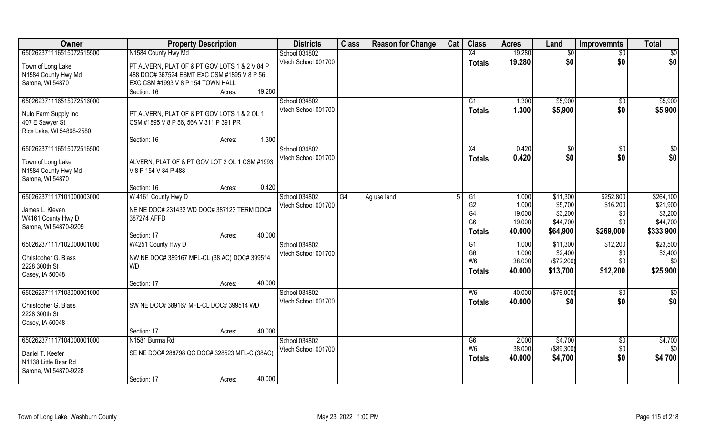| Owner                                                                                           | <b>Property Description</b>                                                                                                                                          | <b>Districts</b>                     | <b>Class</b>   | <b>Reason for Change</b> | Cat | <b>Class</b>                                            | <b>Acres</b>                       | Land                                          | <b>Improvemnts</b>                 | <b>Total</b>                           |
|-------------------------------------------------------------------------------------------------|----------------------------------------------------------------------------------------------------------------------------------------------------------------------|--------------------------------------|----------------|--------------------------|-----|---------------------------------------------------------|------------------------------------|-----------------------------------------------|------------------------------------|----------------------------------------|
| 650262371116515072515500                                                                        | N1584 County Hwy Md                                                                                                                                                  | School 034802                        |                |                          |     | X4                                                      | 19.280                             | $\overline{50}$                               | $\sqrt{$0}$                        | $\sqrt{50}$                            |
| Town of Long Lake<br>N1584 County Hwy Md<br>Sarona, WI 54870                                    | PT ALVERN, PLAT OF & PT GOV LOTS 1 & 2 V 84 P<br>488 DOC# 367524 ESMT EXC CSM #1895 V 8 P 56<br>EXC CSM #1993 V 8 P 154 TOWN HALL<br>19.280<br>Section: 16<br>Acres: | Vtech School 001700                  |                |                          |     | <b>Totals</b>                                           | 19.280                             | \$0                                           | \$0                                | \$0                                    |
| 650262371116515072516000<br>Nuto Farm Supply Inc<br>407 E Sawyer St<br>Rice Lake, WI 54868-2580 | PT ALVERN, PLAT OF & PT GOV LOTS 1 & 2 OL 1<br>CSM #1895 V 8 P 56, 56A V 311 P 391 PR                                                                                | School 034802<br>Vtech School 001700 |                |                          |     | G <sub>1</sub><br>Totals                                | 1.300<br>1.300                     | \$5,900<br>\$5,900                            | $\sqrt{$0}$<br>\$0                 | \$5,900<br>\$5,900                     |
| 650262371116515072516500                                                                        | 1.300<br>Section: 16<br>Acres:                                                                                                                                       | School 034802                        |                |                          |     | X4                                                      | 0.420                              | $\sqrt[6]{3}$                                 | \$0                                | $\sqrt{50}$                            |
| Town of Long Lake<br>N1584 County Hwy Md<br>Sarona, WI 54870                                    | ALVERN, PLAT OF & PT GOV LOT 2 OL 1 CSM #1993<br>V 8 P 154 V 84 P 488                                                                                                | Vtech School 001700                  |                |                          |     | <b>Totals</b>                                           | 0.420                              | \$0                                           | \$0                                | \$0                                    |
|                                                                                                 | 0.420<br>Section: 16<br>Acres:                                                                                                                                       |                                      |                |                          |     |                                                         |                                    |                                               |                                    |                                        |
| 650262371117101000003000                                                                        | W 4161 County Hwy D                                                                                                                                                  | School 034802                        | G <sub>4</sub> | Ag use land              |     | G1                                                      | 1.000                              | \$11,300                                      | \$252,800                          | \$264,100                              |
| James L. Kleven<br>W4161 County Hwy D<br>Sarona, WI 54870-9209                                  | NE NE DOC# 231432 WD DOC# 387123 TERM DOC#<br>387274 AFFD                                                                                                            | Vtech School 001700                  |                |                          |     | G <sub>2</sub><br>G4<br>G <sub>6</sub>                  | 1.000<br>19.000<br>19.000          | \$5,700<br>\$3,200<br>\$44,700                | \$16,200<br>\$0<br>\$0\$           | \$21,900<br>\$3,200<br>\$44,700        |
|                                                                                                 | 40.000<br>Section: 17<br>Acres:                                                                                                                                      |                                      |                |                          |     | <b>Totals</b>                                           | 40.000                             | \$64,900                                      | \$269,000                          | \$333,900                              |
| 650262371117102000001000<br>Christopher G. Blass<br>2228 300th St<br>Casey, IA 50048            | W4251 County Hwy D<br>NW NE DOC# 389167 MFL-CL (38 AC) DOC# 399514<br><b>WD</b>                                                                                      | School 034802<br>Vtech School 001700 |                |                          |     | G1<br>G <sub>6</sub><br>W <sub>6</sub><br><b>Totals</b> | 1.000<br>1.000<br>38.000<br>40.000 | \$11,300<br>\$2,400<br>(\$72,200)<br>\$13,700 | \$12,200<br>\$0<br>\$0<br>\$12,200 | \$23,500<br>\$2,400<br>\$0<br>\$25,900 |
|                                                                                                 | 40.000<br>Section: 17<br>Acres:                                                                                                                                      |                                      |                |                          |     |                                                         |                                    |                                               |                                    |                                        |
| 650262371117103000001000<br>Christopher G. Blass<br>2228 300th St<br>Casey, IA 50048            | SW NE DOC# 389167 MFL-CL DOC# 399514 WD                                                                                                                              | School 034802<br>Vtech School 001700 |                |                          |     | W <sub>6</sub><br><b>Totals</b>                         | 40.000<br>40.000                   | (\$76,000)<br>\$0                             | \$0<br>\$0                         | \$0<br>\$0                             |
|                                                                                                 | 40.000<br>Section: 17<br>Acres:                                                                                                                                      |                                      |                |                          |     |                                                         |                                    |                                               |                                    |                                        |
| 650262371117104000001000                                                                        | N1581 Burma Rd                                                                                                                                                       | School 034802                        |                |                          |     | G6                                                      | 2.000                              | \$4,700                                       | $\overline{50}$                    | \$4,700                                |
| Daniel T. Keefer<br>N1138 Little Bear Rd<br>Sarona, WI 54870-9228                               | SE NE DOC# 288798 QC DOC# 328523 MFL-C (38AC)                                                                                                                        | Vtech School 001700                  |                |                          |     | W <sub>6</sub><br><b>Totals</b>                         | 38.000<br>40.000                   | (\$89,300)<br>\$4,700                         | \$0<br>\$0                         | \$0<br>\$4,700                         |
|                                                                                                 | 40.000<br>Section: 17<br>Acres:                                                                                                                                      |                                      |                |                          |     |                                                         |                                    |                                               |                                    |                                        |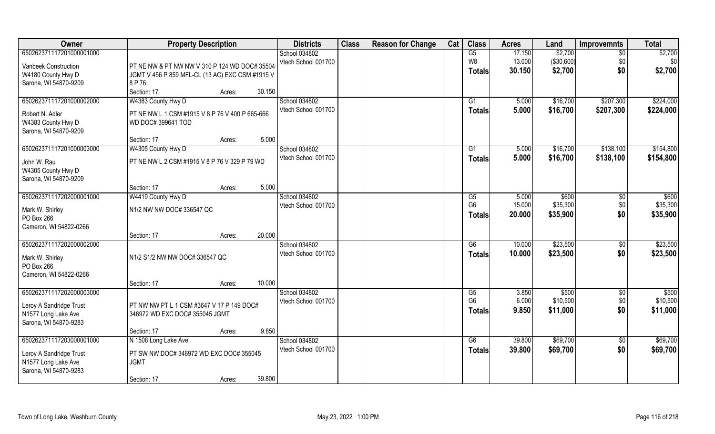| Owner                                       | <b>Property Description</b>                     | <b>Districts</b>    | <b>Class</b> | <b>Reason for Change</b> | Cat | <b>Class</b>         | <b>Acres</b>   | Land              | <b>Improvemnts</b> | <b>Total</b>      |
|---------------------------------------------|-------------------------------------------------|---------------------|--------------|--------------------------|-----|----------------------|----------------|-------------------|--------------------|-------------------|
| 650262371117201000001000                    |                                                 | School 034802       |              |                          |     | G5                   | 17.150         | \$2,700           | $\overline{50}$    | \$2,700           |
| Vanbeek Construction                        | PT NE NW & PT NW NW V 310 P 124 WD DOC# 35504   | Vtech School 001700 |              |                          |     | W8                   | 13.000         | ( \$30,600)       | \$0                | \$0               |
| W4180 County Hwy D                          | JGMT V 456 P 859 MFL-CL (13 AC) EXC CSM #1915 V |                     |              |                          |     | <b>Totals</b>        | 30.150         | \$2,700           | \$0                | \$2,700           |
| Sarona, WI 54870-9209                       | 8 P 76                                          |                     |              |                          |     |                      |                |                   |                    |                   |
|                                             | Section: 17<br>30.150<br>Acres:                 |                     |              |                          |     |                      |                |                   |                    |                   |
| 650262371117201000002000                    | W4383 County Hwy D                              | School 034802       |              |                          |     | G1                   | 5.000          | \$16,700          | \$207,300          | \$224,000         |
| Robert N. Adler                             | PT NE NW L 1 CSM #1915 V 8 P 76 V 400 P 665-666 | Vtech School 001700 |              |                          |     | <b>Totals</b>        | 5.000          | \$16,700          | \$207,300          | \$224,000         |
| W4383 County Hwy D                          | WD DOC# 399641 TOD                              |                     |              |                          |     |                      |                |                   |                    |                   |
| Sarona, WI 54870-9209                       |                                                 |                     |              |                          |     |                      |                |                   |                    |                   |
|                                             | 5.000<br>Section: 17<br>Acres:                  |                     |              |                          |     |                      |                |                   |                    |                   |
| 650262371117201000003000                    | W4305 County Hwy D                              | School 034802       |              |                          |     | G1                   | 5.000          | \$16,700          | \$138,100          | \$154,800         |
|                                             |                                                 | Vtech School 001700 |              |                          |     | <b>Totals</b>        | 5.000          | \$16,700          | \$138,100          | \$154,800         |
| John W. Rau                                 | PT NE NW L 2 CSM #1915 V 8 P 76 V 329 P 79 WD   |                     |              |                          |     |                      |                |                   |                    |                   |
| W4305 County Hwy D<br>Sarona, WI 54870-9209 |                                                 |                     |              |                          |     |                      |                |                   |                    |                   |
|                                             | 5.000<br>Section: 17<br>Acres:                  |                     |              |                          |     |                      |                |                   |                    |                   |
| 650262371117202000001000                    | W4419 County Hwy D                              | School 034802       |              |                          |     | G5                   | 5.000          | \$600             | \$0                | \$600             |
|                                             |                                                 | Vtech School 001700 |              |                          |     | G <sub>6</sub>       | 15.000         | \$35,300          | \$0                | \$35,300          |
| Mark W. Shirley                             | N1/2 NW NW DOC# 336547 QC                       |                     |              |                          |     | <b>Totals</b>        | 20.000         | \$35,900          | \$0                | \$35,900          |
| PO Box 266                                  |                                                 |                     |              |                          |     |                      |                |                   |                    |                   |
| Cameron, WI 54822-0266                      | 20,000<br>Section: 17                           |                     |              |                          |     |                      |                |                   |                    |                   |
| 650262371117202000002000                    | Acres:                                          | School 034802       |              |                          |     | $\overline{G6}$      | 10.000         | \$23,500          | \$0                | \$23,500          |
|                                             |                                                 | Vtech School 001700 |              |                          |     |                      | 10.000         | \$23,500          | \$0                | \$23,500          |
| Mark W. Shirley                             | N1/2 S1/2 NW NW DOC# 336547 QC                  |                     |              |                          |     | <b>Totals</b>        |                |                   |                    |                   |
| PO Box 266                                  |                                                 |                     |              |                          |     |                      |                |                   |                    |                   |
| Cameron, WI 54822-0266                      |                                                 |                     |              |                          |     |                      |                |                   |                    |                   |
|                                             | 10.000<br>Section: 17<br>Acres:                 |                     |              |                          |     |                      |                |                   |                    |                   |
| 650262371117202000003000                    |                                                 | School 034802       |              |                          |     | G5<br>G <sub>6</sub> | 3.850<br>6.000 | \$500<br>\$10,500 | \$0<br>\$0         | \$500<br>\$10,500 |
| Leroy A Sandridge Trust                     | PT NW NW PT L 1 CSM #3647 V 17 P 149 DOC#       | Vtech School 001700 |              |                          |     |                      |                |                   | \$0                |                   |
| N1577 Long Lake Ave                         | 346972 WD EXC DOC# 355045 JGMT                  |                     |              |                          |     | <b>Totals</b>        | 9.850          | \$11,000          |                    | \$11,000          |
| Sarona, WI 54870-9283                       |                                                 |                     |              |                          |     |                      |                |                   |                    |                   |
|                                             | 9.850<br>Section: 17<br>Acres:                  |                     |              |                          |     |                      |                |                   |                    |                   |
| 650262371117203000001000                    | N 1508 Long Lake Ave                            | School 034802       |              |                          |     | G6                   | 39.800         | \$69,700          | $\sqrt{$0}$        | \$69,700          |
| Leroy A Sandridge Trust                     | PT SW NW DOC# 346972 WD EXC DOC# 355045         | Vtech School 001700 |              |                          |     | <b>Totals</b>        | 39.800         | \$69,700          | \$0                | \$69,700          |
| N1577 Long Lake Ave                         | <b>JGMT</b>                                     |                     |              |                          |     |                      |                |                   |                    |                   |
| Sarona, WI 54870-9283                       |                                                 |                     |              |                          |     |                      |                |                   |                    |                   |
|                                             | 39.800<br>Section: 17<br>Acres:                 |                     |              |                          |     |                      |                |                   |                    |                   |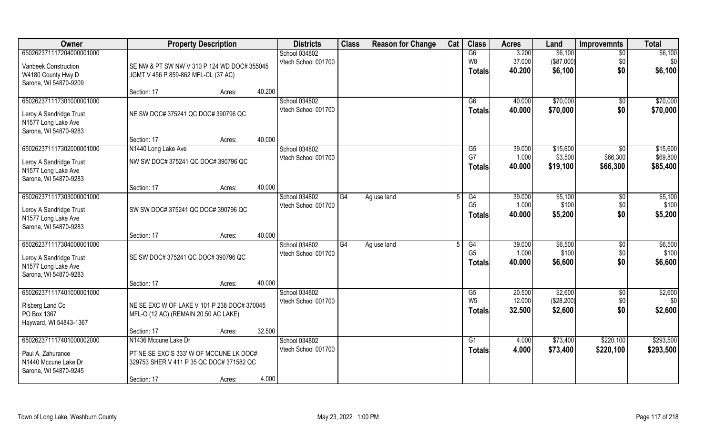| Owner                    | <b>Property Description</b>                 |                  | <b>Districts</b>    | <b>Class</b> | <b>Reason for Change</b> | Cat | <b>Class</b>   | <b>Acres</b> | Land       | <b>Improvemnts</b> | <b>Total</b> |
|--------------------------|---------------------------------------------|------------------|---------------------|--------------|--------------------------|-----|----------------|--------------|------------|--------------------|--------------|
| 650262371117204000001000 |                                             |                  | School 034802       |              |                          |     | G6             | 3.200        | \$6,100    | $\overline{50}$    | \$6,100      |
| Vanbeek Construction     | SE NW & PT SW NW V 310 P 124 WD DOC# 355045 |                  | Vtech School 001700 |              |                          |     | W8             | 37.000       | (\$87,000) | \$0                | \$0          |
| W4180 County Hwy D       | JGMT V 456 P 859-862 MFL-CL (37 AC)         |                  |                     |              |                          |     | <b>Totals</b>  | 40.200       | \$6,100    | \$0                | \$6,100      |
| Sarona, WI 54870-9209    |                                             |                  |                     |              |                          |     |                |              |            |                    |              |
|                          | Section: 17                                 | 40.200<br>Acres: |                     |              |                          |     |                |              |            |                    |              |
| 650262371117301000001000 |                                             |                  | School 034802       |              |                          |     | G6             | 40.000       | \$70,000   | \$0                | \$70,000     |
| Leroy A Sandridge Trust  | NE SW DOC# 375241 QC DOC# 390796 QC         |                  | Vtech School 001700 |              |                          |     | <b>Totals</b>  | 40.000       | \$70,000   | \$0                | \$70,000     |
| N1577 Long Lake Ave      |                                             |                  |                     |              |                          |     |                |              |            |                    |              |
| Sarona, WI 54870-9283    |                                             |                  |                     |              |                          |     |                |              |            |                    |              |
|                          | Section: 17                                 | 40.000<br>Acres: |                     |              |                          |     |                |              |            |                    |              |
| 650262371117302000001000 | N1440 Long Lake Ave                         |                  | School 034802       |              |                          |     | G5             | 39.000       | \$15,600   | \$0                | \$15,600     |
| Leroy A Sandridge Trust  | NW SW DOC# 375241 QC DOC# 390796 QC         |                  | Vtech School 001700 |              |                          |     | G7             | 1.000        | \$3,500    | \$66,300           | \$69,800     |
| N1577 Long Lake Ave      |                                             |                  |                     |              |                          |     | <b>Totals</b>  | 40.000       | \$19,100   | \$66,300           | \$85,400     |
| Sarona, WI 54870-9283    |                                             |                  |                     |              |                          |     |                |              |            |                    |              |
|                          | Section: 17                                 | 40.000<br>Acres: |                     |              |                          |     |                |              |            |                    |              |
| 650262371117303000001000 |                                             |                  | School 034802       | G4           | Ag use land              |     | G4             | 39.000       | \$5,100    | \$0                | \$5,100      |
| Leroy A Sandridge Trust  | SW SW DOC# 375241 QC DOC# 390796 QC         |                  | Vtech School 001700 |              |                          |     | G <sub>5</sub> | 1.000        | \$100      | \$0                | \$100        |
| N1577 Long Lake Ave      |                                             |                  |                     |              |                          |     | <b>Totals</b>  | 40.000       | \$5,200    | \$0                | \$5,200      |
| Sarona, WI 54870-9283    |                                             |                  |                     |              |                          |     |                |              |            |                    |              |
|                          | Section: 17                                 | 40.000<br>Acres: |                     |              |                          |     |                |              |            |                    |              |
| 650262371117304000001000 |                                             |                  | School 034802       | G4           | Ag use land              |     | G4             | 39.000       | \$6,500    | \$0                | \$6,500      |
| Leroy A Sandridge Trust  | SE SW DOC# 375241 QC DOC# 390796 QC         |                  | Vtech School 001700 |              |                          |     | G <sub>5</sub> | 1.000        | \$100      | \$0                | \$100        |
| N1577 Long Lake Ave      |                                             |                  |                     |              |                          |     | <b>Totals</b>  | 40.000       | \$6,600    | \$0                | \$6,600      |
| Sarona, WI 54870-9283    |                                             |                  |                     |              |                          |     |                |              |            |                    |              |
|                          | Section: 17                                 | 40.000<br>Acres: |                     |              |                          |     |                |              |            |                    |              |
| 650262371117401000001000 |                                             |                  | School 034802       |              |                          |     | G5             | 20.500       | \$2,600    | $\overline{50}$    | \$2,600      |
| Risberg Land Co          | NE SE EXC W OF LAKE V 101 P 238 DOC# 370045 |                  | Vtech School 001700 |              |                          |     | W <sub>5</sub> | 12.000       | (\$28,200) | \$0                | \$0          |
| PO Box 1367              | MFL-O (12 AC) (REMAIN 20.50 AC LAKE)        |                  |                     |              |                          |     | <b>Totals</b>  | 32.500       | \$2,600    | \$0                | \$2,600      |
| Hayward, WI 54843-1367   |                                             |                  |                     |              |                          |     |                |              |            |                    |              |
|                          | Section: 17                                 | 32.500<br>Acres: |                     |              |                          |     |                |              |            |                    |              |
| 650262371117401000002000 | N1436 Mccune Lake Dr                        |                  | School 034802       |              |                          |     | G1             | 4.000        | \$73,400   | \$220,100          | \$293,500    |
| Paul A. Zahurance        | PT NE SE EXC S 333' W OF MCCUNE LK DOC#     |                  | Vtech School 001700 |              |                          |     | <b>Totals</b>  | 4.000        | \$73,400   | \$220,100          | \$293,500    |
| N1440 Mccune Lake Dr     | 329753 SHER V 411 P 35 QC DOC# 371582 QC    |                  |                     |              |                          |     |                |              |            |                    |              |
| Sarona, WI 54870-9245    |                                             |                  |                     |              |                          |     |                |              |            |                    |              |
|                          | Section: 17                                 | 4.000<br>Acres:  |                     |              |                          |     |                |              |            |                    |              |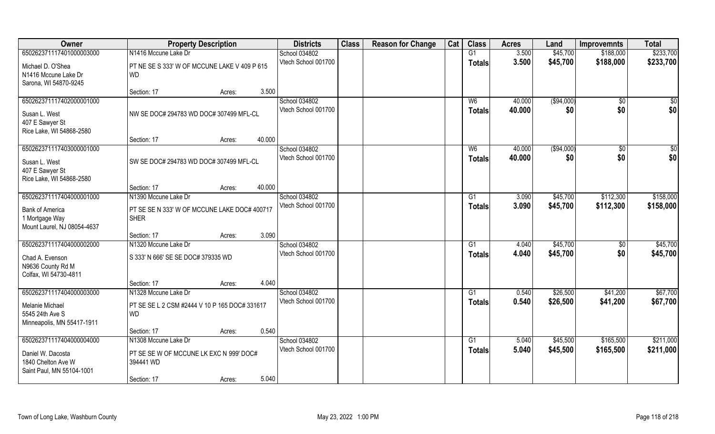| Owner                       | <b>Property Description</b>                   |        |        | <b>Districts</b>    | <b>Class</b> | <b>Reason for Change</b> | Cat | <b>Class</b>    | <b>Acres</b> | Land        | <b>Improvemnts</b> | <b>Total</b> |
|-----------------------------|-----------------------------------------------|--------|--------|---------------------|--------------|--------------------------|-----|-----------------|--------------|-------------|--------------------|--------------|
| 650262371117401000003000    | N1416 Mccune Lake Dr                          |        |        | School 034802       |              |                          |     | G1              | 3.500        | \$45,700    | \$188,000          | \$233,700    |
| Michael D. O'Shea           | PT NE SE S 333' W OF MCCUNE LAKE V 409 P 615  |        |        | Vtech School 001700 |              |                          |     | <b>Totals</b>   | 3.500        | \$45,700    | \$188,000          | \$233,700    |
| N1416 Mccune Lake Dr        | <b>WD</b>                                     |        |        |                     |              |                          |     |                 |              |             |                    |              |
| Sarona, WI 54870-9245       |                                               |        |        |                     |              |                          |     |                 |              |             |                    |              |
|                             | Section: 17                                   | Acres: | 3.500  |                     |              |                          |     |                 |              |             |                    |              |
| 650262371117402000001000    |                                               |        |        | School 034802       |              |                          |     | W6              | 40.000       | (\$94,000)  | \$0                | \$0          |
| Susan L. West               | NW SE DOC# 294783 WD DOC# 307499 MFL-CL       |        |        | Vtech School 001700 |              |                          |     | <b>Totals</b>   | 40.000       | \$0         | \$0                | \$0          |
| 407 E Sawyer St             |                                               |        |        |                     |              |                          |     |                 |              |             |                    |              |
| Rice Lake, WI 54868-2580    |                                               |        |        |                     |              |                          |     |                 |              |             |                    |              |
|                             | Section: 17                                   | Acres: | 40.000 |                     |              |                          |     |                 |              |             |                    |              |
| 650262371117403000001000    |                                               |        |        | School 034802       |              |                          |     | W <sub>6</sub>  | 40.000       | ( \$94,000) | $\sqrt[6]{30}$     | \$0          |
| Susan L. West               | SW SE DOC# 294783 WD DOC# 307499 MFL-CL       |        |        | Vtech School 001700 |              |                          |     | <b>Totals</b>   | 40.000       | \$0         | \$0                | \$0          |
| 407 E Sawyer St             |                                               |        |        |                     |              |                          |     |                 |              |             |                    |              |
| Rice Lake, WI 54868-2580    |                                               |        |        |                     |              |                          |     |                 |              |             |                    |              |
|                             | Section: 17                                   | Acres: | 40.000 |                     |              |                          |     |                 |              |             |                    |              |
| 650262371117404000001000    | N1390 Mccune Lake Dr                          |        |        | School 034802       |              |                          |     | G1              | 3.090        | \$45,700    | \$112,300          | \$158,000    |
| <b>Bank of America</b>      | PT SE SE N 333' W OF MCCUNE LAKE DOC# 400717  |        |        | Vtech School 001700 |              |                          |     | <b>Totals</b>   | 3.090        | \$45,700    | \$112,300          | \$158,000    |
| 1 Mortgage Way              | <b>SHER</b>                                   |        |        |                     |              |                          |     |                 |              |             |                    |              |
| Mount Laurel, NJ 08054-4637 |                                               |        |        |                     |              |                          |     |                 |              |             |                    |              |
|                             | Section: 17                                   | Acres: | 3.090  |                     |              |                          |     |                 |              |             |                    |              |
| 650262371117404000002000    | N1320 Mccune Lake Dr                          |        |        | School 034802       |              |                          |     | G1              | 4.040        | \$45,700    | $\sqrt[6]{30}$     | \$45,700     |
| Chad A. Evenson             | S 333' N 666' SE SE DOC# 379335 WD            |        |        | Vtech School 001700 |              |                          |     | Totals          | 4.040        | \$45,700    | \$0                | \$45,700     |
| N9636 County Rd M           |                                               |        |        |                     |              |                          |     |                 |              |             |                    |              |
| Colfax, WI 54730-4811       |                                               |        |        |                     |              |                          |     |                 |              |             |                    |              |
|                             | Section: 17                                   | Acres: | 4.040  |                     |              |                          |     |                 |              |             |                    |              |
| 650262371117404000003000    | N1328 Mccune Lake Dr                          |        |        | School 034802       |              |                          |     | $\overline{G1}$ | 0.540        | \$26,500    | \$41,200           | \$67,700     |
| Melanie Michael             | PT SE SE L 2 CSM #2444 V 10 P 165 DOC# 331617 |        |        | Vtech School 001700 |              |                          |     | <b>Totals</b>   | 0.540        | \$26,500    | \$41,200           | \$67,700     |
| 5545 24th Ave S             | <b>WD</b>                                     |        |        |                     |              |                          |     |                 |              |             |                    |              |
| Minneapolis, MN 55417-1911  |                                               |        |        |                     |              |                          |     |                 |              |             |                    |              |
|                             | Section: 17                                   | Acres: | 0.540  |                     |              |                          |     |                 |              |             |                    |              |
| 650262371117404000004000    | N1308 Mccune Lake Dr                          |        |        | School 034802       |              |                          |     | G1              | 5.040        | \$45,500    | \$165,500          | \$211,000    |
| Daniel W. Dacosta           | PT SE SE W OF MCCUNE LK EXC N 999' DOC#       |        |        | Vtech School 001700 |              |                          |     | <b>Totals</b>   | 5.040        | \$45,500    | \$165,500          | \$211,000    |
| 1840 Chelton Ave W          | 394441 WD                                     |        |        |                     |              |                          |     |                 |              |             |                    |              |
| Saint Paul, MN 55104-1001   |                                               |        |        |                     |              |                          |     |                 |              |             |                    |              |
|                             | Section: 17                                   | Acres: | 5.040  |                     |              |                          |     |                 |              |             |                    |              |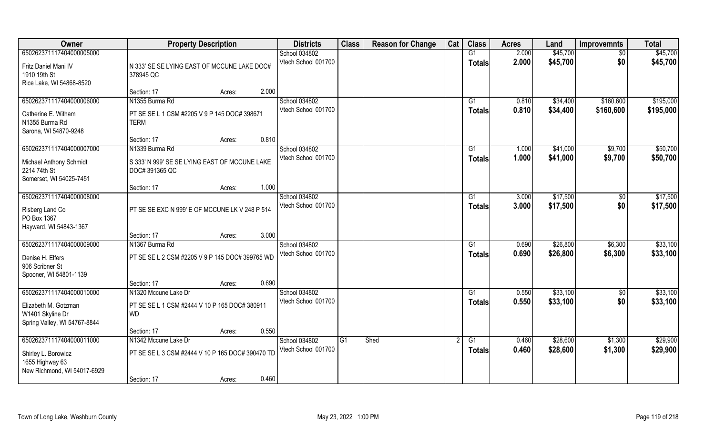| Owner                               | <b>Property Description</b>                      |                 | <b>Districts</b>                     | <b>Class</b> | <b>Reason for Change</b> | Cat | <b>Class</b>    | <b>Acres</b> | Land     | <b>Improvemnts</b> | <b>Total</b> |
|-------------------------------------|--------------------------------------------------|-----------------|--------------------------------------|--------------|--------------------------|-----|-----------------|--------------|----------|--------------------|--------------|
| 650262371117404000005000            |                                                  |                 | School 034802                        |              |                          |     | G1              | 2.000        | \$45,700 | $\sqrt{6}$         | \$45,700     |
| Fritz Daniel Mani IV                | N 333' SE SE LYING EAST OF MCCUNE LAKE DOC#      |                 | Vtech School 001700                  |              |                          |     | <b>Totals</b>   | 2.000        | \$45,700 | \$0                | \$45,700     |
| 1910 19th St                        | 378945 QC                                        |                 |                                      |              |                          |     |                 |              |          |                    |              |
| Rice Lake, WI 54868-8520            |                                                  |                 |                                      |              |                          |     |                 |              |          |                    |              |
|                                     | Section: 17                                      | 2.000<br>Acres: |                                      |              |                          |     |                 |              |          |                    |              |
| 650262371117404000006000            | N1355 Burma Rd                                   |                 | School 034802                        |              |                          |     | G1              | 0.810        | \$34,400 | \$160,600          | \$195,000    |
| Catherine E. Witham                 | PT SE SE L 1 CSM #2205 V 9 P 145 DOC# 398671     |                 | Vtech School 001700                  |              |                          |     | <b>Totals</b>   | 0.810        | \$34,400 | \$160,600          | \$195,000    |
| N1355 Burma Rd                      | <b>TERM</b>                                      |                 |                                      |              |                          |     |                 |              |          |                    |              |
| Sarona, WI 54870-9248               |                                                  |                 |                                      |              |                          |     |                 |              |          |                    |              |
|                                     | Section: 17                                      | 0.810<br>Acres: |                                      |              |                          |     |                 |              |          |                    |              |
| 650262371117404000007000            | N1339 Burma Rd                                   |                 | School 034802<br>Vtech School 001700 |              |                          |     | G1              | 1.000        | \$41,000 | \$9,700            | \$50,700     |
| Michael Anthony Schmidt             | S 333' N 999' SE SE LYING EAST OF MCCUNE LAKE    |                 |                                      |              |                          |     | <b>Totals</b>   | 1.000        | \$41,000 | \$9,700            | \$50,700     |
| 2214 74th St                        | DOC# 391365 QC                                   |                 |                                      |              |                          |     |                 |              |          |                    |              |
| Somerset, WI 54025-7451             |                                                  |                 |                                      |              |                          |     |                 |              |          |                    |              |
| 650262371117404000008000            | Section: 17                                      | 1.000<br>Acres: | School 034802                        |              |                          |     | G1              | 3.000        | \$17,500 | $\sqrt[6]{3}$      | \$17,500     |
|                                     |                                                  |                 | Vtech School 001700                  |              |                          |     | <b>Totals</b>   | 3.000        | \$17,500 | \$0                | \$17,500     |
| Risberg Land Co                     | PT SE SE EXC N 999' E OF MCCUNE LK V 248 P 514   |                 |                                      |              |                          |     |                 |              |          |                    |              |
| PO Box 1367                         |                                                  |                 |                                      |              |                          |     |                 |              |          |                    |              |
| Hayward, WI 54843-1367              | Section: 17                                      | 3.000<br>Acres: |                                      |              |                          |     |                 |              |          |                    |              |
| 650262371117404000009000            | N1367 Burma Rd                                   |                 | School 034802                        |              |                          |     | G1              | 0.690        | \$26,800 | \$6,300            | \$33,100     |
|                                     |                                                  |                 | Vtech School 001700                  |              |                          |     | <b>Totals</b>   | 0.690        | \$26,800 | \$6,300            | \$33,100     |
| Denise H. Elfers<br>906 Scribner St | PT SE SE L 2 CSM #2205 V 9 P 145 DOC# 399765 WD  |                 |                                      |              |                          |     |                 |              |          |                    |              |
| Spooner, WI 54801-1139              |                                                  |                 |                                      |              |                          |     |                 |              |          |                    |              |
|                                     | Section: 17                                      | 0.690<br>Acres: |                                      |              |                          |     |                 |              |          |                    |              |
| 650262371117404000010000            | N1320 Mccune Lake Dr                             |                 | School 034802                        |              |                          |     | G1              | 0.550        | \$33,100 | $\sqrt{$0}$        | \$33,100     |
| Elizabeth M. Gotzman                | PT SE SE L 1 CSM #2444 V 10 P 165 DOC# 380911    |                 | Vtech School 001700                  |              |                          |     | <b>Totals</b>   | 0.550        | \$33,100 | \$0                | \$33,100     |
| W1401 Skyline Dr                    | <b>WD</b>                                        |                 |                                      |              |                          |     |                 |              |          |                    |              |
| Spring Valley, WI 54767-8844        |                                                  |                 |                                      |              |                          |     |                 |              |          |                    |              |
|                                     | Section: 17                                      | 0.550<br>Acres: |                                      |              |                          |     |                 |              |          |                    |              |
| 650262371117404000011000            | N1342 Mccune Lake Dr                             |                 | School 034802                        | G1           | Shed                     |     | $\overline{G1}$ | 0.460        | \$28,600 | \$1,300            | \$29,900     |
| Shirley L. Borowicz                 | PT SE SE L 3 CSM #2444 V 10 P 165 DOC# 390470 TD |                 | Vtech School 001700                  |              |                          |     | Totals          | 0.460        | \$28,600 | \$1,300            | \$29,900     |
| 1655 Highway 63                     |                                                  |                 |                                      |              |                          |     |                 |              |          |                    |              |
| New Richmond, WI 54017-6929         |                                                  |                 |                                      |              |                          |     |                 |              |          |                    |              |
|                                     | Section: 17                                      | 0.460<br>Acres: |                                      |              |                          |     |                 |              |          |                    |              |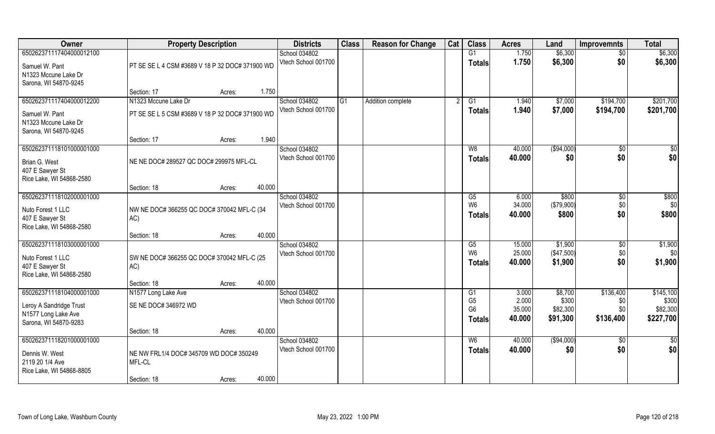| Owner                                        | <b>Property Description</b>                     |                  | <b>Districts</b>                     | <b>Class</b> | <b>Reason for Change</b> | Cat | <b>Class</b>         | <b>Acres</b>   | Land             | <b>Improvemnts</b> | <b>Total</b>       |
|----------------------------------------------|-------------------------------------------------|------------------|--------------------------------------|--------------|--------------------------|-----|----------------------|----------------|------------------|--------------------|--------------------|
| 650262371117404000012100                     |                                                 |                  | School 034802                        |              |                          |     | G1                   | 1.750          | \$6,300          | $\sqrt{6}$         | \$6,300            |
| Samuel W. Pant                               | PT SE SE L 4 CSM #3689 V 18 P 32 DOC# 371900 WD |                  | Vtech School 001700                  |              |                          |     | <b>Totals</b>        | 1.750          | \$6,300          | \$0                | \$6,300            |
| N1323 Mccune Lake Dr                         |                                                 |                  |                                      |              |                          |     |                      |                |                  |                    |                    |
| Sarona, WI 54870-9245                        |                                                 |                  |                                      |              |                          |     |                      |                |                  |                    |                    |
|                                              | Section: 17                                     | 1.750<br>Acres:  |                                      |              |                          |     |                      |                |                  |                    |                    |
| 650262371117404000012200                     | N1323 Mccune Lake Dr                            |                  | School 034802                        | G1           | Addition complete        |     | G1                   | 1.940          | \$7,000          | \$194,700          | \$201,700          |
| Samuel W. Pant                               | PT SE SE L 5 CSM #3689 V 18 P 32 DOC# 371900 WD |                  | Vtech School 001700                  |              |                          |     | Totals               | 1.940          | \$7,000          | \$194,700          | \$201,700          |
| N1323 Mccune Lake Dr                         |                                                 |                  |                                      |              |                          |     |                      |                |                  |                    |                    |
| Sarona, WI 54870-9245                        |                                                 | 1.940            |                                      |              |                          |     |                      |                |                  |                    |                    |
| 650262371118101000001000                     | Section: 17                                     | Acres:           | School 034802                        |              |                          |     | W8                   | 40.000         | ( \$94,000)      | $\overline{50}$    | $\sqrt{50}$        |
|                                              |                                                 |                  | Vtech School 001700                  |              |                          |     | <b>Totals</b>        | 40.000         | \$0              | \$0                | \$0                |
| Brian G. West                                | NE NE DOC# 289527 QC DOC# 299975 MFL-CL         |                  |                                      |              |                          |     |                      |                |                  |                    |                    |
| 407 E Sawyer St<br>Rice Lake, WI 54868-2580  |                                                 |                  |                                      |              |                          |     |                      |                |                  |                    |                    |
|                                              | Section: 18                                     | 40.000<br>Acres: |                                      |              |                          |     |                      |                |                  |                    |                    |
| 650262371118102000001000                     |                                                 |                  | School 034802                        |              |                          |     | G5                   | 6.000          | \$800            | \$0                | \$800              |
| Nuto Forest 1 LLC                            | NW NE DOC# 366255 QC DOC# 370042 MFL-C (34      |                  | Vtech School 001700                  |              |                          |     | W <sub>6</sub>       | 34.000         | (\$79,900)       | \$0                | \$0                |
| 407 E Sawyer St                              | AC)                                             |                  |                                      |              |                          |     | <b>Totals</b>        | 40.000         | \$800            | \$0                | \$800              |
| Rice Lake, WI 54868-2580                     |                                                 |                  |                                      |              |                          |     |                      |                |                  |                    |                    |
|                                              | Section: 18                                     | 40.000<br>Acres: |                                      |              |                          |     |                      |                |                  |                    |                    |
| 650262371118103000001000                     |                                                 |                  | School 034802                        |              |                          |     | G5                   | 15.000         | \$1,900          | $\sqrt[6]{30}$     | \$1,900            |
| Nuto Forest 1 LLC                            | SW NE DOC# 366255 QC DOC# 370042 MFL-C (25      |                  | Vtech School 001700                  |              |                          |     | W <sub>6</sub>       | 25.000         | (\$47,500)       | \$0<br>\$0         | \$0                |
| 407 E Sawyer St                              | AC)                                             |                  |                                      |              |                          |     | Totals               | 40.000         | \$1,900          |                    | \$1,900            |
| Rice Lake, WI 54868-2580                     |                                                 |                  |                                      |              |                          |     |                      |                |                  |                    |                    |
|                                              | Section: 18                                     | 40.000<br>Acres: |                                      |              |                          |     |                      |                |                  |                    |                    |
| 650262371118104000001000                     | N1577 Long Lake Ave                             |                  | School 034802<br>Vtech School 001700 |              |                          |     | G1<br>G <sub>5</sub> | 3.000<br>2.000 | \$8,700<br>\$300 | \$136,400<br>\$0   | \$145,100<br>\$300 |
| Leroy A Sandridge Trust                      | SE NE DOC# 346972 WD                            |                  |                                      |              |                          |     | G <sub>6</sub>       | 35.000         | \$82,300         | \$0                | \$82,300           |
| N1577 Long Lake Ave<br>Sarona, WI 54870-9283 |                                                 |                  |                                      |              |                          |     | <b>Totals</b>        | 40.000         | \$91,300         | \$136,400          | \$227,700          |
|                                              | Section: 18                                     | 40.000<br>Acres: |                                      |              |                          |     |                      |                |                  |                    |                    |
| 650262371118201000001000                     |                                                 |                  | School 034802                        |              |                          |     | W <sub>6</sub>       | 40.000         | ( \$94,000)      | $\sqrt{6}$         | \$0                |
| Dennis W. West                               | NE NW FRL1/4 DOC# 345709 WD DOC# 350249         |                  | Vtech School 001700                  |              |                          |     | <b>Totals</b>        | 40.000         | \$0              | \$0                | \$0                |
| 2119 20 1/4 Ave                              | MFL-CL                                          |                  |                                      |              |                          |     |                      |                |                  |                    |                    |
| Rice Lake, WI 54868-8805                     |                                                 |                  |                                      |              |                          |     |                      |                |                  |                    |                    |
|                                              | Section: 18                                     | 40.000<br>Acres: |                                      |              |                          |     |                      |                |                  |                    |                    |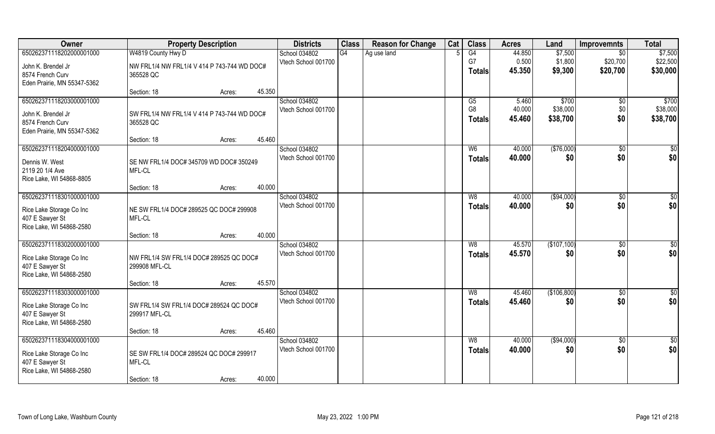| Owner                                       | <b>Property Description</b>                              | <b>Districts</b>                     | <b>Class</b> | <b>Reason for Change</b> | Cat | <b>Class</b>   | <b>Acres</b>     | Land                 | <b>Improvemnts</b> | <b>Total</b>         |
|---------------------------------------------|----------------------------------------------------------|--------------------------------------|--------------|--------------------------|-----|----------------|------------------|----------------------|--------------------|----------------------|
| 650262371118202000001000                    | W4819 County Hwy D                                       | School 034802                        | G4           | Ag use land              |     | G4             | 44.850           | \$7,500              | \$0                | \$7,500              |
| John K. Brendel Jr                          | NW FRL1/4 NW FRL1/4 V 414 P 743-744 WD DOC#              | Vtech School 001700                  |              |                          |     | G7             | 0.500            | \$1,800              | \$20,700           | \$22,500             |
| 8574 French Curv                            | 365528 QC                                                |                                      |              |                          |     | Totals         | 45.350           | \$9,300              | \$20,700           | \$30,000             |
| Eden Prairie, MN 55347-5362                 |                                                          |                                      |              |                          |     |                |                  |                      |                    |                      |
|                                             | 45.350<br>Section: 18<br>Acres:                          |                                      |              |                          |     |                |                  |                      |                    |                      |
| 650262371118203000001000                    |                                                          | School 034802                        |              |                          |     | G5             | 5.460            | \$700                | \$0                | \$700                |
| John K. Brendel Jr                          | SW FRL1/4 NW FRL1/4 V 414 P 743-744 WD DOC#              | Vtech School 001700                  |              |                          |     | G <sub>8</sub> | 40.000<br>45.460 | \$38,000<br>\$38,700 | \$0<br>\$0         | \$38,000<br>\$38,700 |
| 8574 French Curv                            | 365528 QC                                                |                                      |              |                          |     | <b>Totals</b>  |                  |                      |                    |                      |
| Eden Prairie, MN 55347-5362                 |                                                          |                                      |              |                          |     |                |                  |                      |                    |                      |
| 650262371118204000001000                    | 45.460<br>Section: 18<br>Acres:                          |                                      |              |                          |     |                |                  |                      |                    |                      |
|                                             |                                                          | School 034802<br>Vtech School 001700 |              |                          |     | W <sub>6</sub> | 40.000<br>40.000 | ( \$76,000)<br>\$0   | \$0<br>\$0         | \$0<br>\$0           |
| Dennis W. West                              | SE NW FRL1/4 DOC# 345709 WD DOC# 350249                  |                                      |              |                          |     | <b>Totals</b>  |                  |                      |                    |                      |
| 2119 20 1/4 Ave                             | MFL-CL                                                   |                                      |              |                          |     |                |                  |                      |                    |                      |
| Rice Lake, WI 54868-8805                    | 40.000<br>Section: 18<br>Acres:                          |                                      |              |                          |     |                |                  |                      |                    |                      |
| 650262371118301000001000                    |                                                          | School 034802                        |              |                          |     | W8             | 40.000           | ( \$94,000)          | \$0                | \$0                  |
|                                             |                                                          | Vtech School 001700                  |              |                          |     | <b>Totals</b>  | 40.000           | \$0                  | \$0                | \$0                  |
| Rice Lake Storage Co Inc                    | NE SW FRL1/4 DOC# 289525 QC DOC# 299908                  |                                      |              |                          |     |                |                  |                      |                    |                      |
| 407 E Sawyer St<br>Rice Lake, WI 54868-2580 | MFL-CL                                                   |                                      |              |                          |     |                |                  |                      |                    |                      |
|                                             | 40.000<br>Section: 18<br>Acres:                          |                                      |              |                          |     |                |                  |                      |                    |                      |
| 650262371118302000001000                    |                                                          | School 034802                        |              |                          |     | W8             | 45.570           | (\$107,100)          | \$0                | $\overline{50}$      |
|                                             |                                                          | Vtech School 001700                  |              |                          |     | <b>Totals</b>  | 45.570           | \$0                  | \$0                | \$0                  |
| Rice Lake Storage Co Inc<br>407 E Sawyer St | NW FRL1/4 SW FRL1/4 DOC# 289525 QC DOC#<br>299908 MFL-CL |                                      |              |                          |     |                |                  |                      |                    |                      |
| Rice Lake, WI 54868-2580                    |                                                          |                                      |              |                          |     |                |                  |                      |                    |                      |
|                                             | 45.570<br>Section: 18<br>Acres:                          |                                      |              |                          |     |                |                  |                      |                    |                      |
| 650262371118303000001000                    |                                                          | School 034802                        |              |                          |     | W8             | 45.460           | (\$106,800)          | \$0                | \$0                  |
| Rice Lake Storage Co Inc                    | SW FRL1/4 SW FRL1/4 DOC# 289524 QC DOC#                  | Vtech School 001700                  |              |                          |     | <b>Totals</b>  | 45.460           | \$0                  | \$0                | \$0                  |
| 407 E Sawyer St                             | 299917 MFL-CL                                            |                                      |              |                          |     |                |                  |                      |                    |                      |
| Rice Lake, WI 54868-2580                    |                                                          |                                      |              |                          |     |                |                  |                      |                    |                      |
|                                             | 45.460<br>Section: 18<br>Acres:                          |                                      |              |                          |     |                |                  |                      |                    |                      |
| 650262371118304000001000                    |                                                          | School 034802                        |              |                          |     | W8             | 40.000           | ( \$94,000)          | $\overline{50}$    | \$0                  |
| Rice Lake Storage Co Inc                    | SE SW FRL1/4 DOC# 289524 QC DOC# 299917                  | Vtech School 001700                  |              |                          |     | <b>Totals</b>  | 40.000           | \$0                  | \$0                | \$0                  |
| 407 E Sawyer St                             | MFL-CL                                                   |                                      |              |                          |     |                |                  |                      |                    |                      |
| Rice Lake, WI 54868-2580                    |                                                          |                                      |              |                          |     |                |                  |                      |                    |                      |
|                                             | 40.000<br>Section: 18<br>Acres:                          |                                      |              |                          |     |                |                  |                      |                    |                      |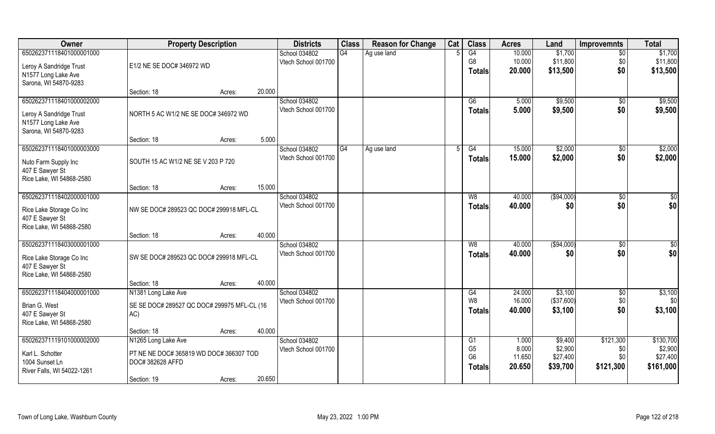| Owner                                       | <b>Property Description</b>                                 |        |        | <b>Districts</b>    | <b>Class</b> | <b>Reason for Change</b> | Cat | <b>Class</b>   | <b>Acres</b> | Land        | <b>Improvemnts</b> | <b>Total</b> |
|---------------------------------------------|-------------------------------------------------------------|--------|--------|---------------------|--------------|--------------------------|-----|----------------|--------------|-------------|--------------------|--------------|
| 650262371118401000001000                    |                                                             |        |        | School 034802       | G4           | Ag use land              |     | G4             | 10.000       | \$1,700     | $\overline{50}$    | \$1,700      |
| Leroy A Sandridge Trust                     | E1/2 NE SE DOC# 346972 WD                                   |        |        | Vtech School 001700 |              |                          |     | G <sub>8</sub> | 10.000       | \$11,800    | \$0                | \$11,800     |
| N1577 Long Lake Ave                         |                                                             |        |        |                     |              |                          |     | <b>Totals</b>  | 20.000       | \$13,500    | \$0                | \$13,500     |
| Sarona, WI 54870-9283                       |                                                             |        |        |                     |              |                          |     |                |              |             |                    |              |
|                                             | Section: 18                                                 | Acres: | 20.000 |                     |              |                          |     |                |              |             |                    |              |
| 650262371118401000002000                    |                                                             |        |        | School 034802       |              |                          |     | G6             | 5.000        | \$9,500     | $\sqrt{6}$         | \$9,500      |
| Leroy A Sandridge Trust                     | NORTH 5 AC W1/2 NE SE DOC# 346972 WD                        |        |        | Vtech School 001700 |              |                          |     | <b>Totals</b>  | 5.000        | \$9,500     | \$0                | \$9,500      |
| N1577 Long Lake Ave                         |                                                             |        |        |                     |              |                          |     |                |              |             |                    |              |
| Sarona, WI 54870-9283                       |                                                             |        |        |                     |              |                          |     |                |              |             |                    |              |
|                                             | Section: 18                                                 | Acres: | 5.000  |                     |              |                          |     |                |              |             |                    |              |
| 650262371118401000003000                    |                                                             |        |        | School 034802       | G4           | Ag use land              | 5   | G4             | 15.000       | \$2,000     | $\sqrt[6]{30}$     | \$2,000      |
| Nuto Farm Supply Inc                        | SOUTH 15 AC W1/2 NE SE V 203 P 720                          |        |        | Vtech School 001700 |              |                          |     | <b>Totals</b>  | 15.000       | \$2,000     | \$0                | \$2,000      |
| 407 E Sawyer St                             |                                                             |        |        |                     |              |                          |     |                |              |             |                    |              |
| Rice Lake, WI 54868-2580                    |                                                             |        |        |                     |              |                          |     |                |              |             |                    |              |
|                                             | Section: 18                                                 | Acres: | 15.000 |                     |              |                          |     |                |              |             |                    |              |
| 650262371118402000001000                    |                                                             |        |        | School 034802       |              |                          |     | W <sub>8</sub> | 40.000       | ( \$94,000) | \$0                | \$           |
| Rice Lake Storage Co Inc                    | NW SE DOC# 289523 QC DOC# 299918 MFL-CL                     |        |        | Vtech School 001700 |              |                          |     | <b>Totals</b>  | 40.000       | \$0         | \$0                | \$0          |
| 407 E Sawyer St                             |                                                             |        |        |                     |              |                          |     |                |              |             |                    |              |
| Rice Lake, WI 54868-2580                    |                                                             |        |        |                     |              |                          |     |                |              |             |                    |              |
|                                             | Section: 18                                                 | Acres: | 40.000 |                     |              |                          |     |                |              |             |                    |              |
| 650262371118403000001000                    |                                                             |        |        | School 034802       |              |                          |     | W8             | 40.000       | (\$94,000)  | \$0                | \$0          |
|                                             | SW SE DOC# 289523 QC DOC# 299918 MFL-CL                     |        |        | Vtech School 001700 |              |                          |     | Totals         | 40.000       | \$0         | \$0                | \$0          |
| Rice Lake Storage Co Inc<br>407 E Sawyer St |                                                             |        |        |                     |              |                          |     |                |              |             |                    |              |
| Rice Lake, WI 54868-2580                    |                                                             |        |        |                     |              |                          |     |                |              |             |                    |              |
|                                             | Section: 18                                                 | Acres: | 40.000 |                     |              |                          |     |                |              |             |                    |              |
| 650262371118404000001000                    | N1381 Long Lake Ave                                         |        |        | School 034802       |              |                          |     | G4             | 24.000       | \$3,100     | \$0                | \$3,100      |
| Brian G. West                               | SE SE DOC# 289527 QC DOC# 299975 MFL-CL (16                 |        |        | Vtech School 001700 |              |                          |     | W <sub>8</sub> | 16.000       | (\$37,600)  | \$0                | \$0]         |
| 407 E Sawyer St                             | AC)                                                         |        |        |                     |              |                          |     | <b>Totals</b>  | 40.000       | \$3,100     | \$0                | \$3,100      |
| Rice Lake, WI 54868-2580                    |                                                             |        |        |                     |              |                          |     |                |              |             |                    |              |
|                                             | Section: 18                                                 | Acres: | 40.000 |                     |              |                          |     |                |              |             |                    |              |
| 650262371119101000002000                    | N1265 Long Lake Ave                                         |        |        | School 034802       |              |                          |     | G1             | 1.000        | \$9,400     | \$121,300          | \$130,700    |
|                                             |                                                             |        |        | Vtech School 001700 |              |                          |     | G <sub>5</sub> | 8.000        | \$2,900     | \$0                | \$2,900      |
| Karl L. Schotter<br>1004 Sunset Ln          | PT NE NE DOC# 365819 WD DOC# 366307 TOD<br>DOC# 382628 AFFD |        |        |                     |              |                          |     | G <sub>6</sub> | 11.650       | \$27,400    | \$0                | \$27,400     |
| River Falls, WI 54022-1261                  |                                                             |        |        |                     |              |                          |     | <b>Totals</b>  | 20.650       | \$39,700    | \$121,300          | \$161,000    |
|                                             | Section: 19                                                 | Acres: | 20.650 |                     |              |                          |     |                |              |             |                    |              |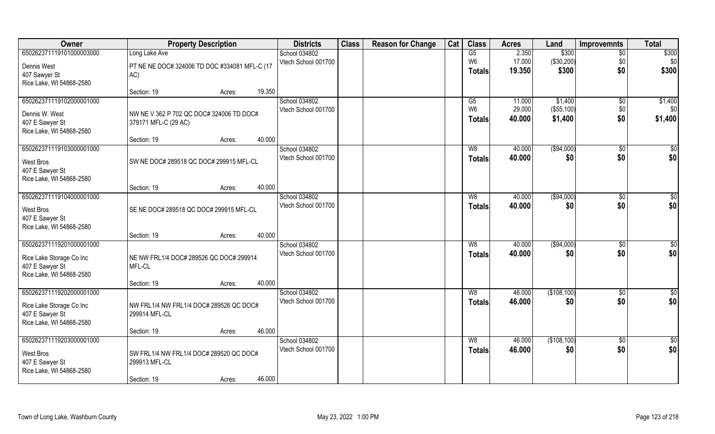| Owner                                       | <b>Property Description</b>                       |        |        | <b>Districts</b>                     | <b>Class</b> | <b>Reason for Change</b> | Cat | <b>Class</b>   | <b>Acres</b>     | Land                  | <b>Improvemnts</b> | <b>Total</b>    |
|---------------------------------------------|---------------------------------------------------|--------|--------|--------------------------------------|--------------|--------------------------|-----|----------------|------------------|-----------------------|--------------------|-----------------|
| 650262371119101000003000                    | Long Lake Ave                                     |        |        | School 034802                        |              |                          |     | G5             | 2.350            | \$300                 | $\overline{50}$    | \$300           |
| Dennis West                                 | PT NE NE DOC# 324006 TD DOC #334081 MFL-C (17     |        |        | Vtech School 001700                  |              |                          |     | W <sub>6</sub> | 17.000           | (\$30,200)            | \$0                | \$0             |
| 407 Sawyer St                               | AC)                                               |        |        |                                      |              |                          |     | <b>Totals</b>  | 19.350           | \$300                 | \$0                | \$300           |
| Rice Lake, WI 54868-2580                    |                                                   |        |        |                                      |              |                          |     |                |                  |                       |                    |                 |
|                                             | Section: 19                                       | Acres: | 19.350 |                                      |              |                          |     |                |                  |                       |                    |                 |
| 650262371119102000001000                    |                                                   |        |        | School 034802                        |              |                          |     | G5             | 11.000           | \$1,400               | \$0                | \$1,400         |
| Dennis W. West                              | NW NE V 362 P 702 QC DOC# 324006 TD DOC#          |        |        | Vtech School 001700                  |              |                          |     | W <sub>6</sub> | 29.000<br>40.000 | (\$55,100)<br>\$1,400 | \$0<br>\$0         | \$0             |
| 407 E Sawyer St                             | 379171 MFL-C (29 AC)                              |        |        |                                      |              |                          |     | <b>Totals</b>  |                  |                       |                    | \$1,400         |
| Rice Lake, WI 54868-2580                    |                                                   |        |        |                                      |              |                          |     |                |                  |                       |                    |                 |
|                                             | Section: 19                                       | Acres: | 40.000 |                                      |              |                          |     |                |                  |                       |                    |                 |
| 650262371119103000001000                    |                                                   |        |        | School 034802<br>Vtech School 001700 |              |                          |     | W8             | 40.000<br>40.000 | ( \$94,000)<br>\$0    | \$0<br>\$0         | \$0<br>\$0      |
| <b>West Bros</b>                            | SW NE DOC# 289518 QC DOC# 299915 MFL-CL           |        |        |                                      |              |                          |     | <b>Totals</b>  |                  |                       |                    |                 |
| 407 E Sawyer St                             |                                                   |        |        |                                      |              |                          |     |                |                  |                       |                    |                 |
| Rice Lake, WI 54868-2580                    |                                                   |        | 40.000 |                                      |              |                          |     |                |                  |                       |                    |                 |
| 650262371119104000001000                    | Section: 19                                       | Acres: |        | School 034802                        |              |                          |     | W8             | 40.000           | ( \$94,000)           | \$0                | \$0             |
|                                             |                                                   |        |        | Vtech School 001700                  |              |                          |     | <b>Totals</b>  | 40.000           | \$0                   | \$0                | \$0             |
| West Bros                                   | SE NE DOC# 289518 QC DOC# 299915 MFL-CL           |        |        |                                      |              |                          |     |                |                  |                       |                    |                 |
| 407 E Sawyer St<br>Rice Lake, WI 54868-2580 |                                                   |        |        |                                      |              |                          |     |                |                  |                       |                    |                 |
|                                             | Section: 19                                       | Acres: | 40.000 |                                      |              |                          |     |                |                  |                       |                    |                 |
| 650262371119201000001000                    |                                                   |        |        | School 034802                        |              |                          |     | W8             | 40.000           | (\$94,000)            | \$0                | $\overline{50}$ |
|                                             |                                                   |        |        | Vtech School 001700                  |              |                          |     | <b>Totals</b>  | 40.000           | \$0                   | \$0                | \$0             |
| Rice Lake Storage Co Inc<br>407 E Sawyer St | NE NW FRL1/4 DOC# 289526 QC DOC# 299914<br>MFL-CL |        |        |                                      |              |                          |     |                |                  |                       |                    |                 |
| Rice Lake, WI 54868-2580                    |                                                   |        |        |                                      |              |                          |     |                |                  |                       |                    |                 |
|                                             | Section: 19                                       | Acres: | 40.000 |                                      |              |                          |     |                |                  |                       |                    |                 |
| 650262371119202000001000                    |                                                   |        |        | School 034802                        |              |                          |     | W8             | 46.000           | (\$108,100)           | \$0                | \$0             |
| Rice Lake Storage Co Inc                    | NW FRL1/4 NW FRL1/4 DOC# 289526 QC DOC#           |        |        | Vtech School 001700                  |              |                          |     | <b>Totals</b>  | 46.000           | \$0                   | \$0                | \$0             |
| 407 E Sawyer St                             | 299914 MFL-CL                                     |        |        |                                      |              |                          |     |                |                  |                       |                    |                 |
| Rice Lake, WI 54868-2580                    |                                                   |        |        |                                      |              |                          |     |                |                  |                       |                    |                 |
|                                             | Section: 19                                       | Acres: | 46.000 |                                      |              |                          |     |                |                  |                       |                    |                 |
| 650262371119203000001000                    |                                                   |        |        | School 034802                        |              |                          |     | W8             | 46.000           | (\$108,100)           | \$0                | $\frac{6}{3}$   |
| West Bros                                   | SW FRL1/4 NW FRL1/4 DOC# 289520 QC DOC#           |        |        | Vtech School 001700                  |              |                          |     | <b>Totals</b>  | 46.000           | \$0                   | \$0                | \$0             |
| 407 E Sawyer St                             | 299913 MFL-CL                                     |        |        |                                      |              |                          |     |                |                  |                       |                    |                 |
| Rice Lake, WI 54868-2580                    |                                                   |        |        |                                      |              |                          |     |                |                  |                       |                    |                 |
|                                             | Section: 19                                       | Acres: | 46.000 |                                      |              |                          |     |                |                  |                       |                    |                 |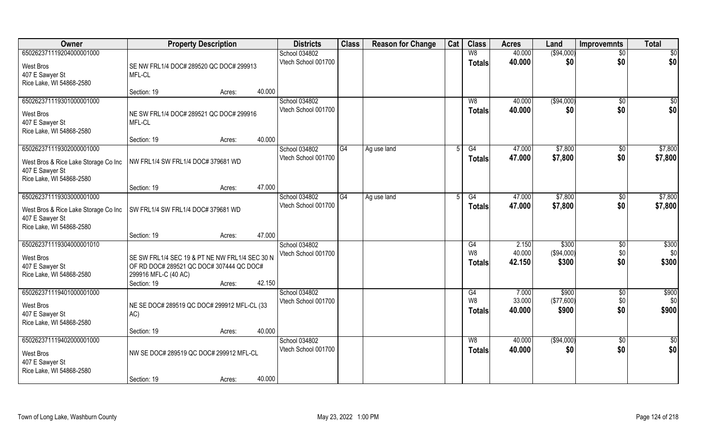| Owner                                                                                       | <b>Property Description</b>                                                                                                       |                  | <b>Districts</b>                     | <b>Class</b> | <b>Reason for Change</b> | Cat | <b>Class</b>                    | <b>Acres</b>              | Land                         | <b>Improvemnts</b>     | <b>Total</b>           |
|---------------------------------------------------------------------------------------------|-----------------------------------------------------------------------------------------------------------------------------------|------------------|--------------------------------------|--------------|--------------------------|-----|---------------------------------|---------------------------|------------------------------|------------------------|------------------------|
| 650262371119204000001000                                                                    |                                                                                                                                   |                  | School 034802                        |              |                          |     | W8                              | 40.000                    | ( \$94,000)                  | $\overline{60}$        | $\overline{50}$        |
| West Bros<br>407 E Sawyer St<br>Rice Lake, WI 54868-2580                                    | SE NW FRL1/4 DOC# 289520 QC DOC# 299913<br>MFL-CL                                                                                 |                  | Vtech School 001700                  |              |                          |     | <b>Totals</b>                   | 40.000                    | \$0                          | \$0                    | \$0                    |
|                                                                                             | Section: 19                                                                                                                       | 40.000<br>Acres: |                                      |              |                          |     |                                 |                           |                              |                        |                        |
| 650262371119301000001000<br><b>West Bros</b><br>407 E Sawyer St<br>Rice Lake, WI 54868-2580 | NE SW FRL1/4 DOC# 289521 QC DOC# 299916<br>MFL-CL                                                                                 |                  | School 034802<br>Vtech School 001700 |              |                          |     | W8<br>Totals                    | 40.000<br>40.000          | ( \$94,000)<br>\$0           | $\overline{50}$<br>\$0 | $\sqrt{50}$<br>\$0     |
|                                                                                             | Section: 19                                                                                                                       | 40.000<br>Acres: |                                      |              |                          |     |                                 |                           |                              |                        |                        |
| 650262371119302000001000                                                                    |                                                                                                                                   |                  | School 034802                        | G4           | Ag use land              | 5   | G4                              | 47.000                    | \$7,800                      | \$0                    | \$7,800                |
| West Bros & Rice Lake Storage Co Inc<br>407 E Sawyer St<br>Rice Lake, WI 54868-2580         | NW FRL1/4 SW FRL1/4 DOC# 379681 WD                                                                                                |                  | Vtech School 001700                  |              |                          |     | Totals                          | 47.000                    | \$7,800                      | \$0                    | \$7,800                |
|                                                                                             | Section: 19                                                                                                                       | 47.000<br>Acres: |                                      |              |                          |     |                                 |                           |                              |                        |                        |
| 650262371119303000001000<br>West Bros & Rice Lake Storage Co Inc<br>407 E Sawyer St         | SW FRL1/4 SW FRL1/4 DOC# 379681 WD                                                                                                |                  | School 034802<br>Vtech School 001700 | G4           | Ag use land              |     | G4<br><b>Totals</b>             | 47.000<br>47.000          | \$7,800<br>\$7,800           | $\sqrt[6]{3}$<br>\$0   | \$7,800<br>\$7,800     |
| Rice Lake, WI 54868-2580                                                                    | Section: 19                                                                                                                       | 47.000<br>Acres: |                                      |              |                          |     |                                 |                           |                              |                        |                        |
| 650262371119304000001010<br>West Bros<br>407 E Sawyer St<br>Rice Lake, WI 54868-2580        | SE SW FRL1/4 SEC 19 & PT NE NW FRL1/4 SEC 30 N<br>OF RD DOC# 289521 QC DOC# 307444 QC DOC#<br>299916 MFL-C (40 AC)<br>Section: 19 | 42.150<br>Acres: | School 034802<br>Vtech School 001700 |              |                          |     | G4<br>W8<br><b>Totals</b>       | 2.150<br>40.000<br>42.150 | \$300<br>(\$94,000)<br>\$300 | \$0<br>\$0<br>\$0      | \$300<br>\$0<br>\$300  |
| 650262371119401000001000                                                                    |                                                                                                                                   |                  | School 034802                        |              |                          |     | G4                              | 7.000                     | \$900                        | \$0                    | \$900                  |
| West Bros<br>407 E Sawyer St<br>Rice Lake, WI 54868-2580                                    | NE SE DOC# 289519 QC DOC# 299912 MFL-CL (33<br>AC)                                                                                |                  | Vtech School 001700                  |              |                          |     | W <sub>8</sub><br><b>Totals</b> | 33.000<br>40.000          | (\$77,600)<br>\$900          | \$0<br>\$0             | \$0<br>\$900           |
|                                                                                             | Section: 19                                                                                                                       | 40.000<br>Acres: |                                      |              |                          |     |                                 |                           |                              |                        |                        |
| 650262371119402000001000<br><b>West Bros</b><br>407 E Sawyer St<br>Rice Lake, WI 54868-2580 | NW SE DOC# 289519 QC DOC# 299912 MFL-CL<br>Section: 19                                                                            | 40.000<br>Acres: | School 034802<br>Vtech School 001700 |              |                          |     | W8<br><b>Totals</b>             | 40.000<br>40.000          | ( \$94,000)<br>\$0           | $\overline{50}$<br>\$0 | $\overline{50}$<br>\$0 |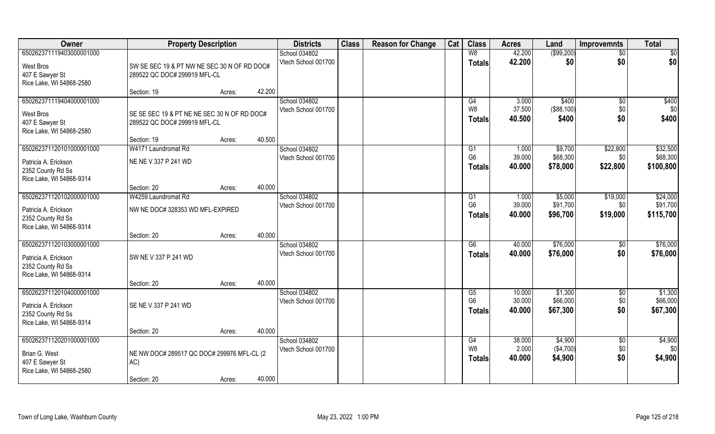| Owner                                     | <b>Property Description</b>                 |        |        | <b>Districts</b>                     | <b>Class</b> | <b>Reason for Change</b> | Cat | <b>Class</b>         | <b>Acres</b>    | Land                 | <b>Improvemnts</b> | <b>Total</b>   |
|-------------------------------------------|---------------------------------------------|--------|--------|--------------------------------------|--------------|--------------------------|-----|----------------------|-----------------|----------------------|--------------------|----------------|
| 650262371119403000001000                  |                                             |        |        | School 034802                        |              |                          |     | W8                   | 42.200          | ( \$99, 200)         | $\overline{50}$    | \$0            |
| West Bros                                 | SW SE SEC 19 & PT NW NE SEC 30 N OF RD DOC# |        |        | Vtech School 001700                  |              |                          |     | <b>Totals</b>        | 42.200          | \$0                  | \$0                | \$0            |
| 407 E Sawyer St                           | 289522 QC DOC# 299919 MFL-CL                |        |        |                                      |              |                          |     |                      |                 |                      |                    |                |
| Rice Lake, WI 54868-2580                  |                                             |        |        |                                      |              |                          |     |                      |                 |                      |                    |                |
|                                           | Section: 19                                 | Acres: | 42.200 |                                      |              |                          |     |                      |                 |                      |                    |                |
| 650262371119404000001000                  |                                             |        |        | <b>School 034802</b>                 |              |                          |     | G4<br>W <sub>8</sub> | 3.000<br>37.500 | \$400                | \$0                | \$400          |
| West Bros                                 | SE SE SEC 19 & PT NE NE SEC 30 N OF RD DOC# |        |        | Vtech School 001700                  |              |                          |     | <b>Totals</b>        | 40.500          | (\$88,100)<br>\$400  | \$0<br>\$0         | \$0<br>\$400   |
| 407 E Sawyer St                           | 289522 QC DOC# 299919 MFL-CL                |        |        |                                      |              |                          |     |                      |                 |                      |                    |                |
| Rice Lake, WI 54868-2580                  |                                             |        |        |                                      |              |                          |     |                      |                 |                      |                    |                |
| 650262371120101000001000                  | Section: 19<br>W4171 Laundromat Rd          | Acres: | 40.500 | School 034802                        |              |                          |     |                      | 1.000           | \$9,700              | \$22,800           | \$32,500       |
|                                           |                                             |        |        | Vtech School 001700                  |              |                          |     | G1<br>G <sub>6</sub> | 39.000          | \$68,300             | \$0                | \$68,300       |
| Patricia A. Erickson                      | NE NE V 337 P 241 WD                        |        |        |                                      |              |                          |     | <b>Totals</b>        | 40.000          | \$78,000             | \$22,800           | \$100,800      |
| 2352 County Rd Ss                         |                                             |        |        |                                      |              |                          |     |                      |                 |                      |                    |                |
| Rice Lake, WI 54868-9314                  | Section: 20                                 | Acres: | 40.000 |                                      |              |                          |     |                      |                 |                      |                    |                |
| 650262371120102000001000                  | W4259 Laundromat Rd                         |        |        | School 034802                        |              |                          |     | G1                   | 1.000           | \$5,000              | \$19,000           | \$24,000       |
|                                           |                                             |        |        | Vtech School 001700                  |              |                          |     | G <sub>6</sub>       | 39.000          | \$91,700             | \$0                | \$91,700       |
| Patricia A. Erickson<br>2352 County Rd Ss | NW NE DOC# 328353 WD MFL-EXPIRED            |        |        |                                      |              |                          |     | <b>Totals</b>        | 40,000          | \$96,700             | \$19,000           | \$115,700      |
| Rice Lake, WI 54868-9314                  |                                             |        |        |                                      |              |                          |     |                      |                 |                      |                    |                |
|                                           | Section: 20                                 | Acres: | 40.000 |                                      |              |                          |     |                      |                 |                      |                    |                |
| 650262371120103000001000                  |                                             |        |        | School 034802                        |              |                          |     | $\overline{G6}$      | 40.000          | \$76,000             | \$0                | \$76,000       |
| Patricia A. Erickson                      | SW NE V 337 P 241 WD                        |        |        | Vtech School 001700                  |              |                          |     | <b>Totals</b>        | 40.000          | \$76,000             | \$0                | \$76,000       |
| 2352 County Rd Ss                         |                                             |        |        |                                      |              |                          |     |                      |                 |                      |                    |                |
| Rice Lake, WI 54868-9314                  |                                             |        |        |                                      |              |                          |     |                      |                 |                      |                    |                |
|                                           | Section: 20                                 | Acres: | 40.000 |                                      |              |                          |     |                      |                 |                      |                    |                |
| 650262371120104000001000                  |                                             |        |        | School 034802                        |              |                          |     | G5                   | 10.000          | \$1,300              | $\overline{50}$    | \$1,300        |
| Patricia A. Erickson                      | SE NE V 337 P 241 WD                        |        |        | Vtech School 001700                  |              |                          |     | G <sub>6</sub>       | 30.000          | \$66,000             | \$0                | \$66,000       |
| 2352 County Rd Ss                         |                                             |        |        |                                      |              |                          |     | <b>Totals</b>        | 40.000          | \$67,300             | \$0                | \$67,300       |
| Rice Lake, WI 54868-9314                  |                                             |        |        |                                      |              |                          |     |                      |                 |                      |                    |                |
|                                           | Section: 20                                 | Acres: | 40.000 |                                      |              |                          |     |                      |                 |                      |                    |                |
| 650262371120201000001000                  |                                             |        |        | School 034802<br>Vtech School 001700 |              |                          |     | G4<br>W <sub>8</sub> | 38.000<br>2.000 | \$4,900<br>(\$4,700) | $\sqrt{6}$<br>\$0  | \$4,900<br>\$0 |
| Brian G. West                             | NE NW DOC# 289517 QC DOC# 299976 MFL-CL (2  |        |        |                                      |              |                          |     | <b>Totals</b>        | 40.000          | \$4,900              | \$0                | \$4,900        |
| 407 E Sawyer St                           | AC)                                         |        |        |                                      |              |                          |     |                      |                 |                      |                    |                |
| Rice Lake, WI 54868-2580                  |                                             |        |        |                                      |              |                          |     |                      |                 |                      |                    |                |
|                                           | Section: 20                                 | Acres: | 40.000 |                                      |              |                          |     |                      |                 |                      |                    |                |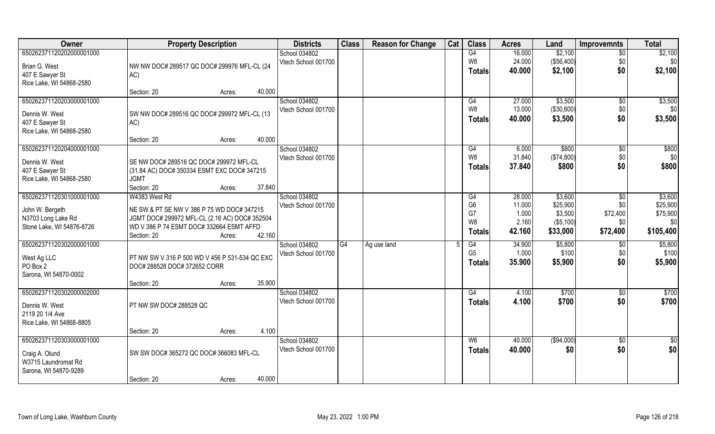| Owner                     | <b>Property Description</b>                    |                  | <b>Districts</b>    | <b>Class</b> | <b>Reason for Change</b> | Cat | <b>Class</b>   | <b>Acres</b> | Land       | <b>Improvemnts</b> | <b>Total</b>    |
|---------------------------|------------------------------------------------|------------------|---------------------|--------------|--------------------------|-----|----------------|--------------|------------|--------------------|-----------------|
| 650262371120202000001000  |                                                |                  | School 034802       |              |                          |     | G4             | 16.000       | \$2,100    | $\overline{50}$    | \$2,100         |
| Brian G. West             | NW NW DOC# 289517 QC DOC# 299976 MFL-CL (24    |                  | Vtech School 001700 |              |                          |     | W8             | 24.000       | (\$56,400) | \$0                | \$0             |
| 407 E Sawyer St           | AC)                                            |                  |                     |              |                          |     | Totals         | 40.000       | \$2,100    | \$0                | \$2,100         |
| Rice Lake, WI 54868-2580  |                                                |                  |                     |              |                          |     |                |              |            |                    |                 |
|                           | Section: 20                                    | 40.000<br>Acres: |                     |              |                          |     |                |              |            |                    |                 |
| 650262371120203000001000  |                                                |                  | School 034802       |              |                          |     | G4             | 27.000       | \$3,500    | $\overline{50}$    | \$3,500         |
| Dennis W. West            | SW NW DOC# 289516 QC DOC# 299972 MFL-CL (13    |                  | Vtech School 001700 |              |                          |     | W <sub>8</sub> | 13.000       | (\$30,600) | \$0                | \$0             |
| 407 E Sawyer St           | AC)                                            |                  |                     |              |                          |     | Totals         | 40.000       | \$3,500    | \$0                | \$3,500         |
| Rice Lake, WI 54868-2580  |                                                |                  |                     |              |                          |     |                |              |            |                    |                 |
|                           | Section: 20                                    | 40.000<br>Acres: |                     |              |                          |     |                |              |            |                    |                 |
| 650262371120204000001000  |                                                |                  | School 034802       |              |                          |     | G4             | 6.000        | \$800      | $\sqrt[6]{30}$     | \$800           |
| Dennis W. West            | SE NW DOC# 289516 QC DOC# 299972 MFL-CL        |                  | Vtech School 001700 |              |                          |     | W8             | 31.840       | (\$74,800) | \$0                | \$0             |
| 407 E Sawyer St           | (31.84 AC) DOC# 350334 ESMT EXC DOC# 347215    |                  |                     |              |                          |     | <b>Totals</b>  | 37.840       | \$800      | \$0                | \$800           |
| Rice Lake, WI 54868-2580  | <b>JGMT</b>                                    |                  |                     |              |                          |     |                |              |            |                    |                 |
|                           | Section: 20                                    | 37.840<br>Acres: |                     |              |                          |     |                |              |            |                    |                 |
| 650262371120301000001000  | W4383 West Rd                                  |                  | School 034802       |              |                          |     | G4             | 28.000       | \$3,600    | $\sqrt[6]{30}$     | \$3,600         |
| John W. Bergeth           | NE SW & PT SE NW V 386 P 75 WD DOC# 347215     |                  | Vtech School 001700 |              |                          |     | G <sub>6</sub> | 11.000       | \$25,900   | \$0                | \$25,900        |
| N3703 Long Lake Rd        | JGMT DOC# 299972 MFL-CL (2.16 AC) DOC# 352504  |                  |                     |              |                          |     | G7             | 1.000        | \$3,500    | \$72,400           | \$75,900        |
| Stone Lake, WI 54876-8726 | WD V 386 P 74 ESMT DOC# 332664 ESMT AFFD       |                  |                     |              |                          |     | W <sub>8</sub> | 2.160        | (\$5,100)  | \$0                | \$0             |
|                           | Section: 20                                    | 42.160<br>Acres: |                     |              |                          |     | <b>Totals</b>  | 42.160       | \$33,000   | \$72,400           | \$105,400       |
| 650262371120302000001000  |                                                |                  | School 034802       | G4           | Ag use land              | 5   | G4             | 34.900       | \$5,800    | $\overline{50}$    | \$5,800         |
| West Ag LLC               | PT NW SW V 316 P 500 WD V 456 P 531-534 QC EXC |                  | Vtech School 001700 |              |                          |     | G <sub>5</sub> | 1.000        | \$100      | \$0                | \$100           |
| PO Box 2                  | DOC# 288528 DOC# 372652 CORR                   |                  |                     |              |                          |     | Totals         | 35.900       | \$5,900    | \$0                | \$5,900         |
| Sarona, WI 54870-0002     |                                                |                  |                     |              |                          |     |                |              |            |                    |                 |
|                           | Section: 20                                    | 35.900<br>Acres: |                     |              |                          |     |                |              |            |                    |                 |
| 650262371120302000002000  |                                                |                  | School 034802       |              |                          |     | G4             | 4.100        | \$700      | \$0                | \$700           |
| Dennis W. West            | PT NW SW DOC# 288528 QC                        |                  | Vtech School 001700 |              |                          |     | <b>Totals</b>  | 4.100        | \$700      | \$0                | \$700           |
| 2119 20 1/4 Ave           |                                                |                  |                     |              |                          |     |                |              |            |                    |                 |
| Rice Lake, WI 54868-8805  |                                                |                  |                     |              |                          |     |                |              |            |                    |                 |
|                           | Section: 20                                    | 4.100<br>Acres:  |                     |              |                          |     |                |              |            |                    |                 |
| 650262371120303000001000  |                                                |                  | School 034802       |              |                          |     | W <sub>6</sub> | 40.000       | (\$94,000) | $\overline{50}$    | $\overline{50}$ |
| Craig A. Olund            | SW SW DOC# 365272 QC DOC# 366083 MFL-CL        |                  | Vtech School 001700 |              |                          |     | <b>Totals</b>  | 40.000       | \$0        | \$0                | \$0             |
| W3715 Laundromat Rd       |                                                |                  |                     |              |                          |     |                |              |            |                    |                 |
| Sarona, WI 54870-9289     |                                                |                  |                     |              |                          |     |                |              |            |                    |                 |
|                           | Section: 20                                    | 40.000<br>Acres: |                     |              |                          |     |                |              |            |                    |                 |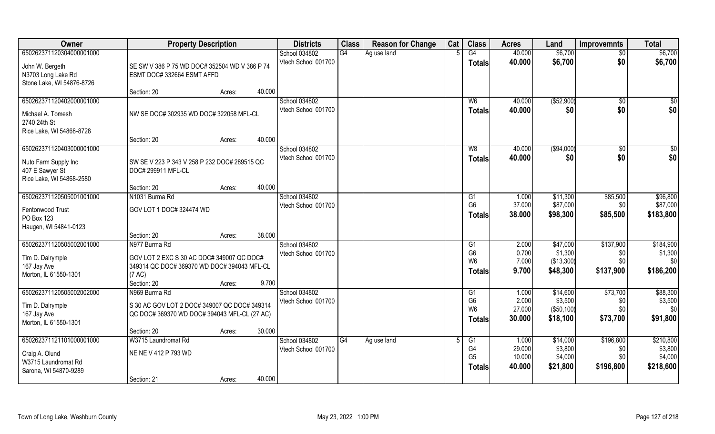| <b>Owner</b>                                                                                    | <b>Property Description</b>                                                                |        | <b>Districts</b>                     | <b>Class</b> | <b>Reason for Change</b> | Cat | <b>Class</b>                                      | <b>Acres</b>               | Land                                | <b>Improvemnts</b>      | <b>Total</b>                    |
|-------------------------------------------------------------------------------------------------|--------------------------------------------------------------------------------------------|--------|--------------------------------------|--------------|--------------------------|-----|---------------------------------------------------|----------------------------|-------------------------------------|-------------------------|---------------------------------|
| 650262371120304000001000                                                                        |                                                                                            |        | School 034802                        | G4           | Ag use land              |     | G4                                                | 40.000                     | \$6,700                             | $\overline{50}$         | \$6,700                         |
| John W. Bergeth<br>N3703 Long Lake Rd<br>Stone Lake, WI 54876-8726                              | SE SW V 386 P 75 WD DOC# 352504 WD V 386 P 74<br>ESMT DOC# 332664 ESMT AFFD                |        | Vtech School 001700                  |              |                          |     | <b>Totals</b>                                     | 40.000                     | \$6,700                             | \$0                     | \$6,700                         |
|                                                                                                 | Section: 20<br>Acres:                                                                      | 40.000 |                                      |              |                          |     |                                                   |                            |                                     |                         |                                 |
| 650262371120402000001000<br>Michael A. Tomesh<br>2740 24th St<br>Rice Lake, WI 54868-8728       | NW SE DOC# 302935 WD DOC# 322058 MFL-CL                                                    |        | School 034802<br>Vtech School 001700 |              |                          |     | W <sub>6</sub><br><b>Totals</b>                   | 40.000<br>40.000           | ( \$52,900)<br>\$0                  | $\overline{50}$<br>\$0  | $\sqrt{50}$<br>\$0              |
|                                                                                                 | Section: 20<br>Acres:                                                                      | 40.000 |                                      |              |                          |     |                                                   |                            |                                     |                         |                                 |
| 650262371120403000001000<br>Nuto Farm Supply Inc<br>407 E Sawyer St<br>Rice Lake, WI 54868-2580 | SW SE V 223 P 343 V 258 P 232 DOC# 289515 QC<br>DOC# 299911 MFL-CL                         |        | School 034802<br>Vtech School 001700 |              |                          |     | W8<br><b>Totals</b>                               | 40.000<br>40.000           | ( \$94,000)<br>\$0                  | $\sqrt[6]{30}$<br>\$0   | \$0<br>\$0                      |
|                                                                                                 | Section: 20<br>Acres:                                                                      | 40.000 |                                      |              |                          |     |                                                   |                            |                                     |                         |                                 |
| 650262371120505001001000                                                                        | N1031 Burma Rd                                                                             |        | School 034802<br>Vtech School 001700 |              |                          |     | G1<br>G <sub>6</sub>                              | 1.000<br>37.000            | \$11,300<br>\$87,000                | \$85,500<br>\$0         | \$96,800<br>\$87,000            |
| Fentonwood Trust<br>PO Box 123<br>Haugen, WI 54841-0123                                         | GOV LOT 1 DOC# 324474 WD                                                                   |        |                                      |              |                          |     | <b>Totals</b>                                     | 38.000                     | \$98,300                            | \$85,500                | \$183,800                       |
|                                                                                                 | Section: 20<br>Acres:                                                                      | 38.000 |                                      |              |                          |     |                                                   |                            |                                     |                         |                                 |
| 650262371120505002001000                                                                        | N977 Burma Rd                                                                              |        | School 034802                        |              |                          |     | G1                                                | 2.000                      | \$47,000                            | \$137,900               | \$184,900                       |
| Tim D. Dalrymple                                                                                | GOV LOT 2 EXC S 30 AC DOC# 349007 QC DOC#                                                  |        | Vtech School 001700                  |              |                          |     | G <sub>6</sub><br>W <sub>6</sub>                  | 0.700<br>7.000             | \$1,300                             | \$0<br>\$0              | \$1,300<br>\$0                  |
| 167 Jay Ave                                                                                     | 349314 QC DOC# 369370 WD DOC# 394043 MFL-CL                                                |        |                                      |              |                          |     | <b>Totals</b>                                     | 9.700                      | (\$13,300)<br>\$48,300              | \$137,900               | \$186,200                       |
| Morton, IL 61550-1301                                                                           | (7 AC)<br>Section: 20                                                                      | 9.700  |                                      |              |                          |     |                                                   |                            |                                     |                         |                                 |
| 650262371120505002002000                                                                        | Acres:<br>N969 Burma Rd                                                                    |        | School 034802                        |              |                          |     | G1                                                | 1.000                      | \$14,600                            | \$73,700                | \$88,300                        |
| Tim D. Dalrymple<br>167 Jay Ave<br>Morton, IL 61550-1301                                        | S 30 AC GOV LOT 2 DOC# 349007 QC DOC# 349314<br>QC DOC#369370 WD DOC#394043 MFL-CL (27 AC) |        | Vtech School 001700                  |              |                          |     | G <sub>6</sub><br>W <sub>6</sub><br><b>Totals</b> | 2.000<br>27.000<br>30.000  | \$3,500<br>( \$50, 100)<br>\$18,100 | \$0<br>\$0<br>\$73,700  | \$3,500<br>\$0<br>\$91,800      |
|                                                                                                 | Section: 20<br>Acres:                                                                      | 30.000 |                                      |              |                          |     |                                                   |                            |                                     |                         |                                 |
| 650262371121101000001000                                                                        | W3715 Laundromat Rd                                                                        |        | School 034802                        | G4           | Ag use land              | 5   | G1                                                | 1.000                      | \$14,000                            | \$196,800               | \$210,800                       |
| Craig A. Olund<br>W3715 Laundromat Rd<br>Sarona, WI 54870-9289                                  | NE NE V 412 P 793 WD                                                                       |        | Vtech School 001700                  |              |                          |     | G4<br>G <sub>5</sub><br><b>Totals</b>             | 29.000<br>10.000<br>40.000 | \$3,800<br>\$4,000<br>\$21,800      | \$0<br>\$0<br>\$196,800 | \$3,800<br>\$4,000<br>\$218,600 |
|                                                                                                 | Section: 21<br>Acres:                                                                      | 40.000 |                                      |              |                          |     |                                                   |                            |                                     |                         |                                 |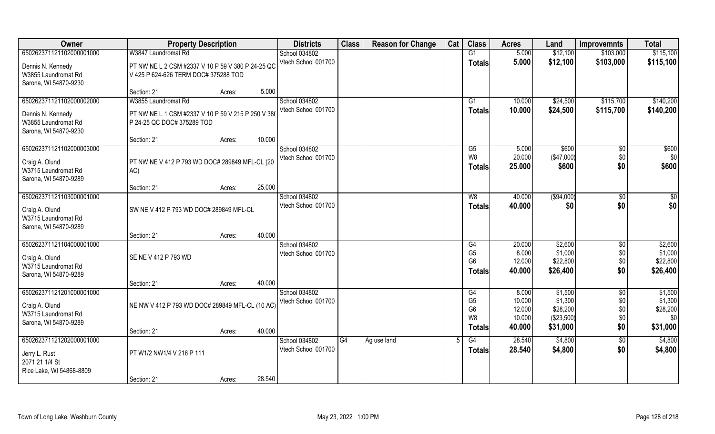| Owner                           | <b>Property Description</b>                        |        |        | <b>Districts</b>                     | <b>Class</b> | <b>Reason for Change</b> | Cat | <b>Class</b>   | <b>Acres</b>     | Land                | <b>Improvemnts</b>    | <b>Total</b> |
|---------------------------------|----------------------------------------------------|--------|--------|--------------------------------------|--------------|--------------------------|-----|----------------|------------------|---------------------|-----------------------|--------------|
| 650262371121102000001000        | W3847 Laundromat Rd                                |        |        | School 034802                        |              |                          |     | G1             | 5.000            | \$12,100            | \$103,000             | \$115,100    |
| Dennis N. Kennedy               | PT NW NE L 2 CSM #2337 V 10 P 59 V 380 P 24-25 QC  |        |        | Vtech School 001700                  |              |                          |     | <b>Totals</b>  | 5.000            | \$12,100            | \$103,000             | \$115,100    |
| W3855 Laundromat Rd             | V 425 P 624-626 TERM DOC# 375288 TOD               |        |        |                                      |              |                          |     |                |                  |                     |                       |              |
| Sarona, WI 54870-9230           |                                                    |        |        |                                      |              |                          |     |                |                  |                     |                       |              |
|                                 | Section: 21                                        | Acres: | 5.000  |                                      |              |                          |     |                |                  |                     |                       |              |
| 650262371121102000002000        | W3855 Laundromat Rd                                |        |        | School 034802                        |              |                          |     | G1             | 10.000           | \$24,500            | \$115,700             | \$140,200    |
| Dennis N. Kennedy               | PT NW NE L 1 CSM #2337 V 10 P 59 V 215 P 250 V 380 |        |        | Vtech School 001700                  |              |                          |     | <b>Totals</b>  | 10.000           | \$24,500            | \$115,700             | \$140,200    |
| W3855 Laundromat Rd             | P 24-25 QC DOC# 375289 TOD                         |        |        |                                      |              |                          |     |                |                  |                     |                       |              |
| Sarona, WI 54870-9230           |                                                    |        |        |                                      |              |                          |     |                |                  |                     |                       |              |
|                                 | Section: 21                                        | Acres: | 10.000 |                                      |              |                          |     |                |                  |                     |                       |              |
| 650262371121102000003000        |                                                    |        |        | School 034802<br>Vtech School 001700 |              |                          |     | G5<br>W8       | 5.000<br>20.000  | \$600<br>(\$47,000) | $\sqrt[6]{30}$<br>\$0 | \$600<br>\$0 |
| Craig A. Olund                  | PT NW NE V 412 P 793 WD DOC# 289849 MFL-CL (20     |        |        |                                      |              |                          |     | <b>Totals</b>  | 25.000           | \$600               | \$0                   | \$600        |
| W3715 Laundromat Rd             | AC)                                                |        |        |                                      |              |                          |     |                |                  |                     |                       |              |
| Sarona, WI 54870-9289           |                                                    |        |        |                                      |              |                          |     |                |                  |                     |                       |              |
|                                 | Section: 21                                        | Acres: | 25.000 |                                      |              |                          |     |                |                  |                     |                       |              |
| 650262371121103000001000        |                                                    |        |        | School 034802<br>Vtech School 001700 |              |                          |     | W8             | 40.000<br>40.000 | (\$94,000)<br>\$0   | $\sqrt[6]{3}$<br>\$0  | \$0<br>\$0   |
| Craig A. Olund                  | SW NE V 412 P 793 WD DOC# 289849 MFL-CL            |        |        |                                      |              |                          |     | <b>Totals</b>  |                  |                     |                       |              |
| W3715 Laundromat Rd             |                                                    |        |        |                                      |              |                          |     |                |                  |                     |                       |              |
| Sarona, WI 54870-9289           |                                                    |        | 40.000 |                                      |              |                          |     |                |                  |                     |                       |              |
| 650262371121104000001000        | Section: 21                                        | Acres: |        | School 034802                        |              |                          |     | G4             | 20.000           | \$2,600             | \$0                   | \$2,600      |
|                                 |                                                    |        |        | Vtech School 001700                  |              |                          |     | G <sub>5</sub> | 8.000            | \$1,000             | \$0                   | \$1,000      |
| Craig A. Olund                  | SE NE V 412 P 793 WD                               |        |        |                                      |              |                          |     | G <sub>6</sub> | 12.000           | \$22,800            | \$0                   | \$22,800     |
| W3715 Laundromat Rd             |                                                    |        |        |                                      |              |                          |     | <b>Totals</b>  | 40.000           | \$26,400            | \$0                   | \$26,400     |
| Sarona, WI 54870-9289           | Section: 21                                        |        | 40.000 |                                      |              |                          |     |                |                  |                     |                       |              |
| 650262371121201000001000        |                                                    | Acres: |        | School 034802                        |              |                          |     | G4             | 8.000            | \$1,500             | $\sqrt{$0}$           | \$1,500      |
|                                 |                                                    |        |        | Vtech School 001700                  |              |                          |     | G <sub>5</sub> | 10.000           | \$1,300             | \$0                   | \$1,300      |
| Craig A. Olund                  | NE NW V 412 P 793 WD DOC# 289849 MFL-CL (10 AC)    |        |        |                                      |              |                          |     | G <sub>6</sub> | 12.000           | \$28,200            | \$0                   | \$28,200     |
| W3715 Laundromat Rd             |                                                    |        |        |                                      |              |                          |     | W8             | 10.000           | (\$23,500)          | \$0                   | \$0          |
| Sarona, WI 54870-9289           | Section: 21                                        | Acres: | 40.000 |                                      |              |                          |     | <b>Totals</b>  | 40.000           | \$31,000            | \$0                   | \$31,000     |
| 650262371121202000001000        |                                                    |        |        | School 034802                        | G4           | Ag use land              |     | G4             | 28.540           | \$4,800             | $\overline{60}$       | \$4,800      |
|                                 |                                                    |        |        | Vtech School 001700                  |              |                          |     | <b>Totals</b>  | 28.540           | \$4,800             | \$0                   | \$4,800      |
| Jerry L. Rust<br>2071 21 1/4 St | PT W1/2 NW1/4 V 216 P 111                          |        |        |                                      |              |                          |     |                |                  |                     |                       |              |
| Rice Lake, WI 54868-8809        |                                                    |        |        |                                      |              |                          |     |                |                  |                     |                       |              |
|                                 | Section: 21                                        | Acres: | 28.540 |                                      |              |                          |     |                |                  |                     |                       |              |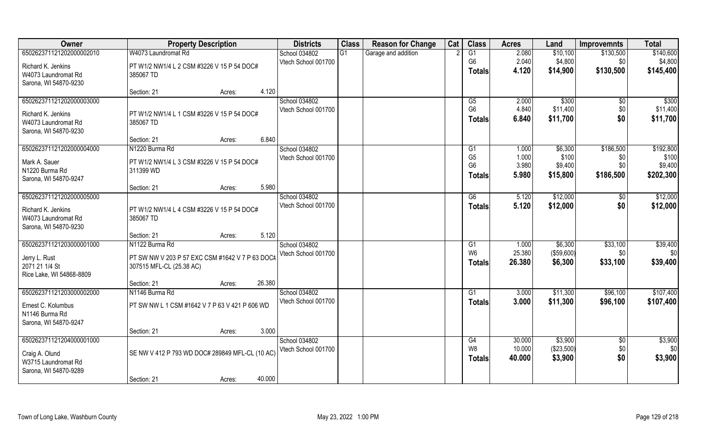| Owner                    | <b>Property Description</b>                             | <b>Districts</b>    | <b>Class</b> | <b>Reason for Change</b> | Cat | <b>Class</b>    | <b>Acres</b> | Land       | <b>Improvemnts</b> | <b>Total</b> |
|--------------------------|---------------------------------------------------------|---------------------|--------------|--------------------------|-----|-----------------|--------------|------------|--------------------|--------------|
| 650262371121202000002010 | W4073 Laundromat Rd                                     | School 034802       | G1           | Garage and addition      |     | G1              | 2.080        | \$10,100   | \$130,500          | \$140,600    |
| Richard K. Jenkins       | PT W1/2 NW1/4 L 2 CSM #3226 V 15 P 54 DOC#              | Vtech School 001700 |              |                          |     | G <sub>6</sub>  | 2.040        | \$4,800    | \$0                | \$4,800      |
| W4073 Laundromat Rd      | 385067 TD                                               |                     |              |                          |     | <b>Totals</b>   | 4.120        | \$14,900   | \$130,500          | \$145,400    |
| Sarona, WI 54870-9230    |                                                         |                     |              |                          |     |                 |              |            |                    |              |
|                          | 4.120<br>Section: 21<br>Acres:                          |                     |              |                          |     |                 |              |            |                    |              |
| 650262371121202000003000 |                                                         | School 034802       |              |                          |     | $\overline{G5}$ | 2.000        | \$300      | $\overline{50}$    | \$300        |
| Richard K. Jenkins       | PT W1/2 NW1/4 L 1 CSM #3226 V 15 P 54 DOC#              | Vtech School 001700 |              |                          |     | G <sub>6</sub>  | 4.840        | \$11,400   | \$0                | \$11,400     |
| W4073 Laundromat Rd      | 385067 TD                                               |                     |              |                          |     | <b>Totals</b>   | 6.840        | \$11,700   | \$0                | \$11,700     |
| Sarona, WI 54870-9230    |                                                         |                     |              |                          |     |                 |              |            |                    |              |
|                          | 6.840<br>Section: 21<br>Acres:                          |                     |              |                          |     |                 |              |            |                    |              |
| 650262371121202000004000 | N1220 Burma Rd                                          | School 034802       |              |                          |     | G1              | 1.000        | \$6,300    | \$186,500          | \$192,800    |
| Mark A. Sauer            |                                                         | Vtech School 001700 |              |                          |     | G <sub>5</sub>  | 1.000        | \$100      | \$0                | \$100        |
| N1220 Burma Rd           | PT W1/2 NW1/4 L 3 CSM #3226 V 15 P 54 DOC#<br>311399 WD |                     |              |                          |     | G <sub>6</sub>  | 3.980        | \$9,400    | \$0                | \$9,400      |
| Sarona, WI 54870-9247    |                                                         |                     |              |                          |     | <b>Totals</b>   | 5.980        | \$15,800   | \$186,500          | \$202,300    |
|                          | 5.980<br>Section: 21<br>Acres:                          |                     |              |                          |     |                 |              |            |                    |              |
| 650262371121202000005000 |                                                         | School 034802       |              |                          |     | G6              | 5.120        | \$12,000   | \$0                | \$12,000     |
|                          |                                                         | Vtech School 001700 |              |                          |     | <b>Totals</b>   | 5.120        | \$12,000   | \$0                | \$12,000     |
| Richard K. Jenkins       | PT W1/2 NW1/4 L 4 CSM #3226 V 15 P 54 DOC#              |                     |              |                          |     |                 |              |            |                    |              |
| W4073 Laundromat Rd      | 385067 TD                                               |                     |              |                          |     |                 |              |            |                    |              |
| Sarona, WI 54870-9230    | 5.120                                                   |                     |              |                          |     |                 |              |            |                    |              |
| 650262371121203000001000 | Section: 21<br>Acres:<br>N1122 Burma Rd                 | School 034802       |              |                          |     | G1              | 1.000        | \$6,300    | \$33,100           | \$39,400     |
|                          |                                                         | Vtech School 001700 |              |                          |     | W <sub>6</sub>  | 25.380       | (\$59,600) | \$0                | \$0          |
| Jerry L. Rust            | PT SW NW V 203 P 57 EXC CSM #1642 V 7 P 63 DOC#         |                     |              |                          |     |                 | 26.380       | \$6,300    | \$33,100           | \$39,400     |
| 2071 21 1/4 St           | 307515 MFL-CL (25.38 AC)                                |                     |              |                          |     | Totals          |              |            |                    |              |
| Rice Lake, WI 54868-8809 |                                                         |                     |              |                          |     |                 |              |            |                    |              |
|                          | 26.380<br>Section: 21<br>Acres:                         |                     |              |                          |     |                 |              |            |                    |              |
| 650262371121203000002000 | N1146 Burma Rd                                          | School 034802       |              |                          |     | G1              | 3.000        | \$11,300   | \$96,100           | \$107,400    |
| Ernest C. Kolumbus       | PT SW NW L 1 CSM #1642 V 7 P 63 V 421 P 606 WD          | Vtech School 001700 |              |                          |     | <b>Totals</b>   | 3.000        | \$11,300   | \$96,100           | \$107,400    |
| N1146 Burma Rd           |                                                         |                     |              |                          |     |                 |              |            |                    |              |
| Sarona, WI 54870-9247    |                                                         |                     |              |                          |     |                 |              |            |                    |              |
|                          | 3.000<br>Section: 21<br>Acres:                          |                     |              |                          |     |                 |              |            |                    |              |
| 650262371121204000001000 |                                                         | School 034802       |              |                          |     | G4              | 30.000       | \$3,900    | $\overline{30}$    | \$3,900      |
| Craig A. Olund           | SE NW V 412 P 793 WD DOC# 289849 MFL-CL (10 AC)         | Vtech School 001700 |              |                          |     | W8              | 10.000       | (\$23,500) | \$0                | \$0          |
| W3715 Laundromat Rd      |                                                         |                     |              |                          |     | Totals          | 40.000       | \$3,900    | \$0                | \$3,900      |
| Sarona, WI 54870-9289    |                                                         |                     |              |                          |     |                 |              |            |                    |              |
|                          | 40.000<br>Section: 21<br>Acres:                         |                     |              |                          |     |                 |              |            |                    |              |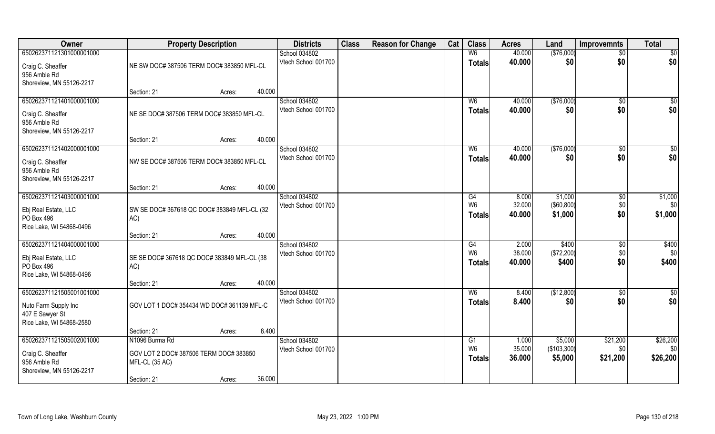| Owner                                                                                           | <b>Property Description</b>                                                | <b>Districts</b>                     | <b>Class</b> | <b>Reason for Change</b> | Cat | <b>Class</b>                          | <b>Acres</b>              | Land                              | <b>Improvemnts</b>           | <b>Total</b>                |
|-------------------------------------------------------------------------------------------------|----------------------------------------------------------------------------|--------------------------------------|--------------|--------------------------|-----|---------------------------------------|---------------------------|-----------------------------------|------------------------------|-----------------------------|
| 650262371121301000001000                                                                        |                                                                            | School 034802                        |              |                          |     | W <sub>6</sub>                        | 40.000                    | (\$76,000)                        | $\overline{50}$              | $\overline{50}$             |
| Craig C. Sheaffer<br>956 Amble Rd<br>Shoreview, MN 55126-2217                                   | NE SW DOC# 387506 TERM DOC# 383850 MFL-CL                                  | Vtech School 001700                  |              |                          |     | <b>Totals</b>                         | 40.000                    | \$0                               | \$0                          | \$0                         |
|                                                                                                 | 40.000<br>Section: 21<br>Acres:                                            |                                      |              |                          |     |                                       |                           |                                   |                              |                             |
| 650262371121401000001000                                                                        |                                                                            | School 034802                        |              |                          |     | W <sub>6</sub>                        | 40.000                    | (\$76,000)                        | \$0                          | $\sqrt{50}$                 |
| Craig C. Sheaffer<br>956 Amble Rd<br>Shoreview, MN 55126-2217                                   | NE SE DOC# 387506 TERM DOC# 383850 MFL-CL                                  | Vtech School 001700                  |              |                          |     | Totals                                | 40.000                    | \$0                               | \$0                          | \$0                         |
|                                                                                                 | 40.000<br>Section: 21<br>Acres:                                            |                                      |              |                          |     |                                       |                           |                                   |                              |                             |
| 650262371121402000001000                                                                        |                                                                            | School 034802                        |              |                          |     | W <sub>6</sub>                        | 40.000                    | ( \$76,000)                       | $\sqrt{6}$                   | \$0                         |
| Craig C. Sheaffer<br>956 Amble Rd<br>Shoreview, MN 55126-2217                                   | NW SE DOC# 387506 TERM DOC# 383850 MFL-CL                                  | Vtech School 001700                  |              |                          |     | <b>Totals</b>                         | 40.000                    | \$0                               | \$0                          | \$0                         |
|                                                                                                 | 40.000<br>Section: 21<br>Acres:                                            |                                      |              |                          |     |                                       |                           |                                   |                              |                             |
| 650262371121403000001000                                                                        |                                                                            | School 034802                        |              |                          |     | G4                                    | 8.000                     | \$1,000                           | \$0                          | \$1,000                     |
| Ebj Real Estate, LLC<br>PO Box 496<br>Rice Lake, WI 54868-0496                                  | SW SE DOC# 367618 QC DOC# 383849 MFL-CL (32<br>AC)                         | Vtech School 001700                  |              |                          |     | W <sub>6</sub><br><b>Totals</b>       | 32.000<br>40.000          | $($ \$60,800) $ $<br>\$1,000      | \$0<br>\$0                   | \$0<br>\$1,000              |
|                                                                                                 | 40.000<br>Section: 21<br>Acres:                                            |                                      |              |                          |     |                                       |                           |                                   |                              |                             |
| 650262371121404000001000<br>Ebj Real Estate, LLC<br>PO Box 496<br>Rice Lake, WI 54868-0496      | SE SE DOC# 367618 QC DOC# 383849 MFL-CL (38<br>AC)                         | School 034802<br>Vtech School 001700 |              |                          |     | G4<br>W <sub>6</sub><br><b>Totals</b> | 2.000<br>38.000<br>40.000 | \$400<br>(\$72,200)<br>\$400      | $\sqrt[6]{30}$<br>\$0<br>\$0 | \$400<br>\$0<br>\$400       |
|                                                                                                 | 40.000<br>Section: 21<br>Acres:                                            |                                      |              |                          |     |                                       |                           |                                   |                              |                             |
| 650262371121505001001000<br>Nuto Farm Supply Inc<br>407 E Sawyer St<br>Rice Lake, WI 54868-2580 | GOV LOT 1 DOC# 354434 WD DOC# 361139 MFL-C                                 | School 034802<br>Vtech School 001700 |              |                          |     | W <sub>6</sub><br><b>Totals</b>       | 8.400<br>8.400            | (\$12,800)<br>\$0                 | $\sqrt{$0}$<br>\$0           | \$0<br>\$0                  |
|                                                                                                 | 8.400<br>Section: 21<br>Acres:                                             |                                      |              |                          |     |                                       |                           |                                   |                              |                             |
| 650262371121505002001000<br>Craig C. Sheaffer<br>956 Amble Rd                                   | N1096 Burma Rd<br>GOV LOT 2 DOC# 387506 TERM DOC# 383850<br>MFL-CL (35 AC) | School 034802<br>Vtech School 001700 |              |                          |     | G1<br>W <sub>6</sub><br><b>Totals</b> | 1.000<br>35.000<br>36.000 | \$5,000<br>(\$103,300)<br>\$5,000 | \$21,200<br>\$0<br>\$21,200  | \$26,200<br>\$0<br>\$26,200 |
| Shoreview, MN 55126-2217                                                                        | 36.000<br>Section: 21<br>Acres:                                            |                                      |              |                          |     |                                       |                           |                                   |                              |                             |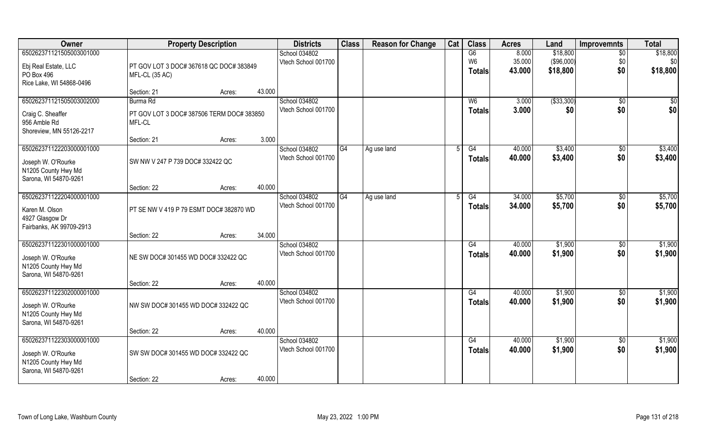| Owner                                     | <b>Property Description</b>               | <b>Districts</b> | <b>Class</b>        | <b>Reason for Change</b> | Cat         | <b>Class</b> | <b>Acres</b>   | Land             | <b>Improvemnts</b>      | <b>Total</b>    |                 |
|-------------------------------------------|-------------------------------------------|------------------|---------------------|--------------------------|-------------|--------------|----------------|------------------|-------------------------|-----------------|-----------------|
| 650262371121505003001000                  |                                           |                  | School 034802       |                          |             |              | G6             | 8.000            | \$18,800                | $\overline{50}$ | \$18,800        |
| Ebj Real Estate, LLC                      | PT GOV LOT 3 DOC# 367618 QC DOC# 383849   |                  | Vtech School 001700 |                          |             |              | W6<br>Totals   | 35.000<br>43.000 | ( \$96,000)<br>\$18,800 | \$0<br>\$0      | \$0<br>\$18,800 |
| PO Box 496<br>Rice Lake, WI 54868-0496    | MFL-CL (35 AC)                            |                  |                     |                          |             |              |                |                  |                         |                 |                 |
|                                           | Section: 21                               | 43.000<br>Acres: |                     |                          |             |              |                |                  |                         |                 |                 |
| 650262371121505003002000                  | Burma Rd                                  |                  | School 034802       |                          |             |              | W <sub>6</sub> | 3.000            | ( \$33, 300)            | $\sqrt{$0}$     | \$0             |
| Craig C. Sheaffer                         | PT GOV LOT 3 DOC# 387506 TERM DOC# 383850 |                  | Vtech School 001700 |                          |             |              | <b>Totals</b>  | 3.000            | \$0                     | \$0             | \$0             |
| 956 Amble Rd                              | MFL-CL                                    |                  |                     |                          |             |              |                |                  |                         |                 |                 |
| Shoreview, MN 55126-2217                  | Section: 21                               | 3.000<br>Acres:  |                     |                          |             |              |                |                  |                         |                 |                 |
| 650262371122203000001000                  |                                           |                  | School 034802       | G4                       | Ag use land | 5            | G4             | 40.000           | \$3,400                 | $\sqrt[6]{30}$  | \$3,400         |
| Joseph W. O'Rourke                        | SW NW V 247 P 739 DOC# 332422 QC          |                  | Vtech School 001700 |                          |             |              | <b>Totals</b>  | 40.000           | \$3,400                 | \$0             | \$3,400         |
| N1205 County Hwy Md                       |                                           |                  |                     |                          |             |              |                |                  |                         |                 |                 |
| Sarona, WI 54870-9261                     | Section: 22                               | 40.000<br>Acres: |                     |                          |             |              |                |                  |                         |                 |                 |
| 650262371122204000001000                  |                                           |                  | School 034802       | G4                       | Ag use land |              | G4             | 34.000           | \$5,700                 | \$0             | \$5,700         |
| Karen M. Olson                            | PT SE NW V 419 P 79 ESMT DOC# 382870 WD   |                  | Vtech School 001700 |                          |             |              | <b>Totals</b>  | 34.000           | \$5,700                 | \$0             | \$5,700         |
| 4927 Glasgow Dr                           |                                           |                  |                     |                          |             |              |                |                  |                         |                 |                 |
| Fairbanks, AK 99709-2913                  | Section: 22                               | 34.000<br>Acres: |                     |                          |             |              |                |                  |                         |                 |                 |
| 650262371122301000001000                  |                                           |                  | School 034802       |                          |             |              | G4             | 40.000           | \$1,900                 | $\sqrt[6]{30}$  | \$1,900         |
| Joseph W. O'Rourke                        | NE SW DOC# 301455 WD DOC# 332422 QC       |                  | Vtech School 001700 |                          |             |              | <b>Totals</b>  | 40.000           | \$1,900                 | \$0             | \$1,900         |
| N1205 County Hwy Md                       |                                           |                  |                     |                          |             |              |                |                  |                         |                 |                 |
| Sarona, WI 54870-9261                     |                                           |                  |                     |                          |             |              |                |                  |                         |                 |                 |
| 650262371122302000001000                  | Section: 22                               | 40.000<br>Acres: | School 034802       |                          |             |              | G4             | 40.000           | \$1,900                 | \$0             | \$1,900         |
| Joseph W. O'Rourke                        | NW SW DOC# 301455 WD DOC# 332422 QC       |                  | Vtech School 001700 |                          |             |              | <b>Totals</b>  | 40.000           | \$1,900                 | \$0             | \$1,900         |
| N1205 County Hwy Md                       |                                           |                  |                     |                          |             |              |                |                  |                         |                 |                 |
| Sarona, WI 54870-9261                     |                                           |                  |                     |                          |             |              |                |                  |                         |                 |                 |
| 650262371122303000001000                  | Section: 22                               | 40.000<br>Acres: | School 034802       |                          |             |              | G4             | 40.000           | \$1,900                 | $\overline{50}$ | \$1,900         |
|                                           |                                           |                  | Vtech School 001700 |                          |             |              | <b>Totals</b>  | 40.000           | \$1,900                 | \$0             | \$1,900         |
| Joseph W. O'Rourke<br>N1205 County Hwy Md | SW SW DOC# 301455 WD DOC# 332422 QC       |                  |                     |                          |             |              |                |                  |                         |                 |                 |
| Sarona, WI 54870-9261                     |                                           |                  |                     |                          |             |              |                |                  |                         |                 |                 |
|                                           | Section: 22                               | 40.000<br>Acres: |                     |                          |             |              |                |                  |                         |                 |                 |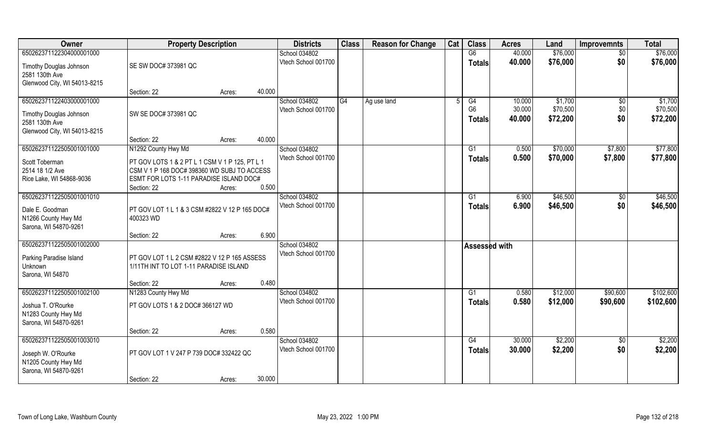| Owner                                                                                          | <b>Property Description</b>                                                                                                                             |        |        | <b>Districts</b>                     | <b>Class</b> | <b>Reason for Change</b> | Cat | <b>Class</b>                    | <b>Acres</b>     | Land                 | <b>Improvemnts</b> | <b>Total</b>         |
|------------------------------------------------------------------------------------------------|---------------------------------------------------------------------------------------------------------------------------------------------------------|--------|--------|--------------------------------------|--------------|--------------------------|-----|---------------------------------|------------------|----------------------|--------------------|----------------------|
| 650262371122304000001000                                                                       |                                                                                                                                                         |        |        | School 034802                        |              |                          |     | G6                              | 40.000           | \$76,000             | $\overline{50}$    | \$76,000             |
| Timothy Douglas Johnson<br>2581 130th Ave<br>Glenwood City, WI 54013-8215                      | SE SW DOC# 373981 QC                                                                                                                                    |        |        | Vtech School 001700                  |              |                          |     | <b>Totals</b>                   | 40.000           | \$76,000             | \$0                | \$76,000             |
|                                                                                                | Section: 22                                                                                                                                             | Acres: | 40.000 |                                      |              |                          |     |                                 |                  |                      |                    |                      |
| 650262371122403000001000                                                                       |                                                                                                                                                         |        |        | School 034802                        | G4           | Ag use land              | 5   | G4                              | 10.000           | \$1,700              | \$0                | \$1,700              |
| Timothy Douglas Johnson<br>2581 130th Ave<br>Glenwood City, WI 54013-8215                      | SW SE DOC# 373981 QC                                                                                                                                    |        |        | Vtech School 001700                  |              |                          |     | G <sub>6</sub><br><b>Totals</b> | 30.000<br>40.000 | \$70,500<br>\$72,200 | \$0<br>\$0         | \$70,500<br>\$72,200 |
|                                                                                                | Section: 22                                                                                                                                             | Acres: | 40.000 |                                      |              |                          |     |                                 |                  |                      |                    |                      |
| 650262371122505001001000                                                                       | N1292 County Hwy Md                                                                                                                                     |        |        | School 034802                        |              |                          |     | G1                              | 0.500            | \$70,000             | \$7,800            | \$77,800             |
| Scott Toberman<br>2514 18 1/2 Ave<br>Rice Lake, WI 54868-9036                                  | PT GOV LOTS 1 & 2 PT L 1 CSM V 1 P 125, PT L 1<br>CSM V 1 P 168 DOC# 398360 WD SUBJ TO ACCESS<br>ESMT FOR LOTS 1-11 PARADISE ISLAND DOC#<br>Section: 22 | Acres: | 0.500  | Vtech School 001700                  |              |                          |     | <b>Totals</b>                   | 0.500            | \$70,000             | \$7,800            | \$77,800             |
| 650262371122505001001010                                                                       |                                                                                                                                                         |        |        | School 034802                        |              |                          |     | G1                              | 6.900            | \$46,500             | $\sqrt[6]{30}$     | \$46,500             |
| Dale E. Goodman<br>N1266 County Hwy Md<br>Sarona, WI 54870-9261                                | PT GOV LOT 1 L 1 & 3 CSM #2822 V 12 P 165 DOC#<br>400323 WD                                                                                             |        |        | Vtech School 001700                  |              |                          |     | <b>Totals</b>                   | 6.900            | \$46,500             | \$0                | \$46,500             |
|                                                                                                | Section: 22                                                                                                                                             | Acres: | 6.900  |                                      |              |                          |     |                                 |                  |                      |                    |                      |
| 650262371122505001002000<br>Parking Paradise Island<br><b>Unknown</b><br>Sarona, WI 54870      | PT GOV LOT 1 L 2 CSM #2822 V 12 P 165 ASSESS<br>1/11TH INT TO LOT 1-11 PARADISE ISLAND<br>Section: 22                                                   | Acres: | 0.480  | School 034802<br>Vtech School 001700 |              |                          |     | Assessed with                   |                  |                      |                    |                      |
| 650262371122505001002100                                                                       | N1283 County Hwy Md                                                                                                                                     |        |        | School 034802                        |              |                          |     | G1                              | 0.580            | \$12,000             | \$90,600           | \$102,600            |
| Joshua T. O'Rourke<br>N1283 County Hwy Md<br>Sarona, WI 54870-9261                             | PT GOV LOTS 1 & 2 DOC# 366127 WD                                                                                                                        |        |        | Vtech School 001700                  |              |                          |     | <b>Totals</b>                   | 0.580            | \$12,000             | \$90,600           | \$102,600            |
|                                                                                                | Section: 22                                                                                                                                             | Acres: | 0.580  |                                      |              |                          |     |                                 |                  |                      |                    |                      |
| 650262371122505001003010<br>Joseph W. O'Rourke<br>N1205 County Hwy Md<br>Sarona, WI 54870-9261 | PT GOV LOT 1 V 247 P 739 DOC# 332422 QC                                                                                                                 |        |        | School 034802<br>Vtech School 001700 |              |                          |     | G4<br><b>Totals</b>             | 30.000<br>30.000 | \$2,200<br>\$2,200   | $\sqrt{$0}$<br>\$0 | \$2,200<br>\$2,200   |
|                                                                                                | Section: 22                                                                                                                                             | Acres: | 30.000 |                                      |              |                          |     |                                 |                  |                      |                    |                      |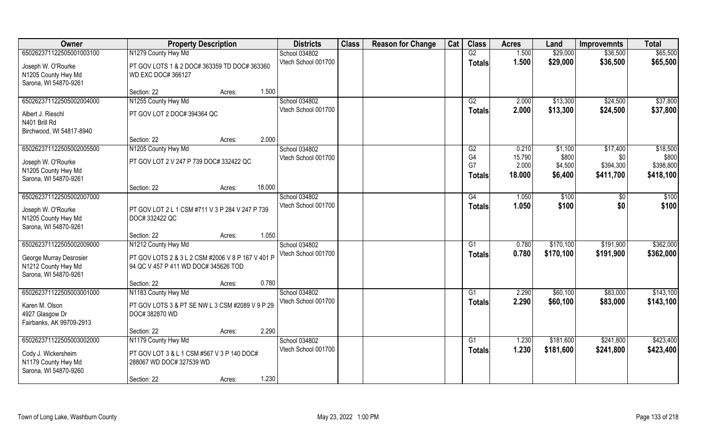| Owner                    | <b>Property Description</b>                       |        |        | <b>Districts</b>    | <b>Class</b> | <b>Reason for Change</b> | Cat | <b>Class</b>    | <b>Acres</b>    | Land             | <b>Improvemnts</b> | <b>Total</b>       |
|--------------------------|---------------------------------------------------|--------|--------|---------------------|--------------|--------------------------|-----|-----------------|-----------------|------------------|--------------------|--------------------|
| 650262371122505001003100 | N1279 County Hwy Md                               |        |        | School 034802       |              |                          |     | G2              | 1.500           | \$29,000         | \$36,500           | \$65,500           |
| Joseph W. O'Rourke       | PT GOV LOTS 1 & 2 DOC# 363359 TD DOC# 363360      |        |        | Vtech School 001700 |              |                          |     | <b>Totals</b>   | 1.500           | \$29,000         | \$36,500           | \$65,500           |
| N1205 County Hwy Md      | <b>WD EXC DOC# 366127</b>                         |        |        |                     |              |                          |     |                 |                 |                  |                    |                    |
| Sarona, WI 54870-9261    |                                                   |        |        |                     |              |                          |     |                 |                 |                  |                    |                    |
|                          | Section: 22                                       | Acres: | 1.500  |                     |              |                          |     |                 |                 |                  |                    |                    |
| 650262371122505002004000 | N1255 County Hwy Md                               |        |        | School 034802       |              |                          |     | G2              | 2.000           | \$13,300         | \$24,500           | \$37,800           |
| Albert J. Rieschl        | PT GOV LOT 2 DOC# 394364 QC                       |        |        | Vtech School 001700 |              |                          |     | <b>Totals</b>   | 2.000           | \$13,300         | \$24,500           | \$37,800           |
| N401 Brill Rd            |                                                   |        |        |                     |              |                          |     |                 |                 |                  |                    |                    |
| Birchwood, WI 54817-8940 |                                                   |        |        |                     |              |                          |     |                 |                 |                  |                    |                    |
|                          | Section: 22                                       | Acres: | 2.000  |                     |              |                          |     |                 |                 |                  |                    |                    |
| 650262371122505002005500 | N1205 County Hwy Md                               |        |        | School 034802       |              |                          |     | G2              | 0.210           | \$1,100          | \$17,400           | \$18,500           |
| Joseph W. O'Rourke       | PT GOV LOT 2 V 247 P 739 DOC# 332422 QC           |        |        | Vtech School 001700 |              |                          |     | G4<br>G7        | 15.790<br>2.000 | \$800<br>\$4,500 | \$0<br>\$394,300   | \$800<br>\$398,800 |
| N1205 County Hwy Md      |                                                   |        |        |                     |              |                          |     |                 | 18.000          | \$6,400          | \$411,700          | \$418,100          |
| Sarona, WI 54870-9261    |                                                   |        |        |                     |              |                          |     | <b>Totals</b>   |                 |                  |                    |                    |
|                          | Section: 22                                       | Acres: | 18.000 |                     |              |                          |     |                 |                 |                  |                    |                    |
| 650262371122505002007000 |                                                   |        |        | School 034802       |              |                          |     | G4              | 1.050           | \$100            | \$0                | \$100              |
| Joseph W. O'Rourke       | PT GOV LOT 2 L 1 CSM #711 V 3 P 284 V 247 P 739   |        |        | Vtech School 001700 |              |                          |     | <b>Totals</b>   | 1.050           | \$100            | \$0                | \$100              |
| N1205 County Hwy Md      | DOC# 332422 QC                                    |        |        |                     |              |                          |     |                 |                 |                  |                    |                    |
| Sarona, WI 54870-9261    |                                                   |        |        |                     |              |                          |     |                 |                 |                  |                    |                    |
|                          | Section: 22                                       | Acres: | 1.050  |                     |              |                          |     |                 |                 |                  |                    |                    |
| 650262371122505002009000 | N1212 County Hwy Md                               |        |        | School 034802       |              |                          |     | G1              | 0.780           | \$170,100        | \$191,900          | \$362,000          |
| George Murray Desrosier  | PT GOV LOTS 2 & 3 L 2 CSM #2006 V 8 P 167 V 401 P |        |        | Vtech School 001700 |              |                          |     | <b>Totals</b>   | 0.780           | \$170,100        | \$191,900          | \$362,000          |
| N1212 County Hwy Md      | 94 QC V 457 P 411 WD DOC# 345626 TOD              |        |        |                     |              |                          |     |                 |                 |                  |                    |                    |
| Sarona, WI 54870-9261    |                                                   |        |        |                     |              |                          |     |                 |                 |                  |                    |                    |
|                          | Section: 22                                       | Acres: | 0.780  |                     |              |                          |     |                 |                 |                  |                    |                    |
| 650262371122505003001000 | N1183 County Hwy Md                               |        |        | School 034802       |              |                          |     | $\overline{G1}$ | 2.290           | \$60,100         | \$83,000           | \$143,100          |
| Karen M. Olson           | PT GOV LOTS 3 & PT SE NW L 3 CSM #2089 V 9 P 29   |        |        | Vtech School 001700 |              |                          |     | <b>Totals</b>   | 2.290           | \$60,100         | \$83,000           | \$143,100          |
| 4927 Glasgow Dr          | DOC# 382870 WD                                    |        |        |                     |              |                          |     |                 |                 |                  |                    |                    |
| Fairbanks, AK 99709-2913 |                                                   |        |        |                     |              |                          |     |                 |                 |                  |                    |                    |
|                          | Section: 22                                       | Acres: | 2.290  |                     |              |                          |     |                 |                 |                  |                    |                    |
| 650262371122505003002000 | N1179 County Hwy Md                               |        |        | School 034802       |              |                          |     | G1              | 1.230           | \$181,600        | \$241,800          | \$423,400          |
| Cody J. Wickersheim      | PT GOV LOT 3 & L 1 CSM #567 V 3 P 140 DOC#        |        |        | Vtech School 001700 |              |                          |     | <b>Totals</b>   | 1.230           | \$181,600        | \$241,800          | \$423,400          |
| N1179 County Hwy Md      | 288067 WD DOC# 327539 WD                          |        |        |                     |              |                          |     |                 |                 |                  |                    |                    |
| Sarona, WI 54870-9260    |                                                   |        |        |                     |              |                          |     |                 |                 |                  |                    |                    |
|                          | Section: 22                                       | Acres: | 1.230  |                     |              |                          |     |                 |                 |                  |                    |                    |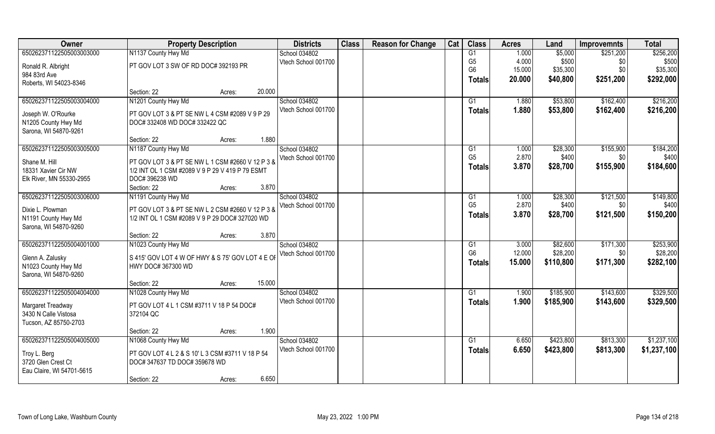| Owner                     | <b>Property Description</b>                      |        |        | <b>Districts</b>    | <b>Class</b> | <b>Reason for Change</b> | Cat | <b>Class</b>   | <b>Acres</b> | Land      | <b>Improvemnts</b> | <b>Total</b> |
|---------------------------|--------------------------------------------------|--------|--------|---------------------|--------------|--------------------------|-----|----------------|--------------|-----------|--------------------|--------------|
| 650262371122505003003000  | N1137 County Hwy Md                              |        |        | School 034802       |              |                          |     | G1             | 1.000        | \$5,000   | \$251,200          | \$256,200    |
| Ronald R. Albright        | PT GOV LOT 3 SW OF RD DOC# 392193 PR             |        |        | Vtech School 001700 |              |                          |     | G <sub>5</sub> | 4.000        | \$500     | \$0                | \$500        |
| 984 83rd Ave              |                                                  |        |        |                     |              |                          |     | G <sub>6</sub> | 15.000       | \$35,300  | \$0                | \$35,300     |
| Roberts, WI 54023-8346    |                                                  |        |        |                     |              |                          |     | <b>Totals</b>  | 20.000       | \$40,800  | \$251,200          | \$292,000    |
|                           | Section: 22                                      | Acres: | 20.000 |                     |              |                          |     |                |              |           |                    |              |
| 650262371122505003004000  | N1201 County Hwy Md                              |        |        | School 034802       |              |                          |     | G1             | 1.880        | \$53,800  | \$162,400          | \$216,200    |
| Joseph W. O'Rourke        | PT GOV LOT 3 & PT SE NW L 4 CSM #2089 V 9 P 29   |        |        | Vtech School 001700 |              |                          |     | Totals         | 1.880        | \$53,800  | \$162,400          | \$216,200    |
| N1205 County Hwy Md       | DOC# 332408 WD DOC# 332422 QC                    |        |        |                     |              |                          |     |                |              |           |                    |              |
| Sarona, WI 54870-9261     |                                                  |        |        |                     |              |                          |     |                |              |           |                    |              |
|                           | Section: 22                                      | Acres: | 1.880  |                     |              |                          |     |                |              |           |                    |              |
| 650262371122505003005000  | N1187 County Hwy Md                              |        |        | School 034802       |              |                          |     | G1             | 1.000        | \$28,300  | \$155,900          | \$184,200    |
| Shane M. Hill             | PT GOV LOT 3 & PT SE NW L 1 CSM #2660 V 12 P 3 & |        |        | Vtech School 001700 |              |                          |     | G <sub>5</sub> | 2.870        | \$400     | \$0                | \$400        |
| 18331 Xavier Cir NW       | 1/2 INT OL 1 CSM #2089 V 9 P 29 V 419 P 79 ESMT  |        |        |                     |              |                          |     | <b>Totals</b>  | 3.870        | \$28,700  | \$155,900          | \$184,600    |
| Elk River, MN 55330-2955  | DOC# 396238 WD                                   |        |        |                     |              |                          |     |                |              |           |                    |              |
|                           | Section: 22                                      | Acres: | 3.870  |                     |              |                          |     |                |              |           |                    |              |
| 650262371122505003006000  | N1191 County Hwy Md                              |        |        | School 034802       |              |                          |     | G1             | 1.000        | \$28,300  | \$121,500          | \$149,800    |
| Dixie L. Plowman          | PT GOV LOT 3 & PT SE NW L 2 CSM #2660 V 12 P 3 & |        |        | Vtech School 001700 |              |                          |     | G <sub>5</sub> | 2.870        | \$400     | \$0                | \$400        |
| N1191 County Hwy Md       | 1/2 INT OL 1 CSM #2089 V 9 P 29 DOC# 327020 WD   |        |        |                     |              |                          |     | <b>Totals</b>  | 3.870        | \$28,700  | \$121,500          | \$150,200    |
| Sarona, WI 54870-9260     |                                                  |        |        |                     |              |                          |     |                |              |           |                    |              |
|                           | Section: 22                                      | Acres: | 3.870  |                     |              |                          |     |                |              |           |                    |              |
| 650262371122505004001000  | N1023 County Hwy Md                              |        |        | School 034802       |              |                          |     | G1             | 3.000        | \$82,600  | \$171,300          | \$253,900    |
| Glenn A. Zalusky          | S 415' GOV LOT 4 W OF HWY & S 75' GOV LOT 4 E OF |        |        | Vtech School 001700 |              |                          |     | G <sub>6</sub> | 12.000       | \$28,200  | \$0                | \$28,200     |
| N1023 County Hwy Md       | HWY DOC# 367300 WD                               |        |        |                     |              |                          |     | <b>Totals</b>  | 15.000       | \$110,800 | \$171,300          | \$282,100    |
| Sarona, WI 54870-9260     |                                                  |        |        |                     |              |                          |     |                |              |           |                    |              |
|                           | Section: 22                                      | Acres: | 15.000 |                     |              |                          |     |                |              |           |                    |              |
| 650262371122505004004000  | N1028 County Hwy Md                              |        |        | School 034802       |              |                          |     | G1             | 1.900        | \$185,900 | \$143,600          | \$329,500    |
| Margaret Treadway         | PT GOV LOT 4 L 1 CSM #3711 V 18 P 54 DOC#        |        |        | Vtech School 001700 |              |                          |     | <b>Totals</b>  | 1.900        | \$185,900 | \$143,600          | \$329,500    |
| 3430 N Calle Vistosa      | 372104 QC                                        |        |        |                     |              |                          |     |                |              |           |                    |              |
| Tucson, AZ 85750-2703     |                                                  |        |        |                     |              |                          |     |                |              |           |                    |              |
|                           | Section: 22                                      | Acres: | 1.900  |                     |              |                          |     |                |              |           |                    |              |
| 650262371122505004005000  | N1068 County Hwy Md                              |        |        | School 034802       |              |                          |     | G1             | 6.650        | \$423,800 | \$813,300          | \$1,237,100  |
| Troy L. Berg              | PT GOV LOT 4 L 2 & S 10' L 3 CSM #3711 V 18 P 54 |        |        | Vtech School 001700 |              |                          |     | <b>Totals</b>  | 6.650        | \$423,800 | \$813,300          | \$1,237,100  |
| 3720 Glen Crest Ct        | DOC# 347637 TD DOC# 359678 WD                    |        |        |                     |              |                          |     |                |              |           |                    |              |
| Eau Claire, WI 54701-5615 |                                                  |        |        |                     |              |                          |     |                |              |           |                    |              |
|                           | Section: 22                                      | Acres: | 6.650  |                     |              |                          |     |                |              |           |                    |              |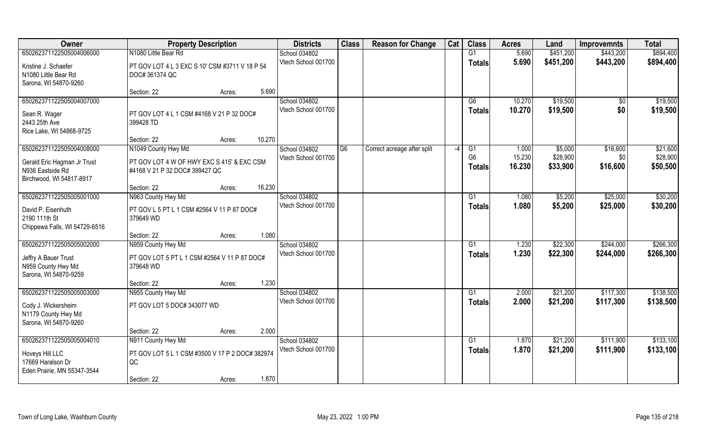| Owner                                                      | <b>Property Description</b>                                                  |        |        | <b>Districts</b>    | <b>Class</b>   | <b>Reason for Change</b>    | Cat  | <b>Class</b>   | <b>Acres</b> | Land                 | <b>Improvemnts</b> | <b>Total</b> |
|------------------------------------------------------------|------------------------------------------------------------------------------|--------|--------|---------------------|----------------|-----------------------------|------|----------------|--------------|----------------------|--------------------|--------------|
| 650262371122505004006000                                   | N1080 Little Bear Rd                                                         |        |        | School 034802       |                |                             |      | G1             | 5.690        | \$451,200            | \$443,200          | \$894,400    |
| Kristine J. Schaefer<br>N1080 Little Bear Rd               | PT GOV LOT 4 L 3 EXC S 10' CSM #3711 V 18 P 54<br>DOC# 361374 QC             |        |        | Vtech School 001700 |                |                             |      | <b>Totals</b>  | 5.690        | \$451,200            | \$443,200          | \$894,400    |
| Sarona, WI 54870-9260                                      |                                                                              |        |        |                     |                |                             |      |                |              |                      |                    |              |
|                                                            | Section: 22                                                                  | Acres: | 5.690  |                     |                |                             |      |                |              |                      |                    |              |
| 650262371122505004007000                                   |                                                                              |        |        | School 034802       |                |                             |      | G6             | 10.270       | \$19,500             | $\sqrt{$0}$        | \$19,500     |
| Sean R. Wager<br>2443 25th Ave<br>Rice Lake, WI 54868-9725 | PT GOV LOT 4 L 1 CSM #4168 V 21 P 32 DOC#<br>399428 TD                       |        |        | Vtech School 001700 |                |                             |      | <b>Totals</b>  | 10.270       | \$19,500             | \$0                | \$19,500     |
|                                                            | Section: 22                                                                  | Acres: | 10.270 |                     |                |                             |      |                |              |                      |                    |              |
| 650262371122505004008000                                   | N1049 County Hwy Md                                                          |        |        | School 034802       | G <sub>6</sub> | Correct acreage after split | $-4$ | G1             | 1.000        | \$5,000              | \$16,600           | \$21,600     |
|                                                            |                                                                              |        |        | Vtech School 001700 |                |                             |      | G <sub>6</sub> | 15.230       | \$28,900             | \$0                | \$28,900     |
| Gerald Eric Hagman Jr Trust<br>N936 Eastside Rd            | PT GOV LOT 4 W OF HWY EXC S 415' & EXC CSM<br>#4168 V 21 P 32 DOC# 399427 QC |        |        |                     |                |                             |      | <b>Totals</b>  | 16.230       | \$33,900             | \$16,600           | \$50,500     |
| Birchwood, WI 54817-8917                                   |                                                                              |        |        |                     |                |                             |      |                |              |                      |                    |              |
|                                                            | Section: 22                                                                  | Acres: | 16.230 |                     |                |                             |      |                |              |                      |                    |              |
| 650262371122505005001000                                   | N963 County Hwy Md                                                           |        |        | School 034802       |                |                             |      | G1             | 1.080        | \$5,200              | \$25,000           | \$30,200     |
|                                                            |                                                                              |        |        | Vtech School 001700 |                |                             |      | <b>Totals</b>  | 1.080        | \$5,200              | \$25,000           | \$30,200     |
| David P. Eisenhuth<br>2190 111th St                        | PT GOV L 5 PT L 1 CSM #2564 V 11 P 87 DOC#<br>379649 WD                      |        |        |                     |                |                             |      |                |              |                      |                    |              |
| Chippewa Falls, WI 54729-6516                              |                                                                              |        |        |                     |                |                             |      |                |              |                      |                    |              |
|                                                            | Section: 22                                                                  | Acres: | 1.080  |                     |                |                             |      |                |              |                      |                    |              |
| 650262371122505005002000                                   | N959 County Hwy Md                                                           |        |        | School 034802       |                |                             |      | G1             | 1.230        | \$22,300             | \$244,000          | \$266,300    |
|                                                            |                                                                              |        |        | Vtech School 001700 |                |                             |      | <b>Totals</b>  | 1.230        | \$22,300             | \$244,000          | \$266,300    |
| Jeffry A Bauer Trust                                       | PT GOV LOT 5 PT L 1 CSM #2564 V 11 P 87 DOC#                                 |        |        |                     |                |                             |      |                |              |                      |                    |              |
| N959 County Hwy Md                                         | 379648 WD                                                                    |        |        |                     |                |                             |      |                |              |                      |                    |              |
| Sarona, WI 54870-9259                                      | Section: 22                                                                  | Acres: | 1.230  |                     |                |                             |      |                |              |                      |                    |              |
| 650262371122505005003000                                   | N955 County Hwy Md                                                           |        |        | School 034802       |                |                             |      | G1             | 2.000        | \$21,200             | \$117,300          | \$138,500    |
|                                                            |                                                                              |        |        | Vtech School 001700 |                |                             |      | <b>Totals</b>  | 2.000        | \$21,200             | \$117,300          | \$138,500    |
| Cody J. Wickersheim                                        | PT GOV LOT 5 DOC# 343077 WD                                                  |        |        |                     |                |                             |      |                |              |                      |                    |              |
| N1179 County Hwy Md                                        |                                                                              |        |        |                     |                |                             |      |                |              |                      |                    |              |
| Sarona, WI 54870-9260                                      |                                                                              |        |        |                     |                |                             |      |                |              |                      |                    |              |
| 650262371122505005004010                                   | Section: 22                                                                  | Acres: | 2.000  | School 034802       |                |                             |      | G1             | 1.870        |                      | \$111,900          | \$133,100    |
|                                                            | N911 County Hwy Md                                                           |        |        | Vtech School 001700 |                |                             |      |                | 1.870        | \$21,200<br>\$21,200 | \$111,900          | \$133,100    |
| Hoveys Hill LLC                                            | PT GOV LOT 5 L 1 CSM #3500 V 17 P 2 DOC# 382974                              |        |        |                     |                |                             |      | <b>Totals</b>  |              |                      |                    |              |
| 17669 Haralson Dr                                          | QC                                                                           |        |        |                     |                |                             |      |                |              |                      |                    |              |
| Eden Prairie, MN 55347-3544                                |                                                                              |        |        |                     |                |                             |      |                |              |                      |                    |              |
|                                                            | Section: 22                                                                  | Acres: | 1.870  |                     |                |                             |      |                |              |                      |                    |              |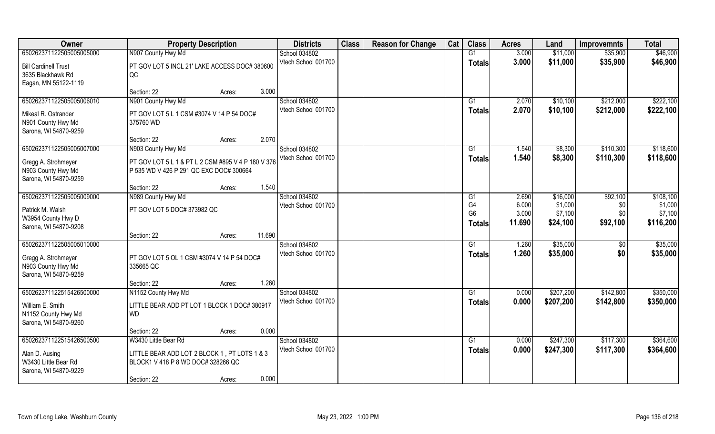| Owner                       | <b>Property Description</b>                            | <b>Districts</b>                     | <b>Class</b> | <b>Reason for Change</b> | Cat | <b>Class</b>         | <b>Acres</b>   | Land                   | <b>Improvemnts</b>     | <b>Total</b>       |
|-----------------------------|--------------------------------------------------------|--------------------------------------|--------------|--------------------------|-----|----------------------|----------------|------------------------|------------------------|--------------------|
| 650262371122505005005000    | N907 County Hwy Md                                     | School 034802                        |              |                          |     | G1                   | 3.000          | \$11,000               | \$35,900               | \$46,900           |
| <b>Bill Cardinell Trust</b> | PT GOV LOT 5 INCL 21' LAKE ACCESS DOC# 380600          | Vtech School 001700                  |              |                          |     | <b>Totals</b>        | 3.000          | \$11,000               | \$35,900               | \$46,900           |
| 3635 Blackhawk Rd           | QC                                                     |                                      |              |                          |     |                      |                |                        |                        |                    |
| Eagan, MN 55122-1119        |                                                        |                                      |              |                          |     |                      |                |                        |                        |                    |
|                             | 3.000<br>Section: 22<br>Acres:                         |                                      |              |                          |     |                      |                |                        |                        |                    |
| 650262371122505005006010    | N901 County Hwy Md                                     | School 034802                        |              |                          |     | G1                   | 2.070          | \$10,100               | \$212,000              | \$222,100          |
| Mikeal R. Ostrander         | PT GOV LOT 5 L 1 CSM #3074 V 14 P 54 DOC#              | Vtech School 001700                  |              |                          |     | <b>Totals</b>        | 2.070          | \$10,100               | \$212,000              | \$222,100          |
| N901 County Hwy Md          | 375760 WD                                              |                                      |              |                          |     |                      |                |                        |                        |                    |
| Sarona, WI 54870-9259       |                                                        |                                      |              |                          |     |                      |                |                        |                        |                    |
|                             | 2.070<br>Section: 22<br>Acres:                         |                                      |              |                          |     |                      |                |                        |                        |                    |
| 650262371122505005007000    | N903 County Hwy Md                                     | School 034802                        |              |                          |     | G1                   | 1.540          | \$8,300                | \$110,300              | \$118,600          |
| Gregg A. Strohmeyer         | PT GOV LOT 5 L 1 & PT L 2 CSM #895 V 4 P 180 V 376     | Vtech School 001700                  |              |                          |     | <b>Totals</b>        | 1.540          | \$8,300                | \$110,300              | \$118,600          |
| N903 County Hwy Md          | P 535 WD V 426 P 291 QC EXC DOC# 300664                |                                      |              |                          |     |                      |                |                        |                        |                    |
| Sarona, WI 54870-9259       |                                                        |                                      |              |                          |     |                      |                |                        |                        |                    |
|                             | 1.540<br>Section: 22<br>Acres:                         |                                      |              |                          |     |                      |                |                        |                        |                    |
| 650262371122505005009000    | N989 County Hwy Md                                     | School 034802                        |              |                          |     | G <sub>1</sub>       | 2.690          | \$16,000               | \$92,100               | \$108,100          |
| Patrick M. Walsh            | PT GOV LOT 5 DOC# 373982 QC                            | Vtech School 001700                  |              |                          |     | G4<br>G <sub>6</sub> | 6.000<br>3.000 | \$1,000<br>\$7,100     | \$0<br>\$0             | \$1,000<br>\$7,100 |
| W3954 County Hwy D          |                                                        |                                      |              |                          |     | <b>Totals</b>        | 11.690         | \$24,100               | \$92,100               | \$116,200          |
| Sarona, WI 54870-9208       |                                                        |                                      |              |                          |     |                      |                |                        |                        |                    |
|                             | 11.690<br>Section: 22<br>Acres:                        |                                      |              |                          |     |                      |                |                        |                        |                    |
| 650262371122505005010000    |                                                        | School 034802<br>Vtech School 001700 |              |                          |     | G1                   | 1.260          | \$35,000               | \$0                    | \$35,000           |
| Gregg A. Strohmeyer         | PT GOV LOT 5 OL 1 CSM #3074 V 14 P 54 DOC#             |                                      |              |                          |     | <b>Totals</b>        | 1.260          | \$35,000               | \$0                    | \$35,000           |
| N903 County Hwy Md          | 335665 QC                                              |                                      |              |                          |     |                      |                |                        |                        |                    |
| Sarona, WI 54870-9259       |                                                        |                                      |              |                          |     |                      |                |                        |                        |                    |
|                             | 1.260<br>Section: 22<br>Acres:                         |                                      |              |                          |     |                      |                |                        |                        | \$350,000          |
| 650262371122515426500000    | N1152 County Hwy Md                                    | School 034802<br>Vtech School 001700 |              |                          |     | G1                   | 0.000<br>0.000 | \$207,200<br>\$207,200 | \$142,800<br>\$142,800 | \$350,000          |
| William E. Smith            | LITTLE BEAR ADD PT LOT 1 BLOCK 1 DOC# 380917           |                                      |              |                          |     | <b>Totals</b>        |                |                        |                        |                    |
| N1152 County Hwy Md         | <b>WD</b>                                              |                                      |              |                          |     |                      |                |                        |                        |                    |
| Sarona, WI 54870-9260       |                                                        |                                      |              |                          |     |                      |                |                        |                        |                    |
| 650262371122515426500500    | 0.000<br>Section: 22<br>Acres:<br>W3430 Little Bear Rd | School 034802                        |              |                          |     | G1                   | 0.000          | \$247,300              | \$117,300              | \$364,600          |
|                             |                                                        | Vtech School 001700                  |              |                          |     | <b>Totals</b>        | 0.000          | \$247,300              | \$117,300              | \$364,600          |
| Alan D. Ausing              | LITTLE BEAR ADD LOT 2 BLOCK 1, PT LOTS 1 & 3           |                                      |              |                          |     |                      |                |                        |                        |                    |
| W3430 Little Bear Rd        | BLOCK1 V 418 P 8 WD DOC# 328266 QC                     |                                      |              |                          |     |                      |                |                        |                        |                    |
| Sarona, WI 54870-9229       | 0.000                                                  |                                      |              |                          |     |                      |                |                        |                        |                    |
|                             | Section: 22<br>Acres:                                  |                                      |              |                          |     |                      |                |                        |                        |                    |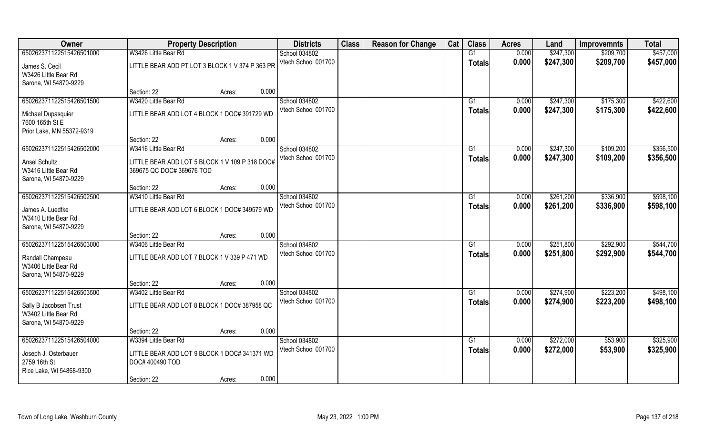| Owner                                                                   | <b>Property Description</b>                                                 |        |       | <b>Districts</b>    | <b>Class</b> | <b>Reason for Change</b> | Cat | <b>Class</b>  | <b>Acres</b> | Land      | <b>Improvemnts</b> | <b>Total</b> |
|-------------------------------------------------------------------------|-----------------------------------------------------------------------------|--------|-------|---------------------|--------------|--------------------------|-----|---------------|--------------|-----------|--------------------|--------------|
| 650262371122515426501000                                                | W3426 Little Bear Rd                                                        |        |       | School 034802       |              |                          |     | G1            | 0.000        | \$247,300 | \$209,700          | \$457,000    |
| James S. Cecil<br>W3426 Little Bear Rd<br>Sarona, WI 54870-9229         | LITTLE BEAR ADD PT LOT 3 BLOCK 1 V 374 P 363 PR                             |        |       | Vtech School 001700 |              |                          |     | <b>Totals</b> | 0.000        | \$247,300 | \$209,700          | \$457,000    |
|                                                                         | Section: 22                                                                 | Acres: | 0.000 |                     |              |                          |     |               |              |           |                    |              |
| 650262371122515426501500                                                | W3420 Little Bear Rd                                                        |        |       | School 034802       |              |                          |     | G1            | 0.000        | \$247,300 | \$175,300          | \$422,600    |
| Michael Dupasquier<br>7600 165th St E<br>Prior Lake, MN 55372-9319      | LITTLE BEAR ADD LOT 4 BLOCK 1 DOC# 391729 WD                                |        |       | Vtech School 001700 |              |                          |     | <b>Totals</b> | 0.000        | \$247,300 | \$175,300          | \$422,600    |
|                                                                         | Section: 22                                                                 | Acres: | 0.000 |                     |              |                          |     |               |              |           |                    |              |
| 650262371122515426502000                                                | W3416 Little Bear Rd                                                        |        |       | School 034802       |              |                          |     | G1            | 0.000        | \$247,300 | \$109,200          | \$356,500    |
| <b>Ansel Schultz</b><br>W3416 Little Bear Rd<br>Sarona, WI 54870-9229   | LITTLE BEAR ADD LOT 5 BLOCK 1 V 109 P 318 DOC#<br>369675 QC DOC# 369676 TOD |        |       | Vtech School 001700 |              |                          |     | <b>Totals</b> | 0.000        | \$247,300 | \$109,200          | \$356,500    |
|                                                                         | Section: 22                                                                 | Acres: | 0.000 |                     |              |                          |     |               |              |           |                    |              |
| 650262371122515426502500                                                | W3410 Little Bear Rd                                                        |        |       | School 034802       |              |                          |     | G1            | 0.000        | \$261,200 | \$336,900          | \$598,100    |
| James A. Luedtke<br>W3410 Little Bear Rd<br>Sarona, WI 54870-9229       | LITTLE BEAR ADD LOT 6 BLOCK 1 DOC# 349579 WD                                |        |       | Vtech School 001700 |              |                          |     | <b>Totals</b> | 0.000        | \$261,200 | \$336,900          | \$598,100    |
|                                                                         | Section: 22                                                                 | Acres: | 0.000 |                     |              |                          |     |               |              |           |                    |              |
| 650262371122515426503000                                                | W3406 Little Bear Rd                                                        |        |       | School 034802       |              |                          |     | G1            | 0.000        | \$251,800 | \$292,900          | \$544,700    |
| Randall Champeau<br>W3406 Little Bear Rd<br>Sarona, WI 54870-9229       | LITTLE BEAR ADD LOT 7 BLOCK 1 V 339 P 471 WD                                |        |       | Vtech School 001700 |              |                          |     | <b>Totals</b> | 0.000        | \$251,800 | \$292,900          | \$544,700    |
|                                                                         | Section: 22                                                                 | Acres: | 0.000 |                     |              |                          |     |               |              |           |                    |              |
| 650262371122515426503500                                                | W3402 Little Bear Rd                                                        |        |       | School 034802       |              |                          |     | G1            | 0.000        | \$274,900 | \$223,200          | \$498,100    |
| Sally B Jacobsen Trust<br>W3402 Little Bear Rd<br>Sarona, WI 54870-9229 | LITTLE BEAR ADD LOT 8 BLOCK 1 DOC# 387958 QC                                |        |       | Vtech School 001700 |              |                          |     | <b>Totals</b> | 0.000        | \$274,900 | \$223,200          | \$498,100    |
|                                                                         | Section: 22                                                                 | Acres: | 0.000 |                     |              |                          |     |               |              |           |                    |              |
| 650262371122515426504000                                                | W3394 Little Bear Rd                                                        |        |       | School 034802       |              |                          |     | G1            | 0.000        | \$272,000 | \$53,900           | \$325,900    |
| Joseph J. Osterbauer<br>2759 16th St<br>Rice Lake, WI 54868-9300        | LITTLE BEAR ADD LOT 9 BLOCK 1 DOC# 341371 WD<br>DOC# 400490 TOD             |        |       | Vtech School 001700 |              |                          |     | <b>Totals</b> | 0.000        | \$272,000 | \$53,900           | \$325,900    |
|                                                                         | Section: 22                                                                 | Acres: | 0.000 |                     |              |                          |     |               |              |           |                    |              |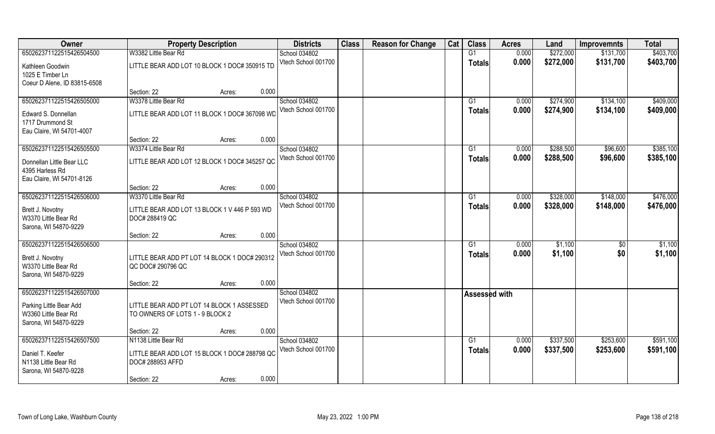| 650262371122515426504500<br>W3382 Little Bear Rd<br>G1<br>0.000<br>\$272,000<br>\$403,700<br>School 034802<br>\$131,700<br>Vtech School 001700<br>0.000<br>\$272,000<br>\$131,700<br>\$403,700<br><b>Totals</b><br>LITTLE BEAR ADD LOT 10 BLOCK 1 DOC# 350915 TD<br>Kathleen Goodwin<br>1025 E Timber Ln<br>Coeur D Alene, ID 83815-6508<br>0.000<br>Section: 22<br>Acres:<br>\$409,000<br>650262371122515426505000<br>W3378 Little Bear Rd<br>School 034802<br>\$274,900<br>\$134,100<br>G1<br>0.000<br>Vtech School 001700<br>0.000<br>\$274,900<br>\$134,100<br>\$409,000<br>Totals<br>LITTLE BEAR ADD LOT 11 BLOCK 1 DOC# 367098 WD<br>Edward S. Donnellan<br>1717 Drummond St<br>Eau Claire, WI 54701-4007<br>0.000<br>Section: 22<br>Acres:<br>650262371122515426505500<br>School 034802<br>\$288,500<br>\$96,600<br>\$385,100<br>W3374 Little Bear Rd<br>G1<br>0.000<br>Vtech School 001700<br>0.000<br>\$288,500<br>\$96,600<br>\$385,100<br><b>Totals</b><br>LITTLE BEAR ADD LOT 12 BLOCK 1 DOC# 345257 QC<br>Donnellan Little Bear LLC<br>4395 Harless Rd<br>Eau Claire, WI 54701-8126<br>0.000<br>Section: 22<br>Acres:<br>650262371122515426506000<br>\$328,000<br>W3370 Little Bear Rd<br>School 034802<br>0.000<br>\$148,000<br>G1<br>Vtech School 001700<br>0.000<br>\$328,000<br>\$148,000<br>\$476,000<br>Totals<br>LITTLE BEAR ADD LOT 13 BLOCK 1 V 446 P 593 WD<br>Brett J. Novotny<br>W3370 Little Bear Rd<br>DOC# 288419 QC<br>Sarona, WI 54870-9229<br>0.000<br>Section: 22<br>Acres:<br>650262371122515426506500<br>School 034802<br>G1<br>0.000<br>\$1,100<br>$\sqrt[6]{30}$<br>Vtech School 001700<br>0.000<br>\$1,100<br>\$0<br><b>Totals</b><br>Brett J. Novotny<br>LITTLE BEAR ADD PT LOT 14 BLOCK 1 DOC# 290312<br>W3370 Little Bear Rd<br>QC DOC# 290796 QC<br>Sarona, WI 54870-9229 |
|--------------------------------------------------------------------------------------------------------------------------------------------------------------------------------------------------------------------------------------------------------------------------------------------------------------------------------------------------------------------------------------------------------------------------------------------------------------------------------------------------------------------------------------------------------------------------------------------------------------------------------------------------------------------------------------------------------------------------------------------------------------------------------------------------------------------------------------------------------------------------------------------------------------------------------------------------------------------------------------------------------------------------------------------------------------------------------------------------------------------------------------------------------------------------------------------------------------------------------------------------------------------------------------------------------------------------------------------------------------------------------------------------------------------------------------------------------------------------------------------------------------------------------------------------------------------------------------------------------------------------------------------------------------------------------------------------------------------------------------------------------------------------------------------------------------------|
|                                                                                                                                                                                                                                                                                                                                                                                                                                                                                                                                                                                                                                                                                                                                                                                                                                                                                                                                                                                                                                                                                                                                                                                                                                                                                                                                                                                                                                                                                                                                                                                                                                                                                                                                                                                                                    |
|                                                                                                                                                                                                                                                                                                                                                                                                                                                                                                                                                                                                                                                                                                                                                                                                                                                                                                                                                                                                                                                                                                                                                                                                                                                                                                                                                                                                                                                                                                                                                                                                                                                                                                                                                                                                                    |
|                                                                                                                                                                                                                                                                                                                                                                                                                                                                                                                                                                                                                                                                                                                                                                                                                                                                                                                                                                                                                                                                                                                                                                                                                                                                                                                                                                                                                                                                                                                                                                                                                                                                                                                                                                                                                    |
|                                                                                                                                                                                                                                                                                                                                                                                                                                                                                                                                                                                                                                                                                                                                                                                                                                                                                                                                                                                                                                                                                                                                                                                                                                                                                                                                                                                                                                                                                                                                                                                                                                                                                                                                                                                                                    |
|                                                                                                                                                                                                                                                                                                                                                                                                                                                                                                                                                                                                                                                                                                                                                                                                                                                                                                                                                                                                                                                                                                                                                                                                                                                                                                                                                                                                                                                                                                                                                                                                                                                                                                                                                                                                                    |
|                                                                                                                                                                                                                                                                                                                                                                                                                                                                                                                                                                                                                                                                                                                                                                                                                                                                                                                                                                                                                                                                                                                                                                                                                                                                                                                                                                                                                                                                                                                                                                                                                                                                                                                                                                                                                    |
|                                                                                                                                                                                                                                                                                                                                                                                                                                                                                                                                                                                                                                                                                                                                                                                                                                                                                                                                                                                                                                                                                                                                                                                                                                                                                                                                                                                                                                                                                                                                                                                                                                                                                                                                                                                                                    |
|                                                                                                                                                                                                                                                                                                                                                                                                                                                                                                                                                                                                                                                                                                                                                                                                                                                                                                                                                                                                                                                                                                                                                                                                                                                                                                                                                                                                                                                                                                                                                                                                                                                                                                                                                                                                                    |
|                                                                                                                                                                                                                                                                                                                                                                                                                                                                                                                                                                                                                                                                                                                                                                                                                                                                                                                                                                                                                                                                                                                                                                                                                                                                                                                                                                                                                                                                                                                                                                                                                                                                                                                                                                                                                    |
|                                                                                                                                                                                                                                                                                                                                                                                                                                                                                                                                                                                                                                                                                                                                                                                                                                                                                                                                                                                                                                                                                                                                                                                                                                                                                                                                                                                                                                                                                                                                                                                                                                                                                                                                                                                                                    |
| \$476,000<br>\$1,100<br>\$1,100                                                                                                                                                                                                                                                                                                                                                                                                                                                                                                                                                                                                                                                                                                                                                                                                                                                                                                                                                                                                                                                                                                                                                                                                                                                                                                                                                                                                                                                                                                                                                                                                                                                                                                                                                                                    |
|                                                                                                                                                                                                                                                                                                                                                                                                                                                                                                                                                                                                                                                                                                                                                                                                                                                                                                                                                                                                                                                                                                                                                                                                                                                                                                                                                                                                                                                                                                                                                                                                                                                                                                                                                                                                                    |
|                                                                                                                                                                                                                                                                                                                                                                                                                                                                                                                                                                                                                                                                                                                                                                                                                                                                                                                                                                                                                                                                                                                                                                                                                                                                                                                                                                                                                                                                                                                                                                                                                                                                                                                                                                                                                    |
|                                                                                                                                                                                                                                                                                                                                                                                                                                                                                                                                                                                                                                                                                                                                                                                                                                                                                                                                                                                                                                                                                                                                                                                                                                                                                                                                                                                                                                                                                                                                                                                                                                                                                                                                                                                                                    |
|                                                                                                                                                                                                                                                                                                                                                                                                                                                                                                                                                                                                                                                                                                                                                                                                                                                                                                                                                                                                                                                                                                                                                                                                                                                                                                                                                                                                                                                                                                                                                                                                                                                                                                                                                                                                                    |
|                                                                                                                                                                                                                                                                                                                                                                                                                                                                                                                                                                                                                                                                                                                                                                                                                                                                                                                                                                                                                                                                                                                                                                                                                                                                                                                                                                                                                                                                                                                                                                                                                                                                                                                                                                                                                    |
|                                                                                                                                                                                                                                                                                                                                                                                                                                                                                                                                                                                                                                                                                                                                                                                                                                                                                                                                                                                                                                                                                                                                                                                                                                                                                                                                                                                                                                                                                                                                                                                                                                                                                                                                                                                                                    |
|                                                                                                                                                                                                                                                                                                                                                                                                                                                                                                                                                                                                                                                                                                                                                                                                                                                                                                                                                                                                                                                                                                                                                                                                                                                                                                                                                                                                                                                                                                                                                                                                                                                                                                                                                                                                                    |
|                                                                                                                                                                                                                                                                                                                                                                                                                                                                                                                                                                                                                                                                                                                                                                                                                                                                                                                                                                                                                                                                                                                                                                                                                                                                                                                                                                                                                                                                                                                                                                                                                                                                                                                                                                                                                    |
|                                                                                                                                                                                                                                                                                                                                                                                                                                                                                                                                                                                                                                                                                                                                                                                                                                                                                                                                                                                                                                                                                                                                                                                                                                                                                                                                                                                                                                                                                                                                                                                                                                                                                                                                                                                                                    |
|                                                                                                                                                                                                                                                                                                                                                                                                                                                                                                                                                                                                                                                                                                                                                                                                                                                                                                                                                                                                                                                                                                                                                                                                                                                                                                                                                                                                                                                                                                                                                                                                                                                                                                                                                                                                                    |
|                                                                                                                                                                                                                                                                                                                                                                                                                                                                                                                                                                                                                                                                                                                                                                                                                                                                                                                                                                                                                                                                                                                                                                                                                                                                                                                                                                                                                                                                                                                                                                                                                                                                                                                                                                                                                    |
|                                                                                                                                                                                                                                                                                                                                                                                                                                                                                                                                                                                                                                                                                                                                                                                                                                                                                                                                                                                                                                                                                                                                                                                                                                                                                                                                                                                                                                                                                                                                                                                                                                                                                                                                                                                                                    |
|                                                                                                                                                                                                                                                                                                                                                                                                                                                                                                                                                                                                                                                                                                                                                                                                                                                                                                                                                                                                                                                                                                                                                                                                                                                                                                                                                                                                                                                                                                                                                                                                                                                                                                                                                                                                                    |
| 0.000<br>Section: 22<br>Acres:<br>650262371122515426507000<br>School 034802                                                                                                                                                                                                                                                                                                                                                                                                                                                                                                                                                                                                                                                                                                                                                                                                                                                                                                                                                                                                                                                                                                                                                                                                                                                                                                                                                                                                                                                                                                                                                                                                                                                                                                                                        |
| Assessed with<br>Vtech School 001700                                                                                                                                                                                                                                                                                                                                                                                                                                                                                                                                                                                                                                                                                                                                                                                                                                                                                                                                                                                                                                                                                                                                                                                                                                                                                                                                                                                                                                                                                                                                                                                                                                                                                                                                                                               |
| Parking Little Bear Add<br>LITTLE BEAR ADD PT LOT 14 BLOCK 1 ASSESSED                                                                                                                                                                                                                                                                                                                                                                                                                                                                                                                                                                                                                                                                                                                                                                                                                                                                                                                                                                                                                                                                                                                                                                                                                                                                                                                                                                                                                                                                                                                                                                                                                                                                                                                                              |
| W3360 Little Bear Rd<br>TO OWNERS OF LOTS 1 - 9 BLOCK 2                                                                                                                                                                                                                                                                                                                                                                                                                                                                                                                                                                                                                                                                                                                                                                                                                                                                                                                                                                                                                                                                                                                                                                                                                                                                                                                                                                                                                                                                                                                                                                                                                                                                                                                                                            |
| Sarona, WI 54870-9229<br>0.000<br>Section: 22<br>Acres:                                                                                                                                                                                                                                                                                                                                                                                                                                                                                                                                                                                                                                                                                                                                                                                                                                                                                                                                                                                                                                                                                                                                                                                                                                                                                                                                                                                                                                                                                                                                                                                                                                                                                                                                                            |
| 650262371122515426507500<br>\$337,500<br>\$591,100<br>N1138 Little Bear Rd<br>School 034802<br>G1<br>0.000<br>\$253,600                                                                                                                                                                                                                                                                                                                                                                                                                                                                                                                                                                                                                                                                                                                                                                                                                                                                                                                                                                                                                                                                                                                                                                                                                                                                                                                                                                                                                                                                                                                                                                                                                                                                                            |
| Vtech School 001700<br>\$591,100<br>0.000<br>\$337,500<br>\$253,600<br><b>Totals</b>                                                                                                                                                                                                                                                                                                                                                                                                                                                                                                                                                                                                                                                                                                                                                                                                                                                                                                                                                                                                                                                                                                                                                                                                                                                                                                                                                                                                                                                                                                                                                                                                                                                                                                                               |
| Daniel T. Keefer<br>LITTLE BEAR ADD LOT 15 BLOCK 1 DOC# 288798 QC                                                                                                                                                                                                                                                                                                                                                                                                                                                                                                                                                                                                                                                                                                                                                                                                                                                                                                                                                                                                                                                                                                                                                                                                                                                                                                                                                                                                                                                                                                                                                                                                                                                                                                                                                  |
| N1138 Little Bear Rd<br>DOC# 288953 AFFD                                                                                                                                                                                                                                                                                                                                                                                                                                                                                                                                                                                                                                                                                                                                                                                                                                                                                                                                                                                                                                                                                                                                                                                                                                                                                                                                                                                                                                                                                                                                                                                                                                                                                                                                                                           |
| Sarona, WI 54870-9228<br>0.000<br>Section: 22<br>Acres:                                                                                                                                                                                                                                                                                                                                                                                                                                                                                                                                                                                                                                                                                                                                                                                                                                                                                                                                                                                                                                                                                                                                                                                                                                                                                                                                                                                                                                                                                                                                                                                                                                                                                                                                                            |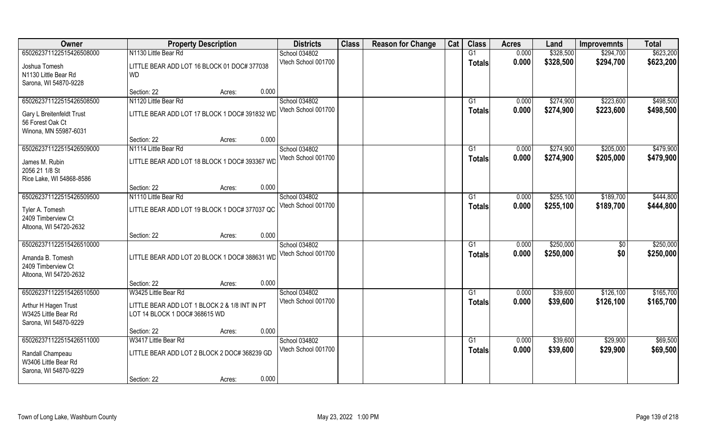| Owner                                         | <b>Property Description</b>                   | <b>Districts</b>                     | <b>Class</b> | <b>Reason for Change</b> | Cat | <b>Class</b>  | <b>Acres</b>   | Land      | <b>Improvemnts</b> | <b>Total</b> |
|-----------------------------------------------|-----------------------------------------------|--------------------------------------|--------------|--------------------------|-----|---------------|----------------|-----------|--------------------|--------------|
| 650262371122515426508000                      | N1130 Little Bear Rd                          | School 034802                        |              |                          |     | G1            | 0.000          | \$328,500 | \$294,700          | \$623,200    |
| Joshua Tomesh                                 | LITTLE BEAR ADD LOT 16 BLOCK 01 DOC# 377038   | Vtech School 001700                  |              |                          |     | <b>Totals</b> | 0.000          | \$328,500 | \$294,700          | \$623,200    |
| N1130 Little Bear Rd                          | <b>WD</b>                                     |                                      |              |                          |     |               |                |           |                    |              |
| Sarona, WI 54870-9228                         |                                               |                                      |              |                          |     |               |                |           |                    |              |
|                                               | Section: 22<br>Acres:                         | 0.000                                |              |                          |     |               |                |           |                    |              |
| 650262371122515426508500                      | N1120 Little Bear Rd                          | School 034802                        |              |                          |     | G1            | 0.000          | \$274,900 | \$223,600          | \$498,500    |
| Gary L Breitenfeldt Trust                     | LITTLE BEAR ADD LOT 17 BLOCK 1 DOC# 391832 WD | Vtech School 001700                  |              |                          |     | Totals        | 0.000          | \$274,900 | \$223,600          | \$498,500    |
| 56 Forest Oak Ct                              |                                               |                                      |              |                          |     |               |                |           |                    |              |
| Winona, MN 55987-6031                         |                                               |                                      |              |                          |     |               |                |           |                    |              |
|                                               | Section: 22<br>Acres:                         | 0.000                                |              |                          |     |               |                |           |                    |              |
| 650262371122515426509000                      | N1114 Little Bear Rd                          | School 034802                        |              |                          |     | G1            | 0.000          | \$274,900 | \$205,000          | \$479,900    |
| James M. Rubin                                | LITTLE BEAR ADD LOT 18 BLOCK 1 DOC# 393367 WD | Vtech School 001700                  |              |                          |     | <b>Totals</b> | 0.000          | \$274,900 | \$205,000          | \$479,900    |
| 2056 21 1/8 St                                |                                               |                                      |              |                          |     |               |                |           |                    |              |
| Rice Lake, WI 54868-8586                      |                                               |                                      |              |                          |     |               |                |           |                    |              |
|                                               | Section: 22<br>Acres:                         | 0.000                                |              |                          |     |               |                |           |                    |              |
| 650262371122515426509500                      | N1110 Little Bear Rd                          | School 034802<br>Vtech School 001700 |              |                          |     | G1            | 0.000          | \$255,100 | \$189,700          | \$444,800    |
| Tyler A. Tomesh                               | LITTLE BEAR ADD LOT 19 BLOCK 1 DOC# 377037 QC |                                      |              |                          |     | Totals        | 0.000          | \$255,100 | \$189,700          | \$444,800    |
| 2409 Timberview Ct                            |                                               |                                      |              |                          |     |               |                |           |                    |              |
| Altoona, WI 54720-2632                        |                                               |                                      |              |                          |     |               |                |           |                    |              |
| 650262371122515426510000                      | Section: 22<br>Acres:                         | 0.000                                |              |                          |     | G1            |                | \$250,000 |                    | \$250,000    |
|                                               |                                               | School 034802<br>Vtech School 001700 |              |                          |     |               | 0.000<br>0.000 | \$250,000 | \$0<br>\$0         | \$250,000    |
| Amanda B. Tomesh                              | LITTLE BEAR ADD LOT 20 BLOCK 1 DOC# 388631 WD |                                      |              |                          |     | <b>Totals</b> |                |           |                    |              |
| 2409 Timberview Ct                            |                                               |                                      |              |                          |     |               |                |           |                    |              |
| Altoona, WI 54720-2632                        |                                               | 0.000                                |              |                          |     |               |                |           |                    |              |
| 650262371122515426510500                      | Section: 22<br>Acres:<br>W3425 Little Bear Rd | School 034802                        |              |                          |     | G1            | 0.000          | \$39,600  | \$126,100          | \$165,700    |
|                                               |                                               | Vtech School 001700                  |              |                          |     | <b>Totals</b> | 0.000          | \$39,600  | \$126,100          | \$165,700    |
| Arthur H Hagen Trust                          | LITTLE BEAR ADD LOT 1 BLOCK 2 & 1/8 INT IN PT |                                      |              |                          |     |               |                |           |                    |              |
| W3425 Little Bear Rd                          | LOT 14 BLOCK 1 DOC# 368615 WD                 |                                      |              |                          |     |               |                |           |                    |              |
| Sarona, WI 54870-9229                         | Section: 22<br>Acres:                         | 0.000                                |              |                          |     |               |                |           |                    |              |
| 650262371122515426511000                      | W3417 Little Bear Rd                          | School 034802                        |              |                          |     | G1            | 0.000          | \$39,600  | \$29,900           | \$69,500     |
|                                               |                                               | Vtech School 001700                  |              |                          |     | <b>Totals</b> | 0.000          | \$39,600  | \$29,900           | \$69,500     |
| Randall Champeau                              | LITTLE BEAR ADD LOT 2 BLOCK 2 DOC# 368239 GD  |                                      |              |                          |     |               |                |           |                    |              |
| W3406 Little Bear Rd<br>Sarona, WI 54870-9229 |                                               |                                      |              |                          |     |               |                |           |                    |              |
|                                               | Section: 22<br>Acres:                         | 0.000                                |              |                          |     |               |                |           |                    |              |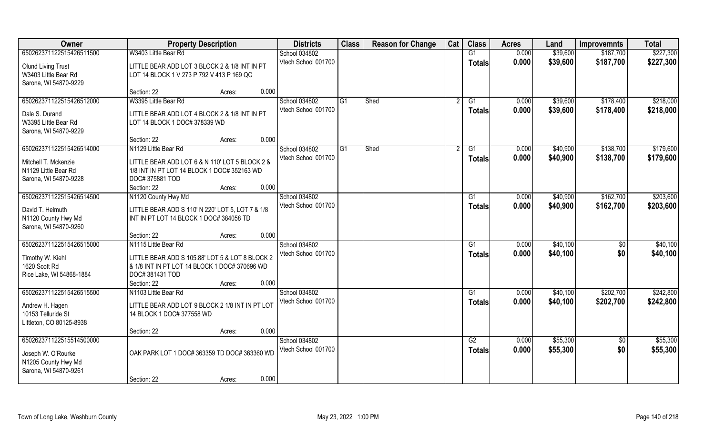| Owner                     | <b>Property Description</b>                      | <b>Districts</b>    | <b>Class</b>   | <b>Reason for Change</b> | Cat | <b>Class</b>  | <b>Acres</b> | Land     | <b>Improvemnts</b> | <b>Total</b> |
|---------------------------|--------------------------------------------------|---------------------|----------------|--------------------------|-----|---------------|--------------|----------|--------------------|--------------|
| 650262371122515426511500  | W3403 Little Bear Rd                             | School 034802       |                |                          |     | G1            | 0.000        | \$39,600 | \$187,700          | \$227,300    |
| <b>Olund Living Trust</b> | LITTLE BEAR ADD LOT 3 BLOCK 2 & 1/8 INT IN PT    | Vtech School 001700 |                |                          |     | <b>Totals</b> | 0.000        | \$39,600 | \$187,700          | \$227,300    |
| W3403 Little Bear Rd      | LOT 14 BLOCK 1 V 273 P 792 V 413 P 169 QC        |                     |                |                          |     |               |              |          |                    |              |
| Sarona, WI 54870-9229     |                                                  |                     |                |                          |     |               |              |          |                    |              |
|                           | 0.000<br>Section: 22<br>Acres:                   |                     |                |                          |     |               |              |          |                    |              |
| 650262371122515426512000  | W3395 Little Bear Rd                             | School 034802       | G <sub>1</sub> | Shed                     |     | G1            | 0.000        | \$39,600 | \$178,400          | \$218,000    |
| Dale S. Durand            | LITTLE BEAR ADD LOT 4 BLOCK 2 & 1/8 INT IN PT    | Vtech School 001700 |                |                          |     | Totals        | 0.000        | \$39,600 | \$178,400          | \$218,000    |
| W3395 Little Bear Rd      | LOT 14 BLOCK 1 DOC# 378339 WD                    |                     |                |                          |     |               |              |          |                    |              |
| Sarona, WI 54870-9229     |                                                  |                     |                |                          |     |               |              |          |                    |              |
|                           | 0.000<br>Section: 22<br>Acres:                   |                     |                |                          |     |               |              |          |                    |              |
| 650262371122515426514000  | N1129 Little Bear Rd                             | School 034802       | G <sub>1</sub> | Shed                     |     | G1            | 0.000        | \$40,900 | \$138,700          | \$179,600    |
| Mitchell T. Mckenzie      | LITTLE BEAR ADD LOT 6 & N 110' LOT 5 BLOCK 2 &   | Vtech School 001700 |                |                          |     | <b>Totals</b> | 0.000        | \$40,900 | \$138,700          | \$179,600    |
| N1129 Little Bear Rd      | 1/8 INT IN PT LOT 14 BLOCK 1 DOC# 352163 WD      |                     |                |                          |     |               |              |          |                    |              |
| Sarona, WI 54870-9228     | DOC# 375881 TOD                                  |                     |                |                          |     |               |              |          |                    |              |
|                           | 0.000<br>Section: 22<br>Acres:                   |                     |                |                          |     |               |              |          |                    |              |
| 650262371122515426514500  | N1120 County Hwy Md                              | School 034802       |                |                          |     | G1            | 0.000        | \$40,900 | \$162,700          | \$203,600    |
| David T. Helmuth          | LITTLE BEAR ADD S 110' N 220' LOT 5, LOT 7 & 1/8 | Vtech School 001700 |                |                          |     | <b>Totals</b> | 0.000        | \$40,900 | \$162,700          | \$203,600    |
| N1120 County Hwy Md       | INT IN PT LOT 14 BLOCK 1 DOC# 384058 TD          |                     |                |                          |     |               |              |          |                    |              |
| Sarona, WI 54870-9260     |                                                  |                     |                |                          |     |               |              |          |                    |              |
|                           | 0.000<br>Section: 22<br>Acres:                   |                     |                |                          |     |               |              |          |                    |              |
| 650262371122515426515000  | N1115 Little Bear Rd                             | School 034802       |                |                          |     | G1            | 0.000        | \$40,100 | \$0                | \$40,100     |
| Timothy W. Kiehl          | LITTLE BEAR ADD S 105.88' LOT 5 & LOT 8 BLOCK 2  | Vtech School 001700 |                |                          |     | <b>Totals</b> | 0.000        | \$40,100 | \$0                | \$40,100     |
| 1620 Scott Rd             | & 1/8 INT IN PT LOT 14 BLOCK 1 DOC# 370696 WD    |                     |                |                          |     |               |              |          |                    |              |
| Rice Lake, WI 54868-1884  | DOC# 381431 TOD                                  |                     |                |                          |     |               |              |          |                    |              |
|                           | 0.000<br>Section: 22<br>Acres:                   |                     |                |                          |     |               |              |          |                    |              |
| 650262371122515426515500  | N1103 Little Bear Rd                             | School 034802       |                |                          |     | G1            | 0.000        | \$40,100 | \$202,700          | \$242,800    |
| Andrew H. Hagen           | LITTLE BEAR ADD LOT 9 BLOCK 2 1/8 INT IN PT LOT  | Vtech School 001700 |                |                          |     | <b>Totals</b> | 0.000        | \$40,100 | \$202,700          | \$242,800    |
| 10153 Telluride St        | 14 BLOCK 1 DOC# 377558 WD                        |                     |                |                          |     |               |              |          |                    |              |
| Littleton, CO 80125-8938  |                                                  |                     |                |                          |     |               |              |          |                    |              |
|                           | 0.000<br>Section: 22<br>Acres:                   |                     |                |                          |     |               |              |          |                    |              |
| 650262371122515514500000  |                                                  | School 034802       |                |                          |     | G2            | 0.000        | \$55,300 | $\sqrt{6}$         | \$55,300     |
| Joseph W. O'Rourke        | OAK PARK LOT 1 DOC# 363359 TD DOC# 363360 WD     | Vtech School 001700 |                |                          |     | <b>Totals</b> | 0.000        | \$55,300 | \$0                | \$55,300     |
| N1205 County Hwy Md       |                                                  |                     |                |                          |     |               |              |          |                    |              |
| Sarona, WI 54870-9261     |                                                  |                     |                |                          |     |               |              |          |                    |              |
|                           | 0.000<br>Section: 22<br>Acres:                   |                     |                |                          |     |               |              |          |                    |              |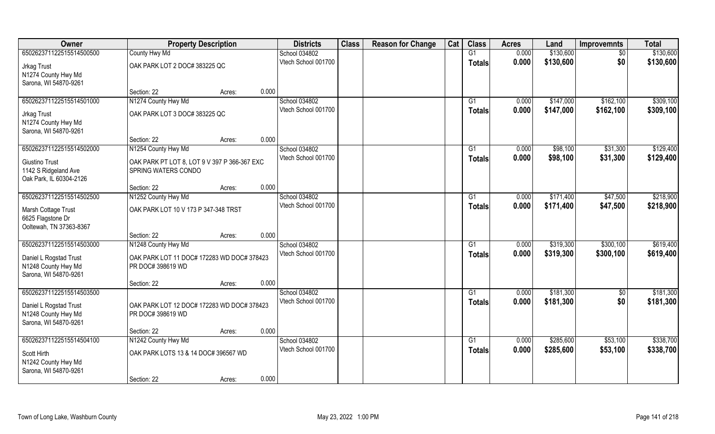| 650262371122515514500500<br>County Hwy Md<br>G1<br>0.000<br>\$130,600<br>School 034802<br>$\sqrt{6}$<br>Vtech School 001700<br>0.000<br>\$0<br>\$130,600<br>\$130,600<br><b>Totals</b><br>OAK PARK LOT 2 DOC# 383225 QC<br>Jrkag Trust<br>N1274 County Hwy Md<br>Sarona, WI 54870-9261<br>0.000<br>Section: 22<br>Acres:<br>N1274 County Hwy Md<br>School 034802<br>650262371122515514501000<br>0.000<br>\$147,000<br>\$162,100<br>G1<br>0.000<br>\$162,100<br>Vtech School 001700<br>\$147,000<br>Totals<br>OAK PARK LOT 3 DOC# 383225 QC<br>Jrkag Trust<br>N1274 County Hwy Md<br>Sarona, WI 54870-9261<br>0.000<br>Section: 22<br>Acres:<br>School 034802<br>650262371122515514502000<br>N1254 County Hwy Md<br>G1<br>0.000<br>\$98,100<br>\$31,300<br>Vtech School 001700<br>0.000<br>\$98,100<br>\$31,300<br><b>Totals</b><br><b>Giustino Trust</b><br>OAK PARK PT LOT 8, LOT 9 V 397 P 366-367 EXC<br>SPRING WATERS CONDO<br>1142 S Ridgeland Ave<br>Oak Park, IL 60304-2126<br>0.000<br>Section: 22<br>Acres:<br>650262371122515514502500<br>N1252 County Hwy Md<br>School 034802<br>\$171,400<br>\$47,500<br>0.000<br>G1<br>Vtech School 001700<br>0.000<br>\$171,400<br>\$47,500<br><b>Totals</b><br>Marsh Cottage Trust<br>OAK PARK LOT 10 V 173 P 347-348 TRST<br>6625 Flagstone Dr<br>Ooltewah, TN 37363-8367<br>0.000<br>Section: 22<br>Acres:<br>650262371122515514503000<br>0.000<br>\$319,300<br>\$300,100<br>N1248 County Hwy Md<br>School 034802<br>G1<br>Vtech School 001700<br>0.000<br>\$319,300<br>\$300,100<br><b>Totals</b><br>Daniel L Rogstad Trust<br>OAK PARK LOT 11 DOC# 172283 WD DOC# 378423<br>N1248 County Hwy Md<br>PR DOC# 398619 WD<br>Sarona, WI 54870-9261<br>0.000<br>Section: 22<br>Acres:<br>School 034802<br>\$181,300<br>650262371122515514503500<br>G1<br>0.000<br>$\overline{50}$<br>0.000<br>\$0<br>Vtech School 001700<br>\$181,300<br><b>Totals</b><br>Daniel L Rogstad Trust<br>OAK PARK LOT 12 DOC# 172283 WD DOC# 378423<br>N1248 County Hwy Md<br>PR DOC# 398619 WD<br>Sarona, WI 54870-9261<br>0.000<br>Section: 22<br>Acres:<br>650262371122515514504100<br>N1242 County Hwy Md<br>\$285,600<br>\$53,100<br>School 034802<br>G1<br>0.000<br>Vtech School 001700<br>0.000<br>\$285,600<br>\$53,100<br>Totals<br>OAK PARK LOTS 13 & 14 DOC# 396567 WD<br>Scott Hirth<br>N1242 County Hwy Md | Owner | <b>Property Description</b> |  | <b>Districts</b> | <b>Class</b> | <b>Reason for Change</b> | Cat | <b>Class</b> | <b>Acres</b> | Land | <b>Improvemnts</b> | <b>Total</b> |
|-------------------------------------------------------------------------------------------------------------------------------------------------------------------------------------------------------------------------------------------------------------------------------------------------------------------------------------------------------------------------------------------------------------------------------------------------------------------------------------------------------------------------------------------------------------------------------------------------------------------------------------------------------------------------------------------------------------------------------------------------------------------------------------------------------------------------------------------------------------------------------------------------------------------------------------------------------------------------------------------------------------------------------------------------------------------------------------------------------------------------------------------------------------------------------------------------------------------------------------------------------------------------------------------------------------------------------------------------------------------------------------------------------------------------------------------------------------------------------------------------------------------------------------------------------------------------------------------------------------------------------------------------------------------------------------------------------------------------------------------------------------------------------------------------------------------------------------------------------------------------------------------------------------------------------------------------------------------------------------------------------------------------------------------------------------------------------------------------------------------------------------------------------------------------------------------------------------------------------------------------------------------------------------------------------------------------------------------------|-------|-----------------------------|--|------------------|--------------|--------------------------|-----|--------------|--------------|------|--------------------|--------------|
| \$218,900                                                                                                                                                                                                                                                                                                                                                                                                                                                                                                                                                                                                                                                                                                                                                                                                                                                                                                                                                                                                                                                                                                                                                                                                                                                                                                                                                                                                                                                                                                                                                                                                                                                                                                                                                                                                                                                                                                                                                                                                                                                                                                                                                                                                                                                                                                                                       |       |                             |  |                  |              |                          |     |              |              |      |                    | \$130,600    |
| \$309,100<br>\$309,100                                                                                                                                                                                                                                                                                                                                                                                                                                                                                                                                                                                                                                                                                                                                                                                                                                                                                                                                                                                                                                                                                                                                                                                                                                                                                                                                                                                                                                                                                                                                                                                                                                                                                                                                                                                                                                                                                                                                                                                                                                                                                                                                                                                                                                                                                                                          |       |                             |  |                  |              |                          |     |              |              |      |                    |              |
|                                                                                                                                                                                                                                                                                                                                                                                                                                                                                                                                                                                                                                                                                                                                                                                                                                                                                                                                                                                                                                                                                                                                                                                                                                                                                                                                                                                                                                                                                                                                                                                                                                                                                                                                                                                                                                                                                                                                                                                                                                                                                                                                                                                                                                                                                                                                                 |       |                             |  |                  |              |                          |     |              |              |      |                    |              |
|                                                                                                                                                                                                                                                                                                                                                                                                                                                                                                                                                                                                                                                                                                                                                                                                                                                                                                                                                                                                                                                                                                                                                                                                                                                                                                                                                                                                                                                                                                                                                                                                                                                                                                                                                                                                                                                                                                                                                                                                                                                                                                                                                                                                                                                                                                                                                 |       |                             |  |                  |              |                          |     |              |              |      |                    |              |
|                                                                                                                                                                                                                                                                                                                                                                                                                                                                                                                                                                                                                                                                                                                                                                                                                                                                                                                                                                                                                                                                                                                                                                                                                                                                                                                                                                                                                                                                                                                                                                                                                                                                                                                                                                                                                                                                                                                                                                                                                                                                                                                                                                                                                                                                                                                                                 |       |                             |  |                  |              |                          |     |              |              |      |                    |              |
|                                                                                                                                                                                                                                                                                                                                                                                                                                                                                                                                                                                                                                                                                                                                                                                                                                                                                                                                                                                                                                                                                                                                                                                                                                                                                                                                                                                                                                                                                                                                                                                                                                                                                                                                                                                                                                                                                                                                                                                                                                                                                                                                                                                                                                                                                                                                                 |       |                             |  |                  |              |                          |     |              |              |      |                    |              |
| \$129,400<br>\$129,400<br>\$218,900<br>\$619,400<br>\$619,400<br>\$181,300<br>\$181,300<br>\$338,700<br>\$338,700                                                                                                                                                                                                                                                                                                                                                                                                                                                                                                                                                                                                                                                                                                                                                                                                                                                                                                                                                                                                                                                                                                                                                                                                                                                                                                                                                                                                                                                                                                                                                                                                                                                                                                                                                                                                                                                                                                                                                                                                                                                                                                                                                                                                                               |       |                             |  |                  |              |                          |     |              |              |      |                    |              |
|                                                                                                                                                                                                                                                                                                                                                                                                                                                                                                                                                                                                                                                                                                                                                                                                                                                                                                                                                                                                                                                                                                                                                                                                                                                                                                                                                                                                                                                                                                                                                                                                                                                                                                                                                                                                                                                                                                                                                                                                                                                                                                                                                                                                                                                                                                                                                 |       |                             |  |                  |              |                          |     |              |              |      |                    |              |
|                                                                                                                                                                                                                                                                                                                                                                                                                                                                                                                                                                                                                                                                                                                                                                                                                                                                                                                                                                                                                                                                                                                                                                                                                                                                                                                                                                                                                                                                                                                                                                                                                                                                                                                                                                                                                                                                                                                                                                                                                                                                                                                                                                                                                                                                                                                                                 |       |                             |  |                  |              |                          |     |              |              |      |                    |              |
|                                                                                                                                                                                                                                                                                                                                                                                                                                                                                                                                                                                                                                                                                                                                                                                                                                                                                                                                                                                                                                                                                                                                                                                                                                                                                                                                                                                                                                                                                                                                                                                                                                                                                                                                                                                                                                                                                                                                                                                                                                                                                                                                                                                                                                                                                                                                                 |       |                             |  |                  |              |                          |     |              |              |      |                    |              |
|                                                                                                                                                                                                                                                                                                                                                                                                                                                                                                                                                                                                                                                                                                                                                                                                                                                                                                                                                                                                                                                                                                                                                                                                                                                                                                                                                                                                                                                                                                                                                                                                                                                                                                                                                                                                                                                                                                                                                                                                                                                                                                                                                                                                                                                                                                                                                 |       |                             |  |                  |              |                          |     |              |              |      |                    |              |
|                                                                                                                                                                                                                                                                                                                                                                                                                                                                                                                                                                                                                                                                                                                                                                                                                                                                                                                                                                                                                                                                                                                                                                                                                                                                                                                                                                                                                                                                                                                                                                                                                                                                                                                                                                                                                                                                                                                                                                                                                                                                                                                                                                                                                                                                                                                                                 |       |                             |  |                  |              |                          |     |              |              |      |                    |              |
|                                                                                                                                                                                                                                                                                                                                                                                                                                                                                                                                                                                                                                                                                                                                                                                                                                                                                                                                                                                                                                                                                                                                                                                                                                                                                                                                                                                                                                                                                                                                                                                                                                                                                                                                                                                                                                                                                                                                                                                                                                                                                                                                                                                                                                                                                                                                                 |       |                             |  |                  |              |                          |     |              |              |      |                    |              |
|                                                                                                                                                                                                                                                                                                                                                                                                                                                                                                                                                                                                                                                                                                                                                                                                                                                                                                                                                                                                                                                                                                                                                                                                                                                                                                                                                                                                                                                                                                                                                                                                                                                                                                                                                                                                                                                                                                                                                                                                                                                                                                                                                                                                                                                                                                                                                 |       |                             |  |                  |              |                          |     |              |              |      |                    |              |
|                                                                                                                                                                                                                                                                                                                                                                                                                                                                                                                                                                                                                                                                                                                                                                                                                                                                                                                                                                                                                                                                                                                                                                                                                                                                                                                                                                                                                                                                                                                                                                                                                                                                                                                                                                                                                                                                                                                                                                                                                                                                                                                                                                                                                                                                                                                                                 |       |                             |  |                  |              |                          |     |              |              |      |                    |              |
|                                                                                                                                                                                                                                                                                                                                                                                                                                                                                                                                                                                                                                                                                                                                                                                                                                                                                                                                                                                                                                                                                                                                                                                                                                                                                                                                                                                                                                                                                                                                                                                                                                                                                                                                                                                                                                                                                                                                                                                                                                                                                                                                                                                                                                                                                                                                                 |       |                             |  |                  |              |                          |     |              |              |      |                    |              |
|                                                                                                                                                                                                                                                                                                                                                                                                                                                                                                                                                                                                                                                                                                                                                                                                                                                                                                                                                                                                                                                                                                                                                                                                                                                                                                                                                                                                                                                                                                                                                                                                                                                                                                                                                                                                                                                                                                                                                                                                                                                                                                                                                                                                                                                                                                                                                 |       |                             |  |                  |              |                          |     |              |              |      |                    |              |
|                                                                                                                                                                                                                                                                                                                                                                                                                                                                                                                                                                                                                                                                                                                                                                                                                                                                                                                                                                                                                                                                                                                                                                                                                                                                                                                                                                                                                                                                                                                                                                                                                                                                                                                                                                                                                                                                                                                                                                                                                                                                                                                                                                                                                                                                                                                                                 |       |                             |  |                  |              |                          |     |              |              |      |                    |              |
|                                                                                                                                                                                                                                                                                                                                                                                                                                                                                                                                                                                                                                                                                                                                                                                                                                                                                                                                                                                                                                                                                                                                                                                                                                                                                                                                                                                                                                                                                                                                                                                                                                                                                                                                                                                                                                                                                                                                                                                                                                                                                                                                                                                                                                                                                                                                                 |       |                             |  |                  |              |                          |     |              |              |      |                    |              |
|                                                                                                                                                                                                                                                                                                                                                                                                                                                                                                                                                                                                                                                                                                                                                                                                                                                                                                                                                                                                                                                                                                                                                                                                                                                                                                                                                                                                                                                                                                                                                                                                                                                                                                                                                                                                                                                                                                                                                                                                                                                                                                                                                                                                                                                                                                                                                 |       |                             |  |                  |              |                          |     |              |              |      |                    |              |
|                                                                                                                                                                                                                                                                                                                                                                                                                                                                                                                                                                                                                                                                                                                                                                                                                                                                                                                                                                                                                                                                                                                                                                                                                                                                                                                                                                                                                                                                                                                                                                                                                                                                                                                                                                                                                                                                                                                                                                                                                                                                                                                                                                                                                                                                                                                                                 |       |                             |  |                  |              |                          |     |              |              |      |                    |              |
|                                                                                                                                                                                                                                                                                                                                                                                                                                                                                                                                                                                                                                                                                                                                                                                                                                                                                                                                                                                                                                                                                                                                                                                                                                                                                                                                                                                                                                                                                                                                                                                                                                                                                                                                                                                                                                                                                                                                                                                                                                                                                                                                                                                                                                                                                                                                                 |       |                             |  |                  |              |                          |     |              |              |      |                    |              |
|                                                                                                                                                                                                                                                                                                                                                                                                                                                                                                                                                                                                                                                                                                                                                                                                                                                                                                                                                                                                                                                                                                                                                                                                                                                                                                                                                                                                                                                                                                                                                                                                                                                                                                                                                                                                                                                                                                                                                                                                                                                                                                                                                                                                                                                                                                                                                 |       |                             |  |                  |              |                          |     |              |              |      |                    |              |
|                                                                                                                                                                                                                                                                                                                                                                                                                                                                                                                                                                                                                                                                                                                                                                                                                                                                                                                                                                                                                                                                                                                                                                                                                                                                                                                                                                                                                                                                                                                                                                                                                                                                                                                                                                                                                                                                                                                                                                                                                                                                                                                                                                                                                                                                                                                                                 |       |                             |  |                  |              |                          |     |              |              |      |                    |              |
|                                                                                                                                                                                                                                                                                                                                                                                                                                                                                                                                                                                                                                                                                                                                                                                                                                                                                                                                                                                                                                                                                                                                                                                                                                                                                                                                                                                                                                                                                                                                                                                                                                                                                                                                                                                                                                                                                                                                                                                                                                                                                                                                                                                                                                                                                                                                                 |       |                             |  |                  |              |                          |     |              |              |      |                    |              |
|                                                                                                                                                                                                                                                                                                                                                                                                                                                                                                                                                                                                                                                                                                                                                                                                                                                                                                                                                                                                                                                                                                                                                                                                                                                                                                                                                                                                                                                                                                                                                                                                                                                                                                                                                                                                                                                                                                                                                                                                                                                                                                                                                                                                                                                                                                                                                 |       |                             |  |                  |              |                          |     |              |              |      |                    |              |
|                                                                                                                                                                                                                                                                                                                                                                                                                                                                                                                                                                                                                                                                                                                                                                                                                                                                                                                                                                                                                                                                                                                                                                                                                                                                                                                                                                                                                                                                                                                                                                                                                                                                                                                                                                                                                                                                                                                                                                                                                                                                                                                                                                                                                                                                                                                                                 |       |                             |  |                  |              |                          |     |              |              |      |                    |              |
|                                                                                                                                                                                                                                                                                                                                                                                                                                                                                                                                                                                                                                                                                                                                                                                                                                                                                                                                                                                                                                                                                                                                                                                                                                                                                                                                                                                                                                                                                                                                                                                                                                                                                                                                                                                                                                                                                                                                                                                                                                                                                                                                                                                                                                                                                                                                                 |       |                             |  |                  |              |                          |     |              |              |      |                    |              |
|                                                                                                                                                                                                                                                                                                                                                                                                                                                                                                                                                                                                                                                                                                                                                                                                                                                                                                                                                                                                                                                                                                                                                                                                                                                                                                                                                                                                                                                                                                                                                                                                                                                                                                                                                                                                                                                                                                                                                                                                                                                                                                                                                                                                                                                                                                                                                 |       |                             |  |                  |              |                          |     |              |              |      |                    |              |
|                                                                                                                                                                                                                                                                                                                                                                                                                                                                                                                                                                                                                                                                                                                                                                                                                                                                                                                                                                                                                                                                                                                                                                                                                                                                                                                                                                                                                                                                                                                                                                                                                                                                                                                                                                                                                                                                                                                                                                                                                                                                                                                                                                                                                                                                                                                                                 |       |                             |  |                  |              |                          |     |              |              |      |                    |              |
|                                                                                                                                                                                                                                                                                                                                                                                                                                                                                                                                                                                                                                                                                                                                                                                                                                                                                                                                                                                                                                                                                                                                                                                                                                                                                                                                                                                                                                                                                                                                                                                                                                                                                                                                                                                                                                                                                                                                                                                                                                                                                                                                                                                                                                                                                                                                                 |       |                             |  |                  |              |                          |     |              |              |      |                    |              |
|                                                                                                                                                                                                                                                                                                                                                                                                                                                                                                                                                                                                                                                                                                                                                                                                                                                                                                                                                                                                                                                                                                                                                                                                                                                                                                                                                                                                                                                                                                                                                                                                                                                                                                                                                                                                                                                                                                                                                                                                                                                                                                                                                                                                                                                                                                                                                 |       |                             |  |                  |              |                          |     |              |              |      |                    |              |
| Sarona, WI 54870-9261                                                                                                                                                                                                                                                                                                                                                                                                                                                                                                                                                                                                                                                                                                                                                                                                                                                                                                                                                                                                                                                                                                                                                                                                                                                                                                                                                                                                                                                                                                                                                                                                                                                                                                                                                                                                                                                                                                                                                                                                                                                                                                                                                                                                                                                                                                                           |       |                             |  |                  |              |                          |     |              |              |      |                    |              |
| 0.000<br>Section: 22<br>Acres:                                                                                                                                                                                                                                                                                                                                                                                                                                                                                                                                                                                                                                                                                                                                                                                                                                                                                                                                                                                                                                                                                                                                                                                                                                                                                                                                                                                                                                                                                                                                                                                                                                                                                                                                                                                                                                                                                                                                                                                                                                                                                                                                                                                                                                                                                                                  |       |                             |  |                  |              |                          |     |              |              |      |                    |              |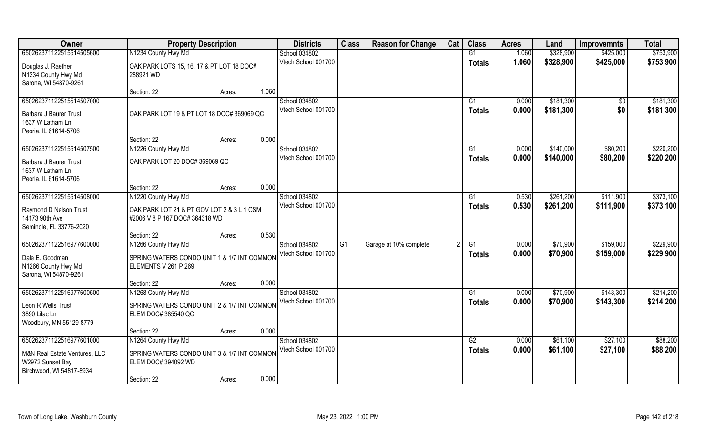| Owner                         | <b>Property Description</b>                 |       | <b>Districts</b>                     | <b>Class</b> | <b>Reason for Change</b> | Cat | <b>Class</b>  | <b>Acres</b> | Land      | <b>Improvemnts</b> | <b>Total</b> |
|-------------------------------|---------------------------------------------|-------|--------------------------------------|--------------|--------------------------|-----|---------------|--------------|-----------|--------------------|--------------|
| 650262371122515514505600      | N1234 County Hwy Md                         |       | School 034802                        |              |                          |     | G1            | 1.060        | \$328,900 | \$425,000          | \$753,900    |
| Douglas J. Raether            | OAK PARK LOTS 15, 16, 17 & PT LOT 18 DOC#   |       | Vtech School 001700                  |              |                          |     | <b>Totals</b> | 1.060        | \$328,900 | \$425,000          | \$753,900    |
| N1234 County Hwy Md           | 288921 WD                                   |       |                                      |              |                          |     |               |              |           |                    |              |
| Sarona, WI 54870-9261         |                                             |       |                                      |              |                          |     |               |              |           |                    |              |
|                               | Section: 22<br>Acres:                       | 1.060 |                                      |              |                          |     |               |              |           |                    |              |
| 650262371122515514507000      |                                             |       | School 034802                        |              |                          |     | G1            | 0.000        | \$181,300 | \$0                | \$181,300    |
| Barbara J Baurer Trust        | OAK PARK LOT 19 & PT LOT 18 DOC# 369069 QC  |       | Vtech School 001700                  |              |                          |     | <b>Totals</b> | 0.000        | \$181,300 | \$0                | \$181,300    |
| 1637 W Latham Ln              |                                             |       |                                      |              |                          |     |               |              |           |                    |              |
| Peoria, IL 61614-5706         |                                             |       |                                      |              |                          |     |               |              |           |                    |              |
|                               | Section: 22<br>Acres:                       | 0.000 |                                      |              |                          |     |               |              |           |                    |              |
| 650262371122515514507500      | N1226 County Hwy Md                         |       | School 034802                        |              |                          |     | G1            | 0.000        | \$140,000 | \$80,200           | \$220,200    |
| Barbara J Baurer Trust        | OAK PARK LOT 20 DOC# 369069 QC              |       | Vtech School 001700                  |              |                          |     | <b>Totals</b> | 0.000        | \$140,000 | \$80,200           | \$220,200    |
| 1637 W Latham Ln              |                                             |       |                                      |              |                          |     |               |              |           |                    |              |
| Peoria, IL 61614-5706         |                                             |       |                                      |              |                          |     |               |              |           |                    |              |
|                               | Section: 22<br>Acres:                       | 0.000 |                                      |              |                          |     |               |              |           |                    |              |
| 650262371122515514508000      | N1220 County Hwy Md                         |       | School 034802                        |              |                          |     | G1            | 0.530        | \$261,200 | \$111,900          | \$373,100    |
| Raymond D Nelson Trust        | OAK PARK LOT 21 & PT GOV LOT 2 & 3 L 1 CSM  |       | Vtech School 001700                  |              |                          |     | <b>Totals</b> | 0.530        | \$261,200 | \$111,900          | \$373,100    |
| 14173 90th Ave                | #2006 V 8 P 167 DOC# 364318 WD              |       |                                      |              |                          |     |               |              |           |                    |              |
| Seminole, FL 33776-2020       |                                             |       |                                      |              |                          |     |               |              |           |                    |              |
|                               | Section: 22<br>Acres:                       | 0.530 |                                      |              |                          |     |               |              |           |                    |              |
| 650262371122516977600000      | N1266 County Hwy Md                         |       | School 034802                        | G1           | Garage at 10% complete   |     | G1            | 0.000        | \$70,900  | \$159,000          | \$229,900    |
| Dale E. Goodman               | SPRING WATERS CONDO UNIT 1 & 1/7 INT COMMON |       | Vtech School 001700                  |              |                          |     | <b>Totals</b> | 0.000        | \$70,900  | \$159,000          | \$229,900    |
| N1266 County Hwy Md           | ELEMENTS V 261 P 269                        |       |                                      |              |                          |     |               |              |           |                    |              |
| Sarona, WI 54870-9261         |                                             |       |                                      |              |                          |     |               |              |           |                    |              |
|                               | Section: 22<br>Acres:                       | 0.000 |                                      |              |                          |     |               |              |           |                    |              |
| 650262371122516977600500      | N1268 County Hwy Md                         |       | School 034802<br>Vtech School 001700 |              |                          |     | G1            | 0.000        | \$70,900  | \$143,300          | \$214,200    |
| Leon R Wells Trust            | SPRING WATERS CONDO UNIT 2 & 1/7 INT COMMON |       |                                      |              |                          |     | <b>Totals</b> | 0.000        | \$70,900  | \$143,300          | \$214,200    |
| 3890 Lilac Ln                 | ELEM DOC# 385540 QC                         |       |                                      |              |                          |     |               |              |           |                    |              |
| Woodbury, MN 55129-8779       |                                             |       |                                      |              |                          |     |               |              |           |                    |              |
|                               | Section: 22<br>Acres:                       | 0.000 |                                      |              |                          |     |               |              |           |                    |              |
| 650262371122516977601000      | N1264 County Hwy Md                         |       | School 034802<br>Vtech School 001700 |              |                          |     | G2            | 0.000        | \$61,100  | \$27,100           | \$88,200     |
| M&N Real Estate Ventures, LLC | SPRING WATERS CONDO UNIT 3 & 1/7 INT COMMON |       |                                      |              |                          |     | Totals        | 0.000        | \$61,100  | \$27,100           | \$88,200     |
| W2972 Sunset Bay              | ELEM DOC# 394092 WD                         |       |                                      |              |                          |     |               |              |           |                    |              |
| Birchwood, WI 54817-8934      |                                             |       |                                      |              |                          |     |               |              |           |                    |              |
|                               | Section: 22<br>Acres:                       | 0.000 |                                      |              |                          |     |               |              |           |                    |              |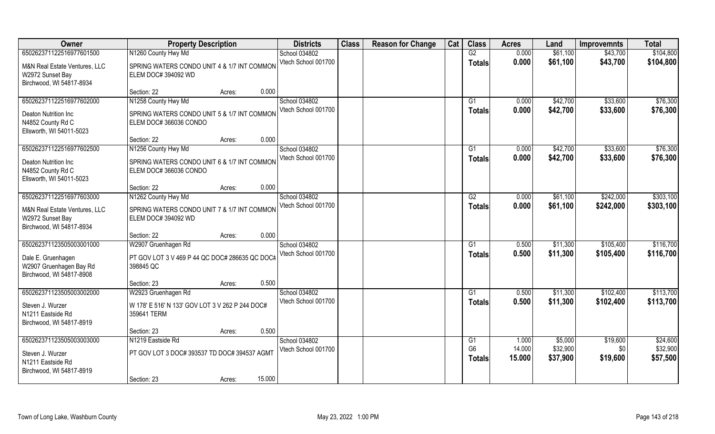| Owner                         | <b>Property Description</b>                     |                  | <b>Districts</b>    | <b>Class</b> | <b>Reason for Change</b> | Cat | <b>Class</b>    | <b>Acres</b> | Land     | <b>Improvemnts</b> | <b>Total</b> |
|-------------------------------|-------------------------------------------------|------------------|---------------------|--------------|--------------------------|-----|-----------------|--------------|----------|--------------------|--------------|
| 650262371122516977601500      | N1260 County Hwy Md                             |                  | School 034802       |              |                          |     | G2              | 0.000        | \$61,100 | \$43,700           | \$104,800    |
| M&N Real Estate Ventures, LLC | SPRING WATERS CONDO UNIT 4 & 1/7 INT COMMON     |                  | Vtech School 001700 |              |                          |     | Totals          | 0.000        | \$61,100 | \$43,700           | \$104,800    |
| W2972 Sunset Bay              | ELEM DOC# 394092 WD                             |                  |                     |              |                          |     |                 |              |          |                    |              |
| Birchwood, WI 54817-8934      |                                                 |                  |                     |              |                          |     |                 |              |          |                    |              |
|                               | Section: 22                                     | 0.000<br>Acres:  |                     |              |                          |     |                 |              |          |                    |              |
| 650262371122516977602000      | N1258 County Hwy Md                             |                  | School 034802       |              |                          |     | G <sub>1</sub>  | 0.000        | \$42,700 | \$33,600           | \$76,300     |
| Deaton Nutrition Inc          | SPRING WATERS CONDO UNIT 5 & 1/7 INT COMMON     |                  | Vtech School 001700 |              |                          |     | Totals          | 0.000        | \$42,700 | \$33,600           | \$76,300     |
| N4852 County Rd C             | ELEM DOC# 366036 CONDO                          |                  |                     |              |                          |     |                 |              |          |                    |              |
| Ellsworth, WI 54011-5023      |                                                 |                  |                     |              |                          |     |                 |              |          |                    |              |
|                               | Section: 22                                     | 0.000<br>Acres:  |                     |              |                          |     |                 |              |          |                    |              |
| 650262371122516977602500      | N1256 County Hwy Md                             |                  | School 034802       |              |                          |     | G1              | 0.000        | \$42,700 | \$33,600           | \$76,300     |
| Deaton Nutrition Inc          | SPRING WATERS CONDO UNIT 6 & 1/7 INT COMMON     |                  | Vtech School 001700 |              |                          |     | <b>Totals</b>   | 0.000        | \$42,700 | \$33,600           | \$76,300     |
| N4852 County Rd C             | ELEM DOC# 366036 CONDO                          |                  |                     |              |                          |     |                 |              |          |                    |              |
| Ellsworth, WI 54011-5023      |                                                 |                  |                     |              |                          |     |                 |              |          |                    |              |
|                               | Section: 22                                     | 0.000<br>Acres:  |                     |              |                          |     |                 |              |          |                    |              |
| 650262371122516977603000      | N1262 County Hwy Md                             |                  | School 034802       |              |                          |     | G2              | 0.000        | \$61,100 | \$242,000          | \$303,100    |
| M&N Real Estate Ventures, LLC | SPRING WATERS CONDO UNIT 7 & 1/7 INT COMMON     |                  | Vtech School 001700 |              |                          |     | <b>Totals</b>   | 0.000        | \$61,100 | \$242,000          | \$303,100    |
| W2972 Sunset Bay              | ELEM DOC# 394092 WD                             |                  |                     |              |                          |     |                 |              |          |                    |              |
| Birchwood, WI 54817-8934      |                                                 |                  |                     |              |                          |     |                 |              |          |                    |              |
|                               | Section: 22                                     | 0.000<br>Acres:  |                     |              |                          |     |                 |              |          |                    |              |
| 650262371123505003001000      | W2907 Gruenhagen Rd                             |                  | School 034802       |              |                          |     | G1              | 0.500        | \$11,300 | \$105,400          | \$116,700    |
| Dale E. Gruenhagen            | PT GOV LOT 3 V 469 P 44 QC DOC# 286635 QC DOC#  |                  | Vtech School 001700 |              |                          |     | <b>Totals</b>   | 0.500        | \$11,300 | \$105,400          | \$116,700    |
| W2907 Gruenhagen Bay Rd       | 398845 QC                                       |                  |                     |              |                          |     |                 |              |          |                    |              |
| Birchwood, WI 54817-8908      |                                                 |                  |                     |              |                          |     |                 |              |          |                    |              |
|                               | Section: 23                                     | 0.500<br>Acres:  |                     |              |                          |     |                 |              |          |                    |              |
| 650262371123505003002000      | W2923 Gruenhagen Rd                             |                  | School 034802       |              |                          |     | $\overline{G1}$ | 0.500        | \$11,300 | \$102,400          | \$113,700    |
| Steven J. Wurzer              | W 178' E 516' N 133' GOV LOT 3 V 262 P 244 DOC# |                  | Vtech School 001700 |              |                          |     | <b>Totals</b>   | 0.500        | \$11,300 | \$102,400          | \$113,700    |
| N1211 Eastside Rd             | 359641 TERM                                     |                  |                     |              |                          |     |                 |              |          |                    |              |
| Birchwood, WI 54817-8919      |                                                 |                  |                     |              |                          |     |                 |              |          |                    |              |
|                               | Section: 23                                     | 0.500<br>Acres:  |                     |              |                          |     |                 |              |          |                    |              |
| 650262371123505003003000      | N1219 Eastside Rd                               |                  | School 034802       |              |                          |     | G1              | 1.000        | \$5,000  | \$19,600           | \$24,600     |
| Steven J. Wurzer              | PT GOV LOT 3 DOC# 393537 TD DOC# 394537 AGMT    |                  | Vtech School 001700 |              |                          |     | G <sub>6</sub>  | 14.000       | \$32,900 | \$0                | \$32,900     |
| N1211 Eastside Rd             |                                                 |                  |                     |              |                          |     | <b>Totals</b>   | 15.000       | \$37,900 | \$19,600           | \$57,500     |
| Birchwood, WI 54817-8919      |                                                 |                  |                     |              |                          |     |                 |              |          |                    |              |
|                               | Section: 23                                     | 15.000<br>Acres: |                     |              |                          |     |                 |              |          |                    |              |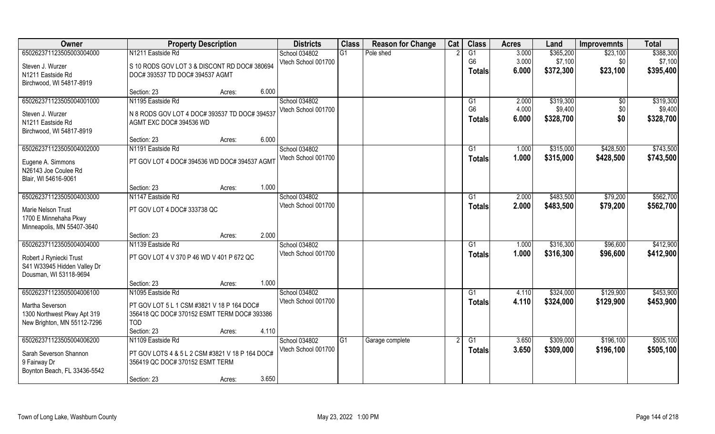| Owner                        | <b>Property Description</b>                     |       | <b>Districts</b>    | <b>Class</b>    | <b>Reason for Change</b> | Cat | <b>Class</b>   | <b>Acres</b> | Land      | <b>Improvemnts</b> | <b>Total</b> |
|------------------------------|-------------------------------------------------|-------|---------------------|-----------------|--------------------------|-----|----------------|--------------|-----------|--------------------|--------------|
| 650262371123505003004000     | N1211 Eastside Rd                               |       | School 034802       | $\overline{G1}$ | Pole shed                |     | G1             | 3.000        | \$365,200 | \$23,100           | \$388,300    |
| Steven J. Wurzer             | S 10 RODS GOV LOT 3 & DISCONT RD DOC# 380694    |       | Vtech School 001700 |                 |                          |     | G <sub>6</sub> | 3.000        | \$7,100   | \$0                | \$7,100      |
| N1211 Eastside Rd            | DOC# 393537 TD DOC# 394537 AGMT                 |       |                     |                 |                          |     | <b>Totals</b>  | 6.000        | \$372,300 | \$23,100           | \$395,400    |
| Birchwood, WI 54817-8919     |                                                 |       |                     |                 |                          |     |                |              |           |                    |              |
|                              | Section: 23<br>Acres:                           | 6.000 |                     |                 |                          |     |                |              |           |                    |              |
| 650262371123505004001000     | N1195 Eastside Rd                               |       | School 034802       |                 |                          |     | G1             | 2.000        | \$319,300 | $\overline{50}$    | \$319,300    |
| Steven J. Wurzer             | N 8 RODS GOV LOT 4 DOC# 393537 TD DOC# 394537   |       | Vtech School 001700 |                 |                          |     | G <sub>6</sub> | 4.000        | \$9,400   | \$0                | \$9,400      |
| N1211 Eastside Rd            | AGMT EXC DOC# 394536 WD                         |       |                     |                 |                          |     | <b>Totals</b>  | 6.000        | \$328,700 | \$0                | \$328,700    |
| Birchwood, WI 54817-8919     |                                                 |       |                     |                 |                          |     |                |              |           |                    |              |
|                              | Section: 23<br>Acres:                           | 6.000 |                     |                 |                          |     |                |              |           |                    |              |
| 650262371123505004002000     | N1191 Eastside Rd                               |       | School 034802       |                 |                          |     | G1             | 1.000        | \$315,000 | \$428,500          | \$743,500    |
| Eugene A. Simmons            | PT GOV LOT 4 DOC# 394536 WD DOC# 394537 AGMT    |       | Vtech School 001700 |                 |                          |     | <b>Totals</b>  | 1.000        | \$315,000 | \$428,500          | \$743,500    |
| N26143 Joe Coulee Rd         |                                                 |       |                     |                 |                          |     |                |              |           |                    |              |
| Blair, WI 54616-9061         |                                                 |       |                     |                 |                          |     |                |              |           |                    |              |
|                              | Section: 23<br>Acres:                           | 1.000 |                     |                 |                          |     |                |              |           |                    |              |
| 650262371123505004003000     | N1147 Eastside Rd                               |       | School 034802       |                 |                          |     | G1             | 2.000        | \$483,500 | \$79,200           | \$562,700    |
| Marie Nelson Trust           | PT GOV LOT 4 DOC# 333738 QC                     |       | Vtech School 001700 |                 |                          |     | <b>Totals</b>  | 2.000        | \$483,500 | \$79,200           | \$562,700    |
| 1700 E Minnehaha Pkwy        |                                                 |       |                     |                 |                          |     |                |              |           |                    |              |
| Minneapolis, MN 55407-3640   |                                                 |       |                     |                 |                          |     |                |              |           |                    |              |
|                              | Section: 23<br>Acres:                           | 2.000 |                     |                 |                          |     |                |              |           |                    |              |
| 650262371123505004004000     | N1139 Eastside Rd                               |       | School 034802       |                 |                          |     | G <sub>1</sub> | 1.000        | \$316,300 | \$96,600           | \$412,900    |
| Robert J Ryniecki Trust      | PT GOV LOT 4 V 370 P 46 WD V 401 P 672 QC       |       | Vtech School 001700 |                 |                          |     | <b>Totals</b>  | 1.000        | \$316,300 | \$96,600           | \$412,900    |
| S41 W33945 Hidden Valley Dr  |                                                 |       |                     |                 |                          |     |                |              |           |                    |              |
| Dousman, WI 53118-9694       |                                                 |       |                     |                 |                          |     |                |              |           |                    |              |
|                              | Section: 23<br>Acres:                           | 1.000 |                     |                 |                          |     |                |              |           |                    |              |
| 650262371123505004006100     | N1095 Eastside Rd                               |       | School 034802       |                 |                          |     | G1             | 4.110        | \$324,000 | \$129,900          | \$453,900    |
| Martha Severson              | PT GOV LOT 5 L 1 CSM #3821 V 18 P 164 DOC#      |       | Vtech School 001700 |                 |                          |     | <b>Totals</b>  | 4.110        | \$324,000 | \$129,900          | \$453,900    |
| 1300 Northwest Pkwy Apt 319  | 356418 QC DOC# 370152 ESMT TERM DOC# 393386     |       |                     |                 |                          |     |                |              |           |                    |              |
| New Brighton, MN 55112-7296  | <b>TOD</b>                                      |       |                     |                 |                          |     |                |              |           |                    |              |
|                              | Section: 23<br>Acres:                           | 4.110 |                     |                 |                          |     |                |              |           |                    |              |
| 650262371123505004006200     | N1109 Eastside Rd                               |       | School 034802       | G1              | Garage complete          |     | G1             | 3.650        | \$309,000 | \$196,100          | \$505,100    |
| Sarah Severson Shannon       | PT GOV LOTS 4 & 5 L 2 CSM #3821 V 18 P 164 DOC# |       | Vtech School 001700 |                 |                          |     | <b>Totals</b>  | 3.650        | \$309,000 | \$196,100          | \$505,100    |
| 9 Fairway Dr                 | 356419 QC DOC# 370152 ESMT TERM                 |       |                     |                 |                          |     |                |              |           |                    |              |
| Boynton Beach, FL 33436-5542 |                                                 |       |                     |                 |                          |     |                |              |           |                    |              |
|                              | Section: 23<br>Acres:                           | 3.650 |                     |                 |                          |     |                |              |           |                    |              |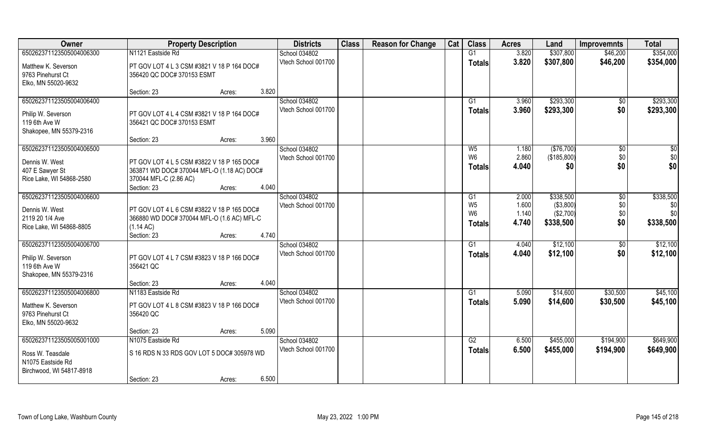| Owner                                       | <b>Property Description</b>                             | <b>Districts</b>                     | <b>Class</b> | <b>Reason for Change</b> | Cat | <b>Class</b>            | <b>Acres</b>   | Land                      | <b>Improvemnts</b>   | <b>Total</b> |
|---------------------------------------------|---------------------------------------------------------|--------------------------------------|--------------|--------------------------|-----|-------------------------|----------------|---------------------------|----------------------|--------------|
| 650262371123505004006300                    | N1121 Eastside Rd                                       | School 034802                        |              |                          |     | G1                      | 3.820          | \$307,800                 | \$46,200             | \$354,000    |
| Matthew K. Severson                         | PT GOV LOT 4 L 3 CSM #3821 V 18 P 164 DOC#              | Vtech School 001700                  |              |                          |     | <b>Totals</b>           | 3.820          | \$307,800                 | \$46,200             | \$354,000    |
| 9763 Pinehurst Ct                           | 356420 QC DOC# 370153 ESMT                              |                                      |              |                          |     |                         |                |                           |                      |              |
| Elko, MN 55020-9632                         |                                                         |                                      |              |                          |     |                         |                |                           |                      |              |
|                                             | 3.820<br>Section: 23<br>Acres:                          |                                      |              |                          |     |                         |                |                           |                      |              |
| 650262371123505004006400                    |                                                         | School 034802                        |              |                          |     | G1                      | 3.960          | \$293,300                 | \$0                  | \$293,300    |
| Philip W. Severson                          | PT GOV LOT 4 L 4 CSM #3821 V 18 P 164 DOC#              | Vtech School 001700                  |              |                          |     | <b>Totals</b>           | 3.960          | \$293,300                 | \$0                  | \$293,300    |
| 119 6th Ave W                               | 356421 QC DOC# 370153 ESMT                              |                                      |              |                          |     |                         |                |                           |                      |              |
| Shakopee, MN 55379-2316                     |                                                         |                                      |              |                          |     |                         |                |                           |                      |              |
|                                             | 3.960<br>Section: 23<br>Acres:                          |                                      |              |                          |     |                         |                |                           |                      |              |
| 650262371123505004006500                    |                                                         | School 034802<br>Vtech School 001700 |              |                          |     | $W_5$<br>W <sub>6</sub> | 1.180<br>2.860 | (\$76,700)<br>(\$185,800) | $\sqrt[6]{3}$<br>\$0 | \$0<br>\$0   |
| Dennis W. West                              | PT GOV LOT 4 L 5 CSM #3822 V 18 P 165 DOC#              |                                      |              |                          |     | <b>Totals</b>           | 4.040          | \$0                       | \$0                  | \$0          |
| 407 E Sawyer St                             | 363871 WD DOC# 370044 MFL-O (1.18 AC) DOC#              |                                      |              |                          |     |                         |                |                           |                      |              |
| Rice Lake, WI 54868-2580                    | 370044 MFL-C (2.86 AC)<br>4.040<br>Section: 23          |                                      |              |                          |     |                         |                |                           |                      |              |
| 650262371123505004006600                    | Acres:                                                  | School 034802                        |              |                          |     | G <sub>1</sub>          | 2.000          | \$338,500                 | \$0                  | \$338,500    |
|                                             |                                                         | Vtech School 001700                  |              |                          |     | W <sub>5</sub>          | 1.600          | ( \$3,800)                | \$0                  | \$0          |
| Dennis W. West                              | PT GOV LOT 4 L 6 CSM #3822 V 18 P 165 DOC#              |                                      |              |                          |     | W <sub>6</sub>          | 1.140          | (\$2,700)                 | \$0                  | \$0          |
| 2119 20 1/4 Ave<br>Rice Lake, WI 54868-8805 | 366880 WD DOC# 370044 MFL-O (1.6 AC) MFL-C<br>(1.14 AC) |                                      |              |                          |     | <b>Totals</b>           | 4.740          | \$338,500                 | \$0                  | \$338,500    |
|                                             | 4.740<br>Section: 23<br>Acres:                          |                                      |              |                          |     |                         |                |                           |                      |              |
| 650262371123505004006700                    |                                                         | School 034802                        |              |                          |     | G1                      | 4.040          | \$12,100                  | \$0                  | \$12,100     |
|                                             |                                                         | Vtech School 001700                  |              |                          |     | <b>Totals</b>           | 4.040          | \$12,100                  | \$0                  | \$12,100     |
| Philip W. Severson<br>119 6th Ave W         | PT GOV LOT 4 L 7 CSM #3823 V 18 P 166 DOC#<br>356421 QC |                                      |              |                          |     |                         |                |                           |                      |              |
| Shakopee, MN 55379-2316                     |                                                         |                                      |              |                          |     |                         |                |                           |                      |              |
|                                             | 4.040<br>Section: 23<br>Acres:                          |                                      |              |                          |     |                         |                |                           |                      |              |
| 650262371123505004006800                    | N1183 Eastside Rd                                       | School 034802                        |              |                          |     | G1                      | 5.090          | \$14,600                  | \$30,500             | \$45,100     |
| Matthew K. Severson                         | PT GOV LOT 4 L 8 CSM #3823 V 18 P 166 DOC#              | Vtech School 001700                  |              |                          |     | <b>Totals</b>           | 5.090          | \$14,600                  | \$30,500             | \$45,100     |
| 9763 Pinehurst Ct                           | 356420 QC                                               |                                      |              |                          |     |                         |                |                           |                      |              |
| Elko, MN 55020-9632                         |                                                         |                                      |              |                          |     |                         |                |                           |                      |              |
|                                             | 5.090<br>Section: 23<br>Acres:                          |                                      |              |                          |     |                         |                |                           |                      |              |
| 650262371123505005001000                    | N1075 Eastside Rd                                       | School 034802                        |              |                          |     | G2                      | 6.500          | \$455,000                 | \$194,900            | \$649,900    |
| Ross W. Teasdale                            | S 16 RDS N 33 RDS GOV LOT 5 DOC# 305978 WD              | Vtech School 001700                  |              |                          |     | <b>Totals</b>           | 6.500          | \$455,000                 | \$194,900            | \$649,900    |
| N1075 Eastside Rd                           |                                                         |                                      |              |                          |     |                         |                |                           |                      |              |
| Birchwood, WI 54817-8918                    |                                                         |                                      |              |                          |     |                         |                |                           |                      |              |
|                                             | 6.500<br>Section: 23<br>Acres:                          |                                      |              |                          |     |                         |                |                           |                      |              |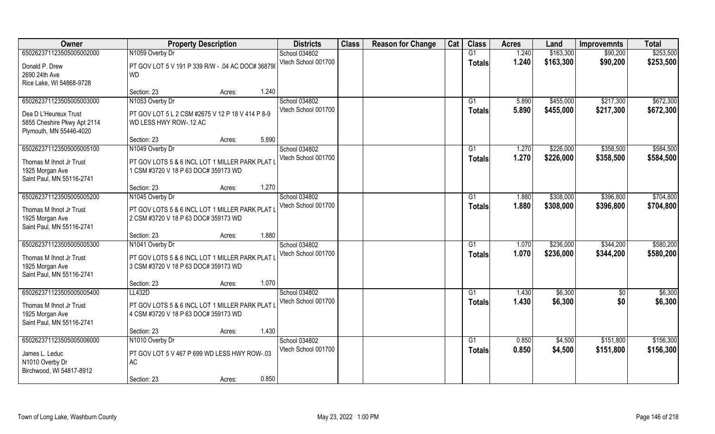| Owner                                                                           | <b>Property Description</b>                                                             | <b>Districts</b>    | <b>Class</b> | <b>Reason for Change</b> | Cat | <b>Class</b>  | <b>Acres</b> | Land      | <b>Improvemnts</b> | <b>Total</b> |
|---------------------------------------------------------------------------------|-----------------------------------------------------------------------------------------|---------------------|--------------|--------------------------|-----|---------------|--------------|-----------|--------------------|--------------|
| 650262371123505005002000                                                        | N1059 Overby Dr                                                                         | School 034802       |              |                          |     | G1            | 1.240        | \$163,300 | \$90,200           | \$253,500    |
| Donald P. Drew<br>2690 24th Ave                                                 | PT GOV LOT 5 V 191 P 339 R/W - .04 AC DOC# 368790<br><b>WD</b>                          | Vtech School 001700 |              |                          |     | <b>Totals</b> | 1.240        | \$163,300 | \$90,200           | \$253,500    |
| Rice Lake, WI 54868-9728                                                        | 1.240<br>Section: 23<br>Acres:                                                          |                     |              |                          |     |               |              |           |                    |              |
| 650262371123505005003000                                                        | N1053 Overby Dr                                                                         | School 034802       |              |                          |     | G1            | 5.890        | \$455,000 | \$217,300          | \$672,300    |
| Dea D L'Heureux Trust<br>5855 Cheshire Pkwy Apt 2114<br>Plymouth, MN 55446-4020 | PT GOV LOT 5 L 2 CSM #2675 V 12 P 18 V 414 P 8-9<br>WD LESS HWY ROW-.12 AC              | Vtech School 001700 |              |                          |     | <b>Totals</b> | 5.890        | \$455,000 | \$217,300          | \$672,300    |
|                                                                                 | 5.890<br>Section: 23<br>Acres:                                                          |                     |              |                          |     |               |              |           |                    |              |
| 650262371123505005005100                                                        | N1049 Overby Dr                                                                         | School 034802       |              |                          |     | G1            | 1.270        | \$226,000 | \$358,500          | \$584,500    |
| Thomas M Ihnot Jr Trust<br>1925 Morgan Ave<br>Saint Paul, MN 55116-2741         | PT GOV LOTS 5 & 6 INCL LOT 1 MILLER PARK PLAT I<br>1 CSM #3720 V 18 P 63 DOC# 359173 WD | Vtech School 001700 |              |                          |     | <b>Totals</b> | 1.270        | \$226,000 | \$358,500          | \$584,500    |
|                                                                                 | 1.270<br>Section: 23<br>Acres:                                                          |                     |              |                          |     |               |              |           |                    |              |
| 650262371123505005005200                                                        | N1045 Overby Dr                                                                         | School 034802       |              |                          |     | G1            | 1.880        | \$308,000 | \$396,800          | \$704,800    |
| Thomas M Ihnot Jr Trust<br>1925 Morgan Ave<br>Saint Paul, MN 55116-2741         | PT GOV LOTS 5 & 6 INCL LOT 1 MILLER PARK PLAT I<br>2 CSM #3720 V 18 P 63 DOC# 359173 WD | Vtech School 001700 |              |                          |     | <b>Totals</b> | 1.880        | \$308,000 | \$396,800          | \$704,800    |
|                                                                                 | 1.880<br>Section: 23<br>Acres:                                                          |                     |              |                          |     |               |              |           |                    |              |
| 650262371123505005005300                                                        | N1041 Overby Dr                                                                         | School 034802       |              |                          |     | G1            | 1.070        | \$236,000 | \$344,200          | \$580,200    |
| Thomas M Ihnot Jr Trust<br>1925 Morgan Ave<br>Saint Paul, MN 55116-2741         | PT GOV LOTS 5 & 6 INCL LOT 1 MILLER PARK PLAT<br>3 CSM #3720 V 18 P 63 DOC# 359173 WD   | Vtech School 001700 |              |                          |     | <b>Totals</b> | 1.070        | \$236,000 | \$344,200          | \$580,200    |
|                                                                                 | 1.070<br>Section: 23<br>Acres:                                                          |                     |              |                          |     |               |              |           |                    |              |
| 650262371123505005005400                                                        | LL432D                                                                                  | School 034802       |              |                          |     | G1            | 1.430        | \$6,300   | \$0                | \$6,300      |
| Thomas M Ihnot Jr Trust<br>1925 Morgan Ave<br>Saint Paul, MN 55116-2741         | PT GOV LOTS 5 & 6 INCL LOT 1 MILLER PARK PLAT I<br>4 CSM #3720 V 18 P 63 DOC# 359173 WD | Vtech School 001700 |              |                          |     | <b>Totals</b> | 1.430        | \$6,300   | \$0                | \$6,300      |
|                                                                                 | 1.430<br>Section: 23<br>Acres:                                                          |                     |              |                          |     |               |              |           |                    |              |
| 650262371123505005006000                                                        | N1010 Overby Dr                                                                         | School 034802       |              |                          |     | G1            | 0.850        | \$4,500   | \$151,800          | \$156,300    |
| James L. Leduc<br>N1010 Overby Dr<br>Birchwood, WI 54817-8912                   | PT GOV LOT 5 V 467 P 699 WD LESS HWY ROW-03<br><b>AC</b>                                | Vtech School 001700 |              |                          |     | <b>Totals</b> | 0.850        | \$4,500   | \$151,800          | \$156,300    |
|                                                                                 | 0.850<br>Section: 23<br>Acres:                                                          |                     |              |                          |     |               |              |           |                    |              |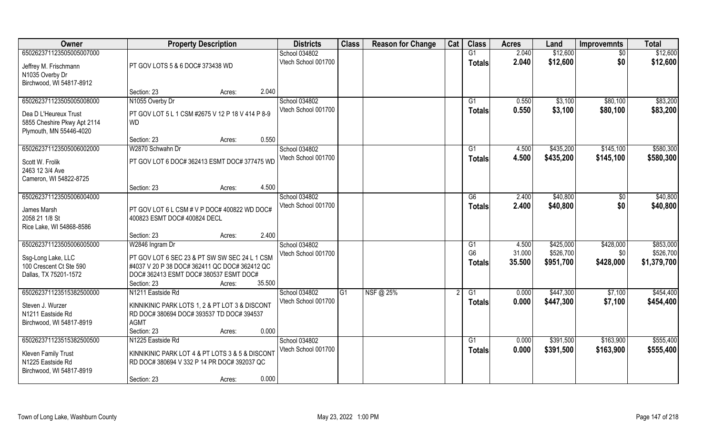| Owner                       | <b>Property Description</b>                      |        |        | <b>Districts</b>     | <b>Class</b> | <b>Reason for Change</b> | Cat | <b>Class</b>    | <b>Acres</b> | Land      | <b>Improvemnts</b> | <b>Total</b> |
|-----------------------------|--------------------------------------------------|--------|--------|----------------------|--------------|--------------------------|-----|-----------------|--------------|-----------|--------------------|--------------|
| 650262371123505005007000    |                                                  |        |        | School 034802        |              |                          |     | G1              | 2.040        | \$12,600  | $\overline{50}$    | \$12,600     |
| Jeffrey M. Frischmann       | PT GOV LOTS 5 & 6 DOC# 373438 WD                 |        |        | Vtech School 001700  |              |                          |     | <b>Totals</b>   | 2.040        | \$12,600  | \$0                | \$12,600     |
| N1035 Overby Dr             |                                                  |        |        |                      |              |                          |     |                 |              |           |                    |              |
| Birchwood, WI 54817-8912    |                                                  |        |        |                      |              |                          |     |                 |              |           |                    |              |
|                             | Section: 23                                      | Acres: | 2.040  |                      |              |                          |     |                 |              |           |                    |              |
| 650262371123505005008000    | N1055 Overby Dr                                  |        |        | <b>School 034802</b> |              |                          |     | G1              | 0.550        | \$3,100   | \$80,100           | \$83,200     |
| Dea D L'Heureux Trust       | PT GOV LOT 5 L 1 CSM #2675 V 12 P 18 V 414 P 8-9 |        |        | Vtech School 001700  |              |                          |     | Totals          | 0.550        | \$3,100   | \$80,100           | \$83,200     |
| 5855 Cheshire Pkwy Apt 2114 | <b>WD</b>                                        |        |        |                      |              |                          |     |                 |              |           |                    |              |
| Plymouth, MN 55446-4020     |                                                  |        |        |                      |              |                          |     |                 |              |           |                    |              |
|                             | Section: 23                                      | Acres: | 0.550  |                      |              |                          |     |                 |              |           |                    |              |
| 650262371123505006002000    | W2870 Schwahn Dr                                 |        |        | School 034802        |              |                          |     | G1              | 4.500        | \$435,200 | \$145,100          | \$580,300    |
| Scott W. Frolik             | PT GOV LOT 6 DOC# 362413 ESMT DOC# 377475 WD     |        |        | Vtech School 001700  |              |                          |     | <b>Totals</b>   | 4.500        | \$435,200 | \$145,100          | \$580,300    |
| 2463 12 3/4 Ave             |                                                  |        |        |                      |              |                          |     |                 |              |           |                    |              |
| Cameron, WI 54822-8725      |                                                  |        |        |                      |              |                          |     |                 |              |           |                    |              |
|                             | Section: 23                                      | Acres: | 4.500  |                      |              |                          |     |                 |              |           |                    |              |
| 650262371123505006004000    |                                                  |        |        | School 034802        |              |                          |     | G6              | 2.400        | \$40,800  | \$0                | \$40,800     |
| James Marsh                 | PT GOV LOT 6 L CSM # V P DOC# 400822 WD DOC#     |        |        | Vtech School 001700  |              |                          |     | <b>Totals</b>   | 2.400        | \$40,800  | \$0                | \$40,800     |
| 2058 21 1/8 St              | 400823 ESMT DOC# 400824 DECL                     |        |        |                      |              |                          |     |                 |              |           |                    |              |
| Rice Lake, WI 54868-8586    |                                                  |        |        |                      |              |                          |     |                 |              |           |                    |              |
|                             | Section: 23                                      | Acres: | 2.400  |                      |              |                          |     |                 |              |           |                    |              |
| 650262371123505006005000    | W2846 Ingram Dr                                  |        |        | School 034802        |              |                          |     | G1              | 4.500        | \$425,000 | \$428,000          | \$853,000    |
| Ssg-Long Lake, LLC          | PT GOV LOT 6 SEC 23 & PT SW SW SEC 24 L 1 CSM    |        |        | Vtech School 001700  |              |                          |     | G <sub>6</sub>  | 31.000       | \$526,700 | \$0                | \$526,700    |
| 100 Crescent Ct Ste 590     | #4037 V 20 P 38 DOC# 362411 QC DOC# 362412 QC    |        |        |                      |              |                          |     | Totals          | 35.500       | \$951,700 | \$428,000          | \$1,379,700  |
| Dallas, TX 75201-1572       | DOC# 362413 ESMT DOC# 380537 ESMT DOC#           |        |        |                      |              |                          |     |                 |              |           |                    |              |
|                             | Section: 23                                      | Acres: | 35.500 |                      |              |                          |     |                 |              |           |                    |              |
| 650262371123515382500000    | N1211 Eastside Rd                                |        |        | School 034802        | G1           | NSF@ 25%                 |     | $\overline{G1}$ | 0.000        | \$447,300 | \$7,100            | \$454,400    |
| Steven J. Wurzer            | KINNIKINIC PARK LOTS 1, 2 & PT LOT 3 & DISCONT   |        |        | Vtech School 001700  |              |                          |     | <b>Totals</b>   | 0.000        | \$447,300 | \$7,100            | \$454,400    |
| N1211 Eastside Rd           | RD DOC# 380694 DOC# 393537 TD DOC# 394537        |        |        |                      |              |                          |     |                 |              |           |                    |              |
| Birchwood, WI 54817-8919    | <b>AGMT</b>                                      |        |        |                      |              |                          |     |                 |              |           |                    |              |
|                             | Section: 23                                      | Acres: | 0.000  |                      |              |                          |     |                 |              |           |                    |              |
| 650262371123515382500500    | N1225 Eastside Rd                                |        |        | School 034802        |              |                          |     | G1              | 0.000        | \$391,500 | \$163,900          | \$555,400    |
| <b>Kleven Family Trust</b>  | KINNIKINIC PARK LOT 4 & PT LOTS 3 & 5 & DISCONT  |        |        | Vtech School 001700  |              |                          |     | Totals          | 0.000        | \$391,500 | \$163,900          | \$555,400    |
| N1225 Eastside Rd           | RD DOC# 380694 V 332 P 14 PR DOC# 392037 QC      |        |        |                      |              |                          |     |                 |              |           |                    |              |
| Birchwood, WI 54817-8919    |                                                  |        |        |                      |              |                          |     |                 |              |           |                    |              |
|                             | Section: 23                                      | Acres: | 0.000  |                      |              |                          |     |                 |              |           |                    |              |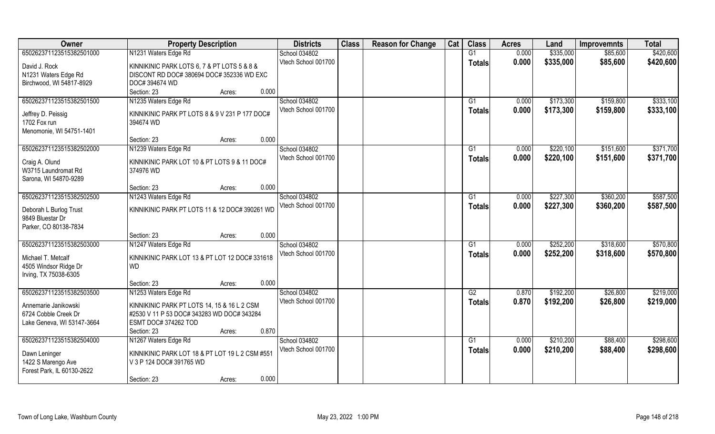| Owner                                 | <b>Property Description</b>                                 | <b>Districts</b>    | <b>Class</b> | <b>Reason for Change</b> | Cat | <b>Class</b>  | <b>Acres</b> | Land      | <b>Improvemnts</b> | <b>Total</b> |
|---------------------------------------|-------------------------------------------------------------|---------------------|--------------|--------------------------|-----|---------------|--------------|-----------|--------------------|--------------|
| 650262371123515382501000              | N1231 Waters Edge Rd                                        | School 034802       |              |                          |     | G1            | 0.000        | \$335,000 | \$85,600           | \$420,600    |
| David J. Rock                         | KINNIKINIC PARK LOTS 6, 7 & PT LOTS 5 & 8 &                 | Vtech School 001700 |              |                          |     | <b>Totals</b> | 0.000        | \$335,000 | \$85,600           | \$420,600    |
| N1231 Waters Edge Rd                  | DISCONT RD DOC# 380694 DOC# 352336 WD EXC                   |                     |              |                          |     |               |              |           |                    |              |
| Birchwood, WI 54817-8929              | DOC# 394674 WD                                              |                     |              |                          |     |               |              |           |                    |              |
|                                       | 0.000<br>Section: 23<br>Acres:                              |                     |              |                          |     |               |              |           |                    |              |
| 650262371123515382501500              | N1235 Waters Edge Rd                                        | School 034802       |              |                          |     | G1            | 0.000        | \$173,300 | \$159,800          | \$333,100    |
|                                       |                                                             | Vtech School 001700 |              |                          |     | Totals        | 0.000        | \$173,300 | \$159,800          | \$333,100    |
| Jeffrey D. Peissig<br>1702 Fox run    | KINNIKINIC PARK PT LOTS 8 & 9 V 231 P 177 DOC#<br>394674 WD |                     |              |                          |     |               |              |           |                    |              |
| Menomonie, WI 54751-1401              |                                                             |                     |              |                          |     |               |              |           |                    |              |
|                                       | 0.000<br>Section: 23<br>Acres:                              |                     |              |                          |     |               |              |           |                    |              |
| 650262371123515382502000              | N1239 Waters Edge Rd                                        | School 034802       |              |                          |     | G1            | 0.000        | \$220,100 | \$151,600          | \$371,700    |
|                                       |                                                             | Vtech School 001700 |              |                          |     | <b>Totals</b> | 0.000        | \$220,100 | \$151,600          | \$371,700    |
| Craig A. Olund<br>W3715 Laundromat Rd | KINNIKINIC PARK LOT 10 & PT LOTS 9 & 11 DOC#                |                     |              |                          |     |               |              |           |                    |              |
| Sarona, WI 54870-9289                 | 374976 WD                                                   |                     |              |                          |     |               |              |           |                    |              |
|                                       | 0.000<br>Section: 23<br>Acres:                              |                     |              |                          |     |               |              |           |                    |              |
| 650262371123515382502500              | N1243 Waters Edge Rd                                        | School 034802       |              |                          |     | G1            | 0.000        | \$227,300 | \$360,200          | \$587,500    |
|                                       |                                                             | Vtech School 001700 |              |                          |     | <b>Totals</b> | 0.000        | \$227,300 | \$360,200          | \$587,500    |
| Deborah L Burlog Trust                | KINNIKINIC PARK PT LOTS 11 & 12 DOC# 390261 WD              |                     |              |                          |     |               |              |           |                    |              |
| 9849 Bluestar Dr                      |                                                             |                     |              |                          |     |               |              |           |                    |              |
| Parker, CO 80138-7834                 | 0.000<br>Section: 23                                        |                     |              |                          |     |               |              |           |                    |              |
| 650262371123515382503000              | Acres:<br>N1247 Waters Edge Rd                              | School 034802       |              |                          |     | G1            | 0.000        | \$252,200 | \$318,600          | \$570,800    |
|                                       |                                                             | Vtech School 001700 |              |                          |     |               | 0.000        | \$252,200 | \$318,600          | \$570,800    |
| Michael T. Metcalf                    | KINNIKINIC PARK LOT 13 & PT LOT 12 DOC# 331618              |                     |              |                          |     | Totals        |              |           |                    |              |
| 4505 Windsor Ridge Dr                 | <b>WD</b>                                                   |                     |              |                          |     |               |              |           |                    |              |
| Irving, TX 75038-6305                 |                                                             |                     |              |                          |     |               |              |           |                    |              |
|                                       | 0.000<br>Section: 23<br>Acres:                              |                     |              |                          |     |               |              |           |                    |              |
| 650262371123515382503500              | N1253 Waters Edge Rd                                        | School 034802       |              |                          |     | G2            | 0.870        | \$192,200 | \$26,800           | \$219,000    |
| Annemarie Janikowski                  | KINNIKINIC PARK PT LOTS 14, 15 & 16 L 2 CSM                 | Vtech School 001700 |              |                          |     | <b>Totals</b> | 0.870        | \$192,200 | \$26,800           | \$219,000    |
| 6724 Cobble Creek Dr                  | #2530 V 11 P 53 DOC# 343283 WD DOC# 343284                  |                     |              |                          |     |               |              |           |                    |              |
| Lake Geneva, WI 53147-3664            | <b>ESMT DOC# 374262 TOD</b>                                 |                     |              |                          |     |               |              |           |                    |              |
|                                       | 0.870<br>Section: 23<br>Acres:                              |                     |              |                          |     |               |              |           |                    |              |
| 650262371123515382504000              | N1267 Waters Edge Rd                                        | School 034802       |              |                          |     | G1            | 0.000        | \$210,200 | \$88,400           | \$298,600    |
| Dawn Leninger                         | KINNIKINIC PARK LOT 18 & PT LOT 19 L 2 CSM #551             | Vtech School 001700 |              |                          |     | Totals        | 0.000        | \$210,200 | \$88,400           | \$298,600    |
| 1422 S Marengo Ave                    | V 3 P 124 DOC# 391765 WD                                    |                     |              |                          |     |               |              |           |                    |              |
| Forest Park, IL 60130-2622            |                                                             |                     |              |                          |     |               |              |           |                    |              |
|                                       | 0.000<br>Section: 23<br>Acres:                              |                     |              |                          |     |               |              |           |                    |              |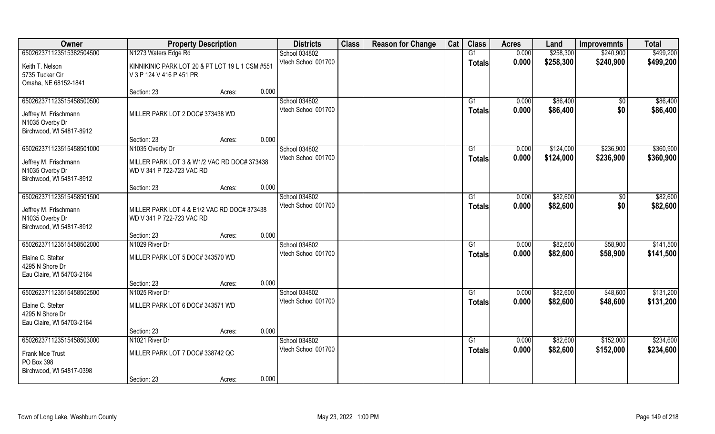| Owner                                       | <b>Property Description</b>                     |        |       | <b>Districts</b>                     | <b>Class</b> | <b>Reason for Change</b> | Cat | <b>Class</b>  | <b>Acres</b>   | Land                   | <b>Improvemnts</b>     | <b>Total</b> |
|---------------------------------------------|-------------------------------------------------|--------|-------|--------------------------------------|--------------|--------------------------|-----|---------------|----------------|------------------------|------------------------|--------------|
| 650262371123515382504500                    | N1273 Waters Edge Rd                            |        |       | School 034802                        |              |                          |     | G1            | 0.000          | \$258,300              | \$240,900              | \$499,200    |
| Keith T. Nelson                             | KINNIKINIC PARK LOT 20 & PT LOT 19 L 1 CSM #551 |        |       | Vtech School 001700                  |              |                          |     | <b>Totals</b> | 0.000          | \$258,300              | \$240,900              | \$499,200    |
| 5735 Tucker Cir                             | V 3 P 124 V 416 P 451 PR                        |        |       |                                      |              |                          |     |               |                |                        |                        |              |
| Omaha, NE 68152-1841                        |                                                 |        |       |                                      |              |                          |     |               |                |                        |                        |              |
|                                             | Section: 23                                     | Acres: | 0.000 |                                      |              |                          |     |               |                |                        |                        |              |
| 650262371123515458500500                    |                                                 |        |       | School 034802                        |              |                          |     | G1            | 0.000          | \$86,400               | $\overline{50}$        | \$86,400     |
| Jeffrey M. Frischmann                       | MILLER PARK LOT 2 DOC# 373438 WD                |        |       | Vtech School 001700                  |              |                          |     | Totals        | 0.000          | \$86,400               | \$0                    | \$86,400     |
| N1035 Overby Dr                             |                                                 |        |       |                                      |              |                          |     |               |                |                        |                        |              |
| Birchwood, WI 54817-8912                    |                                                 |        |       |                                      |              |                          |     |               |                |                        |                        |              |
|                                             | Section: 23                                     | Acres: | 0.000 |                                      |              |                          |     |               |                |                        |                        |              |
| 650262371123515458501000                    | N1035 Overby Dr                                 |        |       | School 034802<br>Vtech School 001700 |              |                          |     | G1            | 0.000<br>0.000 | \$124,000<br>\$124,000 | \$236,900<br>\$236,900 | \$360,900    |
| Jeffrey M. Frischmann                       | MILLER PARK LOT 3 & W1/2 VAC RD DOC# 373438     |        |       |                                      |              |                          |     | <b>Totals</b> |                |                        |                        | \$360,900    |
| N1035 Overby Dr                             | WD V 341 P 722-723 VAC RD                       |        |       |                                      |              |                          |     |               |                |                        |                        |              |
| Birchwood, WI 54817-8912                    | Section: 23                                     |        | 0.000 |                                      |              |                          |     |               |                |                        |                        |              |
| 650262371123515458501500                    |                                                 | Acres: |       | School 034802                        |              |                          |     | G1            | 0.000          | \$82,600               | \$0                    | \$82,600     |
|                                             |                                                 |        |       | Vtech School 001700                  |              |                          |     | Totals        | 0.000          | \$82,600               | \$0                    | \$82,600     |
| Jeffrey M. Frischmann                       | MILLER PARK LOT 4 & E1/2 VAC RD DOC# 373438     |        |       |                                      |              |                          |     |               |                |                        |                        |              |
| N1035 Overby Dr<br>Birchwood, WI 54817-8912 | WD V 341 P 722-723 VAC RD                       |        |       |                                      |              |                          |     |               |                |                        |                        |              |
|                                             | Section: 23                                     | Acres: | 0.000 |                                      |              |                          |     |               |                |                        |                        |              |
| 650262371123515458502000                    | N1029 River Dr                                  |        |       | School 034802                        |              |                          |     | G1            | 0.000          | \$82,600               | \$58,900               | \$141,500    |
| Elaine C. Stelter                           | MILLER PARK LOT 5 DOC# 343570 WD                |        |       | Vtech School 001700                  |              |                          |     | <b>Totals</b> | 0.000          | \$82,600               | \$58,900               | \$141,500    |
| 4295 N Shore Dr                             |                                                 |        |       |                                      |              |                          |     |               |                |                        |                        |              |
| Eau Claire, WI 54703-2164                   |                                                 |        |       |                                      |              |                          |     |               |                |                        |                        |              |
|                                             | Section: 23                                     | Acres: | 0.000 |                                      |              |                          |     |               |                |                        |                        |              |
| 650262371123515458502500                    | N1025 River Dr                                  |        |       | School 034802                        |              |                          |     | G1            | 0.000          | \$82,600               | \$48,600               | \$131,200    |
| Elaine C. Stelter                           | MILLER PARK LOT 6 DOC# 343571 WD                |        |       | Vtech School 001700                  |              |                          |     | <b>Totals</b> | 0.000          | \$82,600               | \$48,600               | \$131,200    |
| 4295 N Shore Dr                             |                                                 |        |       |                                      |              |                          |     |               |                |                        |                        |              |
| Eau Claire, WI 54703-2164                   |                                                 |        |       |                                      |              |                          |     |               |                |                        |                        |              |
|                                             | Section: 23                                     | Acres: | 0.000 |                                      |              |                          |     |               |                |                        |                        |              |
| 650262371123515458503000                    | N1021 River Dr                                  |        |       | School 034802                        |              |                          |     | G1            | 0.000          | \$82,600               | \$152,000              | \$234,600    |
| Frank Moe Trust                             | MILLER PARK LOT 7 DOC# 338742 QC                |        |       | Vtech School 001700                  |              |                          |     | <b>Totals</b> | 0.000          | \$82,600               | \$152,000              | \$234,600    |
| PO Box 398                                  |                                                 |        |       |                                      |              |                          |     |               |                |                        |                        |              |
| Birchwood, WI 54817-0398                    |                                                 |        |       |                                      |              |                          |     |               |                |                        |                        |              |
|                                             | Section: 23                                     | Acres: | 0.000 |                                      |              |                          |     |               |                |                        |                        |              |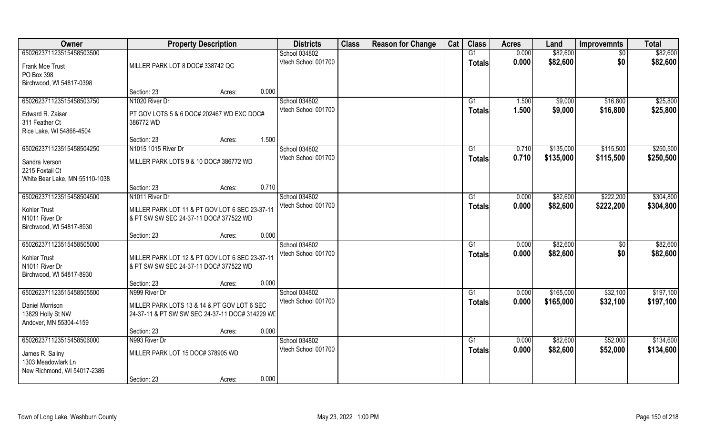| Owner                                                                                  |                                                                                                | <b>Property Description</b> |       | <b>Districts</b>                     | <b>Class</b> | <b>Reason for Change</b> | Cat | <b>Class</b>        | <b>Acres</b>   | Land                 | <b>Improvemnts</b> | <b>Total</b>         |
|----------------------------------------------------------------------------------------|------------------------------------------------------------------------------------------------|-----------------------------|-------|--------------------------------------|--------------|--------------------------|-----|---------------------|----------------|----------------------|--------------------|----------------------|
| 650262371123515458503500<br>Frank Moe Trust                                            | MILLER PARK LOT 8 DOC# 338742 QC                                                               |                             |       | School 034802<br>Vtech School 001700 |              |                          |     | G1<br><b>Totals</b> | 0.000<br>0.000 | \$82,600<br>\$82,600 | \$0<br>\$0         | \$82,600<br>\$82,600 |
| PO Box 398<br>Birchwood, WI 54817-0398                                                 | Section: 23                                                                                    | Acres:                      | 0.000 |                                      |              |                          |     |                     |                |                      |                    |                      |
| 650262371123515458503750                                                               | N1020 River Dr                                                                                 |                             |       | School 034802                        |              |                          |     | G1                  | 1.500          | \$9,000              | \$16,800           | \$25,800             |
| Edward R. Zaiser<br>311 Feather Ct<br>Rice Lake, WI 54868-4504                         | PT GOV LOTS 5 & 6 DOC# 202467 WD EXC DOC#<br>386772 WD                                         |                             |       | Vtech School 001700                  |              |                          |     | <b>Totals</b>       | 1.500          | \$9,000              | \$16,800           | \$25,800             |
|                                                                                        | Section: 23                                                                                    | Acres:                      | 1.500 |                                      |              |                          |     |                     |                |                      |                    |                      |
| 650262371123515458504250                                                               | N1015 1015 River Dr                                                                            |                             |       | School 034802                        |              |                          |     | G1                  | 0.710          | \$135,000            | \$115,500          | \$250,500            |
| Sandra Iverson<br>2215 Foxtail Ct<br>White Bear Lake, MN 55110-1038                    | MILLER PARK LOTS 9 & 10 DOC# 386772 WD                                                         |                             |       | Vtech School 001700                  |              |                          |     | <b>Totals</b>       | 0.710          | \$135,000            | \$115,500          | \$250,500            |
|                                                                                        | Section: 23                                                                                    | Acres:                      | 0.710 |                                      |              |                          |     |                     |                |                      |                    |                      |
| 650262371123515458504500                                                               | N1011 River Dr                                                                                 |                             |       | School 034802                        |              |                          |     | G1                  | 0.000          | \$82,600             | \$222,200          | \$304,800            |
| Kohler Trust<br>N1011 River Dr<br>Birchwood, WI 54817-8930                             | MILLER PARK LOT 11 & PT GOV LOT 6 SEC 23-37-11<br>& PT SW SW SEC 24-37-11 DOC# 377522 WD       |                             |       | Vtech School 001700                  |              |                          |     | <b>Totals</b>       | 0.000          | \$82,600             | \$222,200          | \$304,800            |
|                                                                                        | Section: 23                                                                                    | Acres:                      | 0.000 |                                      |              |                          |     |                     |                |                      |                    |                      |
| 650262371123515458505000<br>Kohler Trust<br>N1011 River Dr<br>Birchwood, WI 54817-8930 | MILLER PARK LOT 12 & PT GOV LOT 6 SEC 23-37-11<br>& PT SW SW SEC 24-37-11 DOC# 377522 WD       |                             |       | School 034802<br>Vtech School 001700 |              |                          |     | G1<br><b>Totals</b> | 0.000<br>0.000 | \$82,600<br>\$82,600 | \$0<br>\$0         | \$82,600<br>\$82,600 |
|                                                                                        | Section: 23                                                                                    | Acres:                      | 0.000 |                                      |              |                          |     |                     |                |                      |                    |                      |
| 650262371123515458505500                                                               | N999 River Dr                                                                                  |                             |       | School 034802                        |              |                          |     | G1                  | 0.000          | \$165,000            | \$32,100           | \$197,100            |
| Daniel Morrison<br>13829 Holly St NW<br>Andover, MN 55304-4159                         | MILLER PARK LOTS 13 & 14 & PT GOV LOT 6 SEC<br>24-37-11 & PT SW SW SEC 24-37-11 DOC# 314229 WE |                             |       | Vtech School 001700                  |              |                          |     | <b>Totals</b>       | 0.000          | \$165,000            | \$32,100           | \$197,100            |
|                                                                                        | Section: 23                                                                                    | Acres:                      | 0.000 |                                      |              |                          |     |                     |                |                      |                    |                      |
| 650262371123515458506000                                                               | N993 River Dr                                                                                  |                             |       | School 034802                        |              |                          |     | G1                  | 0.000          | \$82,600             | \$52,000           | \$134,600            |
| James R. Saliny<br>1303 Meadowlark Ln<br>New Richmond, WI 54017-2386                   | MILLER PARK LOT 15 DOC# 378905 WD                                                              |                             |       | Vtech School 001700                  |              |                          |     | <b>Totals</b>       | 0.000          | \$82,600             | \$52,000           | \$134,600            |
|                                                                                        | Section: 23                                                                                    | Acres:                      | 0.000 |                                      |              |                          |     |                     |                |                      |                    |                      |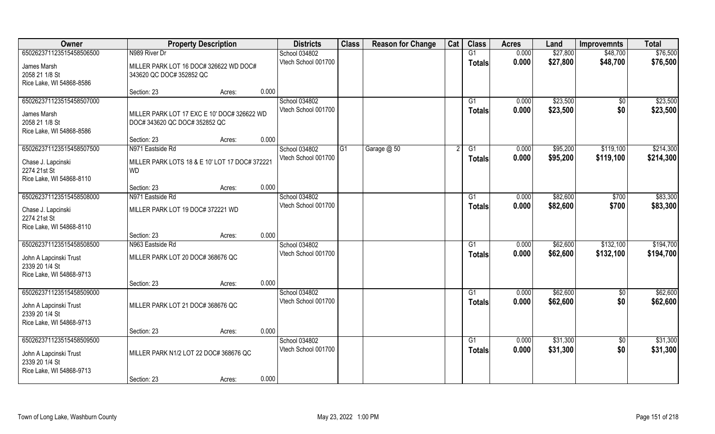| Owner                                                                                            | <b>Property Description</b>                                                     |                 | <b>Districts</b>                     | <b>Class</b> | <b>Reason for Change</b> | Cat | <b>Class</b>                     | <b>Acres</b>   | Land                 | <b>Improvemnts</b>     | <b>Total</b>           |
|--------------------------------------------------------------------------------------------------|---------------------------------------------------------------------------------|-----------------|--------------------------------------|--------------|--------------------------|-----|----------------------------------|----------------|----------------------|------------------------|------------------------|
| 650262371123515458506500                                                                         | N989 River Dr                                                                   |                 | School 034802                        |              |                          |     | G1                               | 0.000          | \$27,800             | \$48,700               | \$76,500               |
| James Marsh<br>2058 21 1/8 St<br>Rice Lake, WI 54868-8586                                        | MILLER PARK LOT 16 DOC# 326622 WD DOC#<br>343620 QC DOC# 352852 QC              |                 | Vtech School 001700                  |              |                          |     | <b>Totals</b>                    | 0.000          | \$27,800             | \$48,700               | \$76,500               |
|                                                                                                  | Section: 23                                                                     | 0.000<br>Acres: |                                      |              |                          |     |                                  |                |                      |                        |                        |
| 650262371123515458507000<br>James Marsh<br>2058 21 1/8 St<br>Rice Lake, WI 54868-8586            | MILLER PARK LOT 17 EXC E 10' DOC# 326622 WD<br>DOC# 343620 QC DOC# 352852 QC    |                 | School 034802<br>Vtech School 001700 |              |                          |     | G1<br><b>Totals</b>              | 0.000<br>0.000 | \$23,500<br>\$23,500 | $\sqrt{$0}$<br>\$0     | \$23,500<br>\$23,500   |
|                                                                                                  | Section: 23                                                                     | 0.000<br>Acres: |                                      |              |                          |     |                                  |                |                      |                        |                        |
| 650262371123515458507500<br>Chase J. Lapcinski<br>2274 21st St<br>Rice Lake, WI 54868-8110       | N971 Eastside Rd<br>MILLER PARK LOTS 18 & E 10' LOT 17 DOC# 372221<br><b>WD</b> |                 | School 034802<br>Vtech School 001700 | G1           | Garage @ 50              |     | G1<br>Totals                     | 0.000<br>0.000 | \$95,200<br>\$95,200 | \$119,100<br>\$119,100 | \$214,300<br>\$214,300 |
|                                                                                                  | Section: 23                                                                     | 0.000<br>Acres: |                                      |              |                          |     |                                  |                |                      |                        |                        |
| 650262371123515458508000                                                                         | N971 Eastside Rd                                                                |                 | School 034802                        |              |                          |     | G1                               | 0.000          | \$82,600             | \$700                  | \$83,300               |
| Chase J. Lapcinski<br>2274 21st St<br>Rice Lake, WI 54868-8110                                   | MILLER PARK LOT 19 DOC# 372221 WD                                               |                 | Vtech School 001700                  |              |                          |     | <b>Totals</b>                    | 0.000          | \$82,600             | \$700                  | \$83,300               |
|                                                                                                  | Section: 23                                                                     | 0.000<br>Acres: |                                      |              |                          |     |                                  |                |                      |                        |                        |
| 650262371123515458508500<br>John A Lapcinski Trust<br>2339 20 1/4 St<br>Rice Lake, WI 54868-9713 | N963 Eastside Rd<br>MILLER PARK LOT 20 DOC# 368676 QC                           |                 | School 034802<br>Vtech School 001700 |              |                          |     | G1<br><b>Totals</b>              | 0.000<br>0.000 | \$62,600<br>\$62,600 | \$132,100<br>\$132,100 | \$194,700<br>\$194,700 |
|                                                                                                  | Section: 23                                                                     | 0.000<br>Acres: |                                      |              |                          |     |                                  |                |                      |                        |                        |
| 650262371123515458509000<br>John A Lapcinski Trust<br>2339 20 1/4 St<br>Rice Lake, WI 54868-9713 | MILLER PARK LOT 21 DOC# 368676 QC                                               |                 | School 034802<br>Vtech School 001700 |              |                          |     | G1<br><b>Totals</b>              | 0.000<br>0.000 | \$62,600<br>\$62,600 | $\sqrt{$0}$<br>\$0     | \$62,600<br>\$62,600   |
|                                                                                                  | Section: 23                                                                     | 0.000<br>Acres: |                                      |              |                          |     |                                  |                |                      |                        |                        |
| 650262371123515458509500<br>John A Lapcinski Trust<br>2339 20 1/4 St<br>Rice Lake, WI 54868-9713 | MILLER PARK N1/2 LOT 22 DOC# 368676 QC                                          |                 | School 034802<br>Vtech School 001700 |              |                          |     | $\overline{G1}$<br><b>Totals</b> | 0.000<br>0.000 | \$31,300<br>\$31,300 | $\sqrt{$0}$<br>\$0     | \$31,300<br>\$31,300   |
|                                                                                                  | Section: 23                                                                     | 0.000<br>Acres: |                                      |              |                          |     |                                  |                |                      |                        |                        |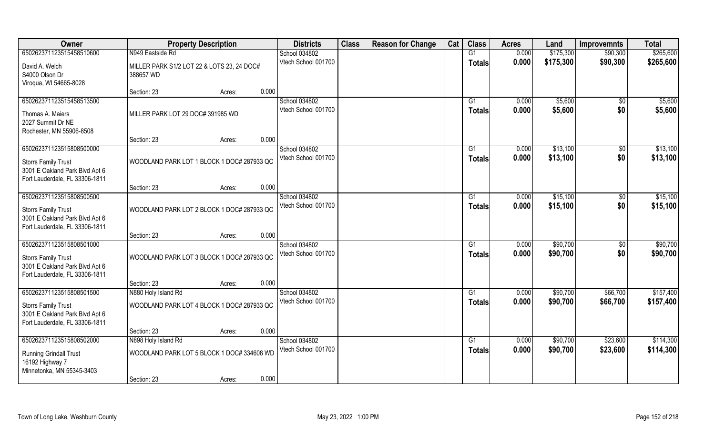| Owner                            | <b>Property Description</b>                             |                 | <b>Districts</b>                     | <b>Class</b> | <b>Reason for Change</b> | Cat | <b>Class</b>    | <b>Acres</b> | Land      | <b>Improvemnts</b> | <b>Total</b> |
|----------------------------------|---------------------------------------------------------|-----------------|--------------------------------------|--------------|--------------------------|-----|-----------------|--------------|-----------|--------------------|--------------|
| 650262371123515458510600         | N949 Eastside Rd                                        |                 | School 034802                        |              |                          |     | G1              | 0.000        | \$175,300 | \$90,300           | \$265,600    |
| David A. Welch<br>S4000 Olson Dr | MILLER PARK S1/2 LOT 22 & LOTS 23, 24 DOC#<br>388657 WD |                 | Vtech School 001700                  |              |                          |     | <b>Totals</b>   | 0.000        | \$175,300 | \$90,300           | \$265,600    |
| Viroqua, WI 54665-8028           |                                                         |                 |                                      |              |                          |     |                 |              |           |                    |              |
|                                  | Section: 23                                             | 0.000<br>Acres: |                                      |              |                          |     |                 |              |           |                    |              |
| 650262371123515458513500         |                                                         |                 | School 034802                        |              |                          |     | G1              | 0.000        | \$5,600   | \$0                | \$5,600      |
| Thomas A. Maiers                 | MILLER PARK LOT 29 DOC# 391985 WD                       |                 | Vtech School 001700                  |              |                          |     | Totals          | 0.000        | \$5,600   | \$0                | \$5,600      |
| 2027 Summit Dr NE                |                                                         |                 |                                      |              |                          |     |                 |              |           |                    |              |
| Rochester, MN 55906-8508         |                                                         |                 |                                      |              |                          |     |                 |              |           |                    |              |
|                                  | Section: 23                                             | 0.000<br>Acres: |                                      |              |                          |     |                 |              |           |                    |              |
| 650262371123515808500000         |                                                         |                 | School 034802                        |              |                          |     | G1              | 0.000        | \$13,100  | \$0                | \$13,100     |
| <b>Storrs Family Trust</b>       | WOODLAND PARK LOT 1 BLOCK 1 DOC# 287933 QC              |                 | Vtech School 001700                  |              |                          |     | <b>Totals</b>   | 0.000        | \$13,100  | \$0                | \$13,100     |
| 3001 E Oakland Park Blvd Apt 6   |                                                         |                 |                                      |              |                          |     |                 |              |           |                    |              |
| Fort Lauderdale, FL 33306-1811   |                                                         |                 |                                      |              |                          |     |                 |              |           |                    |              |
|                                  | Section: 23                                             | 0.000<br>Acres: |                                      |              |                          |     |                 |              |           |                    |              |
| 650262371123515808500500         |                                                         |                 | School 034802                        |              |                          |     | G1              | 0.000        | \$15,100  | \$0                | \$15,100     |
| <b>Storrs Family Trust</b>       | WOODLAND PARK LOT 2 BLOCK 1 DOC# 287933 QC              |                 | Vtech School 001700                  |              |                          |     | <b>Totals</b>   | 0.000        | \$15,100  | \$0                | \$15,100     |
| 3001 E Oakland Park Blvd Apt 6   |                                                         |                 |                                      |              |                          |     |                 |              |           |                    |              |
| Fort Lauderdale, FL 33306-1811   |                                                         |                 |                                      |              |                          |     |                 |              |           |                    |              |
|                                  | Section: 23                                             | 0.000<br>Acres: |                                      |              |                          |     |                 |              |           |                    |              |
| 650262371123515808501000         |                                                         |                 | School 034802                        |              |                          |     | G1              | 0.000        | \$90,700  | $\overline{50}$    | \$90,700     |
| <b>Storrs Family Trust</b>       | WOODLAND PARK LOT 3 BLOCK 1 DOC# 287933 QC              |                 | Vtech School 001700                  |              |                          |     | <b>Totals</b>   | 0.000        | \$90,700  | \$0                | \$90,700     |
| 3001 E Oakland Park Blvd Apt 6   |                                                         |                 |                                      |              |                          |     |                 |              |           |                    |              |
| Fort Lauderdale, FL 33306-1811   |                                                         |                 |                                      |              |                          |     |                 |              |           |                    |              |
|                                  | Section: 23                                             | 0.000<br>Acres: |                                      |              |                          |     |                 |              |           |                    |              |
| 650262371123515808501500         | N880 Holy Island Rd                                     |                 | School 034802                        |              |                          |     | $\overline{G1}$ | 0.000        | \$90,700  | \$66,700           | \$157,400    |
| <b>Storrs Family Trust</b>       | WOODLAND PARK LOT 4 BLOCK 1 DOC# 287933 QC              |                 | Vtech School 001700                  |              |                          |     | <b>Totals</b>   | 0.000        | \$90,700  | \$66,700           | \$157,400    |
| 3001 E Oakland Park Blvd Apt 6   |                                                         |                 |                                      |              |                          |     |                 |              |           |                    |              |
| Fort Lauderdale, FL 33306-1811   |                                                         |                 |                                      |              |                          |     |                 |              |           |                    |              |
|                                  | Section: 23                                             | 0.000<br>Acres: |                                      |              |                          |     |                 |              |           |                    |              |
| 650262371123515808502000         | N898 Holy Island Rd                                     |                 | School 034802<br>Vtech School 001700 |              |                          |     | G1              | 0.000        | \$90,700  | \$23,600           | \$114,300    |
| <b>Running Grindall Trust</b>    | WOODLAND PARK LOT 5 BLOCK 1 DOC# 334608 WD              |                 |                                      |              |                          |     | Totals          | 0.000        | \$90,700  | \$23,600           | \$114,300    |
| 16192 Highway 7                  |                                                         |                 |                                      |              |                          |     |                 |              |           |                    |              |
| Minnetonka, MN 55345-3403        |                                                         |                 |                                      |              |                          |     |                 |              |           |                    |              |
|                                  | Section: 23                                             | 0.000<br>Acres: |                                      |              |                          |     |                 |              |           |                    |              |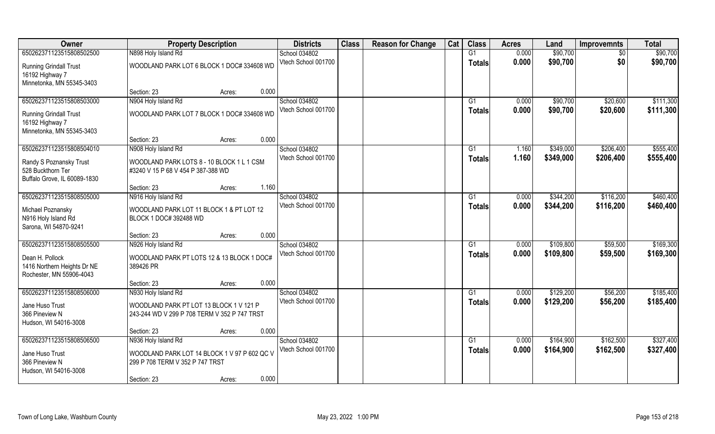| Owner                                                                         | <b>Property Description</b>                                                             | <b>Districts</b>    | <b>Class</b> | <b>Reason for Change</b> | Cat | <b>Class</b>  | <b>Acres</b> | Land      | <b>Improvemnts</b> | <b>Total</b> |
|-------------------------------------------------------------------------------|-----------------------------------------------------------------------------------------|---------------------|--------------|--------------------------|-----|---------------|--------------|-----------|--------------------|--------------|
| 650262371123515808502500                                                      | N898 Holy Island Rd                                                                     | School 034802       |              |                          |     | G1            | 0.000        | \$90,700  | $\sqrt{6}$         | \$90,700     |
| <b>Running Grindall Trust</b><br>16192 Highway 7                              | WOODLAND PARK LOT 6 BLOCK 1 DOC# 334608 WD                                              | Vtech School 001700 |              |                          |     | <b>Totals</b> | 0.000        | \$90,700  | \$0                | \$90,700     |
| Minnetonka, MN 55345-3403                                                     | 0.000<br>Section: 23<br>Acres:                                                          |                     |              |                          |     |               |              |           |                    |              |
| 650262371123515808503000                                                      | N904 Holy Island Rd                                                                     | School 034802       |              |                          |     | G1            | 0.000        | \$90,700  | \$20,600           | \$111,300    |
| <b>Running Grindall Trust</b><br>16192 Highway 7<br>Minnetonka, MN 55345-3403 | WOODLAND PARK LOT 7 BLOCK 1 DOC# 334608 WD                                              | Vtech School 001700 |              |                          |     | Totals        | 0.000        | \$90,700  | \$20,600           | \$111,300    |
|                                                                               | 0.000<br>Section: 23<br>Acres:                                                          |                     |              |                          |     |               |              |           |                    |              |
| 650262371123515808504010                                                      | N908 Holy Island Rd                                                                     | School 034802       |              |                          |     | G1            | 1.160        | \$349,000 | \$206,400          | \$555,400    |
| Randy S Poznansky Trust<br>528 Buckthorn Ter<br>Buffalo Grove, IL 60089-1830  | WOODLAND PARK LOTS 8 - 10 BLOCK 1 L 1 CSM<br>#3240 V 15 P 68 V 454 P 387-388 WD         | Vtech School 001700 |              |                          |     | <b>Totals</b> | 1.160        | \$349,000 | \$206,400          | \$555,400    |
|                                                                               | 1.160<br>Section: 23<br>Acres:                                                          |                     |              |                          |     |               |              |           |                    |              |
| 650262371123515808505000                                                      | N916 Holy Island Rd                                                                     | School 034802       |              |                          |     | G1            | 0.000        | \$344,200 | \$116,200          | \$460,400    |
| Michael Poznansky<br>N916 Holy Island Rd<br>Sarona, WI 54870-9241             | WOODLAND PARK LOT 11 BLOCK 1 & PT LOT 12<br>BLOCK 1 DOC# 392488 WD                      | Vtech School 001700 |              |                          |     | Totals        | 0.000        | \$344,200 | \$116,200          | \$460,400    |
|                                                                               | 0.000<br>Section: 23<br>Acres:                                                          |                     |              |                          |     |               |              |           |                    |              |
| 650262371123515808505500                                                      | N926 Holy Island Rd                                                                     | School 034802       |              |                          |     | G1            | 0.000        | \$109,800 | \$59,500           | \$169,300    |
| Dean H. Pollock<br>1416 Northern Heights Dr NE<br>Rochester, MN 55906-4043    | WOODLAND PARK PT LOTS 12 & 13 BLOCK 1 DOC#<br>389426 PR                                 | Vtech School 001700 |              |                          |     | <b>Totals</b> | 0.000        | \$109,800 | \$59,500           | \$169,300    |
|                                                                               | 0.000<br>Section: 23<br>Acres:                                                          |                     |              |                          |     |               |              |           |                    |              |
| 650262371123515808506000                                                      | N930 Holy Island Rd                                                                     | School 034802       |              |                          |     | G1            | 0.000        | \$129,200 | \$56,200           | \$185,400    |
| Jane Huso Trust<br>366 Pineview N<br>Hudson, WI 54016-3008                    | WOODLAND PARK PT LOT 13 BLOCK 1 V 121 P<br>243-244 WD V 299 P 708 TERM V 352 P 747 TRST | Vtech School 001700 |              |                          |     | <b>Totals</b> | 0.000        | \$129,200 | \$56,200           | \$185,400    |
|                                                                               | 0.000<br>Section: 23<br>Acres:                                                          |                     |              |                          |     |               |              |           |                    |              |
| 650262371123515808506500                                                      | N936 Holy Island Rd                                                                     | School 034802       |              |                          |     | G1            | 0.000        | \$164,900 | \$162,500          | \$327,400    |
| Jane Huso Trust<br>366 Pineview N<br>Hudson, WI 54016-3008                    | WOODLAND PARK LOT 14 BLOCK 1 V 97 P 602 QC V<br>299 P 708 TERM V 352 P 747 TRST         | Vtech School 001700 |              |                          |     | <b>Totals</b> | 0.000        | \$164,900 | \$162,500          | \$327,400    |
|                                                                               | 0.000<br>Section: 23<br>Acres:                                                          |                     |              |                          |     |               |              |           |                    |              |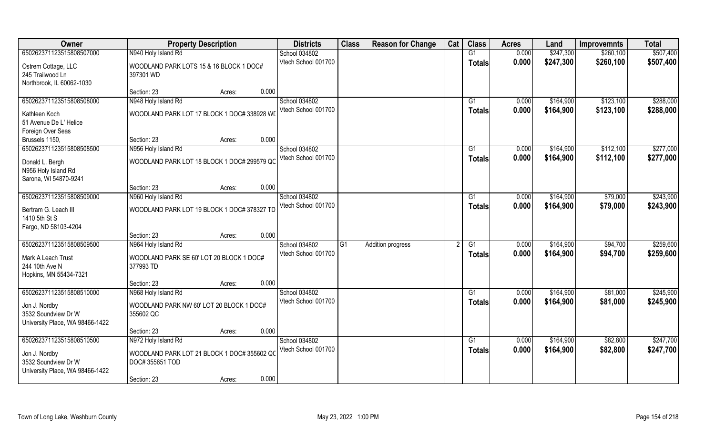| Owner                                                                                               | <b>Property Description</b>                                                           | <b>Districts</b>                     | <b>Class</b>    | <b>Reason for Change</b> | Cat | <b>Class</b>              | <b>Acres</b>   | Land                   | <b>Improvemnts</b>   | <b>Total</b>           |
|-----------------------------------------------------------------------------------------------------|---------------------------------------------------------------------------------------|--------------------------------------|-----------------|--------------------------|-----|---------------------------|----------------|------------------------|----------------------|------------------------|
| 650262371123515808507000                                                                            | N940 Holy Island Rd                                                                   | School 034802                        |                 |                          |     | G1                        | 0.000          | \$247,300              | \$260,100            | \$507,400              |
| Ostrem Cottage, LLC<br>245 Trailwood Ln<br>Northbrook, IL 60062-1030                                | WOODLAND PARK LOTS 15 & 16 BLOCK 1 DOC#<br>397301 WD                                  | Vtech School 001700                  |                 |                          |     | <b>Totals</b>             | 0.000          | \$247,300              | \$260,100            | \$507,400              |
|                                                                                                     | 0.000<br>Section: 23<br>Acres:                                                        |                                      |                 |                          |     |                           |                |                        |                      |                        |
| 650262371123515808508000                                                                            | N948 Holy Island Rd                                                                   | School 034802<br>Vtech School 001700 |                 |                          |     | G1                        | 0.000<br>0.000 | \$164,900              | \$123,100            | \$288,000              |
| Kathleen Koch<br>51 Avenue De L' Helice<br>Foreign Over Seas                                        | WOODLAND PARK LOT 17 BLOCK 1 DOC# 338928 WD                                           |                                      |                 |                          |     | <b>Totals</b>             |                | \$164,900              | \$123,100            | \$288,000              |
| Brussels 1150,                                                                                      | 0.000<br>Section: 23<br>Acres:                                                        |                                      |                 |                          |     |                           |                |                        |                      |                        |
| 650262371123515808508500                                                                            | N956 Holy Island Rd                                                                   | School 034802                        |                 |                          |     | G1                        | 0.000          | \$164,900              | \$112,100            | \$277,000              |
| Donald L. Bergh<br>N956 Holy Island Rd<br>Sarona, WI 54870-9241                                     | WOODLAND PARK LOT 18 BLOCK 1 DOC# 299579 QC                                           | Vtech School 001700                  |                 |                          |     | <b>Totals</b>             | 0.000          | \$164,900              | \$112,100            | \$277,000              |
|                                                                                                     | 0.000<br>Section: 23<br>Acres:                                                        |                                      |                 |                          |     |                           |                |                        |                      |                        |
| 650262371123515808509000                                                                            | N960 Holy Island Rd                                                                   | School 034802                        |                 |                          |     | G1                        | 0.000          | \$164,900              | \$79,000             | \$243,900              |
| Bertram G. Leach III<br>1410 5th St S<br>Fargo, ND 58103-4204                                       | WOODLAND PARK LOT 19 BLOCK 1 DOC# 378327 TD                                           | Vtech School 001700                  |                 |                          |     | <b>Totals</b>             | 0.000          | \$164,900              | \$79,000             | \$243,900              |
|                                                                                                     | 0.000<br>Section: 23<br>Acres:                                                        |                                      |                 |                          |     |                           |                |                        |                      |                        |
| 650262371123515808509500<br>Mark A Leach Trust<br>244 10th Ave N<br>Hopkins, MN 55434-7321          | N964 Holy Island Rd<br>WOODLAND PARK SE 60' LOT 20 BLOCK 1 DOC#<br>377993 TD          | School 034802<br>Vtech School 001700 | $\overline{G1}$ | Addition progress        |     | $\overline{G1}$<br>Totals | 0.000<br>0.000 | \$164,900<br>\$164,900 | \$94,700<br>\$94,700 | \$259,600<br>\$259,600 |
|                                                                                                     | 0.000<br>Section: 23<br>Acres:                                                        |                                      |                 |                          |     |                           |                |                        |                      |                        |
| 650262371123515808510000                                                                            | N968 Holy Island Rd                                                                   | School 034802                        |                 |                          |     | G1                        | 0.000          | \$164,900              | \$81,000             | \$245,900              |
| Jon J. Nordby<br>3532 Soundview Dr W<br>University Place, WA 98466-1422                             | WOODLAND PARK NW 60' LOT 20 BLOCK 1 DOC#<br>355602 QC                                 | Vtech School 001700                  |                 |                          |     | <b>Totals</b>             | 0.000          | \$164,900              | \$81,000             | \$245,900              |
|                                                                                                     | 0.000<br>Section: 23<br>Acres:                                                        |                                      |                 |                          |     |                           |                |                        |                      |                        |
| 650262371123515808510500<br>Jon J. Nordby<br>3532 Soundview Dr W<br>University Place, WA 98466-1422 | N972 Holy Island Rd<br>WOODLAND PARK LOT 21 BLOCK 1 DOC# 355602 QC<br>DOC# 355651 TOD | School 034802<br>Vtech School 001700 |                 |                          |     | G1<br><b>Totals</b>       | 0.000<br>0.000 | \$164,900<br>\$164,900 | \$82,800<br>\$82,800 | \$247,700<br>\$247,700 |
|                                                                                                     | 0.000<br>Section: 23<br>Acres:                                                        |                                      |                 |                          |     |                           |                |                        |                      |                        |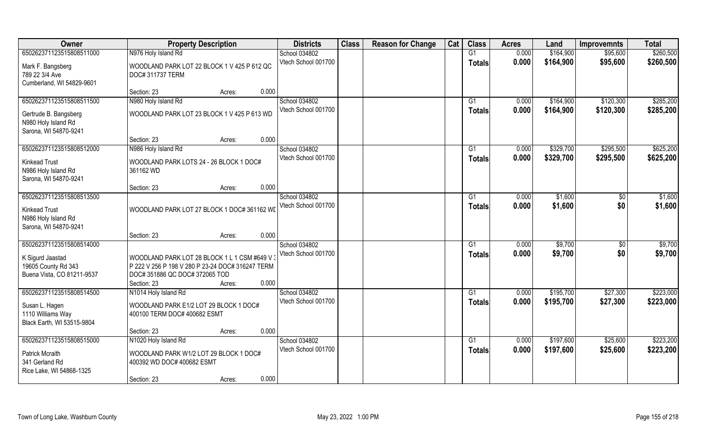| Owner                      | <b>Property Description</b>                      | <b>Districts</b>    | <b>Class</b> | <b>Reason for Change</b> | Cat | <b>Class</b>  | <b>Acres</b> | Land      | <b>Improvemnts</b> | <b>Total</b> |
|----------------------------|--------------------------------------------------|---------------------|--------------|--------------------------|-----|---------------|--------------|-----------|--------------------|--------------|
| 650262371123515808511000   | N976 Holy Island Rd                              | School 034802       |              |                          |     | G1            | 0.000        | \$164,900 | \$95,600           | \$260,500    |
| Mark F. Bangsberg          | WOODLAND PARK LOT 22 BLOCK 1 V 425 P 612 QC      | Vtech School 001700 |              |                          |     | <b>Totals</b> | 0.000        | \$164,900 | \$95,600           | \$260,500    |
| 789 22 3/4 Ave             | DOC# 311737 TERM                                 |                     |              |                          |     |               |              |           |                    |              |
| Cumberland, WI 54829-9601  |                                                  |                     |              |                          |     |               |              |           |                    |              |
|                            | 0.000<br>Section: 23<br>Acres:                   |                     |              |                          |     |               |              |           |                    |              |
| 650262371123515808511500   | N980 Holy Island Rd                              | School 034802       |              |                          |     | G1            | 0.000        | \$164,900 | \$120,300          | \$285,200    |
| Gertrude B. Bangsberg      | WOODLAND PARK LOT 23 BLOCK 1 V 425 P 613 WD      | Vtech School 001700 |              |                          |     | Totals        | 0.000        | \$164,900 | \$120,300          | \$285,200    |
| N980 Holy Island Rd        |                                                  |                     |              |                          |     |               |              |           |                    |              |
| Sarona, WI 54870-9241      |                                                  |                     |              |                          |     |               |              |           |                    |              |
|                            | 0.000<br>Section: 23<br>Acres:                   |                     |              |                          |     |               |              |           |                    |              |
| 650262371123515808512000   | N986 Holy Island Rd                              | School 034802       |              |                          |     | G1            | 0.000        | \$329,700 | \$295,500          | \$625,200    |
| <b>Kinkead Trust</b>       | WOODLAND PARK LOTS 24 - 26 BLOCK 1 DOC#          | Vtech School 001700 |              |                          |     | <b>Totals</b> | 0.000        | \$329,700 | \$295,500          | \$625,200    |
| N986 Holy Island Rd        | 361162 WD                                        |                     |              |                          |     |               |              |           |                    |              |
| Sarona, WI 54870-9241      |                                                  |                     |              |                          |     |               |              |           |                    |              |
|                            | 0.000<br>Section: 23<br>Acres:                   |                     |              |                          |     |               |              |           |                    |              |
| 650262371123515808513500   |                                                  | School 034802       |              |                          |     | G1            | 0.000        | \$1,600   | \$0                | \$1,600      |
| <b>Kinkead Trust</b>       | WOODLAND PARK LOT 27 BLOCK 1 DOC# 361162 WD      | Vtech School 001700 |              |                          |     | <b>Totals</b> | 0.000        | \$1,600   | \$0                | \$1,600      |
| N986 Holy Island Rd        |                                                  |                     |              |                          |     |               |              |           |                    |              |
| Sarona, WI 54870-9241      |                                                  |                     |              |                          |     |               |              |           |                    |              |
|                            | 0.000<br>Section: 23<br>Acres:                   |                     |              |                          |     |               |              |           |                    |              |
| 650262371123515808514000   |                                                  | School 034802       |              |                          |     | G1            | 0.000        | \$9,700   | $\sqrt[6]{30}$     | \$9,700      |
| K Sigurd Jaastad           | WOODLAND PARK LOT 28 BLOCK 1 L 1 CSM #649 V      | Vtech School 001700 |              |                          |     | <b>Totals</b> | 0.000        | \$9,700   | \$0                | \$9,700      |
| 19605 County Rd 343        | P 222 V 256 P 198 V 280 P 23-24 DOC# 316247 TERM |                     |              |                          |     |               |              |           |                    |              |
| Buena Vista, CO 81211-9537 | DOC# 351886 QC DOC# 372065 TOD                   |                     |              |                          |     |               |              |           |                    |              |
|                            | 0.000<br>Section: 23<br>Acres:                   |                     |              |                          |     |               |              |           |                    |              |
| 650262371123515808514500   | N1014 Holy Island Rd                             | School 034802       |              |                          |     | G1            | 0.000        | \$195,700 | \$27,300           | \$223,000    |
| Susan L. Hagen             | WOODLAND PARK E1/2 LOT 29 BLOCK 1 DOC#           | Vtech School 001700 |              |                          |     | <b>Totals</b> | 0.000        | \$195,700 | \$27,300           | \$223,000    |
| 1110 Williams Way          | 400100 TERM DOC# 400682 ESMT                     |                     |              |                          |     |               |              |           |                    |              |
| Black Earth, WI 53515-9804 |                                                  |                     |              |                          |     |               |              |           |                    |              |
|                            | 0.000<br>Section: 23<br>Acres:                   |                     |              |                          |     |               |              |           |                    |              |
| 650262371123515808515000   | N1020 Holy Island Rd                             | School 034802       |              |                          |     | G1            | 0.000        | \$197,600 | \$25,600           | \$223,200    |
| <b>Patrick Mcraith</b>     | WOODLAND PARK W1/2 LOT 29 BLOCK 1 DOC#           | Vtech School 001700 |              |                          |     | <b>Totals</b> | 0.000        | \$197,600 | \$25,600           | \$223,200    |
| 341 Gerland Rd             | 400392 WD DOC# 400682 ESMT                       |                     |              |                          |     |               |              |           |                    |              |
| Rice Lake, WI 54868-1325   |                                                  |                     |              |                          |     |               |              |           |                    |              |
|                            | 0.000<br>Section: 23<br>Acres:                   |                     |              |                          |     |               |              |           |                    |              |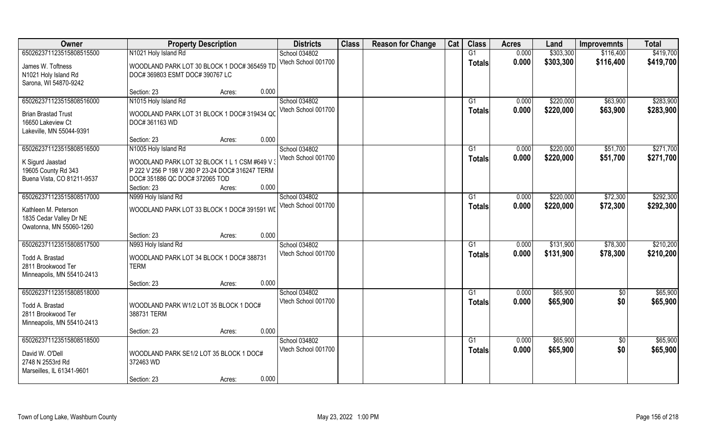| Owner                      | <b>Property Description</b>                      |        | <b>Districts</b>    | <b>Class</b> | <b>Reason for Change</b> | Cat | <b>Class</b>  | <b>Acres</b> | Land      | <b>Improvemnts</b> | <b>Total</b> |
|----------------------------|--------------------------------------------------|--------|---------------------|--------------|--------------------------|-----|---------------|--------------|-----------|--------------------|--------------|
| 650262371123515808515500   | N1021 Holy Island Rd                             |        | School 034802       |              |                          |     | G1            | 0.000        | \$303,300 | \$116,400          | \$419,700    |
| James W. Toftness          | WOODLAND PARK LOT 30 BLOCK 1 DOC# 365459 TD      |        | Vtech School 001700 |              |                          |     | <b>Totals</b> | 0.000        | \$303,300 | \$116,400          | \$419,700    |
| N1021 Holy Island Rd       | DOC# 369803 ESMT DOC# 390767 LC                  |        |                     |              |                          |     |               |              |           |                    |              |
| Sarona, WI 54870-9242      |                                                  |        |                     |              |                          |     |               |              |           |                    |              |
|                            | Section: 23                                      | Acres: | 0.000               |              |                          |     |               |              |           |                    |              |
| 650262371123515808516000   | N1015 Holy Island Rd                             |        | School 034802       |              |                          |     | G1            | 0.000        | \$220,000 | \$63,900           | \$283,900    |
| <b>Brian Brastad Trust</b> | WOODLAND PARK LOT 31 BLOCK 1 DOC# 319434 QC      |        | Vtech School 001700 |              |                          |     | Totals        | 0.000        | \$220,000 | \$63,900           | \$283,900    |
| 16650 Lakeview Ct          | DOC# 361163 WD                                   |        |                     |              |                          |     |               |              |           |                    |              |
| Lakeville, MN 55044-9391   |                                                  |        |                     |              |                          |     |               |              |           |                    |              |
|                            | Section: 23                                      | Acres: | 0.000               |              |                          |     |               |              |           |                    |              |
| 650262371123515808516500   | N1005 Holy Island Rd                             |        | School 034802       |              |                          |     | G1            | 0.000        | \$220,000 | \$51,700           | \$271,700    |
| K Sigurd Jaastad           | WOODLAND PARK LOT 32 BLOCK 1 L 1 CSM #649 V      |        | Vtech School 001700 |              |                          |     | <b>Totals</b> | 0.000        | \$220,000 | \$51,700           | \$271,700    |
| 19605 County Rd 343        | P 222 V 256 P 198 V 280 P 23-24 DOC# 316247 TERM |        |                     |              |                          |     |               |              |           |                    |              |
| Buena Vista, CO 81211-9537 | DOC# 351886 QC DOC# 372065 TOD                   |        |                     |              |                          |     |               |              |           |                    |              |
|                            | Section: 23                                      | Acres: | 0.000               |              |                          |     |               |              |           |                    |              |
| 650262371123515808517000   | N999 Holy Island Rd                              |        | School 034802       |              |                          |     | G1            | 0.000        | \$220,000 | \$72,300           | \$292,300    |
| Kathleen M. Peterson       | WOODLAND PARK LOT 33 BLOCK 1 DOC# 391591 WD      |        | Vtech School 001700 |              |                          |     | <b>Totals</b> | 0.000        | \$220,000 | \$72,300           | \$292,300    |
| 1835 Cedar Valley Dr NE    |                                                  |        |                     |              |                          |     |               |              |           |                    |              |
| Owatonna, MN 55060-1260    |                                                  |        |                     |              |                          |     |               |              |           |                    |              |
|                            | Section: 23                                      | Acres: | 0.000               |              |                          |     |               |              |           |                    |              |
| 650262371123515808517500   | N993 Holy Island Rd                              |        | School 034802       |              |                          |     | G1            | 0.000        | \$131,900 | \$78,300           | \$210,200    |
| Todd A. Brastad            | WOODLAND PARK LOT 34 BLOCK 1 DOC# 388731         |        | Vtech School 001700 |              |                          |     | <b>Totals</b> | 0.000        | \$131,900 | \$78,300           | \$210,200    |
| 2811 Brookwood Ter         | <b>TERM</b>                                      |        |                     |              |                          |     |               |              |           |                    |              |
| Minneapolis, MN 55410-2413 |                                                  |        |                     |              |                          |     |               |              |           |                    |              |
|                            | Section: 23                                      | Acres: | 0.000               |              |                          |     |               |              |           |                    |              |
| 650262371123515808518000   |                                                  |        | School 034802       |              |                          |     | G1            | 0.000        | \$65,900  | $\overline{60}$    | \$65,900     |
| Todd A. Brastad            | WOODLAND PARK W1/2 LOT 35 BLOCK 1 DOC#           |        | Vtech School 001700 |              |                          |     | <b>Totals</b> | 0.000        | \$65,900  | \$0                | \$65,900     |
| 2811 Brookwood Ter         | 388731 TERM                                      |        |                     |              |                          |     |               |              |           |                    |              |
| Minneapolis, MN 55410-2413 |                                                  |        |                     |              |                          |     |               |              |           |                    |              |
|                            | Section: 23                                      | Acres: | 0.000               |              |                          |     |               |              |           |                    |              |
| 650262371123515808518500   |                                                  |        | School 034802       |              |                          |     | G1            | 0.000        | \$65,900  | $\overline{50}$    | \$65,900     |
| David W. O'Dell            | WOODLAND PARK SE1/2 LOT 35 BLOCK 1 DOC#          |        | Vtech School 001700 |              |                          |     | Totals        | 0.000        | \$65,900  | \$0                | \$65,900     |
| 2748 N 2553rd Rd           | 372463 WD                                        |        |                     |              |                          |     |               |              |           |                    |              |
| Marseilles, IL 61341-9601  |                                                  |        |                     |              |                          |     |               |              |           |                    |              |
|                            | Section: 23                                      | Acres: | 0.000               |              |                          |     |               |              |           |                    |              |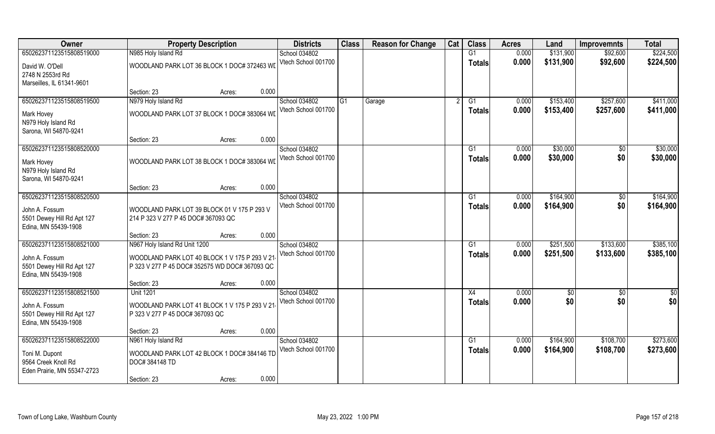| Owner                                                                |                                                                                                 | <b>Property Description</b>                 |       | <b>Districts</b>    | <b>Class</b> | <b>Reason for Change</b> | Cat | <b>Class</b>  | <b>Acres</b> | Land      | <b>Improvemnts</b> | <b>Total</b>  |
|----------------------------------------------------------------------|-------------------------------------------------------------------------------------------------|---------------------------------------------|-------|---------------------|--------------|--------------------------|-----|---------------|--------------|-----------|--------------------|---------------|
| 650262371123515808519000                                             | N985 Holy Island Rd                                                                             |                                             |       | School 034802       |              |                          |     | G1            | 0.000        | \$131,900 | \$92,600           | \$224,500     |
| David W. O'Dell<br>2748 N 2553rd Rd<br>Marseilles, IL 61341-9601     | WOODLAND PARK LOT 36 BLOCK 1 DOC# 372463 WD                                                     |                                             |       | Vtech School 001700 |              |                          |     | <b>Totals</b> | 0.000        | \$131,900 | \$92,600           | \$224,500     |
|                                                                      | Section: 23                                                                                     | Acres:                                      | 0.000 |                     |              |                          |     |               |              |           |                    |               |
| 650262371123515808519500                                             | N979 Holy Island Rd                                                                             |                                             |       | School 034802       | G1           | Garage                   |     | G1            | 0.000        | \$153,400 | \$257,600          | \$411,000     |
| Mark Hovey<br>N979 Holy Island Rd<br>Sarona, WI 54870-9241           | WOODLAND PARK LOT 37 BLOCK 1 DOC# 383064 WD                                                     |                                             |       | Vtech School 001700 |              |                          |     | Totals        | 0.000        | \$153,400 | \$257,600          | \$411,000     |
|                                                                      | Section: 23                                                                                     | Acres:                                      | 0.000 |                     |              |                          |     |               |              |           |                    |               |
| 650262371123515808520000                                             |                                                                                                 |                                             |       | School 034802       |              |                          |     | G1            | 0.000        | \$30,000  | $\sqrt[6]{}$       | \$30,000      |
| Mark Hovey<br>N979 Holy Island Rd<br>Sarona, WI 54870-9241           | WOODLAND PARK LOT 38 BLOCK 1 DOC# 383064 WD                                                     |                                             |       | Vtech School 001700 |              |                          |     | <b>Totals</b> | 0.000        | \$30,000  | \$0                | \$30,000      |
|                                                                      | Section: 23                                                                                     | Acres:                                      | 0.000 |                     |              |                          |     |               |              |           |                    |               |
| 650262371123515808520500                                             |                                                                                                 |                                             |       | School 034802       |              |                          |     | G1            | 0.000        | \$164,900 | \$0                | \$164,900     |
| John A. Fossum<br>5501 Dewey Hill Rd Apt 127<br>Edina, MN 55439-1908 | WOODLAND PARK LOT 39 BLOCK 01 V 175 P 293 V<br>214 P 323 V 277 P 45 DOC# 367093 QC              |                                             |       | Vtech School 001700 |              |                          |     | Totals        | 0.000        | \$164,900 | \$0                | \$164,900     |
|                                                                      | Section: 23                                                                                     | Acres:                                      | 0.000 |                     |              |                          |     |               |              |           |                    |               |
| 650262371123515808521000                                             | N967 Holy Island Rd Unit 1200                                                                   |                                             |       | School 034802       |              |                          |     | G1            | 0.000        | \$251,500 | \$133,600          | \$385,100     |
| John A. Fossum<br>5501 Dewey Hill Rd Apt 127<br>Edina, MN 55439-1908 | WOODLAND PARK LOT 40 BLOCK 1 V 175 P 293 V 21<br>P 323 V 277 P 45 DOC# 352575 WD DOC# 367093 QC |                                             |       | Vtech School 001700 |              |                          |     | <b>Totals</b> | 0.000        | \$251,500 | \$133,600          | \$385,100     |
|                                                                      | Section: 23                                                                                     | Acres:                                      | 0.000 |                     |              |                          |     |               |              |           |                    |               |
| 650262371123515808521500                                             | <b>Unit 1201</b>                                                                                |                                             |       | School 034802       |              |                          |     | X4            | 0.000        | \$0       | $\overline{50}$    | $\frac{6}{3}$ |
| John A. Fossum<br>5501 Dewey Hill Rd Apt 127<br>Edina, MN 55439-1908 | WOODLAND PARK LOT 41 BLOCK 1 V 175 P 293 V 21<br>P 323 V 277 P 45 DOC# 367093 QC                |                                             |       | Vtech School 001700 |              |                          |     | <b>Totals</b> | 0.000        | \$0       | \$0                | \$0           |
|                                                                      | Section: 23                                                                                     | Acres:                                      | 0.000 |                     |              |                          |     |               |              |           |                    |               |
| 650262371123515808522000                                             | N961 Holy Island Rd                                                                             |                                             |       | School 034802       |              |                          |     | G1            | 0.000        | \$164,900 | \$108,700          | \$273,600     |
| Toni M. Dupont<br>9564 Creek Knoll Rd<br>Eden Prairie, MN 55347-2723 | DOC#384148 TD                                                                                   | WOODLAND PARK LOT 42 BLOCK 1 DOC# 384146 TD |       | Vtech School 001700 |              |                          |     | <b>Totals</b> | 0.000        | \$164,900 | \$108,700          | \$273,600     |
|                                                                      | Section: 23                                                                                     | Acres:                                      | 0.000 |                     |              |                          |     |               |              |           |                    |               |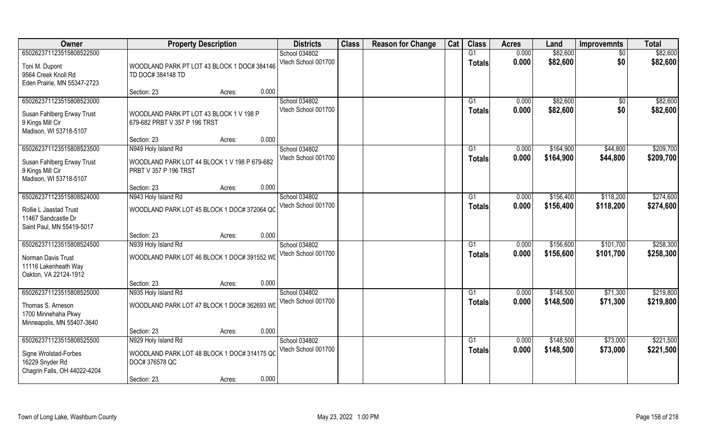| Owner                        | <b>Property Description</b>                  |                 | <b>Districts</b>    | <b>Class</b> | <b>Reason for Change</b> | Cat | <b>Class</b>  | <b>Acres</b> | Land      | <b>Improvemnts</b> | <b>Total</b> |
|------------------------------|----------------------------------------------|-----------------|---------------------|--------------|--------------------------|-----|---------------|--------------|-----------|--------------------|--------------|
| 650262371123515808522500     |                                              |                 | School 034802       |              |                          |     | G1            | 0.000        | \$82,600  | $\sqrt{6}$         | \$82,600     |
| Toni M. Dupont               | WOODLAND PARK PT LOT 43 BLOCK 1 DOC# 384146  |                 | Vtech School 001700 |              |                          |     | Totals        | 0.000        | \$82,600  | \$0                | \$82,600     |
| 9564 Creek Knoll Rd          | TD DOC# 384148 TD                            |                 |                     |              |                          |     |               |              |           |                    |              |
| Eden Prairie, MN 55347-2723  |                                              |                 |                     |              |                          |     |               |              |           |                    |              |
|                              | Section: 23                                  | 0.000<br>Acres: |                     |              |                          |     |               |              |           |                    |              |
| 650262371123515808523000     |                                              |                 | School 034802       |              |                          |     | G1            | 0.000        | \$82,600  | \$0                | \$82,600     |
| Susan Fahlberg Erway Trust   | WOODLAND PARK PT LOT 43 BLOCK 1 V 198 P      |                 | Vtech School 001700 |              |                          |     | Totals        | 0.000        | \$82,600  | \$0                | \$82,600     |
| 9 Kings Mill Cir             | 679-682 PRBT V 357 P 196 TRST                |                 |                     |              |                          |     |               |              |           |                    |              |
| Madison, WI 53718-5107       |                                              |                 |                     |              |                          |     |               |              |           |                    |              |
|                              | Section: 23                                  | 0.000<br>Acres: |                     |              |                          |     |               |              |           |                    |              |
| 650262371123515808523500     | N949 Holy Island Rd                          |                 | School 034802       |              |                          |     | G1            | 0.000        | \$164,900 | \$44,800           | \$209,700    |
| Susan Fahlberg Erway Trust   | WOODLAND PARK LOT 44 BLOCK 1 V 198 P 679-682 |                 | Vtech School 001700 |              |                          |     | <b>Totals</b> | 0.000        | \$164,900 | \$44,800           | \$209,700    |
| 9 Kings Mill Cir             | PRBT V 357 P 196 TRST                        |                 |                     |              |                          |     |               |              |           |                    |              |
| Madison, WI 53718-5107       |                                              |                 |                     |              |                          |     |               |              |           |                    |              |
|                              | Section: 23                                  | 0.000<br>Acres: |                     |              |                          |     |               |              |           |                    |              |
| 650262371123515808524000     | N943 Holy Island Rd                          |                 | School 034802       |              |                          |     | G1            | 0.000        | \$156,400 | \$118,200          | \$274,600    |
| Rollie L Jaastad Trust       | WOODLAND PARK LOT 45 BLOCK 1 DOC# 372064 QC  |                 | Vtech School 001700 |              |                          |     | <b>Totals</b> | 0.000        | \$156,400 | \$118,200          | \$274,600    |
| 11467 Sandcastle Dr          |                                              |                 |                     |              |                          |     |               |              |           |                    |              |
| Saint Paul, MN 55419-5017    |                                              |                 |                     |              |                          |     |               |              |           |                    |              |
|                              | Section: 23                                  | 0.000<br>Acres: |                     |              |                          |     |               |              |           |                    |              |
| 650262371123515808524500     | N939 Holy Island Rd                          |                 | School 034802       |              |                          |     | G1            | 0.000        | \$156,600 | \$101,700          | \$258,300    |
| Norman Davis Trust           | WOODLAND PARK LOT 46 BLOCK 1 DOC# 391552 WI  |                 | Vtech School 001700 |              |                          |     | <b>Totals</b> | 0.000        | \$156,600 | \$101,700          | \$258,300    |
| 11116 Lakenheath Way         |                                              |                 |                     |              |                          |     |               |              |           |                    |              |
| Oakton, VA 22124-1912        |                                              |                 |                     |              |                          |     |               |              |           |                    |              |
|                              | Section: 23                                  | 0.000<br>Acres: |                     |              |                          |     |               |              |           |                    |              |
| 650262371123515808525000     | N935 Holy Island Rd                          |                 | School 034802       |              |                          |     | G1            | 0.000        | \$148,500 | \$71,300           | \$219,800    |
| Thomas S. Arneson            | WOODLAND PARK LOT 47 BLOCK 1 DOC# 362693 WD  |                 | Vtech School 001700 |              |                          |     | <b>Totals</b> | 0.000        | \$148,500 | \$71,300           | \$219,800    |
| 1700 Minnehaha Pkwy          |                                              |                 |                     |              |                          |     |               |              |           |                    |              |
| Minneapolis, MN 55407-3640   |                                              |                 |                     |              |                          |     |               |              |           |                    |              |
|                              | Section: 23                                  | 0.000<br>Acres: |                     |              |                          |     |               |              |           |                    |              |
| 650262371123515808525500     | N929 Holy Island Rd                          |                 | School 034802       |              |                          |     | G1            | 0.000        | \$148,500 | \$73,000           | \$221,500    |
| Signe Wrolstad-Forbes        | WOODLAND PARK LOT 48 BLOCK 1 DOC# 314175 QC  |                 | Vtech School 001700 |              |                          |     | Totals        | 0.000        | \$148,500 | \$73,000           | \$221,500    |
| 16229 Snyder Rd              | DOC# 376578 QC                               |                 |                     |              |                          |     |               |              |           |                    |              |
| Chagrin Falls, OH 44022-4204 |                                              |                 |                     |              |                          |     |               |              |           |                    |              |
|                              | Section: 23                                  | 0.000<br>Acres: |                     |              |                          |     |               |              |           |                    |              |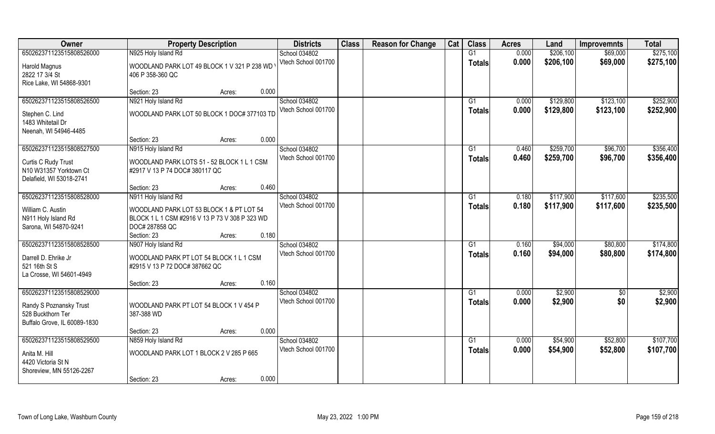| Owner                                                                                                    | <b>Property Description</b>                                                                                  | <b>Districts</b>                     | <b>Class</b> | <b>Reason for Change</b> | Cat | <b>Class</b>        | <b>Acres</b>   | Land                   | <b>Improvemnts</b>     | <b>Total</b>           |
|----------------------------------------------------------------------------------------------------------|--------------------------------------------------------------------------------------------------------------|--------------------------------------|--------------|--------------------------|-----|---------------------|----------------|------------------------|------------------------|------------------------|
| 650262371123515808526000                                                                                 | N925 Holy Island Rd                                                                                          | School 034802                        |              |                          |     | G1                  | 0.000          | \$206,100              | \$69,000               | \$275,100              |
| Harold Magnus<br>2822 17 3/4 St<br>Rice Lake, WI 54868-9301                                              | WOODLAND PARK LOT 49 BLOCK 1 V 321 P 238 WD<br>406 P 358-360 QC                                              | Vtech School 001700                  |              |                          |     | <b>Totals</b>       | 0.000          | \$206,100              | \$69,000               | \$275,100              |
|                                                                                                          | 0.000<br>Section: 23<br>Acres:                                                                               |                                      |              |                          |     |                     |                |                        |                        |                        |
| 650262371123515808526500                                                                                 | N921 Holy Island Rd                                                                                          | School 034802<br>Vtech School 001700 |              |                          |     | G1<br><b>Totals</b> | 0.000<br>0.000 | \$129,800<br>\$129,800 | \$123,100<br>\$123,100 | \$252,900<br>\$252,900 |
| Stephen C. Lind<br>1483 Whitetail Dr<br>Neenah, WI 54946-4485                                            | WOODLAND PARK LOT 50 BLOCK 1 DOC# 377103 TD                                                                  |                                      |              |                          |     |                     |                |                        |                        |                        |
|                                                                                                          | 0.000<br>Section: 23<br>Acres:                                                                               |                                      |              |                          |     |                     |                |                        |                        |                        |
| 650262371123515808527500                                                                                 | N915 Holy Island Rd                                                                                          | School 034802                        |              |                          |     | G1                  | 0.460          | \$259,700              | \$96,700               | \$356,400              |
| Curtis C Rudy Trust<br>N10 W31357 Yorktown Ct<br>Delafield, WI 53018-2741                                | WOODLAND PARK LOTS 51 - 52 BLOCK 1 L 1 CSM<br>#2917 V 13 P 74 DOC# 380117 QC                                 | Vtech School 001700                  |              |                          |     | <b>Totals</b>       | 0.460          | \$259,700              | \$96,700               | \$356,400              |
|                                                                                                          | 0.460<br>Section: 23<br>Acres:                                                                               |                                      |              |                          |     |                     |                |                        |                        |                        |
| 650262371123515808528000                                                                                 | N911 Holy Island Rd                                                                                          | School 034802                        |              |                          |     | G1                  | 0.180          | \$117,900              | \$117,600              | \$235,500              |
| William C. Austin<br>N911 Holy Island Rd<br>Sarona, WI 54870-9241                                        | WOODLAND PARK LOT 53 BLOCK 1 & PT LOT 54<br>BLOCK 1 L 1 CSM #2916 V 13 P 73 V 308 P 323 WD<br>DOC# 287858 QC | Vtech School 001700                  |              |                          |     | <b>Totals</b>       | 0.180          | \$117,900              | \$117,600              | \$235,500              |
|                                                                                                          | 0.180<br>Section: 23<br>Acres:                                                                               |                                      |              |                          |     |                     |                |                        |                        |                        |
| 650262371123515808528500                                                                                 | N907 Holy Island Rd                                                                                          | School 034802<br>Vtech School 001700 |              |                          |     | G1<br><b>Totals</b> | 0.160<br>0.160 | \$94,000<br>\$94,000   | \$80,800<br>\$80,800   | \$174,800<br>\$174,800 |
| Darrell D. Ehrike Jr<br>521 16th St S<br>La Crosse, WI 54601-4949                                        | WOODLAND PARK PT LOT 54 BLOCK 1 L 1 CSM<br>#2915 V 13 P 72 DOC# 387662 QC                                    |                                      |              |                          |     |                     |                |                        |                        |                        |
|                                                                                                          | 0.160<br>Section: 23<br>Acres:                                                                               |                                      |              |                          |     |                     |                |                        |                        |                        |
| 650262371123515808529000<br>Randy S Poznansky Trust<br>528 Buckthorn Ter<br>Buffalo Grove, IL 60089-1830 | WOODLAND PARK PT LOT 54 BLOCK 1 V 454 P<br>387-388 WD                                                        | School 034802<br>Vtech School 001700 |              |                          |     | G1<br><b>Totals</b> | 0.000<br>0.000 | \$2,900<br>\$2,900     | \$0<br>\$0             | \$2,900<br>\$2,900     |
|                                                                                                          | 0.000<br>Section: 23<br>Acres:                                                                               |                                      |              |                          |     |                     |                |                        |                        |                        |
| 650262371123515808529500                                                                                 | N859 Holy Island Rd                                                                                          | School 034802                        |              |                          |     | $\overline{G1}$     | 0.000          | \$54,900               | \$52,800               | \$107,700              |
| Anita M. Hill<br>4420 Victoria St N<br>Shoreview, MN 55126-2267                                          | WOODLAND PARK LOT 1 BLOCK 2 V 285 P 665                                                                      | Vtech School 001700                  |              |                          |     | <b>Totals</b>       | 0.000          | \$54,900               | \$52,800               | \$107,700              |
|                                                                                                          | 0.000<br>Section: 23<br>Acres:                                                                               |                                      |              |                          |     |                     |                |                        |                        |                        |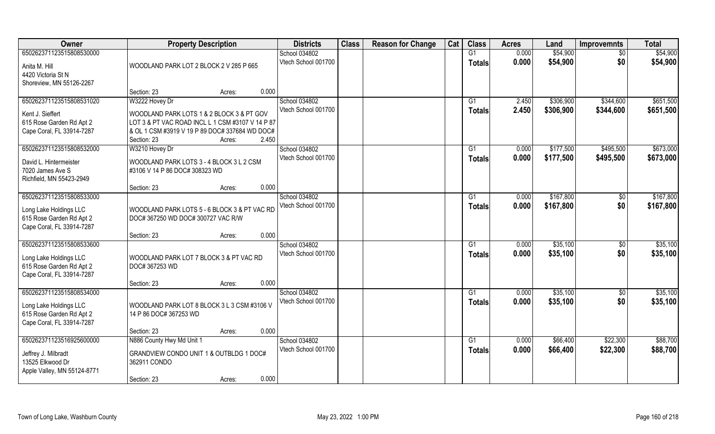| Owner                                                 | <b>Property Description</b>                                                        | <b>Districts</b>    | <b>Class</b> | <b>Reason for Change</b> | Cat | <b>Class</b>    | <b>Acres</b> | Land      | <b>Improvemnts</b> | <b>Total</b> |
|-------------------------------------------------------|------------------------------------------------------------------------------------|---------------------|--------------|--------------------------|-----|-----------------|--------------|-----------|--------------------|--------------|
| 650262371123515808530000                              |                                                                                    | School 034802       |              |                          |     | G1              | 0.000        | \$54,900  | \$0                | \$54,900     |
| Anita M. Hill                                         | WOODLAND PARK LOT 2 BLOCK 2 V 285 P 665                                            | Vtech School 001700 |              |                          |     | <b>Totals</b>   | 0.000        | \$54,900  | \$0                | \$54,900     |
| 4420 Victoria St N                                    |                                                                                    |                     |              |                          |     |                 |              |           |                    |              |
| Shoreview, MN 55126-2267                              |                                                                                    |                     |              |                          |     |                 |              |           |                    |              |
|                                                       | 0.000<br>Section: 23<br>Acres:                                                     |                     |              |                          |     |                 |              |           |                    |              |
| 650262371123515808531020                              | W3222 Hovey Dr                                                                     | School 034802       |              |                          |     | G <sub>1</sub>  | 2.450        | \$306,900 | \$344,600          | \$651,500    |
| Kent J. Sieffert                                      | WOODLAND PARK LOTS 1 & 2 BLOCK 3 & PT GOV                                          | Vtech School 001700 |              |                          |     | <b>Totals</b>   | 2.450        | \$306,900 | \$344,600          | \$651,500    |
| 615 Rose Garden Rd Apt 2                              | LOT 3 & PT VAC ROAD INCL L 1 CSM #3107 V 14 P 87                                   |                     |              |                          |     |                 |              |           |                    |              |
| Cape Coral, FL 33914-7287                             | & OL 1 CSM #3919 V 19 P 89 DOC# 337684 WD DOC#                                     |                     |              |                          |     |                 |              |           |                    |              |
|                                                       | 2.450<br>Section: 23<br>Acres:                                                     |                     |              |                          |     |                 |              |           |                    |              |
| 650262371123515808532000                              | W3210 Hovey Dr                                                                     | School 034802       |              |                          |     | G1              | 0.000        | \$177,500 | \$495,500          | \$673,000    |
| David L. Hintermeister                                | WOODLAND PARK LOTS 3 - 4 BLOCK 3 L 2 CSM                                           | Vtech School 001700 |              |                          |     | <b>Totals</b>   | 0.000        | \$177,500 | \$495,500          | \$673,000    |
| 7020 James Ave S                                      | #3106 V 14 P 86 DOC# 308323 WD                                                     |                     |              |                          |     |                 |              |           |                    |              |
| Richfield, MN 55423-2949                              |                                                                                    |                     |              |                          |     |                 |              |           |                    |              |
|                                                       | 0.000<br>Section: 23<br>Acres:                                                     |                     |              |                          |     |                 |              |           |                    |              |
| 650262371123515808533000                              |                                                                                    | School 034802       |              |                          |     | G1              | 0.000        | \$167,800 | $\sqrt{50}$        | \$167,800    |
|                                                       |                                                                                    | Vtech School 001700 |              |                          |     | <b>Totals</b>   | 0.000        | \$167,800 | \$0                | \$167,800    |
| Long Lake Holdings LLC<br>615 Rose Garden Rd Apt 2    | WOODLAND PARK LOTS 5 - 6 BLOCK 3 & PT VAC RD<br>DOC# 367250 WD DOC# 300727 VAC R/W |                     |              |                          |     |                 |              |           |                    |              |
| Cape Coral, FL 33914-7287                             |                                                                                    |                     |              |                          |     |                 |              |           |                    |              |
|                                                       | 0.000<br>Section: 23<br>Acres:                                                     |                     |              |                          |     |                 |              |           |                    |              |
| 650262371123515808533600                              |                                                                                    | School 034802       |              |                          |     | G1              | 0.000        | \$35,100  | \$0                | \$35,100     |
|                                                       |                                                                                    | Vtech School 001700 |              |                          |     | <b>Totals</b>   | 0.000        | \$35,100  | \$0                | \$35,100     |
| Long Lake Holdings LLC<br>615 Rose Garden Rd Apt 2    | WOODLAND PARK LOT 7 BLOCK 3 & PT VAC RD<br>DOC# 367253 WD                          |                     |              |                          |     |                 |              |           |                    |              |
| Cape Coral, FL 33914-7287                             |                                                                                    |                     |              |                          |     |                 |              |           |                    |              |
|                                                       | 0.000<br>Section: 23<br>Acres:                                                     |                     |              |                          |     |                 |              |           |                    |              |
| 650262371123515808534000                              |                                                                                    | School 034802       |              |                          |     | $\overline{G1}$ | 0.000        | \$35,100  | $\overline{50}$    | \$35,100     |
|                                                       |                                                                                    | Vtech School 001700 |              |                          |     | <b>Totals</b>   | 0.000        | \$35,100  | \$0                | \$35,100     |
| Long Lake Holdings LLC                                | WOODLAND PARK LOT 8 BLOCK 3 L 3 CSM #3106 V                                        |                     |              |                          |     |                 |              |           |                    |              |
| 615 Rose Garden Rd Apt 2<br>Cape Coral, FL 33914-7287 | 14 P 86 DOC# 367253 WD                                                             |                     |              |                          |     |                 |              |           |                    |              |
|                                                       | 0.000<br>Section: 23<br>Acres:                                                     |                     |              |                          |     |                 |              |           |                    |              |
| 650262371123516925600000                              | N886 County Hwy Md Unit 1                                                          | School 034802       |              |                          |     | G1              | 0.000        | \$66,400  | \$22,300           | \$88,700     |
|                                                       |                                                                                    | Vtech School 001700 |              |                          |     | <b>Totals</b>   | 0.000        | \$66,400  | \$22,300           | \$88,700     |
| Jeffrey J. Milbradt                                   | GRANDVIEW CONDO UNIT 1 & OUTBLDG 1 DOC#                                            |                     |              |                          |     |                 |              |           |                    |              |
| 13525 Elkwood Dr                                      | 362911 CONDO                                                                       |                     |              |                          |     |                 |              |           |                    |              |
| Apple Valley, MN 55124-8771                           | 0.000<br>Section: 23<br>Acres:                                                     |                     |              |                          |     |                 |              |           |                    |              |
|                                                       |                                                                                    |                     |              |                          |     |                 |              |           |                    |              |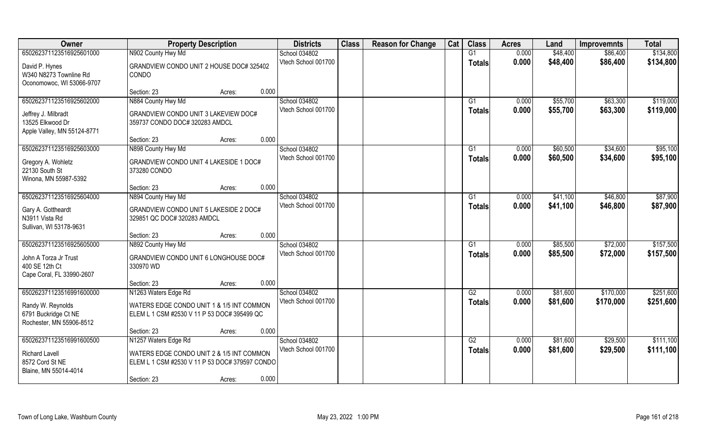| 650262371123516925601000<br>N902 County Hwy Md<br>G1<br>0.000<br>\$48,400<br>\$86,400<br>\$134,800<br>School 034802<br>Vtech School 001700<br>0.000<br>\$48,400<br>\$86,400<br>\$134,800<br><b>Totals</b><br>David P. Hynes<br>GRANDVIEW CONDO UNIT 2 HOUSE DOC# 325402<br>W340 N8273 Townline Rd<br>CONDO<br>Oconomowoc, WI 53066-9707<br>0.000<br>Section: 23<br>Acres:<br>650262371123516925602000<br>N884 County Hwy Md<br>School 034802<br>\$55,700<br>\$63,300<br>G1<br>0.000<br>Vtech School 001700<br>0.000<br>\$55,700<br>\$63,300<br><b>Totals</b><br>GRANDVIEW CONDO UNIT 3 LAKEVIEW DOC#<br>Jeffrey J. Milbradt<br>13525 Elkwood Dr<br>359737 CONDO DOC# 320283 AMDCL<br>Apple Valley, MN 55124-8771<br>0.000<br>Section: 23<br>Acres:<br>650262371123516925603000<br>School 034802<br>\$60,500<br>\$34,600<br>N898 County Hwy Md<br>G1<br>0.000<br>Vtech School 001700<br>0.000<br>\$60,500<br>\$34,600<br><b>Totals</b><br>Gregory A. Wohletz<br>GRANDVIEW CONDO UNIT 4 LAKESIDE 1 DOC#<br>22130 South St<br>373280 CONDO<br>Winona, MN 55987-5392<br>0.000<br>Section: 23<br>Acres:<br>650262371123516925604000<br>School 034802<br>N894 County Hwy Md<br>\$41,100<br>\$46,800<br>G1<br>0.000<br>Vtech School 001700<br>0.000<br>\$41,100<br>\$46,800<br><b>Totals</b><br>GRANDVIEW CONDO UNIT 5 LAKESIDE 2 DOC#<br>Gary A. Gottheardt<br>N3911 Vista Rd<br>329851 QC DOC# 320283 AMDCL<br>Sullivan, WI 53178-9631<br>0.000<br>Section: 23<br>Acres:<br>650262371123516925605000<br>N892 County Hwy Md<br>School 034802<br>G1<br>0.000<br>\$85,500<br>\$72,000<br>Vtech School 001700<br>0.000<br>\$85,500<br>\$72,000<br><b>Totals</b><br>GRANDVIEW CONDO UNIT 6 LONGHOUSE DOC#<br>John A Torza Jr Trust<br>400 SE 12th Ct<br>330970 WD<br>Cape Coral, FL 33990-2607<br>0.000<br>Section: 23<br>Acres:<br>School 034802<br>650262371123516991600000<br>N1263 Waters Edge Rd<br>G2<br>0.000<br>\$81,600<br>\$170,000<br>Vtech School 001700<br>0.000<br>\$81,600<br>\$170,000<br><b>Totals</b><br>WATERS EDGE CONDO UNIT 1 & 1/5 INT COMMON<br>Randy W. Reynolds<br>6791 Buckridge Ct NE<br>ELEM L 1 CSM #2530 V 11 P 53 DOC# 395499 QC<br>Rochester, MN 55906-8512<br>0.000<br>Section: 23<br>Acres:<br>650262371123516991600500<br>N1257 Waters Edge Rd<br>School 034802<br>G2<br>0.000<br>\$81,600<br>\$29,500<br>Vtech School 001700<br>0.000<br>\$81,600<br>\$29,500<br><b>Totals</b><br>WATERS EDGE CONDO UNIT 2 & 1/5 INT COMMON<br><b>Richard Lavell</b> | Owner | <b>Property Description</b> | <b>Districts</b> | <b>Class</b> | <b>Reason for Change</b> | Cat | <b>Class</b> | <b>Acres</b> | Land | <b>Improvemnts</b> | <b>Total</b> |
|---------------------------------------------------------------------------------------------------------------------------------------------------------------------------------------------------------------------------------------------------------------------------------------------------------------------------------------------------------------------------------------------------------------------------------------------------------------------------------------------------------------------------------------------------------------------------------------------------------------------------------------------------------------------------------------------------------------------------------------------------------------------------------------------------------------------------------------------------------------------------------------------------------------------------------------------------------------------------------------------------------------------------------------------------------------------------------------------------------------------------------------------------------------------------------------------------------------------------------------------------------------------------------------------------------------------------------------------------------------------------------------------------------------------------------------------------------------------------------------------------------------------------------------------------------------------------------------------------------------------------------------------------------------------------------------------------------------------------------------------------------------------------------------------------------------------------------------------------------------------------------------------------------------------------------------------------------------------------------------------------------------------------------------------------------------------------------------------------------------------------------------------------------------------------------------------------------------------------------------------------------------------------------------------------------------------------------------------------------------------------------------------------------------------------------------------------------------------------------|-------|-----------------------------|------------------|--------------|--------------------------|-----|--------------|--------------|------|--------------------|--------------|
|                                                                                                                                                                                                                                                                                                                                                                                                                                                                                                                                                                                                                                                                                                                                                                                                                                                                                                                                                                                                                                                                                                                                                                                                                                                                                                                                                                                                                                                                                                                                                                                                                                                                                                                                                                                                                                                                                                                                                                                                                                                                                                                                                                                                                                                                                                                                                                                                                                                                                 |       |                             |                  |              |                          |     |              |              |      |                    |              |
| \$119,000<br>\$119,000                                                                                                                                                                                                                                                                                                                                                                                                                                                                                                                                                                                                                                                                                                                                                                                                                                                                                                                                                                                                                                                                                                                                                                                                                                                                                                                                                                                                                                                                                                                                                                                                                                                                                                                                                                                                                                                                                                                                                                                                                                                                                                                                                                                                                                                                                                                                                                                                                                                          |       |                             |                  |              |                          |     |              |              |      |                    |              |
|                                                                                                                                                                                                                                                                                                                                                                                                                                                                                                                                                                                                                                                                                                                                                                                                                                                                                                                                                                                                                                                                                                                                                                                                                                                                                                                                                                                                                                                                                                                                                                                                                                                                                                                                                                                                                                                                                                                                                                                                                                                                                                                                                                                                                                                                                                                                                                                                                                                                                 |       |                             |                  |              |                          |     |              |              |      |                    |              |
|                                                                                                                                                                                                                                                                                                                                                                                                                                                                                                                                                                                                                                                                                                                                                                                                                                                                                                                                                                                                                                                                                                                                                                                                                                                                                                                                                                                                                                                                                                                                                                                                                                                                                                                                                                                                                                                                                                                                                                                                                                                                                                                                                                                                                                                                                                                                                                                                                                                                                 |       |                             |                  |              |                          |     |              |              |      |                    |              |
|                                                                                                                                                                                                                                                                                                                                                                                                                                                                                                                                                                                                                                                                                                                                                                                                                                                                                                                                                                                                                                                                                                                                                                                                                                                                                                                                                                                                                                                                                                                                                                                                                                                                                                                                                                                                                                                                                                                                                                                                                                                                                                                                                                                                                                                                                                                                                                                                                                                                                 |       |                             |                  |              |                          |     |              |              |      |                    |              |
|                                                                                                                                                                                                                                                                                                                                                                                                                                                                                                                                                                                                                                                                                                                                                                                                                                                                                                                                                                                                                                                                                                                                                                                                                                                                                                                                                                                                                                                                                                                                                                                                                                                                                                                                                                                                                                                                                                                                                                                                                                                                                                                                                                                                                                                                                                                                                                                                                                                                                 |       |                             |                  |              |                          |     |              |              |      |                    |              |
| \$95,100<br>\$95,100<br>\$87,900<br>\$87,900<br>\$157,500<br>\$157,500<br>\$251,600<br>\$251,600<br>\$111,100<br>\$111,100                                                                                                                                                                                                                                                                                                                                                                                                                                                                                                                                                                                                                                                                                                                                                                                                                                                                                                                                                                                                                                                                                                                                                                                                                                                                                                                                                                                                                                                                                                                                                                                                                                                                                                                                                                                                                                                                                                                                                                                                                                                                                                                                                                                                                                                                                                                                                      |       |                             |                  |              |                          |     |              |              |      |                    |              |
|                                                                                                                                                                                                                                                                                                                                                                                                                                                                                                                                                                                                                                                                                                                                                                                                                                                                                                                                                                                                                                                                                                                                                                                                                                                                                                                                                                                                                                                                                                                                                                                                                                                                                                                                                                                                                                                                                                                                                                                                                                                                                                                                                                                                                                                                                                                                                                                                                                                                                 |       |                             |                  |              |                          |     |              |              |      |                    |              |
|                                                                                                                                                                                                                                                                                                                                                                                                                                                                                                                                                                                                                                                                                                                                                                                                                                                                                                                                                                                                                                                                                                                                                                                                                                                                                                                                                                                                                                                                                                                                                                                                                                                                                                                                                                                                                                                                                                                                                                                                                                                                                                                                                                                                                                                                                                                                                                                                                                                                                 |       |                             |                  |              |                          |     |              |              |      |                    |              |
|                                                                                                                                                                                                                                                                                                                                                                                                                                                                                                                                                                                                                                                                                                                                                                                                                                                                                                                                                                                                                                                                                                                                                                                                                                                                                                                                                                                                                                                                                                                                                                                                                                                                                                                                                                                                                                                                                                                                                                                                                                                                                                                                                                                                                                                                                                                                                                                                                                                                                 |       |                             |                  |              |                          |     |              |              |      |                    |              |
|                                                                                                                                                                                                                                                                                                                                                                                                                                                                                                                                                                                                                                                                                                                                                                                                                                                                                                                                                                                                                                                                                                                                                                                                                                                                                                                                                                                                                                                                                                                                                                                                                                                                                                                                                                                                                                                                                                                                                                                                                                                                                                                                                                                                                                                                                                                                                                                                                                                                                 |       |                             |                  |              |                          |     |              |              |      |                    |              |
|                                                                                                                                                                                                                                                                                                                                                                                                                                                                                                                                                                                                                                                                                                                                                                                                                                                                                                                                                                                                                                                                                                                                                                                                                                                                                                                                                                                                                                                                                                                                                                                                                                                                                                                                                                                                                                                                                                                                                                                                                                                                                                                                                                                                                                                                                                                                                                                                                                                                                 |       |                             |                  |              |                          |     |              |              |      |                    |              |
|                                                                                                                                                                                                                                                                                                                                                                                                                                                                                                                                                                                                                                                                                                                                                                                                                                                                                                                                                                                                                                                                                                                                                                                                                                                                                                                                                                                                                                                                                                                                                                                                                                                                                                                                                                                                                                                                                                                                                                                                                                                                                                                                                                                                                                                                                                                                                                                                                                                                                 |       |                             |                  |              |                          |     |              |              |      |                    |              |
|                                                                                                                                                                                                                                                                                                                                                                                                                                                                                                                                                                                                                                                                                                                                                                                                                                                                                                                                                                                                                                                                                                                                                                                                                                                                                                                                                                                                                                                                                                                                                                                                                                                                                                                                                                                                                                                                                                                                                                                                                                                                                                                                                                                                                                                                                                                                                                                                                                                                                 |       |                             |                  |              |                          |     |              |              |      |                    |              |
|                                                                                                                                                                                                                                                                                                                                                                                                                                                                                                                                                                                                                                                                                                                                                                                                                                                                                                                                                                                                                                                                                                                                                                                                                                                                                                                                                                                                                                                                                                                                                                                                                                                                                                                                                                                                                                                                                                                                                                                                                                                                                                                                                                                                                                                                                                                                                                                                                                                                                 |       |                             |                  |              |                          |     |              |              |      |                    |              |
|                                                                                                                                                                                                                                                                                                                                                                                                                                                                                                                                                                                                                                                                                                                                                                                                                                                                                                                                                                                                                                                                                                                                                                                                                                                                                                                                                                                                                                                                                                                                                                                                                                                                                                                                                                                                                                                                                                                                                                                                                                                                                                                                                                                                                                                                                                                                                                                                                                                                                 |       |                             |                  |              |                          |     |              |              |      |                    |              |
|                                                                                                                                                                                                                                                                                                                                                                                                                                                                                                                                                                                                                                                                                                                                                                                                                                                                                                                                                                                                                                                                                                                                                                                                                                                                                                                                                                                                                                                                                                                                                                                                                                                                                                                                                                                                                                                                                                                                                                                                                                                                                                                                                                                                                                                                                                                                                                                                                                                                                 |       |                             |                  |              |                          |     |              |              |      |                    |              |
|                                                                                                                                                                                                                                                                                                                                                                                                                                                                                                                                                                                                                                                                                                                                                                                                                                                                                                                                                                                                                                                                                                                                                                                                                                                                                                                                                                                                                                                                                                                                                                                                                                                                                                                                                                                                                                                                                                                                                                                                                                                                                                                                                                                                                                                                                                                                                                                                                                                                                 |       |                             |                  |              |                          |     |              |              |      |                    |              |
|                                                                                                                                                                                                                                                                                                                                                                                                                                                                                                                                                                                                                                                                                                                                                                                                                                                                                                                                                                                                                                                                                                                                                                                                                                                                                                                                                                                                                                                                                                                                                                                                                                                                                                                                                                                                                                                                                                                                                                                                                                                                                                                                                                                                                                                                                                                                                                                                                                                                                 |       |                             |                  |              |                          |     |              |              |      |                    |              |
|                                                                                                                                                                                                                                                                                                                                                                                                                                                                                                                                                                                                                                                                                                                                                                                                                                                                                                                                                                                                                                                                                                                                                                                                                                                                                                                                                                                                                                                                                                                                                                                                                                                                                                                                                                                                                                                                                                                                                                                                                                                                                                                                                                                                                                                                                                                                                                                                                                                                                 |       |                             |                  |              |                          |     |              |              |      |                    |              |
|                                                                                                                                                                                                                                                                                                                                                                                                                                                                                                                                                                                                                                                                                                                                                                                                                                                                                                                                                                                                                                                                                                                                                                                                                                                                                                                                                                                                                                                                                                                                                                                                                                                                                                                                                                                                                                                                                                                                                                                                                                                                                                                                                                                                                                                                                                                                                                                                                                                                                 |       |                             |                  |              |                          |     |              |              |      |                    |              |
|                                                                                                                                                                                                                                                                                                                                                                                                                                                                                                                                                                                                                                                                                                                                                                                                                                                                                                                                                                                                                                                                                                                                                                                                                                                                                                                                                                                                                                                                                                                                                                                                                                                                                                                                                                                                                                                                                                                                                                                                                                                                                                                                                                                                                                                                                                                                                                                                                                                                                 |       |                             |                  |              |                          |     |              |              |      |                    |              |
|                                                                                                                                                                                                                                                                                                                                                                                                                                                                                                                                                                                                                                                                                                                                                                                                                                                                                                                                                                                                                                                                                                                                                                                                                                                                                                                                                                                                                                                                                                                                                                                                                                                                                                                                                                                                                                                                                                                                                                                                                                                                                                                                                                                                                                                                                                                                                                                                                                                                                 |       |                             |                  |              |                          |     |              |              |      |                    |              |
|                                                                                                                                                                                                                                                                                                                                                                                                                                                                                                                                                                                                                                                                                                                                                                                                                                                                                                                                                                                                                                                                                                                                                                                                                                                                                                                                                                                                                                                                                                                                                                                                                                                                                                                                                                                                                                                                                                                                                                                                                                                                                                                                                                                                                                                                                                                                                                                                                                                                                 |       |                             |                  |              |                          |     |              |              |      |                    |              |
|                                                                                                                                                                                                                                                                                                                                                                                                                                                                                                                                                                                                                                                                                                                                                                                                                                                                                                                                                                                                                                                                                                                                                                                                                                                                                                                                                                                                                                                                                                                                                                                                                                                                                                                                                                                                                                                                                                                                                                                                                                                                                                                                                                                                                                                                                                                                                                                                                                                                                 |       |                             |                  |              |                          |     |              |              |      |                    |              |
|                                                                                                                                                                                                                                                                                                                                                                                                                                                                                                                                                                                                                                                                                                                                                                                                                                                                                                                                                                                                                                                                                                                                                                                                                                                                                                                                                                                                                                                                                                                                                                                                                                                                                                                                                                                                                                                                                                                                                                                                                                                                                                                                                                                                                                                                                                                                                                                                                                                                                 |       |                             |                  |              |                          |     |              |              |      |                    |              |
|                                                                                                                                                                                                                                                                                                                                                                                                                                                                                                                                                                                                                                                                                                                                                                                                                                                                                                                                                                                                                                                                                                                                                                                                                                                                                                                                                                                                                                                                                                                                                                                                                                                                                                                                                                                                                                                                                                                                                                                                                                                                                                                                                                                                                                                                                                                                                                                                                                                                                 |       |                             |                  |              |                          |     |              |              |      |                    |              |
|                                                                                                                                                                                                                                                                                                                                                                                                                                                                                                                                                                                                                                                                                                                                                                                                                                                                                                                                                                                                                                                                                                                                                                                                                                                                                                                                                                                                                                                                                                                                                                                                                                                                                                                                                                                                                                                                                                                                                                                                                                                                                                                                                                                                                                                                                                                                                                                                                                                                                 |       |                             |                  |              |                          |     |              |              |      |                    |              |
|                                                                                                                                                                                                                                                                                                                                                                                                                                                                                                                                                                                                                                                                                                                                                                                                                                                                                                                                                                                                                                                                                                                                                                                                                                                                                                                                                                                                                                                                                                                                                                                                                                                                                                                                                                                                                                                                                                                                                                                                                                                                                                                                                                                                                                                                                                                                                                                                                                                                                 |       |                             |                  |              |                          |     |              |              |      |                    |              |
|                                                                                                                                                                                                                                                                                                                                                                                                                                                                                                                                                                                                                                                                                                                                                                                                                                                                                                                                                                                                                                                                                                                                                                                                                                                                                                                                                                                                                                                                                                                                                                                                                                                                                                                                                                                                                                                                                                                                                                                                                                                                                                                                                                                                                                                                                                                                                                                                                                                                                 |       |                             |                  |              |                          |     |              |              |      |                    |              |
|                                                                                                                                                                                                                                                                                                                                                                                                                                                                                                                                                                                                                                                                                                                                                                                                                                                                                                                                                                                                                                                                                                                                                                                                                                                                                                                                                                                                                                                                                                                                                                                                                                                                                                                                                                                                                                                                                                                                                                                                                                                                                                                                                                                                                                                                                                                                                                                                                                                                                 |       |                             |                  |              |                          |     |              |              |      |                    |              |
|                                                                                                                                                                                                                                                                                                                                                                                                                                                                                                                                                                                                                                                                                                                                                                                                                                                                                                                                                                                                                                                                                                                                                                                                                                                                                                                                                                                                                                                                                                                                                                                                                                                                                                                                                                                                                                                                                                                                                                                                                                                                                                                                                                                                                                                                                                                                                                                                                                                                                 |       |                             |                  |              |                          |     |              |              |      |                    |              |
| 8572 Cord St NE<br>ELEM L 1 CSM #2530 V 11 P 53 DOC# 379597 CONDO                                                                                                                                                                                                                                                                                                                                                                                                                                                                                                                                                                                                                                                                                                                                                                                                                                                                                                                                                                                                                                                                                                                                                                                                                                                                                                                                                                                                                                                                                                                                                                                                                                                                                                                                                                                                                                                                                                                                                                                                                                                                                                                                                                                                                                                                                                                                                                                                               |       |                             |                  |              |                          |     |              |              |      |                    |              |
| Blaine, MN 55014-4014<br>0.000<br>Section: 23<br>Acres:                                                                                                                                                                                                                                                                                                                                                                                                                                                                                                                                                                                                                                                                                                                                                                                                                                                                                                                                                                                                                                                                                                                                                                                                                                                                                                                                                                                                                                                                                                                                                                                                                                                                                                                                                                                                                                                                                                                                                                                                                                                                                                                                                                                                                                                                                                                                                                                                                         |       |                             |                  |              |                          |     |              |              |      |                    |              |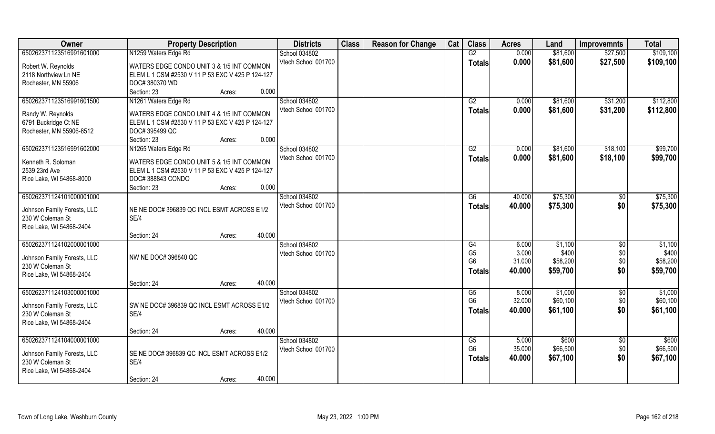| 650262371123516991601000<br>N1259 Waters Edge Rd<br>School 034802<br>$\overline{G2}$<br>0.000<br>\$81,600<br>\$109,100<br>\$27,500<br>Vtech School 001700<br>0.000<br>\$81,600<br>\$27,500<br>\$109,100<br><b>Totals</b><br>Robert W. Reynolds<br>WATERS EDGE CONDO UNIT 3 & 1/5 INT COMMON<br>2118 Northview Ln NE<br>ELEM L 1 CSM #2530 V 11 P 53 EXC V 425 P 124-127<br>Rochester, MN 55906<br>DOC# 380370 WD<br>Section: 23<br>0.000<br>Acres:<br>N1261 Waters Edge Rd<br>School 034802<br>650262371123516991601500<br>G2<br>\$81,600<br>\$31,200<br>0.000<br>Vtech School 001700<br>0.000<br>\$81,600<br>\$31,200<br><b>Totals</b><br>Randy W. Reynolds<br>WATERS EDGE CONDO UNIT 4 & 1/5 INT COMMON<br>6791 Buckridge Ct NE<br>ELEM L 1 CSM #2530 V 11 P 53 EXC V 425 P 124-127<br>Rochester, MN 55906-8512<br>DOC# 395499 QC<br>0.000<br>Section: 23<br>Acres:<br>650262371123516991602000<br>N1265 Waters Edge Rd<br>School 034802<br>G2<br>0.000<br>\$81,600<br>\$18,100<br>Vtech School 001700<br>0.000<br>\$81,600<br>\$18,100<br><b>Totals</b><br>Kenneth R. Soloman<br>WATERS EDGE CONDO UNIT 5 & 1/5 INT COMMON<br>2539 23rd Ave<br>ELEM L 1 CSM #2530 V 11 P 53 EXC V 425 P 124-127<br>Rice Lake, WI 54868-8000<br>DOC#388843 CONDO<br>0.000<br>Section: 23<br>Acres:<br>650262371124101000001000<br>School 034802<br>\$75,300<br>40.000<br>G6<br>\$0<br>Vtech School 001700<br>40.000<br>\$0<br>\$75,300<br><b>Totals</b><br>NE NE DOC# 396839 QC INCL ESMT ACROSS E1/2<br>Johnson Family Forests, LLC<br>SE/4<br>230 W Coleman St<br>Rice Lake, WI 54868-2404<br>40.000<br>Section: 24<br>Acres:<br>650262371124102000001000<br>School 034802<br>G4<br>6.000<br>\$1,100<br>$\sqrt[6]{30}$<br>\$400<br>\$0<br>G <sub>5</sub><br>3.000<br>Vtech School 001700<br>NW NE DOC# 396840 QC<br>Johnson Family Forests, LLC<br>31.000<br>\$0<br>G <sub>6</sub><br>\$58,200<br>230 W Coleman St<br>\$0<br>40.000<br>\$59,700<br><b>Totals</b><br>Rice Lake, WI 54868-2404<br>40.000<br>Section: 24<br>Acres:<br>School 034802<br>\$1,000<br>650262371124103000001000<br>$\overline{50}$<br>G5<br>8.000<br>G <sub>6</sub><br>32.000<br>\$60,100<br>\$0<br>Vtech School 001700<br>SW NE DOC# 396839 QC INCL ESMT ACROSS E1/2<br>Johnson Family Forests, LLC<br>\$0<br>\$61,100<br>40.000<br><b>Totals</b><br>SE/4<br>230 W Coleman St<br>Rice Lake, WI 54868-2404<br>40.000<br>Section: 24<br>Acres:<br>650262371124104000001000<br>\$600<br>School 034802<br>G5<br>5.000<br>$\overline{60}$<br>G <sub>6</sub><br>35.000<br>\$66,500<br>\$0<br>Vtech School 001700<br>SE NE DOC# 396839 QC INCL ESMT ACROSS E1/2<br>Johnson Family Forests, LLC<br>40.000<br>\$0<br>\$67,100<br><b>Totals</b><br>230 W Coleman St<br>SE/4<br>Rice Lake, WI 54868-2404 | Owner | <b>Property Description</b> | <b>Districts</b> | <b>Class</b> | <b>Reason for Change</b> | Cat | <b>Class</b> | <b>Acres</b> | Land | <b>Improvemnts</b> | <b>Total</b> |
|------------------------------------------------------------------------------------------------------------------------------------------------------------------------------------------------------------------------------------------------------------------------------------------------------------------------------------------------------------------------------------------------------------------------------------------------------------------------------------------------------------------------------------------------------------------------------------------------------------------------------------------------------------------------------------------------------------------------------------------------------------------------------------------------------------------------------------------------------------------------------------------------------------------------------------------------------------------------------------------------------------------------------------------------------------------------------------------------------------------------------------------------------------------------------------------------------------------------------------------------------------------------------------------------------------------------------------------------------------------------------------------------------------------------------------------------------------------------------------------------------------------------------------------------------------------------------------------------------------------------------------------------------------------------------------------------------------------------------------------------------------------------------------------------------------------------------------------------------------------------------------------------------------------------------------------------------------------------------------------------------------------------------------------------------------------------------------------------------------------------------------------------------------------------------------------------------------------------------------------------------------------------------------------------------------------------------------------------------------------------------------------------------------------------------------------------------------------------------------------------------------------------------------------------------------------------------------------------------------------------------------------------------------------------------------------------------------------------------------------------------------|-------|-----------------------------|------------------|--------------|--------------------------|-----|--------------|--------------|------|--------------------|--------------|
|                                                                                                                                                                                                                                                                                                                                                                                                                                                                                                                                                                                                                                                                                                                                                                                                                                                                                                                                                                                                                                                                                                                                                                                                                                                                                                                                                                                                                                                                                                                                                                                                                                                                                                                                                                                                                                                                                                                                                                                                                                                                                                                                                                                                                                                                                                                                                                                                                                                                                                                                                                                                                                                                                                                                                            |       |                             |                  |              |                          |     |              |              |      |                    |              |
|                                                                                                                                                                                                                                                                                                                                                                                                                                                                                                                                                                                                                                                                                                                                                                                                                                                                                                                                                                                                                                                                                                                                                                                                                                                                                                                                                                                                                                                                                                                                                                                                                                                                                                                                                                                                                                                                                                                                                                                                                                                                                                                                                                                                                                                                                                                                                                                                                                                                                                                                                                                                                                                                                                                                                            |       |                             |                  |              |                          |     |              |              |      |                    |              |
| \$112,800<br>\$112,800<br>\$99,700<br>\$99,700<br>\$75,300<br>\$75,300<br>\$1,100<br>\$400<br>\$58,200<br>\$59,700<br>\$1,000<br>\$60,100<br>\$61,100<br>\$600<br>\$66,500<br>\$67,100                                                                                                                                                                                                                                                                                                                                                                                                                                                                                                                                                                                                                                                                                                                                                                                                                                                                                                                                                                                                                                                                                                                                                                                                                                                                                                                                                                                                                                                                                                                                                                                                                                                                                                                                                                                                                                                                                                                                                                                                                                                                                                                                                                                                                                                                                                                                                                                                                                                                                                                                                                     |       |                             |                  |              |                          |     |              |              |      |                    |              |
|                                                                                                                                                                                                                                                                                                                                                                                                                                                                                                                                                                                                                                                                                                                                                                                                                                                                                                                                                                                                                                                                                                                                                                                                                                                                                                                                                                                                                                                                                                                                                                                                                                                                                                                                                                                                                                                                                                                                                                                                                                                                                                                                                                                                                                                                                                                                                                                                                                                                                                                                                                                                                                                                                                                                                            |       |                             |                  |              |                          |     |              |              |      |                    |              |
|                                                                                                                                                                                                                                                                                                                                                                                                                                                                                                                                                                                                                                                                                                                                                                                                                                                                                                                                                                                                                                                                                                                                                                                                                                                                                                                                                                                                                                                                                                                                                                                                                                                                                                                                                                                                                                                                                                                                                                                                                                                                                                                                                                                                                                                                                                                                                                                                                                                                                                                                                                                                                                                                                                                                                            |       |                             |                  |              |                          |     |              |              |      |                    |              |
|                                                                                                                                                                                                                                                                                                                                                                                                                                                                                                                                                                                                                                                                                                                                                                                                                                                                                                                                                                                                                                                                                                                                                                                                                                                                                                                                                                                                                                                                                                                                                                                                                                                                                                                                                                                                                                                                                                                                                                                                                                                                                                                                                                                                                                                                                                                                                                                                                                                                                                                                                                                                                                                                                                                                                            |       |                             |                  |              |                          |     |              |              |      |                    |              |
|                                                                                                                                                                                                                                                                                                                                                                                                                                                                                                                                                                                                                                                                                                                                                                                                                                                                                                                                                                                                                                                                                                                                                                                                                                                                                                                                                                                                                                                                                                                                                                                                                                                                                                                                                                                                                                                                                                                                                                                                                                                                                                                                                                                                                                                                                                                                                                                                                                                                                                                                                                                                                                                                                                                                                            |       |                             |                  |              |                          |     |              |              |      |                    |              |
|                                                                                                                                                                                                                                                                                                                                                                                                                                                                                                                                                                                                                                                                                                                                                                                                                                                                                                                                                                                                                                                                                                                                                                                                                                                                                                                                                                                                                                                                                                                                                                                                                                                                                                                                                                                                                                                                                                                                                                                                                                                                                                                                                                                                                                                                                                                                                                                                                                                                                                                                                                                                                                                                                                                                                            |       |                             |                  |              |                          |     |              |              |      |                    |              |
|                                                                                                                                                                                                                                                                                                                                                                                                                                                                                                                                                                                                                                                                                                                                                                                                                                                                                                                                                                                                                                                                                                                                                                                                                                                                                                                                                                                                                                                                                                                                                                                                                                                                                                                                                                                                                                                                                                                                                                                                                                                                                                                                                                                                                                                                                                                                                                                                                                                                                                                                                                                                                                                                                                                                                            |       |                             |                  |              |                          |     |              |              |      |                    |              |
|                                                                                                                                                                                                                                                                                                                                                                                                                                                                                                                                                                                                                                                                                                                                                                                                                                                                                                                                                                                                                                                                                                                                                                                                                                                                                                                                                                                                                                                                                                                                                                                                                                                                                                                                                                                                                                                                                                                                                                                                                                                                                                                                                                                                                                                                                                                                                                                                                                                                                                                                                                                                                                                                                                                                                            |       |                             |                  |              |                          |     |              |              |      |                    |              |
|                                                                                                                                                                                                                                                                                                                                                                                                                                                                                                                                                                                                                                                                                                                                                                                                                                                                                                                                                                                                                                                                                                                                                                                                                                                                                                                                                                                                                                                                                                                                                                                                                                                                                                                                                                                                                                                                                                                                                                                                                                                                                                                                                                                                                                                                                                                                                                                                                                                                                                                                                                                                                                                                                                                                                            |       |                             |                  |              |                          |     |              |              |      |                    |              |
|                                                                                                                                                                                                                                                                                                                                                                                                                                                                                                                                                                                                                                                                                                                                                                                                                                                                                                                                                                                                                                                                                                                                                                                                                                                                                                                                                                                                                                                                                                                                                                                                                                                                                                                                                                                                                                                                                                                                                                                                                                                                                                                                                                                                                                                                                                                                                                                                                                                                                                                                                                                                                                                                                                                                                            |       |                             |                  |              |                          |     |              |              |      |                    |              |
|                                                                                                                                                                                                                                                                                                                                                                                                                                                                                                                                                                                                                                                                                                                                                                                                                                                                                                                                                                                                                                                                                                                                                                                                                                                                                                                                                                                                                                                                                                                                                                                                                                                                                                                                                                                                                                                                                                                                                                                                                                                                                                                                                                                                                                                                                                                                                                                                                                                                                                                                                                                                                                                                                                                                                            |       |                             |                  |              |                          |     |              |              |      |                    |              |
|                                                                                                                                                                                                                                                                                                                                                                                                                                                                                                                                                                                                                                                                                                                                                                                                                                                                                                                                                                                                                                                                                                                                                                                                                                                                                                                                                                                                                                                                                                                                                                                                                                                                                                                                                                                                                                                                                                                                                                                                                                                                                                                                                                                                                                                                                                                                                                                                                                                                                                                                                                                                                                                                                                                                                            |       |                             |                  |              |                          |     |              |              |      |                    |              |
|                                                                                                                                                                                                                                                                                                                                                                                                                                                                                                                                                                                                                                                                                                                                                                                                                                                                                                                                                                                                                                                                                                                                                                                                                                                                                                                                                                                                                                                                                                                                                                                                                                                                                                                                                                                                                                                                                                                                                                                                                                                                                                                                                                                                                                                                                                                                                                                                                                                                                                                                                                                                                                                                                                                                                            |       |                             |                  |              |                          |     |              |              |      |                    |              |
|                                                                                                                                                                                                                                                                                                                                                                                                                                                                                                                                                                                                                                                                                                                                                                                                                                                                                                                                                                                                                                                                                                                                                                                                                                                                                                                                                                                                                                                                                                                                                                                                                                                                                                                                                                                                                                                                                                                                                                                                                                                                                                                                                                                                                                                                                                                                                                                                                                                                                                                                                                                                                                                                                                                                                            |       |                             |                  |              |                          |     |              |              |      |                    |              |
|                                                                                                                                                                                                                                                                                                                                                                                                                                                                                                                                                                                                                                                                                                                                                                                                                                                                                                                                                                                                                                                                                                                                                                                                                                                                                                                                                                                                                                                                                                                                                                                                                                                                                                                                                                                                                                                                                                                                                                                                                                                                                                                                                                                                                                                                                                                                                                                                                                                                                                                                                                                                                                                                                                                                                            |       |                             |                  |              |                          |     |              |              |      |                    |              |
|                                                                                                                                                                                                                                                                                                                                                                                                                                                                                                                                                                                                                                                                                                                                                                                                                                                                                                                                                                                                                                                                                                                                                                                                                                                                                                                                                                                                                                                                                                                                                                                                                                                                                                                                                                                                                                                                                                                                                                                                                                                                                                                                                                                                                                                                                                                                                                                                                                                                                                                                                                                                                                                                                                                                                            |       |                             |                  |              |                          |     |              |              |      |                    |              |
|                                                                                                                                                                                                                                                                                                                                                                                                                                                                                                                                                                                                                                                                                                                                                                                                                                                                                                                                                                                                                                                                                                                                                                                                                                                                                                                                                                                                                                                                                                                                                                                                                                                                                                                                                                                                                                                                                                                                                                                                                                                                                                                                                                                                                                                                                                                                                                                                                                                                                                                                                                                                                                                                                                                                                            |       |                             |                  |              |                          |     |              |              |      |                    |              |
|                                                                                                                                                                                                                                                                                                                                                                                                                                                                                                                                                                                                                                                                                                                                                                                                                                                                                                                                                                                                                                                                                                                                                                                                                                                                                                                                                                                                                                                                                                                                                                                                                                                                                                                                                                                                                                                                                                                                                                                                                                                                                                                                                                                                                                                                                                                                                                                                                                                                                                                                                                                                                                                                                                                                                            |       |                             |                  |              |                          |     |              |              |      |                    |              |
|                                                                                                                                                                                                                                                                                                                                                                                                                                                                                                                                                                                                                                                                                                                                                                                                                                                                                                                                                                                                                                                                                                                                                                                                                                                                                                                                                                                                                                                                                                                                                                                                                                                                                                                                                                                                                                                                                                                                                                                                                                                                                                                                                                                                                                                                                                                                                                                                                                                                                                                                                                                                                                                                                                                                                            |       |                             |                  |              |                          |     |              |              |      |                    |              |
|                                                                                                                                                                                                                                                                                                                                                                                                                                                                                                                                                                                                                                                                                                                                                                                                                                                                                                                                                                                                                                                                                                                                                                                                                                                                                                                                                                                                                                                                                                                                                                                                                                                                                                                                                                                                                                                                                                                                                                                                                                                                                                                                                                                                                                                                                                                                                                                                                                                                                                                                                                                                                                                                                                                                                            |       |                             |                  |              |                          |     |              |              |      |                    |              |
|                                                                                                                                                                                                                                                                                                                                                                                                                                                                                                                                                                                                                                                                                                                                                                                                                                                                                                                                                                                                                                                                                                                                                                                                                                                                                                                                                                                                                                                                                                                                                                                                                                                                                                                                                                                                                                                                                                                                                                                                                                                                                                                                                                                                                                                                                                                                                                                                                                                                                                                                                                                                                                                                                                                                                            |       |                             |                  |              |                          |     |              |              |      |                    |              |
|                                                                                                                                                                                                                                                                                                                                                                                                                                                                                                                                                                                                                                                                                                                                                                                                                                                                                                                                                                                                                                                                                                                                                                                                                                                                                                                                                                                                                                                                                                                                                                                                                                                                                                                                                                                                                                                                                                                                                                                                                                                                                                                                                                                                                                                                                                                                                                                                                                                                                                                                                                                                                                                                                                                                                            |       |                             |                  |              |                          |     |              |              |      |                    |              |
|                                                                                                                                                                                                                                                                                                                                                                                                                                                                                                                                                                                                                                                                                                                                                                                                                                                                                                                                                                                                                                                                                                                                                                                                                                                                                                                                                                                                                                                                                                                                                                                                                                                                                                                                                                                                                                                                                                                                                                                                                                                                                                                                                                                                                                                                                                                                                                                                                                                                                                                                                                                                                                                                                                                                                            |       |                             |                  |              |                          |     |              |              |      |                    |              |
|                                                                                                                                                                                                                                                                                                                                                                                                                                                                                                                                                                                                                                                                                                                                                                                                                                                                                                                                                                                                                                                                                                                                                                                                                                                                                                                                                                                                                                                                                                                                                                                                                                                                                                                                                                                                                                                                                                                                                                                                                                                                                                                                                                                                                                                                                                                                                                                                                                                                                                                                                                                                                                                                                                                                                            |       |                             |                  |              |                          |     |              |              |      |                    |              |
|                                                                                                                                                                                                                                                                                                                                                                                                                                                                                                                                                                                                                                                                                                                                                                                                                                                                                                                                                                                                                                                                                                                                                                                                                                                                                                                                                                                                                                                                                                                                                                                                                                                                                                                                                                                                                                                                                                                                                                                                                                                                                                                                                                                                                                                                                                                                                                                                                                                                                                                                                                                                                                                                                                                                                            |       |                             |                  |              |                          |     |              |              |      |                    |              |
|                                                                                                                                                                                                                                                                                                                                                                                                                                                                                                                                                                                                                                                                                                                                                                                                                                                                                                                                                                                                                                                                                                                                                                                                                                                                                                                                                                                                                                                                                                                                                                                                                                                                                                                                                                                                                                                                                                                                                                                                                                                                                                                                                                                                                                                                                                                                                                                                                                                                                                                                                                                                                                                                                                                                                            |       |                             |                  |              |                          |     |              |              |      |                    |              |
|                                                                                                                                                                                                                                                                                                                                                                                                                                                                                                                                                                                                                                                                                                                                                                                                                                                                                                                                                                                                                                                                                                                                                                                                                                                                                                                                                                                                                                                                                                                                                                                                                                                                                                                                                                                                                                                                                                                                                                                                                                                                                                                                                                                                                                                                                                                                                                                                                                                                                                                                                                                                                                                                                                                                                            |       |                             |                  |              |                          |     |              |              |      |                    |              |
|                                                                                                                                                                                                                                                                                                                                                                                                                                                                                                                                                                                                                                                                                                                                                                                                                                                                                                                                                                                                                                                                                                                                                                                                                                                                                                                                                                                                                                                                                                                                                                                                                                                                                                                                                                                                                                                                                                                                                                                                                                                                                                                                                                                                                                                                                                                                                                                                                                                                                                                                                                                                                                                                                                                                                            |       |                             |                  |              |                          |     |              |              |      |                    |              |
|                                                                                                                                                                                                                                                                                                                                                                                                                                                                                                                                                                                                                                                                                                                                                                                                                                                                                                                                                                                                                                                                                                                                                                                                                                                                                                                                                                                                                                                                                                                                                                                                                                                                                                                                                                                                                                                                                                                                                                                                                                                                                                                                                                                                                                                                                                                                                                                                                                                                                                                                                                                                                                                                                                                                                            |       |                             |                  |              |                          |     |              |              |      |                    |              |
|                                                                                                                                                                                                                                                                                                                                                                                                                                                                                                                                                                                                                                                                                                                                                                                                                                                                                                                                                                                                                                                                                                                                                                                                                                                                                                                                                                                                                                                                                                                                                                                                                                                                                                                                                                                                                                                                                                                                                                                                                                                                                                                                                                                                                                                                                                                                                                                                                                                                                                                                                                                                                                                                                                                                                            |       |                             |                  |              |                          |     |              |              |      |                    |              |
|                                                                                                                                                                                                                                                                                                                                                                                                                                                                                                                                                                                                                                                                                                                                                                                                                                                                                                                                                                                                                                                                                                                                                                                                                                                                                                                                                                                                                                                                                                                                                                                                                                                                                                                                                                                                                                                                                                                                                                                                                                                                                                                                                                                                                                                                                                                                                                                                                                                                                                                                                                                                                                                                                                                                                            |       |                             |                  |              |                          |     |              |              |      |                    |              |
|                                                                                                                                                                                                                                                                                                                                                                                                                                                                                                                                                                                                                                                                                                                                                                                                                                                                                                                                                                                                                                                                                                                                                                                                                                                                                                                                                                                                                                                                                                                                                                                                                                                                                                                                                                                                                                                                                                                                                                                                                                                                                                                                                                                                                                                                                                                                                                                                                                                                                                                                                                                                                                                                                                                                                            |       |                             |                  |              |                          |     |              |              |      |                    |              |
|                                                                                                                                                                                                                                                                                                                                                                                                                                                                                                                                                                                                                                                                                                                                                                                                                                                                                                                                                                                                                                                                                                                                                                                                                                                                                                                                                                                                                                                                                                                                                                                                                                                                                                                                                                                                                                                                                                                                                                                                                                                                                                                                                                                                                                                                                                                                                                                                                                                                                                                                                                                                                                                                                                                                                            |       |                             |                  |              |                          |     |              |              |      |                    |              |
| 40.000<br>Section: 24<br>Acres:                                                                                                                                                                                                                                                                                                                                                                                                                                                                                                                                                                                                                                                                                                                                                                                                                                                                                                                                                                                                                                                                                                                                                                                                                                                                                                                                                                                                                                                                                                                                                                                                                                                                                                                                                                                                                                                                                                                                                                                                                                                                                                                                                                                                                                                                                                                                                                                                                                                                                                                                                                                                                                                                                                                            |       |                             |                  |              |                          |     |              |              |      |                    |              |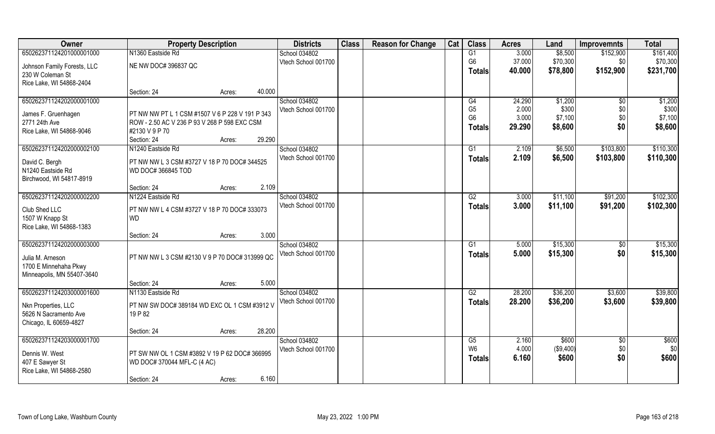| Owner                       | <b>Property Description</b>                     |        |        | <b>Districts</b>    | <b>Class</b> | <b>Reason for Change</b> | Cat | <b>Class</b>   | <b>Acres</b> | Land      | <b>Improvemnts</b> | <b>Total</b> |
|-----------------------------|-------------------------------------------------|--------|--------|---------------------|--------------|--------------------------|-----|----------------|--------------|-----------|--------------------|--------------|
| 650262371124201000001000    | N1360 Eastside Rd                               |        |        | School 034802       |              |                          |     | G1             | 3.000        | \$8,500   | \$152,900          | \$161,400    |
| Johnson Family Forests, LLC | NE NW DOC# 396837 QC                            |        |        | Vtech School 001700 |              |                          |     | G <sub>6</sub> | 37.000       | \$70,300  | \$0                | \$70,300     |
| 230 W Coleman St            |                                                 |        |        |                     |              |                          |     | <b>Totals</b>  | 40.000       | \$78,800  | \$152,900          | \$231,700    |
| Rice Lake, WI 54868-2404    |                                                 |        |        |                     |              |                          |     |                |              |           |                    |              |
|                             | Section: 24                                     | Acres: | 40.000 |                     |              |                          |     |                |              |           |                    |              |
| 650262371124202000001000    |                                                 |        |        | School 034802       |              |                          |     | G4             | 24.290       | \$1,200   | \$0                | \$1,200      |
| James F. Gruenhagen         | PT NW NW PT L 1 CSM #1507 V 6 P 228 V 191 P 343 |        |        | Vtech School 001700 |              |                          |     | G <sub>5</sub> | 2.000        | \$300     | \$0                | \$300        |
| 2771 24th Ave               | ROW - 2.50 AC V 236 P 93 V 268 P 598 EXC CSM    |        |        |                     |              |                          |     | G <sub>6</sub> | 3.000        | \$7,100   | \$0                | \$7,100      |
| Rice Lake, WI 54868-9046    | #2130 V 9 P 70                                  |        |        |                     |              |                          |     | <b>Totals</b>  | 29.290       | \$8,600   | \$0                | \$8,600      |
|                             | Section: 24                                     | Acres: | 29.290 |                     |              |                          |     |                |              |           |                    |              |
| 650262371124202000002100    | N1240 Eastside Rd                               |        |        | School 034802       |              |                          |     | G1             | 2.109        | \$6,500   | \$103,800          | \$110,300    |
| David C. Bergh              | PT NW NW L 3 CSM #3727 V 18 P 70 DOC# 344525    |        |        | Vtech School 001700 |              |                          |     | <b>Totals</b>  | 2.109        | \$6,500   | \$103,800          | \$110,300    |
| N1240 Eastside Rd           | WD DOC# 366845 TOD                              |        |        |                     |              |                          |     |                |              |           |                    |              |
| Birchwood, WI 54817-8919    |                                                 |        |        |                     |              |                          |     |                |              |           |                    |              |
|                             | Section: 24                                     | Acres: | 2.109  |                     |              |                          |     |                |              |           |                    |              |
| 650262371124202000002200    | N1224 Eastside Rd                               |        |        | School 034802       |              |                          |     | G2             | 3.000        | \$11,100  | \$91,200           | \$102,300    |
| Club Shed LLC               | PT NW NW L 4 CSM #3727 V 18 P 70 DOC# 333073    |        |        | Vtech School 001700 |              |                          |     | <b>Totals</b>  | 3.000        | \$11,100  | \$91,200           | \$102,300    |
| 1507 W Knapp St             | <b>WD</b>                                       |        |        |                     |              |                          |     |                |              |           |                    |              |
| Rice Lake, WI 54868-1383    |                                                 |        |        |                     |              |                          |     |                |              |           |                    |              |
|                             | Section: 24                                     | Acres: | 3.000  |                     |              |                          |     |                |              |           |                    |              |
| 650262371124202000003000    |                                                 |        |        | School 034802       |              |                          |     | G1             | 5.000        | \$15,300  | \$0                | \$15,300     |
| Julia M. Arneson            | PT NW NW L 3 CSM #2130 V 9 P 70 DOC# 313999 QC  |        |        | Vtech School 001700 |              |                          |     | <b>Totals</b>  | 5.000        | \$15,300  | \$0                | \$15,300     |
| 1700 E Minnehaha Pkwy       |                                                 |        |        |                     |              |                          |     |                |              |           |                    |              |
| Minneapolis, MN 55407-3640  |                                                 |        |        |                     |              |                          |     |                |              |           |                    |              |
|                             | Section: 24                                     | Acres: | 5.000  |                     |              |                          |     |                |              |           |                    |              |
| 650262371124203000001600    | N1130 Eastside Rd                               |        |        | School 034802       |              |                          |     | G2             | 28.200       | \$36,200  | \$3,600            | \$39,800     |
| Nkn Properties, LLC         | PT NW SW DOC# 389184 WD EXC OL 1 CSM #3912 V    |        |        | Vtech School 001700 |              |                          |     | <b>Totals</b>  | 28.200       | \$36,200  | \$3,600            | \$39,800     |
| 5626 N Sacramento Ave       | 19 P 82                                         |        |        |                     |              |                          |     |                |              |           |                    |              |
| Chicago, IL 60659-4827      |                                                 |        |        |                     |              |                          |     |                |              |           |                    |              |
|                             | Section: 24                                     | Acres: | 28.200 |                     |              |                          |     |                |              |           |                    |              |
| 650262371124203000001700    |                                                 |        |        | School 034802       |              |                          |     | G5             | 2.160        | \$600     | $\overline{50}$    | \$600        |
| Dennis W. West              | PT SW NW OL 1 CSM #3892 V 19 P 62 DOC# 366995   |        |        | Vtech School 001700 |              |                          |     | W <sub>6</sub> | 4.000        | (\$9,400) | \$0                | \$0          |
| 407 E Sawyer St             | WD DOC# 370044 MFL-C (4 AC)                     |        |        |                     |              |                          |     | <b>Totals</b>  | 6.160        | \$600     | \$0                | \$600        |
| Rice Lake, WI 54868-2580    |                                                 |        |        |                     |              |                          |     |                |              |           |                    |              |
|                             | Section: 24                                     | Acres: | 6.160  |                     |              |                          |     |                |              |           |                    |              |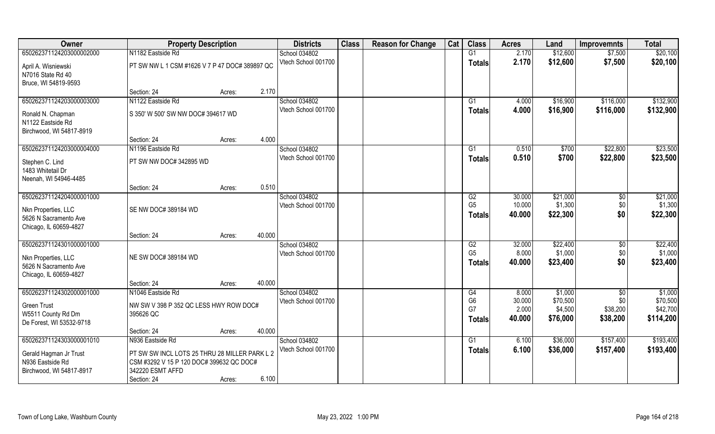| Owner                    | <b>Property Description</b>                    |        |        | <b>Districts</b>    | <b>Class</b> | <b>Reason for Change</b> | Cat | <b>Class</b>   | <b>Acres</b> | Land     | <b>Improvemnts</b> | <b>Total</b> |
|--------------------------|------------------------------------------------|--------|--------|---------------------|--------------|--------------------------|-----|----------------|--------------|----------|--------------------|--------------|
| 650262371124203000002000 | N1182 Eastside Rd                              |        |        | School 034802       |              |                          |     | G1             | 2.170        | \$12,600 | \$7,500            | \$20,100     |
| April A. Wisniewski      | PT SW NW L 1 CSM #1626 V 7 P 47 DOC# 389897 QC |        |        | Vtech School 001700 |              |                          |     | <b>Totals</b>  | 2.170        | \$12,600 | \$7,500            | \$20,100     |
| N7016 State Rd 40        |                                                |        |        |                     |              |                          |     |                |              |          |                    |              |
| Bruce, WI 54819-9593     | Section: 24                                    | Acres: | 2.170  |                     |              |                          |     |                |              |          |                    |              |
| 650262371124203000003000 | N1122 Eastside Rd                              |        |        | School 034802       |              |                          |     | G1             | 4.000        | \$16,900 | \$116,000          | \$132,900    |
|                          |                                                |        |        | Vtech School 001700 |              |                          |     | Totals         | 4.000        | \$16,900 | \$116,000          | \$132,900    |
| Ronald N. Chapman        | S 350' W 500' SW NW DOC# 394617 WD             |        |        |                     |              |                          |     |                |              |          |                    |              |
| N1122 Eastside Rd        |                                                |        |        |                     |              |                          |     |                |              |          |                    |              |
| Birchwood, WI 54817-8919 | Section: 24                                    | Acres: | 4.000  |                     |              |                          |     |                |              |          |                    |              |
| 650262371124203000004000 | N1196 Eastside Rd                              |        |        | School 034802       |              |                          |     | G1             | 0.510        | \$700    | \$22,800           | \$23,500     |
|                          |                                                |        |        | Vtech School 001700 |              |                          |     | <b>Totals</b>  | 0.510        | \$700    | \$22,800           | \$23,500     |
| Stephen C. Lind          | PT SW NW DOC# 342895 WD                        |        |        |                     |              |                          |     |                |              |          |                    |              |
| 1483 Whitetail Dr        |                                                |        |        |                     |              |                          |     |                |              |          |                    |              |
| Neenah, WI 54946-4485    | Section: 24                                    | Acres: | 0.510  |                     |              |                          |     |                |              |          |                    |              |
| 650262371124204000001000 |                                                |        |        | School 034802       |              |                          |     | G2             | 30.000       | \$21,000 | $\sqrt[6]{3}$      | \$21,000     |
|                          |                                                |        |        | Vtech School 001700 |              |                          |     | G <sub>5</sub> | 10.000       | \$1,300  | \$0                | \$1,300      |
| Nkn Properties, LLC      | SE NW DOC# 389184 WD                           |        |        |                     |              |                          |     | <b>Totals</b>  | 40.000       | \$22,300 | \$0                | \$22,300     |
| 5626 N Sacramento Ave    |                                                |        |        |                     |              |                          |     |                |              |          |                    |              |
| Chicago, IL 60659-4827   | Section: 24                                    | Acres: | 40.000 |                     |              |                          |     |                |              |          |                    |              |
| 650262371124301000001000 |                                                |        |        | School 034802       |              |                          |     | G2             | 32.000       | \$22,400 | \$0                | \$22,400     |
|                          |                                                |        |        | Vtech School 001700 |              |                          |     | G <sub>5</sub> | 8.000        | \$1,000  | \$0                | \$1,000      |
| Nkn Properties, LLC      | NE SW DOC# 389184 WD                           |        |        |                     |              |                          |     | <b>Totals</b>  | 40.000       | \$23,400 | \$0                | \$23,400     |
| 5626 N Sacramento Ave    |                                                |        |        |                     |              |                          |     |                |              |          |                    |              |
| Chicago, IL 60659-4827   | Section: 24                                    | Acres: | 40.000 |                     |              |                          |     |                |              |          |                    |              |
| 650262371124302000001000 | N1046 Eastside Rd                              |        |        | School 034802       |              |                          |     | G4             | 8.000        | \$1,000  | $\sqrt{$0}$        | \$1,000      |
|                          |                                                |        |        | Vtech School 001700 |              |                          |     | G <sub>6</sub> | 30.000       | \$70,500 | \$0                | \$70,500     |
| <b>Green Trust</b>       | NW SW V 398 P 352 QC LESS HWY ROW DOC#         |        |        |                     |              |                          |     | G7             | 2.000        | \$4,500  | \$38,200           | \$42,700     |
| W5511 County Rd Dm       | 395626 QC                                      |        |        |                     |              |                          |     | <b>Totals</b>  | 40.000       | \$76,000 | \$38,200           | \$114,200    |
| De Forest, WI 53532-9718 | Section: 24                                    | Acres: | 40.000 |                     |              |                          |     |                |              |          |                    |              |
| 650262371124303000001010 | N936 Eastside Rd                               |        |        | School 034802       |              |                          |     | G1             | 6.100        | \$36,000 | \$157,400          | \$193,400    |
|                          |                                                |        |        | Vtech School 001700 |              |                          |     | <b>Totals</b>  | 6.100        | \$36,000 | \$157,400          | \$193,400    |
| Gerald Hagman Jr Trust   | PT SW SW INCL LOTS 25 THRU 28 MILLER PARK L 2  |        |        |                     |              |                          |     |                |              |          |                    |              |
| N936 Eastside Rd         | CSM #3292 V 15 P 120 DOC# 399632 QC DOC#       |        |        |                     |              |                          |     |                |              |          |                    |              |
| Birchwood, WI 54817-8917 | 342220 ESMT AFFD                               |        |        |                     |              |                          |     |                |              |          |                    |              |
|                          | Section: 24                                    | Acres: | 6.100  |                     |              |                          |     |                |              |          |                    |              |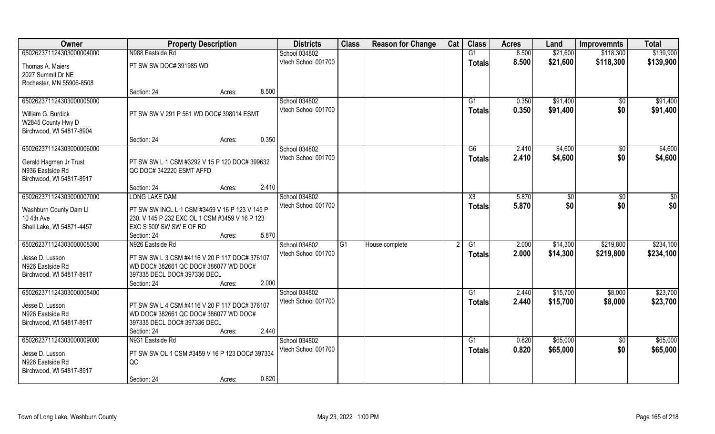| Owner                     | <b>Property Description</b>                    |       | <b>Districts</b>    | <b>Class</b> | <b>Reason for Change</b> | Cat | <b>Class</b>    | <b>Acres</b> | Land     | <b>Improvemnts</b> | <b>Total</b> |
|---------------------------|------------------------------------------------|-------|---------------------|--------------|--------------------------|-----|-----------------|--------------|----------|--------------------|--------------|
| 650262371124303000004000  | N988 Eastside Rd                               |       | School 034802       |              |                          |     | G1              | 8.500        | \$21,600 | \$118,300          | \$139,900    |
| Thomas A. Maiers          | PT SW SW DOC# 391985 WD                        |       | Vtech School 001700 |              |                          |     | <b>Totals</b>   | 8.500        | \$21,600 | \$118,300          | \$139,900    |
| 2027 Summit Dr NE         |                                                |       |                     |              |                          |     |                 |              |          |                    |              |
| Rochester, MN 55906-8508  |                                                |       |                     |              |                          |     |                 |              |          |                    |              |
|                           | Section: 24<br>Acres:                          | 8.500 |                     |              |                          |     |                 |              |          |                    |              |
| 650262371124303000005000  |                                                |       | School 034802       |              |                          |     | G <sub>1</sub>  | 0.350        | \$91,400 | \$0                | \$91,400     |
| William G. Burdick        | PT SW SW V 291 P 561 WD DOC# 398014 ESMT       |       | Vtech School 001700 |              |                          |     | <b>Totals</b>   | 0.350        | \$91,400 | \$0                | \$91,400     |
| W2845 County Hwy D        |                                                |       |                     |              |                          |     |                 |              |          |                    |              |
| Birchwood, WI 54817-8904  |                                                |       |                     |              |                          |     |                 |              |          |                    |              |
|                           | Section: 24<br>Acres:                          | 0.350 |                     |              |                          |     |                 |              |          |                    |              |
| 650262371124303000006000  |                                                |       | School 034802       |              |                          |     | G6              | 2.410        | \$4,600  | $\sqrt{6}$         | \$4,600      |
| Gerald Hagman Jr Trust    | PT SW SW L 1 CSM #3292 V 15 P 120 DOC# 399632  |       | Vtech School 001700 |              |                          |     | <b>Totals</b>   | 2.410        | \$4,600  | \$0                | \$4,600      |
| N936 Eastside Rd          | QC DOC#342220 ESMT AFFD                        |       |                     |              |                          |     |                 |              |          |                    |              |
| Birchwood, WI 54817-8917  |                                                |       |                     |              |                          |     |                 |              |          |                    |              |
|                           | Section: 24<br>Acres:                          | 2.410 |                     |              |                          |     |                 |              |          |                    |              |
| 650262371124303000007000  | <b>LONG LAKE DAM</b>                           |       | School 034802       |              |                          |     | X3              | 5.870        | \$0      | $\sqrt[6]{3}$      | \$0          |
| Washburn County Dam Ll    | PT SW SW INCL L 1 CSM #3459 V 16 P 123 V 145 P |       | Vtech School 001700 |              |                          |     | <b>Totals</b>   | 5.870        | \$0      | \$0                | \$0          |
| 10 4th Ave                | 230, V 145 P 232 EXC OL 1 CSM #3459 V 16 P 123 |       |                     |              |                          |     |                 |              |          |                    |              |
| Shell Lake, WI 54871-4457 | EXC S 500' SW SW E OF RD                       |       |                     |              |                          |     |                 |              |          |                    |              |
|                           | Section: 24<br>Acres:                          | 5.870 |                     |              |                          |     |                 |              |          |                    |              |
| 650262371124303000008300  | N926 Eastside Rd                               |       | School 034802       | G1           | House complete           |     | G1              | 2.000        | \$14,300 | \$219,800          | \$234,100    |
| Jesse D. Lusson           | PT SW SW L 3 CSM #4116 V 20 P 117 DOC# 376107  |       | Vtech School 001700 |              |                          |     | <b>Totals</b>   | 2.000        | \$14,300 | \$219,800          | \$234,100    |
| N926 Eastside Rd          | WD DOC# 382661 QC DOC# 386077 WD DOC#          |       |                     |              |                          |     |                 |              |          |                    |              |
| Birchwood, WI 54817-8917  | 397335 DECL DOC# 397336 DECL                   |       |                     |              |                          |     |                 |              |          |                    |              |
|                           | Section: 24<br>Acres:                          | 2.000 |                     |              |                          |     |                 |              |          |                    |              |
| 650262371124303000008400  |                                                |       | School 034802       |              |                          |     | $\overline{G1}$ | 2.440        | \$15,700 | \$8,000            | \$23,700     |
| Jesse D. Lusson           | PT SW SW L 4 CSM #4116 V 20 P 117 DOC# 376107  |       | Vtech School 001700 |              |                          |     | <b>Totals</b>   | 2.440        | \$15,700 | \$8,000            | \$23,700     |
| N926 Eastside Rd          | WD DOC# 382661 QC DOC# 386077 WD DOC#          |       |                     |              |                          |     |                 |              |          |                    |              |
| Birchwood, WI 54817-8917  | 397335 DECL DOC# 397336 DECL                   |       |                     |              |                          |     |                 |              |          |                    |              |
|                           | Section: 24<br>Acres:                          | 2.440 |                     |              |                          |     |                 |              |          |                    |              |
| 650262371124303000009000  | N931 Eastside Rd                               |       | School 034802       |              |                          |     | G1              | 0.820        | \$65,000 | $\overline{50}$    | \$65,000     |
| Jesse D. Lusson           | PT SW SW OL 1 CSM #3459 V 16 P 123 DOC# 397334 |       | Vtech School 001700 |              |                          |     | <b>Totals</b>   | 0.820        | \$65,000 | \$0                | \$65,000     |
| N926 Eastside Rd          | QC                                             |       |                     |              |                          |     |                 |              |          |                    |              |
| Birchwood, WI 54817-8917  |                                                |       |                     |              |                          |     |                 |              |          |                    |              |
|                           | Section: 24<br>Acres:                          | 0.820 |                     |              |                          |     |                 |              |          |                    |              |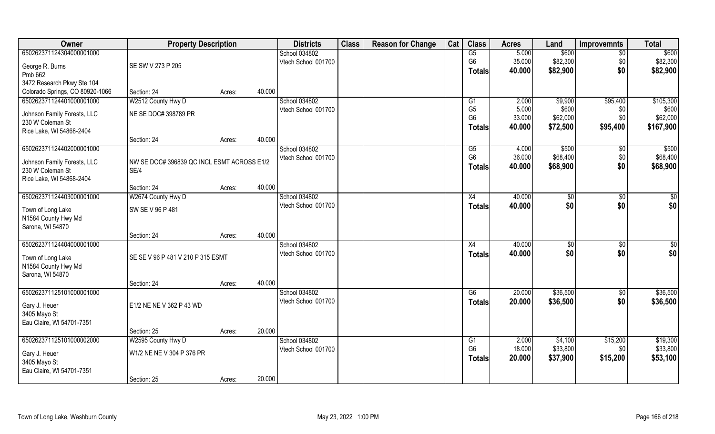| Owner                           | <b>Property Description</b>                |        |        | <b>Districts</b>    | <b>Class</b> | <b>Reason for Change</b> | Cat | <b>Class</b>                     | <b>Acres</b>    | Land           | <b>Improvemnts</b> | <b>Total</b>      |
|---------------------------------|--------------------------------------------|--------|--------|---------------------|--------------|--------------------------|-----|----------------------------------|-----------------|----------------|--------------------|-------------------|
| 650262371124304000001000        |                                            |        |        | School 034802       |              |                          |     | G5                               | 5.000           | \$600          | $\sqrt{6}$         | \$600             |
| George R. Burns                 | SE SW V 273 P 205                          |        |        | Vtech School 001700 |              |                          |     | G <sub>6</sub>                   | 35.000          | \$82,300       | \$0                | \$82,300          |
| Pmb 662                         |                                            |        |        |                     |              |                          |     | <b>Totals</b>                    | 40.000          | \$82,900       | \$0                | \$82,900          |
| 3472 Research Pkwy Ste 104      |                                            |        |        |                     |              |                          |     |                                  |                 |                |                    |                   |
| Colorado Springs, CO 80920-1066 | Section: 24                                |        | 40.000 |                     |              |                          |     |                                  |                 |                |                    |                   |
| 650262371124401000001000        |                                            | Acres: |        | School 034802       |              |                          |     |                                  |                 |                |                    |                   |
|                                 | W2512 County Hwy D                         |        |        |                     |              |                          |     | G1                               | 2.000           | \$9,900        | \$95,400           | \$105,300         |
| Johnson Family Forests, LLC     | NE SE DOC# 398789 PR                       |        |        | Vtech School 001700 |              |                          |     | G <sub>5</sub><br>G <sub>6</sub> | 5.000<br>33.000 | \$600          | \$0                | \$600<br>\$62,000 |
| 230 W Coleman St                |                                            |        |        |                     |              |                          |     |                                  |                 | \$62,000       | \$0                |                   |
| Rice Lake, WI 54868-2404        |                                            |        |        |                     |              |                          |     | <b>Totals</b>                    | 40.000          | \$72,500       | \$95,400           | \$167,900         |
|                                 | Section: 24                                | Acres: | 40.000 |                     |              |                          |     |                                  |                 |                |                    |                   |
| 650262371124402000001000        |                                            |        |        | School 034802       |              |                          |     | G5                               | 4.000           | \$500          | $\sqrt[6]{3}$      | \$500             |
|                                 |                                            |        |        | Vtech School 001700 |              |                          |     | G <sub>6</sub>                   | 36.000          | \$68,400       | \$0                | \$68,400          |
| Johnson Family Forests, LLC     | NW SE DOC# 396839 QC INCL ESMT ACROSS E1/2 |        |        |                     |              |                          |     | <b>Totals</b>                    | 40.000          | \$68,900       | \$0                | \$68,900          |
| 230 W Coleman St                | SE/4                                       |        |        |                     |              |                          |     |                                  |                 |                |                    |                   |
| Rice Lake, WI 54868-2404        | Section: 24                                | Acres: | 40.000 |                     |              |                          |     |                                  |                 |                |                    |                   |
| 650262371124403000001000        | W2674 County Hwy D                         |        |        | School 034802       |              |                          |     |                                  | 40.000          |                | \$0                | $\sqrt{50}$       |
|                                 |                                            |        |        | Vtech School 001700 |              |                          |     | X4                               | 40.000          | $ $ \$0<br>\$0 | \$0                | \$0               |
| Town of Long Lake               | SW SE V 96 P 481                           |        |        |                     |              |                          |     | <b>Totals</b>                    |                 |                |                    |                   |
| N1584 County Hwy Md             |                                            |        |        |                     |              |                          |     |                                  |                 |                |                    |                   |
| Sarona, WI 54870                |                                            |        |        |                     |              |                          |     |                                  |                 |                |                    |                   |
|                                 | Section: 24                                | Acres: | 40.000 |                     |              |                          |     |                                  |                 |                |                    |                   |
| 650262371124404000001000        |                                            |        |        | School 034802       |              |                          |     | X4                               | 40.000          | \$0            | \$0                | $\overline{50}$   |
|                                 |                                            |        |        | Vtech School 001700 |              |                          |     | <b>Totals</b>                    | 40.000          | \$0            | \$0                | \$0               |
| Town of Long Lake               | SE SE V 96 P 481 V 210 P 315 ESMT          |        |        |                     |              |                          |     |                                  |                 |                |                    |                   |
| N1584 County Hwy Md             |                                            |        |        |                     |              |                          |     |                                  |                 |                |                    |                   |
| Sarona, WI 54870                |                                            |        |        |                     |              |                          |     |                                  |                 |                |                    |                   |
|                                 | Section: 24                                | Acres: | 40.000 |                     |              |                          |     |                                  |                 |                |                    |                   |
| 650262371125101000001000        |                                            |        |        | School 034802       |              |                          |     | G6                               | 20.000          | \$36,500       | $\overline{60}$    | \$36,500          |
| Gary J. Heuer                   | E1/2 NE NE V 362 P 43 WD                   |        |        | Vtech School 001700 |              |                          |     | <b>Totals</b>                    | 20.000          | \$36,500       | \$0                | \$36,500          |
| 3405 Mayo St                    |                                            |        |        |                     |              |                          |     |                                  |                 |                |                    |                   |
| Eau Claire, WI 54701-7351       |                                            |        |        |                     |              |                          |     |                                  |                 |                |                    |                   |
|                                 | Section: 25                                | Acres: | 20.000 |                     |              |                          |     |                                  |                 |                |                    |                   |
| 650262371125101000002000        | W2595 County Hwy D                         |        |        | School 034802       |              |                          |     | G1                               | 2.000           | \$4,100        | \$15,200           | \$19,300          |
|                                 |                                            |        |        | Vtech School 001700 |              |                          |     | G <sub>6</sub>                   | 18.000          | \$33,800       | \$0                | \$33,800          |
| Gary J. Heuer                   | W1/2 NE NE V 304 P 376 PR                  |        |        |                     |              |                          |     | <b>Totals</b>                    | 20.000          | \$37,900       | \$15,200           | \$53,100          |
| 3405 Mayo St                    |                                            |        |        |                     |              |                          |     |                                  |                 |                |                    |                   |
| Eau Claire, WI 54701-7351       |                                            |        |        |                     |              |                          |     |                                  |                 |                |                    |                   |
|                                 | Section: 25                                | Acres: | 20.000 |                     |              |                          |     |                                  |                 |                |                    |                   |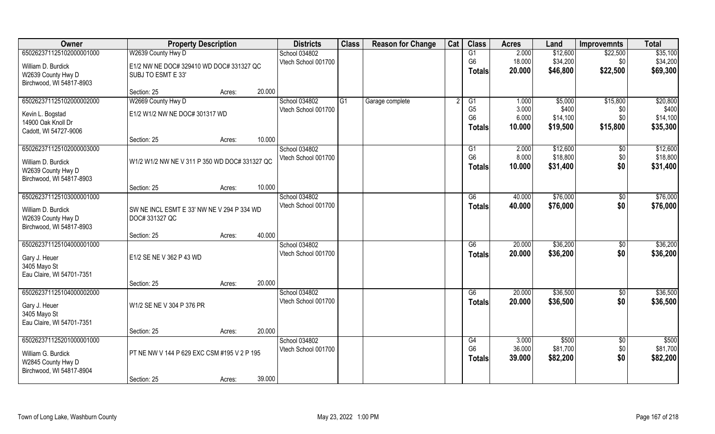| Owner                     | <b>Property Description</b>                   |                     | <b>Districts</b>                     | <b>Class</b> | <b>Reason for Change</b> | Cat           | <b>Class</b>         | <b>Acres</b>    | Land              | <b>Improvemnts</b> | <b>Total</b>      |
|---------------------------|-----------------------------------------------|---------------------|--------------------------------------|--------------|--------------------------|---------------|----------------------|-----------------|-------------------|--------------------|-------------------|
| 650262371125102000001000  | W2639 County Hwy D                            |                     | School 034802                        |              |                          |               | G1                   | 2.000           | \$12,600          | \$22,500           | \$35,100          |
| William D. Burdick        | E1/2 NW NE DOC# 329410 WD DOC# 331327 QC      |                     | Vtech School 001700                  |              |                          |               | G <sub>6</sub>       | 18.000          | \$34,200          | \$0                | \$34,200          |
| W2639 County Hwy D        | SUBJ TO ESMT E 33'                            |                     |                                      |              |                          |               | <b>Totals</b>        | 20.000          | \$46,800          | \$22,500           | \$69,300          |
| Birchwood, WI 54817-8903  |                                               |                     |                                      |              |                          |               |                      |                 |                   |                    |                   |
|                           | Section: 25                                   | 20.000<br>Acres:    |                                      |              |                          |               |                      |                 |                   |                    |                   |
| 650262371125102000002000  | W2669 County Hwy D                            |                     | School 034802                        | G1           | Garage complete          |               | G1                   | 1.000           | \$5,000           | \$15,800           | \$20,800          |
| Kevin L. Bogstad          | E1/2 W1/2 NW NE DOC# 301317 WD                |                     | Vtech School 001700                  |              |                          |               | G <sub>5</sub>       | 3.000           | \$400             | \$0                | \$400             |
| 14900 Oak Knoll Dr        |                                               |                     |                                      |              |                          |               | G <sub>6</sub>       | 6.000           | \$14,100          | \$0                | \$14,100          |
| Cadott, WI 54727-9006     |                                               |                     |                                      |              |                          |               | Totals               | 10.000          | \$19,500          | \$15,800           | \$35,300          |
|                           | Section: 25                                   | 10.000<br>Acres:    |                                      |              |                          |               |                      |                 |                   |                    |                   |
| 650262371125102000003000  |                                               |                     | School 034802                        |              |                          |               | G1                   | 2.000           | \$12,600          | $\sqrt[6]{30}$     | \$12,600          |
| William D. Burdick        | W1/2 W1/2 NW NE V 311 P 350 WD DOC# 331327 QC |                     | Vtech School 001700                  |              |                          |               | G <sub>6</sub>       | 8.000           | \$18,800          | \$0                | \$18,800          |
| W2639 County Hwy D        |                                               |                     |                                      |              |                          |               | <b>Totals</b>        | 10.000          | \$31,400          | \$0                | \$31,400          |
| Birchwood, WI 54817-8903  |                                               |                     |                                      |              |                          |               |                      |                 |                   |                    |                   |
|                           | Section: 25                                   | 10.000<br>Acres:    |                                      |              |                          |               |                      |                 |                   |                    |                   |
| 650262371125103000001000  |                                               |                     | School 034802                        |              |                          |               | G6                   | 40.000          | \$76,000          | \$0                | \$76,000          |
| William D. Burdick        | SW NE INCL ESMT E 33' NW NE V 294 P 334 WD    | Vtech School 001700 |                                      |              |                          | <b>Totals</b> | 40.000               | \$76,000        | \$0               | \$76,000           |                   |
| W2639 County Hwy D        | DOC# 331327 QC                                |                     |                                      |              |                          |               |                      |                 |                   |                    |                   |
| Birchwood, WI 54817-8903  |                                               |                     |                                      |              |                          |               |                      |                 |                   |                    |                   |
|                           | Section: 25                                   | 40.000<br>Acres:    |                                      |              |                          |               |                      |                 |                   |                    |                   |
| 650262371125104000001000  |                                               |                     | School 034802                        |              |                          |               | G6                   | 20.000          | \$36,200          | \$0                | \$36,200          |
| Gary J. Heuer             | E1/2 SE NE V 362 P 43 WD                      |                     | Vtech School 001700                  |              |                          |               | <b>Totals</b>        | 20.000          | \$36,200          | \$0                | \$36,200          |
| 3405 Mayo St              |                                               |                     |                                      |              |                          |               |                      |                 |                   |                    |                   |
| Eau Claire, WI 54701-7351 |                                               |                     |                                      |              |                          |               |                      |                 |                   |                    |                   |
|                           | Section: 25                                   | 20.000<br>Acres:    |                                      |              |                          |               |                      |                 |                   |                    |                   |
| 650262371125104000002000  |                                               |                     | School 034802<br>Vtech School 001700 |              |                          |               | G6                   | 20.000          | \$36,500          | \$0<br>\$0         | \$36,500          |
| Gary J. Heuer             | W1/2 SE NE V 304 P 376 PR                     |                     |                                      |              |                          |               | <b>Totals</b>        | 20,000          | \$36,500          |                    | \$36,500          |
| 3405 Mayo St              |                                               |                     |                                      |              |                          |               |                      |                 |                   |                    |                   |
| Eau Claire, WI 54701-7351 |                                               |                     |                                      |              |                          |               |                      |                 |                   |                    |                   |
|                           | Section: 25                                   | 20.000<br>Acres:    |                                      |              |                          |               |                      |                 |                   |                    |                   |
| 650262371125201000001000  |                                               |                     | School 034802<br>Vtech School 001700 |              |                          |               | G4<br>G <sub>6</sub> | 3.000<br>36.000 | \$500<br>\$81,700 | $\sqrt{6}$<br>\$0  | \$500<br>\$81,700 |
| William G. Burdick        | PT NE NW V 144 P 629 EXC CSM #195 V 2 P 195   |                     |                                      |              |                          |               | Totals               | 39.000          | \$82,200          | \$0                | \$82,200          |
| W2845 County Hwy D        |                                               |                     |                                      |              |                          |               |                      |                 |                   |                    |                   |
| Birchwood, WI 54817-8904  |                                               |                     |                                      |              |                          |               |                      |                 |                   |                    |                   |
|                           | Section: 25                                   | 39.000<br>Acres:    |                                      |              |                          |               |                      |                 |                   |                    |                   |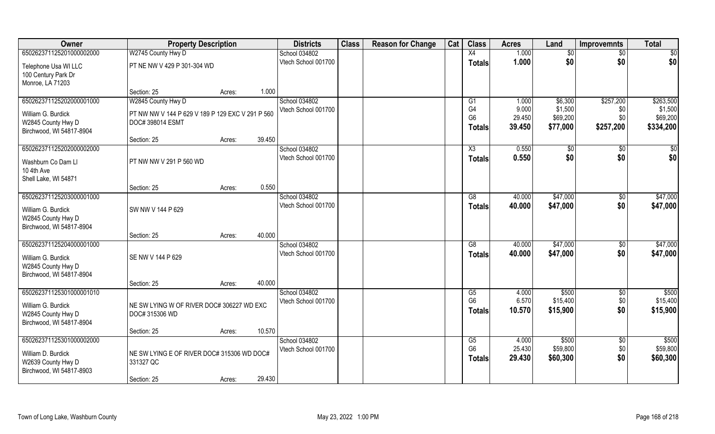| Owner                    | <b>Property Description</b>                      |        |        | <b>Districts</b>    | <b>Class</b> | <b>Reason for Change</b> | Cat | <b>Class</b>    | <b>Acres</b> | Land            | <b>Improvemnts</b> | <b>Total</b>    |
|--------------------------|--------------------------------------------------|--------|--------|---------------------|--------------|--------------------------|-----|-----------------|--------------|-----------------|--------------------|-----------------|
| 650262371125201000002000 | W2745 County Hwy D                               |        |        | School 034802       |              |                          |     | X4              | 1.000        | $\overline{50}$ | $\overline{50}$    | $\overline{50}$ |
| Telephone Usa WI LLC     | PT NE NW V 429 P 301-304 WD                      |        |        | Vtech School 001700 |              |                          |     | <b>Totals</b>   | 1.000        | \$0             | \$0                | \$0             |
| 100 Century Park Dr      |                                                  |        |        |                     |              |                          |     |                 |              |                 |                    |                 |
| Monroe, LA 71203         |                                                  |        |        |                     |              |                          |     |                 |              |                 |                    |                 |
|                          | Section: 25                                      | Acres: | 1.000  |                     |              |                          |     |                 |              |                 |                    |                 |
| 650262371125202000001000 | W2845 County Hwy D                               |        |        | School 034802       |              |                          |     | G1              | 1.000        | \$6,300         | \$257,200          | \$263,500       |
| William G. Burdick       | PT NW NW V 144 P 629 V 189 P 129 EXC V 291 P 560 |        |        | Vtech School 001700 |              |                          |     | G4              | 9.000        | \$1,500         | \$0                | \$1,500         |
| W2845 County Hwy D       | DOC# 398014 ESMT                                 |        |        |                     |              |                          |     | G <sub>6</sub>  | 29.450       | \$69,200        | \$0                | \$69,200        |
| Birchwood, WI 54817-8904 |                                                  |        |        |                     |              |                          |     | <b>Totals</b>   | 39.450       | \$77,000        | \$257,200          | \$334,200       |
|                          | Section: 25                                      | Acres: | 39.450 |                     |              |                          |     |                 |              |                 |                    |                 |
| 650262371125202000002000 |                                                  |        |        | School 034802       |              |                          |     | X3              | 0.550        | \$0             | $\overline{50}$    | \$0             |
| Washburn Co Dam Ll       | PT NW NW V 291 P 560 WD                          |        |        | Vtech School 001700 |              |                          |     | <b>Totals</b>   | 0.550        | \$0             | \$0                | \$0             |
| 10 4th Ave               |                                                  |        |        |                     |              |                          |     |                 |              |                 |                    |                 |
| Shell Lake, WI 54871     |                                                  |        |        |                     |              |                          |     |                 |              |                 |                    |                 |
|                          | Section: 25                                      | Acres: | 0.550  |                     |              |                          |     |                 |              |                 |                    |                 |
| 650262371125203000001000 |                                                  |        |        | School 034802       |              |                          |     | G8              | 40.000       | \$47,000        | \$0                | \$47,000        |
| William G. Burdick       | SW NW V 144 P 629                                |        |        | Vtech School 001700 |              |                          |     | <b>Totals</b>   | 40.000       | \$47,000        | \$0                | \$47,000        |
| W2845 County Hwy D       |                                                  |        |        |                     |              |                          |     |                 |              |                 |                    |                 |
| Birchwood, WI 54817-8904 |                                                  |        |        |                     |              |                          |     |                 |              |                 |                    |                 |
|                          | Section: 25                                      | Acres: | 40.000 |                     |              |                          |     |                 |              |                 |                    |                 |
| 650262371125204000001000 |                                                  |        |        | School 034802       |              |                          |     | $\overline{G8}$ | 40.000       | \$47,000        | $\sqrt[6]{30}$     | \$47,000        |
| William G. Burdick       | SE NW V 144 P 629                                |        |        | Vtech School 001700 |              |                          |     | <b>Totals</b>   | 40.000       | \$47,000        | \$0                | \$47,000        |
| W2845 County Hwy D       |                                                  |        |        |                     |              |                          |     |                 |              |                 |                    |                 |
| Birchwood, WI 54817-8904 |                                                  |        |        |                     |              |                          |     |                 |              |                 |                    |                 |
|                          | Section: 25                                      | Acres: | 40.000 |                     |              |                          |     |                 |              |                 |                    |                 |
| 650262371125301000001010 |                                                  |        |        | School 034802       |              |                          |     | G5              | 4.000        | \$500           | \$0                | \$500           |
| William G. Burdick       | NE SW LYING W OF RIVER DOC# 306227 WD EXC        |        |        | Vtech School 001700 |              |                          |     | G <sub>6</sub>  | 6.570        | \$15,400        | \$0                | \$15,400        |
| W2845 County Hwy D       | DOC# 315306 WD                                   |        |        |                     |              |                          |     | <b>Totals</b>   | 10.570       | \$15,900        | \$0                | \$15,900        |
| Birchwood, WI 54817-8904 |                                                  |        |        |                     |              |                          |     |                 |              |                 |                    |                 |
|                          | Section: 25                                      | Acres: | 10.570 |                     |              |                          |     |                 |              |                 |                    |                 |
| 650262371125301000002000 |                                                  |        |        | School 034802       |              |                          |     | G5              | 4.000        | \$500           | $\overline{30}$    | \$500           |
| William D. Burdick       | NE SW LYING E OF RIVER DOC# 315306 WD DOC#       |        |        | Vtech School 001700 |              |                          |     | G <sub>6</sub>  | 25.430       | \$59,800        | \$0                | \$59,800        |
| W2639 County Hwy D       | 331327 QC                                        |        |        |                     |              |                          |     | <b>Totals</b>   | 29.430       | \$60,300        | \$0                | \$60,300        |
| Birchwood, WI 54817-8903 |                                                  |        |        |                     |              |                          |     |                 |              |                 |                    |                 |
|                          | Section: 25                                      | Acres: | 29.430 |                     |              |                          |     |                 |              |                 |                    |                 |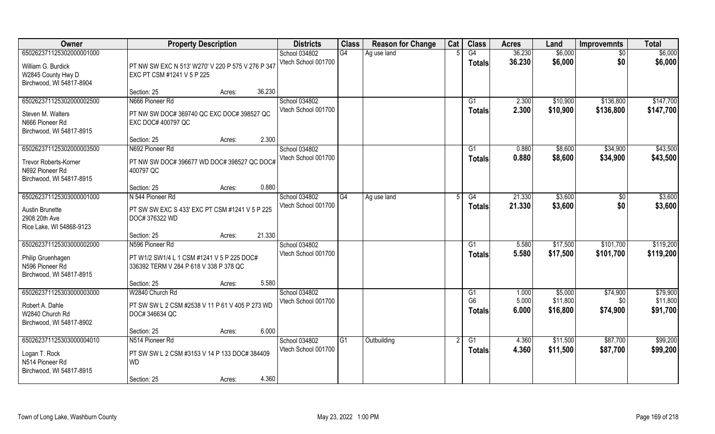| Owner                                                                                                   | <b>Property Description</b>                                                                                      | <b>Districts</b>                     | <b>Class</b> | <b>Reason for Change</b> | Cat | <b>Class</b>                    | <b>Acres</b>     | Land                 | <b>Improvemnts</b>     | <b>Total</b>           |
|---------------------------------------------------------------------------------------------------------|------------------------------------------------------------------------------------------------------------------|--------------------------------------|--------------|--------------------------|-----|---------------------------------|------------------|----------------------|------------------------|------------------------|
| 650262371125302000001000<br>William G. Burdick<br>W2845 County Hwy D                                    | PT NW SW EXC N 513' W270' V 220 P 575 V 276 P 347<br>EXC PT CSM #1241 V 5 P 225                                  | School 034802<br>Vtech School 001700 | G4           | Ag use land              |     | G4<br>Totals                    | 36.230<br>36.230 | \$6,000<br>\$6,000   | $\sqrt{6}$<br>\$0      | \$6,000<br>\$6,000     |
| Birchwood, WI 54817-8904                                                                                | 36.230<br>Section: 25<br>Acres:                                                                                  |                                      |              |                          |     |                                 |                  |                      |                        |                        |
| 650262371125302000002500<br>Steven M. Walters<br>N666 Pioneer Rd<br>Birchwood, WI 54817-8915            | N666 Pioneer Rd<br>PT NW SW DOC# 369740 QC EXC DOC# 398527 QC<br>EXC DOC# 400797 QC                              | School 034802<br>Vtech School 001700 |              |                          |     | G1<br>Totals                    | 2.300<br>2.300   | \$10,900<br>\$10,900 | \$136,800<br>\$136,800 | \$147,700<br>\$147,700 |
|                                                                                                         | 2.300<br>Section: 25<br>Acres:                                                                                   |                                      |              |                          |     |                                 |                  |                      |                        |                        |
| 650262371125302000003500<br><b>Trevor Roberts-Korner</b><br>N692 Pioneer Rd<br>Birchwood, WI 54817-8915 | N692 Pioneer Rd<br>PT NW SW DOC# 396677 WD DOC# 398527 QC DOC#<br>400797 QC                                      | School 034802<br>Vtech School 001700 |              |                          |     | G1<br><b>Totals</b>             | 0.880<br>0.880   | \$8,600<br>\$8,600   | \$34,900<br>\$34,900   | \$43,500<br>\$43,500   |
|                                                                                                         | 0.880<br>Section: 25<br>Acres:                                                                                   |                                      |              |                          |     |                                 |                  |                      |                        |                        |
| 650262371125303000001000<br>Austin Brunette<br>2908 20th Ave<br>Rice Lake, WI 54868-9123                | N 544 Pioneer Rd<br>PT SW SW EXC S 433' EXC PT CSM #1241 V 5 P 225<br>DOC# 376322 WD                             | School 034802<br>Vtech School 001700 | G4           | Ag use land              |     | G4<br><b>Totals</b>             | 21.330<br>21.330 | \$3,600<br>\$3,600   | \$0<br>\$0             | \$3,600<br>\$3,600     |
|                                                                                                         | 21.330<br>Section: 25<br>Acres:                                                                                  |                                      |              |                          |     |                                 |                  |                      |                        |                        |
| 650262371125303000002000<br>Philip Gruenhagen<br>N596 Pioneer Rd<br>Birchwood, WI 54817-8915            | N596 Pioneer Rd<br>PT W1/2 SW1/4 L 1 CSM #1241 V 5 P 225 DOC#<br>336392 TERM V 284 P 618 V 338 P 378 QC<br>5.580 | School 034802<br>Vtech School 001700 |              |                          |     | G1<br><b>Totals</b>             | 5.580<br>5.580   | \$17,500<br>\$17,500 | \$101,700<br>\$101,700 | \$119,200<br>\$119,200 |
| 650262371125303000003000                                                                                | Section: 25<br>Acres:<br>W2840 Church Rd                                                                         | School 034802                        |              |                          |     | G1                              | 1.000            | \$5,000              | \$74,900               | \$79,900               |
| Robert A. Dahle<br>W2840 Church Rd<br>Birchwood, WI 54817-8902                                          | PT SW SW L 2 CSM #2538 V 11 P 61 V 405 P 273 WD<br>DOC# 346634 QC                                                | Vtech School 001700                  |              |                          |     | G <sub>6</sub><br><b>Totals</b> | 5.000<br>6.000   | \$11,800<br>\$16,800 | \$0<br>\$74,900        | \$11,800<br>\$91,700   |
|                                                                                                         | 6.000<br>Section: 25<br>Acres:                                                                                   |                                      |              |                          |     |                                 |                  |                      |                        |                        |
| 650262371125303000004010<br>Logan T. Rock<br>N514 Pioneer Rd<br>Birchwood, WI 54817-8915                | N514 Pioneer Rd<br>PT SW SW L 2 CSM #3153 V 14 P 133 DOC# 384409<br><b>WD</b><br>4.360<br>Section: 25<br>Acres:  | School 034802<br>Vtech School 001700 | G1           | Outbuilding              |     | G1<br>Totals                    | 4.360<br>4.360   | \$11,500<br>\$11,500 | \$87,700<br>\$87,700   | \$99,200<br>\$99,200   |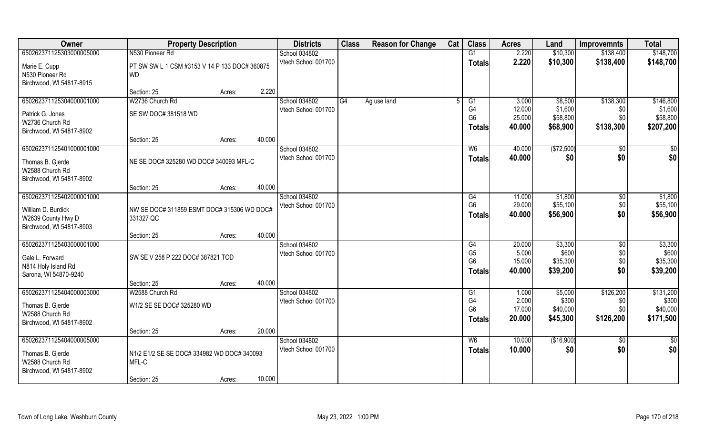| Owner                                          | <b>Property Description</b>                   |                  | <b>Districts</b>                     | <b>Class</b> | <b>Reason for Change</b> | Cat | <b>Class</b>         | <b>Acres</b>     | Land                | <b>Improvemnts</b>     | <b>Total</b>        |
|------------------------------------------------|-----------------------------------------------|------------------|--------------------------------------|--------------|--------------------------|-----|----------------------|------------------|---------------------|------------------------|---------------------|
| 650262371125303000005000                       | N530 Pioneer Rd                               |                  | School 034802                        |              |                          |     | G1                   | 2.220            | \$10,300            | \$138,400              | \$148,700           |
| Marie E. Cupp                                  | PT SW SW L 1 CSM #3153 V 14 P 133 DOC# 360875 |                  | Vtech School 001700                  |              |                          |     | <b>Totals</b>        | 2.220            | \$10,300            | \$138,400              | \$148,700           |
| N530 Pioneer Rd                                | <b>WD</b>                                     |                  |                                      |              |                          |     |                      |                  |                     |                        |                     |
| Birchwood, WI 54817-8915                       |                                               |                  |                                      |              |                          |     |                      |                  |                     |                        |                     |
|                                                | Section: 25                                   | 2.220<br>Acres:  |                                      |              |                          |     |                      |                  |                     |                        |                     |
| 650262371125304000001000                       | W2736 Church Rd                               |                  | School 034802                        | G4           | Ag use land              |     | G1                   | 3.000            | \$8,500             | \$138,300              | \$146,800           |
| Patrick G. Jones                               | SE SW DOC# 381518 WD                          |                  | Vtech School 001700                  |              |                          |     | G4<br>G <sub>6</sub> | 12.000<br>25.000 | \$1,600<br>\$58,800 | \$0<br>\$0             | \$1,600<br>\$58,800 |
| W2736 Church Rd                                |                                               |                  |                                      |              |                          |     | Totals               | 40.000           | \$68,900            | \$138,300              | \$207,200           |
| Birchwood, WI 54817-8902                       |                                               |                  |                                      |              |                          |     |                      |                  |                     |                        |                     |
|                                                | Section: 25                                   | 40.000<br>Acres: |                                      |              |                          |     |                      |                  |                     |                        |                     |
| 650262371125401000001000                       |                                               |                  | School 034802<br>Vtech School 001700 |              |                          |     | W <sub>6</sub>       | 40.000           | (\$72,500)<br>\$0   | $\overline{50}$<br>\$0 | \$0<br>\$0          |
| Thomas B. Gjerde                               | NE SE DOC# 325280 WD DOC# 340093 MFL-C        |                  |                                      |              |                          |     | <b>Totals</b>        | 40.000           |                     |                        |                     |
| W2588 Church Rd                                |                                               |                  |                                      |              |                          |     |                      |                  |                     |                        |                     |
| Birchwood, WI 54817-8902                       | Section: 25                                   | 40.000           |                                      |              |                          |     |                      |                  |                     |                        |                     |
| 650262371125402000001000                       |                                               | Acres:           | School 034802                        |              |                          |     | G4                   | 11.000           | \$1,800             | \$0                    | \$1,800             |
|                                                |                                               |                  | Vtech School 001700                  |              |                          |     | G <sub>6</sub>       | 29.000           | \$55,100            | \$0                    | \$55,100            |
| William D. Burdick                             | NW SE DOC# 311859 ESMT DOC# 315306 WD DOC#    |                  |                                      |              |                          |     | <b>Totals</b>        | 40.000           | \$56,900            | \$0                    | \$56,900            |
| W2639 County Hwy D<br>Birchwood, WI 54817-8903 | 331327 QC                                     |                  |                                      |              |                          |     |                      |                  |                     |                        |                     |
|                                                | Section: 25                                   | 40.000<br>Acres: |                                      |              |                          |     |                      |                  |                     |                        |                     |
| 650262371125403000001000                       |                                               |                  | School 034802                        |              |                          |     | G4                   | 20.000           | \$3,300             | $\overline{50}$        | \$3,300             |
| Gale L. Forward                                | SW SE V 258 P 222 DOC# 387821 TOD             |                  | Vtech School 001700                  |              |                          |     | G <sub>5</sub>       | 5.000            | \$600               | \$0                    | \$600               |
| N814 Holy Island Rd                            |                                               |                  |                                      |              |                          |     | G <sub>6</sub>       | 15.000           | \$35,300            | \$0                    | \$35,300            |
| Sarona, WI 54870-9240                          |                                               |                  |                                      |              |                          |     | Totals               | 40.000           | \$39,200            | \$0                    | \$39,200            |
|                                                | Section: 25                                   | 40.000<br>Acres: |                                      |              |                          |     |                      |                  |                     |                        |                     |
| 650262371125404000003000                       | W2588 Church Rd                               |                  | School 034802                        |              |                          |     | G1                   | 1.000            | \$5,000             | \$126,200              | \$131,200           |
| Thomas B. Gjerde                               | W1/2 SE SE DOC# 325280 WD                     |                  | Vtech School 001700                  |              |                          |     | G4                   | 2.000            | \$300               | \$0                    | \$300               |
| W2588 Church Rd                                |                                               |                  |                                      |              |                          |     | G <sub>6</sub>       | 17.000           | \$40,000            | \$0                    | \$40,000            |
| Birchwood, WI 54817-8902                       |                                               |                  |                                      |              |                          |     | Totals               | 20.000           | \$45,300            | \$126,200              | \$171,500           |
|                                                | Section: 25                                   | 20.000<br>Acres: |                                      |              |                          |     |                      |                  |                     |                        |                     |
| 650262371125404000005000                       |                                               |                  | School 034802                        |              |                          |     | W6                   | 10.000           | (\$16,900)          | $\overline{50}$        | \$0                 |
| Thomas B. Gjerde                               | N1/2 E1/2 SE SE DOC# 334982 WD DOC# 340093    |                  | Vtech School 001700                  |              |                          |     | <b>Totals</b>        | 10.000           | \$0                 | \$0                    | \$0                 |
| W2588 Church Rd                                | MFL-C                                         |                  |                                      |              |                          |     |                      |                  |                     |                        |                     |
| Birchwood, WI 54817-8902                       |                                               |                  |                                      |              |                          |     |                      |                  |                     |                        |                     |
|                                                | Section: 25                                   | 10.000<br>Acres: |                                      |              |                          |     |                      |                  |                     |                        |                     |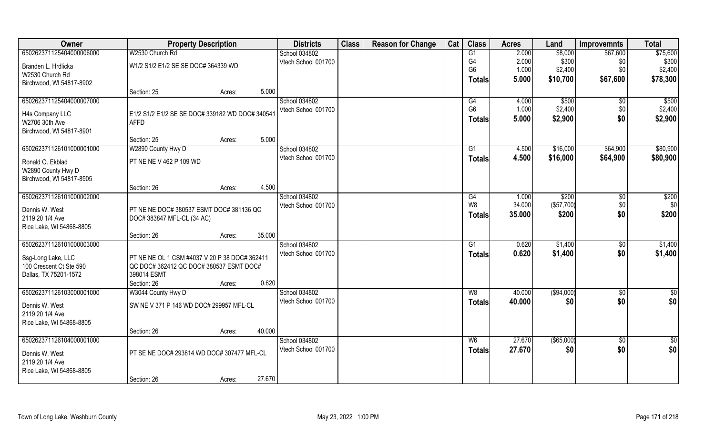| Owner                    | <b>Property Description</b>                     |        |        | <b>Districts</b>    | <b>Class</b> | <b>Reason for Change</b> | Cat | <b>Class</b>   | <b>Acres</b> | Land          | <b>Improvemnts</b> | <b>Total</b>  |
|--------------------------|-------------------------------------------------|--------|--------|---------------------|--------------|--------------------------|-----|----------------|--------------|---------------|--------------------|---------------|
| 650262371125404000006000 | W2530 Church Rd                                 |        |        | School 034802       |              |                          |     | G1             | 2.000        | \$8,000       | \$67,600           | \$75,600      |
| Branden L. Hrdlicka      | W1/2 S1/2 E1/2 SE SE DOC# 364339 WD             |        |        | Vtech School 001700 |              |                          |     | G4             | 2.000        | \$300         | \$0                | \$300         |
| W2530 Church Rd          |                                                 |        |        |                     |              |                          |     | G <sub>6</sub> | 1.000        | \$2,400       | \$0                | \$2,400       |
| Birchwood, WI 54817-8902 |                                                 |        |        |                     |              |                          |     | <b>Totals</b>  | 5.000        | \$10,700      | \$67,600           | \$78,300      |
|                          | Section: 25                                     | Acres: | 5.000  |                     |              |                          |     |                |              |               |                    |               |
| 650262371125404000007000 |                                                 |        |        | School 034802       |              |                          |     | G4             | 4.000        | \$500         | $\sqrt{$0}$        | \$500         |
| H4s Company LLC          | E1/2 S1/2 E1/2 SE SE DOC# 339182 WD DOC# 340541 |        |        | Vtech School 001700 |              |                          |     | G <sub>6</sub> | 1.000        | \$2,400       | \$0                | \$2,400       |
| W2706 30th Ave           | <b>AFFD</b>                                     |        |        |                     |              |                          |     | <b>Totals</b>  | 5.000        | \$2,900       | \$0                | \$2,900       |
| Birchwood, WI 54817-8901 |                                                 |        |        |                     |              |                          |     |                |              |               |                    |               |
|                          | Section: 25                                     | Acres: | 5.000  |                     |              |                          |     |                |              |               |                    |               |
| 650262371126101000001000 | W2890 County Hwy D                              |        |        | School 034802       |              |                          |     | G1             | 4.500        | \$16,000      | \$64,900           | \$80,900      |
| Ronald O. Ekblad         | PT NE NE V 462 P 109 WD                         |        |        | Vtech School 001700 |              |                          |     | <b>Totals</b>  | 4.500        | \$16,000      | \$64,900           | \$80,900      |
| W2890 County Hwy D       |                                                 |        |        |                     |              |                          |     |                |              |               |                    |               |
| Birchwood, WI 54817-8905 |                                                 |        |        |                     |              |                          |     |                |              |               |                    |               |
|                          | Section: 26                                     | Acres: | 4.500  |                     |              |                          |     |                |              |               |                    |               |
| 650262371126101000002000 |                                                 |        |        | School 034802       |              |                          |     | G4             | 1.000        | \$200         | $\sqrt[6]{3}$      | \$200         |
| Dennis W. West           | PT NE NE DOC# 380537 ESMT DOC# 381136 QC        |        |        | Vtech School 001700 |              |                          |     | W8             | 34.000       | (\$57,700)    | \$0                | \$0           |
| 2119 20 1/4 Ave          | DOC# 383847 MFL-CL (34 AC)                      |        |        |                     |              |                          |     | <b>Totals</b>  | 35.000       | \$200         | \$0                | \$200         |
| Rice Lake, WI 54868-8805 |                                                 |        |        |                     |              |                          |     |                |              |               |                    |               |
|                          | Section: 26                                     | Acres: | 35.000 |                     |              |                          |     |                |              |               |                    |               |
| 650262371126101000003000 |                                                 |        |        | School 034802       |              |                          |     | G1             | 0.620        | \$1,400       | \$0                | \$1,400       |
| Ssg-Long Lake, LLC       | PT NE NE OL 1 CSM #4037 V 20 P 38 DOC# 362411   |        |        | Vtech School 001700 |              |                          |     | <b>Totals</b>  | 0.620        | \$1,400       | \$0                | \$1,400       |
| 100 Crescent Ct Ste 590  | QC DOC# 362412 QC DOC# 380537 ESMT DOC#         |        |        |                     |              |                          |     |                |              |               |                    |               |
| Dallas, TX 75201-1572    | 398014 ESMT                                     |        |        |                     |              |                          |     |                |              |               |                    |               |
|                          | Section: 26                                     | Acres: | 0.620  |                     |              |                          |     |                |              |               |                    |               |
| 650262371126103000001000 | W3044 County Hwy D                              |        |        | School 034802       |              |                          |     | W8             | 40.000       | (\$94,000)    | \$0                | $\frac{1}{2}$ |
| Dennis W. West           | SW NE V 371 P 146 WD DOC# 299957 MFL-CL         |        |        | Vtech School 001700 |              |                          |     | <b>Totals</b>  | 40.000       | \$0           | \$0                | \$0           |
| 2119 20 1/4 Ave          |                                                 |        |        |                     |              |                          |     |                |              |               |                    |               |
| Rice Lake, WI 54868-8805 |                                                 |        |        |                     |              |                          |     |                |              |               |                    |               |
|                          | Section: 26                                     | Acres: | 40.000 |                     |              |                          |     |                |              |               |                    |               |
| 650262371126104000001000 |                                                 |        |        | School 034802       |              |                          |     | W <sub>6</sub> | 27.670       | $($ \$65,000) | $\overline{50}$    | $\frac{1}{2}$ |
| Dennis W. West           | PT SE NE DOC# 293814 WD DOC# 307477 MFL-CL      |        |        | Vtech School 001700 |              |                          |     | <b>Totals</b>  | 27.670       | \$0           | \$0                | \$0           |
| 2119 20 1/4 Ave          |                                                 |        |        |                     |              |                          |     |                |              |               |                    |               |
| Rice Lake, WI 54868-8805 |                                                 |        |        |                     |              |                          |     |                |              |               |                    |               |
|                          | Section: 26                                     | Acres: | 27.670 |                     |              |                          |     |                |              |               |                    |               |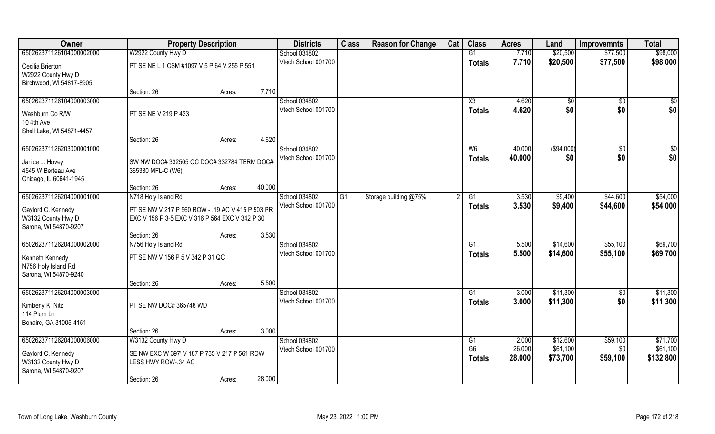| Owner                                    | <b>Property Description</b>                                         |                  | <b>Districts</b>                     | <b>Class</b> | <b>Reason for Change</b> | Cat | <b>Class</b>           | <b>Acres</b>   | Land               | <b>Improvemnts</b> | <b>Total</b>         |
|------------------------------------------|---------------------------------------------------------------------|------------------|--------------------------------------|--------------|--------------------------|-----|------------------------|----------------|--------------------|--------------------|----------------------|
| 650262371126104000002000                 | W2922 County Hwy D                                                  |                  | School 034802                        |              |                          |     | G1                     | 7.710          | \$20,500           | \$77,500           | \$98,000             |
| Cecilia Brierton                         | PT SE NE L 1 CSM #1097 V 5 P 64 V 255 P 551                         |                  | Vtech School 001700                  |              |                          |     | <b>Totals</b>          | 7.710          | \$20,500           | \$77,500           | \$98,000             |
| W2922 County Hwy D                       |                                                                     |                  |                                      |              |                          |     |                        |                |                    |                    |                      |
| Birchwood, WI 54817-8905                 |                                                                     |                  |                                      |              |                          |     |                        |                |                    |                    |                      |
|                                          | Section: 26                                                         | 7.710<br>Acres:  |                                      |              |                          |     |                        |                |                    |                    |                      |
| 650262371126104000003000                 |                                                                     |                  | School 034802                        |              |                          |     | $\overline{\text{X3}}$ | 4.620          | \$0                | $\overline{50}$    | \$0                  |
| Washburn Co R/W                          | PT SE NE V 219 P 423                                                |                  | Vtech School 001700                  |              |                          |     | <b>Totals</b>          | 4.620          | \$0                | \$0                | \$0                  |
| 10 4th Ave                               |                                                                     |                  |                                      |              |                          |     |                        |                |                    |                    |                      |
| Shell Lake, WI 54871-4457                |                                                                     |                  |                                      |              |                          |     |                        |                |                    |                    |                      |
|                                          | Section: 26                                                         | 4.620<br>Acres:  |                                      |              |                          |     |                        |                |                    |                    |                      |
| 650262371126203000001000                 |                                                                     |                  | School 034802<br>Vtech School 001700 |              |                          |     | W <sub>6</sub>         | 40.000         | ( \$94,000)        | $\sqrt{6}$         | \$0                  |
| Janice L. Hovey                          | SW NW DOC# 332505 QC DOC# 332784 TERM DOC#                          |                  |                                      |              |                          |     | <b>Totals</b>          | 40.000         | \$0                | \$0                | \$0                  |
| 4545 W Berteau Ave                       | 365380 MFL-C (W6)                                                   |                  |                                      |              |                          |     |                        |                |                    |                    |                      |
| Chicago, IL 60641-1945                   |                                                                     |                  |                                      |              |                          |     |                        |                |                    |                    |                      |
| 650262371126204000001000                 | Section: 26                                                         | 40.000<br>Acres: | School 034802                        | G1           |                          |     |                        |                |                    |                    |                      |
|                                          | N718 Holy Island Rd                                                 |                  | Vtech School 001700                  |              | Storage building @75%    |     | G1                     | 3.530<br>3.530 | \$9,400<br>\$9,400 | \$44,600           | \$54,000<br>\$54,000 |
| Gaylord C. Kennedy                       | PT SE NW V 217 P 560 ROW - .19 AC V 415 P 503 PR                    |                  |                                      |              |                          |     | <b>Totals</b>          |                |                    | \$44,600           |                      |
| W3132 County Hwy D                       | EXC V 156 P 3-5 EXC V 316 P 564 EXC V 342 P 30                      |                  |                                      |              |                          |     |                        |                |                    |                    |                      |
| Sarona, WI 54870-9207                    |                                                                     | 3.530            |                                      |              |                          |     |                        |                |                    |                    |                      |
| 650262371126204000002000                 | Section: 26<br>N756 Holy Island Rd                                  | Acres:           | School 034802                        |              |                          |     | G1                     | 5.500          | \$14,600           | \$55,100           | \$69,700             |
|                                          |                                                                     |                  | Vtech School 001700                  |              |                          |     | Totals                 | 5.500          | \$14,600           | \$55,100           | \$69,700             |
| Kenneth Kennedy                          | PT SE NW V 156 P 5 V 342 P 31 QC                                    |                  |                                      |              |                          |     |                        |                |                    |                    |                      |
| N756 Holy Island Rd                      |                                                                     |                  |                                      |              |                          |     |                        |                |                    |                    |                      |
| Sarona, WI 54870-9240                    | Section: 26                                                         | 5.500<br>Acres:  |                                      |              |                          |     |                        |                |                    |                    |                      |
| 650262371126204000003000                 |                                                                     |                  | School 034802                        |              |                          |     | G1                     | 3.000          | \$11,300           | \$0                | \$11,300             |
|                                          |                                                                     |                  | Vtech School 001700                  |              |                          |     | <b>Totals</b>          | 3.000          | \$11,300           | \$0                | \$11,300             |
| Kimberly K. Nitz                         | PT SE NW DOC# 365748 WD                                             |                  |                                      |              |                          |     |                        |                |                    |                    |                      |
| 114 Plum Ln<br>Bonaire, GA 31005-4151    |                                                                     |                  |                                      |              |                          |     |                        |                |                    |                    |                      |
|                                          | Section: 26                                                         | 3.000<br>Acres:  |                                      |              |                          |     |                        |                |                    |                    |                      |
| 650262371126204000006000                 | W3132 County Hwy D                                                  |                  | School 034802                        |              |                          |     | G <sub>1</sub>         | 2.000          | \$12,600           | \$59,100           | \$71,700             |
|                                          |                                                                     |                  | Vtech School 001700                  |              |                          |     | G <sub>6</sub>         | 26.000         | \$61,100           | \$0                | \$61,100             |
| Gaylord C. Kennedy<br>W3132 County Hwy D | SE NW EXC W 397' V 187 P 735 V 217 P 561 ROW<br>LESS HWY ROW-.34 AC |                  |                                      |              |                          |     | <b>Totals</b>          | 28.000         | \$73,700           | \$59,100           | \$132,800            |
| Sarona, WI 54870-9207                    |                                                                     |                  |                                      |              |                          |     |                        |                |                    |                    |                      |
|                                          | Section: 26                                                         | 28.000<br>Acres: |                                      |              |                          |     |                        |                |                    |                    |                      |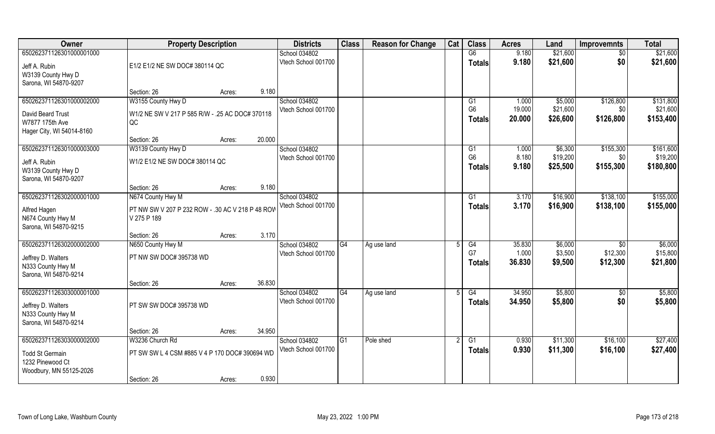| Owner                             | <b>Property Description</b>                                     |        |        | <b>Districts</b>    | <b>Class</b>   | <b>Reason for Change</b> | Cat | <b>Class</b>         | <b>Acres</b>     | Land                 | <b>Improvemnts</b> | <b>Total</b>          |
|-----------------------------------|-----------------------------------------------------------------|--------|--------|---------------------|----------------|--------------------------|-----|----------------------|------------------|----------------------|--------------------|-----------------------|
| 650262371126301000001000          |                                                                 |        |        | School 034802       |                |                          |     | G6                   | 9.180            | \$21,600             | \$0                | \$21,600              |
| Jeff A. Rubin                     | E1/2 E1/2 NE SW DOC# 380114 QC                                  |        |        | Vtech School 001700 |                |                          |     | <b>Totals</b>        | 9.180            | \$21,600             | \$0                | \$21,600              |
| W3139 County Hwy D                |                                                                 |        |        |                     |                |                          |     |                      |                  |                      |                    |                       |
| Sarona, WI 54870-9207             |                                                                 |        |        |                     |                |                          |     |                      |                  |                      |                    |                       |
|                                   | Section: 26                                                     | Acres: | 9.180  |                     |                |                          |     |                      |                  |                      |                    |                       |
| 650262371126301000002000          | W3155 County Hwy D                                              |        |        | School 034802       |                |                          |     | G1<br>G <sub>6</sub> | 1.000            | \$5,000              | \$126,800          | \$131,800             |
| David Beard Trust                 | W1/2 NE SW V 217 P 585 R/W - .25 AC DOC# 370118                 |        |        | Vtech School 001700 |                |                          |     | <b>Totals</b>        | 19.000<br>20.000 | \$21,600<br>\$26,600 | \$0<br>\$126,800   | \$21,600<br>\$153,400 |
| W7877 175th Ave                   | QC                                                              |        |        |                     |                |                          |     |                      |                  |                      |                    |                       |
| Hager City, WI 54014-8160         |                                                                 |        |        |                     |                |                          |     |                      |                  |                      |                    |                       |
| 650262371126301000003000          | Section: 26<br>W3139 County Hwy D                               | Acres: | 20.000 | School 034802       |                |                          |     | G1                   | 1.000            | \$6,300              | \$155,300          | \$161,600             |
|                                   |                                                                 |        |        | Vtech School 001700 |                |                          |     | G <sub>6</sub>       | 8.180            | \$19,200             | \$0                | \$19,200              |
| Jeff A. Rubin                     | W1/2 E1/2 NE SW DOC# 380114 QC                                  |        |        |                     |                |                          |     | <b>Totals</b>        | 9.180            | \$25,500             | \$155,300          | \$180,800             |
| W3139 County Hwy D                |                                                                 |        |        |                     |                |                          |     |                      |                  |                      |                    |                       |
| Sarona, WI 54870-9207             | Section: 26                                                     | Acres: | 9.180  |                     |                |                          |     |                      |                  |                      |                    |                       |
| 650262371126302000001000          | N674 County Hwy M                                               |        |        | School 034802       |                |                          |     | G1                   | 3.170            | \$16,900             | \$138,100          | \$155,000             |
|                                   |                                                                 |        |        | Vtech School 001700 |                |                          |     | <b>Totals</b>        | 3.170            | \$16,900             | \$138,100          | \$155,000             |
| Alfred Hagen<br>N674 County Hwy M | PT NW SW V 207 P 232 ROW - .30 AC V 218 P 48 ROV<br>V 275 P 189 |        |        |                     |                |                          |     |                      |                  |                      |                    |                       |
| Sarona, WI 54870-9215             |                                                                 |        |        |                     |                |                          |     |                      |                  |                      |                    |                       |
|                                   | Section: 26                                                     | Acres: | 3.170  |                     |                |                          |     |                      |                  |                      |                    |                       |
| 650262371126302000002000          | N650 County Hwy M                                               |        |        | School 034802       | G4             | Ag use land              |     | $\overline{G4}$      | 35.830           | \$6,000              | \$0                | \$6,000               |
| Jeffrey D. Walters                | PT NW SW DOC# 395738 WD                                         |        |        | Vtech School 001700 |                |                          |     | G7                   | 1.000            | \$3,500              | \$12,300           | \$15,800              |
| N333 County Hwy M                 |                                                                 |        |        |                     |                |                          |     | <b>Totals</b>        | 36.830           | \$9,500              | \$12,300           | \$21,800              |
| Sarona, WI 54870-9214             |                                                                 |        |        |                     |                |                          |     |                      |                  |                      |                    |                       |
|                                   | Section: 26                                                     | Acres: | 36.830 |                     |                |                          |     |                      |                  |                      |                    |                       |
| 650262371126303000001000          |                                                                 |        |        | School 034802       | G4             | Ag use land              |     | G4                   | 34.950           | \$5,800              | \$0                | \$5,800               |
| Jeffrey D. Walters                | PT SW SW DOC# 395738 WD                                         |        |        | Vtech School 001700 |                |                          |     | <b>Totals</b>        | 34.950           | \$5,800              | \$0                | \$5,800               |
| N333 County Hwy M                 |                                                                 |        |        |                     |                |                          |     |                      |                  |                      |                    |                       |
| Sarona, WI 54870-9214             |                                                                 |        |        |                     |                |                          |     |                      |                  |                      |                    |                       |
|                                   | Section: 26                                                     | Acres: | 34.950 |                     |                |                          |     |                      |                  |                      |                    |                       |
| 650262371126303000002000          | W3236 Church Rd                                                 |        |        | School 034802       | G <sub>1</sub> | Pole shed                |     | $\overline{G1}$      | 0.930            | \$11,300             | \$16,100           | \$27,400              |
| <b>Todd St Germain</b>            | PT SW SW L 4 CSM #885 V 4 P 170 DOC# 390694 WD                  |        |        | Vtech School 001700 |                |                          |     | <b>Totals</b>        | 0.930            | \$11,300             | \$16,100           | \$27,400              |
| 1232 Pinewood Ct                  |                                                                 |        |        |                     |                |                          |     |                      |                  |                      |                    |                       |
| Woodbury, MN 55125-2026           |                                                                 |        |        |                     |                |                          |     |                      |                  |                      |                    |                       |
|                                   | Section: 26                                                     | Acres: | 0.930  |                     |                |                          |     |                      |                  |                      |                    |                       |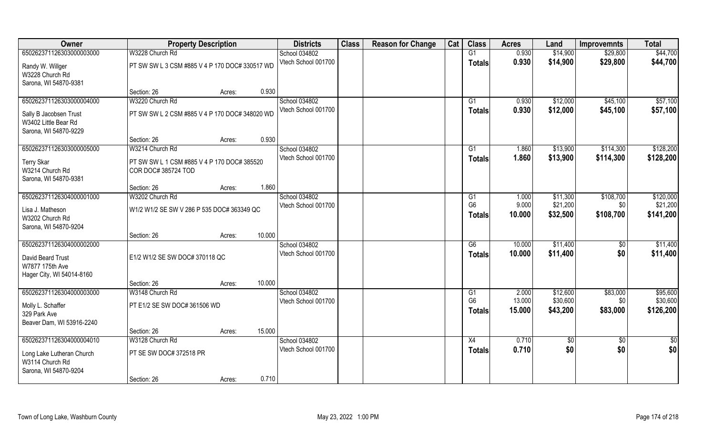| Owner                     | <b>Property Description</b>                    |        | <b>Districts</b>    | <b>Class</b> | <b>Reason for Change</b> | Cat | <b>Class</b>    | <b>Acres</b> | Land     | <b>Improvemnts</b> | <b>Total</b> |
|---------------------------|------------------------------------------------|--------|---------------------|--------------|--------------------------|-----|-----------------|--------------|----------|--------------------|--------------|
| 650262371126303000003000  | W3228 Church Rd                                |        | School 034802       |              |                          |     | G1              | 0.930        | \$14,900 | \$29,800           | \$44,700     |
| Randy W. Willger          | PT SW SW L 3 CSM #885 V 4 P 170 DOC# 330517 WD |        | Vtech School 001700 |              |                          |     | <b>Totals</b>   | 0.930        | \$14,900 | \$29,800           | \$44,700     |
| W3228 Church Rd           |                                                |        |                     |              |                          |     |                 |              |          |                    |              |
| Sarona, WI 54870-9381     |                                                |        |                     |              |                          |     |                 |              |          |                    |              |
|                           | Section: 26                                    | Acres: | 0.930               |              |                          |     |                 |              |          |                    |              |
| 650262371126303000004000  | W3220 Church Rd                                |        | School 034802       |              |                          |     | G <sub>1</sub>  | 0.930        | \$12,000 | \$45,100           | \$57,100     |
| Sally B Jacobsen Trust    | PT SW SW L 2 CSM #885 V 4 P 170 DOC# 348020 WD |        | Vtech School 001700 |              |                          |     | <b>Totals</b>   | 0.930        | \$12,000 | \$45,100           | \$57,100     |
| W3402 Little Bear Rd      |                                                |        |                     |              |                          |     |                 |              |          |                    |              |
| Sarona, WI 54870-9229     |                                                |        |                     |              |                          |     |                 |              |          |                    |              |
|                           | Section: 26                                    | Acres: | 0.930               |              |                          |     |                 |              |          |                    |              |
| 650262371126303000005000  | W3214 Church Rd                                |        | School 034802       |              |                          |     | G1              | 1.860        | \$13,900 | \$114,300          | \$128,200    |
| <b>Terry Skar</b>         | PT SW SW L 1 CSM #885 V 4 P 170 DOC# 385520    |        | Vtech School 001700 |              |                          |     | <b>Totals</b>   | 1.860        | \$13,900 | \$114,300          | \$128,200    |
| W3214 Church Rd           | COR DOC# 385724 TOD                            |        |                     |              |                          |     |                 |              |          |                    |              |
| Sarona, WI 54870-9381     |                                                |        |                     |              |                          |     |                 |              |          |                    |              |
|                           | Section: 26                                    | Acres: | 1.860               |              |                          |     |                 |              |          |                    |              |
| 650262371126304000001000  | W3202 Church Rd                                |        | School 034802       |              |                          |     | G1              | 1.000        | \$11,300 | \$108,700          | \$120,000    |
| Lisa J. Matheson          | W1/2 W1/2 SE SW V 286 P 535 DOC# 363349 QC     |        | Vtech School 001700 |              |                          |     | G <sub>6</sub>  | 9.000        | \$21,200 | \$0                | \$21,200     |
| W3202 Church Rd           |                                                |        |                     |              |                          |     | <b>Totals</b>   | 10.000       | \$32,500 | \$108,700          | \$141,200    |
| Sarona, WI 54870-9204     |                                                |        |                     |              |                          |     |                 |              |          |                    |              |
|                           | Section: 26                                    | Acres: | 10.000              |              |                          |     |                 |              |          |                    |              |
| 650262371126304000002000  |                                                |        | School 034802       |              |                          |     | $\overline{G6}$ | 10.000       | \$11,400 | \$0                | \$11,400     |
| David Beard Trust         | E1/2 W1/2 SE SW DOC# 370118 QC                 |        | Vtech School 001700 |              |                          |     | <b>Totals</b>   | 10.000       | \$11,400 | \$0                | \$11,400     |
| W7877 175th Ave           |                                                |        |                     |              |                          |     |                 |              |          |                    |              |
| Hager City, WI 54014-8160 |                                                |        |                     |              |                          |     |                 |              |          |                    |              |
|                           | Section: 26                                    | Acres: | 10.000              |              |                          |     |                 |              |          |                    |              |
| 650262371126304000003000  | W3148 Church Rd                                |        | School 034802       |              |                          |     | G1              | 2.000        | \$12,600 | \$83,000           | \$95,600     |
| Molly L. Schaffer         | PT E1/2 SE SW DOC# 361506 WD                   |        | Vtech School 001700 |              |                          |     | G <sub>6</sub>  | 13.000       | \$30,600 | \$0                | \$30,600     |
| 329 Park Ave              |                                                |        |                     |              |                          |     | <b>Totals</b>   | 15.000       | \$43,200 | \$83,000           | \$126,200    |
| Beaver Dam, WI 53916-2240 |                                                |        |                     |              |                          |     |                 |              |          |                    |              |
|                           | Section: 26                                    | Acres: | 15.000              |              |                          |     |                 |              |          |                    |              |
| 650262371126304000004010  | W3128 Church Rd                                |        | School 034802       |              |                          |     | X4              | 0.710        | \$0      | $\overline{50}$    | \$0          |
| Long Lake Lutheran Church | PT SE SW DOC# 372518 PR                        |        | Vtech School 001700 |              |                          |     | <b>Totals</b>   | 0.710        | \$0      | \$0                | \$0          |
| W3114 Church Rd           |                                                |        |                     |              |                          |     |                 |              |          |                    |              |
| Sarona, WI 54870-9204     |                                                |        |                     |              |                          |     |                 |              |          |                    |              |
|                           | Section: 26                                    | Acres: | 0.710               |              |                          |     |                 |              |          |                    |              |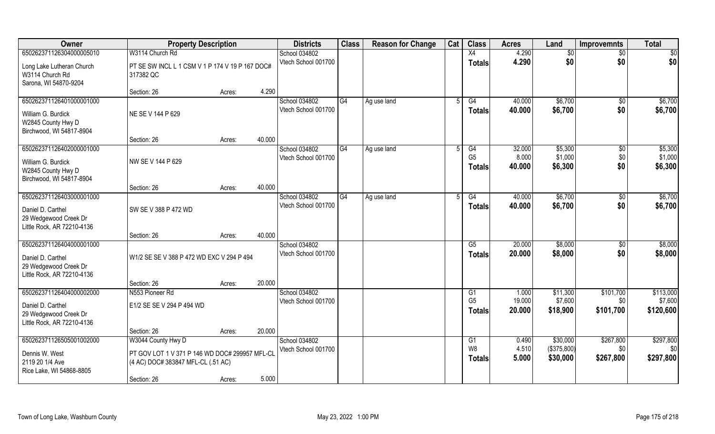| Owner                                                                                                | <b>Property Description</b>                                                                                               |        |        | <b>Districts</b>                     | <b>Class</b> | <b>Reason for Change</b> | Cat | <b>Class</b>                            | <b>Acres</b>              | Land                                | <b>Improvemnts</b>            | <b>Total</b>                      |
|------------------------------------------------------------------------------------------------------|---------------------------------------------------------------------------------------------------------------------------|--------|--------|--------------------------------------|--------------|--------------------------|-----|-----------------------------------------|---------------------------|-------------------------------------|-------------------------------|-----------------------------------|
| 650262371126304000005010                                                                             | W3114 Church Rd                                                                                                           |        |        | School 034802                        |              |                          |     | X4                                      | 4.290                     | \$0                                 | $\sqrt{6}$                    | $\overline{50}$                   |
| Long Lake Lutheran Church<br>W3114 Church Rd<br>Sarona, WI 54870-9204                                | PT SE SW INCL L 1 CSM V 1 P 174 V 19 P 167 DOC#<br>317382 QC                                                              |        |        | Vtech School 001700                  |              |                          |     | <b>Totals</b>                           | 4.290                     | \$0                                 | \$0                           | \$0                               |
|                                                                                                      | Section: 26                                                                                                               | Acres: | 4.290  |                                      |              |                          |     |                                         |                           |                                     |                               |                                   |
| 650262371126401000001000<br>William G. Burdick<br>W2845 County Hwy D<br>Birchwood, WI 54817-8904     | NE SE V 144 P 629                                                                                                         |        |        | School 034802<br>Vtech School 001700 | G4           | Ag use land              |     | G4<br>Totals                            | 40.000<br>40.000          | \$6,700<br>\$6,700                  | \$0<br>\$0                    | \$6,700<br>\$6,700                |
|                                                                                                      | Section: 26                                                                                                               | Acres: | 40.000 |                                      |              |                          |     |                                         |                           |                                     |                               |                                   |
| 650262371126402000001000<br>William G. Burdick<br>W2845 County Hwy D<br>Birchwood, WI 54817-8904     | NW SE V 144 P 629                                                                                                         |        |        | School 034802<br>Vtech School 001700 | G4           | Ag use land              | 5   | G4<br>G <sub>5</sub><br><b>Totals</b>   | 32.000<br>8.000<br>40.000 | \$5,300<br>\$1,000<br>\$6,300       | $\sqrt[6]{3}$<br>\$0<br>\$0   | \$5,300<br>\$1,000<br>\$6,300     |
|                                                                                                      | Section: 26                                                                                                               | Acres: | 40.000 |                                      |              |                          |     |                                         |                           |                                     |                               |                                   |
| 650262371126403000001000<br>Daniel D. Carthel<br>29 Wedgewood Creek Dr<br>Little Rock, AR 72210-4136 | SW SE V 388 P 472 WD                                                                                                      |        |        | School 034802<br>Vtech School 001700 | G4           | Ag use land              |     | G4<br><b>Totals</b>                     | 40.000<br>40.000          | \$6,700<br>\$6,700                  | $\sqrt[6]{3}$<br>\$0          | \$6,700<br>\$6,700                |
|                                                                                                      | Section: 26                                                                                                               | Acres: | 40.000 |                                      |              |                          |     |                                         |                           |                                     |                               |                                   |
| 650262371126404000001000<br>Daniel D. Carthel<br>29 Wedgewood Creek Dr<br>Little Rock, AR 72210-4136 | W1/2 SE SE V 388 P 472 WD EXC V 294 P 494                                                                                 |        |        | School 034802<br>Vtech School 001700 |              |                          |     | $\overline{\text{G5}}$<br><b>Totals</b> | 20.000<br>20.000          | \$8,000<br>\$8,000                  | \$0<br>\$0                    | \$8,000<br>\$8,000                |
|                                                                                                      | Section: 26                                                                                                               | Acres: | 20.000 |                                      |              |                          |     |                                         |                           |                                     |                               |                                   |
| 650262371126404000002000<br>Daniel D. Carthel<br>29 Wedgewood Creek Dr<br>Little Rock, AR 72210-4136 | N553 Pioneer Rd<br>E1/2 SE SE V 294 P 494 WD                                                                              |        |        | School 034802<br>Vtech School 001700 |              |                          |     | G1<br>G <sub>5</sub><br><b>Totals</b>   | 1.000<br>19.000<br>20,000 | \$11,300<br>\$7,600<br>\$18,900     | \$101,700<br>\$0<br>\$101,700 | \$113,000<br>\$7,600<br>\$120,600 |
|                                                                                                      | Section: 26                                                                                                               | Acres: | 20.000 |                                      |              |                          |     |                                         |                           |                                     |                               |                                   |
| 650262371126505001002000<br>Dennis W. West<br>2119 20 1/4 Ave<br>Rice Lake, WI 54868-8805            | W3044 County Hwy D<br>PT GOV LOT 1 V 371 P 146 WD DOC# 299957 MFL-CL<br>(4 AC) DOC# 383847 MFL-CL (.51 AC)<br>Section: 26 | Acres: | 5.000  | School 034802<br>Vtech School 001700 |              |                          |     | G1<br>W8<br><b>Totals</b>               | 0.490<br>4.510<br>5.000   | \$30,000<br>(\$375,800)<br>\$30,000 | \$267,800<br>\$0<br>\$267,800 | \$297,800<br>\$0<br>\$297,800     |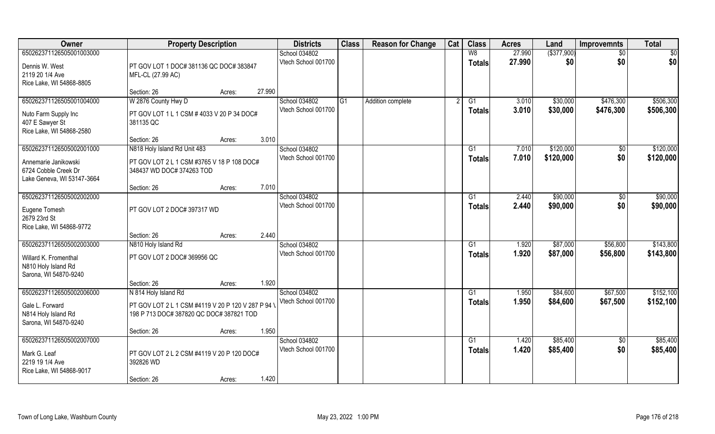| $($ \$377,900)<br>650262371126505001003000<br>W8<br>27.990<br>School 034802<br>\$0<br>\$0<br>Vtech School 001700<br>27.990<br>\$0<br><b>Totals</b><br>Dennis W. West<br>PT GOV LOT 1 DOC# 381136 QC DOC# 383847<br>2119 20 1/4 Ave<br>MFL-CL (27.99 AC)<br>Rice Lake, WI 54868-8805<br>27.990<br>Section: 26<br>Acres:<br>W 2876 County Hwy D<br>650262371126505001004000<br>School 034802<br>G <sub>1</sub><br>\$30,000<br>\$476,300<br>\$506,300<br>Addition complete<br>G1<br>3.010<br>3.010<br>\$30,000<br>Vtech School 001700<br>\$476,300<br>\$506,300<br>Totals<br>PT GOV LOT 1 L 1 CSM # 4033 V 20 P 34 DOC#<br>Nuto Farm Supply Inc<br>381135 QC<br>407 E Sawyer St<br>Rice Lake, WI 54868-2580<br>3.010<br>Section: 26<br>Acres:<br>\$120,000<br>\$120,000<br>650262371126505002001000<br>N818 Holy Island Rd Unit 483<br>School 034802<br>G1<br>7.010<br>\$0<br>\$0<br>Vtech School 001700<br>\$120,000<br>7.010<br>\$120,000<br><b>Totals</b><br>PT GOV LOT 2 L 1 CSM #3765 V 18 P 108 DOC#<br>Annemarie Janikowski<br>6724 Cobble Creek Dr<br>348437 WD DOC# 374263 TOD | Owner                      | <b>Property Description</b> | <b>Districts</b> | <b>Class</b> | <b>Reason for Change</b> | Cat | <b>Class</b> | <b>Acres</b> | Land | <b>Improvemnts</b> | <b>Total</b> |
|--------------------------------------------------------------------------------------------------------------------------------------------------------------------------------------------------------------------------------------------------------------------------------------------------------------------------------------------------------------------------------------------------------------------------------------------------------------------------------------------------------------------------------------------------------------------------------------------------------------------------------------------------------------------------------------------------------------------------------------------------------------------------------------------------------------------------------------------------------------------------------------------------------------------------------------------------------------------------------------------------------------------------------------------------------------------------------------|----------------------------|-----------------------------|------------------|--------------|--------------------------|-----|--------------|--------------|------|--------------------|--------------|
|                                                                                                                                                                                                                                                                                                                                                                                                                                                                                                                                                                                                                                                                                                                                                                                                                                                                                                                                                                                                                                                                                      |                            |                             |                  |              |                          |     |              |              |      |                    | \$0          |
|                                                                                                                                                                                                                                                                                                                                                                                                                                                                                                                                                                                                                                                                                                                                                                                                                                                                                                                                                                                                                                                                                      |                            |                             |                  |              |                          |     |              |              |      |                    | \$0          |
|                                                                                                                                                                                                                                                                                                                                                                                                                                                                                                                                                                                                                                                                                                                                                                                                                                                                                                                                                                                                                                                                                      |                            |                             |                  |              |                          |     |              |              |      |                    |              |
|                                                                                                                                                                                                                                                                                                                                                                                                                                                                                                                                                                                                                                                                                                                                                                                                                                                                                                                                                                                                                                                                                      |                            |                             |                  |              |                          |     |              |              |      |                    |              |
|                                                                                                                                                                                                                                                                                                                                                                                                                                                                                                                                                                                                                                                                                                                                                                                                                                                                                                                                                                                                                                                                                      |                            |                             |                  |              |                          |     |              |              |      |                    |              |
|                                                                                                                                                                                                                                                                                                                                                                                                                                                                                                                                                                                                                                                                                                                                                                                                                                                                                                                                                                                                                                                                                      |                            |                             |                  |              |                          |     |              |              |      |                    |              |
|                                                                                                                                                                                                                                                                                                                                                                                                                                                                                                                                                                                                                                                                                                                                                                                                                                                                                                                                                                                                                                                                                      |                            |                             |                  |              |                          |     |              |              |      |                    |              |
|                                                                                                                                                                                                                                                                                                                                                                                                                                                                                                                                                                                                                                                                                                                                                                                                                                                                                                                                                                                                                                                                                      |                            |                             |                  |              |                          |     |              |              |      |                    |              |
|                                                                                                                                                                                                                                                                                                                                                                                                                                                                                                                                                                                                                                                                                                                                                                                                                                                                                                                                                                                                                                                                                      |                            |                             |                  |              |                          |     |              |              |      |                    |              |
|                                                                                                                                                                                                                                                                                                                                                                                                                                                                                                                                                                                                                                                                                                                                                                                                                                                                                                                                                                                                                                                                                      |                            |                             |                  |              |                          |     |              |              |      |                    |              |
|                                                                                                                                                                                                                                                                                                                                                                                                                                                                                                                                                                                                                                                                                                                                                                                                                                                                                                                                                                                                                                                                                      |                            |                             |                  |              |                          |     |              |              |      |                    |              |
|                                                                                                                                                                                                                                                                                                                                                                                                                                                                                                                                                                                                                                                                                                                                                                                                                                                                                                                                                                                                                                                                                      |                            |                             |                  |              |                          |     |              |              |      |                    |              |
|                                                                                                                                                                                                                                                                                                                                                                                                                                                                                                                                                                                                                                                                                                                                                                                                                                                                                                                                                                                                                                                                                      |                            |                             |                  |              |                          |     |              |              |      |                    |              |
|                                                                                                                                                                                                                                                                                                                                                                                                                                                                                                                                                                                                                                                                                                                                                                                                                                                                                                                                                                                                                                                                                      | Lake Geneva, WI 53147-3664 |                             |                  |              |                          |     |              |              |      |                    |              |
| 7.010<br>Section: 26<br>Acres:                                                                                                                                                                                                                                                                                                                                                                                                                                                                                                                                                                                                                                                                                                                                                                                                                                                                                                                                                                                                                                                       |                            |                             |                  |              |                          |     |              |              |      |                    |              |
| 650262371126505002002000<br>School 034802<br>\$90,000<br>2.440<br>G1<br>\$0<br>Vtech School 001700                                                                                                                                                                                                                                                                                                                                                                                                                                                                                                                                                                                                                                                                                                                                                                                                                                                                                                                                                                                   |                            |                             |                  |              |                          |     |              |              |      |                    | \$90,000     |
| \$0<br>2.440<br>\$90,000<br><b>Totals</b><br>Eugene Tomesh<br>PT GOV LOT 2 DOC# 397317 WD                                                                                                                                                                                                                                                                                                                                                                                                                                                                                                                                                                                                                                                                                                                                                                                                                                                                                                                                                                                            |                            |                             |                  |              |                          |     |              |              |      |                    | \$90,000     |
| 2679 23rd St                                                                                                                                                                                                                                                                                                                                                                                                                                                                                                                                                                                                                                                                                                                                                                                                                                                                                                                                                                                                                                                                         |                            |                             |                  |              |                          |     |              |              |      |                    |              |
| Rice Lake, WI 54868-9772                                                                                                                                                                                                                                                                                                                                                                                                                                                                                                                                                                                                                                                                                                                                                                                                                                                                                                                                                                                                                                                             |                            |                             |                  |              |                          |     |              |              |      |                    |              |
| 2.440<br>Section: 26<br>Acres:<br>650262371126505002003000<br>1.920<br>\$87,000<br>\$56,800<br>G1                                                                                                                                                                                                                                                                                                                                                                                                                                                                                                                                                                                                                                                                                                                                                                                                                                                                                                                                                                                    |                            |                             |                  |              |                          |     |              |              |      |                    | \$143,800    |
| N810 Holy Island Rd<br>School 034802<br>\$87,000<br>Vtech School 001700<br>1.920<br>\$56,800                                                                                                                                                                                                                                                                                                                                                                                                                                                                                                                                                                                                                                                                                                                                                                                                                                                                                                                                                                                         |                            |                             |                  |              |                          |     |              |              |      |                    | \$143,800    |
| <b>Totals</b><br>PT GOV LOT 2 DOC# 369956 QC<br>Willard K. Fromenthal                                                                                                                                                                                                                                                                                                                                                                                                                                                                                                                                                                                                                                                                                                                                                                                                                                                                                                                                                                                                                |                            |                             |                  |              |                          |     |              |              |      |                    |              |
| N810 Holy Island Rd                                                                                                                                                                                                                                                                                                                                                                                                                                                                                                                                                                                                                                                                                                                                                                                                                                                                                                                                                                                                                                                                  |                            |                             |                  |              |                          |     |              |              |      |                    |              |
| Sarona, WI 54870-9240                                                                                                                                                                                                                                                                                                                                                                                                                                                                                                                                                                                                                                                                                                                                                                                                                                                                                                                                                                                                                                                                |                            |                             |                  |              |                          |     |              |              |      |                    |              |
| 1.920<br>Section: 26<br>Acres:<br>\$67,500<br>650262371126505002006000<br>School 034802<br>$\overline{G1}$<br>\$84,600<br>N 814 Holy Island Rd<br>1.950                                                                                                                                                                                                                                                                                                                                                                                                                                                                                                                                                                                                                                                                                                                                                                                                                                                                                                                              |                            |                             |                  |              |                          |     |              |              |      |                    | \$152,100    |
| Vtech School 001700<br>1.950<br>\$84,600<br>\$67,500<br><b>Totals</b>                                                                                                                                                                                                                                                                                                                                                                                                                                                                                                                                                                                                                                                                                                                                                                                                                                                                                                                                                                                                                |                            |                             |                  |              |                          |     |              |              |      |                    | \$152,100    |
| Gale L. Forward<br>PT GOV LOT 2 L 1 CSM #4119 V 20 P 120 V 287 P 94 \                                                                                                                                                                                                                                                                                                                                                                                                                                                                                                                                                                                                                                                                                                                                                                                                                                                                                                                                                                                                                |                            |                             |                  |              |                          |     |              |              |      |                    |              |
| N814 Holy Island Rd<br>198 P 713 DOC# 387820 QC DOC# 387821 TOD                                                                                                                                                                                                                                                                                                                                                                                                                                                                                                                                                                                                                                                                                                                                                                                                                                                                                                                                                                                                                      |                            |                             |                  |              |                          |     |              |              |      |                    |              |
| Sarona, WI 54870-9240<br>1.950<br>Section: 26                                                                                                                                                                                                                                                                                                                                                                                                                                                                                                                                                                                                                                                                                                                                                                                                                                                                                                                                                                                                                                        |                            |                             |                  |              |                          |     |              |              |      |                    |              |
| Acres:<br>650262371126505002007000<br>\$85,400<br>School 034802<br>G1<br>1.420<br>$\overline{50}$                                                                                                                                                                                                                                                                                                                                                                                                                                                                                                                                                                                                                                                                                                                                                                                                                                                                                                                                                                                    |                            |                             |                  |              |                          |     |              |              |      |                    | \$85,400     |
| \$0<br>Vtech School 001700<br>1.420<br>\$85,400<br><b>Totals</b>                                                                                                                                                                                                                                                                                                                                                                                                                                                                                                                                                                                                                                                                                                                                                                                                                                                                                                                                                                                                                     |                            |                             |                  |              |                          |     |              |              |      |                    | \$85,400     |
| Mark G. Leaf<br>PT GOV LOT 2 L 2 CSM #4119 V 20 P 120 DOC#                                                                                                                                                                                                                                                                                                                                                                                                                                                                                                                                                                                                                                                                                                                                                                                                                                                                                                                                                                                                                           |                            |                             |                  |              |                          |     |              |              |      |                    |              |
| 2219 19 1/4 Ave<br>392826 WD                                                                                                                                                                                                                                                                                                                                                                                                                                                                                                                                                                                                                                                                                                                                                                                                                                                                                                                                                                                                                                                         |                            |                             |                  |              |                          |     |              |              |      |                    |              |
| Rice Lake, WI 54868-9017<br>1.420<br>Section: 26<br>Acres:                                                                                                                                                                                                                                                                                                                                                                                                                                                                                                                                                                                                                                                                                                                                                                                                                                                                                                                                                                                                                           |                            |                             |                  |              |                          |     |              |              |      |                    |              |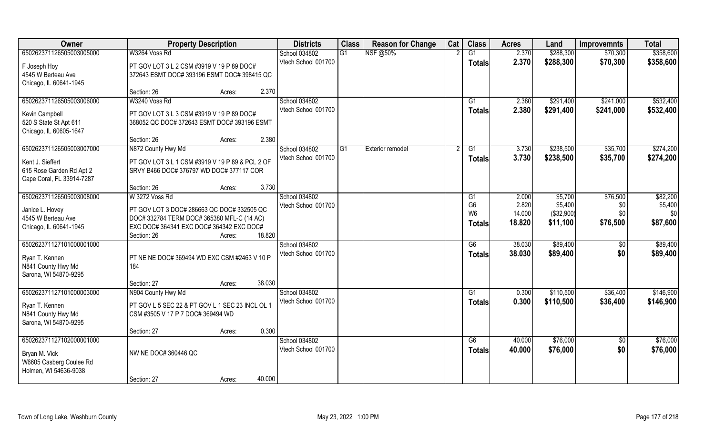| Owner                                       | <b>Property Description</b>                                                              |                  | <b>Districts</b>    | <b>Class</b> | <b>Reason for Change</b> | Cat | <b>Class</b>    | <b>Acres</b> | Land       | <b>Improvemnts</b> | <b>Total</b> |
|---------------------------------------------|------------------------------------------------------------------------------------------|------------------|---------------------|--------------|--------------------------|-----|-----------------|--------------|------------|--------------------|--------------|
| 650262371126505003005000                    | W3264 Voss Rd                                                                            |                  | School 034802       | G1           | NSF @50%                 |     | G1              | 2.370        | \$288,300  | \$70,300           | \$358,600    |
| F Joseph Hoy                                | PT GOV LOT 3 L 2 CSM #3919 V 19 P 89 DOC#                                                |                  | Vtech School 001700 |              |                          |     | <b>Totals</b>   | 2.370        | \$288,300  | \$70,300           | \$358,600    |
| 4545 W Berteau Ave                          | 372643 ESMT DOC# 393196 ESMT DOC# 398415 QC                                              |                  |                     |              |                          |     |                 |              |            |                    |              |
| Chicago, IL 60641-1945                      |                                                                                          |                  |                     |              |                          |     |                 |              |            |                    |              |
|                                             | Section: 26                                                                              | 2.370<br>Acres:  |                     |              |                          |     |                 |              |            |                    |              |
| 650262371126505003006000                    | W3240 Voss Rd                                                                            |                  | School 034802       |              |                          |     | G1              | 2.380        | \$291,400  | \$241,000          | \$532,400    |
| Kevin Campbell                              | PT GOV LOT 3 L 3 CSM #3919 V 19 P 89 DOC#                                                |                  | Vtech School 001700 |              |                          |     | Totals          | 2.380        | \$291,400  | \$241,000          | \$532,400    |
| 520 S State St Apt 611                      | 368052 QC DOC# 372643 ESMT DOC# 393196 ESMT                                              |                  |                     |              |                          |     |                 |              |            |                    |              |
| Chicago, IL 60605-1647                      |                                                                                          |                  |                     |              |                          |     |                 |              |            |                    |              |
|                                             | Section: 26                                                                              | 2.380<br>Acres:  |                     |              |                          |     |                 |              |            |                    |              |
| 650262371126505003007000                    | N872 County Hwy Md                                                                       |                  | School 034802       | l G1         | <b>Exterior remodel</b>  |     | G1              | 3.730        | \$238,500  | \$35,700           | \$274,200    |
| Kent J. Sieffert                            | PT GOV LOT 3 L 1 CSM #3919 V 19 P 89 & PCL 2 OF                                          |                  | Vtech School 001700 |              |                          |     | <b>Totals</b>   | 3.730        | \$238,500  | \$35,700           | \$274,200    |
| 615 Rose Garden Rd Apt 2                    | SRVY B466 DOC# 376797 WD DOC# 377117 COR                                                 |                  |                     |              |                          |     |                 |              |            |                    |              |
| Cape Coral, FL 33914-7287                   |                                                                                          |                  |                     |              |                          |     |                 |              |            |                    |              |
|                                             | Section: 26                                                                              | 3.730<br>Acres:  |                     |              |                          |     |                 |              |            |                    |              |
| 650262371126505003008000                    | W 3272 Voss Rd                                                                           |                  | School 034802       |              |                          |     | G1              | 2.000        | \$5,700    | \$76,500           | \$82,200     |
|                                             |                                                                                          |                  | Vtech School 001700 |              |                          |     | G <sub>6</sub>  | 2.820        | \$5,400    | \$0                | \$5,400      |
| Janice L. Hovey<br>4545 W Berteau Ave       | PT GOV LOT 3 DOC# 286663 QC DOC# 332505 QC<br>DOC# 332784 TERM DOC# 365380 MFL-C (14 AC) |                  |                     |              |                          |     | W <sub>6</sub>  | 14.000       | (\$32,900) | \$0\$              | \$0          |
| Chicago, IL 60641-1945                      | EXC DOC# 364341 EXC DOC# 364342 EXC DOC#                                                 |                  |                     |              |                          |     | <b>Totals</b>   | 18.820       | \$11,100   | \$76,500           | \$87,600     |
|                                             | Section: 26                                                                              | 18.820<br>Acres: |                     |              |                          |     |                 |              |            |                    |              |
| 650262371127101000001000                    |                                                                                          |                  | School 034802       |              |                          |     | $\overline{G6}$ | 38.030       | \$89,400   | $\sqrt[6]{30}$     | \$89,400     |
|                                             |                                                                                          |                  | Vtech School 001700 |              |                          |     | <b>Totals</b>   | 38.030       | \$89,400   | \$0                | \$89,400     |
| Ryan T. Kennen                              | PT NE NE DOC# 369494 WD EXC CSM #2463 V 10 P<br>184                                      |                  |                     |              |                          |     |                 |              |            |                    |              |
| N841 County Hwy Md<br>Sarona, WI 54870-9295 |                                                                                          |                  |                     |              |                          |     |                 |              |            |                    |              |
|                                             | Section: 27                                                                              | 38.030<br>Acres: |                     |              |                          |     |                 |              |            |                    |              |
| 650262371127101000003000                    | N904 County Hwy Md                                                                       |                  | School 034802       |              |                          |     | G1              | 0.300        | \$110,500  | \$36,400           | \$146,900    |
|                                             |                                                                                          |                  | Vtech School 001700 |              |                          |     | <b>Totals</b>   | 0.300        | \$110,500  | \$36,400           | \$146,900    |
| Ryan T. Kennen                              | PT GOV L 5 SEC 22 & PT GOV L 1 SEC 23 INCL OL 1                                          |                  |                     |              |                          |     |                 |              |            |                    |              |
| N841 County Hwy Md                          | CSM #3505 V 17 P 7 DOC# 369494 WD                                                        |                  |                     |              |                          |     |                 |              |            |                    |              |
| Sarona, WI 54870-9295                       | Section: 27                                                                              | 0.300<br>Acres:  |                     |              |                          |     |                 |              |            |                    |              |
| 650262371127102000001000                    |                                                                                          |                  | School 034802       |              |                          |     | G6              | 40.000       | \$76,000   | $\overline{50}$    | \$76,000     |
|                                             |                                                                                          |                  | Vtech School 001700 |              |                          |     | Totals          | 40.000       | \$76,000   | \$0                | \$76,000     |
| Bryan M. Vick                               | NW NE DOC# 360446 QC                                                                     |                  |                     |              |                          |     |                 |              |            |                    |              |
| W6605 Casberg Coulee Rd                     |                                                                                          |                  |                     |              |                          |     |                 |              |            |                    |              |
| Holmen, WI 54636-9038                       |                                                                                          | 40.000           |                     |              |                          |     |                 |              |            |                    |              |
|                                             | Section: 27                                                                              | Acres:           |                     |              |                          |     |                 |              |            |                    |              |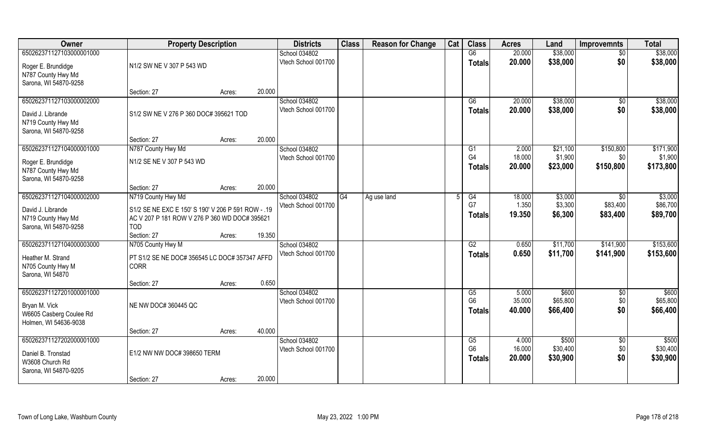| Owner                                                                                         | <b>Property Description</b>                                                                                                             |        |        | <b>Districts</b>                     | <b>Class</b>   | <b>Reason for Change</b> | Cat | <b>Class</b>                          | <b>Acres</b>              | Land                            | <b>Improvemnts</b>                      | <b>Total</b>                      |
|-----------------------------------------------------------------------------------------------|-----------------------------------------------------------------------------------------------------------------------------------------|--------|--------|--------------------------------------|----------------|--------------------------|-----|---------------------------------------|---------------------------|---------------------------------|-----------------------------------------|-----------------------------------|
| 650262371127103000001000                                                                      |                                                                                                                                         |        |        | School 034802                        |                |                          |     | G6                                    | 20.000                    | \$38,000                        | $\sqrt{$0}$                             | \$38,000                          |
| Roger E. Brundidge<br>N787 County Hwy Md<br>Sarona, WI 54870-9258                             | N1/2 SW NE V 307 P 543 WD                                                                                                               |        |        | Vtech School 001700                  |                |                          |     | Totals                                | 20.000                    | \$38,000                        | \$0                                     | \$38,000                          |
|                                                                                               | Section: 27                                                                                                                             | Acres: | 20.000 |                                      |                |                          |     |                                       |                           |                                 |                                         |                                   |
| 650262371127103000002000<br>David J. Librande<br>N719 County Hwy Md<br>Sarona, WI 54870-9258  | S1/2 SW NE V 276 P 360 DOC# 395621 TOD                                                                                                  |        |        | School 034802<br>Vtech School 001700 |                |                          |     | G6<br>Totals                          | 20.000<br>20.000          | \$38,000<br>\$38,000            | $\sqrt{$0}$<br>\$0                      | \$38,000<br>\$38,000              |
|                                                                                               | Section: 27                                                                                                                             | Acres: | 20.000 |                                      |                |                          |     |                                       |                           |                                 |                                         |                                   |
| 650262371127104000001000<br>Roger E. Brundidge<br>N787 County Hwy Md<br>Sarona, WI 54870-9258 | N787 County Hwy Md<br>N1/2 SE NE V 307 P 543 WD                                                                                         |        |        | School 034802<br>Vtech School 001700 |                |                          |     | G1<br>G <sub>4</sub><br><b>Totals</b> | 2.000<br>18.000<br>20.000 | \$21,100<br>\$1,900<br>\$23,000 | \$150,800<br>\$0<br>\$150,800           | \$171,900<br>\$1,900<br>\$173,800 |
|                                                                                               | Section: 27                                                                                                                             | Acres: | 20.000 |                                      |                |                          |     |                                       |                           |                                 |                                         |                                   |
| 650262371127104000002000<br>David J. Librande<br>N719 County Hwy Md<br>Sarona, WI 54870-9258  | N719 County Hwy Md<br>S1/2 SE NE EXC E 150' S 190' V 206 P 591 ROW - .19<br>AC V 207 P 181 ROW V 276 P 360 WD DOC# 395621<br><b>TOD</b> |        |        | School 034802<br>Vtech School 001700 | G <sub>4</sub> | Ag use land              |     | G4<br>G7<br><b>Totals</b>             | 18.000<br>1.350<br>19.350 | \$3,000<br>\$3,300<br>\$6,300   | $\overline{50}$<br>\$83,400<br>\$83,400 | \$3,000<br>\$86,700<br>\$89,700   |
|                                                                                               | Section: 27                                                                                                                             | Acres: | 19.350 |                                      |                |                          |     |                                       |                           |                                 |                                         |                                   |
| 650262371127104000003000<br>Heather M. Strand<br>N705 County Hwy M<br>Sarona, WI 54870        | N705 County Hwy M<br>PT S1/2 SE NE DOC# 356545 LC DOC# 357347 AFFD<br><b>CORR</b><br>Section: 27                                        | Acres: | 0.650  | School 034802<br>Vtech School 001700 |                |                          |     | G2<br><b>Totals</b>                   | 0.650<br>0.650            | \$11,700<br>\$11,700            | \$141,900<br>\$141,900                  | \$153,600<br>\$153,600            |
| 650262371127201000001000                                                                      |                                                                                                                                         |        |        | School 034802                        |                |                          |     | G5                                    | 5.000                     | \$600                           | \$0                                     | \$600                             |
| Bryan M. Vick<br>W6605 Casberg Coulee Rd<br>Holmen, WI 54636-9038                             | NE NW DOC# 360445 QC                                                                                                                    |        |        | Vtech School 001700                  |                |                          |     | G <sub>6</sub><br><b>Totals</b>       | 35.000<br>40.000          | \$65,800<br>\$66,400            | \$0<br>\$0                              | \$65,800<br>\$66,400              |
|                                                                                               | Section: 27                                                                                                                             | Acres: | 40.000 |                                      |                |                          |     |                                       |                           |                                 |                                         |                                   |
| 650262371127202000001000<br>Daniel B. Tronstad<br>W3608 Church Rd<br>Sarona, WI 54870-9205    | E1/2 NW NW DOC# 398650 TERM<br>Section: 27                                                                                              | Acres: | 20.000 | School 034802<br>Vtech School 001700 |                |                          |     | G5<br>G <sub>6</sub><br><b>Totals</b> | 4.000<br>16.000<br>20.000 | \$500<br>\$30,400<br>\$30,900   | $\overline{50}$<br>\$0<br>\$0           | \$500<br>\$30,400<br>\$30,900     |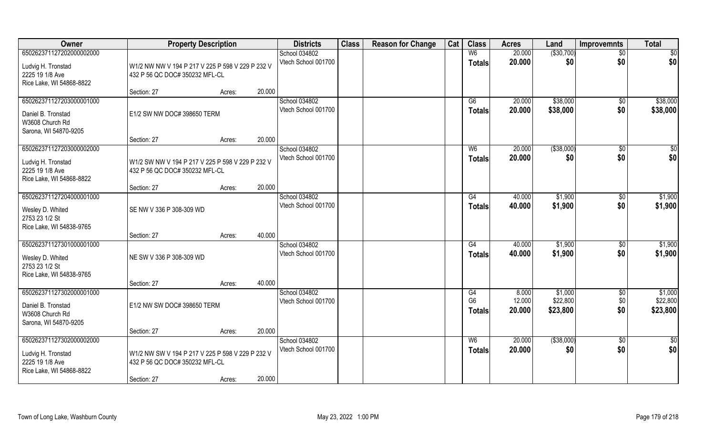| Owner                                                                                         | <b>Property Description</b>                                                                       |                  | <b>Districts</b>                     | <b>Class</b> | <b>Reason for Change</b> | Cat | <b>Class</b>                          | <b>Acres</b>              | Land                            | <b>Improvemnts</b>     | <b>Total</b>                    |
|-----------------------------------------------------------------------------------------------|---------------------------------------------------------------------------------------------------|------------------|--------------------------------------|--------------|--------------------------|-----|---------------------------------------|---------------------------|---------------------------------|------------------------|---------------------------------|
| 650262371127202000002000<br>Ludvig H. Tronstad<br>2225 19 1/8 Ave<br>Rice Lake, WI 54868-8822 | W1/2 NW NW V 194 P 217 V 225 P 598 V 229 P 232 V<br>432 P 56 QC DOC# 350232 MFL-CL                |                  | School 034802<br>Vtech School 001700 |              |                          |     | W <sub>6</sub><br><b>Totals</b>       | 20.000<br>20.000          | ( \$30,700)<br>\$0              | $\sqrt{$0}$<br>\$0     | $\overline{50}$<br>\$0          |
|                                                                                               | Section: 27                                                                                       | 20.000<br>Acres: |                                      |              |                          |     |                                       |                           |                                 |                        |                                 |
| 650262371127203000001000<br>Daniel B. Tronstad<br>W3608 Church Rd<br>Sarona, WI 54870-9205    | E1/2 SW NW DOC# 398650 TERM                                                                       |                  | School 034802<br>Vtech School 001700 |              |                          |     | G6<br><b>Totals</b>                   | 20.000<br>20.000          | \$38,000<br>\$38,000            | $\sqrt{$0}$<br>\$0     | \$38,000<br>\$38,000            |
|                                                                                               | Section: 27                                                                                       | 20.000<br>Acres: |                                      |              |                          |     |                                       |                           |                                 |                        |                                 |
| 650262371127203000002000<br>Ludvig H. Tronstad<br>2225 19 1/8 Ave<br>Rice Lake, WI 54868-8822 | W1/2 SW NW V 194 P 217 V 225 P 598 V 229 P 232 V<br>432 P 56 QC DOC# 350232 MFL-CL                |                  | School 034802<br>Vtech School 001700 |              |                          |     | W <sub>6</sub><br><b>Totals</b>       | 20.000<br>20.000          | ( \$38,000)<br>\$0              | $\overline{50}$<br>\$0 | $\sqrt{50}$<br>\$0              |
|                                                                                               | Section: 27                                                                                       | 20.000<br>Acres: |                                      |              |                          |     |                                       |                           |                                 |                        |                                 |
| 650262371127204000001000<br>Wesley D. Whited<br>2753 23 1/2 St<br>Rice Lake, WI 54838-9765    | SE NW V 336 P 308-309 WD                                                                          |                  | School 034802<br>Vtech School 001700 |              |                          |     | G4<br>Totals                          | 40.000<br>40.000          | \$1,900<br>\$1,900              | \$0<br>\$0             | \$1,900<br>\$1,900              |
|                                                                                               | Section: 27                                                                                       | 40.000<br>Acres: |                                      |              |                          |     |                                       |                           |                                 |                        |                                 |
| 650262371127301000001000<br>Wesley D. Whited<br>2753 23 1/2 St<br>Rice Lake, WI 54838-9765    | NE SW V 336 P 308-309 WD                                                                          |                  | School 034802<br>Vtech School 001700 |              |                          |     | G4<br>Totals                          | 40.000<br>40.000          | \$1,900<br>\$1,900              | \$0<br>\$0             | \$1,900<br>\$1,900              |
|                                                                                               | Section: 27                                                                                       | 40.000<br>Acres: |                                      |              |                          |     |                                       |                           |                                 |                        |                                 |
| 650262371127302000001000<br>Daniel B. Tronstad<br>W3608 Church Rd<br>Sarona, WI 54870-9205    | E1/2 NW SW DOC# 398650 TERM                                                                       |                  | School 034802<br>Vtech School 001700 |              |                          |     | G4<br>G <sub>6</sub><br><b>Totals</b> | 8.000<br>12.000<br>20.000 | \$1,000<br>\$22,800<br>\$23,800 | \$0<br>\$0<br>\$0      | \$1,000<br>\$22,800<br>\$23,800 |
|                                                                                               | Section: 27                                                                                       | 20.000<br>Acres: |                                      |              |                          |     |                                       |                           |                                 |                        |                                 |
| 650262371127302000002000<br>Ludvig H. Tronstad<br>2225 19 1/8 Ave<br>Rice Lake, WI 54868-8822 | W1/2 NW SW V 194 P 217 V 225 P 598 V 229 P 232 V<br>432 P 56 QC DOC# 350232 MFL-CL<br>Section: 27 | 20.000<br>Acres: | School 034802<br>Vtech School 001700 |              |                          |     | W <sub>6</sub><br><b>Totals</b>       | 20.000<br>20.000          | ( \$38,000)<br>\$0              | $\sqrt[6]{}$<br>\$0    | \$0<br>\$0                      |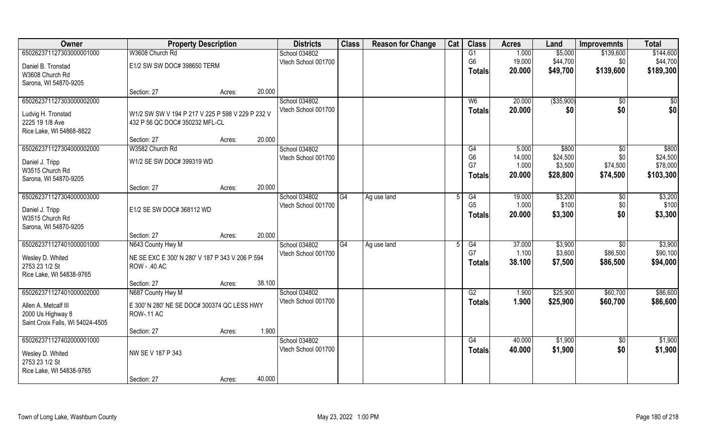| Owner                            | <b>Property Description</b>                      |        |        | <b>Districts</b>    | <b>Class</b> | <b>Reason for Change</b> | Cat | <b>Class</b>   | <b>Acres</b> | Land        | <b>Improvemnts</b> | <b>Total</b> |
|----------------------------------|--------------------------------------------------|--------|--------|---------------------|--------------|--------------------------|-----|----------------|--------------|-------------|--------------------|--------------|
| 650262371127303000001000         | W3608 Church Rd                                  |        |        | School 034802       |              |                          |     | G1             | 1.000        | \$5,000     | \$139,600          | \$144,600    |
| Daniel B. Tronstad               | E1/2 SW SW DOC# 398650 TERM                      |        |        | Vtech School 001700 |              |                          |     | G <sub>6</sub> | 19.000       | \$44,700    | \$0                | \$44,700     |
| W3608 Church Rd                  |                                                  |        |        |                     |              |                          |     | Totals         | 20.000       | \$49,700    | \$139,600          | \$189,300    |
| Sarona, WI 54870-9205            |                                                  |        |        |                     |              |                          |     |                |              |             |                    |              |
|                                  | Section: 27                                      | Acres: | 20.000 |                     |              |                          |     |                |              |             |                    |              |
| 650262371127303000002000         |                                                  |        |        | School 034802       |              |                          |     | W <sub>6</sub> | 20.000       | ( \$35,900) | $\sqrt{$0}$        | \$0          |
| Ludvig H. Tronstad               | W1/2 SW SW V 194 P 217 V 225 P 598 V 229 P 232 V |        |        | Vtech School 001700 |              |                          |     | <b>Totals</b>  | 20.000       | \$0         | \$0                | \$0          |
| 2225 19 1/8 Ave                  | 432 P 56 QC DOC# 350232 MFL-CL                   |        |        |                     |              |                          |     |                |              |             |                    |              |
| Rice Lake, WI 54868-8822         |                                                  |        |        |                     |              |                          |     |                |              |             |                    |              |
|                                  | Section: 27                                      | Acres: | 20.000 |                     |              |                          |     |                |              |             |                    |              |
| 650262371127304000002000         | W3582 Church Rd                                  |        |        | School 034802       |              |                          |     | G4             | 5.000        | \$800       | $\sqrt[6]{30}$     | \$800        |
| Daniel J. Tripp                  | W1/2 SE SW DOC# 399319 WD                        |        |        | Vtech School 001700 |              |                          |     | G <sub>6</sub> | 14.000       | \$24,500    | \$0                | \$24,500     |
| W3515 Church Rd                  |                                                  |        |        |                     |              |                          |     | G7             | 1.000        | \$3,500     | \$74,500           | \$78,000     |
| Sarona, WI 54870-9205            |                                                  |        |        |                     |              |                          |     | <b>Totals</b>  | 20,000       | \$28,800    | \$74,500           | \$103,300    |
|                                  | Section: 27                                      | Acres: | 20.000 |                     |              |                          |     |                |              |             |                    |              |
| 650262371127304000003000         |                                                  |        |        | School 034802       | G4           | Ag use land              |     | G4             | 19.000       | \$3,200     | $\sqrt[6]{3}$      | \$3,200      |
| Daniel J. Tripp                  | E1/2 SE SW DOC# 368112 WD                        |        |        | Vtech School 001700 |              |                          |     | G <sub>5</sub> | 1.000        | \$100       | \$0                | \$100        |
| W3515 Church Rd                  |                                                  |        |        |                     |              |                          |     | <b>Totals</b>  | 20.000       | \$3,300     | \$0                | \$3,300      |
| Sarona, WI 54870-9205            |                                                  |        |        |                     |              |                          |     |                |              |             |                    |              |
|                                  | Section: 27                                      | Acres: | 20.000 |                     |              |                          |     |                |              |             |                    |              |
| 650262371127401000001000         | N643 County Hwy M                                |        |        | School 034802       | G4           | Ag use land              |     | G4             | 37.000       | \$3,900     | $\overline{60}$    | \$3,900      |
| Wesley D. Whited                 | NE SE EXC E 300' N 280' V 187 P 343 V 206 P 594  |        |        | Vtech School 001700 |              |                          |     | G7             | 1.100        | \$3,600     | \$86,500           | \$90,100     |
| 2753 23 1/2 St                   | ROW - .40 AC                                     |        |        |                     |              |                          |     | Totals         | 38.100       | \$7,500     | \$86,500           | \$94,000     |
| Rice Lake, WI 54838-9765         |                                                  |        |        |                     |              |                          |     |                |              |             |                    |              |
|                                  | Section: 27                                      | Acres: | 38.100 |                     |              |                          |     |                |              |             |                    |              |
| 650262371127401000002000         | N687 County Hwy M                                |        |        | School 034802       |              |                          |     | G2             | 1.900        | \$25,900    | \$60,700           | \$86,600     |
| Allen A. Metcalf III             | E 300' N 280' NE SE DOC# 300374 QC LESS HWY      |        |        | Vtech School 001700 |              |                          |     | <b>Totals</b>  | 1.900        | \$25,900    | \$60,700           | \$86,600     |
| 2000 Us Highway 8                | <b>ROW-.11 AC</b>                                |        |        |                     |              |                          |     |                |              |             |                    |              |
| Saint Croix Falls, WI 54024-4505 |                                                  |        |        |                     |              |                          |     |                |              |             |                    |              |
|                                  | Section: 27                                      | Acres: | 1.900  |                     |              |                          |     |                |              |             |                    |              |
| 650262371127402000001000         |                                                  |        |        | School 034802       |              |                          |     | G4             | 40.000       | \$1,900     | $\sqrt{$0}$        | \$1,900      |
| Wesley D. Whited                 | NW SE V 187 P 343                                |        |        | Vtech School 001700 |              |                          |     | <b>Totals</b>  | 40.000       | \$1,900     | \$0                | \$1,900      |
| 2753 23 1/2 St                   |                                                  |        |        |                     |              |                          |     |                |              |             |                    |              |
| Rice Lake, WI 54838-9765         |                                                  |        |        |                     |              |                          |     |                |              |             |                    |              |
|                                  | Section: 27                                      | Acres: | 40.000 |                     |              |                          |     |                |              |             |                    |              |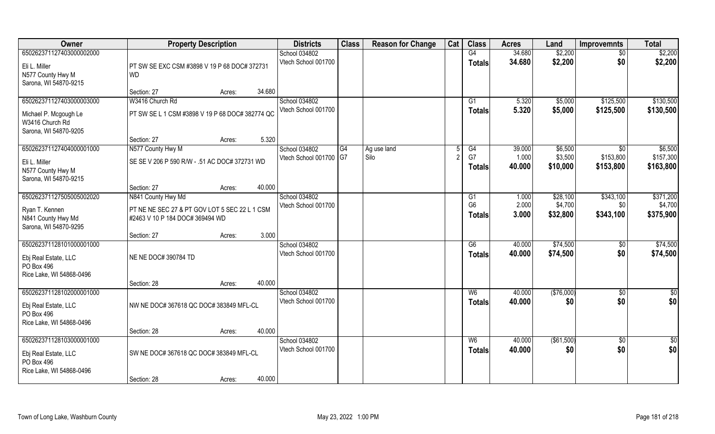| Owner                              | <b>Property Description</b>                     |        |        | <b>Districts</b>                        | <b>Class</b> | <b>Reason for Change</b> | Cat | <b>Class</b>    | <b>Acres</b>    | Land               | <b>Improvemnts</b>      | <b>Total</b>         |
|------------------------------------|-------------------------------------------------|--------|--------|-----------------------------------------|--------------|--------------------------|-----|-----------------|-----------------|--------------------|-------------------------|----------------------|
| 650262371127403000002000           |                                                 |        |        | School 034802                           |              |                          |     | G4              | 34.680          | \$2,200            | $\sqrt{6}$              | \$2,200              |
| Eli L. Miller                      | PT SW SE EXC CSM #3898 V 19 P 68 DOC# 372731    |        |        | Vtech School 001700                     |              |                          |     | <b>Totals</b>   | 34.680          | \$2,200            | \$0                     | \$2,200              |
| N577 County Hwy M                  | <b>WD</b>                                       |        |        |                                         |              |                          |     |                 |                 |                    |                         |                      |
| Sarona, WI 54870-9215              |                                                 |        |        |                                         |              |                          |     |                 |                 |                    |                         |                      |
|                                    | Section: 27                                     | Acres: | 34.680 |                                         |              |                          |     |                 |                 |                    |                         |                      |
| 650262371127403000003000           | W3416 Church Rd                                 |        |        | School 034802                           |              |                          |     | G1              | 5.320           | \$5,000            | \$125,500               | \$130,500            |
| Michael P. Mcgough Le              | PT SW SE L 1 CSM #3898 V 19 P 68 DOC# 382774 QC |        |        | Vtech School 001700                     |              |                          |     | <b>Totals</b>   | 5.320           | \$5,000            | \$125,500               | \$130,500            |
| W3416 Church Rd                    |                                                 |        |        |                                         |              |                          |     |                 |                 |                    |                         |                      |
| Sarona, WI 54870-9205              |                                                 |        |        |                                         |              |                          |     |                 |                 |                    |                         |                      |
|                                    | Section: 27                                     | Acres: | 5.320  |                                         |              |                          |     |                 |                 |                    |                         |                      |
| 650262371127404000001000           | N577 County Hwy M                               |        |        | School 034802<br>Vtech School 001700 G7 | G4           | Ag use land<br>Silo      |     | G4<br>G7        | 39.000<br>1.000 | \$6,500<br>\$3,500 | $\sqrt{6}$<br>\$153,800 | \$6,500<br>\$157,300 |
| Eli L. Miller                      | SE SE V 206 P 590 R/W - .51 AC DOC# 372731 WD   |        |        |                                         |              |                          |     | Totals          | 40.000          | \$10,000           | \$153,800               | \$163,800            |
| N577 County Hwy M                  |                                                 |        |        |                                         |              |                          |     |                 |                 |                    |                         |                      |
| Sarona, WI 54870-9215              |                                                 |        |        |                                         |              |                          |     |                 |                 |                    |                         |                      |
| 650262371127505005002020           | Section: 27<br>N841 County Hwy Md               | Acres: | 40.000 | School 034802                           |              |                          |     | G1              | 1.000           | \$28,100           | \$343,100               | \$371,200            |
|                                    |                                                 |        |        | Vtech School 001700                     |              |                          |     | G <sub>6</sub>  | 2.000           | \$4,700            | \$0                     | \$4,700              |
| Ryan T. Kennen                     | PT NE NE SEC 27 & PT GOV LOT 5 SEC 22 L 1 CSM   |        |        |                                         |              |                          |     | <b>Totals</b>   | 3.000           | \$32,800           | \$343,100               | \$375,900            |
| N841 County Hwy Md                 | #2463 V 10 P 184 DOC# 369494 WD                 |        |        |                                         |              |                          |     |                 |                 |                    |                         |                      |
| Sarona, WI 54870-9295              | Section: 27                                     | Acres: | 3.000  |                                         |              |                          |     |                 |                 |                    |                         |                      |
| 650262371128101000001000           |                                                 |        |        | School 034802                           |              |                          |     | $\overline{G6}$ | 40.000          | \$74,500           | \$0                     | \$74,500             |
|                                    |                                                 |        |        | Vtech School 001700                     |              |                          |     | <b>Totals</b>   | 40.000          | \$74,500           | \$0                     | \$74,500             |
| Ebj Real Estate, LLC<br>PO Box 496 | NE NE DOC# 390784 TD                            |        |        |                                         |              |                          |     |                 |                 |                    |                         |                      |
| Rice Lake, WI 54868-0496           |                                                 |        |        |                                         |              |                          |     |                 |                 |                    |                         |                      |
|                                    | Section: 28                                     | Acres: | 40.000 |                                         |              |                          |     |                 |                 |                    |                         |                      |
| 650262371128102000001000           |                                                 |        |        | School 034802                           |              |                          |     | W <sub>6</sub>  | 40.000          | (\$76,000)         | $\sqrt{$0}$             | \$0                  |
| Ebj Real Estate, LLC               | NW NE DOC# 367618 QC DOC# 383849 MFL-CL         |        |        | Vtech School 001700                     |              |                          |     | <b>Totals</b>   | 40.000          | \$0                | \$0                     | \$0                  |
| PO Box 496                         |                                                 |        |        |                                         |              |                          |     |                 |                 |                    |                         |                      |
| Rice Lake, WI 54868-0496           |                                                 |        |        |                                         |              |                          |     |                 |                 |                    |                         |                      |
|                                    | Section: 28                                     | Acres: | 40.000 |                                         |              |                          |     |                 |                 |                    |                         |                      |
| 650262371128103000001000           |                                                 |        |        | School 034802                           |              |                          |     | W6              | 40.000          | ( \$61,500)        | $\sqrt{$0}$             | $\overline{50}$      |
| Ebj Real Estate, LLC               | SW NE DOC# 367618 QC DOC# 383849 MFL-CL         |        |        | Vtech School 001700                     |              |                          |     | <b>Totals</b>   | 40.000          | \$0                | \$0                     | \$0                  |
| PO Box 496                         |                                                 |        |        |                                         |              |                          |     |                 |                 |                    |                         |                      |
| Rice Lake, WI 54868-0496           |                                                 |        |        |                                         |              |                          |     |                 |                 |                    |                         |                      |
|                                    | Section: 28                                     | Acres: | 40.000 |                                         |              |                          |     |                 |                 |                    |                         |                      |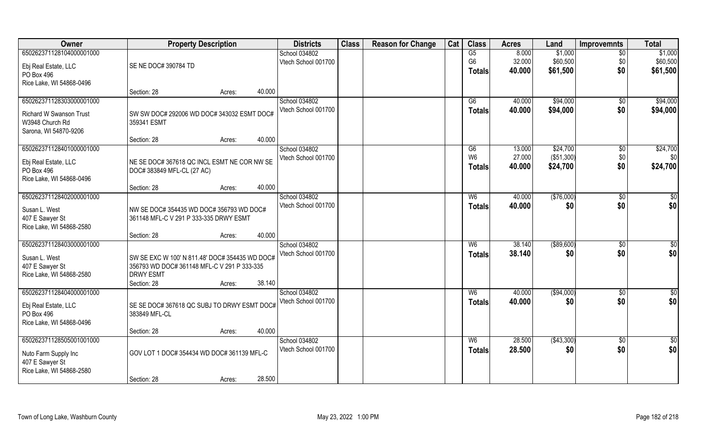| Owner                          | <b>Property Description</b>                    |        |        | <b>Districts</b>    | <b>Class</b> | <b>Reason for Change</b> | Cat | <b>Class</b>   | <b>Acres</b> | Land        | <b>Improvemnts</b> | <b>Total</b>    |
|--------------------------------|------------------------------------------------|--------|--------|---------------------|--------------|--------------------------|-----|----------------|--------------|-------------|--------------------|-----------------|
| 650262371128104000001000       |                                                |        |        | School 034802       |              |                          |     | G5             | 8.000        | \$1,000     | $\overline{50}$    | \$1,000         |
| Ebj Real Estate, LLC           | SE NE DOC# 390784 TD                           |        |        | Vtech School 001700 |              |                          |     | G <sub>6</sub> | 32.000       | \$60,500    | \$0                | \$60,500        |
| PO Box 496                     |                                                |        |        |                     |              |                          |     | <b>Totals</b>  | 40.000       | \$61,500    | \$0                | \$61,500        |
| Rice Lake, WI 54868-0496       |                                                |        |        |                     |              |                          |     |                |              |             |                    |                 |
|                                | Section: 28                                    | Acres: | 40.000 |                     |              |                          |     |                |              |             |                    |                 |
| 650262371128303000001000       |                                                |        |        | School 034802       |              |                          |     | G6             | 40.000       | \$94,000    | $\overline{50}$    | \$94,000        |
| <b>Richard W Swanson Trust</b> | SW SW DOC# 292006 WD DOC# 343032 ESMT DOC#     |        |        | Vtech School 001700 |              |                          |     | <b>Totals</b>  | 40.000       | \$94,000    | \$0                | \$94,000        |
| W3948 Church Rd                | 359341 ESMT                                    |        |        |                     |              |                          |     |                |              |             |                    |                 |
| Sarona, WI 54870-9206          |                                                |        |        |                     |              |                          |     |                |              |             |                    |                 |
|                                | Section: 28                                    | Acres: | 40.000 |                     |              |                          |     |                |              |             |                    |                 |
| 650262371128401000001000       |                                                |        |        | School 034802       |              |                          |     | G6             | 13.000       | \$24,700    | \$0                | \$24,700        |
| Ebj Real Estate, LLC           | NE SE DOC# 367618 QC INCL ESMT NE COR NW SE    |        |        | Vtech School 001700 |              |                          |     | W <sub>6</sub> | 27.000       | (\$51,300)  | \$0                | \$0             |
| PO Box 496                     | DOC# 383849 MFL-CL (27 AC)                     |        |        |                     |              |                          |     | Totals         | 40.000       | \$24,700    | \$0                | \$24,700        |
| Rice Lake, WI 54868-0496       |                                                |        |        |                     |              |                          |     |                |              |             |                    |                 |
|                                | Section: 28                                    | Acres: | 40.000 |                     |              |                          |     |                |              |             |                    |                 |
| 650262371128402000001000       |                                                |        |        | School 034802       |              |                          |     | W6             | 40.000       | (\$76,000)  | $\frac{1}{20}$     | \$0             |
| Susan L. West                  | NW SE DOC# 354435 WD DOC# 356793 WD DOC#       |        |        | Vtech School 001700 |              |                          |     | Totals         | 40.000       | \$0         | \$0                | \$0             |
| 407 E Sawyer St                | 361148 MFL-C V 291 P 333-335 DRWY ESMT         |        |        |                     |              |                          |     |                |              |             |                    |                 |
| Rice Lake, WI 54868-2580       |                                                |        |        |                     |              |                          |     |                |              |             |                    |                 |
|                                | Section: 28                                    | Acres: | 40.000 |                     |              |                          |     |                |              |             |                    |                 |
| 650262371128403000001000       |                                                |        |        | School 034802       |              |                          |     | W <sub>6</sub> | 38.140       | ( \$89,600) | $\sqrt[6]{30}$     | \$0             |
| Susan L. West                  | SW SE EXC W 100' N 811.48' DOC# 354435 WD DOC# |        |        | Vtech School 001700 |              |                          |     | <b>Totals</b>  | 38.140       | \$0         | \$0                | \$0             |
| 407 E Sawyer St                | 356793 WD DOC# 361148 MFL-C V 291 P 333-335    |        |        |                     |              |                          |     |                |              |             |                    |                 |
| Rice Lake, WI 54868-2580       | <b>DRWY ESMT</b>                               |        |        |                     |              |                          |     |                |              |             |                    |                 |
|                                | Section: 28                                    | Acres: | 38.140 |                     |              |                          |     |                |              |             |                    |                 |
| 650262371128404000001000       |                                                |        |        | School 034802       |              |                          |     | W <sub>6</sub> | 40.000       | ( \$94,000) | \$0                | $\frac{6}{3}$   |
| Ebj Real Estate, LLC           | SE SE DOC# 367618 QC SUBJ TO DRWY ESMT DOC#    |        |        | Vtech School 001700 |              |                          |     | <b>Totals</b>  | 40.000       | \$0         | \$0                | \$0             |
| PO Box 496                     | 383849 MFL-CL                                  |        |        |                     |              |                          |     |                |              |             |                    |                 |
| Rice Lake, WI 54868-0496       |                                                |        |        |                     |              |                          |     |                |              |             |                    |                 |
|                                | Section: 28                                    | Acres: | 40.000 |                     |              |                          |     |                |              |             |                    |                 |
| 650262371128505001001000       |                                                |        |        | School 034802       |              |                          |     | W <sub>6</sub> | 28.500       | (\$43,300)  | $\overline{50}$    | $\overline{50}$ |
| Nuto Farm Supply Inc           | GOV LOT 1 DOC# 354434 WD DOC# 361139 MFL-C     |        |        | Vtech School 001700 |              |                          |     | <b>Totals</b>  | 28.500       | \$0         | \$0                | \$0             |
| 407 E Sawyer St                |                                                |        |        |                     |              |                          |     |                |              |             |                    |                 |
| Rice Lake, WI 54868-2580       |                                                |        |        |                     |              |                          |     |                |              |             |                    |                 |
|                                | Section: 28                                    | Acres: | 28.500 |                     |              |                          |     |                |              |             |                    |                 |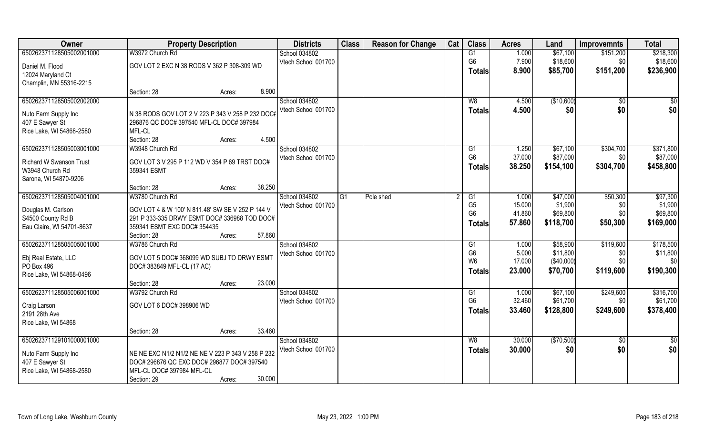| Owner                          | <b>Property Description</b>                       |        |        | <b>Districts</b>    | <b>Class</b> | <b>Reason for Change</b> | Cat | <b>Class</b>                     | <b>Acres</b>     | Land                | <b>Improvemnts</b> | <b>Total</b>        |
|--------------------------------|---------------------------------------------------|--------|--------|---------------------|--------------|--------------------------|-----|----------------------------------|------------------|---------------------|--------------------|---------------------|
| 650262371128505002001000       | W3972 Church Rd                                   |        |        | School 034802       |              |                          |     | G1                               | 1.000            | \$67,100            | \$151,200          | \$218,300           |
| Daniel M. Flood                | GOV LOT 2 EXC N 38 RODS V 362 P 308-309 WD        |        |        | Vtech School 001700 |              |                          |     | G <sub>6</sub>                   | 7.900            | \$18,600            | \$0                | \$18,600            |
| 12024 Maryland Ct              |                                                   |        |        |                     |              |                          |     | <b>Totals</b>                    | 8.900            | \$85,700            | \$151,200          | \$236,900           |
| Champlin, MN 55316-2215        |                                                   |        |        |                     |              |                          |     |                                  |                  |                     |                    |                     |
|                                | Section: 28                                       | Acres: | 8.900  |                     |              |                          |     |                                  |                  |                     |                    |                     |
| 650262371128505002002000       |                                                   |        |        | School 034802       |              |                          |     | W8                               | 4.500            | (\$10,600)          | \$0                | $\frac{1}{6}$       |
| Nuto Farm Supply Inc           | N 38 RODS GOV LOT 2 V 223 P 343 V 258 P 232 DOC#  |        |        | Vtech School 001700 |              |                          |     | <b>Totals</b>                    | 4.500            | \$0                 | \$0                | \$0                 |
| 407 E Sawyer St                | 296876 QC DOC# 397540 MFL-CL DOC# 397984          |        |        |                     |              |                          |     |                                  |                  |                     |                    |                     |
| Rice Lake, WI 54868-2580       | MFL-CL                                            |        |        |                     |              |                          |     |                                  |                  |                     |                    |                     |
|                                | Section: 28                                       | Acres: | 4.500  |                     |              |                          |     |                                  |                  |                     |                    |                     |
| 650262371128505003001000       | W3948 Church Rd                                   |        |        | School 034802       |              |                          |     | G1                               | 1.250            | \$67,100            | \$304,700          | \$371,800           |
|                                |                                                   |        |        | Vtech School 001700 |              |                          |     | G <sub>6</sub>                   | 37.000           | \$87,000            | \$0                | \$87,000            |
| <b>Richard W Swanson Trust</b> | GOV LOT 3 V 295 P 112 WD V 354 P 69 TRST DOC#     |        |        |                     |              |                          |     | <b>Totals</b>                    | 38.250           | \$154,100           | \$304,700          | \$458,800           |
| W3948 Church Rd                | 359341 ESMT                                       |        |        |                     |              |                          |     |                                  |                  |                     |                    |                     |
| Sarona, WI 54870-9206          |                                                   |        |        |                     |              |                          |     |                                  |                  |                     |                    |                     |
|                                | Section: 28                                       | Acres: | 38.250 |                     |              |                          |     |                                  |                  |                     |                    |                     |
| 650262371128505004001000       | W3780 Church Rd                                   |        |        | School 034802       | G1           | Pole shed                |     | G1                               | 1.000            | \$47,000            | \$50,300           | \$97,300            |
| Douglas M. Carlson             | GOV LOT 4 & W 100' N 811.48' SW SE V 252 P 144 V  |        |        | Vtech School 001700 |              |                          |     | G <sub>5</sub><br>G <sub>6</sub> | 15.000<br>41.860 | \$1,900<br>\$69,800 | \$0<br>\$0         | \$1,900<br>\$69,800 |
| S4500 County Rd B              | 291 P 333-335 DRWY ESMT DOC# 336988 TOD DOC#      |        |        |                     |              |                          |     |                                  |                  |                     |                    |                     |
| Eau Claire, WI 54701-8637      | 359341 ESMT EXC DOC# 354435                       |        |        |                     |              |                          |     | Totals                           | 57.860           | \$118,700           | \$50,300           | \$169,000           |
|                                | Section: 28                                       | Acres: | 57.860 |                     |              |                          |     |                                  |                  |                     |                    |                     |
| 650262371128505005001000       | W3786 Church Rd                                   |        |        | School 034802       |              |                          |     | G1                               | 1.000            | \$58,900            | \$119,600          | \$178,500           |
| Ebj Real Estate, LLC           | GOV LOT 5 DOC# 368099 WD SUBJ TO DRWY ESMT        |        |        | Vtech School 001700 |              |                          |     | G <sub>6</sub>                   | 5.000            | \$11,800            | \$0                | \$11,800            |
| PO Box 496                     | DOC# 383849 MFL-CL (17 AC)                        |        |        |                     |              |                          |     | W <sub>6</sub>                   | 17.000           | (\$40,000)          | \$0                | \$0                 |
| Rice Lake, WI 54868-0496       |                                                   |        |        |                     |              |                          |     | <b>Totals</b>                    | 23.000           | \$70,700            | \$119,600          | \$190,300           |
|                                | Section: 28                                       | Acres: | 23.000 |                     |              |                          |     |                                  |                  |                     |                    |                     |
| 650262371128505006001000       | W3792 Church Rd                                   |        |        | School 034802       |              |                          |     | G1                               | 1.000            | \$67,100            | \$249,600          | \$316,700           |
| Craig Larson                   | GOV LOT 6 DOC# 398906 WD                          |        |        | Vtech School 001700 |              |                          |     | G <sub>6</sub>                   | 32.460           | \$61,700            | \$0                | \$61,700            |
| 2191 28th Ave                  |                                                   |        |        |                     |              |                          |     | <b>Totals</b>                    | 33.460           | \$128,800           | \$249,600          | \$378,400           |
| Rice Lake, WI 54868            |                                                   |        |        |                     |              |                          |     |                                  |                  |                     |                    |                     |
|                                | Section: 28                                       | Acres: | 33.460 |                     |              |                          |     |                                  |                  |                     |                    |                     |
| 650262371129101000001000       |                                                   |        |        | School 034802       |              |                          |     | W8                               | 30.000           | (\$70,500)          | $\overline{30}$    | $\overline{\$0}$    |
|                                |                                                   |        |        | Vtech School 001700 |              |                          |     | <b>Totals</b>                    | 30.000           | \$0                 | \$0                | \$0                 |
| Nuto Farm Supply Inc           | NE NE EXC N1/2 N1/2 NE NE V 223 P 343 V 258 P 232 |        |        |                     |              |                          |     |                                  |                  |                     |                    |                     |
| 407 E Sawyer St                | DOC# 296876 QC EXC DOC# 296877 DOC# 397540        |        |        |                     |              |                          |     |                                  |                  |                     |                    |                     |
| Rice Lake, WI 54868-2580       | MFL-CL DOC# 397984 MFL-CL                         |        |        |                     |              |                          |     |                                  |                  |                     |                    |                     |
|                                | Section: 29                                       | Acres: | 30.000 |                     |              |                          |     |                                  |                  |                     |                    |                     |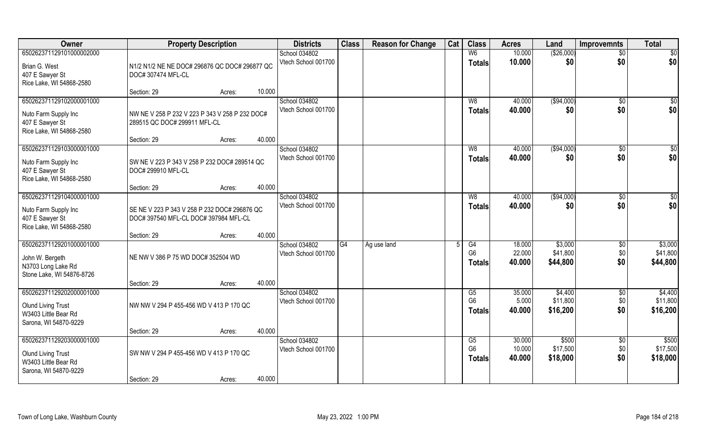| Owner                                                                                                  | <b>Property Description</b>                                                           | <b>Districts</b>                     | <b>Class</b> | <b>Reason for Change</b> | Cat | <b>Class</b>                          | <b>Acres</b>               | Land                            | <b>Improvemnts</b>       | <b>Total</b>                    |
|--------------------------------------------------------------------------------------------------------|---------------------------------------------------------------------------------------|--------------------------------------|--------------|--------------------------|-----|---------------------------------------|----------------------------|---------------------------------|--------------------------|---------------------------------|
| 650262371129101000002000                                                                               |                                                                                       | School 034802                        |              |                          |     | W <sub>6</sub>                        | 10.000                     | (\$26,000)                      | $\overline{50}$          | $\overline{50}$                 |
| Brian G. West<br>407 E Sawyer St                                                                       | N1/2 N1/2 NE NE DOC# 296876 QC DOC# 296877 QC<br>DOC# 307474 MFL-CL                   | Vtech School 001700                  |              |                          |     | <b>Totals</b>                         | 10.000                     | \$0                             | \$0                      | \$0                             |
| Rice Lake, WI 54868-2580                                                                               |                                                                                       |                                      |              |                          |     |                                       |                            |                                 |                          |                                 |
|                                                                                                        | 10.000<br>Section: 29<br>Acres:                                                       |                                      |              |                          |     |                                       |                            |                                 |                          |                                 |
| 650262371129102000001000                                                                               |                                                                                       | School 034802<br>Vtech School 001700 |              |                          |     | W8                                    | 40.000<br>40.000           | (\$94,000)<br>\$0               | $\overline{50}$<br>\$0   | \$0<br>\$0                      |
| Nuto Farm Supply Inc<br>407 E Sawyer St<br>Rice Lake, WI 54868-2580                                    | NW NE V 258 P 232 V 223 P 343 V 258 P 232 DOC#<br>289515 QC DOC# 299911 MFL-CL        |                                      |              |                          |     | Totals                                |                            |                                 |                          |                                 |
|                                                                                                        | 40.000<br>Section: 29<br>Acres:                                                       |                                      |              |                          |     |                                       |                            |                                 |                          |                                 |
| 650262371129103000001000                                                                               |                                                                                       | School 034802                        |              |                          |     | W8                                    | 40.000                     | ( \$94,000)                     | \$0                      | \$0                             |
| Nuto Farm Supply Inc<br>407 E Sawyer St<br>Rice Lake, WI 54868-2580                                    | SW NE V 223 P 343 V 258 P 232 DOC# 289514 QC<br>DOC# 299910 MFL-CL                    | Vtech School 001700                  |              |                          |     | <b>Totals</b>                         | 40.000                     | \$0                             | \$0                      | \$0                             |
|                                                                                                        | 40.000<br>Section: 29<br>Acres:                                                       |                                      |              |                          |     |                                       |                            |                                 |                          |                                 |
| 650262371129104000001000                                                                               |                                                                                       | School 034802                        |              |                          |     | W <sub>8</sub>                        | 40.000                     | ( \$94,000)                     | \$0                      | \$0                             |
| Nuto Farm Supply Inc<br>407 E Sawyer St<br>Rice Lake, WI 54868-2580                                    | SE NE V 223 P 343 V 258 P 232 DOC# 296876 QC<br>DOC# 397540 MFL-CL DOC# 397984 MFL-CL | Vtech School 001700                  |              |                          |     | <b>Totals</b>                         | 40.000                     | \$0                             | \$0                      | \$0                             |
|                                                                                                        | 40.000<br>Section: 29<br>Acres:                                                       |                                      |              |                          |     |                                       |                            |                                 |                          |                                 |
| 650262371129201000001000<br>John W. Bergeth<br>N3703 Long Lake Rd<br>Stone Lake, WI 54876-8726         | NE NW V 386 P 75 WD DOC# 352504 WD                                                    | School 034802<br>Vtech School 001700 | G4           | Ag use land              | .5  | G4<br>G <sub>6</sub><br>Totals        | 18.000<br>22.000<br>40.000 | \$3,000<br>\$41,800<br>\$44,800 | \$0<br>\$0<br>\$0        | \$3,000<br>\$41,800<br>\$44,800 |
|                                                                                                        | 40.000<br>Section: 29<br>Acres:                                                       |                                      |              |                          |     |                                       |                            |                                 |                          |                                 |
| 650262371129202000001000<br><b>Olund Living Trust</b><br>W3403 Little Bear Rd<br>Sarona, WI 54870-9229 | NW NW V 294 P 455-456 WD V 413 P 170 QC                                               | School 034802<br>Vtech School 001700 |              |                          |     | G5<br>G <sub>6</sub><br><b>Totals</b> | 35.000<br>5.000<br>40.000  | \$4,400<br>\$11,800<br>\$16,200 | \$0<br>\$0<br>\$0        | \$4,400<br>\$11,800<br>\$16,200 |
|                                                                                                        | 40.000<br>Section: 29<br>Acres:                                                       |                                      |              |                          |     |                                       |                            |                                 |                          |                                 |
| 650262371129203000001000<br><b>Olund Living Trust</b><br>W3403 Little Bear Rd<br>Sarona, WI 54870-9229 | SW NW V 294 P 455-456 WD V 413 P 170 QC                                               | School 034802<br>Vtech School 001700 |              |                          |     | G5<br>G <sub>6</sub><br>Totals        | 30.000<br>10.000<br>40.000 | \$500<br>\$17,500<br>\$18,000   | $\sqrt{6}$<br>\$0<br>\$0 | \$500<br>\$17,500<br>\$18,000   |
|                                                                                                        | 40.000<br>Section: 29<br>Acres:                                                       |                                      |              |                          |     |                                       |                            |                                 |                          |                                 |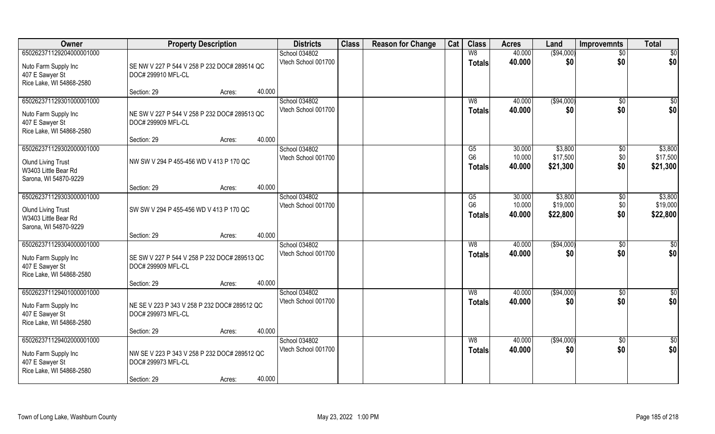|                    |                                           |                                                                                                                  |                                                                                                                                                                                                                                                                  | <b>Class</b>                                              | <b>Reason for Change</b> | Cat | <b>Class</b>                          | <b>Acres</b>               | Land                                 | <b>Improvemnts</b>                                               | <b>Total</b>                     |
|--------------------|-------------------------------------------|------------------------------------------------------------------------------------------------------------------|------------------------------------------------------------------------------------------------------------------------------------------------------------------------------------------------------------------------------------------------------------------|-----------------------------------------------------------|--------------------------|-----|---------------------------------------|----------------------------|--------------------------------------|------------------------------------------------------------------|----------------------------------|
|                    |                                           |                                                                                                                  | School 034802                                                                                                                                                                                                                                                    |                                                           |                          |     | W8                                    | 40.000                     | ( \$94,000)                          | $\overline{50}$                                                  | \$0                              |
| DOC# 299910 MFL-CL |                                           |                                                                                                                  | Vtech School 001700                                                                                                                                                                                                                                              |                                                           |                          |     | <b>Totals</b>                         | 40.000                     | \$0                                  | \$0                                                              | \$0                              |
| Section: 29        | Acres:                                    | 40.000                                                                                                           |                                                                                                                                                                                                                                                                  |                                                           |                          |     |                                       |                            |                                      |                                                                  |                                  |
| DOC# 299909 MFL-CL |                                           |                                                                                                                  | <b>School 034802</b><br>Vtech School 001700                                                                                                                                                                                                                      |                                                           |                          |     | W8<br>Totals                          | 40.000<br>40.000           | \$0                                  | \$0<br>\$0                                                       | \$0<br>\$0                       |
|                    |                                           |                                                                                                                  |                                                                                                                                                                                                                                                                  |                                                           |                          |     |                                       |                            |                                      |                                                                  |                                  |
|                    |                                           |                                                                                                                  | Vtech School 001700                                                                                                                                                                                                                                              |                                                           |                          |     | G <sub>6</sub><br><b>Totals</b>       | 10.000<br>40.000           | \$17,500<br>\$21,300                 | \$0<br>\$0                                                       | \$3,800<br>\$17,500<br>\$21,300  |
| Section: 29        | Acres:                                    | 40.000                                                                                                           |                                                                                                                                                                                                                                                                  |                                                           |                          |     |                                       |                            |                                      |                                                                  |                                  |
|                    |                                           |                                                                                                                  | School 034802<br>Vtech School 001700                                                                                                                                                                                                                             |                                                           |                          |     | G5<br>G <sub>6</sub><br><b>Totals</b> | 30.000<br>10.000<br>40.000 | \$3,800<br>\$19,000<br>\$22,800      | \$0<br>\$0<br>\$0                                                | \$3,800<br>\$19,000<br>\$22,800  |
| Section: 29        | Acres:                                    | 40.000                                                                                                           |                                                                                                                                                                                                                                                                  |                                                           |                          |     |                                       |                            |                                      |                                                                  |                                  |
| DOC# 299909 MFL-CL |                                           |                                                                                                                  | School 034802<br>Vtech School 001700                                                                                                                                                                                                                             |                                                           |                          |     | W8<br><b>Totals</b>                   | 40.000                     | \$0                                  | \$0<br>\$0                                                       | \$0<br>\$0                       |
|                    |                                           |                                                                                                                  |                                                                                                                                                                                                                                                                  |                                                           |                          |     |                                       |                            |                                      |                                                                  | \$0                              |
| DOC# 299973 MFL-CL |                                           |                                                                                                                  | Vtech School 001700                                                                                                                                                                                                                                              |                                                           |                          |     | <b>Totals</b>                         | 40.000                     | \$0                                  | \$0                                                              | \$0                              |
| Section: 29        | Acres:                                    |                                                                                                                  |                                                                                                                                                                                                                                                                  |                                                           |                          |     |                                       |                            |                                      |                                                                  |                                  |
| DOC# 299973 MFL-CL |                                           |                                                                                                                  | School 034802<br>Vtech School 001700                                                                                                                                                                                                                             |                                                           |                          |     | W8<br><b>Totals</b>                   | 40.000                     | \$0                                  | $\overline{50}$<br>\$0                                           | \$0<br>\$0                       |
|                    | Section: 29<br>Section: 29<br>Section: 29 | Acres:<br>NW SW V 294 P 455-456 WD V 413 P 170 QC<br>SW SW V 294 P 455-456 WD V 413 P 170 QC<br>Acres:<br>Acres: | SE NW V 227 P 544 V 258 P 232 DOC# 289514 QC<br>NE SW V 227 P 544 V 258 P 232 DOC# 289513 QC<br>SE SW V 227 P 544 V 258 P 232 DOC# 289513 QC<br>40.000<br>NE SE V 223 P 343 V 258 P 232 DOC# 289512 QC<br>NW SE V 223 P 343 V 258 P 232 DOC# 289512 QC<br>40.000 | 40.000<br>School 034802<br><b>School 034802</b><br>40.000 |                          |     |                                       | G5<br>W8                   | 30.000<br>40.000<br>40.000<br>40.000 | (\$94,000)<br>\$3,800<br>(\$94,000)<br>(\$94,000)<br>( \$94,000) | $\sqrt[6]{3}$<br>$\overline{50}$ |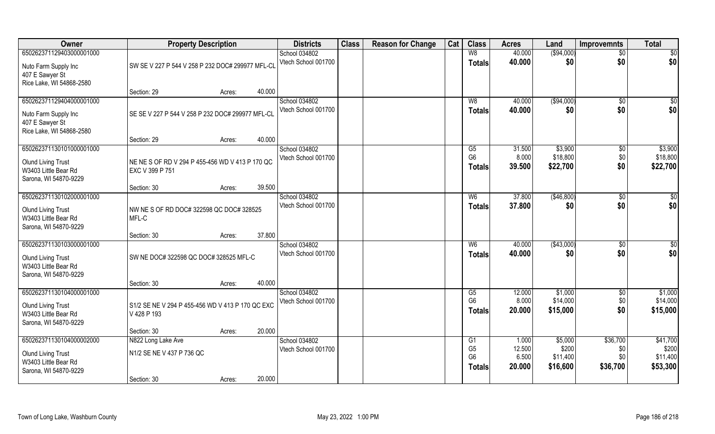| Owner                                                                                                  | <b>Property Description</b>                                                        | <b>Districts</b>                     | <b>Class</b> | <b>Reason for Change</b> | Cat | <b>Class</b>                                            | <b>Acres</b>                       | Land                                     | <b>Improvemnts</b>                 | <b>Total</b>                              |
|--------------------------------------------------------------------------------------------------------|------------------------------------------------------------------------------------|--------------------------------------|--------------|--------------------------|-----|---------------------------------------------------------|------------------------------------|------------------------------------------|------------------------------------|-------------------------------------------|
| 650262371129403000001000                                                                               |                                                                                    | School 034802                        |              |                          |     | W8                                                      | 40.000                             | ( \$94,000)                              | $\overline{50}$                    | \$0                                       |
| Nuto Farm Supply Inc<br>407 E Sawyer St<br>Rice Lake, WI 54868-2580                                    | SW SE V 227 P 544 V 258 P 232 DOC# 299977 MFL-CL                                   | Vtech School 001700                  |              |                          |     | <b>Totals</b>                                           | 40.000                             | \$0                                      | \$0                                | \$0                                       |
|                                                                                                        | 40.000<br>Section: 29<br>Acres:                                                    |                                      |              |                          |     |                                                         |                                    |                                          |                                    |                                           |
| 650262371129404000001000<br>Nuto Farm Supply Inc<br>407 E Sawyer St<br>Rice Lake, WI 54868-2580        | SE SE V 227 P 544 V 258 P 232 DOC# 299977 MFL-CL                                   | School 034802<br>Vtech School 001700 |              |                          |     | W8<br>Totals                                            | 40.000<br>40.000                   | (\$94,000)<br>\$0                        | \$0<br>\$0                         | \$0<br>\$0                                |
|                                                                                                        | 40.000<br>Section: 29<br>Acres:                                                    |                                      |              |                          |     |                                                         |                                    |                                          |                                    |                                           |
| 650262371130101000001000<br><b>Olund Living Trust</b><br>W3403 Little Bear Rd<br>Sarona, WI 54870-9229 | NE NE S OF RD V 294 P 455-456 WD V 413 P 170 QC<br>EXC V 399 P 751                 | School 034802<br>Vtech School 001700 |              |                          |     | G5<br>G <sub>6</sub><br><b>Totals</b>                   | 31.500<br>8.000<br>39.500          | \$3,900<br>\$18,800<br>\$22,700          | $\sqrt[6]{3}$<br>\$0<br>\$0        | \$3,900<br>\$18,800<br>\$22,700           |
|                                                                                                        | 39.500<br>Section: 30<br>Acres:                                                    |                                      |              |                          |     |                                                         |                                    |                                          |                                    |                                           |
| 650262371130102000001000<br><b>Olund Living Trust</b><br>W3403 Little Bear Rd<br>Sarona, WI 54870-9229 | NW NE S OF RD DOC# 322598 QC DOC# 328525<br>MFL-C                                  | School 034802<br>Vtech School 001700 |              |                          |     | W <sub>6</sub><br><b>Totals</b>                         | 37.800<br>37,800                   | (\$46,800)<br>\$0                        | \$0<br>\$0                         | \$0<br>\$0                                |
|                                                                                                        | 37.800<br>Section: 30<br>Acres:                                                    |                                      |              |                          |     |                                                         |                                    |                                          |                                    |                                           |
| 650262371130103000001000<br><b>Olund Living Trust</b><br>W3403 Little Bear Rd<br>Sarona, WI 54870-9229 | SW NE DOC# 322598 QC DOC# 328525 MFL-C                                             | School 034802<br>Vtech School 001700 |              |                          |     | W <sub>6</sub><br><b>Totals</b>                         | 40.000<br>40.000                   | (\$43,000)<br>\$0                        | \$0<br>\$0                         | \$0<br>\$0                                |
|                                                                                                        | 40.000<br>Section: 30<br>Acres:                                                    |                                      |              |                          |     |                                                         |                                    |                                          |                                    |                                           |
| 650262371130104000001000<br><b>Olund Living Trust</b><br>W3403 Little Bear Rd<br>Sarona, WI 54870-9229 | S1/2 SE NE V 294 P 455-456 WD V 413 P 170 QC EXC<br>V 428 P 193                    | School 034802<br>Vtech School 001700 |              |                          |     | G5<br>G <sub>6</sub><br><b>Totals</b>                   | 12.000<br>8.000<br>20,000          | \$1,000<br>\$14,000<br>\$15,000          | $\overline{50}$<br>\$0<br>\$0      | \$1,000<br>\$14,000<br>\$15,000           |
|                                                                                                        | 20.000<br>Section: 30<br>Acres:                                                    |                                      |              |                          |     |                                                         |                                    |                                          |                                    |                                           |
| 650262371130104000002000<br><b>Olund Living Trust</b><br>W3403 Little Bear Rd<br>Sarona, WI 54870-9229 | N822 Long Lake Ave<br>N1/2 SE NE V 437 P 736 QC<br>20.000<br>Section: 30<br>Acres: | School 034802<br>Vtech School 001700 |              |                          |     | G1<br>G <sub>5</sub><br>G <sub>6</sub><br><b>Totals</b> | 1.000<br>12.500<br>6.500<br>20.000 | \$5,000<br>\$200<br>\$11,400<br>\$16,600 | \$36,700<br>\$0<br>\$0<br>\$36,700 | \$41,700<br>\$200<br>\$11,400<br>\$53,300 |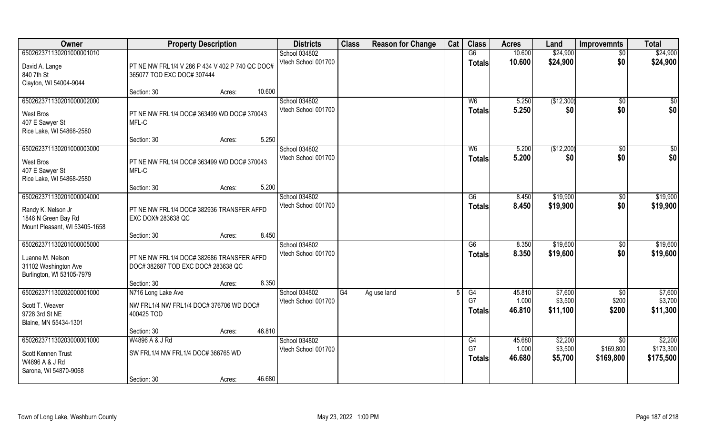| Owner                         | <b>Property Description</b>                     | <b>Districts</b>                     | <b>Class</b> | <b>Reason for Change</b> | Cat | <b>Class</b>   | <b>Acres</b>    | Land       | <b>Improvemnts</b> | <b>Total</b> |
|-------------------------------|-------------------------------------------------|--------------------------------------|--------------|--------------------------|-----|----------------|-----------------|------------|--------------------|--------------|
| 650262371130201000001010      |                                                 | School 034802                        |              |                          |     | G6             | 10.600          | \$24,900   | $\overline{50}$    | \$24,900     |
| David A. Lange                | PT NE NW FRL1/4 V 286 P 434 V 402 P 740 QC DOC# | Vtech School 001700                  |              |                          |     | <b>Totals</b>  | 10.600          | \$24,900   | \$0                | \$24,900     |
| 840 7th St                    | 365077 TOD EXC DOC# 307444                      |                                      |              |                          |     |                |                 |            |                    |              |
| Clayton, WI 54004-9044        |                                                 |                                      |              |                          |     |                |                 |            |                    |              |
|                               | 10.600<br>Section: 30<br>Acres:                 |                                      |              |                          |     |                |                 |            |                    |              |
| 650262371130201000002000      |                                                 | School 034802                        |              |                          |     | W <sub>6</sub> | 5.250           | (\$12,300) | \$0                | \$0          |
| West Bros                     | PT NE NW FRL1/4 DOC# 363499 WD DOC# 370043      | Vtech School 001700                  |              |                          |     | <b>Totals</b>  | 5.250           | \$0        | \$0                | \$0          |
| 407 E Sawyer St               | MFL-C                                           |                                      |              |                          |     |                |                 |            |                    |              |
| Rice Lake, WI 54868-2580      |                                                 |                                      |              |                          |     |                |                 |            |                    |              |
|                               | 5.250<br>Section: 30<br>Acres:                  |                                      |              |                          |     |                |                 |            |                    |              |
| 650262371130201000003000      |                                                 | School 034802                        |              |                          |     | W <sub>6</sub> | 5.200           | (\$12,200) | $\sqrt{6}$         | \$0          |
| West Bros                     | PT NE NW FRL1/4 DOC# 363499 WD DOC# 370043      | Vtech School 001700                  |              |                          |     | <b>Totals</b>  | 5.200           | \$0        | \$0                | \$0          |
| 407 E Sawyer St               | MFL-C                                           |                                      |              |                          |     |                |                 |            |                    |              |
| Rice Lake, WI 54868-2580      |                                                 |                                      |              |                          |     |                |                 |            |                    |              |
|                               | 5.200<br>Section: 30<br>Acres:                  |                                      |              |                          |     |                |                 |            |                    |              |
| 650262371130201000004000      |                                                 | School 034802<br>Vtech School 001700 |              |                          |     | G6             | 8.450           | \$19,900   | \$0                | \$19,900     |
| Randy K. Nelson Jr            | PT NE NW FRL1/4 DOC# 382936 TRANSFER AFFD       |                                      |              |                          |     | <b>Totals</b>  | 8.450           | \$19,900   | \$0                | \$19,900     |
| 1846 N Green Bay Rd           | EXC DOX# 283638 QC                              |                                      |              |                          |     |                |                 |            |                    |              |
| Mount Pleasant, WI 53405-1658 |                                                 |                                      |              |                          |     |                |                 |            |                    |              |
|                               | 8.450<br>Section: 30<br>Acres:                  |                                      |              |                          |     |                |                 |            |                    |              |
| 650262371130201000005000      |                                                 | School 034802<br>Vtech School 001700 |              |                          |     | G6             | 8.350           | \$19,600   | \$0                | \$19,600     |
| Luanne M. Nelson              | PT NE NW FRL1/4 DOC# 382686 TRANSFER AFFD       |                                      |              |                          |     | <b>Totals</b>  | 8.350           | \$19,600   | \$0                | \$19,600     |
| 31102 Washington Ave          | DOC# 382687 TOD EXC DOC# 283638 QC              |                                      |              |                          |     |                |                 |            |                    |              |
| Burlington, WI 53105-7979     |                                                 |                                      |              |                          |     |                |                 |            |                    |              |
| 650262371130202000001000      | 8.350<br>Section: 30<br>Acres:                  |                                      | G4           |                          |     |                |                 | \$7,600    |                    | \$7,600      |
|                               | N716 Long Lake Ave                              | School 034802<br>Vtech School 001700 |              | Ag use land              |     | G4<br>G7       | 45.810<br>1.000 | \$3,500    | \$0<br>\$200       | \$3,700      |
| Scott T. Weaver               | NW FRL1/4 NW FRL1/4 DOC# 376706 WD DOC#         |                                      |              |                          |     | <b>Totals</b>  | 46.810          | \$11,100   | \$200              | \$11,300     |
| 9728 3rd St NE                | 400425 TOD                                      |                                      |              |                          |     |                |                 |            |                    |              |
| Blaine, MN 55434-1301         | 46.810                                          |                                      |              |                          |     |                |                 |            |                    |              |
| 650262371130203000001000      | Section: 30<br>Acres:<br>W4896 A & J Rd         | School 034802                        |              |                          |     | G4             | 45.680          | \$2,200    | \$0                | \$2,200      |
|                               |                                                 | Vtech School 001700                  |              |                          |     | G7             | 1.000           | \$3,500    | \$169,800          | \$173,300    |
| Scott Kennen Trust            | SW FRL1/4 NW FRL1/4 DOC# 366765 WD              |                                      |              |                          |     | <b>Totals</b>  | 46.680          | \$5,700    | \$169,800          | \$175,500    |
| W4896 A & J Rd                |                                                 |                                      |              |                          |     |                |                 |            |                    |              |
| Sarona, WI 54870-9068         | 46.680<br>Section: 30<br>Acres:                 |                                      |              |                          |     |                |                 |            |                    |              |
|                               |                                                 |                                      |              |                          |     |                |                 |            |                    |              |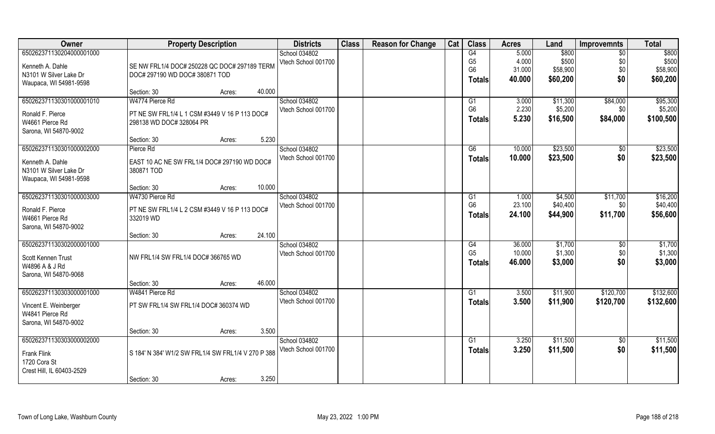| Owner                     | <b>Property Description</b>                        | <b>Districts</b>    | <b>Class</b> | <b>Reason for Change</b> | Cat | <b>Class</b>   | <b>Acres</b> | Land     | <b>Improvemnts</b> | <b>Total</b> |
|---------------------------|----------------------------------------------------|---------------------|--------------|--------------------------|-----|----------------|--------------|----------|--------------------|--------------|
| 650262371130204000001000  |                                                    | School 034802       |              |                          |     | G4             | 5.000        | \$800    | $\sqrt{6}$         | \$800        |
| Kenneth A. Dahle          | SE NW FRL1/4 DOC# 250228 QC DOC# 297189 TERM       | Vtech School 001700 |              |                          |     | G <sub>5</sub> | 4.000        | \$500    | \$0                | \$500        |
| N3101 W Silver Lake Dr    | DOC# 297190 WD DOC# 380871 TOD                     |                     |              |                          |     | G <sub>6</sub> | 31.000       | \$58,900 | \$0                | \$58,900     |
| Waupaca, WI 54981-9598    |                                                    |                     |              |                          |     | <b>Totals</b>  | 40.000       | \$60,200 | \$0                | \$60,200     |
|                           | Section: 30<br>Acres:                              | 40.000              |              |                          |     |                |              |          |                    |              |
| 650262371130301000001010  | W4774 Pierce Rd                                    | School 034802       |              |                          |     | G1             | 3.000        | \$11,300 | \$84,000           | \$95,300     |
| Ronald F. Pierce          | PT NE SW FRL1/4 L 1 CSM #3449 V 16 P 113 DOC#      | Vtech School 001700 |              |                          |     | G <sub>6</sub> | 2.230        | \$5,200  | \$0                | \$5,200      |
| W4661 Pierce Rd           | 298138 WD DOC# 328064 PR                           |                     |              |                          |     | Totals         | 5.230        | \$16,500 | \$84,000           | \$100,500    |
| Sarona, WI 54870-9002     |                                                    |                     |              |                          |     |                |              |          |                    |              |
|                           | Section: 30<br>Acres:                              | 5.230               |              |                          |     |                |              |          |                    |              |
| 650262371130301000002000  | Pierce Rd                                          | School 034802       |              |                          |     | G6             | 10.000       | \$23,500 | $\sqrt{50}$        | \$23,500     |
| Kenneth A. Dahle          | EAST 10 AC NE SW FRL1/4 DOC# 297190 WD DOC#        | Vtech School 001700 |              |                          |     | <b>Totals</b>  | 10.000       | \$23,500 | \$0                | \$23,500     |
| N3101 W Silver Lake Dr    | 380871 TOD                                         |                     |              |                          |     |                |              |          |                    |              |
| Waupaca, WI 54981-9598    |                                                    |                     |              |                          |     |                |              |          |                    |              |
|                           | Section: 30<br>Acres:                              | 10.000              |              |                          |     |                |              |          |                    |              |
| 650262371130301000003000  | W4730 Pierce Rd                                    | School 034802       |              |                          |     | G <sub>1</sub> | 1.000        | \$4,500  | \$11,700           | \$16,200     |
| Ronald F. Pierce          | PT NE SW FRL1/4 L 2 CSM #3449 V 16 P 113 DOC#      | Vtech School 001700 |              |                          |     | G <sub>6</sub> | 23.100       | \$40,400 | \$0                | \$40,400     |
| W4661 Pierce Rd           | 332019 WD                                          |                     |              |                          |     | <b>Totals</b>  | 24.100       | \$44,900 | \$11,700           | \$56,600     |
| Sarona, WI 54870-9002     |                                                    |                     |              |                          |     |                |              |          |                    |              |
|                           | Section: 30<br>Acres:                              | 24.100              |              |                          |     |                |              |          |                    |              |
| 650262371130302000001000  |                                                    | School 034802       |              |                          |     | G4             | 36.000       | \$1,700  | \$0                | \$1,700      |
| Scott Kennen Trust        | NW FRL1/4 SW FRL1/4 DOC# 366765 WD                 | Vtech School 001700 |              |                          |     | G <sub>5</sub> | 10.000       | \$1,300  | \$0                | \$1,300      |
| W4896 A & J Rd            |                                                    |                     |              |                          |     | Totals         | 46.000       | \$3,000  | \$0                | \$3,000      |
| Sarona, WI 54870-9068     |                                                    |                     |              |                          |     |                |              |          |                    |              |
|                           | Section: 30<br>Acres:                              | 46.000              |              |                          |     |                |              |          |                    |              |
| 650262371130303000001000  | W4841 Pierce Rd                                    | School 034802       |              |                          |     | G1             | 3.500        | \$11,900 | \$120,700          | \$132,600    |
| Vincent E. Weinberger     | PT SW FRL1/4 SW FRL1/4 DOC# 360374 WD              | Vtech School 001700 |              |                          |     | <b>Totals</b>  | 3.500        | \$11,900 | \$120,700          | \$132,600    |
| W4841 Pierce Rd           |                                                    |                     |              |                          |     |                |              |          |                    |              |
| Sarona, WI 54870-9002     |                                                    |                     |              |                          |     |                |              |          |                    |              |
|                           | Section: 30<br>Acres:                              | 3.500               |              |                          |     |                |              |          |                    |              |
| 650262371130303000002000  |                                                    | School 034802       |              |                          |     | G1             | 3.250        | \$11,500 | $\sqrt{$0}$        | \$11,500     |
| <b>Frank Flink</b>        | S 184' N 384' W1/2 SW FRL1/4 SW FRL1/4 V 270 P 388 | Vtech School 001700 |              |                          |     | <b>Totals</b>  | 3.250        | \$11,500 | \$0                | \$11,500     |
| 1720 Cora St              |                                                    |                     |              |                          |     |                |              |          |                    |              |
| Crest Hill, IL 60403-2529 |                                                    |                     |              |                          |     |                |              |          |                    |              |
|                           | Section: 30<br>Acres:                              | 3.250               |              |                          |     |                |              |          |                    |              |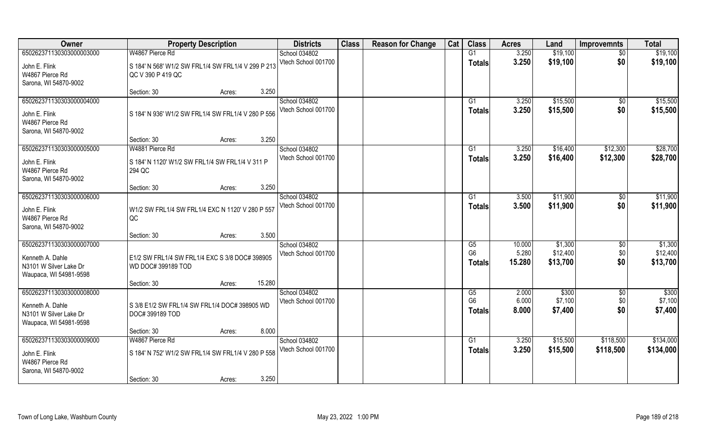| Owner                                                                                            | <b>Property Description</b>                                                                             | <b>Districts</b>                     | <b>Class</b> | <b>Reason for Change</b> | Cat | <b>Class</b>                          | <b>Acres</b>              | Land                            | <b>Improvemnts</b>        | <b>Total</b>                    |
|--------------------------------------------------------------------------------------------------|---------------------------------------------------------------------------------------------------------|--------------------------------------|--------------|--------------------------|-----|---------------------------------------|---------------------------|---------------------------------|---------------------------|---------------------------------|
| 650262371130303000003000                                                                         | W4867 Pierce Rd                                                                                         | School 034802                        |              |                          |     | G1                                    | 3.250                     | \$19,100                        | $\sqrt{6}$                | \$19,100                        |
| John E. Flink<br>W4867 Pierce Rd<br>Sarona, WI 54870-9002                                        | S 184' N 568' W1/2 SW FRL1/4 SW FRL1/4 V 299 P 213<br>QC V 390 P 419 QC                                 | Vtech School 001700                  |              |                          |     | <b>Totals</b>                         | 3.250                     | \$19,100                        | \$0                       | \$19,100                        |
|                                                                                                  | 3.250<br>Section: 30<br>Acres:                                                                          |                                      |              |                          |     |                                       |                           |                                 |                           |                                 |
| 650262371130303000004000<br>John E. Flink<br>W4867 Pierce Rd<br>Sarona, WI 54870-9002            | S 184' N 936' W1/2 SW FRL1/4 SW FRL1/4 V 280 P 556                                                      | School 034802<br>Vtech School 001700 |              |                          |     | G1<br>Totals                          | 3.250<br>3.250            | \$15,500<br>\$15,500            | \$0<br>\$0                | \$15,500<br>\$15,500            |
|                                                                                                  | 3.250<br>Section: 30<br>Acres:                                                                          |                                      |              |                          |     |                                       |                           |                                 |                           |                                 |
| 650262371130303000005000<br>John E. Flink<br>W4867 Pierce Rd<br>Sarona, WI 54870-9002            | W4881 Pierce Rd<br>S 184' N 1120' W1/2 SW FRL1/4 SW FRL1/4 V 311 P<br>294 QC                            | School 034802<br>Vtech School 001700 |              |                          |     | G1<br><b>Totals</b>                   | 3.250<br>3.250            | \$16,400<br>\$16,400            | \$12,300<br>\$12,300      | \$28,700<br>\$28,700            |
|                                                                                                  | 3.250<br>Section: 30<br>Acres:                                                                          |                                      |              |                          |     |                                       |                           |                                 |                           |                                 |
| 650262371130303000006000<br>John E. Flink<br>W4867 Pierce Rd<br>Sarona, WI 54870-9002            | W1/2 SW FRL1/4 SW FRL1/4 EXC N 1120' V 280 P 557<br>QC                                                  | School 034802<br>Vtech School 001700 |              |                          |     | G1<br><b>Totals</b>                   | 3.500<br>3.500            | \$11,900<br>\$11,900            | \$0<br>\$0                | \$11,900<br>\$11,900            |
|                                                                                                  | 3.500<br>Section: 30<br>Acres:                                                                          |                                      |              |                          |     |                                       |                           |                                 |                           |                                 |
| 650262371130303000007000<br>Kenneth A. Dahle<br>N3101 W Silver Lake Dr<br>Waupaca, WI 54981-9598 | E1/2 SW FRL1/4 SW FRL1/4 EXC S 3/8 DOC# 398905<br>WD DOC# 399189 TOD                                    | School 034802<br>Vtech School 001700 |              |                          |     | G5<br>G <sub>6</sub><br><b>Totals</b> | 10.000<br>5.280<br>15.280 | \$1,300<br>\$12,400<br>\$13,700 | \$0<br>\$0<br>\$0         | \$1,300<br>\$12,400<br>\$13,700 |
|                                                                                                  | 15.280<br>Section: 30<br>Acres:                                                                         |                                      |              |                          |     |                                       |                           |                                 |                           |                                 |
| 650262371130303000008000<br>Kenneth A. Dahle<br>N3101 W Silver Lake Dr<br>Waupaca, WI 54981-9598 | S 3/8 E1/2 SW FRL1/4 SW FRL1/4 DOC# 398905 WD<br>DOC#399189 TOD                                         | School 034802<br>Vtech School 001700 |              |                          |     | G5<br>G <sub>6</sub><br><b>Totals</b> | 2.000<br>6.000<br>8.000   | \$300<br>\$7,100<br>\$7,400     | $\sqrt{$0}$<br>\$0<br>\$0 | \$300<br>\$7,100<br>\$7,400     |
|                                                                                                  | 8.000<br>Section: 30<br>Acres:                                                                          |                                      |              |                          |     |                                       |                           |                                 |                           |                                 |
| 650262371130303000009000<br>John E. Flink<br>W4867 Pierce Rd<br>Sarona, WI 54870-9002            | W4867 Pierce Rd<br>S 184' N 752' W1/2 SW FRL1/4 SW FRL1/4 V 280 P 558<br>3.250<br>Section: 30<br>Acres: | School 034802<br>Vtech School 001700 |              |                          |     | G1<br><b>Totals</b>                   | 3.250<br>3.250            | \$15,500<br>\$15,500            | \$118,500<br>\$118,500    | \$134,000<br>\$134,000          |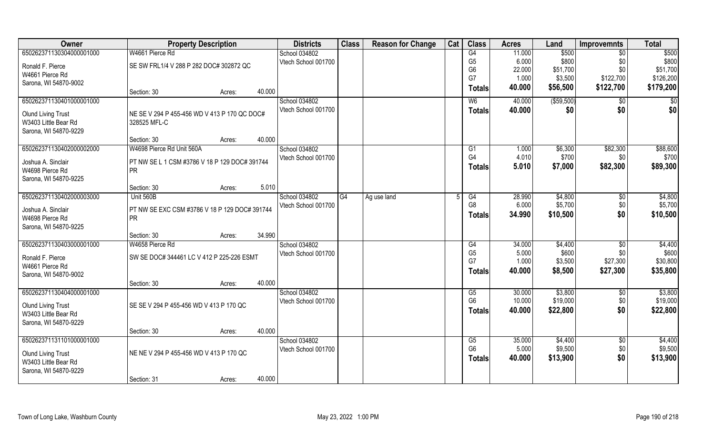| Owner                     | <b>Property Description</b>                   |        |        | <b>Districts</b>    | <b>Class</b>    | <b>Reason for Change</b> | Cat | <b>Class</b>   | <b>Acres</b> | Land        | <b>Improvemnts</b> | <b>Total</b> |
|---------------------------|-----------------------------------------------|--------|--------|---------------------|-----------------|--------------------------|-----|----------------|--------------|-------------|--------------------|--------------|
| 650262371130304000001000  | W4661 Pierce Rd                               |        |        | School 034802       |                 |                          |     | G4             | 11.000       | \$500       | \$0                | \$500        |
| Ronald F. Pierce          | SE SW FRL1/4 V 288 P 282 DOC# 302872 QC       |        |        | Vtech School 001700 |                 |                          |     | G <sub>5</sub> | 6.000        | \$800       | \$0                | \$800        |
| W4661 Pierce Rd           |                                               |        |        |                     |                 |                          |     | G <sub>6</sub> | 22.000       | \$51,700    | \$0                | \$51,700     |
| Sarona, WI 54870-9002     |                                               |        |        |                     |                 |                          |     | G7             | 1.000        | \$3,500     | \$122,700          | \$126,200    |
|                           | Section: 30                                   | Acres: | 40.000 |                     |                 |                          |     | <b>Totals</b>  | 40.000       | \$56,500    | \$122,700          | \$179,200    |
| 650262371130401000001000  |                                               |        |        | School 034802       |                 |                          |     | W <sub>6</sub> | 40.000       | ( \$59,500) | \$0                | \$0          |
| <b>Olund Living Trust</b> | NE SE V 294 P 455-456 WD V 413 P 170 QC DOC#  |        |        | Vtech School 001700 |                 |                          |     | <b>Totals</b>  | 40.000       | \$0         | \$0                | \$0          |
| W3403 Little Bear Rd      | 328525 MFL-C                                  |        |        |                     |                 |                          |     |                |              |             |                    |              |
| Sarona, WI 54870-9229     |                                               |        |        |                     |                 |                          |     |                |              |             |                    |              |
|                           | Section: 30                                   | Acres: | 40.000 |                     |                 |                          |     |                |              |             |                    |              |
| 650262371130402000002000  | W4698 Pierce Rd Unit 560A                     |        |        | School 034802       |                 |                          |     | G1             | 1.000        | \$6,300     | \$82,300           | \$88,600     |
| Joshua A. Sinclair        | PT NW SE L 1 CSM #3786 V 18 P 129 DOC# 391744 |        |        | Vtech School 001700 |                 |                          |     | G4             | 4.010        | \$700       | \$0                | \$700        |
| W4698 Pierce Rd           | <b>PR</b>                                     |        |        |                     |                 |                          |     | <b>Totals</b>  | 5.010        | \$7,000     | \$82,300           | \$89,300     |
| Sarona, WI 54870-9225     |                                               |        |        |                     |                 |                          |     |                |              |             |                    |              |
|                           | Section: 30                                   | Acres: | 5.010  |                     |                 |                          |     |                |              |             |                    |              |
| 650262371130402000003000  | Unit 560B                                     |        |        | School 034802       | $\overline{G4}$ | Ag use land              | 5   | G4             | 28.990       | \$4,800     | \$0                | \$4,800      |
| Joshua A. Sinclair        | PT NW SE EXC CSM #3786 V 18 P 129 DOC# 391744 |        |        | Vtech School 001700 |                 |                          |     | G <sub>8</sub> | 6.000        | \$5,700     | \$0                | \$5,700      |
| W4698 Pierce Rd           | <b>PR</b>                                     |        |        |                     |                 |                          |     | <b>Totals</b>  | 34.990       | \$10,500    | \$0                | \$10,500     |
| Sarona, WI 54870-9225     |                                               |        |        |                     |                 |                          |     |                |              |             |                    |              |
|                           | Section: 30                                   | Acres: | 34.990 |                     |                 |                          |     |                |              |             |                    |              |
| 650262371130403000001000  | W4658 Pierce Rd                               |        |        | School 034802       |                 |                          |     | G4             | 34.000       | \$4,400     | $\sqrt[6]{}$       | \$4,400      |
| Ronald F. Pierce          | SW SE DOC# 344461 LC V 412 P 225-226 ESMT     |        |        | Vtech School 001700 |                 |                          |     | G <sub>5</sub> | 5.000        | \$600       | \$0                | \$600        |
| W4661 Pierce Rd           |                                               |        |        |                     |                 |                          |     | G7             | 1.000        | \$3,500     | \$27,300           | \$30,800     |
| Sarona, WI 54870-9002     |                                               |        |        |                     |                 |                          |     | <b>Totals</b>  | 40.000       | \$8,500     | \$27,300           | \$35,800     |
|                           | Section: 30                                   | Acres: | 40.000 |                     |                 |                          |     |                |              |             |                    |              |
| 650262371130404000001000  |                                               |        |        | School 034802       |                 |                          |     | G5             | 30.000       | \$3,800     | $\overline{50}$    | \$3,800      |
| <b>Olund Living Trust</b> | SE SE V 294 P 455-456 WD V 413 P 170 QC       |        |        | Vtech School 001700 |                 |                          |     | G <sub>6</sub> | 10.000       | \$19,000    | \$0                | \$19,000     |
| W3403 Little Bear Rd      |                                               |        |        |                     |                 |                          |     | <b>Totals</b>  | 40.000       | \$22,800    | \$0                | \$22,800     |
| Sarona, WI 54870-9229     |                                               |        |        |                     |                 |                          |     |                |              |             |                    |              |
|                           | Section: 30                                   | Acres: | 40.000 |                     |                 |                          |     |                |              |             |                    |              |
| 650262371131101000001000  |                                               |        |        | School 034802       |                 |                          |     | G5             | 35.000       | \$4,400     | $\overline{60}$    | \$4,400      |
| <b>Olund Living Trust</b> | NE NE V 294 P 455-456 WD V 413 P 170 QC       |        |        | Vtech School 001700 |                 |                          |     | G <sub>6</sub> | 5.000        | \$9,500     | \$0                | \$9,500      |
| W3403 Little Bear Rd      |                                               |        |        |                     |                 |                          |     | <b>Totals</b>  | 40.000       | \$13,900    | \$0                | \$13,900     |
| Sarona, WI 54870-9229     |                                               |        |        |                     |                 |                          |     |                |              |             |                    |              |
|                           | Section: 31                                   | Acres: | 40.000 |                     |                 |                          |     |                |              |             |                    |              |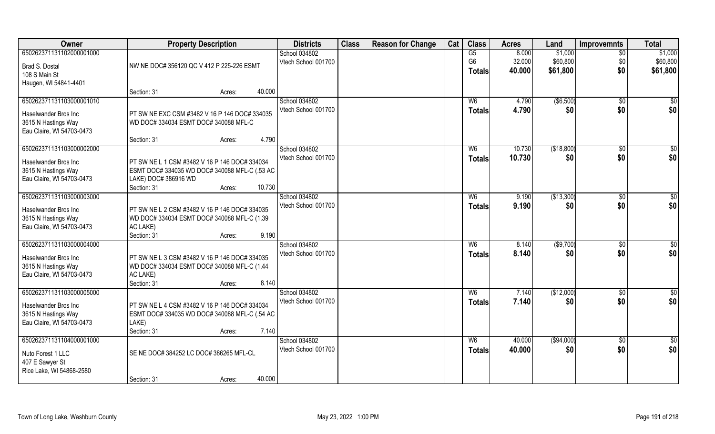| Owner                                                                                                | <b>Property Description</b>                                                                                                                               | <b>Districts</b>                     | <b>Class</b> | <b>Reason for Change</b> | Cat | <b>Class</b>                    | <b>Acres</b>              | Land                            | <b>Improvemnts</b>            | <b>Total</b>                    |
|------------------------------------------------------------------------------------------------------|-----------------------------------------------------------------------------------------------------------------------------------------------------------|--------------------------------------|--------------|--------------------------|-----|---------------------------------|---------------------------|---------------------------------|-------------------------------|---------------------------------|
| 650262371131102000001000<br>Brad S. Dostal<br>108 S Main St<br>Haugen, WI 54841-4401                 | NW NE DOC# 356120 QC V 412 P 225-226 ESMT                                                                                                                 | School 034802<br>Vtech School 001700 |              |                          |     | G5<br>G <sub>6</sub><br>Totals  | 8.000<br>32.000<br>40.000 | \$1,000<br>\$60,800<br>\$61,800 | $\overline{50}$<br>\$0<br>\$0 | \$1,000<br>\$60,800<br>\$61,800 |
|                                                                                                      | 40.000<br>Section: 31<br>Acres:                                                                                                                           |                                      |              |                          |     |                                 |                           |                                 |                               |                                 |
| 650262371131103000001010<br>Haselwander Bros Inc<br>3615 N Hastings Way<br>Eau Claire, WI 54703-0473 | PT SW NE EXC CSM #3482 V 16 P 146 DOC# 334035<br>WD DOC# 334034 ESMT DOC# 340088 MFL-C<br>4.790<br>Section: 31<br>Acres:                                  | School 034802<br>Vtech School 001700 |              |                          |     | W <sub>6</sub><br><b>Totals</b> | 4.790<br>4.790            | ( \$6,500)<br>\$0               | $\overline{50}$<br>\$0        | \$0<br>\$0                      |
| 650262371131103000002000                                                                             |                                                                                                                                                           | School 034802                        |              |                          |     | W <sub>6</sub>                  | 10.730                    | (\$18,800)                      | $\sqrt[6]{30}$                | \$0                             |
| Haselwander Bros Inc<br>3615 N Hastings Way<br>Eau Claire, WI 54703-0473                             | PT SW NE L 1 CSM #3482 V 16 P 146 DOC# 334034<br>ESMT DOC# 334035 WD DOC# 340088 MFL-C (.53 AC<br>LAKE) DOC# 386916 WD<br>10.730<br>Section: 31<br>Acres: | Vtech School 001700                  |              |                          |     | <b>Totals</b>                   | 10.730                    | \$0                             | \$0                           | \$0                             |
| 650262371131103000003000                                                                             |                                                                                                                                                           | School 034802                        |              |                          |     | W <sub>6</sub>                  | 9.190                     | (\$13,300)                      | $\sqrt[6]{3}$                 | \$0                             |
| Haselwander Bros Inc<br>3615 N Hastings Way<br>Eau Claire, WI 54703-0473                             | PT SW NE L 2 CSM #3482 V 16 P 146 DOC# 334035<br>WD DOC# 334034 ESMT DOC# 340088 MFL-C (1.39<br>AC LAKE)<br>9.190<br>Section: 31<br>Acres:                | Vtech School 001700                  |              |                          |     | <b>Totals</b>                   | 9.190                     | \$0                             | \$0                           | \$0                             |
| 650262371131103000004000                                                                             |                                                                                                                                                           | School 034802                        |              |                          |     | W <sub>6</sub>                  | 8.140                     | ( \$9,700)                      | $\sqrt[6]{30}$                | \$0                             |
| Haselwander Bros Inc<br>3615 N Hastings Way<br>Eau Claire, WI 54703-0473                             | PT SW NE L 3 CSM #3482 V 16 P 146 DOC# 334035<br>WD DOC# 334034 ESMT DOC# 340088 MFL-C (1.44<br>AC LAKE)<br>8.140<br>Section: 31<br>Acres:                | Vtech School 001700                  |              |                          |     | <b>Totals</b>                   | 8.140                     | \$0                             | \$0                           | \$0                             |
| 650262371131103000005000                                                                             |                                                                                                                                                           | School 034802                        |              |                          |     | W <sub>6</sub>                  | 7.140                     | (\$12,000)                      | \$0                           | $\frac{6}{3}$                   |
| Haselwander Bros Inc<br>3615 N Hastings Way<br>Eau Claire, WI 54703-0473                             | PT SW NE L 4 CSM #3482 V 16 P 146 DOC# 334034<br>ESMT DOC# 334035 WD DOC# 340088 MFL-C (.54 AC<br>LAKE)<br>Section: 31<br>7.140<br>Acres:                 | Vtech School 001700                  |              |                          |     | <b>Totals</b>                   | 7.140                     | \$0                             | \$0                           | \$0                             |
| 650262371131104000001000                                                                             |                                                                                                                                                           | School 034802                        |              |                          |     | W <sub>6</sub>                  | 40.000                    | (\$94,000)                      | $\overline{50}$               | $\overline{50}$                 |
| Nuto Forest 1 LLC<br>407 E Sawyer St<br>Rice Lake, WI 54868-2580                                     | SE NE DOC# 384252 LC DOC# 386265 MFL-CL                                                                                                                   | Vtech School 001700                  |              |                          |     | <b>Totals</b>                   | 40.000                    | \$0                             | \$0                           | \$0                             |
|                                                                                                      | 40.000<br>Section: 31<br>Acres:                                                                                                                           |                                      |              |                          |     |                                 |                           |                                 |                               |                                 |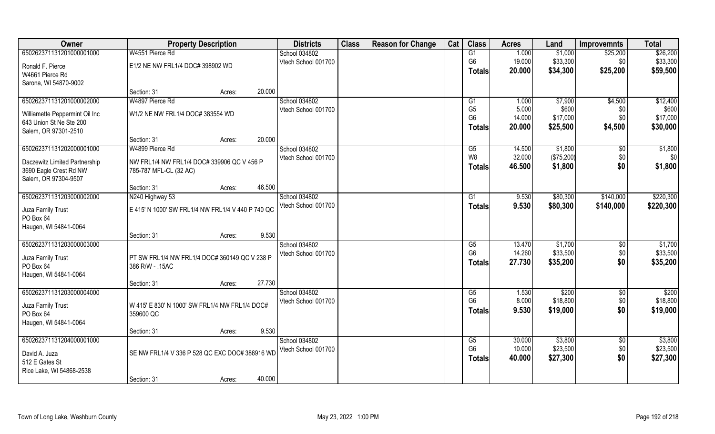| Owner                                                   | <b>Property Description</b>                                      |                  | <b>Districts</b>    | <b>Class</b> | <b>Reason for Change</b> | Cat | <b>Class</b>    | <b>Acres</b> | Land       | <b>Improvemnts</b> | <b>Total</b> |
|---------------------------------------------------------|------------------------------------------------------------------|------------------|---------------------|--------------|--------------------------|-----|-----------------|--------------|------------|--------------------|--------------|
| 650262371131201000001000                                | W4551 Pierce Rd                                                  |                  | School 034802       |              |                          |     | G1              | 1.000        | \$1,000    | \$25,200           | \$26,200     |
| Ronald F. Pierce                                        | E1/2 NE NW FRL1/4 DOC# 398902 WD                                 |                  | Vtech School 001700 |              |                          |     | G <sub>6</sub>  | 19.000       | \$33,300   | \$0                | \$33,300     |
| W4661 Pierce Rd                                         |                                                                  |                  |                     |              |                          |     | Totals          | 20.000       | \$34,300   | \$25,200           | \$59,500     |
| Sarona, WI 54870-9002                                   |                                                                  |                  |                     |              |                          |     |                 |              |            |                    |              |
|                                                         | Section: 31                                                      | 20.000<br>Acres: |                     |              |                          |     |                 |              |            |                    |              |
| 650262371131201000002000                                | W4897 Pierce Rd                                                  |                  | School 034802       |              |                          |     | G1              | 1.000        | \$7,900    | \$4,500            | \$12,400     |
| Williamette Peppermint Oil Inc                          | W1/2 NE NW FRL1/4 DOC# 383554 WD                                 |                  | Vtech School 001700 |              |                          |     | G <sub>5</sub>  | 5.000        | \$600      | \$0                | \$600        |
| 643 Union St Ne Ste 200                                 |                                                                  |                  |                     |              |                          |     | G <sub>6</sub>  | 14.000       | \$17,000   | \$0                | \$17,000     |
| Salem, OR 97301-2510                                    |                                                                  |                  |                     |              |                          |     | <b>Totals</b>   | 20.000       | \$25,500   | \$4,500            | \$30,000     |
|                                                         | Section: 31                                                      | 20.000<br>Acres: |                     |              |                          |     |                 |              |            |                    |              |
| 650262371131202000001000                                | W4899 Pierce Rd                                                  |                  | School 034802       |              |                          |     | G5              | 14.500       | \$1,800    | \$0                | \$1,800      |
|                                                         | NW FRL1/4 NW FRL1/4 DOC# 339906 QC V 456 P                       |                  | Vtech School 001700 |              |                          |     | W <sub>8</sub>  | 32.000       | (\$75,200) | \$0                | \$0          |
| Daczewitz Limited Partnership<br>3690 Eagle Crest Rd NW | 785-787 MFL-CL (32 AC)                                           |                  |                     |              |                          |     | <b>Totals</b>   | 46.500       | \$1,800    | \$0                | \$1,800      |
| Salem, OR 97304-9507                                    |                                                                  |                  |                     |              |                          |     |                 |              |            |                    |              |
|                                                         | Section: 31                                                      | 46.500<br>Acres: |                     |              |                          |     |                 |              |            |                    |              |
| 650262371131203000002000                                | N240 Highway 53                                                  |                  | School 034802       |              |                          |     | G1              | 9.530        | \$80,300   | \$140,000          | \$220,300    |
|                                                         |                                                                  |                  | Vtech School 001700 |              |                          |     | <b>Totals</b>   | 9.530        | \$80,300   | \$140,000          | \$220,300    |
| Juza Family Trust<br>PO Box 64                          | E 415' N 1000' SW FRL1/4 NW FRL1/4 V 440 P 740 QC                |                  |                     |              |                          |     |                 |              |            |                    |              |
| Haugen, WI 54841-0064                                   |                                                                  |                  |                     |              |                          |     |                 |              |            |                    |              |
|                                                         | Section: 31                                                      | 9.530<br>Acres:  |                     |              |                          |     |                 |              |            |                    |              |
| 650262371131203000003000                                |                                                                  |                  | School 034802       |              |                          |     | $\overline{G5}$ | 13.470       | \$1,700    | $\overline{50}$    | \$1,700      |
|                                                         |                                                                  |                  | Vtech School 001700 |              |                          |     | G <sub>6</sub>  | 14.260       | \$33,500   | \$0                | \$33,500     |
| Juza Family Trust<br>PO Box 64                          | PT SW FRL1/4 NW FRL1/4 DOC# 360149 QC V 238 P<br>386 R/W - .15AC |                  |                     |              |                          |     | <b>Totals</b>   | 27.730       | \$35,200   | \$0                | \$35,200     |
| Haugen, WI 54841-0064                                   |                                                                  |                  |                     |              |                          |     |                 |              |            |                    |              |
|                                                         | Section: 31                                                      | 27.730<br>Acres: |                     |              |                          |     |                 |              |            |                    |              |
| 650262371131203000004000                                |                                                                  |                  | School 034802       |              |                          |     | G5              | 1.530        | \$200      | \$0                | \$200        |
|                                                         |                                                                  |                  | Vtech School 001700 |              |                          |     | G <sub>6</sub>  | 8.000        | \$18,800   | \$0                | \$18,800     |
| Juza Family Trust                                       | W 415' E 830' N 1000' SW FRL1/4 NW FRL1/4 DOC#                   |                  |                     |              |                          |     | <b>Totals</b>   | 9.530        | \$19,000   | \$0                | \$19,000     |
| PO Box 64<br>Haugen, WI 54841-0064                      | 359600 QC                                                        |                  |                     |              |                          |     |                 |              |            |                    |              |
|                                                         | Section: 31                                                      | 9.530<br>Acres:  |                     |              |                          |     |                 |              |            |                    |              |
| 650262371131204000001000                                |                                                                  |                  | School 034802       |              |                          |     | G5              | 30.000       | \$3,800    | $\overline{30}$    | \$3,800      |
|                                                         |                                                                  |                  | Vtech School 001700 |              |                          |     | G <sub>6</sub>  | 10.000       | \$23,500   | \$0                | \$23,500     |
| David A. Juza                                           | SE NW FRL1/4 V 336 P 528 QC EXC DOC# 386916 WD                   |                  |                     |              |                          |     | <b>Totals</b>   | 40.000       | \$27,300   | \$0                | \$27,300     |
| 512 E Gates St                                          |                                                                  |                  |                     |              |                          |     |                 |              |            |                    |              |
| Rice Lake, WI 54868-2538                                | Section: 31                                                      | 40.000           |                     |              |                          |     |                 |              |            |                    |              |
|                                                         |                                                                  | Acres:           |                     |              |                          |     |                 |              |            |                    |              |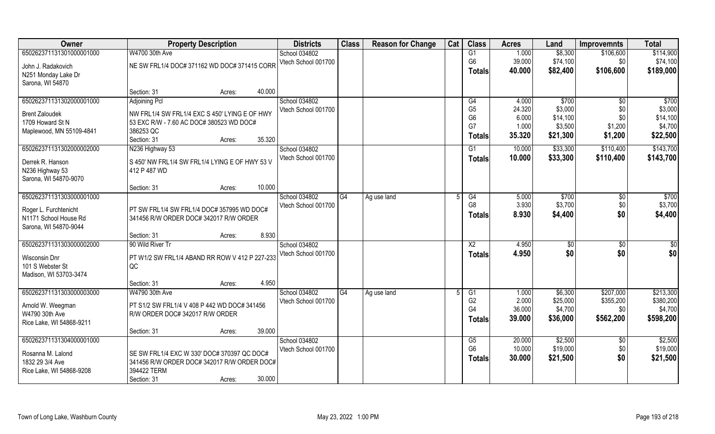| Owner                    | <b>Property Description</b>                    |        | <b>Districts</b> | <b>Class</b>        | <b>Reason for Change</b> | Cat         | <b>Class</b> | <b>Acres</b>   | Land   | <b>Improvemnts</b> | <b>Total</b>    |                 |
|--------------------------|------------------------------------------------|--------|------------------|---------------------|--------------------------|-------------|--------------|----------------|--------|--------------------|-----------------|-----------------|
| 650262371131301000001000 | W4700 30th Ave                                 |        |                  | School 034802       |                          |             |              | G1             | 1.000  | \$8,300            | \$106,600       | \$114,900       |
| John J. Radakovich       | NE SW FRL1/4 DOC# 371162 WD DOC# 371415 CORR   |        |                  | Vtech School 001700 |                          |             |              | G <sub>6</sub> | 39.000 | \$74,100           | \$0             | \$74,100        |
| N251 Monday Lake Dr      |                                                |        |                  |                     |                          |             |              | <b>Totals</b>  | 40.000 | \$82,400           | \$106,600       | \$189,000       |
| Sarona, WI 54870         |                                                |        |                  |                     |                          |             |              |                |        |                    |                 |                 |
|                          | Section: 31                                    | Acres: | 40.000           |                     |                          |             |              |                |        |                    |                 |                 |
| 650262371131302000001000 | <b>Adjoining Pcl</b>                           |        |                  | School 034802       |                          |             |              | G4             | 4.000  | \$700              | \$0             | \$700           |
| <b>Brent Zaloudek</b>    | NW FRL1/4 SW FRL1/4 EXC S 450' LYING E OF HWY  |        |                  | Vtech School 001700 |                          |             |              | G <sub>5</sub> | 24.320 | \$3,000            | \$0             | \$3,000         |
| 1709 Howard St N         | 53 EXC R/W - 7.60 AC DOC# 380523 WD DOC#       |        |                  |                     |                          |             |              | G <sub>6</sub> | 6.000  | \$14,100           | \$0             | \$14,100        |
| Maplewood, MN 55109-4841 | 386253 QC                                      |        |                  |                     |                          |             |              | G7             | 1.000  | \$3,500            | \$1,200         | \$4,700         |
|                          | Section: 31                                    | Acres: | 35.320           |                     |                          |             |              | <b>Totals</b>  | 35.320 | \$21,300           | \$1,200         | \$22,500        |
| 650262371131302000002000 | N236 Highway 53                                |        |                  | School 034802       |                          |             |              | G1             | 10.000 | \$33,300           | \$110,400       | \$143,700       |
| Derrek R. Hanson         | S 450' NW FRL1/4 SW FRL1/4 LYING E OF HWY 53 V |        |                  | Vtech School 001700 |                          |             |              | <b>Totals</b>  | 10.000 | \$33,300           | \$110,400       | \$143,700       |
| N236 Highway 53          | 412 P 487 WD                                   |        |                  |                     |                          |             |              |                |        |                    |                 |                 |
| Sarona, WI 54870-9070    |                                                |        |                  |                     |                          |             |              |                |        |                    |                 |                 |
|                          | Section: 31                                    | Acres: | 10.000           |                     |                          |             |              |                |        |                    |                 |                 |
| 650262371131303000001000 |                                                |        |                  | School 034802       | G4                       | Ag use land |              | G4             | 5.000  | \$700              | \$0             | \$700           |
| Roger L. Furchtenicht    | PT SW FRL1/4 SW FRL1/4 DOC# 357995 WD DOC#     |        |                  | Vtech School 001700 |                          |             |              | G <sub>8</sub> | 3.930  | \$3,700            | \$0             | \$3,700         |
| N1171 School House Rd    | 341456 R/W ORDER DOC# 342017 R/W ORDER         |        |                  |                     |                          |             |              | <b>Totals</b>  | 8.930  | \$4,400            | \$0             | \$4,400         |
| Sarona, WI 54870-9044    |                                                |        |                  |                     |                          |             |              |                |        |                    |                 |                 |
|                          | Section: 31                                    | Acres: | 8.930            |                     |                          |             |              |                |        |                    |                 |                 |
| 650262371131303000002000 | 90 Wild River Tr                               |        |                  | School 034802       |                          |             |              | X <sub>2</sub> | 4.950  | $\sqrt[6]{}$       | $\overline{50}$ | $\overline{50}$ |
| Wisconsin Dnr            | PT W1/2 SW FRL1/4 ABAND RR ROW V 412 P 227-233 |        |                  | Vtech School 001700 |                          |             |              | <b>Totals</b>  | 4.950  | \$0                | \$0             | \$0             |
| 101 S Webster St         | QC                                             |        |                  |                     |                          |             |              |                |        |                    |                 |                 |
| Madison, WI 53703-3474   |                                                |        |                  |                     |                          |             |              |                |        |                    |                 |                 |
|                          | Section: 31                                    | Acres: | 4.950            |                     |                          |             |              |                |        |                    |                 |                 |
| 650262371131303000003000 | W4790 30th Ave                                 |        |                  | School 034802       | G4                       | Ag use land |              | G1             | 1.000  | \$6,300            | \$207,000       | \$213,300       |
| Arnold W. Weegman        | PT S1/2 SW FRL1/4 V 408 P 442 WD DOC# 341456   |        |                  | Vtech School 001700 |                          |             |              | G <sub>2</sub> | 2.000  | \$25,000           | \$355,200       | \$380,200       |
| W4790 30th Ave           | R/W ORDER DOC# 342017 R/W ORDER                |        |                  |                     |                          |             |              | G4             | 36.000 | \$4,700            | \$0             | \$4,700         |
| Rice Lake, WI 54868-9211 |                                                |        |                  |                     |                          |             |              | Totals         | 39.000 | \$36,000           | \$562,200       | \$598,200       |
|                          | Section: 31                                    | Acres: | 39.000           |                     |                          |             |              |                |        |                    |                 |                 |
| 650262371131304000001000 |                                                |        |                  | School 034802       |                          |             |              | G5             | 20.000 | \$2,500            | $\overline{30}$ | \$2,500         |
| Rosanna M. Lalond        | SE SW FRL1/4 EXC W 330' DOC# 370397 QC DOC#    |        |                  | Vtech School 001700 |                          |             |              | G <sub>6</sub> | 10.000 | \$19,000           | \$0             | \$19,000        |
| 1832 29 3/4 Ave          | 341456 R/W ORDER DOC# 342017 R/W ORDER DOC#    |        |                  |                     |                          |             |              | <b>Totals</b>  | 30.000 | \$21,500           | \$0             | \$21,500        |
| Rice Lake, WI 54868-9208 | 394422 TERM                                    |        |                  |                     |                          |             |              |                |        |                    |                 |                 |
|                          | Section: 31                                    | Acres: | 30.000           |                     |                          |             |              |                |        |                    |                 |                 |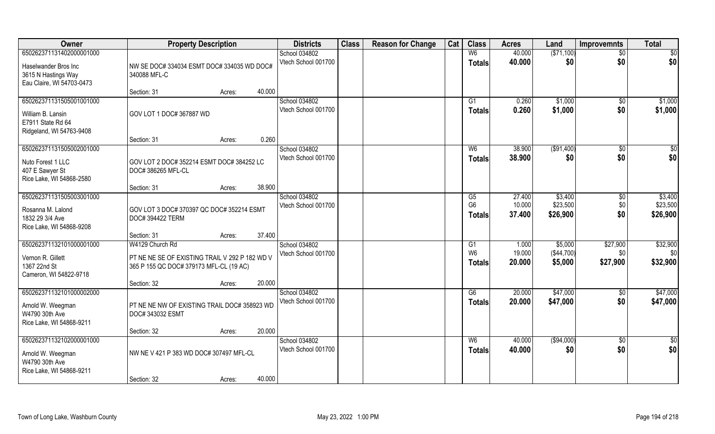| Owner                                                                                          | <b>Property Description</b>                                                                                                 |                  | <b>Districts</b>                     | <b>Class</b> | <b>Reason for Change</b> | Cat | <b>Class</b>                          | <b>Acres</b>               | Land                             | <b>Improvemnts</b>          | <b>Total</b>                    |
|------------------------------------------------------------------------------------------------|-----------------------------------------------------------------------------------------------------------------------------|------------------|--------------------------------------|--------------|--------------------------|-----|---------------------------------------|----------------------------|----------------------------------|-----------------------------|---------------------------------|
| 650262371131402000001000                                                                       |                                                                                                                             |                  | School 034802                        |              |                          |     | W <sub>6</sub>                        | 40.000                     | ( \$71,100)                      | $\sqrt{6}$                  | \$0                             |
| Haselwander Bros Inc<br>3615 N Hastings Way<br>Eau Claire, WI 54703-0473                       | NW SE DOC# 334034 ESMT DOC# 334035 WD DOC#<br>340088 MFL-C                                                                  |                  | Vtech School 001700                  |              |                          |     | <b>Totals</b>                         | 40.000                     | \$0                              | \$0                         | \$0                             |
|                                                                                                | Section: 31                                                                                                                 | 40.000<br>Acres: |                                      |              |                          |     |                                       |                            |                                  |                             |                                 |
| 650262371131505001001000<br>William B. Lansin<br>E7911 State Rd 64<br>Ridgeland, WI 54763-9408 | GOV LOT 1 DOC# 367887 WD                                                                                                    |                  | School 034802<br>Vtech School 001700 |              |                          |     | G1<br><b>Totals</b>                   | 0.260<br>0.260             | \$1,000<br>\$1,000               | $\sqrt{$0}$<br>\$0          | \$1,000<br>\$1,000              |
|                                                                                                | Section: 31                                                                                                                 | 0.260<br>Acres:  |                                      |              |                          |     |                                       |                            |                                  |                             |                                 |
| 650262371131505002001000<br>Nuto Forest 1 LLC<br>407 E Sawyer St<br>Rice Lake, WI 54868-2580   | GOV LOT 2 DOC# 352214 ESMT DOC# 384252 LC<br>DOC# 386265 MFL-CL                                                             |                  | School 034802<br>Vtech School 001700 |              |                          |     | W <sub>6</sub><br><b>Totals</b>       | 38.900<br>38.900           | ( \$91,400)<br>\$0               | $\overline{50}$<br>\$0      | $\sqrt{50}$<br>\$0              |
|                                                                                                | Section: 31                                                                                                                 | 38.900<br>Acres: |                                      |              |                          |     |                                       |                            |                                  |                             |                                 |
| 650262371131505003001000<br>Rosanna M. Lalond<br>1832 29 3/4 Ave<br>Rice Lake, WI 54868-9208   | GOV LOT 3 DOC# 370397 QC DOC# 352214 ESMT<br>DOC# 394422 TERM                                                               |                  | School 034802<br>Vtech School 001700 |              |                          |     | G5<br>G <sub>6</sub><br><b>Totals</b> | 27.400<br>10.000<br>37.400 | \$3,400<br>\$23,500<br>\$26,900  | $\sqrt[6]{3}$<br>\$0<br>\$0 | \$3,400<br>\$23,500<br>\$26,900 |
|                                                                                                | Section: 31                                                                                                                 | 37.400<br>Acres: |                                      |              |                          |     |                                       |                            |                                  |                             |                                 |
| 650262371132101000001000<br>Vernon R. Gillett<br>1367 22nd St<br>Cameron, WI 54822-9718        | W4129 Church Rd<br>PT NE NE SE OF EXISTING TRAIL V 292 P 182 WD V<br>365 P 155 QC DOC# 379173 MFL-CL (19 AC)<br>Section: 32 | 20.000<br>Acres: | School 034802<br>Vtech School 001700 |              |                          |     | G1<br>W <sub>6</sub><br>Totals        | 1.000<br>19.000<br>20.000  | \$5,000<br>(\$44,700)<br>\$5,000 | \$27,900<br>\$0<br>\$27,900 | \$32,900<br>\$0<br>\$32,900     |
| 650262371132101000002000                                                                       |                                                                                                                             |                  | School 034802                        |              |                          |     | G6                                    | 20.000                     | \$47,000                         | \$0                         | \$47,000                        |
| Arnold W. Weegman<br>W4790 30th Ave<br>Rice Lake, WI 54868-9211                                | PT NE NE NW OF EXISTING TRAIL DOC# 358923 WD<br>DOC# 343032 ESMT                                                            |                  | Vtech School 001700                  |              |                          |     | <b>Totals</b>                         | 20.000                     | \$47,000                         | \$0                         | \$47,000                        |
|                                                                                                | Section: 32                                                                                                                 | 20.000<br>Acres: |                                      |              |                          |     |                                       |                            |                                  |                             |                                 |
| 650262371132102000001000<br>Arnold W. Weegman<br>W4790 30th Ave<br>Rice Lake, WI 54868-9211    | NW NE V 421 P 383 WD DOC# 307497 MFL-CL                                                                                     |                  | School 034802<br>Vtech School 001700 |              |                          |     | W6<br><b>Totals</b>                   | 40.000<br>40.000           | (\$94,000)<br>\$0                | $\sqrt{$0}$<br>\$0          | $\overline{50}$<br>\$0          |
|                                                                                                | Section: 32                                                                                                                 | 40.000<br>Acres: |                                      |              |                          |     |                                       |                            |                                  |                             |                                 |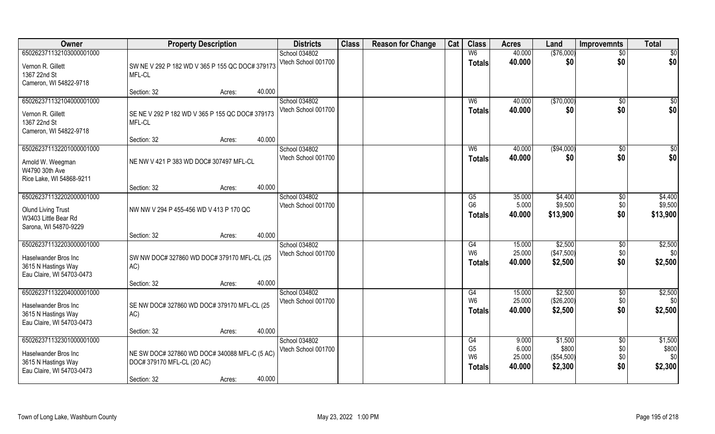| Owner                                                                                                  | <b>Property Description</b>                                                                                    | <b>Districts</b>                     | <b>Class</b> | <b>Reason for Change</b> | Cat | <b>Class</b>                                            | <b>Acres</b>                       | Land                                      | <b>Improvemnts</b>                   | <b>Total</b>                       |
|--------------------------------------------------------------------------------------------------------|----------------------------------------------------------------------------------------------------------------|--------------------------------------|--------------|--------------------------|-----|---------------------------------------------------------|------------------------------------|-------------------------------------------|--------------------------------------|------------------------------------|
| 650262371132103000001000                                                                               |                                                                                                                | School 034802                        |              |                          |     | W <sub>6</sub>                                          | 40.000                             | (\$76,000)                                | $\overline{50}$                      | \$0                                |
| Vernon R. Gillett<br>1367 22nd St<br>Cameron, WI 54822-9718                                            | SW NE V 292 P 182 WD V 365 P 155 QC DOC# 379173<br>MFL-CL                                                      | Vtech School 001700                  |              |                          |     | <b>Totals</b>                                           | 40.000                             | \$0                                       | \$0                                  | \$0                                |
|                                                                                                        | 40.000<br>Section: 32<br>Acres:                                                                                |                                      |              |                          |     |                                                         |                                    |                                           |                                      |                                    |
| 650262371132104000001000<br>Vernon R. Gillett<br>1367 22nd St<br>Cameron, WI 54822-9718                | SE NE V 292 P 182 WD V 365 P 155 QC DOC# 379173<br>MFL-CL                                                      | School 034802<br>Vtech School 001700 |              |                          |     | W <sub>6</sub><br>Totals                                | 40.000<br>40.000                   | (\$70,000)<br>\$0                         | \$0<br>\$0                           | \$0<br>\$0                         |
|                                                                                                        | 40.000<br>Section: 32<br>Acres:                                                                                |                                      |              |                          |     |                                                         |                                    |                                           |                                      |                                    |
| 650262371132201000001000<br>Arnold W. Weegman<br>W4790 30th Ave<br>Rice Lake, WI 54868-9211            | NE NW V 421 P 383 WD DOC# 307497 MFL-CL                                                                        | School 034802<br>Vtech School 001700 |              |                          |     | W <sub>6</sub><br><b>Totals</b>                         | 40.000<br>40.000                   | ( \$94,000)<br>\$0                        | $\sqrt{6}$<br>\$0                    | \$0<br>\$0                         |
|                                                                                                        | 40.000<br>Section: 32<br>Acres:                                                                                |                                      |              |                          |     |                                                         |                                    |                                           |                                      |                                    |
| 650262371132202000001000<br><b>Olund Living Trust</b><br>W3403 Little Bear Rd<br>Sarona, WI 54870-9229 | NW NW V 294 P 455-456 WD V 413 P 170 QC                                                                        | School 034802<br>Vtech School 001700 |              |                          |     | G5<br>G <sub>6</sub><br><b>Totals</b>                   | 35.000<br>5.000<br>40.000          | \$4,400<br>\$9,500<br>\$13,900            | \$0<br>\$0<br>\$0                    | \$4,400<br>\$9,500<br>\$13,900     |
|                                                                                                        | 40.000<br>Section: 32<br>Acres:                                                                                |                                      |              |                          |     |                                                         |                                    |                                           |                                      |                                    |
| 650262371132203000001000<br>Haselwander Bros Inc<br>3615 N Hastings Way<br>Eau Claire, WI 54703-0473   | SW NW DOC# 327860 WD DOC# 379170 MFL-CL (25<br>AC)                                                             | School 034802<br>Vtech School 001700 |              |                          |     | G4<br>W <sub>6</sub><br><b>Totals</b>                   | 15.000<br>25.000<br>40.000         | \$2,500<br>(\$47,500)<br>\$2,500          | $\sqrt[6]{30}$<br>\$0<br>\$0         | \$2,500<br>\$0<br>\$2,500          |
|                                                                                                        | 40.000<br>Section: 32<br>Acres:                                                                                |                                      |              |                          |     |                                                         |                                    |                                           |                                      |                                    |
| 650262371132204000001000<br>Haselwander Bros Inc<br>3615 N Hastings Way<br>Eau Claire, WI 54703-0473   | SE NW DOC# 327860 WD DOC# 379170 MFL-CL (25<br>AC)                                                             | School 034802<br>Vtech School 001700 |              |                          |     | G4<br>W <sub>6</sub><br><b>Totals</b>                   | 15.000<br>25.000<br>40.000         | \$2,500<br>(\$26,200)<br>\$2,500          | $\overline{50}$<br>\$0<br>\$0        | \$2,500<br>\$0<br>\$2,500          |
|                                                                                                        | 40.000<br>Section: 32<br>Acres:                                                                                |                                      |              |                          |     |                                                         |                                    |                                           |                                      |                                    |
| 650262371132301000001000<br>Haselwander Bros Inc<br>3615 N Hastings Way<br>Eau Claire, WI 54703-0473   | NE SW DOC# 327860 WD DOC# 340088 MFL-C (5 AC)<br>DOC# 379170 MFL-CL (20 AC)<br>40.000<br>Section: 32<br>Acres: | School 034802<br>Vtech School 001700 |              |                          |     | G4<br>G <sub>5</sub><br>W <sub>6</sub><br><b>Totals</b> | 9.000<br>6.000<br>25.000<br>40.000 | \$1,500<br>\$800<br>(\$54,500)<br>\$2,300 | $\overline{50}$<br>\$0<br>\$0<br>\$0 | \$1,500<br>\$800<br>\$0<br>\$2,300 |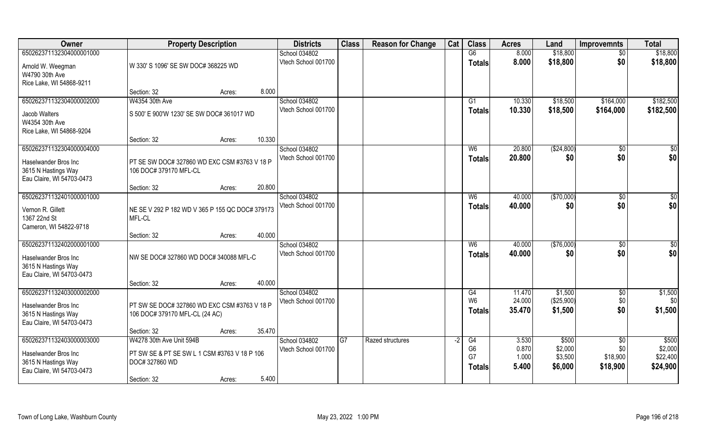| Owner                                                                                                | <b>Property Description</b>                                                                |        | <b>Districts</b>                     | <b>Class</b> | <b>Reason for Change</b> | Cat  | <b>Class</b>                                | <b>Acres</b>                     | Land                                   | <b>Improvemnts</b>                             | <b>Total</b>                             |
|------------------------------------------------------------------------------------------------------|--------------------------------------------------------------------------------------------|--------|--------------------------------------|--------------|--------------------------|------|---------------------------------------------|----------------------------------|----------------------------------------|------------------------------------------------|------------------------------------------|
| 650262371132304000001000                                                                             |                                                                                            |        | School 034802                        |              |                          |      | $\overline{G6}$                             | 8.000                            | \$18,800                               | $\overline{50}$                                | \$18,800                                 |
| Arnold W. Weegman<br>W4790 30th Ave<br>Rice Lake, WI 54868-9211                                      | W 330' S 1096' SE SW DOC# 368225 WD                                                        |        | Vtech School 001700                  |              |                          |      | <b>Totals</b>                               | 8.000                            | \$18,800                               | \$0                                            | \$18,800                                 |
|                                                                                                      | Section: 32<br>Acres:                                                                      | 8.000  |                                      |              |                          |      |                                             |                                  |                                        |                                                |                                          |
| 650262371132304000002000                                                                             | W4354 30th Ave                                                                             |        | School 034802                        |              |                          |      | G <sub>1</sub>                              | 10.330                           | \$18,500                               | \$164,000                                      | \$182,500                                |
| Jacob Walters<br>W4354 30th Ave<br>Rice Lake, WI 54868-9204                                          | S 500' E 900'W 1230' SE SW DOC# 361017 WD                                                  |        | Vtech School 001700                  |              |                          |      | <b>Totals</b>                               | 10.330                           | \$18,500                               | \$164,000                                      | \$182,500                                |
|                                                                                                      | Section: 32<br>Acres:                                                                      | 10.330 |                                      |              |                          |      |                                             |                                  |                                        |                                                |                                          |
| 650262371132304000004000                                                                             |                                                                                            |        | School 034802                        |              |                          |      | W <sub>6</sub>                              | 20.800                           | ( \$24, 800)                           | $\sqrt[6]{30}$                                 | \$0                                      |
| Haselwander Bros Inc<br>3615 N Hastings Way<br>Eau Claire, WI 54703-0473                             | PT SE SW DOC# 327860 WD EXC CSM #3763 V 18 P<br>106 DOC# 379170 MFL-CL                     |        | Vtech School 001700                  |              |                          |      | <b>Totals</b>                               | 20.800                           | \$0                                    | \$0                                            | \$0                                      |
|                                                                                                      | Section: 32<br>Acres:                                                                      | 20.800 |                                      |              |                          |      |                                             |                                  |                                        |                                                |                                          |
| 650262371132401000001000                                                                             |                                                                                            |        | School 034802                        |              |                          |      | W <sub>6</sub>                              | 40.000                           | (\$70,000)                             | $\sqrt[6]{3}$                                  | \$0                                      |
| Vernon R. Gillett<br>1367 22nd St<br>Cameron, WI 54822-9718                                          | NE SE V 292 P 182 WD V 365 P 155 QC DOC# 379173<br>MFL-CL                                  |        | Vtech School 001700                  |              |                          |      | <b>Totals</b>                               | 40.000                           | \$0                                    | \$0                                            | \$0                                      |
|                                                                                                      | Section: 32<br>Acres:                                                                      | 40.000 |                                      |              |                          |      |                                             |                                  |                                        |                                                |                                          |
| 650262371132402000001000<br>Haselwander Bros Inc<br>3615 N Hastings Way<br>Eau Claire, WI 54703-0473 | NW SE DOC# 327860 WD DOC# 340088 MFL-C                                                     |        | School 034802<br>Vtech School 001700 |              |                          |      | W <sub>6</sub><br><b>Totals</b>             | 40.000<br>40.000                 | (\$76,000)<br>\$0                      | $\sqrt[6]{30}$<br>\$0                          | \$0<br>\$0                               |
|                                                                                                      | Section: 32<br>Acres:                                                                      | 40.000 |                                      |              |                          |      |                                             |                                  |                                        |                                                |                                          |
| 650262371132403000002000<br>Haselwander Bros Inc<br>3615 N Hastings Way<br>Eau Claire, WI 54703-0473 | PT SW SE DOC# 327860 WD EXC CSM #3763 V 18 P<br>106 DOC# 379170 MFL-CL (24 AC)             |        | School 034802<br>Vtech School 001700 |              |                          |      | G4<br>W <sub>6</sub><br><b>Totals</b>       | 11.470<br>24.000<br>35.470       | \$1,500<br>(\$25,900)<br>\$1,500       | \$0<br>\$0<br>\$0                              | \$1,500<br>\$0<br>\$1,500                |
|                                                                                                      | Section: 32<br>Acres:                                                                      | 35.470 |                                      |              |                          |      |                                             |                                  |                                        |                                                |                                          |
| 650262371132403000003000<br>Haselwander Bros Inc<br>3615 N Hastings Way<br>Eau Claire, WI 54703-0473 | W4278 30th Ave Unit 594B<br>PT SW SE & PT SE SW L 1 CSM #3763 V 18 P 106<br>DOC# 327860 WD |        | School 034802<br>Vtech School 001700 | G7           | Razed structures         | $-2$ | G4<br>G <sub>6</sub><br>G7<br><b>Totals</b> | 3.530<br>0.870<br>1.000<br>5.400 | \$500<br>\$2,000<br>\$3,500<br>\$6,000 | $\overline{30}$<br>\$0<br>\$18,900<br>\$18,900 | \$500<br>\$2,000<br>\$22,400<br>\$24,900 |
|                                                                                                      | Section: 32<br>Acres:                                                                      | 5.400  |                                      |              |                          |      |                                             |                                  |                                        |                                                |                                          |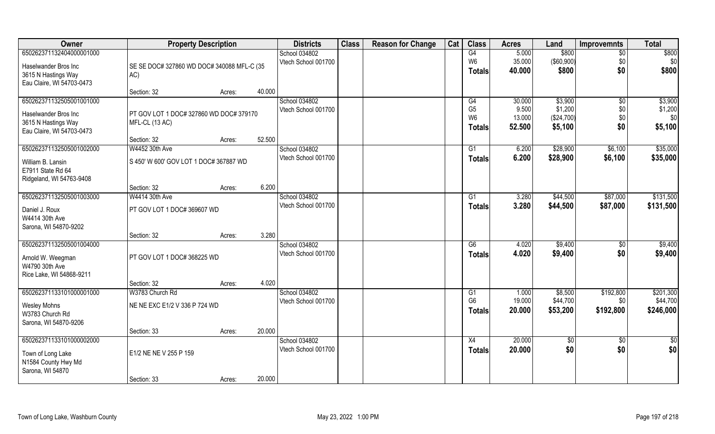| Owner                     | <b>Property Description</b>                |        | <b>Districts</b> | <b>Class</b>        | <b>Reason for Change</b> | Cat | <b>Class</b> | <b>Acres</b>    | Land   | <b>Improvemnts</b> | <b>Total</b>    |           |
|---------------------------|--------------------------------------------|--------|------------------|---------------------|--------------------------|-----|--------------|-----------------|--------|--------------------|-----------------|-----------|
| 650262371132404000001000  |                                            |        |                  | School 034802       |                          |     |              | G4              | 5.000  | \$800              | $\overline{50}$ | \$800     |
| Haselwander Bros Inc      | SE SE DOC# 327860 WD DOC# 340088 MFL-C (35 |        |                  | Vtech School 001700 |                          |     |              | W <sub>6</sub>  | 35.000 | (\$60,900)         | \$0             | \$0       |
| 3615 N Hastings Way       | AC)                                        |        |                  |                     |                          |     |              | <b>Totals</b>   | 40.000 | \$800              | \$0             | \$800     |
| Eau Claire, WI 54703-0473 |                                            |        |                  |                     |                          |     |              |                 |        |                    |                 |           |
|                           | Section: 32                                | Acres: | 40.000           |                     |                          |     |              |                 |        |                    |                 |           |
| 650262371132505001001000  |                                            |        |                  | School 034802       |                          |     |              | G4              | 30.000 | \$3,900            | \$0             | \$3,900   |
| Haselwander Bros Inc      | PT GOV LOT 1 DOC# 327860 WD DOC# 379170    |        |                  | Vtech School 001700 |                          |     |              | G <sub>5</sub>  | 9.500  | \$1,200            | \$0             | \$1,200   |
| 3615 N Hastings Way       | MFL-CL (13 AC)                             |        |                  |                     |                          |     |              | W <sub>6</sub>  | 13.000 | (\$24,700)         | \$0             | \$0       |
| Eau Claire, WI 54703-0473 |                                            |        |                  |                     |                          |     |              | <b>Totals</b>   | 52.500 | \$5,100            | \$0             | \$5,100   |
|                           | Section: 32                                | Acres: | 52.500           |                     |                          |     |              |                 |        |                    |                 |           |
| 650262371132505001002000  | W4452 30th Ave                             |        |                  | School 034802       |                          |     |              | G1              | 6.200  | \$28,900           | \$6,100         | \$35,000  |
| William B. Lansin         | S 450' W 600' GOV LOT 1 DOC# 367887 WD     |        |                  | Vtech School 001700 |                          |     |              | <b>Totals</b>   | 6.200  | \$28,900           | \$6,100         | \$35,000  |
| E7911 State Rd 64         |                                            |        |                  |                     |                          |     |              |                 |        |                    |                 |           |
| Ridgeland, WI 54763-9408  |                                            |        |                  |                     |                          |     |              |                 |        |                    |                 |           |
|                           | Section: 32                                | Acres: | 6.200            |                     |                          |     |              |                 |        |                    |                 |           |
| 650262371132505001003000  | W4414 30th Ave                             |        |                  | School 034802       |                          |     |              | G1              | 3.280  | \$44,500           | \$87,000        | \$131,500 |
| Daniel J. Roux            | PT GOV LOT 1 DOC# 369607 WD                |        |                  | Vtech School 001700 |                          |     |              | <b>Totals</b>   | 3.280  | \$44,500           | \$87,000        | \$131,500 |
| W4414 30th Ave            |                                            |        |                  |                     |                          |     |              |                 |        |                    |                 |           |
| Sarona, WI 54870-9202     |                                            |        |                  |                     |                          |     |              |                 |        |                    |                 |           |
|                           | Section: 32                                | Acres: | 3.280            |                     |                          |     |              |                 |        |                    |                 |           |
| 650262371132505001004000  |                                            |        |                  | School 034802       |                          |     |              | $\overline{G6}$ | 4.020  | \$9,400            | $\overline{50}$ | \$9,400   |
| Arnold W. Weegman         | PT GOV LOT 1 DOC# 368225 WD                |        |                  | Vtech School 001700 |                          |     |              | <b>Totals</b>   | 4.020  | \$9,400            | \$0             | \$9,400   |
| W4790 30th Ave            |                                            |        |                  |                     |                          |     |              |                 |        |                    |                 |           |
| Rice Lake, WI 54868-9211  |                                            |        |                  |                     |                          |     |              |                 |        |                    |                 |           |
|                           | Section: 32                                | Acres: | 4.020            |                     |                          |     |              |                 |        |                    |                 |           |
| 650262371133101000001000  | W3783 Church Rd                            |        |                  | School 034802       |                          |     |              | G1              | 1.000  | \$8,500            | \$192,800       | \$201,300 |
| Wesley Mohns              | NE NE EXC E1/2 V 336 P 724 WD              |        |                  | Vtech School 001700 |                          |     |              | G <sub>6</sub>  | 19.000 | \$44,700           | \$0             | \$44,700  |
| W3783 Church Rd           |                                            |        |                  |                     |                          |     |              | <b>Totals</b>   | 20.000 | \$53,200           | \$192,800       | \$246,000 |
| Sarona, WI 54870-9206     |                                            |        |                  |                     |                          |     |              |                 |        |                    |                 |           |
|                           | Section: 33                                | Acres: | 20.000           |                     |                          |     |              |                 |        |                    |                 |           |
| 650262371133101000002000  |                                            |        |                  | School 034802       |                          |     |              | X4              | 20,000 | \$0                | $\overline{50}$ | \$0       |
| Town of Long Lake         | E1/2 NE NE V 255 P 159                     |        |                  | Vtech School 001700 |                          |     |              | Totals          | 20.000 | \$0                | \$0             | \$0       |
| N1584 County Hwy Md       |                                            |        |                  |                     |                          |     |              |                 |        |                    |                 |           |
| Sarona, WI 54870          |                                            |        |                  |                     |                          |     |              |                 |        |                    |                 |           |
|                           | Section: 33                                | Acres: | 20.000           |                     |                          |     |              |                 |        |                    |                 |           |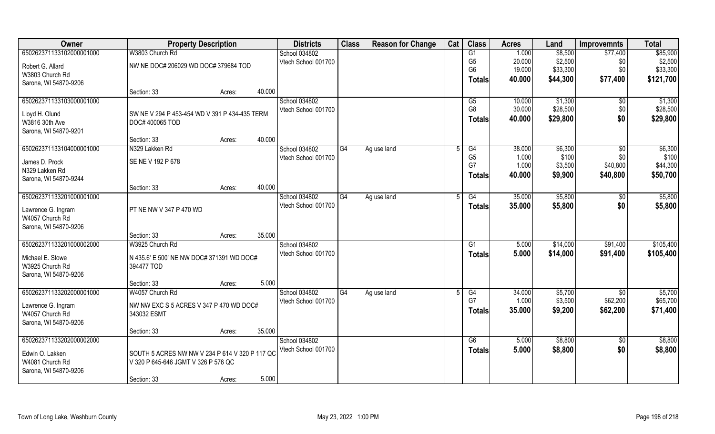| Owner                              | <b>Property Description</b>                                                           |        |        | <b>Districts</b>    | <b>Class</b> | <b>Reason for Change</b> | Cat | <b>Class</b>   | <b>Acres</b> | Land     | <b>Improvemnts</b> | <b>Total</b> |
|------------------------------------|---------------------------------------------------------------------------------------|--------|--------|---------------------|--------------|--------------------------|-----|----------------|--------------|----------|--------------------|--------------|
| 650262371133102000001000           | W3803 Church Rd                                                                       |        |        | School 034802       |              |                          |     | G1             | 1.000        | \$8,500  | \$77,400           | \$85,900     |
| Robert G. Allard                   | NW NE DOC# 206029 WD DOC# 379684 TOD                                                  |        |        | Vtech School 001700 |              |                          |     | G <sub>5</sub> | 20.000       | \$2,500  | \$0                | \$2,500      |
| W3803 Church Rd                    |                                                                                       |        |        |                     |              |                          |     | G <sub>6</sub> | 19.000       | \$33,300 | \$0                | \$33,300     |
| Sarona, WI 54870-9206              |                                                                                       |        |        |                     |              |                          |     | <b>Totals</b>  | 40.000       | \$44,300 | \$77,400           | \$121,700    |
|                                    | Section: 33                                                                           | Acres: | 40.000 |                     |              |                          |     |                |              |          |                    |              |
| 650262371133103000001000           |                                                                                       |        |        | School 034802       |              |                          |     | G5             | 10.000       | \$1,300  | $\sqrt{$0}$        | \$1,300      |
| Lloyd H. Olund                     | SW NE V 294 P 453-454 WD V 391 P 434-435 TERM                                         |        |        | Vtech School 001700 |              |                          |     | G <sub>8</sub> | 30.000       | \$28,500 | \$0                | \$28,500     |
| W3816 30th Ave                     | DOC# 400065 TOD                                                                       |        |        |                     |              |                          |     | <b>Totals</b>  | 40.000       | \$29,800 | \$0                | \$29,800     |
| Sarona, WI 54870-9201              |                                                                                       |        |        |                     |              |                          |     |                |              |          |                    |              |
|                                    | Section: 33                                                                           | Acres: | 40.000 |                     |              |                          |     |                |              |          |                    |              |
| 650262371133104000001000           | N329 Lakken Rd                                                                        |        |        | School 034802       | G4           | Ag use land              | 5   | G4             | 38.000       | \$6,300  | $\sqrt{50}$        | \$6,300      |
| James D. Prock                     | SE NE V 192 P 678                                                                     |        |        | Vtech School 001700 |              |                          |     | G <sub>5</sub> | 1.000        | \$100    | \$0                | \$100        |
| N329 Lakken Rd                     |                                                                                       |        |        |                     |              |                          |     | G7             | 1.000        | \$3,500  | \$40,800           | \$44,300     |
| Sarona, WI 54870-9244              |                                                                                       |        |        |                     |              |                          |     | <b>Totals</b>  | 40.000       | \$9,900  | \$40,800           | \$50,700     |
|                                    | Section: 33                                                                           | Acres: | 40.000 |                     |              |                          |     |                |              |          |                    |              |
| 650262371133201000001000           |                                                                                       |        |        | School 034802       | G4           | Ag use land              |     | G4             | 35.000       | \$5,800  | \$0                | \$5,800      |
| Lawrence G. Ingram                 | PT NE NW V 347 P 470 WD                                                               |        |        | Vtech School 001700 |              |                          |     | <b>Totals</b>  | 35.000       | \$5,800  | \$0                | \$5,800      |
| W4057 Church Rd                    |                                                                                       |        |        |                     |              |                          |     |                |              |          |                    |              |
| Sarona, WI 54870-9206              |                                                                                       |        |        |                     |              |                          |     |                |              |          |                    |              |
|                                    | Section: 33                                                                           | Acres: | 35.000 |                     |              |                          |     |                |              |          |                    |              |
| 650262371133201000002000           | W3925 Church Rd                                                                       |        |        | School 034802       |              |                          |     | G <sub>1</sub> | 5.000        | \$14,000 | \$91,400           | \$105,400    |
| Michael E. Stowe                   | N 435.6' E 500' NE NW DOC# 371391 WD DOC#                                             |        |        | Vtech School 001700 |              |                          |     | <b>Totals</b>  | 5.000        | \$14,000 | \$91,400           | \$105,400    |
| W3925 Church Rd                    | 394477 TOD                                                                            |        |        |                     |              |                          |     |                |              |          |                    |              |
| Sarona, WI 54870-9206              |                                                                                       |        |        |                     |              |                          |     |                |              |          |                    |              |
|                                    | Section: 33                                                                           | Acres: | 5.000  |                     |              |                          |     |                |              |          |                    |              |
| 650262371133202000001000           | W4057 Church Rd                                                                       |        |        | School 034802       | G4           | Ag use land              |     | G4             | 34.000       | \$5,700  | \$0                | \$5,700      |
| Lawrence G. Ingram                 | NW NW EXC S 5 ACRES V 347 P 470 WD DOC#                                               |        |        | Vtech School 001700 |              |                          |     | G7             | 1.000        | \$3,500  | \$62,200           | \$65,700     |
| W4057 Church Rd                    | 343032 ESMT                                                                           |        |        |                     |              |                          |     | <b>Totals</b>  | 35.000       | \$9,200  | \$62,200           | \$71,400     |
| Sarona, WI 54870-9206              |                                                                                       |        |        |                     |              |                          |     |                |              |          |                    |              |
|                                    | Section: 33                                                                           | Acres: | 35.000 |                     |              |                          |     |                |              |          |                    |              |
| 650262371133202000002000           |                                                                                       |        |        | School 034802       |              |                          |     | G6             | 5.000        | \$8,800  | $\sqrt{6}$         | \$8,800      |
|                                    |                                                                                       |        |        | Vtech School 001700 |              |                          |     | <b>Totals</b>  | 5.000        | \$8,800  | \$0                | \$8,800      |
| Edwin O. Lakken<br>W4081 Church Rd | SOUTH 5 ACRES NW NW V 234 P 614 V 320 P 117 QC<br>V 320 P 645-646 JGMT V 326 P 576 QC |        |        |                     |              |                          |     |                |              |          |                    |              |
| Sarona, WI 54870-9206              |                                                                                       |        |        |                     |              |                          |     |                |              |          |                    |              |
|                                    | Section: 33                                                                           | Acres: | 5.000  |                     |              |                          |     |                |              |          |                    |              |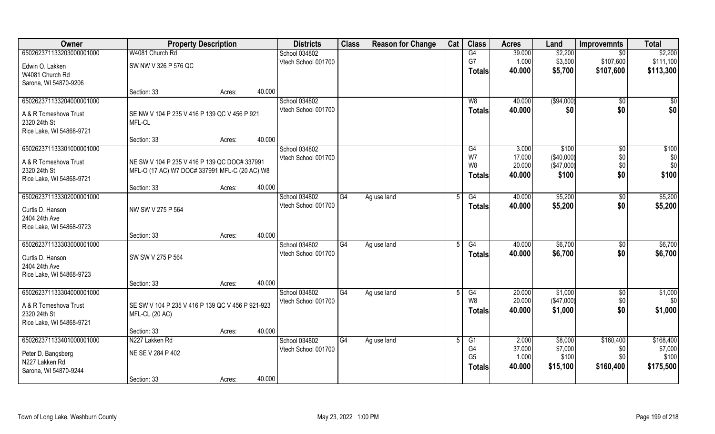| Owner                                     | <b>Property Description</b>                      |        | <b>Districts</b> | <b>Class</b>                         | <b>Reason for Change</b> | Cat         | <b>Class</b> | <b>Acres</b>   | Land            | <b>Improvemnts</b>  | <b>Total</b>           |              |
|-------------------------------------------|--------------------------------------------------|--------|------------------|--------------------------------------|--------------------------|-------------|--------------|----------------|-----------------|---------------------|------------------------|--------------|
| 650262371133203000001000                  | W4081 Church Rd                                  |        |                  | School 034802                        |                          |             |              | G4             | 39.000          | \$2,200             | \$0                    | \$2,200      |
| Edwin O. Lakken                           | SW NW V 326 P 576 QC                             |        |                  | Vtech School 001700                  |                          |             |              | G7             | 1.000           | \$3,500             | \$107,600              | \$111,100    |
| W4081 Church Rd                           |                                                  |        |                  |                                      |                          |             |              | Totals         | 40.000          | \$5,700             | \$107,600              | \$113,300    |
| Sarona, WI 54870-9206                     |                                                  |        |                  |                                      |                          |             |              |                |                 |                     |                        |              |
|                                           | Section: 33                                      | Acres: | 40.000           |                                      |                          |             |              |                |                 |                     |                        |              |
| 650262371133204000001000                  |                                                  |        |                  | School 034802                        |                          |             |              | W8             | 40.000          | ( \$94,000)         | $\sqrt{$0}$            | \$0          |
| A & R Tomeshova Trust                     | SE NW V 104 P 235 V 416 P 139 QC V 456 P 921     |        |                  | Vtech School 001700                  |                          |             |              | <b>Totals</b>  | 40.000          | \$0                 | \$0                    | \$0          |
| 2320 24th St                              | MFL-CL                                           |        |                  |                                      |                          |             |              |                |                 |                     |                        |              |
| Rice Lake, WI 54868-9721                  |                                                  |        |                  |                                      |                          |             |              |                |                 |                     |                        |              |
|                                           | Section: 33                                      | Acres: | 40.000           |                                      |                          |             |              |                |                 |                     |                        |              |
| 650262371133301000001000                  |                                                  |        |                  | School 034802<br>Vtech School 001700 |                          |             |              | G4<br>W7       | 3.000<br>17.000 | \$100<br>(\$40,000) | $\overline{50}$<br>\$0 | \$100<br>\$0 |
| A & R Tomeshova Trust                     | NE SW V 104 P 235 V 416 P 139 QC DOC# 337991     |        |                  |                                      |                          |             |              | W8             | 20.000          | (\$47,000)          | \$0                    | \$0          |
| 2320 24th St                              | MFL-O (17 AC) W7 DOC# 337991 MFL-C (20 AC) W8    |        |                  |                                      |                          |             |              | Totals         | 40.000          | \$100               | \$0                    | \$100        |
| Rice Lake, WI 54868-9721                  |                                                  |        | 40.000           |                                      |                          |             |              |                |                 |                     |                        |              |
| 650262371133302000001000                  | Section: 33                                      | Acres: |                  | School 034802                        | G4                       | Ag use land |              | G4             | 40.000          | \$5,200             | \$0                    | \$5,200      |
|                                           |                                                  |        |                  | Vtech School 001700                  |                          |             |              | <b>Totals</b>  | 40.000          | \$5,200             | \$0                    | \$5,200      |
| Curtis D. Hanson                          | NW SW V 275 P 564                                |        |                  |                                      |                          |             |              |                |                 |                     |                        |              |
| 2404 24th Ave<br>Rice Lake, WI 54868-9723 |                                                  |        |                  |                                      |                          |             |              |                |                 |                     |                        |              |
|                                           | Section: 33                                      | Acres: | 40.000           |                                      |                          |             |              |                |                 |                     |                        |              |
| 650262371133303000001000                  |                                                  |        |                  | School 034802                        | G4                       | Ag use land |              | G4             | 40.000          | \$6,700             | $\sqrt[6]{30}$         | \$6,700      |
|                                           |                                                  |        |                  | Vtech School 001700                  |                          |             |              | <b>Totals</b>  | 40.000          | \$6,700             | \$0                    | \$6,700      |
| Curtis D. Hanson<br>2404 24th Ave         | SW SW V 275 P 564                                |        |                  |                                      |                          |             |              |                |                 |                     |                        |              |
| Rice Lake, WI 54868-9723                  |                                                  |        |                  |                                      |                          |             |              |                |                 |                     |                        |              |
|                                           | Section: 33                                      | Acres: | 40.000           |                                      |                          |             |              |                |                 |                     |                        |              |
| 650262371133304000001000                  |                                                  |        |                  | School 034802                        | G4                       | Ag use land |              | G4             | 20.000          | \$1,000             | \$0                    | \$1,000      |
| A & R Tomeshova Trust                     | SE SW V 104 P 235 V 416 P 139 QC V 456 P 921-923 |        |                  | Vtech School 001700                  |                          |             |              | W8             | 20.000          | (\$47,000)          | \$0                    | \$0          |
| 2320 24th St                              | MFL-CL (20 AC)                                   |        |                  |                                      |                          |             |              | <b>Totals</b>  | 40.000          | \$1,000             | \$0                    | \$1,000      |
| Rice Lake, WI 54868-9721                  |                                                  |        |                  |                                      |                          |             |              |                |                 |                     |                        |              |
|                                           | Section: 33                                      | Acres: | 40.000           |                                      |                          |             |              |                |                 |                     |                        |              |
| 650262371133401000001000                  | N227 Lakken Rd                                   |        |                  | School 034802                        | G4                       | Ag use land |              | G1             | 2.000           | \$8,000             | \$160,400              | \$168,400    |
| Peter D. Bangsberg                        | NE SE V 284 P 402                                |        |                  | Vtech School 001700                  |                          |             |              | G4             | 37.000          | \$7,000             | \$0                    | \$7,000      |
| N227 Lakken Rd                            |                                                  |        |                  |                                      |                          |             |              | G <sub>5</sub> | 1.000<br>40.000 | \$100               | \$0<br>\$160,400       | \$100        |
| Sarona, WI 54870-9244                     |                                                  |        |                  |                                      |                          |             |              | Totals         |                 | \$15,100            |                        | \$175,500    |
|                                           | Section: 33                                      | Acres: | 40.000           |                                      |                          |             |              |                |                 |                     |                        |              |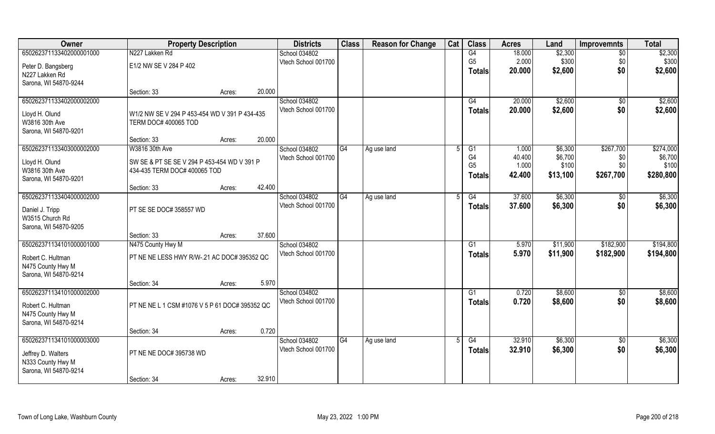| Owner                              | <b>Property Description</b>                    |        |        | <b>Districts</b>                     | <b>Class</b> | <b>Reason for Change</b> | Cat | <b>Class</b>   | <b>Acres</b>    | Land               | <b>Improvemnts</b> | <b>Total</b>         |
|------------------------------------|------------------------------------------------|--------|--------|--------------------------------------|--------------|--------------------------|-----|----------------|-----------------|--------------------|--------------------|----------------------|
| 650262371133402000001000           | N227 Lakken Rd                                 |        |        | School 034802                        |              |                          |     | G4             | 18.000          | \$2,300            | $\sqrt{6}$         | \$2,300              |
| Peter D. Bangsberg                 | E1/2 NW SE V 284 P 402                         |        |        | Vtech School 001700                  |              |                          |     | G <sub>5</sub> | 2.000           | \$300              | \$0                | \$300                |
| N227 Lakken Rd                     |                                                |        |        |                                      |              |                          |     | <b>Totals</b>  | 20.000          | \$2,600            | \$0                | \$2,600              |
| Sarona, WI 54870-9244              |                                                |        |        |                                      |              |                          |     |                |                 |                    |                    |                      |
|                                    | Section: 33                                    | Acres: | 20.000 |                                      |              |                          |     |                |                 |                    |                    |                      |
| 650262371133402000002000           |                                                |        |        | School 034802                        |              |                          |     | G4             | 20.000          | \$2,600            | $\sqrt{$0}$        | \$2,600              |
| Lloyd H. Olund                     | W1/2 NW SE V 294 P 453-454 WD V 391 P 434-435  |        |        | Vtech School 001700                  |              |                          |     | <b>Totals</b>  | 20.000          | \$2,600            | \$0                | \$2,600              |
| W3816 30th Ave                     | TERM DOC# 400065 TOD                           |        |        |                                      |              |                          |     |                |                 |                    |                    |                      |
| Sarona, WI 54870-9201              |                                                |        |        |                                      |              |                          |     |                |                 |                    |                    |                      |
|                                    | Section: 33                                    | Acres: | 20.000 |                                      |              |                          |     |                |                 |                    |                    |                      |
| 650262371133403000002000           | W3816 30th Ave                                 |        |        | School 034802<br>Vtech School 001700 | G4           | Ag use land              |     | G1<br>G4       | 1.000<br>40.400 | \$6,300<br>\$6,700 | \$267,700<br>\$0   | \$274,000<br>\$6,700 |
| Lloyd H. Olund                     | SW SE & PT SE SE V 294 P 453-454 WD V 391 P    |        |        |                                      |              |                          |     | G <sub>5</sub> | 1.000           | \$100              | \$0                | \$100                |
| W3816 30th Ave                     | 434-435 TERM DOC# 400065 TOD                   |        |        |                                      |              |                          |     | <b>Totals</b>  | 42,400          | \$13,100           | \$267,700          | \$280,800            |
| Sarona, WI 54870-9201              | Section: 33                                    |        | 42.400 |                                      |              |                          |     |                |                 |                    |                    |                      |
| 650262371133404000002000           |                                                | Acres: |        | School 034802                        | G4           | Ag use land              |     | G4             | 37.600          | \$6,300            | $\sqrt[6]{3}$      | \$6,300              |
|                                    |                                                |        |        | Vtech School 001700                  |              |                          |     | <b>Totals</b>  | 37.600          | \$6,300            | \$0                | \$6,300              |
| Daniel J. Tripp<br>W3515 Church Rd | PT SE SE DOC# 358557 WD                        |        |        |                                      |              |                          |     |                |                 |                    |                    |                      |
| Sarona, WI 54870-9205              |                                                |        |        |                                      |              |                          |     |                |                 |                    |                    |                      |
|                                    | Section: 33                                    | Acres: | 37.600 |                                      |              |                          |     |                |                 |                    |                    |                      |
| 650262371134101000001000           | N475 County Hwy M                              |        |        | School 034802                        |              |                          |     | G1             | 5.970           | \$11,900           | \$182,900          | \$194,800            |
| Robert C. Hultman                  | PT NE NE LESS HWY R/W-.21 AC DOC# 395352 QC    |        |        | Vtech School 001700                  |              |                          |     | <b>Totals</b>  | 5.970           | \$11,900           | \$182,900          | \$194,800            |
| N475 County Hwy M                  |                                                |        |        |                                      |              |                          |     |                |                 |                    |                    |                      |
| Sarona, WI 54870-9214              |                                                |        |        |                                      |              |                          |     |                |                 |                    |                    |                      |
|                                    | Section: 34                                    | Acres: | 5.970  |                                      |              |                          |     |                |                 |                    |                    |                      |
| 650262371134101000002000           |                                                |        |        | School 034802                        |              |                          |     | G1             | 0.720           | \$8,600            | $\sqrt{$0}$        | \$8,600              |
| Robert C. Hultman                  | PT NE NE L 1 CSM #1076 V 5 P 61 DOC# 395352 QC |        |        | Vtech School 001700                  |              |                          |     | <b>Totals</b>  | 0.720           | \$8,600            | \$0                | \$8,600              |
| N475 County Hwy M                  |                                                |        |        |                                      |              |                          |     |                |                 |                    |                    |                      |
| Sarona, WI 54870-9214              |                                                |        |        |                                      |              |                          |     |                |                 |                    |                    |                      |
|                                    | Section: 34                                    | Acres: | 0.720  |                                      |              |                          |     |                |                 |                    |                    |                      |
| 650262371134101000003000           |                                                |        |        | School 034802                        | G4           | Ag use land              |     | G4             | 32.910          | \$6,300            | $\sqrt{$0}$        | \$6,300              |
| Jeffrey D. Walters                 | PT NE NE DOC# 395738 WD                        |        |        | Vtech School 001700                  |              |                          |     | Totals         | 32.910          | \$6,300            | \$0                | \$6,300              |
| N333 County Hwy M                  |                                                |        |        |                                      |              |                          |     |                |                 |                    |                    |                      |
| Sarona, WI 54870-9214              |                                                |        |        |                                      |              |                          |     |                |                 |                    |                    |                      |
|                                    | Section: 34                                    | Acres: | 32.910 |                                      |              |                          |     |                |                 |                    |                    |                      |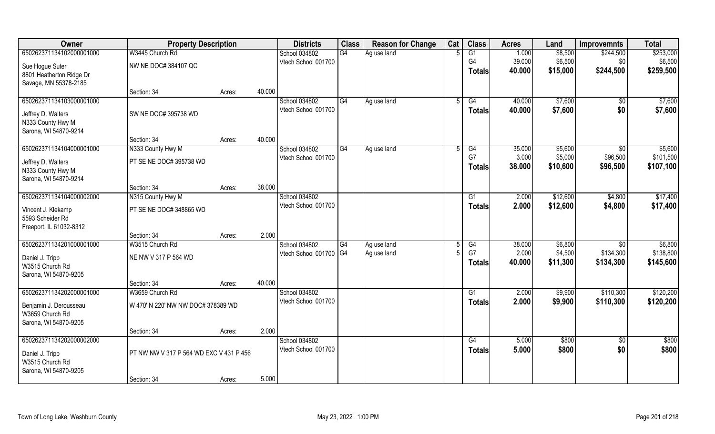| Owner                    | <b>Property Description</b>             |        | <b>Districts</b>       | <b>Class</b> | <b>Reason for Change</b> | Cat | <b>Class</b>    | <b>Acres</b> | Land     | <b>Improvemnts</b> | <b>Total</b> |
|--------------------------|-----------------------------------------|--------|------------------------|--------------|--------------------------|-----|-----------------|--------------|----------|--------------------|--------------|
| 650262371134102000001000 | W3445 Church Rd                         |        | School 034802          | G4           | Ag use land              |     | $\overline{G1}$ | 1.000        | \$8,500  | \$244,500          | \$253,000    |
| Sue Hogue Suter          | NW NE DOC# 384107 QC                    |        | Vtech School 001700    |              |                          |     | G <sub>4</sub>  | 39.000       | \$6,500  | \$0                | \$6,500      |
| 8801 Heatherton Ridge Dr |                                         |        |                        |              |                          |     | <b>Totals</b>   | 40.000       | \$15,000 | \$244,500          | \$259,500    |
| Savage, MN 55378-2185    |                                         |        |                        |              |                          |     |                 |              |          |                    |              |
|                          | Section: 34                             | Acres: | 40.000                 |              |                          |     |                 |              |          |                    |              |
| 650262371134103000001000 |                                         |        | School 034802          | G4           | Ag use land              |     | G4              | 40.000       | \$7,600  | $\sqrt{$0}$        | \$7,600      |
| Jeffrey D. Walters       | SW NE DOC# 395738 WD                    |        | Vtech School 001700    |              |                          |     | Totals          | 40.000       | \$7,600  | \$0                | \$7,600      |
| N333 County Hwy M        |                                         |        |                        |              |                          |     |                 |              |          |                    |              |
| Sarona, WI 54870-9214    |                                         |        |                        |              |                          |     |                 |              |          |                    |              |
|                          | Section: 34                             | Acres: | 40.000                 |              |                          |     |                 |              |          |                    |              |
| 650262371134104000001000 | N333 County Hwy M                       |        | School 034802          | G4           | Ag use land              |     | G4              | 35.000       | \$5,600  | $\sqrt{50}$        | \$5,600      |
| Jeffrey D. Walters       | PT SE NE DOC# 395738 WD                 |        | Vtech School 001700    |              |                          |     | G7              | 3.000        | \$5,000  | \$96,500           | \$101,500    |
| N333 County Hwy M        |                                         |        |                        |              |                          |     | <b>Totals</b>   | 38.000       | \$10,600 | \$96,500           | \$107,100    |
| Sarona, WI 54870-9214    |                                         |        |                        |              |                          |     |                 |              |          |                    |              |
|                          | Section: 34                             | Acres: | 38.000                 |              |                          |     |                 |              |          |                    |              |
| 650262371134104000002000 | N315 County Hwy M                       |        | School 034802          |              |                          |     | G1              | 2.000        | \$12,600 | \$4,800            | \$17,400     |
| Vincent J. Klekamp       | PT SE NE DOC# 348865 WD                 |        | Vtech School 001700    |              |                          |     | <b>Totals</b>   | 2.000        | \$12,600 | \$4,800            | \$17,400     |
| 5593 Scheider Rd         |                                         |        |                        |              |                          |     |                 |              |          |                    |              |
| Freeport, IL 61032-8312  |                                         |        |                        |              |                          |     |                 |              |          |                    |              |
|                          | Section: 34                             | Acres: | 2.000                  |              |                          |     |                 |              |          |                    |              |
| 650262371134201000001000 | W3515 Church Rd                         |        | School 034802          | G4           | Ag use land              |     | G4              | 38.000       | \$6,800  | \$0                | \$6,800      |
| Daniel J. Tripp          | NE NW V 317 P 564 WD                    |        | Vtech School 001700 G4 |              | Ag use land              |     | G7              | 2.000        | \$4,500  | \$134,300          | \$138,800    |
| W3515 Church Rd          |                                         |        |                        |              |                          |     | Totals          | 40.000       | \$11,300 | \$134,300          | \$145,600    |
| Sarona, WI 54870-9205    |                                         |        |                        |              |                          |     |                 |              |          |                    |              |
|                          | Section: 34                             | Acres: | 40.000                 |              |                          |     |                 |              |          |                    |              |
| 650262371134202000001000 | W3659 Church Rd                         |        | School 034802          |              |                          |     | G1              | 2.000        | \$9,900  | \$110,300          | \$120,200    |
| Benjamin J. Derousseau   | W 470' N 220' NW NW DOC# 378389 WD      |        | Vtech School 001700    |              |                          |     | <b>Totals</b>   | 2.000        | \$9,900  | \$110,300          | \$120,200    |
| W3659 Church Rd          |                                         |        |                        |              |                          |     |                 |              |          |                    |              |
| Sarona, WI 54870-9205    |                                         |        |                        |              |                          |     |                 |              |          |                    |              |
|                          | Section: 34                             | Acres: | 2.000                  |              |                          |     |                 |              |          |                    |              |
| 650262371134202000002000 |                                         |        | School 034802          |              |                          |     | G4              | 5.000        | \$800    | $\sqrt[6]{30}$     | \$800        |
| Daniel J. Tripp          | PT NW NW V 317 P 564 WD EXC V 431 P 456 |        | Vtech School 001700    |              |                          |     | <b>Totals</b>   | 5.000        | \$800    | \$0                | \$800        |
| W3515 Church Rd          |                                         |        |                        |              |                          |     |                 |              |          |                    |              |
| Sarona, WI 54870-9205    |                                         |        |                        |              |                          |     |                 |              |          |                    |              |
|                          | Section: 34                             | Acres: | 5.000                  |              |                          |     |                 |              |          |                    |              |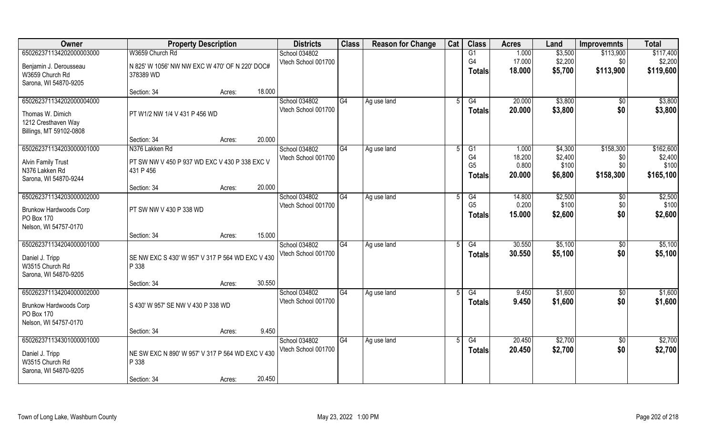| Owner                                       | <b>Property Description</b>                               |        |        | <b>Districts</b>    | <b>Class</b> | <b>Reason for Change</b> | Cat | <b>Class</b>   | <b>Acres</b> | Land    | <b>Improvemnts</b> | <b>Total</b> |
|---------------------------------------------|-----------------------------------------------------------|--------|--------|---------------------|--------------|--------------------------|-----|----------------|--------------|---------|--------------------|--------------|
| 650262371134202000003000                    | W3659 Church Rd                                           |        |        | School 034802       |              |                          |     | G1             | 1.000        | \$3,500 | \$113,900          | \$117,400    |
| Benjamin J. Derousseau                      | N 825' W 1056' NW NW EXC W 470' OF N 220' DOC#            |        |        | Vtech School 001700 |              |                          |     | G <sub>4</sub> | 17.000       | \$2,200 | \$0                | \$2,200      |
| W3659 Church Rd                             | 378389 WD                                                 |        |        |                     |              |                          |     | Totals         | 18.000       | \$5,700 | \$113,900          | \$119,600    |
| Sarona, WI 54870-9205                       |                                                           |        |        |                     |              |                          |     |                |              |         |                    |              |
|                                             | Section: 34                                               | Acres: | 18.000 |                     |              |                          |     |                |              |         |                    |              |
| 650262371134202000004000                    |                                                           |        |        | School 034802       | G4           | Ag use land              |     | G4             | 20.000       | \$3,800 | \$0                | \$3,800      |
| Thomas W. Dimich                            | PT W1/2 NW 1/4 V 431 P 456 WD                             |        |        | Vtech School 001700 |              |                          |     | <b>Totals</b>  | 20.000       | \$3,800 | \$0                | \$3,800      |
| 1212 Cresthaven Way                         |                                                           |        |        |                     |              |                          |     |                |              |         |                    |              |
| Billings, MT 59102-0808                     |                                                           |        |        |                     |              |                          |     |                |              |         |                    |              |
|                                             | Section: 34                                               | Acres: | 20.000 |                     |              |                          |     |                |              |         |                    |              |
| 650262371134203000001000                    | N376 Lakken Rd                                            |        |        | School 034802       | G4           | Ag use land              | .5  | G1             | 1.000        | \$4,300 | \$158,300          | \$162,600    |
| <b>Alvin Family Trust</b>                   | PT SW NW V 450 P 937 WD EXC V 430 P 338 EXC V             |        |        | Vtech School 001700 |              |                          |     | G4             | 18.200       | \$2,400 | \$0                | \$2,400      |
| N376 Lakken Rd                              | 431 P 456                                                 |        |        |                     |              |                          |     | G <sub>5</sub> | 0.800        | \$100   | \$0                | \$100        |
| Sarona, WI 54870-9244                       |                                                           |        |        |                     |              |                          |     | <b>Totals</b>  | 20.000       | \$6,800 | \$158,300          | \$165,100    |
|                                             | Section: 34                                               | Acres: | 20.000 |                     |              |                          |     |                |              |         |                    |              |
| 650262371134203000002000                    |                                                           |        |        | School 034802       | G4           | Ag use land              |     | G4             | 14.800       | \$2,500 | \$0                | \$2,500      |
|                                             | PT SW NW V 430 P 338 WD                                   |        |        | Vtech School 001700 |              |                          |     | G <sub>5</sub> | 0.200        | \$100   | \$0                | \$100        |
| <b>Brunkow Hardwoods Corp</b><br>PO Box 170 |                                                           |        |        |                     |              |                          |     | <b>Totals</b>  | 15.000       | \$2,600 | \$0                | \$2,600      |
| Nelson, WI 54757-0170                       |                                                           |        |        |                     |              |                          |     |                |              |         |                    |              |
|                                             | Section: 34                                               | Acres: | 15.000 |                     |              |                          |     |                |              |         |                    |              |
| 650262371134204000001000                    |                                                           |        |        | School 034802       | G4           | Ag use land              | .5  | G4             | 30.550       | \$5,100 | $\overline{50}$    | \$5,100      |
|                                             |                                                           |        |        | Vtech School 001700 |              |                          |     | Totals         | 30.550       | \$5,100 | \$0                | \$5,100      |
| Daniel J. Tripp<br>W3515 Church Rd          | SE NW EXC S 430' W 957' V 317 P 564 WD EXC V 430<br>P 338 |        |        |                     |              |                          |     |                |              |         |                    |              |
| Sarona, WI 54870-9205                       |                                                           |        |        |                     |              |                          |     |                |              |         |                    |              |
|                                             | Section: 34                                               | Acres: | 30.550 |                     |              |                          |     |                |              |         |                    |              |
| 650262371134204000002000                    |                                                           |        |        | School 034802       | G4           | Ag use land              |     | G4             | 9.450        | \$1,600 | \$0                | \$1,600      |
|                                             |                                                           |        |        | Vtech School 001700 |              |                          |     | <b>Totals</b>  | 9.450        | \$1,600 | \$0                | \$1,600      |
| Brunkow Hardwoods Corp<br>PO Box 170        | S 430' W 957' SE NW V 430 P 338 WD                        |        |        |                     |              |                          |     |                |              |         |                    |              |
| Nelson, WI 54757-0170                       |                                                           |        |        |                     |              |                          |     |                |              |         |                    |              |
|                                             | Section: 34                                               | Acres: | 9.450  |                     |              |                          |     |                |              |         |                    |              |
| 650262371134301000001000                    |                                                           |        |        | School 034802       | G4           | Ag use land              |     | G4             | 20.450       | \$2,700 | $\overline{30}$    | \$2,700      |
|                                             |                                                           |        |        | Vtech School 001700 |              |                          |     | <b>Totals</b>  | 20.450       | \$2,700 | \$0                | \$2,700      |
| Daniel J. Tripp                             | NE SW EXC N 890' W 957' V 317 P 564 WD EXC V 430          |        |        |                     |              |                          |     |                |              |         |                    |              |
| W3515 Church Rd                             | P 338                                                     |        |        |                     |              |                          |     |                |              |         |                    |              |
| Sarona, WI 54870-9205                       | Section: 34                                               | Acres: | 20.450 |                     |              |                          |     |                |              |         |                    |              |
|                                             |                                                           |        |        |                     |              |                          |     |                |              |         |                    |              |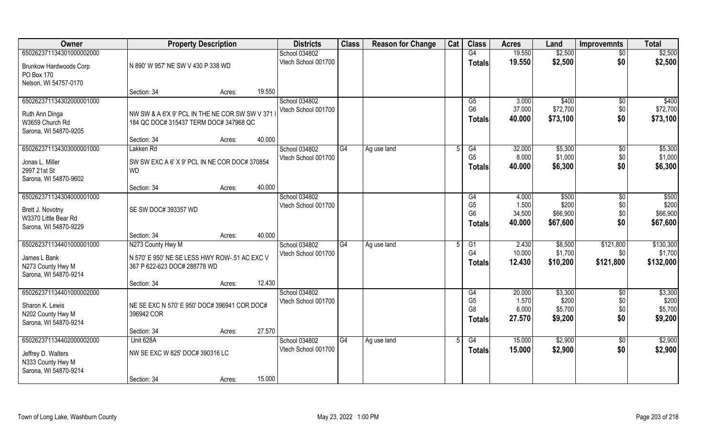| Owner                                         | <b>Property Description</b>                                                   |                  | <b>Districts</b>    | <b>Class</b> | <b>Reason for Change</b> | Cat | <b>Class</b>         | <b>Acres</b>    | Land              | <b>Improvemnts</b>    | <b>Total</b>       |
|-----------------------------------------------|-------------------------------------------------------------------------------|------------------|---------------------|--------------|--------------------------|-----|----------------------|-----------------|-------------------|-----------------------|--------------------|
| 650262371134301000002000                      |                                                                               |                  | School 034802       |              |                          |     | G4                   | 19.550          | \$2,500           | $\overline{50}$       | \$2,500            |
| <b>Brunkow Hardwoods Corp</b>                 | N 890' W 957' NE SW V 430 P 338 WD                                            |                  | Vtech School 001700 |              |                          |     | <b>Totals</b>        | 19.550          | \$2,500           | \$0                   | \$2,500            |
| PO Box 170                                    |                                                                               |                  |                     |              |                          |     |                      |                 |                   |                       |                    |
| Nelson, WI 54757-0170                         |                                                                               |                  |                     |              |                          |     |                      |                 |                   |                       |                    |
|                                               | Section: 34                                                                   | 19.550<br>Acres: |                     |              |                          |     |                      |                 |                   |                       |                    |
| 650262371134302000001000                      |                                                                               |                  | School 034802       |              |                          |     | G5<br>G <sub>6</sub> | 3.000<br>37.000 | \$400<br>\$72,700 | $\overline{50}$       | \$400<br>\$72,700  |
| Ruth Ann Dinga                                | NW SW & A 6'X 9' PCL IN THE NE COR SW SW V 371                                |                  | Vtech School 001700 |              |                          |     | Totals               | 40.000          | \$73,100          | \$0<br>\$0            | \$73,100           |
| W3659 Church Rd                               | 184 QC DOC# 315437 TERM DOC# 347968 QC                                        |                  |                     |              |                          |     |                      |                 |                   |                       |                    |
| Sarona, WI 54870-9205                         |                                                                               |                  |                     |              |                          |     |                      |                 |                   |                       |                    |
| 650262371134303000001000                      | Section: 34<br>Lakken Rd                                                      | 40.000<br>Acres: | School 034802       | G4           |                          | 5   |                      |                 | \$5,300           |                       |                    |
|                                               |                                                                               |                  | Vtech School 001700 |              | Ag use land              |     | G4<br>G <sub>5</sub> | 32.000<br>8.000 | \$1,000           | $\sqrt[6]{30}$<br>\$0 | \$5,300<br>\$1,000 |
| Jonas L. Miller                               | SW SW EXC A 6' X 9' PCL IN NE COR DOC# 370854                                 |                  |                     |              |                          |     | Totals               | 40.000          | \$6,300           | \$0                   | \$6,300            |
| 2997 21st St                                  | <b>WD</b>                                                                     |                  |                     |              |                          |     |                      |                 |                   |                       |                    |
| Sarona, WI 54870-9602                         | Section: 34                                                                   | 40.000<br>Acres: |                     |              |                          |     |                      |                 |                   |                       |                    |
| 650262371134304000001000                      |                                                                               |                  | School 034802       |              |                          |     | G4                   | 4.000           | \$500             | $\sqrt{6}$            | \$500              |
|                                               |                                                                               |                  | Vtech School 001700 |              |                          |     | G <sub>5</sub>       | 1.500           | \$200             | \$0                   | \$200              |
| Brett J. Novotny                              | SE SW DOC# 393357 WD                                                          |                  |                     |              |                          |     | G <sub>6</sub>       | 34.500          | \$66,900          | \$0                   | \$66,900           |
| W3370 Little Bear Rd<br>Sarona, WI 54870-9229 |                                                                               |                  |                     |              |                          |     | <b>Totals</b>        | 40.000          | \$67,600          | \$0                   | \$67,600           |
|                                               | Section: 34                                                                   | 40.000<br>Acres: |                     |              |                          |     |                      |                 |                   |                       |                    |
| 650262371134401000001000                      | N273 County Hwy M                                                             |                  | School 034802       | G4           | Ag use land              | 5   | G1                   | 2.430           | \$8,500           | \$121,800             | \$130,300          |
|                                               |                                                                               |                  | Vtech School 001700 |              |                          |     | G4                   | 10.000          | \$1,700           | \$0                   | \$1,700            |
| James L Bank<br>N273 County Hwy M             | N 570' E 950' NE SE LESS HWY ROW-.51 AC EXC V<br>367 P 622-623 DOC# 288778 WD |                  |                     |              |                          |     | <b>Totals</b>        | 12.430          | \$10,200          | \$121,800             | \$132,000          |
| Sarona, WI 54870-9214                         |                                                                               |                  |                     |              |                          |     |                      |                 |                   |                       |                    |
|                                               | Section: 34                                                                   | 12.430<br>Acres: |                     |              |                          |     |                      |                 |                   |                       |                    |
| 650262371134401000002000                      |                                                                               |                  | School 034802       |              |                          |     | G4                   | 20.000          | \$3,300           | \$0                   | \$3,300            |
| Sharon K. Lewis                               | NE SE EXC N 570' E 950' DOC# 396941 COR DOC#                                  |                  | Vtech School 001700 |              |                          |     | G <sub>5</sub>       | 1.570           | \$200             | \$0                   | \$200              |
| N202 County Hwy M                             | 396942 COR                                                                    |                  |                     |              |                          |     | G <sub>8</sub>       | 6.000           | \$5,700           | \$0                   | \$5,700            |
| Sarona, WI 54870-9214                         |                                                                               |                  |                     |              |                          |     | <b>Totals</b>        | 27.570          | \$9,200           | \$0                   | \$9,200            |
|                                               | Section: 34                                                                   | 27.570<br>Acres: |                     |              |                          |     |                      |                 |                   |                       |                    |
| 650262371134402000002000                      | Unit 628A                                                                     |                  | School 034802       | G4           | Ag use land              |     | G4                   | 15.000          | \$2,900           | $\overline{50}$       | \$2,900            |
| Jeffrey D. Walters                            | NW SE EXC W 825' DOC# 390316 LC                                               |                  | Vtech School 001700 |              |                          |     | <b>Totals</b>        | 15.000          | \$2,900           | \$0                   | \$2,900            |
| N333 County Hwy M                             |                                                                               |                  |                     |              |                          |     |                      |                 |                   |                       |                    |
| Sarona, WI 54870-9214                         |                                                                               |                  |                     |              |                          |     |                      |                 |                   |                       |                    |
|                                               | Section: 34                                                                   | 15.000<br>Acres: |                     |              |                          |     |                      |                 |                   |                       |                    |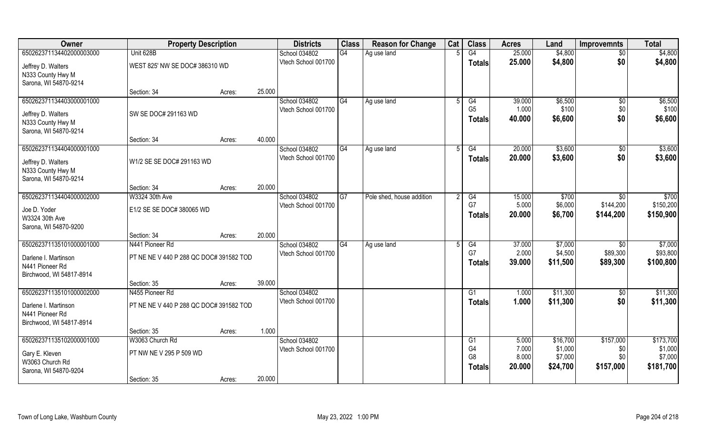| Owner                                   | <b>Property Description</b>             |                  | <b>Districts</b>                     | <b>Class</b>    | <b>Reason for Change</b>  | Cat | <b>Class</b>                     | <b>Acres</b>    | Land                | <b>Improvemnts</b> | <b>Total</b>       |
|-----------------------------------------|-----------------------------------------|------------------|--------------------------------------|-----------------|---------------------------|-----|----------------------------------|-----------------|---------------------|--------------------|--------------------|
| 650262371134402000003000                | Unit 628B                               |                  | School 034802                        | G4              | Ag use land               |     | G4                               | 25.000          | \$4,800             | $\overline{50}$    | \$4,800            |
| Jeffrey D. Walters                      | WEST 825' NW SE DOC# 386310 WD          |                  | Vtech School 001700                  |                 |                           |     | <b>Totals</b>                    | 25.000          | \$4,800             | \$0                | \$4,800            |
| N333 County Hwy M                       |                                         |                  |                                      |                 |                           |     |                                  |                 |                     |                    |                    |
| Sarona, WI 54870-9214                   |                                         |                  |                                      |                 |                           |     |                                  |                 |                     |                    |                    |
|                                         | Section: 34                             | 25.000<br>Acres: |                                      |                 |                           |     |                                  |                 |                     |                    |                    |
| 650262371134403000001000                |                                         |                  | School 034802                        | G4              | Ag use land               |     | G4<br>G <sub>5</sub>             | 39.000          | \$6,500<br>\$100    | \$0                | \$6,500<br>\$100   |
| Jeffrey D. Walters                      | SW SE DOC# 291163 WD                    |                  | Vtech School 001700                  |                 |                           |     | <b>Totals</b>                    | 1.000<br>40.000 | \$6,600             | \$0<br>\$0         | \$6,600            |
| N333 County Hwy M                       |                                         |                  |                                      |                 |                           |     |                                  |                 |                     |                    |                    |
| Sarona, WI 54870-9214                   |                                         |                  |                                      |                 |                           |     |                                  |                 |                     |                    |                    |
| 650262371134404000001000                | Section: 34                             | 40.000<br>Acres: |                                      | G4              |                           | .5  | G4                               | 20.000          | \$3,600             |                    | \$3,600            |
|                                         |                                         |                  | School 034802<br>Vtech School 001700 |                 | Ag use land               |     | <b>Totals</b>                    | 20.000          | \$3,600             | $\sqrt{6}$<br>\$0  | \$3,600            |
| Jeffrey D. Walters                      | W1/2 SE SE DOC# 291163 WD               |                  |                                      |                 |                           |     |                                  |                 |                     |                    |                    |
| N333 County Hwy M                       |                                         |                  |                                      |                 |                           |     |                                  |                 |                     |                    |                    |
| Sarona, WI 54870-9214                   | Section: 34                             | 20.000<br>Acres: |                                      |                 |                           |     |                                  |                 |                     |                    |                    |
| 650262371134404000002000                | W3324 30th Ave                          |                  | School 034802                        | $\overline{G7}$ | Pole shed, house addition |     | G4                               | 15.000          | \$700               | \$0                | \$700              |
|                                         |                                         |                  | Vtech School 001700                  |                 |                           |     | G7                               | 5.000           | \$6,000             | \$144,200          | \$150,200          |
| Joe D. Yoder                            | E1/2 SE SE DOC# 380065 WD               |                  |                                      |                 |                           |     | <b>Totals</b>                    | 20.000          | \$6,700             | \$144,200          | \$150,900          |
| W3324 30th Ave<br>Sarona, WI 54870-9200 |                                         |                  |                                      |                 |                           |     |                                  |                 |                     |                    |                    |
|                                         | Section: 34                             | 20.000<br>Acres: |                                      |                 |                           |     |                                  |                 |                     |                    |                    |
| 650262371135101000001000                | N441 Pioneer Rd                         |                  | School 034802                        | G4              | Ag use land               | 5   | G4                               | 37.000          | \$7,000             | \$0                | \$7,000            |
| Darlene I. Martinson                    | PT NE NE V 440 P 288 QC DOC# 391582 TOD |                  | Vtech School 001700                  |                 |                           |     | G7                               | 2.000           | \$4,500             | \$89,300           | \$93,800           |
| N441 Pioneer Rd                         |                                         |                  |                                      |                 |                           |     | <b>Totals</b>                    | 39.000          | \$11,500            | \$89,300           | \$100,800          |
| Birchwood, WI 54817-8914                |                                         |                  |                                      |                 |                           |     |                                  |                 |                     |                    |                    |
|                                         | Section: 35                             | 39.000<br>Acres: |                                      |                 |                           |     |                                  |                 |                     |                    |                    |
| 650262371135101000002000                | N455 Pioneer Rd                         |                  | School 034802                        |                 |                           |     | G1                               | 1.000           | \$11,300            | \$0                | \$11,300           |
| Darlene I. Martinson                    | PT NE NE V 440 P 288 QC DOC# 391582 TOD |                  | Vtech School 001700                  |                 |                           |     | <b>Totals</b>                    | 1.000           | \$11,300            | \$0                | \$11,300           |
| N441 Pioneer Rd                         |                                         |                  |                                      |                 |                           |     |                                  |                 |                     |                    |                    |
| Birchwood, WI 54817-8914                |                                         |                  |                                      |                 |                           |     |                                  |                 |                     |                    |                    |
|                                         | Section: 35                             | 1.000<br>Acres:  |                                      |                 |                           |     |                                  |                 |                     |                    |                    |
| 650262371135102000001000                | W3063 Church Rd                         |                  | School 034802                        |                 |                           |     | G <sub>1</sub>                   | 5.000           | \$16,700            | \$157,000          | \$173,700          |
| Gary E. Kleven                          | PT NW NE V 295 P 509 WD                 |                  | Vtech School 001700                  |                 |                           |     | G <sub>4</sub><br>G <sub>8</sub> | 7.000<br>8.000  | \$1,000             | \$0<br>\$0         | \$1,000<br>\$7,000 |
| W3063 Church Rd                         |                                         |                  |                                      |                 |                           |     |                                  | 20.000          | \$7,000<br>\$24,700 | \$157,000          | \$181,700          |
| Sarona, WI 54870-9204                   |                                         |                  |                                      |                 |                           |     | <b>Totals</b>                    |                 |                     |                    |                    |
|                                         | Section: 35                             | 20.000<br>Acres: |                                      |                 |                           |     |                                  |                 |                     |                    |                    |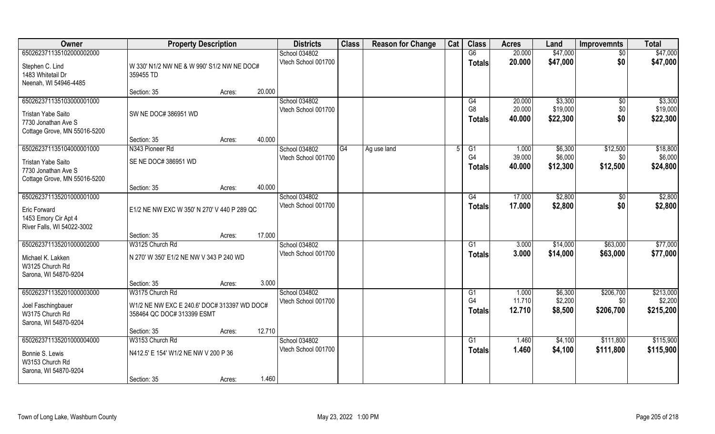| Owner                        | <b>Property Description</b>                 |        |        | <b>Districts</b>    | <b>Class</b> | <b>Reason for Change</b> | Cat | <b>Class</b>   | <b>Acres</b> | Land     | <b>Improvemnts</b> | <b>Total</b> |
|------------------------------|---------------------------------------------|--------|--------|---------------------|--------------|--------------------------|-----|----------------|--------------|----------|--------------------|--------------|
| 650262371135102000002000     |                                             |        |        | School 034802       |              |                          |     | G6             | 20.000       | \$47,000 | $\sqrt{6}$         | \$47,000     |
| Stephen C. Lind              | W 330' N1/2 NW NE & W 990' S1/2 NW NE DOC#  |        |        | Vtech School 001700 |              |                          |     | <b>Totals</b>  | 20.000       | \$47,000 | \$0                | \$47,000     |
| 1483 Whitetail Dr            | 359455 TD                                   |        |        |                     |              |                          |     |                |              |          |                    |              |
| Neenah, WI 54946-4485        |                                             |        |        |                     |              |                          |     |                |              |          |                    |              |
|                              | Section: 35                                 | Acres: | 20.000 |                     |              |                          |     |                |              |          |                    |              |
| 650262371135103000001000     |                                             |        |        | School 034802       |              |                          |     | G4             | 20.000       | \$3,300  | $\sqrt{$0}$        | \$3,300      |
| Tristan Yabe Saito           | SW NE DOC# 386951 WD                        |        |        | Vtech School 001700 |              |                          |     | G <sub>8</sub> | 20.000       | \$19,000 | \$0                | \$19,000     |
| 7730 Jonathan Ave S          |                                             |        |        |                     |              |                          |     | Totals         | 40.000       | \$22,300 | \$0                | \$22,300     |
| Cottage Grove, MN 55016-5200 |                                             |        |        |                     |              |                          |     |                |              |          |                    |              |
|                              | Section: 35                                 | Acres: | 40.000 |                     |              |                          |     |                |              |          |                    |              |
| 650262371135104000001000     | N343 Pioneer Rd                             |        |        | School 034802       | G4           | Ag use land              | 5   | G1             | 1.000        | \$6,300  | \$12,500           | \$18,800     |
| Tristan Yabe Saito           | SE NE DOC# 386951 WD                        |        |        | Vtech School 001700 |              |                          |     | G4             | 39.000       | \$6,000  | \$0                | \$6,000      |
| 7730 Jonathan Ave S          |                                             |        |        |                     |              |                          |     | <b>Totals</b>  | 40.000       | \$12,300 | \$12,500           | \$24,800     |
| Cottage Grove, MN 55016-5200 |                                             |        |        |                     |              |                          |     |                |              |          |                    |              |
|                              | Section: 35                                 | Acres: | 40.000 |                     |              |                          |     |                |              |          |                    |              |
| 650262371135201000001000     |                                             |        |        | School 034802       |              |                          |     | G4             | 17.000       | \$2,800  | \$0                | \$2,800      |
| Eric Forward                 | E1/2 NE NW EXC W 350' N 270' V 440 P 289 QC |        |        | Vtech School 001700 |              |                          |     | Totals         | 17.000       | \$2,800  | \$0                | \$2,800      |
| 1453 Emory Cir Apt 4         |                                             |        |        |                     |              |                          |     |                |              |          |                    |              |
| River Falls, WI 54022-3002   |                                             |        |        |                     |              |                          |     |                |              |          |                    |              |
|                              | Section: 35                                 | Acres: | 17.000 |                     |              |                          |     |                |              |          |                    |              |
| 650262371135201000002000     | W3125 Church Rd                             |        |        | School 034802       |              |                          |     | G1             | 3.000        | \$14,000 | \$63,000           | \$77,000     |
| Michael K. Lakken            | N 270' W 350' E1/2 NE NW V 343 P 240 WD     |        |        | Vtech School 001700 |              |                          |     | <b>Totals</b>  | 3.000        | \$14,000 | \$63,000           | \$77,000     |
| W3125 Church Rd              |                                             |        |        |                     |              |                          |     |                |              |          |                    |              |
| Sarona, WI 54870-9204        |                                             |        |        |                     |              |                          |     |                |              |          |                    |              |
|                              | Section: 35                                 | Acres: | 3.000  |                     |              |                          |     |                |              |          |                    |              |
| 650262371135201000003000     | W3175 Church Rd                             |        |        | School 034802       |              |                          |     | G1             | 1.000        | \$6,300  | \$206,700          | \$213,000    |
| Joel Faschingbauer           | W1/2 NE NW EXC E 240.6' DOC# 313397 WD DOC# |        |        | Vtech School 001700 |              |                          |     | G4             | 11.710       | \$2,200  | \$0                | \$2,200      |
| W3175 Church Rd              | 358464 QC DOC# 313399 ESMT                  |        |        |                     |              |                          |     | <b>Totals</b>  | 12.710       | \$8,500  | \$206,700          | \$215,200    |
| Sarona, WI 54870-9204        |                                             |        |        |                     |              |                          |     |                |              |          |                    |              |
|                              | Section: 35                                 | Acres: | 12.710 |                     |              |                          |     |                |              |          |                    |              |
| 650262371135201000004000     | W3153 Church Rd                             |        |        | School 034802       |              |                          |     | G1             | 1.460        | \$4,100  | \$111,800          | \$115,900    |
| Bonnie S. Lewis              | N412.5' E 154' W1/2 NE NW V 200 P 36        |        |        | Vtech School 001700 |              |                          |     | <b>Totals</b>  | 1.460        | \$4,100  | \$111,800          | \$115,900    |
| W3153 Church Rd              |                                             |        |        |                     |              |                          |     |                |              |          |                    |              |
| Sarona, WI 54870-9204        |                                             |        |        |                     |              |                          |     |                |              |          |                    |              |
|                              | Section: 35                                 | Acres: | 1.460  |                     |              |                          |     |                |              |          |                    |              |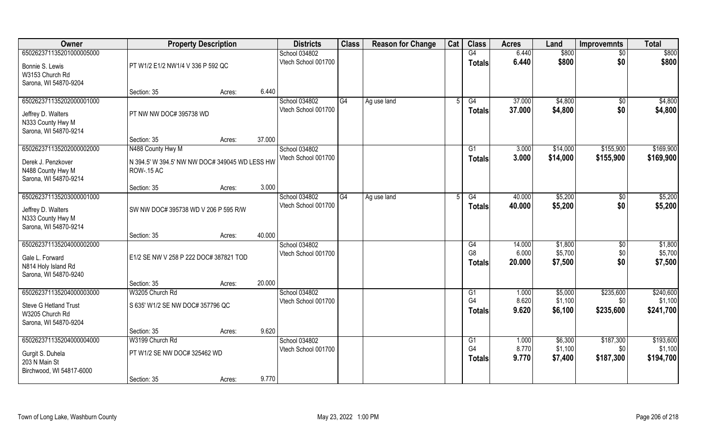| Owner                                                            | <b>Property Description</b>                    |        |        | <b>Districts</b>    | <b>Class</b> | <b>Reason for Change</b> | Cat | <b>Class</b>   | <b>Acres</b> | Land     | <b>Improvemnts</b> | <b>Total</b> |
|------------------------------------------------------------------|------------------------------------------------|--------|--------|---------------------|--------------|--------------------------|-----|----------------|--------------|----------|--------------------|--------------|
| 650262371135201000005000                                         |                                                |        |        | School 034802       |              |                          |     | G4             | 6.440        | \$800    | \$0                | \$800        |
| Bonnie S. Lewis                                                  | PT W1/2 E1/2 NW1/4 V 336 P 592 QC              |        |        | Vtech School 001700 |              |                          |     | Totals         | 6.440        | \$800    | \$0                | \$800        |
| W3153 Church Rd                                                  |                                                |        |        |                     |              |                          |     |                |              |          |                    |              |
| Sarona, WI 54870-9204                                            | Section: 35                                    | Acres: | 6.440  |                     |              |                          |     |                |              |          |                    |              |
| 650262371135202000001000                                         |                                                |        |        | School 034802       | G4           | Ag use land              |     | G4             | 37.000       | \$4,800  | \$0                | \$4,800      |
| Jeffrey D. Walters                                               | PT NW NW DOC# 395738 WD                        |        |        | Vtech School 001700 |              |                          |     | Totals         | 37.000       | \$4,800  | \$0                | \$4,800      |
| N333 County Hwy M<br>Sarona, WI 54870-9214                       |                                                |        |        |                     |              |                          |     |                |              |          |                    |              |
|                                                                  | Section: 35                                    | Acres: | 37.000 |                     |              |                          |     |                |              |          |                    |              |
| 650262371135202000002000                                         | N488 County Hwy M                              |        |        | School 034802       |              |                          |     | G1             | 3.000        | \$14,000 | \$155,900          | \$169,900    |
| Derek J. Penzkover                                               | N 394.5' W 394.5' NW NW DOC# 349045 WD LESS HW |        |        | Vtech School 001700 |              |                          |     | <b>Totals</b>  | 3.000        | \$14,000 | \$155,900          | \$169,900    |
| N488 County Hwy M                                                | <b>ROW-.15 AC</b>                              |        |        |                     |              |                          |     |                |              |          |                    |              |
| Sarona, WI 54870-9214                                            | Section: 35                                    | Acres: | 3.000  |                     |              |                          |     |                |              |          |                    |              |
| 650262371135203000001000                                         |                                                |        |        | School 034802       | G4           | Ag use land              |     | G4             | 40.000       | \$5,200  | \$0                | \$5,200      |
|                                                                  | SW NW DOC# 395738 WD V 206 P 595 R/W           |        |        | Vtech School 001700 |              |                          |     | <b>Totals</b>  | 40.000       | \$5,200  | \$0                | \$5,200      |
| Jeffrey D. Walters<br>N333 County Hwy M<br>Sarona, WI 54870-9214 |                                                |        |        |                     |              |                          |     |                |              |          |                    |              |
|                                                                  | Section: 35                                    | Acres: | 40.000 |                     |              |                          |     |                |              |          |                    |              |
| 650262371135204000002000                                         |                                                |        |        | School 034802       |              |                          |     | G4             | 14.000       | \$1,800  | \$0                | \$1,800      |
| Gale L. Forward                                                  | E1/2 SE NW V 258 P 222 DOC# 387821 TOD         |        |        | Vtech School 001700 |              |                          |     | G <sub>8</sub> | 6.000        | \$5,700  | \$0                | \$5,700      |
| N814 Holy Island Rd                                              |                                                |        |        |                     |              |                          |     | <b>Totals</b>  | 20.000       | \$7,500  | \$0                | \$7,500      |
| Sarona, WI 54870-9240                                            |                                                |        |        |                     |              |                          |     |                |              |          |                    |              |
| 650262371135204000003000                                         | Section: 35<br>W3205 Church Rd                 | Acres: | 20.000 | School 034802       |              |                          |     | G1             | 1.000        | \$5,000  | \$235,600          | \$240,600    |
|                                                                  |                                                |        |        | Vtech School 001700 |              |                          |     | G <sub>4</sub> | 8.620        | \$1,100  | \$0                | \$1,100      |
| Steve G Hetland Trust<br>W3205 Church Rd                         | S 635' W1/2 SE NW DOC# 357796 QC               |        |        |                     |              |                          |     | <b>Totals</b>  | 9.620        | \$6,100  | \$235,600          | \$241,700    |
| Sarona, WI 54870-9204                                            |                                                |        |        |                     |              |                          |     |                |              |          |                    |              |
|                                                                  | Section: 35                                    | Acres: | 9.620  |                     |              |                          |     |                |              |          |                    |              |
| 650262371135204000004000                                         | W3199 Church Rd                                |        |        | School 034802       |              |                          |     | G1             | 1.000        | \$6,300  | \$187,300          | \$193,600    |
| Gurgit S. Duhela                                                 | PT W1/2 SE NW DOC# 325462 WD                   |        |        | Vtech School 001700 |              |                          |     | G <sub>4</sub> | 8.770        | \$1,100  | \$0                | \$1,100      |
| 203 N Main St                                                    |                                                |        |        |                     |              |                          |     | <b>Totals</b>  | 9.770        | \$7,400  | \$187,300          | \$194,700    |
| Birchwood, WI 54817-6000                                         |                                                |        |        |                     |              |                          |     |                |              |          |                    |              |
|                                                                  | Section: 35                                    | Acres: | 9.770  |                     |              |                          |     |                |              |          |                    |              |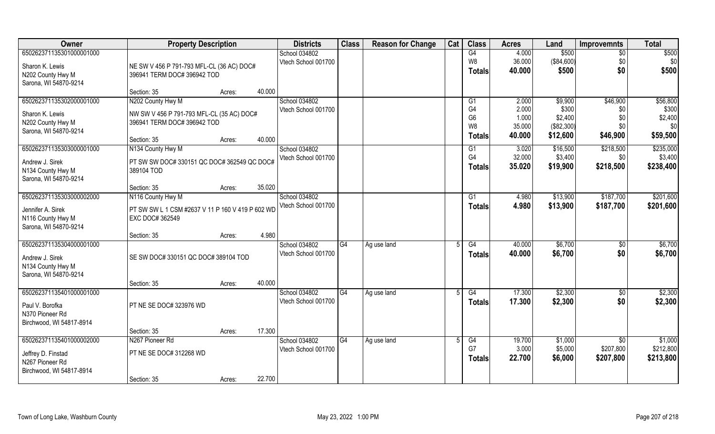| Owner                                      | <b>Property Description</b>                      |                  | <b>Districts</b>                     | <b>Class</b> | <b>Reason for Change</b> | Cat | <b>Class</b>         | <b>Acres</b>    | Land                | <b>Improvemnts</b> | <b>Total</b>         |
|--------------------------------------------|--------------------------------------------------|------------------|--------------------------------------|--------------|--------------------------|-----|----------------------|-----------------|---------------------|--------------------|----------------------|
| 650262371135301000001000                   |                                                  |                  | School 034802                        |              |                          |     | G4                   | 4.000           | \$500               | $\overline{50}$    | \$500                |
| Sharon K. Lewis                            | NE SW V 456 P 791-793 MFL-CL (36 AC) DOC#        |                  | Vtech School 001700                  |              |                          |     | W8                   | 36.000          | (\$84,600)          | \$0                | \$0                  |
| N202 County Hwy M                          | 396941 TERM DOC# 396942 TOD                      |                  |                                      |              |                          |     | <b>Totals</b>        | 40.000          | \$500               | \$0                | \$500                |
| Sarona, WI 54870-9214                      |                                                  |                  |                                      |              |                          |     |                      |                 |                     |                    |                      |
|                                            | Section: 35                                      | 40.000<br>Acres: |                                      |              |                          |     |                      |                 |                     |                    |                      |
| 650262371135302000001000                   | N202 County Hwy M                                |                  | School 034802                        |              |                          |     | G <sub>1</sub>       | 2.000           | \$9,900             | \$46,900           | \$56,800             |
| Sharon K. Lewis                            | NW SW V 456 P 791-793 MFL-CL (35 AC) DOC#        |                  | Vtech School 001700                  |              |                          |     | G4<br>G <sub>6</sub> | 2.000<br>1.000  | \$300<br>\$2,400    | \$0<br>\$0         | \$300<br>\$2,400     |
| N202 County Hwy M                          | 396941 TERM DOC# 396942 TOD                      |                  |                                      |              |                          |     | W <sub>8</sub>       | 35.000          | (\$82,300)          | \$0                | \$0                  |
| Sarona, WI 54870-9214                      |                                                  |                  |                                      |              |                          |     | <b>Totals</b>        | 40.000          | \$12,600            | \$46,900           | \$59,500             |
|                                            | Section: 35                                      | 40.000<br>Acres: |                                      |              |                          |     |                      |                 |                     |                    |                      |
| 650262371135303000001000                   | N134 County Hwy M                                |                  | School 034802<br>Vtech School 001700 |              |                          |     | G1<br>G4             | 3.020<br>32.000 | \$16,500<br>\$3,400 | \$218,500<br>\$0   | \$235,000<br>\$3,400 |
| Andrew J. Sirek                            | PT SW SW DOC# 330151 QC DOC# 362549 QC DOC#      |                  |                                      |              |                          |     | <b>Totals</b>        | 35.020          | \$19,900            | \$218,500          | \$238,400            |
| N134 County Hwy M                          | 389104 TOD                                       |                  |                                      |              |                          |     |                      |                 |                     |                    |                      |
| Sarona, WI 54870-9214                      | Section: 35                                      | 35.020<br>Acres: |                                      |              |                          |     |                      |                 |                     |                    |                      |
| 650262371135303000002000                   | N116 County Hwy M                                |                  | School 034802                        |              |                          |     | G <sub>1</sub>       | 4.980           | \$13,900            | \$187,700          | \$201,600            |
|                                            |                                                  |                  | Vtech School 001700                  |              |                          |     | <b>Totals</b>        | 4.980           | \$13,900            | \$187,700          | \$201,600            |
| Jennifer A. Sirek                          | PT SW SW L 1 CSM #2637 V 11 P 160 V 419 P 602 WD |                  |                                      |              |                          |     |                      |                 |                     |                    |                      |
| N116 County Hwy M<br>Sarona, WI 54870-9214 | EXC DOC# 362549                                  |                  |                                      |              |                          |     |                      |                 |                     |                    |                      |
|                                            | Section: 35                                      | 4.980<br>Acres:  |                                      |              |                          |     |                      |                 |                     |                    |                      |
| 650262371135304000001000                   |                                                  |                  | School 034802                        | G4           | Ag use land              |     | $\overline{G4}$      | 40.000          | \$6,700             | \$0                | \$6,700              |
| Andrew J. Sirek                            | SE SW DOC# 330151 QC DOC# 389104 TOD             |                  | Vtech School 001700                  |              |                          |     | <b>Totals</b>        | 40.000          | \$6,700             | \$0                | \$6,700              |
| N134 County Hwy M                          |                                                  |                  |                                      |              |                          |     |                      |                 |                     |                    |                      |
| Sarona, WI 54870-9214                      |                                                  |                  |                                      |              |                          |     |                      |                 |                     |                    |                      |
|                                            | Section: 35                                      | 40.000<br>Acres: |                                      |              |                          |     |                      |                 |                     |                    |                      |
| 650262371135401000001000                   |                                                  |                  | School 034802                        | G4           | Ag use land              |     | G4                   | 17.300          | \$2,300             | $\sqrt{$0}$        | \$2,300              |
| Paul V. Borofka                            | PT NE SE DOC# 323976 WD                          |                  | Vtech School 001700                  |              |                          |     | <b>Totals</b>        | 17.300          | \$2,300             | \$0                | \$2,300              |
| N370 Pioneer Rd                            |                                                  |                  |                                      |              |                          |     |                      |                 |                     |                    |                      |
| Birchwood, WI 54817-8914                   |                                                  |                  |                                      |              |                          |     |                      |                 |                     |                    |                      |
|                                            | Section: 35                                      | 17.300<br>Acres: |                                      |              |                          |     |                      |                 |                     |                    |                      |
| 650262371135401000002000                   | N267 Pioneer Rd                                  |                  | School 034802                        | G4           | Ag use land              |     | G4                   | 19.700          | \$1,000             | \$0                | \$1,000              |
| Jeffrey D. Finstad                         | PT NE SE DOC# 312268 WD                          |                  | Vtech School 001700                  |              |                          |     | G7                   | 3.000           | \$5,000             | \$207,800          | \$212,800            |
| N267 Pioneer Rd                            |                                                  |                  |                                      |              |                          |     | <b>Totals</b>        | 22.700          | \$6,000             | \$207,800          | \$213,800            |
| Birchwood, WI 54817-8914                   |                                                  |                  |                                      |              |                          |     |                      |                 |                     |                    |                      |
|                                            | Section: 35                                      | 22.700<br>Acres: |                                      |              |                          |     |                      |                 |                     |                    |                      |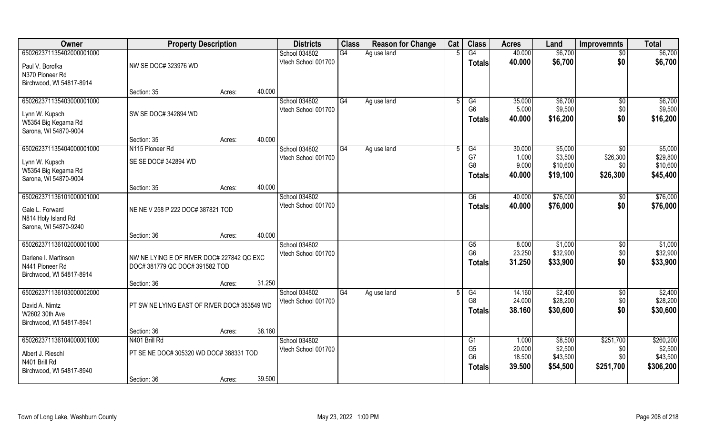| Owner                                   | <b>Property Description</b>                 |        |        | <b>Districts</b>    | <b>Class</b> | <b>Reason for Change</b> | Cat | <b>Class</b>         | <b>Acres</b>   | Land               | <b>Improvemnts</b>   | <b>Total</b>         |
|-----------------------------------------|---------------------------------------------|--------|--------|---------------------|--------------|--------------------------|-----|----------------------|----------------|--------------------|----------------------|----------------------|
| 650262371135402000001000                |                                             |        |        | School 034802       | G4           | Ag use land              |     | G4                   | 40.000         | \$6,700            | $\sqrt{6}$           | \$6,700              |
| Paul V. Borofka                         | NW SE DOC# 323976 WD                        |        |        | Vtech School 001700 |              |                          |     | <b>Totals</b>        | 40.000         | \$6,700            | \$0                  | \$6,700              |
| N370 Pioneer Rd                         |                                             |        |        |                     |              |                          |     |                      |                |                    |                      |                      |
| Birchwood, WI 54817-8914                |                                             |        |        |                     |              |                          |     |                      |                |                    |                      |                      |
|                                         | Section: 35                                 | Acres: | 40.000 |                     |              |                          |     |                      |                |                    |                      |                      |
| 650262371135403000001000                |                                             |        |        | School 034802       | G4           | Ag use land              |     | G4                   | 35.000         | \$6,700            | $\sqrt{$0}$          | \$6,700              |
| Lynn W. Kupsch                          | SW SE DOC# 342894 WD                        |        |        | Vtech School 001700 |              |                          |     | G <sub>6</sub>       | 5.000          | \$9,500            | \$0                  | \$9,500              |
| W5354 Big Kegama Rd                     |                                             |        |        |                     |              |                          |     | <b>Totals</b>        | 40.000         | \$16,200           | \$0                  | \$16,200             |
| Sarona, WI 54870-9004                   |                                             |        |        |                     |              |                          |     |                      |                |                    |                      |                      |
|                                         | Section: 35                                 | Acres: | 40.000 |                     |              |                          |     |                      |                |                    |                      |                      |
| 650262371135404000001000                | N115 Pioneer Rd                             |        |        | School 034802       | G4           | Ag use land              |     | G4                   | 30.000         | \$5,000<br>\$3,500 | $\sqrt{6}$           | \$5,000              |
| Lynn W. Kupsch                          | SE SE DOC# 342894 WD                        |        |        | Vtech School 001700 |              |                          |     | G7<br>G <sub>8</sub> | 1.000<br>9.000 | \$10,600           | \$26,300<br>\$0      | \$29,800<br>\$10,600 |
| W5354 Big Kegama Rd                     |                                             |        |        |                     |              |                          |     | <b>Totals</b>        | 40,000         | \$19,100           | \$26,300             | \$45,400             |
| Sarona, WI 54870-9004                   |                                             |        |        |                     |              |                          |     |                      |                |                    |                      |                      |
| 650262371136101000001000                | Section: 35                                 | Acres: | 40.000 | School 034802       |              |                          |     |                      | 40.000         | \$76,000           |                      | \$76,000             |
|                                         |                                             |        |        | Vtech School 001700 |              |                          |     | G6<br><b>Totals</b>  | 40.000         | \$76,000           | $\sqrt[6]{3}$<br>\$0 | \$76,000             |
| Gale L. Forward                         | NE NE V 258 P 222 DOC# 387821 TOD           |        |        |                     |              |                          |     |                      |                |                    |                      |                      |
| N814 Holy Island Rd                     |                                             |        |        |                     |              |                          |     |                      |                |                    |                      |                      |
| Sarona, WI 54870-9240                   | Section: 36                                 | Acres: | 40.000 |                     |              |                          |     |                      |                |                    |                      |                      |
| 650262371136102000001000                |                                             |        |        | School 034802       |              |                          |     | G5                   | 8.000          | \$1,000            | $\overline{50}$      | \$1,000              |
|                                         |                                             |        |        | Vtech School 001700 |              |                          |     | G <sub>6</sub>       | 23.250         | \$32,900           | \$0                  | \$32,900             |
| Darlene I. Martinson<br>N441 Pioneer Rd | NW NE LYING E OF RIVER DOC# 227842 QC EXC   |        |        |                     |              |                          |     | Totals               | 31.250         | \$33,900           | \$0                  | \$33,900             |
| Birchwood, WI 54817-8914                | DOC# 381779 QC DOC# 391582 TOD              |        |        |                     |              |                          |     |                      |                |                    |                      |                      |
|                                         | Section: 36                                 | Acres: | 31.250 |                     |              |                          |     |                      |                |                    |                      |                      |
| 650262371136103000002000                |                                             |        |        | School 034802       | G4           | Ag use land              |     | G4                   | 14.160         | \$2,400            | $\sqrt{$0}$          | \$2,400              |
| David A. Nimtz                          | PT SW NE LYING EAST OF RIVER DOC# 353549 WD |        |        | Vtech School 001700 |              |                          |     | G <sub>8</sub>       | 24.000         | \$28,200           | \$0                  | \$28,200             |
| W2602 30th Ave                          |                                             |        |        |                     |              |                          |     | <b>Totals</b>        | 38.160         | \$30,600           | \$0                  | \$30,600             |
| Birchwood, WI 54817-8941                |                                             |        |        |                     |              |                          |     |                      |                |                    |                      |                      |
|                                         | Section: 36                                 | Acres: | 38.160 |                     |              |                          |     |                      |                |                    |                      |                      |
| 650262371136104000001000                | N401 Brill Rd                               |        |        | School 034802       |              |                          |     | G1                   | 1.000          | \$8,500            | \$251,700            | \$260,200            |
| Albert J. Rieschl                       | PT SE NE DOC# 305320 WD DOC# 388331 TOD     |        |        | Vtech School 001700 |              |                          |     | G <sub>5</sub>       | 20.000         | \$2,500            | \$0                  | \$2,500              |
| N401 Brill Rd                           |                                             |        |        |                     |              |                          |     | G <sub>6</sub>       | 18.500         | \$43,500           | \$0                  | \$43,500             |
| Birchwood, WI 54817-8940                |                                             |        |        |                     |              |                          |     | <b>Totals</b>        | 39.500         | \$54,500           | \$251,700            | \$306,200            |
|                                         | Section: 36                                 | Acres: | 39.500 |                     |              |                          |     |                      |                |                    |                      |                      |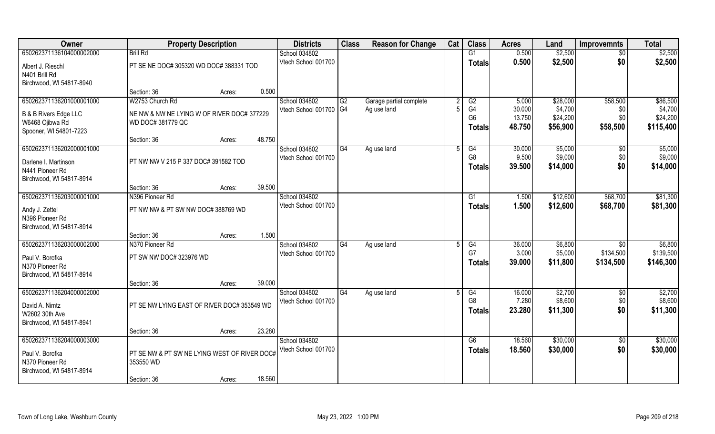| Owner                                      | <b>Property Description</b>                               |                  | <b>Districts</b>                     | <b>Class</b> | <b>Reason for Change</b> | Cat          | <b>Class</b>         | <b>Acres</b>     | Land                 | <b>Improvemnts</b>   | <b>Total</b>         |
|--------------------------------------------|-----------------------------------------------------------|------------------|--------------------------------------|--------------|--------------------------|--------------|----------------------|------------------|----------------------|----------------------|----------------------|
| 650262371136104000002000                   | <b>Brill Rd</b>                                           |                  | School 034802                        |              |                          |              | G1                   | 0.500            | \$2,500              | $\overline{50}$      | \$2,500              |
| Albert J. Rieschl                          | PT SE NE DOC# 305320 WD DOC# 388331 TOD                   |                  | Vtech School 001700                  |              |                          |              | <b>Totals</b>        | 0.500            | \$2,500              | \$0                  | \$2,500              |
| N401 Brill Rd                              |                                                           |                  |                                      |              |                          |              |                      |                  |                      |                      |                      |
| Birchwood, WI 54817-8940                   |                                                           |                  |                                      |              |                          |              |                      |                  |                      |                      |                      |
|                                            | Section: 36                                               | 0.500<br>Acres:  |                                      |              |                          |              |                      |                  |                      |                      |                      |
| 650262371136201000001000                   | W2753 Church Rd                                           |                  | School 034802                        | G2           | Garage partial complete  |              | G2                   | 5.000            | \$28,000             | \$58,500             | \$86,500             |
| B & B Rivers Edge LLC                      | NE NW & NW NE LYING W OF RIVER DOC# 377229                |                  | Vtech School 001700 G4               |              | Ag use land              |              | G4<br>G <sub>6</sub> | 30.000<br>13.750 | \$4,700<br>\$24,200  | \$0<br>\$0           | \$4,700<br>\$24,200  |
| W6468 Ojibwa Rd                            | WD DOC#381779 QC                                          |                  |                                      |              |                          |              |                      | 48.750           | \$56,900             | \$58,500             | \$115,400            |
| Spooner, WI 54801-7223                     |                                                           |                  |                                      |              |                          |              | Totals               |                  |                      |                      |                      |
|                                            | Section: 36                                               | 48.750<br>Acres: |                                      |              |                          |              |                      |                  |                      |                      |                      |
| 650262371136202000001000                   |                                                           |                  | School 034802                        | G4           | Ag use land              | .5           | G4                   | 30.000           | \$5,000              | $\sqrt{6}$           | \$5,000              |
| Darlene I. Martinson                       | PT NW NW V 215 P 337 DOC# 391582 TOD                      |                  | Vtech School 001700                  |              |                          |              | G <sub>8</sub>       | 9.500<br>39.500  | \$9,000<br>\$14,000  | \$0<br>\$0           | \$9,000<br>\$14,000  |
| N441 Pioneer Rd                            |                                                           |                  |                                      |              |                          |              | <b>Totals</b>        |                  |                      |                      |                      |
| Birchwood, WI 54817-8914                   |                                                           |                  |                                      |              |                          |              |                      |                  |                      |                      |                      |
|                                            | Section: 36                                               | 39.500<br>Acres: |                                      |              |                          |              |                      |                  |                      |                      |                      |
| 650262371136203000001000                   | N396 Pioneer Rd                                           |                  | School 034802<br>Vtech School 001700 |              |                          |              | G <sub>1</sub>       | 1.500<br>1.500   | \$12,600<br>\$12,600 | \$68,700<br>\$68,700 | \$81,300<br>\$81,300 |
| Andy J. Zettel                             | PT NW NW & PT SW NW DOC# 388769 WD                        |                  |                                      |              |                          |              | <b>Totals</b>        |                  |                      |                      |                      |
| N396 Pioneer Rd                            |                                                           |                  |                                      |              |                          |              |                      |                  |                      |                      |                      |
| Birchwood, WI 54817-8914                   |                                                           | 1.500            |                                      |              |                          |              |                      |                  |                      |                      |                      |
| 650262371136203000002000                   | Section: 36<br>N370 Pioneer Rd                            | Acres:           | School 034802                        | G4           | Ag use land              | $\mathbf{5}$ | G4                   | 36.000           | \$6,800              | \$0                  | \$6,800              |
|                                            |                                                           |                  | Vtech School 001700                  |              |                          |              | G7                   | 3.000            | \$5,000              | \$134,500            | \$139,500            |
| Paul V. Borofka                            | PT SW NW DOC# 323976 WD                                   |                  |                                      |              |                          |              | <b>Totals</b>        | 39.000           | \$11,800             | \$134,500            | \$146,300            |
| N370 Pioneer Rd                            |                                                           |                  |                                      |              |                          |              |                      |                  |                      |                      |                      |
| Birchwood, WI 54817-8914                   | Section: 36                                               | 39.000<br>Acres: |                                      |              |                          |              |                      |                  |                      |                      |                      |
| 650262371136204000002000                   |                                                           |                  | School 034802                        | G4           | Ag use land              |              | G4                   | 16.000           | \$2,700              | \$0                  | \$2,700              |
|                                            |                                                           |                  | Vtech School 001700                  |              |                          |              | G <sub>8</sub>       | 7.280            | \$8,600              | \$0                  | \$8,600              |
| David A. Nimtz                             | PT SE NW LYING EAST OF RIVER DOC# 353549 WD               |                  |                                      |              |                          |              | <b>Totals</b>        | 23.280           | \$11,300             | \$0                  | \$11,300             |
| W2602 30th Ave<br>Birchwood, WI 54817-8941 |                                                           |                  |                                      |              |                          |              |                      |                  |                      |                      |                      |
|                                            | Section: 36                                               | 23.280<br>Acres: |                                      |              |                          |              |                      |                  |                      |                      |                      |
| 650262371136204000003000                   |                                                           |                  | School 034802                        |              |                          |              | G6                   | 18.560           | \$30,000             | $\overline{50}$      | \$30,000             |
|                                            |                                                           |                  | Vtech School 001700                  |              |                          |              | <b>Totals</b>        | 18.560           | \$30,000             | \$0                  | \$30,000             |
| Paul V. Borofka<br>N370 Pioneer Rd         | PT SE NW & PT SW NE LYING WEST OF RIVER DOC#<br>353550 WD |                  |                                      |              |                          |              |                      |                  |                      |                      |                      |
| Birchwood, WI 54817-8914                   |                                                           |                  |                                      |              |                          |              |                      |                  |                      |                      |                      |
|                                            | Section: 36                                               | 18.560<br>Acres: |                                      |              |                          |              |                      |                  |                      |                      |                      |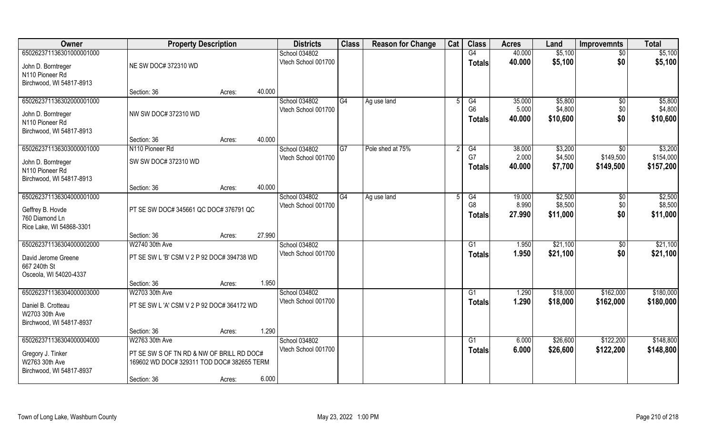| Owner                                                                                         | <b>Property Description</b>                                                                                              |        |        | <b>Districts</b>                     | <b>Class</b> | <b>Reason for Change</b> | Cat | <b>Class</b>                          | <b>Acres</b>              | Land                           | <b>Improvemnts</b>            | <b>Total</b>                      |
|-----------------------------------------------------------------------------------------------|--------------------------------------------------------------------------------------------------------------------------|--------|--------|--------------------------------------|--------------|--------------------------|-----|---------------------------------------|---------------------------|--------------------------------|-------------------------------|-----------------------------------|
| 650262371136301000001000                                                                      |                                                                                                                          |        |        | School 034802                        |              |                          |     | G4                                    | 40.000                    | \$5,100                        | $\overline{50}$               | \$5,100                           |
| John D. Borntreger<br>N110 Pioneer Rd<br>Birchwood, WI 54817-8913                             | NE SW DOC# 372310 WD                                                                                                     |        |        | Vtech School 001700                  |              |                          |     | Totals                                | 40.000                    | \$5,100                        | \$0                           | \$5,100                           |
|                                                                                               | Section: 36                                                                                                              | Acres: | 40.000 |                                      |              |                          |     |                                       |                           |                                |                               |                                   |
| 650262371136302000001000<br>John D. Borntreger<br>N110 Pioneer Rd<br>Birchwood, WI 54817-8913 | NW SW DOC# 372310 WD                                                                                                     |        |        | School 034802<br>Vtech School 001700 | G4           | Ag use land              |     | G4<br>G <sub>6</sub><br><b>Totals</b> | 35.000<br>5.000<br>40.000 | \$5,800<br>\$4,800<br>\$10,600 | \$0<br>\$0<br>\$0             | \$5,800<br>\$4,800<br>\$10,600    |
|                                                                                               | Section: 36                                                                                                              | Acres: | 40.000 |                                      |              |                          |     |                                       |                           |                                |                               |                                   |
| 650262371136303000001000<br>John D. Borntreger<br>N110 Pioneer Rd<br>Birchwood, WI 54817-8913 | N110 Pioneer Rd<br>SW SW DOC# 372310 WD                                                                                  |        |        | School 034802<br>Vtech School 001700 | G7           | Pole shed at 75%         |     | G4<br>G7<br><b>Totals</b>             | 38.000<br>2.000<br>40.000 | \$3,200<br>\$4,500<br>\$7,700  | \$0<br>\$149,500<br>\$149,500 | \$3,200<br>\$154,000<br>\$157,200 |
|                                                                                               | Section: 36                                                                                                              | Acres: | 40.000 |                                      |              |                          |     |                                       |                           |                                |                               |                                   |
| 650262371136304000001000<br>Geffrey B. Hovde<br>760 Diamond Ln<br>Rice Lake, WI 54868-3301    | PT SE SW DOC# 345661 QC DOC# 376791 QC                                                                                   |        |        | School 034802<br>Vtech School 001700 | G4           | Ag use land              |     | G4<br>G <sub>8</sub><br><b>Totals</b> | 19.000<br>8.990<br>27.990 | \$2,500<br>\$8,500<br>\$11,000 | \$0<br>\$0<br>\$0             | \$2,500<br>\$8,500<br>\$11,000    |
|                                                                                               | Section: 36                                                                                                              | Acres: | 27.990 |                                      |              |                          |     |                                       |                           |                                |                               |                                   |
| 650262371136304000002000<br>David Jerome Greene<br>667 240th St<br>Osceola, WI 54020-4337     | W2740 30th Ave<br>PT SE SW L 'B' CSM V 2 P 92 DOC# 394738 WD                                                             |        |        | School 034802<br>Vtech School 001700 |              |                          |     | G1<br><b>Totals</b>                   | 1.950<br>1.950            | \$21,100<br>\$21,100           | $\overline{50}$<br>\$0        | \$21,100<br>\$21,100              |
|                                                                                               | Section: 36                                                                                                              | Acres: | 1.950  |                                      |              |                          |     |                                       |                           |                                |                               |                                   |
| 650262371136304000003000<br>Daniel B. Crotteau<br>W2703 30th Ave<br>Birchwood, WI 54817-8937  | W2703 30th Ave<br>PT SE SW L 'A' CSM V 2 P 92 DOC# 364172 WD                                                             |        |        | School 034802<br>Vtech School 001700 |              |                          |     | G1<br><b>Totals</b>                   | 1.290<br>1.290            | \$18,000<br>\$18,000           | \$162,000<br>\$162,000        | \$180,000<br>\$180,000            |
|                                                                                               | Section: 36                                                                                                              | Acres: | 1.290  |                                      |              |                          |     |                                       |                           |                                |                               |                                   |
| 650262371136304000004000<br>Gregory J. Tinker<br>W2763 30th Ave<br>Birchwood, WI 54817-8937   | W2763 30th Ave<br>PT SE SW S OF TN RD & NW OF BRILL RD DOC#<br>169602 WD DOC# 329311 TOD DOC# 382655 TERM<br>Section: 36 | Acres: | 6.000  | School 034802<br>Vtech School 001700 |              |                          |     | G1<br><b>Totals</b>                   | 6.000<br>6.000            | \$26,600<br>\$26,600           | \$122,200<br>\$122,200        | \$148,800<br>\$148,800            |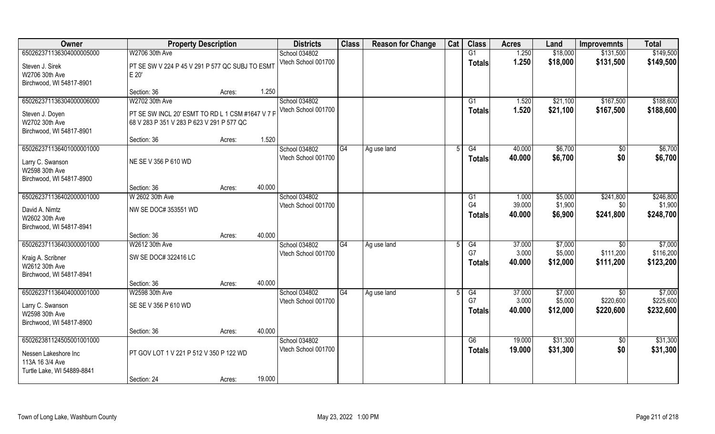| Owner                      | <b>Property Description</b>                      |        |        | <b>Districts</b>                     | <b>Class</b> | <b>Reason for Change</b> | Cat | <b>Class</b>         | <b>Acres</b>    | Land               | <b>Improvemnts</b> | <b>Total</b>         |
|----------------------------|--------------------------------------------------|--------|--------|--------------------------------------|--------------|--------------------------|-----|----------------------|-----------------|--------------------|--------------------|----------------------|
| 650262371136304000005000   | W2706 30th Ave                                   |        |        | School 034802                        |              |                          |     | G1                   | 1.250           | \$18,000           | \$131,500          | \$149,500            |
| Steven J. Sirek            | PT SE SW V 224 P 45 V 291 P 577 QC SUBJ TO ESMT  |        |        | Vtech School 001700                  |              |                          |     | <b>Totals</b>        | 1.250           | \$18,000           | \$131,500          | \$149,500            |
| W2706 30th Ave             | E 20'                                            |        |        |                                      |              |                          |     |                      |                 |                    |                    |                      |
| Birchwood, WI 54817-8901   |                                                  |        |        |                                      |              |                          |     |                      |                 |                    |                    |                      |
|                            | Section: 36                                      | Acres: | 1.250  |                                      |              |                          |     |                      |                 |                    |                    |                      |
| 650262371136304000006000   | W2702 30th Ave                                   |        |        | School 034802                        |              |                          |     | G1                   | 1.520           | \$21,100           | \$167,500          | \$188,600            |
| Steven J. Doyen            | PT SE SW INCL 20' ESMT TO RD L 1 CSM #1647 V 7 P |        |        | Vtech School 001700                  |              |                          |     | <b>Totals</b>        | 1.520           | \$21,100           | \$167,500          | \$188,600            |
| W2702 30th Ave             | 68 V 283 P 351 V 283 P 623 V 291 P 577 QC        |        |        |                                      |              |                          |     |                      |                 |                    |                    |                      |
| Birchwood, WI 54817-8901   |                                                  |        |        |                                      |              |                          |     |                      |                 |                    |                    |                      |
|                            | Section: 36                                      | Acres: | 1.520  |                                      |              |                          |     |                      |                 |                    |                    |                      |
| 650262371136401000001000   |                                                  |        |        | School 034802                        | G4           | Ag use land              | 5   | G4                   | 40.000          | \$6,700            | $\sqrt{50}$        | \$6,700              |
| Larry C. Swanson           | NE SE V 356 P 610 WD                             |        |        | Vtech School 001700                  |              |                          |     | <b>Totals</b>        | 40.000          | \$6,700            | \$0                | \$6,700              |
| W2598 30th Ave             |                                                  |        |        |                                      |              |                          |     |                      |                 |                    |                    |                      |
| Birchwood, WI 54817-8900   |                                                  |        |        |                                      |              |                          |     |                      |                 |                    |                    |                      |
|                            | Section: 36                                      | Acres: | 40.000 |                                      |              |                          |     |                      |                 |                    |                    |                      |
| 650262371136402000001000   | W 2602 30th Ave                                  |        |        | School 034802<br>Vtech School 001700 |              |                          |     | G1<br>G <sub>4</sub> | 1.000<br>39.000 | \$5,000<br>\$1,900 | \$241,800<br>\$0   | \$246,800<br>\$1,900 |
| David A. Nimtz             | NW SE DOC# 353551 WD                             |        |        |                                      |              |                          |     | <b>Totals</b>        | 40.000          | \$6,900            | \$241,800          | \$248,700            |
| W2602 30th Ave             |                                                  |        |        |                                      |              |                          |     |                      |                 |                    |                    |                      |
| Birchwood, WI 54817-8941   |                                                  |        |        |                                      |              |                          |     |                      |                 |                    |                    |                      |
| 650262371136403000001000   | Section: 36<br>W2612 30th Ave                    | Acres: | 40.000 |                                      | G4           |                          |     | G4                   | 37.000          | \$7,000            |                    | \$7,000              |
|                            |                                                  |        |        | School 034802<br>Vtech School 001700 |              | Ag use land              |     | G7                   | 3.000           | \$5,000            | \$0<br>\$111,200   | \$116,200            |
| Kraig A. Scribner          | SW SE DOC# 322416 LC                             |        |        |                                      |              |                          |     | Totals               | 40.000          | \$12,000           | \$111,200          | \$123,200            |
| W2612 30th Ave             |                                                  |        |        |                                      |              |                          |     |                      |                 |                    |                    |                      |
| Birchwood, WI 54817-8941   |                                                  |        |        |                                      |              |                          |     |                      |                 |                    |                    |                      |
| 650262371136404000001000   | Section: 36<br>W2598 30th Ave                    | Acres: | 40.000 | School 034802                        | G4           | Ag use land              |     | G4                   | 37.000          | \$7,000            | \$0                | \$7,000              |
|                            |                                                  |        |        | Vtech School 001700                  |              |                          |     | G7                   | 3.000           | \$5,000            | \$220,600          | \$225,600            |
| Larry C. Swanson           | SE SE V 356 P 610 WD                             |        |        |                                      |              |                          |     | <b>Totals</b>        | 40.000          | \$12,000           | \$220,600          | \$232,600            |
| W2598 30th Ave             |                                                  |        |        |                                      |              |                          |     |                      |                 |                    |                    |                      |
| Birchwood, WI 54817-8900   |                                                  |        | 40.000 |                                      |              |                          |     |                      |                 |                    |                    |                      |
| 650262381124505001001000   | Section: 36                                      | Acres: |        | School 034802                        |              |                          |     | G6                   | 19.000          | \$31,300           | $\sqrt{$0}$        | \$31,300             |
|                            |                                                  |        |        | Vtech School 001700                  |              |                          |     | <b>Totals</b>        | 19.000          | \$31,300           | \$0                | \$31,300             |
| Nessen Lakeshore Inc       | PT GOV LOT 1 V 221 P 512 V 350 P 122 WD          |        |        |                                      |              |                          |     |                      |                 |                    |                    |                      |
| 113A 16 3/4 Ave            |                                                  |        |        |                                      |              |                          |     |                      |                 |                    |                    |                      |
| Turtle Lake, WI 54889-8841 |                                                  |        | 19.000 |                                      |              |                          |     |                      |                 |                    |                    |                      |
|                            | Section: 24                                      | Acres: |        |                                      |              |                          |     |                      |                 |                    |                    |                      |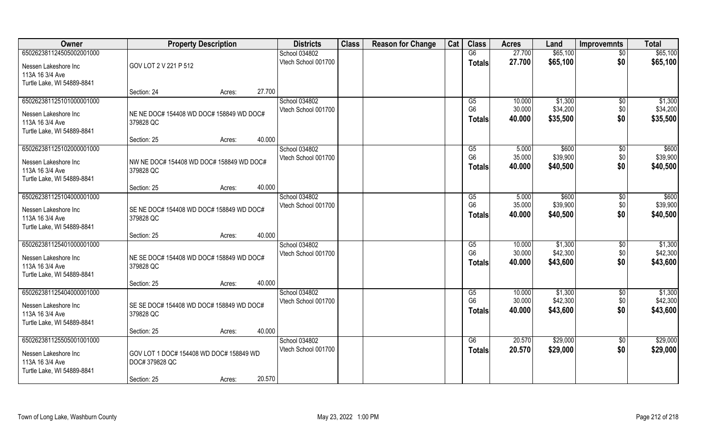| Owner                      | <b>Property Description</b>              |        |        | <b>Districts</b>    | <b>Class</b> | <b>Reason for Change</b> | Cat | <b>Class</b>   | <b>Acres</b> | Land     | <b>Improvemnts</b> | <b>Total</b> |
|----------------------------|------------------------------------------|--------|--------|---------------------|--------------|--------------------------|-----|----------------|--------------|----------|--------------------|--------------|
| 650262381124505002001000   |                                          |        |        | School 034802       |              |                          |     | G6             | 27.700       | \$65,100 | $\overline{50}$    | \$65,100     |
| Nessen Lakeshore Inc       | GOV LOT 2 V 221 P 512                    |        |        | Vtech School 001700 |              |                          |     | <b>Totals</b>  | 27.700       | \$65,100 | \$0                | \$65,100     |
| 113A 16 3/4 Ave            |                                          |        |        |                     |              |                          |     |                |              |          |                    |              |
| Turtle Lake, WI 54889-8841 |                                          |        |        |                     |              |                          |     |                |              |          |                    |              |
|                            | Section: 24                              | Acres: | 27.700 |                     |              |                          |     |                |              |          |                    |              |
| 650262381125101000001000   |                                          |        |        | School 034802       |              |                          |     | G5             | 10.000       | \$1,300  | \$0                | \$1,300      |
| Nessen Lakeshore Inc       | NE NE DOC# 154408 WD DOC# 158849 WD DOC# |        |        | Vtech School 001700 |              |                          |     | G <sub>6</sub> | 30.000       | \$34,200 | \$0                | \$34,200     |
| 113A 16 3/4 Ave            | 379828 QC                                |        |        |                     |              |                          |     | <b>Totals</b>  | 40.000       | \$35,500 | \$0                | \$35,500     |
| Turtle Lake, WI 54889-8841 |                                          |        |        |                     |              |                          |     |                |              |          |                    |              |
|                            | Section: 25                              | Acres: | 40.000 |                     |              |                          |     |                |              |          |                    |              |
| 650262381125102000001000   |                                          |        |        | School 034802       |              |                          |     | G5             | 5.000        | \$600    | \$0                | \$600        |
| Nessen Lakeshore Inc       | NW NE DOC# 154408 WD DOC# 158849 WD DOC# |        |        | Vtech School 001700 |              |                          |     | G <sub>6</sub> | 35.000       | \$39,900 | \$0                | \$39,900     |
| 113A 16 3/4 Ave            | 379828 QC                                |        |        |                     |              |                          |     | <b>Totals</b>  | 40.000       | \$40,500 | \$0                | \$40,500     |
| Turtle Lake, WI 54889-8841 |                                          |        |        |                     |              |                          |     |                |              |          |                    |              |
|                            | Section: 25                              | Acres: | 40.000 |                     |              |                          |     |                |              |          |                    |              |
| 650262381125104000001000   |                                          |        |        | School 034802       |              |                          |     | G5             | 5.000        | \$600    | \$0                | \$600        |
| Nessen Lakeshore Inc       | SE NE DOC# 154408 WD DOC# 158849 WD DOC# |        |        | Vtech School 001700 |              |                          |     | G <sub>6</sub> | 35.000       | \$39,900 | \$0                | \$39,900     |
| 113A 16 3/4 Ave            | 379828 QC                                |        |        |                     |              |                          |     | <b>Totals</b>  | 40.000       | \$40,500 | \$0                | \$40,500     |
| Turtle Lake, WI 54889-8841 |                                          |        |        |                     |              |                          |     |                |              |          |                    |              |
|                            | Section: 25                              | Acres: | 40.000 |                     |              |                          |     |                |              |          |                    |              |
| 650262381125401000001000   |                                          |        |        | School 034802       |              |                          |     | G5             | 10.000       | \$1,300  | $\sqrt[6]{30}$     | \$1,300      |
| Nessen Lakeshore Inc       | NE SE DOC# 154408 WD DOC# 158849 WD DOC# |        |        | Vtech School 001700 |              |                          |     | G <sub>6</sub> | 30.000       | \$42,300 | \$0                | \$42,300     |
| 113A 16 3/4 Ave            | 379828 QC                                |        |        |                     |              |                          |     | <b>Totals</b>  | 40.000       | \$43,600 | \$0                | \$43,600     |
| Turtle Lake, WI 54889-8841 |                                          |        |        |                     |              |                          |     |                |              |          |                    |              |
|                            | Section: 25                              | Acres: | 40.000 |                     |              |                          |     |                |              |          |                    |              |
| 650262381125404000001000   |                                          |        |        | School 034802       |              |                          |     | G5             | 10.000       | \$1,300  | \$0                | \$1,300      |
| Nessen Lakeshore Inc       | SE SE DOC# 154408 WD DOC# 158849 WD DOC# |        |        | Vtech School 001700 |              |                          |     | G <sub>6</sub> | 30.000       | \$42,300 | \$0                | \$42,300     |
| 113A 16 3/4 Ave            | 379828 QC                                |        |        |                     |              |                          |     | Totals         | 40.000       | \$43,600 | \$0                | \$43,600     |
| Turtle Lake, WI 54889-8841 |                                          |        |        |                     |              |                          |     |                |              |          |                    |              |
|                            | Section: 25                              | Acres: | 40.000 |                     |              |                          |     |                |              |          |                    |              |
| 650262381125505001001000   |                                          |        |        | School 034802       |              |                          |     | G6             | 20.570       | \$29,000 | $\overline{50}$    | \$29,000     |
| Nessen Lakeshore Inc       | GOV LOT 1 DOC# 154408 WD DOC# 158849 WD  |        |        | Vtech School 001700 |              |                          |     | Totals         | 20.570       | \$29,000 | \$0                | \$29,000     |
| 113A 16 3/4 Ave            | DOC# 379828 QC                           |        |        |                     |              |                          |     |                |              |          |                    |              |
| Turtle Lake, WI 54889-8841 |                                          |        |        |                     |              |                          |     |                |              |          |                    |              |
|                            | Section: 25                              | Acres: | 20.570 |                     |              |                          |     |                |              |          |                    |              |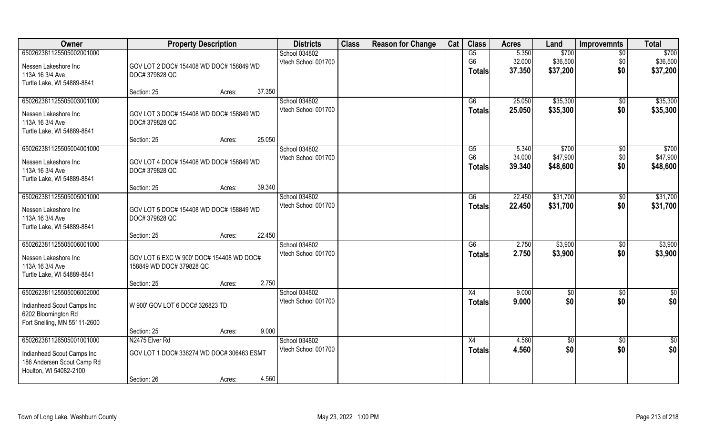| Owner                                   | <b>Property Description</b>                                          | <b>Districts</b>                     | <b>Class</b> | <b>Reason for Change</b> | Cat | <b>Class</b>         | <b>Acres</b>    | Land              | <b>Improvemnts</b>   | <b>Total</b>      |
|-----------------------------------------|----------------------------------------------------------------------|--------------------------------------|--------------|--------------------------|-----|----------------------|-----------------|-------------------|----------------------|-------------------|
| 650262381125505002001000                |                                                                      | School 034802                        |              |                          |     | G5                   | 5.350           | \$700             | $\overline{50}$      | \$700             |
| Nessen Lakeshore Inc                    | GOV LOT 2 DOC# 154408 WD DOC# 158849 WD                              | Vtech School 001700                  |              |                          |     | G <sub>6</sub>       | 32.000          | \$36,500          | \$0                  | \$36,500          |
| 113A 16 3/4 Ave                         | DOC# 379828 QC                                                       |                                      |              |                          |     | <b>Totals</b>        | 37.350          | \$37,200          | \$0                  | \$37,200          |
| Turtle Lake, WI 54889-8841              |                                                                      |                                      |              |                          |     |                      |                 |                   |                      |                   |
|                                         | Section: 25<br>Acres:                                                | 37.350                               |              |                          |     |                      |                 |                   |                      |                   |
| 650262381125505003001000                |                                                                      | School 034802                        |              |                          |     | G6                   | 25.050          | \$35,300          | \$0                  | \$35,300          |
| Nessen Lakeshore Inc                    | GOV LOT 3 DOC# 154408 WD DOC# 158849 WD                              | Vtech School 001700                  |              |                          |     | <b>Totals</b>        | 25.050          | \$35,300          | \$0                  | \$35,300          |
| 113A 16 3/4 Ave                         | DOC# 379828 QC                                                       |                                      |              |                          |     |                      |                 |                   |                      |                   |
| Turtle Lake, WI 54889-8841              |                                                                      |                                      |              |                          |     |                      |                 |                   |                      |                   |
|                                         | Section: 25<br>Acres:                                                | 25.050                               |              |                          |     |                      |                 |                   |                      |                   |
| 650262381125505004001000                |                                                                      | School 034802<br>Vtech School 001700 |              |                          |     | G5<br>G <sub>6</sub> | 5.340<br>34.000 | \$700<br>\$47,900 | $\sqrt[6]{3}$<br>\$0 | \$700<br>\$47,900 |
| Nessen Lakeshore Inc                    | GOV LOT 4 DOC# 154408 WD DOC# 158849 WD                              |                                      |              |                          |     | <b>Totals</b>        | 39.340          | \$48,600          | \$0                  | \$48,600          |
| 113A 16 3/4 Ave                         | DOC# 379828 QC                                                       |                                      |              |                          |     |                      |                 |                   |                      |                   |
| Turtle Lake, WI 54889-8841              |                                                                      | 39.340                               |              |                          |     |                      |                 |                   |                      |                   |
| 650262381125505005001000                | Section: 25<br>Acres:                                                | School 034802                        |              |                          |     | G6                   | 22.450          | \$31,700          |                      | \$31,700          |
|                                         |                                                                      | Vtech School 001700                  |              |                          |     | <b>Totals</b>        | 22.450          | \$31,700          | \$0<br>\$0           | \$31,700          |
| Nessen Lakeshore Inc                    | GOV LOT 5 DOC# 154408 WD DOC# 158849 WD                              |                                      |              |                          |     |                      |                 |                   |                      |                   |
| 113A 16 3/4 Ave                         | DOC# 379828 QC                                                       |                                      |              |                          |     |                      |                 |                   |                      |                   |
| Turtle Lake, WI 54889-8841              | Section: 25<br>Acres:                                                | 22.450                               |              |                          |     |                      |                 |                   |                      |                   |
| 650262381125505006001000                |                                                                      | School 034802                        |              |                          |     | G6                   | 2.750           | \$3,900           | $\sqrt[6]{30}$       | \$3,900           |
|                                         |                                                                      | Vtech School 001700                  |              |                          |     | <b>Totals</b>        | 2.750           | \$3,900           | \$0                  | \$3,900           |
| Nessen Lakeshore Inc<br>113A 16 3/4 Ave | GOV LOT 6 EXC W 900' DOC# 154408 WD DOC#<br>158849 WD DOC# 379828 QC |                                      |              |                          |     |                      |                 |                   |                      |                   |
| Turtle Lake, WI 54889-8841              |                                                                      |                                      |              |                          |     |                      |                 |                   |                      |                   |
|                                         | Section: 25<br>Acres:                                                | 2.750                                |              |                          |     |                      |                 |                   |                      |                   |
| 650262381125505006002000                |                                                                      | School 034802                        |              |                          |     | X4                   | 9.000           | $\sqrt{6}$        | \$0                  | \$0               |
| Indianhead Scout Camps Inc              | W 900' GOV LOT 6 DOC# 326823 TD                                      | Vtech School 001700                  |              |                          |     | <b>Totals</b>        | 9.000           | \$0               | \$0                  | \$0               |
| 6202 Bloomington Rd                     |                                                                      |                                      |              |                          |     |                      |                 |                   |                      |                   |
| Fort Snelling, MN 55111-2600            |                                                                      |                                      |              |                          |     |                      |                 |                   |                      |                   |
|                                         | Section: 25<br>Acres:                                                | 9.000                                |              |                          |     |                      |                 |                   |                      |                   |
| 650262381126505001001000                | N2475 Elver Rd                                                       | School 034802                        |              |                          |     | X4                   | 4.560           | \$0               | $\overline{50}$      | \$0               |
| Indianhead Scout Camps Inc              | GOV LOT 1 DOC# 336274 WD DOC# 306463 ESMT                            | Vtech School 001700                  |              |                          |     | Totals               | 4.560           | \$0               | \$0                  | \$0               |
| 186 Andersen Scout Camp Rd              |                                                                      |                                      |              |                          |     |                      |                 |                   |                      |                   |
| Houlton, WI 54082-2100                  |                                                                      |                                      |              |                          |     |                      |                 |                   |                      |                   |
|                                         | Section: 26<br>Acres:                                                | 4.560                                |              |                          |     |                      |                 |                   |                      |                   |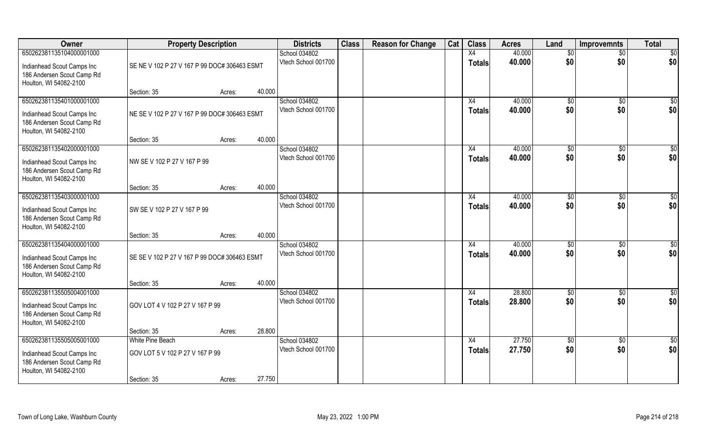| Owner                                                                                                          | <b>Property Description</b>                         |                  | <b>Districts</b>                     | <b>Class</b> | <b>Reason for Change</b> | Cat | <b>Class</b>        | <b>Acres</b>     | Land                  | <b>Improvemnts</b>     | <b>Total</b>       |
|----------------------------------------------------------------------------------------------------------------|-----------------------------------------------------|------------------|--------------------------------------|--------------|--------------------------|-----|---------------------|------------------|-----------------------|------------------------|--------------------|
| 650262381135104000001000                                                                                       |                                                     |                  | School 034802                        |              |                          |     | X4                  | 40.000           | \$0                   | $\overline{50}$        | $\overline{50}$    |
| Indianhead Scout Camps Inc<br>186 Andersen Scout Camp Rd<br>Houlton, WI 54082-2100                             | SE NE V 102 P 27 V 167 P 99 DOC# 306463 ESMT        |                  | Vtech School 001700                  |              |                          |     | <b>Totals</b>       | 40.000           | \$0                   | \$0                    | \$0                |
|                                                                                                                | Section: 35                                         | 40.000<br>Acres: |                                      |              |                          |     |                     |                  |                       |                        |                    |
| 650262381135401000001000<br>Indianhead Scout Camps Inc<br>186 Andersen Scout Camp Rd<br>Houlton, WI 54082-2100 | NE SE V 102 P 27 V 167 P 99 DOC# 306463 ESMT        |                  | School 034802<br>Vtech School 001700 |              |                          |     | X4<br><b>Totals</b> | 40.000<br>40.000 | $\sqrt[6]{}$<br>\$0   | $\overline{50}$<br>\$0 | $\sqrt{50}$<br>\$0 |
|                                                                                                                | Section: 35                                         | 40.000<br>Acres: |                                      |              |                          |     |                     |                  |                       |                        |                    |
| 650262381135402000001000<br>Indianhead Scout Camps Inc<br>186 Andersen Scout Camp Rd<br>Houlton, WI 54082-2100 | NW SE V 102 P 27 V 167 P 99                         |                  | School 034802<br>Vtech School 001700 |              |                          |     | X4<br><b>Totals</b> | 40.000<br>40.000 | \$0<br>\$0            | $\sqrt[6]{30}$<br>\$0  | \$0<br>\$0         |
|                                                                                                                | Section: 35                                         | 40.000<br>Acres: |                                      |              |                          |     |                     |                  |                       |                        |                    |
| 650262381135403000001000<br>Indianhead Scout Camps Inc<br>186 Andersen Scout Camp Rd<br>Houlton, WI 54082-2100 | SW SE V 102 P 27 V 167 P 99                         |                  | School 034802<br>Vtech School 001700 |              |                          |     | X4<br><b>Totals</b> | 40.000<br>40.000 | \$0<br>\$0            | \$0<br>\$0             | \$0<br>\$0         |
|                                                                                                                | Section: 35                                         | 40.000<br>Acres: |                                      |              |                          |     |                     |                  |                       |                        |                    |
| 650262381135404000001000<br>Indianhead Scout Camps Inc<br>186 Andersen Scout Camp Rd<br>Houlton, WI 54082-2100 | SE SE V 102 P 27 V 167 P 99 DOC# 306463 ESMT        |                  | School 034802<br>Vtech School 001700 |              |                          |     | X4<br><b>Totals</b> | 40.000<br>40.000 | $\sqrt[6]{}$<br>\$0   | \$0<br>\$0             | \$0<br>\$0         |
|                                                                                                                | Section: 35                                         | 40.000<br>Acres: |                                      |              |                          |     |                     |                  |                       |                        |                    |
| 650262381135505004001000<br>Indianhead Scout Camps Inc<br>186 Andersen Scout Camp Rd<br>Houlton, WI 54082-2100 | GOV LOT 4 V 102 P 27 V 167 P 99                     |                  | School 034802<br>Vtech School 001700 |              |                          |     | X4<br><b>Totals</b> | 28.800<br>28.800 | \$0<br>\$0            | \$0<br>\$0             | \$0<br>\$0         |
|                                                                                                                | Section: 35                                         | 28.800<br>Acres: |                                      |              |                          |     |                     |                  |                       |                        |                    |
| 650262381135505005001000<br>Indianhead Scout Camps Inc<br>186 Andersen Scout Camp Rd<br>Houlton, WI 54082-2100 | White Pine Beach<br>GOV LOT 5 V 102 P 27 V 167 P 99 |                  | School 034802<br>Vtech School 001700 |              |                          |     | X4<br>Totals        | 27.750<br>27.750 | $\sqrt[6]{30}$<br>\$0 | $\sqrt{$0}$<br>\$0     | \$0<br>\$0         |
|                                                                                                                | Section: 35                                         | 27.750<br>Acres: |                                      |              |                          |     |                     |                  |                       |                        |                    |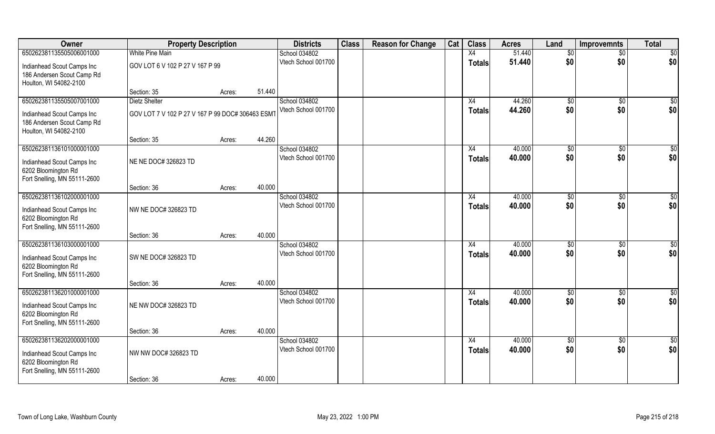| 650262381135505006001000<br><b>White Pine Main</b><br>School 034802<br>Vtech School 001700<br>GOV LOT 6 V 102 P 27 V 167 P 99<br>Indianhead Scout Camps Inc<br>186 Andersen Scout Camp Rd<br>Houlton, WI 54082-2100<br>51.440<br>Section: 35<br>Acres:<br>650262381135505007001000<br><b>Dietz Shelter</b><br>School 034802<br>Vtech School 001700<br>GOV LOT 7 V 102 P 27 V 167 P 99 DOC# 306463 ESM1<br>Indianhead Scout Camps Inc<br>186 Andersen Scout Camp Rd<br>Houlton, WI 54082-2100<br>44.260<br>Section: 35<br>Acres:<br>650262381136101000001000<br>School 034802<br>Vtech School 001700<br>NE NE DOC# 326823 TD<br>Indianhead Scout Camps Inc | Cat | <b>Class</b>        | <b>Acres</b>     | Land                   | <b>Improvemnts</b>     | <b>Total</b>            |
|-----------------------------------------------------------------------------------------------------------------------------------------------------------------------------------------------------------------------------------------------------------------------------------------------------------------------------------------------------------------------------------------------------------------------------------------------------------------------------------------------------------------------------------------------------------------------------------------------------------------------------------------------------------|-----|---------------------|------------------|------------------------|------------------------|-------------------------|
|                                                                                                                                                                                                                                                                                                                                                                                                                                                                                                                                                                                                                                                           |     | X4                  | 51.440           | \$0                    | $\overline{60}$        | $\overline{50}$         |
|                                                                                                                                                                                                                                                                                                                                                                                                                                                                                                                                                                                                                                                           |     | <b>Totals</b>       | 51.440           | \$0                    | \$0                    | \$0                     |
|                                                                                                                                                                                                                                                                                                                                                                                                                                                                                                                                                                                                                                                           |     |                     |                  |                        |                        |                         |
|                                                                                                                                                                                                                                                                                                                                                                                                                                                                                                                                                                                                                                                           |     | X4                  | 44.260           | $\sqrt[6]{}$           | $\sqrt{50}$            | $\sqrt{50}$             |
|                                                                                                                                                                                                                                                                                                                                                                                                                                                                                                                                                                                                                                                           |     | <b>Totals</b>       | 44.260           | \$0                    | \$0                    | \$0                     |
|                                                                                                                                                                                                                                                                                                                                                                                                                                                                                                                                                                                                                                                           |     |                     |                  |                        |                        |                         |
|                                                                                                                                                                                                                                                                                                                                                                                                                                                                                                                                                                                                                                                           |     | X4                  | 40.000           | \$0                    | \$0                    | \$0                     |
| 6202 Bloomington Rd<br>Fort Snelling, MN 55111-2600                                                                                                                                                                                                                                                                                                                                                                                                                                                                                                                                                                                                       |     | <b>Totals</b>       | 40.000           | \$0                    | \$0                    | \$0                     |
| 40.000<br>Section: 36<br>Acres:                                                                                                                                                                                                                                                                                                                                                                                                                                                                                                                                                                                                                           |     |                     |                  |                        |                        |                         |
| 650262381136102000001000<br>School 034802<br>Vtech School 001700<br>NW NE DOC# 326823 TD<br>Indianhead Scout Camps Inc<br>6202 Bloomington Rd                                                                                                                                                                                                                                                                                                                                                                                                                                                                                                             |     | X4<br><b>Totals</b> | 40.000<br>40.000 | $\sqrt[6]{3}$<br>\$0   | $\sqrt[6]{3}$<br>\$0   | \$0<br>\$0              |
| Fort Snelling, MN 55111-2600                                                                                                                                                                                                                                                                                                                                                                                                                                                                                                                                                                                                                              |     |                     |                  |                        |                        |                         |
| 40.000<br>Section: 36<br>Acres:                                                                                                                                                                                                                                                                                                                                                                                                                                                                                                                                                                                                                           |     |                     |                  |                        |                        |                         |
| 650262381136103000001000<br>School 034802<br>Vtech School 001700<br>Indianhead Scout Camps Inc<br>SW NE DOC# 326823 TD<br>6202 Bloomington Rd<br>Fort Snelling, MN 55111-2600                                                                                                                                                                                                                                                                                                                                                                                                                                                                             |     | X4<br><b>Totals</b> | 40.000<br>40.000 | \$0<br>\$0             | \$0<br>\$0             | \$0<br>\$0              |
| 40.000<br>Section: 36<br>Acres:                                                                                                                                                                                                                                                                                                                                                                                                                                                                                                                                                                                                                           |     |                     |                  |                        |                        |                         |
| 650262381136201000001000<br>School 034802<br>Vtech School 001700<br>NE NW DOC# 326823 TD<br>Indianhead Scout Camps Inc<br>6202 Bloomington Rd<br>Fort Snelling, MN 55111-2600                                                                                                                                                                                                                                                                                                                                                                                                                                                                             |     | X4<br><b>Totals</b> | 40.000<br>40.000 | \$0<br>\$0             | \$0<br>\$0             | $\frac{6}{3}$<br>\$0    |
| 40.000<br>Section: 36<br>Acres:                                                                                                                                                                                                                                                                                                                                                                                                                                                                                                                                                                                                                           |     |                     |                  |                        |                        |                         |
| 650262381136202000001000<br>School 034802<br>Vtech School 001700<br>NW NW DOC# 326823 TD<br>Indianhead Scout Camps Inc<br>6202 Bloomington Rd<br>Fort Snelling, MN 55111-2600<br>40.000<br>Section: 36<br>Acres:                                                                                                                                                                                                                                                                                                                                                                                                                                          |     | X4<br><b>Totals</b> | 40.000<br>40.000 | $\overline{50}$<br>\$0 | $\overline{50}$<br>\$0 | $\overline{\$0}$<br>\$0 |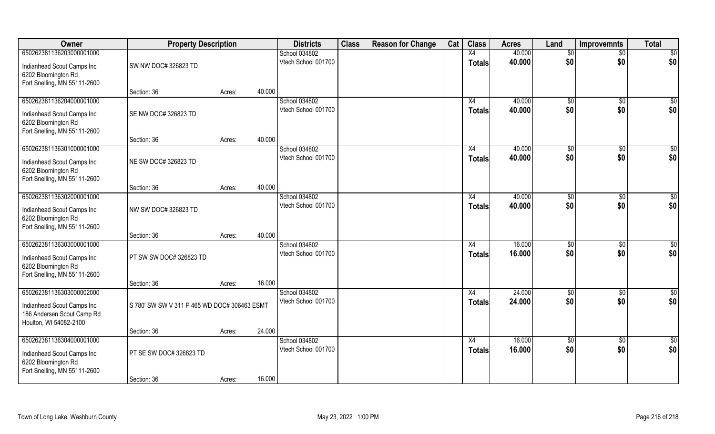| Owner                                                                                                          | <b>Property Description</b>                  |        |        | <b>Districts</b>                     | <b>Class</b> | <b>Reason for Change</b> | Cat | <b>Class</b>        | <b>Acres</b>     | Land                   | <b>Improvemnts</b>     | <b>Total</b>            |
|----------------------------------------------------------------------------------------------------------------|----------------------------------------------|--------|--------|--------------------------------------|--------------|--------------------------|-----|---------------------|------------------|------------------------|------------------------|-------------------------|
| 650262381136203000001000                                                                                       |                                              |        |        | School 034802                        |              |                          |     | X4                  | 40.000           | \$0                    | $\overline{50}$        | $\overline{50}$         |
| Indianhead Scout Camps Inc<br>6202 Bloomington Rd<br>Fort Snelling, MN 55111-2600                              | SW NW DOC# 326823 TD                         |        |        | Vtech School 001700                  |              |                          |     | <b>Totals</b>       | 40.000           | \$0                    | \$0                    | \$0                     |
|                                                                                                                | Section: 36                                  | Acres: | 40.000 |                                      |              |                          |     |                     |                  |                        |                        |                         |
| 650262381136204000001000<br>Indianhead Scout Camps Inc<br>6202 Bloomington Rd<br>Fort Snelling, MN 55111-2600  | SE NW DOC# 326823 TD                         |        |        | School 034802<br>Vtech School 001700 |              |                          |     | X4<br><b>Totals</b> | 40.000<br>40.000 | $\sqrt[6]{}$<br>\$0    | $\sqrt{50}$<br>\$0     | \$0<br>\$0              |
|                                                                                                                | Section: 36                                  | Acres: | 40.000 |                                      |              |                          |     |                     |                  |                        |                        |                         |
| 650262381136301000001000<br>Indianhead Scout Camps Inc<br>6202 Bloomington Rd<br>Fort Snelling, MN 55111-2600  | NE SW DOC# 326823 TD                         |        |        | School 034802<br>Vtech School 001700 |              |                          |     | X4<br><b>Totals</b> | 40.000<br>40.000 | \$0<br>\$0             | \$0<br>\$0             | \$0<br>\$0              |
|                                                                                                                | Section: 36                                  | Acres: | 40.000 |                                      |              |                          |     |                     |                  |                        |                        |                         |
| 650262381136302000001000<br>Indianhead Scout Camps Inc<br>6202 Bloomington Rd<br>Fort Snelling, MN 55111-2600  | NW SW DOC# 326823 TD                         |        |        | School 034802<br>Vtech School 001700 |              |                          |     | X4<br><b>Totals</b> | 40.000<br>40.000 | $\sqrt[6]{3}$<br>\$0   | $\sqrt[6]{3}$<br>\$0   | \$0<br>\$0              |
|                                                                                                                | Section: 36                                  | Acres: | 40.000 |                                      |              |                          |     |                     |                  |                        |                        |                         |
| 650262381136303000001000<br>Indianhead Scout Camps Inc<br>6202 Bloomington Rd<br>Fort Snelling, MN 55111-2600  | PT SW SW DOC# 326823 TD                      |        |        | School 034802<br>Vtech School 001700 |              |                          |     | X4<br><b>Totals</b> | 16.000<br>16.000 | \$0<br>\$0             | \$0<br>\$0             | \$0<br>\$0              |
|                                                                                                                | Section: 36                                  | Acres: | 16.000 |                                      |              |                          |     |                     |                  |                        |                        |                         |
| 650262381136303000002000<br>Indianhead Scout Camps Inc<br>186 Andersen Scout Camp Rd<br>Houlton, WI 54082-2100 | S 780' SW SW V 311 P 465 WD DOC# 306463 ESMT |        |        | School 034802<br>Vtech School 001700 |              |                          |     | X4<br><b>Totals</b> | 24.000<br>24.000 | \$0<br>\$0             | \$0<br>\$0             | $\frac{6}{3}$<br>\$0    |
|                                                                                                                | Section: 36                                  | Acres: | 24.000 |                                      |              |                          |     |                     |                  |                        |                        |                         |
| 650262381136304000001000<br>Indianhead Scout Camps Inc<br>6202 Bloomington Rd<br>Fort Snelling, MN 55111-2600  | PT SE SW DOC# 326823 TD<br>Section: 36       | Acres: | 16.000 | School 034802<br>Vtech School 001700 |              |                          |     | X4<br><b>Totals</b> | 16.000<br>16.000 | $\overline{50}$<br>\$0 | $\overline{50}$<br>\$0 | $\overline{\$0}$<br>\$0 |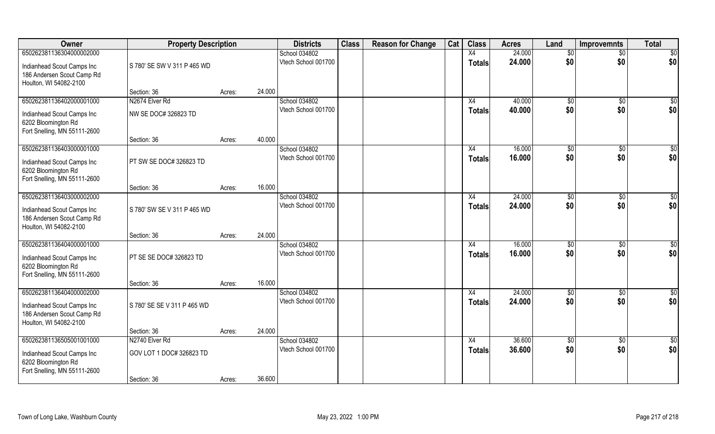| Owner                                                                                                          | <b>Property Description</b> |        |        | <b>Districts</b>                     | <b>Class</b> | <b>Reason for Change</b> | Cat | <b>Class</b>        | <b>Acres</b>     | Land                 | <b>Improvemnts</b>    | <b>Total</b>         |
|----------------------------------------------------------------------------------------------------------------|-----------------------------|--------|--------|--------------------------------------|--------------|--------------------------|-----|---------------------|------------------|----------------------|-----------------------|----------------------|
| 650262381136304000002000                                                                                       |                             |        |        | School 034802                        |              |                          |     | X4                  | 24.000           | \$0                  | $\overline{50}$       | $\overline{50}$      |
| Indianhead Scout Camps Inc<br>186 Andersen Scout Camp Rd<br>Houlton, WI 54082-2100                             | S 780' SE SW V 311 P 465 WD |        |        | Vtech School 001700                  |              |                          |     | Totals              | 24.000           | \$0                  | \$0                   | \$0                  |
|                                                                                                                | Section: 36                 | Acres: | 24.000 |                                      |              |                          |     |                     |                  |                      |                       |                      |
| 650262381136402000001000                                                                                       | N2674 Elver Rd              |        |        | School 034802                        |              |                          |     | X4                  | 40.000           | $\sqrt[6]{}$         | $\sqrt{50}$           | $\sqrt{50}$          |
| Indianhead Scout Camps Inc<br>6202 Bloomington Rd<br>Fort Snelling, MN 55111-2600                              | NW SE DOC# 326823 TD        |        |        | Vtech School 001700                  |              |                          |     | <b>Totals</b>       | 40.000           | \$0                  | \$0                   | \$0                  |
|                                                                                                                | Section: 36                 | Acres: | 40.000 |                                      |              |                          |     |                     |                  |                      |                       |                      |
| 650262381136403000001000                                                                                       |                             |        |        | School 034802                        |              |                          |     | X4                  | 16.000           | \$0                  | \$0                   | \$0                  |
| Indianhead Scout Camps Inc<br>6202 Bloomington Rd<br>Fort Snelling, MN 55111-2600                              | PT SW SE DOC# 326823 TD     |        |        | Vtech School 001700                  |              |                          |     | <b>Totals</b>       | 16.000           | \$0                  | \$0                   | \$0                  |
|                                                                                                                | Section: 36                 | Acres: | 16.000 |                                      |              |                          |     |                     |                  |                      |                       |                      |
| 650262381136403000002000<br>Indianhead Scout Camps Inc<br>186 Andersen Scout Camp Rd                           | S 780' SW SE V 311 P 465 WD |        |        | School 034802<br>Vtech School 001700 |              |                          |     | X4<br><b>Totals</b> | 24.000<br>24.000 | $\sqrt[6]{3}$<br>\$0 | $\sqrt[6]{30}$<br>\$0 | \$0<br>\$0           |
| Houlton, WI 54082-2100                                                                                         | Section: 36                 | Acres: | 24.000 |                                      |              |                          |     |                     |                  |                      |                       |                      |
| 650262381136404000001000<br>Indianhead Scout Camps Inc<br>6202 Bloomington Rd<br>Fort Snelling, MN 55111-2600  | PT SE SE DOC# 326823 TD     |        |        | School 034802<br>Vtech School 001700 |              |                          |     | X4<br><b>Totals</b> | 16.000<br>16.000 | \$0<br>\$0           | \$0<br>\$0            | \$0<br>\$0           |
|                                                                                                                | Section: 36                 | Acres: | 16.000 |                                      |              |                          |     |                     |                  |                      |                       |                      |
| 650262381136404000002000<br>Indianhead Scout Camps Inc<br>186 Andersen Scout Camp Rd<br>Houlton, WI 54082-2100 | S 780' SE SE V 311 P 465 WD |        |        | School 034802<br>Vtech School 001700 |              |                          |     | X4<br><b>Totals</b> | 24.000<br>24.000 | \$0<br>\$0           | \$0<br>\$0            | $\frac{6}{3}$<br>\$0 |
|                                                                                                                | Section: 36                 | Acres: | 24.000 |                                      |              |                          |     |                     |                  |                      |                       |                      |
| 650262381136505001001000                                                                                       | N2740 Elver Rd              |        |        | School 034802                        |              |                          |     | X4                  | 36.600           | $\overline{50}$      | $\overline{50}$       | $\overline{\$0}$     |
| Indianhead Scout Camps Inc<br>6202 Bloomington Rd<br>Fort Snelling, MN 55111-2600                              | GOV LOT 1 DOC# 326823 TD    |        |        | Vtech School 001700                  |              |                          |     | <b>Totals</b>       | 36.600           | \$0                  | \$0                   | \$0                  |
|                                                                                                                | Section: 36                 | Acres: | 36.600 |                                      |              |                          |     |                     |                  |                      |                       |                      |